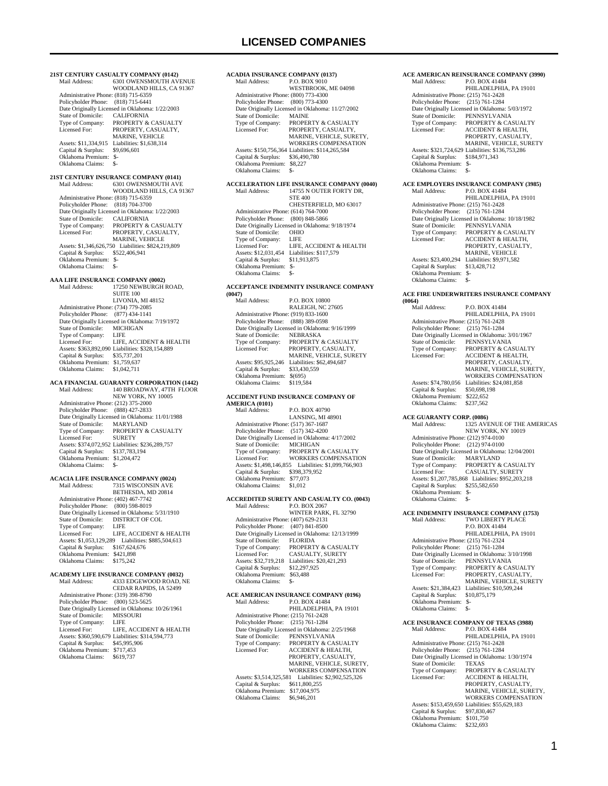**21ST CENTURY CASUALTY COMPANY (0142)**  6301 OWENSMOUTH AVENUE WOODLAND HILLS, CA 91367 Administrative Phone: (818) 715-6359 Policyholder Phone: (818) 715-6441 Date Originally Licensed in Oklahoma: 1/22/2003<br>State of Domicile: CALIFORNIA State of Domicile:<br>Type of Company: Type of Company: PROPERTY & CASUALTY<br>Licensed For: PROPERTY CASUALTY PROPERTY CASUALTY MARINE, VEHICLE Assets: \$11,334,915 Liabilities: \$1,638,314<br>Capital & Surplus: \$9,696,601 Capital & Surplus: \$9,696,600<br>Oklahoma Premium: \$ Oklahoma Premium: \$-<br>Oklahoma Claims: \$- Oklahoma Claims: \$- **21ST CENTURY INSURANCE COMPANY (0141)** Mail Address: 6301 OWENSMOUTH AVE WOODLAND HILLS, CA 91367 Administrative Phone: (818) 715-6359 Policyholder Phone: (818) 704-3700 Date Originally Licensed in Oklahoma: 1/22/2003 State of Domicile: CALIFORNIA Type of Company: PROPERTY & CASUALTY<br>Licensed For: PROPERTY, CASUALTY. PROPERTY, CASUALTY, MARINE, VEHICLE Assets: \$1,346,626,750 Liabilities: \$824,219,809 Capital & Surplus: \$522,406,941 Oklahoma Premium: \$- Oklahoma Claims: \$-**AAA LIFE INSURANCE COMPANY (0002)** Mail Address: 17250 NEWBURGH ROAD, SUITE 100 LIVONIA, MI 48152 Administrative Phone: (734) 779-2085 Policyholder Phone: (877) 434-1141 Date Originally Licensed in Oklahoma: 7/19/1972<br>State of Domicile: MICHIGAN State of Domicile: MICH<br>Type of Company: LIFE Type of Company:<br>Licensed For: LIFE, ACCIDENT & HEALTH Assets: \$363,892,090 Liabilities: \$328,154,889 Capital & Surplus: \$35,737,201 Oklahoma Premium: \$1,759,637 Oklahoma Claims: \$1,042,711 **ACA FINANCIAL GUARANTY CORPORATION (1442)**<br>Mail Address: 140 BROADWAY, 47TH FLOOR Mail Address: 140 BROADWAY, 47TH FLOOR NEW YORK, NY 10005 Administrative Phone: (212) 375-2000 Policyholder Phone: (888) 427-2833 Date Originally Licensed in Oklahoma: 11/01/1988 State of Domicile: MARYLAND Type of Company: PROPERTY & CASUALTY Licensed For: SURETY Assets: \$374,072,952 Liabilities: \$236,289,757 Capital & Surplus: \$137,783,194 Oklahoma Premium: \$1,204,472 Oklahoma Claims: \$-**ACACIA LIFE INSURANCE COMPANY (0024)** Mail Address: 7315 WISCONSIN AVE BETHESDA, MD 20814 Administrative Phone: (402) 467-7742 Policyholder Phone: (800) 598-8019 Date Originally Licensed in Oklahoma: 5/31/1910 State of Domicile: DISTRICT OF COL Type of Company: LIFE Licensed For: LIFE, ACCIDENT & HEALTH Assets: \$1,053,129,289 Liabilities: \$885,504,613 Capital & Surplus: \$167,624,676 Oklahoma Premium: \$421,898 Oklahoma Claims: \$175,242 **ACADEMY LIFE INSURANCE COMPANY (0032)**<br>Mail Address: 4333 EDGEWOOD ROAD. 4333 EDGEWOOD ROAD, NE CEDAR RAPIDS, IA 52499 Administrative Phone: (319) 398-8790 Policyholder Phone: (800) 523-5625 Date Originally Licensed in Oklahoma: 10/26/1961 State of Domicile: MISS<br>Type of Company: LIFE Type of Company:<br>Licensed For: LIFE, ACCIDENT & HEALTH Assets: \$360,590,679 Liabilities: \$314,594,773 Capital & Surplus: \$45,995,906 Oklahoma Premium: \$717,453 Oklahoma Claims: \$619,737

#### **ACADIA INSURANCE COMPANY (0137)**<br>Mail Address: P.O. BOX 9010 P.O. BOX 9010 WESTBROOK, ME 04098 Administrative Phone: (800) 773-4300 Policyholder Phone: (800) 773-4300 Date Originally Licensed in Oklahoma: 11/27/2002 State of Domicile:<br>Type of Company: Type of Company: PROPERTY & CASUALTY<br>Licensed For: PROPERTY CASUALTY PROPERTY, CASUALTY, MARINE, VEHICLE, SURETY, WORKERS COMPENSATION Assets: \$150,756,364 Liabilities: \$114,265,584 Capital & Surplus: \$36,490,780 Oklahoma Premium: \$8,227 Oklahoma Claims: **ACCELERATION LIFE INSURANCE COMPANY (0040)** Mail Address: 14755 N OUTER FORTY DR, 14755 N OUTER FORTY DR, STE 400 CHESTERFIELD, MO 63017 Administrative Phone: (614) 764-7000 Policyholder Phone: (800) 848-5866 Date Originally Licensed in Oklahoma: 9/18/1974<br>State of Domicile: OHIO State of Domicile: OHIC<br>Type of Company: LIFE Type of Company: LIFE<br>
Licensed For: LIFE, ACCIDENT & HEALTH Licensed For: LIFE, ACCIDENT & HEALTH Assets: \$12,031,454 Liabilities: \$117,579 Capital & Surplus: \$11,913,875 Oklahoma Premium: \$- Oklahoma Claims:

#### **ACCEPTANCE INDEMNITY INSURANCE COMPANY**

| (0047)                               |                                                 |
|--------------------------------------|-------------------------------------------------|
| Mail Address:                        | <b>P.O. BOX 10800</b>                           |
|                                      | RALEIGH, NC 27605                               |
| Administrative Phone: (919) 833-1600 |                                                 |
| Policyholder Phone: (888) 389-0598   |                                                 |
|                                      | Date Originally Licensed in Oklahoma: 9/16/1999 |
| State of Domicile:                   | <b>NEBRASKA</b>                                 |
| Type of Company:                     | <b>PROPERTY &amp; CASUALTY</b>                  |
| Licensed For:                        | PROPERTY, CASUALTY,                             |
|                                      | <b>MARINE, VEHICLE, SURETY</b>                  |
| Assets: \$95,925,246                 | Liabilities: \$62,494,687                       |
| Capital & Surplus:                   | \$33,430,559                                    |
| Oklahoma Premium:                    | \$(695)                                         |
| Oklahoma Claims:                     | \$119,584                                       |
|                                      |                                                 |

#### **ACCIDENT FUND INSURANCE COMPANY OF AMERICA (0101)**

| Mail Address:                        | P.O. BOX 40790                                  |
|--------------------------------------|-------------------------------------------------|
|                                      | LANSING, MI 48901                               |
| Administrative Phone: (517) 367-1687 |                                                 |
| Policyholder Phone: (517) 342-4200   |                                                 |
|                                      | Date Originally Licensed in Oklahoma: 4/17/2002 |
| State of Domicile: MICHIGAN          |                                                 |
| Type of Company:                     | PROPERTY & CASUALTY                             |
| Licensed For:                        | <b>WORKERS COMPENSATION</b>                     |
| Assets: \$1.498.146.855              | Liabilities: \$1,099,766,903                    |
| Capital & Surplus:                   | \$398,379,952                                   |
| Oklahoma Premium: \$77,073           |                                                 |
| Oklahoma Claims:                     | \$1,012                                         |
|                                      |                                                 |

#### **ACCREDITED SURETY AND CASUALTY CO. (0043)** Mail Address: P.O. BOX 2067

|                                      | WINTER PARK, FL 32790                            |
|--------------------------------------|--------------------------------------------------|
| Administrative Phone: (407) 629-2131 |                                                  |
| Policyholder Phone: (407) 841-8500   |                                                  |
|                                      | Date Originally Licensed in Oklahoma: 12/13/1999 |
| State of Domicile:                   | <b>FLORIDA</b>                                   |
| Type of Company:                     | PROPERTY & CASUALTY                              |
| Licensed For:                        | <b>CASUALTY, SURETY</b>                          |
| Assets: \$32,719,218                 | Liabilities: \$20,421,293                        |
| Capital & Surplus:                   | \$12,297,925                                     |
| Oklahoma Premium:                    | \$63,488                                         |
| Oklahoma Claims:                     |                                                  |
|                                      |                                                  |

#### **ACE AMERICAN INSURANCE COMPANY (0196)**<br>Mail Address: P.O. BOX 41484 P.O. BOX 41484 PHILADELPHIA, PA 19101 Administrative Phone: (215) 761-2428 Policyholder Phone: (215) 761-1284 Date Originally Licensed in Oklahoma: 2/25/1968

| State of Domicile:      | PENNSYLVANIA                  |
|-------------------------|-------------------------------|
| Type of Company:        | PROPERTY & CASUALTY           |
| Licensed For:           | <b>ACCIDENT &amp; HEALTH.</b> |
|                         | PROPERTY, CASUALTY.           |
|                         | MARINE, VEHICLE, SURETY.      |
|                         | <b>WORKERS COMPENSATION</b>   |
| Assets: \$3,514,325,581 | Liabilities: \$2,902,525,326  |
| Capital & Surplus:      | \$611,800,255                 |
| Oklahoma Premium:       | \$17,004,975                  |
| Oklahoma Claime         | \$6,946,201                   |

|                                      | <b>ACE AMERICAN REINSURANCE COMPANY (3990)</b>   |
|--------------------------------------|--------------------------------------------------|
| Mail Address:                        | P.O. BOX 41484                                   |
|                                      | PHILADELPHIA, PA 19101                           |
| Administrative Phone: (215) 761-2428 |                                                  |
| Policyholder Phone: (215) 761-1284   |                                                  |
|                                      | Date Originally Licensed in Oklahoma: 5/03/1972  |
| State of Domicile:                   | PENNSYLVANIA                                     |
| Type of Company:                     | PROPERTY & CASUALTY                              |
| Licensed For:                        | <b>ACCIDENT &amp; HEALTH.</b>                    |
|                                      | PROPERTY, CASUALTY,                              |
|                                      | MARINE, VEHICLE, SURETY                          |
|                                      | Assets: \$321,724,629 Liabilities: \$136,753,286 |
| Capital & Surplus:                   | \$184,971,343                                    |
| Oklahoma Premium: \$-                |                                                  |
|                                      |                                                  |
| Oklahoma Claims:                     | \$-                                              |
|                                      | ACE EMPLOYERS INSURANCE COMPANY (3985)           |
|                                      |                                                  |
| Mail Address:                        | P.O. BOX 41484                                   |
|                                      | PHILADELPHIA, PA 19101                           |
| Administrative Phone: (215) 761-2428 |                                                  |
| Policyholder Phone: (215) 761-1284   |                                                  |
|                                      | Date Originally Licensed in Oklahoma: 10/18/1982 |
| <b>State of Domicile:</b>            | PENNSYLVANIA                                     |
| Type of Company:                     | PROPERTY & CASUALTY                              |
| Licensed For:                        | <b>ACCIDENT &amp; HEALTH,</b>                    |
|                                      | PROPERTY, CASUALTY,                              |
|                                      | <b>MARINE, VEHICLE</b>                           |
| Assets: \$23,400,294                 | Liabilities: \$9,971,582                         |

#### **E FIRE UNDERWRITERS INSURANCE COMPANY**

 Capital & Surplus: \$13,428,712 Oklahoma Premium: \$- Oklahoma Claims:

| (0064)                               |                                                                 |
|--------------------------------------|-----------------------------------------------------------------|
| Mail Address:                        | P.O. BOX 41484<br>PHILADELPHIA, PA 19101                        |
| Administrative Phone: (215) 761-2428 |                                                                 |
| Policyholder Phone:                  | $(215) 761 - 1284$                                              |
|                                      | Date Originally Licensed in Oklahoma: 3/01/1967                 |
| State of Domicile:                   | PENNSYLVANIA                                                    |
| Type of Company:                     | PROPERTY & CASUALTY                                             |
| Licensed For:                        | ACCIDENT & HEALTH,                                              |
|                                      | PROPERTY, CASUALTY,                                             |
|                                      | MARINE, VEHICLE, SURETY,                                        |
|                                      | <b>WORKERS COMPENSATION</b>                                     |
| Assets: \$74,780,056                 | Liabilities: \$24,081,858                                       |
| Capital & Surplus:                   | \$50,698,198                                                    |
| Oklahoma Premium:                    | \$222,652                                                       |
| Oklahoma Claims:                     | \$237,562                                                       |
| <b>ACE GUARANTY CORP. (0086)</b>     |                                                                 |
| Mail Address:                        | 1325 AVENUE OF THE AMERICAS                                     |
|                                      | NEW YORK, NY 10019                                              |
| Administrative Phone: (212) 974-0100 |                                                                 |
| Policyholder Phone:                  | $(212)$ 974-0100                                                |
|                                      | Date Originally Licensed in Oklahoma: 12/04/2001                |
| State of Domicile:                   | <b>MARYLAND</b>                                                 |
| Type of Company:                     | PROPERTY & CASUALTY                                             |
| Licensed For:                        | CASUALTY, SURETY                                                |
|                                      | Assets: \$1,207,785,868 Liabilities: \$952,203,218              |
| Capital & Surplus: \$255,582,650     |                                                                 |
| Oklahoma Premium: \$-                |                                                                 |
| Oklahoma Claims:                     | $S-$                                                            |
|                                      | ACE INDEMNITY INSURANCE COMPANY (1753)                          |
| Mail Address:                        | TWO LIBERTY PLACE                                               |
|                                      | P.O. BOX 41484                                                  |
|                                      | PHILADELPHIA, PA 19101                                          |
| Administrative Phone: (215) 761-2324 |                                                                 |
| Policyholder Phone:                  | $(215) 761 - 1284$                                              |
| State of Domicile:                   | Date Originally Licensed in Oklahoma: 3/10/1998<br>PENNSYLVANIA |
| Type of Company:                     | PROPERTY & CASUALTY                                             |
| Licensed For:                        | PROPERTY, CASUALTY,                                             |
|                                      | MARINE, VEHICLE, SURETY                                         |
| Assets: \$21,384,423                 | Liabilities: \$10,509,244                                       |
| Capital & Surplus:                   | \$10,875,179                                                    |
| Oklahoma Premium:                    | $S-$                                                            |
| Oklahoma Claims:                     | $S-$                                                            |
|                                      |                                                                 |
|                                      | <b>ACE INSURANCE COMPANY OF TEXAS (3988)</b>                    |
| Mail Address:                        | P.O. BOX 41484                                                  |
| Administrative Phone: (215) 761-2428 | PHILADELPHIA, PA 19101                                          |
| Policyholder Phone:                  | $(215) 761 - 1284$                                              |
|                                      | Date Originally Licensed in Oklahoma: 1/30/1974                 |
| State of Domicile:                   | <b>TEXAS</b>                                                    |
| Type of Company:                     | PROPERTY & CASUALTY                                             |
| Licensed For:                        | <b>ACCIDENT &amp; HEALTH,</b>                                   |
|                                      | PROPERTY, CASUALTY,                                             |
|                                      | MARINE, VEHICLE, SURETY,                                        |
|                                      | <b>WORKERS COMPENSATION</b>                                     |
|                                      | Assets: \$153,459,650 Liabilities: \$55,629,183                 |
| Capital & Surplus:                   | \$97,830,467                                                    |
| Oklahoma Premium:                    | \$101,750                                                       |
| Oklahoma Claims:                     | \$232,693                                                       |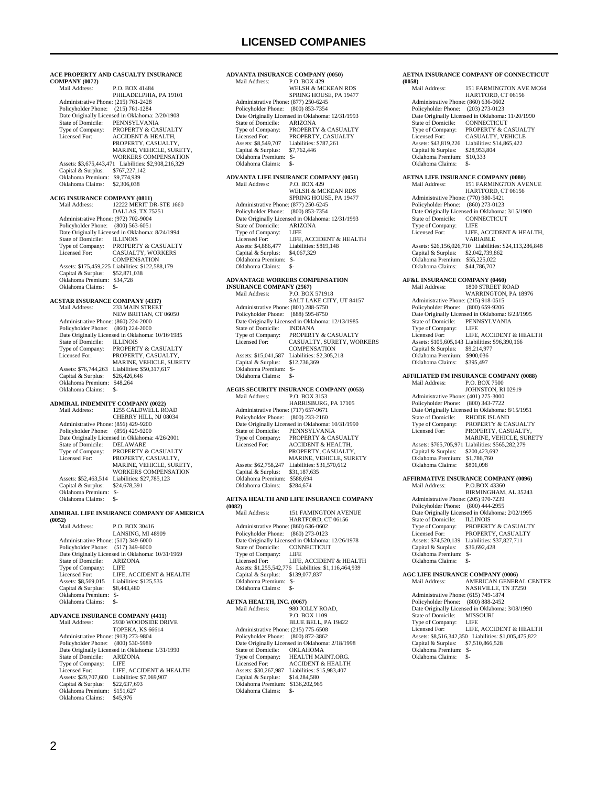|                                                                                 | ACE PROPERTY AND CASUALTY INSURANCE                                  |
|---------------------------------------------------------------------------------|----------------------------------------------------------------------|
| <b>COMPANY (0072)</b>                                                           |                                                                      |
| Mail Address:                                                                   | P.O. BOX 41484<br>PHILADELPHIA, PA 19101                             |
| Administrative Phone: (215) 761-2428                                            |                                                                      |
| Policyholder Phone: (215) 761-1284                                              |                                                                      |
| State of Domicile:                                                              | Date Originally Licensed in Oklahoma: 2/20/1908<br>PENNSYLVANIA      |
| Type of Company:                                                                | PROPERTY & CASUALTY                                                  |
| Licensed For:                                                                   | <b>ACCIDENT &amp; HEALTH,</b>                                        |
|                                                                                 | PROPERTY, CASUALTY,<br>MARINE, VEHICLE, SURETY,                      |
|                                                                                 | <b>WORKERS COMPENSATION</b>                                          |
| Assets: \$3,675,443,471<br>Capital & Surplus:                                   | Liabilities: \$2,908,216,329<br>\$767,227,142                        |
| Oklahoma Premium: \$9,774,939                                                   |                                                                      |
| Oklahoma Claims:                                                                | \$2,306,038                                                          |
| <b>ACIG INSURANCE COMPANY (0811)</b>                                            |                                                                      |
| Mail Address:                                                                   | 12222 MERIT DR-STE 1660                                              |
| Administrative Phone: (972) 702-9004                                            | DALLAS, TX 75251                                                     |
| Policyholder Phone: (800) 563-6051                                              |                                                                      |
| State of Domicile:                                                              | Date Originally Licensed in Oklahoma: 8/24/1994<br><b>ILLINOIS</b>   |
| Type of Company:                                                                | PROPERTY & CASUALTY                                                  |
| Licensed For:                                                                   | CASUALTY, WORKERS                                                    |
|                                                                                 | COMPENSATION<br>Assets: \$175,459,225 Liabilities: \$122,588,179     |
| Capital & Surplus:                                                              | \$52,871,038                                                         |
| Oklahoma Premium:                                                               | \$34,728                                                             |
| Oklahoma Claims:                                                                | \$-                                                                  |
| <b>ACSTAR INSURANCE COMPANY (4337)</b>                                          |                                                                      |
| Mail Address:                                                                   | 233 MAIN STREET<br>NEW BRITIAN, CT 06050                             |
| Administrative Phone: (860) 224-2000                                            |                                                                      |
| Policyholder Phone: (860) 224-2000                                              |                                                                      |
| State of Domicile:                                                              | Date Originally Licensed in Oklahoma: 10/16/1985<br><b>ILLINOIS</b>  |
| Type of Company:                                                                | PROPERTY & CASUALTY                                                  |
| Licensed For:                                                                   | PROPERTY, CASUALTY,<br>MARINE, VEHICLE, SURETY                       |
| Assets: \$76,744,263                                                            | Liabilities: \$50,317,617                                            |
| Capital & Surplus:                                                              | \$26,426,646                                                         |
| Oklahoma Premium:<br>Oklahoma Claims:                                           | \$48,264<br>\$-                                                      |
|                                                                                 |                                                                      |
| <b>ADMIRAL INDEMNITY COMPANY (0022)</b><br>Mail Address:                        | 1255 CALDWELL ROAD                                                   |
|                                                                                 | CHERRY HILL, NJ 08034                                                |
| Administrative Phone: (856) 429-9200                                            |                                                                      |
| Policyholder Phone: (856) 429-9200                                              | Date Originally Licensed in Oklahoma: 4/26/2001                      |
| <b>State of Domicile:</b>                                                       | <b>DELAWARE</b>                                                      |
| Type of Company:<br>Licensed For:                                               | PROPERTY & CASUALTY<br>PROPERTY, CASUALTY,                           |
|                                                                                 | MARINE, VEHICLE, SURETY,                                             |
|                                                                                 | <b>WORKERS COMPENSATION</b>                                          |
| Assets: \$52,463,514<br>Capital & Surplus:                                      | Liabilities: \$27,785,123<br>\$24,678,391                            |
| Oklahoma Premium:                                                               | \$-                                                                  |
| Oklahoma Claims:                                                                | \$-                                                                  |
|                                                                                 | ADMIRAL LIFE INSURANCE COMPANY OF AMERICA                            |
| (0052)<br>Mail Address:                                                         | P.O. BOX 30416                                                       |
|                                                                                 | LANSING, MI 48909                                                    |
| Administrative Phone: (517) 349-6000                                            |                                                                      |
| Policyholder Phone:                                                             | $(517)$ 349-6000<br>Date Originally Licensed in Oklahoma: 10/31/1969 |
| State of Domicile:                                                              | ARIZONA                                                              |
| Type of Company:<br>Licensed For:                                               | LIFE<br>LIFE, ACCIDENT & HEALTH                                      |
| Assets: \$8,569,015                                                             | Liabilities: \$125,535                                               |
| Capital & Surplus:                                                              | \$8,443,480                                                          |
| Oklahoma Premium: \$-<br>Oklahoma Claims:                                       | $S-$                                                                 |
|                                                                                 |                                                                      |
| <b>ADVANCE INSURANCE COMPANY (4411)</b><br>Mail Address:<br>2930 WOODSIDE DRIVE |                                                                      |
|                                                                                 | TOPEKA, KS 66614                                                     |

# Administrative Phone: (913) 273-9804 Policyholder Phone: (800) 530-5989 Date Originally Licensed in Oklahoma: 1/31/1990 State of Domicile: ARIZONA Type of Company: LIFE Licensed For: LIFE, ACCIDENT & HEALTH Assets: \$29,707,600 Liabilities: \$7,069,907 Capital & Surplus: \$22,637,693 Oklahoma Premium: \$151,627 Oklahoma Claims: \$45,976

#### **ADVANTA INSURANCE COMPANY (0050)** P.O. BOX 429 WELSH & MCKEAN RDS SPRING HOUSE, PA 19477 Administrative Phone: (877) 250-6245 Policyholder Phone: (800) 853-7354 Date Originally Licensed in Oklahoma: 12/31/1993 State of Domicile: ARIZONA<br>Type of Company: PROPERTY & CASUALTY Licensed For: PROPERTY, CASUALTY Assets: \$8,549,707 Liabilities: \$787,261 Type of Company:<br>
Licensed For:<br>
Assets: \$8,549,707<br>
Capital & Surplus: Oklahoma Premium: \$- Oklahoma Claims: **ADVANTA LIFE INSURANCE COMPANY (0051)** Mail Address: P.O. BOX 429 WELSH & MCKEAN RDS SPRING HOUSE, PA 19477 Administrative Phone: (877) 250-6245 Policyholder Phone: (800) 853-7354 Date Originally Licensed in Oklahoma: 12/31/1993 State of Domicile: ARIZONA<br>Type of Company: LIFE Type of Company:<br>Licensed For:<br>Assets: \$4,886,477 LIFE, ACCIDENT & HEALTH Liabilities: \$819,148<br>\$4,067,329 Capital & Surplus: \$4,067,329 Oklahoma Premium: \$- Oklahoma Claims: \$- **ADVANTAGE WORKERS COMPENSATION INSURAN**

| INSUKANCE COMPANY (2507)             |                                                  |  |
|--------------------------------------|--------------------------------------------------|--|
| Mail Address:                        | P.O. BOX 571918                                  |  |
|                                      | SALT LAKE CITY, UT 84157                         |  |
| Administrative Phone: (801) 288-5750 |                                                  |  |
| Policyholder Phone:                  | (888) 595-8750                                   |  |
|                                      | Date Originally Licensed in Oklahoma: 12/13/1985 |  |
| State of Domicile:                   | <b>INDIANA</b>                                   |  |
| Type of Company:                     | <b>PROPERTY &amp; CASUALTY</b>                   |  |
| Licensed For:                        | CASUALTY, SURETY, WORKERS                        |  |
|                                      | <b>COMPENSATION</b>                              |  |
| Assets: \$15,041,587                 | Liabilities: \$2,305,218                         |  |
| Capital & Surplus:                   | \$12,736,369                                     |  |
| Oklahoma Premium:                    | \$-                                              |  |
| Oklahoma Claims:                     | \$-                                              |  |
|                                      |                                                  |  |

### **AEGIS SECURITY INSURANCE COMPANY (0053)**

| Mail Address:                        | P.O. BOX 3153                                    |
|--------------------------------------|--------------------------------------------------|
|                                      | HARRISBURG, PA 17105                             |
| Administrative Phone: (717) 657-9671 |                                                  |
| Policyholder Phone:                  | $(800)$ 233-2160                                 |
|                                      | Date Originally Licensed in Oklahoma: 10/31/1990 |
| State of Domicile:                   | PENNSYLVANIA                                     |
| Type of Company:                     | <b>PROPERTY &amp; CASUALTY</b>                   |
| Licensed For:                        | <b>ACCIDENT &amp; HEALTH.</b>                    |
|                                      | PROPERTY, CASUALTY,                              |
|                                      | <b>MARINE, VEHICLE, SURETY</b>                   |
| Assets: \$62,758,247                 | Liabilities: \$31,570,612                        |
| Capital & Surplus:                   | \$31.187.635                                     |
| Oklahoma Premium:                    | \$588.694                                        |
| Oklahoma Claims:                     | \$284,674                                        |
|                                      |                                                  |

#### **AETNA HEALTH AND LIFE INSURANCE COMPANY (0082)**

| wwo41                                |                                                      |
|--------------------------------------|------------------------------------------------------|
| Mail Address:                        | 151 FAMINGTON AVENUE                                 |
|                                      | HARTFORD, CT 06156                                   |
| Administrative Phone: (860) 636-0602 |                                                      |
| Policyholder Phone: (860) 273-0123   |                                                      |
|                                      | Date Originally Licensed in Oklahoma: 12/26/1978     |
| State of Domicile:                   | <b>CONNECTICUT</b>                                   |
| Type of Company:                     | LIFE                                                 |
| Licensed For:                        | LIFE, ACCIDENT & HEALTH                              |
|                                      | Assets: \$1,255,542,776 Liabilities: \$1,116,464,939 |
| Capital & Surplus:                   | \$139,077,837                                        |
| Oklahoma Premium:                    | $S-$                                                 |
| Oklahoma Claims:                     | $S-$                                                 |
|                                      |                                                      |
| AETNA HEALTH INC (0067)              |                                                      |

| AETNA HEALTH, INC. (0067)            |                                                 |
|--------------------------------------|-------------------------------------------------|
| Mail Address <sup>.</sup>            | 980 JOLLY ROAD.                                 |
|                                      | P.O. BOX 1109                                   |
|                                      | BLUE BELL, PA 19422                             |
| Administrative Phone: (215) 775-6508 |                                                 |
| Policyholder Phone: (800) 872-3862   |                                                 |
|                                      | Date Originally Licensed in Oklahoma: 2/18/1998 |
| State of Domicile:                   | <b>OKLAHOMA</b>                                 |
| Type of Company:                     | HEALTH MAINT ORG.                               |
| Licensed For:                        | <b>ACCIDENT &amp; HEALTH</b>                    |
| Assets: \$30,267,987                 | Liabilities: \$15,983,407                       |
| Capital & Surplus:                   | \$14,284,580                                    |
| Oklahoma Premium:                    | \$136,202,965                                   |
| Oklahoma Claims:                     |                                                 |

### **AETNA INSURANCE COMPANY OF CONNECTICUT (0058)**

| Mail Address:                                               | 151 FARMINGTON AVE MC64                                                    |  |
|-------------------------------------------------------------|----------------------------------------------------------------------------|--|
| Administrative Phone: (860) 636-0602                        | HARTFORD, CT 06156                                                         |  |
| Policyholder Phone:                                         | $(203)$ 273-0123                                                           |  |
|                                                             | Date Originally Licensed in Oklahoma: 11/20/1990                           |  |
| State of Domicile:                                          | CONNECTICUT                                                                |  |
| Type of Company:<br>Licensed For:                           | PROPERTY & CASUALTY<br>CASUALTY, VEHICLE                                   |  |
| Assets: \$43,819,226                                        | Liabilities: \$14,865,422                                                  |  |
| Capital & Surplus:                                          | \$28,953,804                                                               |  |
| Oklahoma Premium:                                           | \$10,333                                                                   |  |
| Oklahoma Claims:                                            | \$-                                                                        |  |
|                                                             | <b>AETNA LIFE INSURANCE COMPANY (0080)</b>                                 |  |
| Mail Address:                                               | 151 FARMINGTON AVENUE                                                      |  |
|                                                             | HARTFORD, CT 06156                                                         |  |
| Administrative Phone: (770) 980-5421<br>Policyholder Phone: | $(860)$ 273-0123                                                           |  |
|                                                             | Date Originally Licensed in Oklahoma: 3/15/1900                            |  |
| State of Domicile:                                          | CONNECTICUT                                                                |  |
| Type of Company:                                            | LIFE                                                                       |  |
| Licensed For:                                               | LIFE, ACCIDENT & HEALTH,<br>VARIABLE                                       |  |
|                                                             | Assets: \$26,156,026,710 Liabilities: \$24,113,286,848                     |  |
| Capital & Surplus:                                          | \$2,042,739,862                                                            |  |
| Oklahoma Premium:                                           | \$55,225,022                                                               |  |
| Oklahoma Claims:                                            | \$44,786,702                                                               |  |
| <b>AF&amp;L INSURANCE COMPANY (0460)</b>                    |                                                                            |  |
| Mail Address:                                               | <b>1800 STREET ROAD</b>                                                    |  |
| Administrative Phone: (215) 918-0515                        | WARRINGTON, PA 18976                                                       |  |
| Policyholder Phone: (800) 659-9206                          |                                                                            |  |
|                                                             | Date Originally Licensed in Oklahoma: 6/23/1995                            |  |
| State of Domicile:                                          | PENNSYLVANIA                                                               |  |
| Type of Company:<br>Licensed For:                           | LIFE                                                                       |  |
|                                                             | LIFE, ACCIDENT & HEALTH<br>Assets: \$105,605,143 Liabilities: \$96,390,166 |  |
| Capital & Surplus: \$9,214,977                              |                                                                            |  |
| Oklahoma Premium: \$900,036                                 |                                                                            |  |
| Oklahoma Claims:                                            | \$395,497                                                                  |  |
| <b>AFFILIATED FM INSURANCE COMPANY (0088)</b>               |                                                                            |  |
| Mail Address:                                               | P.O. BOX 7500                                                              |  |
|                                                             | JOHNSTON, RI 02919                                                         |  |
| Administrative Phone: (401) 275-3000<br>Policyholder Phone: | (800) 343-7722                                                             |  |
|                                                             | Date Originally Licensed in Oklahoma: 8/15/1951                            |  |
| State of Domicile:                                          | RHODE ISLAND                                                               |  |
| Type of Company:<br>Licensed For:                           | PROPERTY & CASUALTY<br>PROPERTY, CASUALTY,                                 |  |
|                                                             | MARINE, VEHICLE, SURETY                                                    |  |
|                                                             | Assets: \$765,705,971 Liabilities: \$565,282,279                           |  |
| Capital & Surplus:                                          | \$200,423,692                                                              |  |
| Oklahoma Premium:<br>Oklahoma Claims:                       | \$1,786,760<br>\$801,098                                                   |  |
|                                                             |                                                                            |  |
|                                                             | <b>AFFIRMATIVE INSURANCE COMPANY (0096)</b>                                |  |
| Mail Address:                                               | P.O.BOX 43360                                                              |  |
| Administrative Phone: (205) 970-7239                        | BIRMINGHAM, AL 35243                                                       |  |
| Policyholder Phone: (800) 444-2955                          |                                                                            |  |
|                                                             | Date Originally Licensed in Oklahoma: 2/02/1995                            |  |
| State of Domicile:                                          | <b>ILLINOIS</b>                                                            |  |
| Type of Company:<br>Licensed For:                           | PROPERTY & CASUALTY<br>PROPERTY, CASUALTY                                  |  |
| Assets: \$74,520,139                                        | Liabilities: \$37,827,711                                                  |  |
| Capital & Surplus:                                          | \$36,692,428                                                               |  |
| Oklahoma Premium: \$-                                       |                                                                            |  |
| Oklahoma Claims:                                            | \$-                                                                        |  |
| <b>AGC LIFE INSURANCE COMPANY (0006)</b>                    |                                                                            |  |
| Mail Address:                                               | AMERICAN GENERAL CENTER                                                    |  |
| Administrative Phone: (615) 749-1874                        | NASHVILLE, TN 37250                                                        |  |
| Policyholder Phone: (800) 888-2452                          |                                                                            |  |
|                                                             | Data Originally Licensed in Oklahoma: 3/08/1000                            |  |

```
te Originally Licensed in Oklahoma: 3/08/1990<br>ate of Domicile: MISSOURI
    State of Domicile: MISS<br>Type of Company: LIFE
   Type of Company:<br>Licensed For:
                               LIFE, ACCIDENT & HEALTH
    Assets: $8,516,342,350 Liabilities: $1,005,475,822 
 Capital & Surplus: $7,510,866,528 
 Oklahoma Premium: $- 
   Oklahoma Claims: $-
```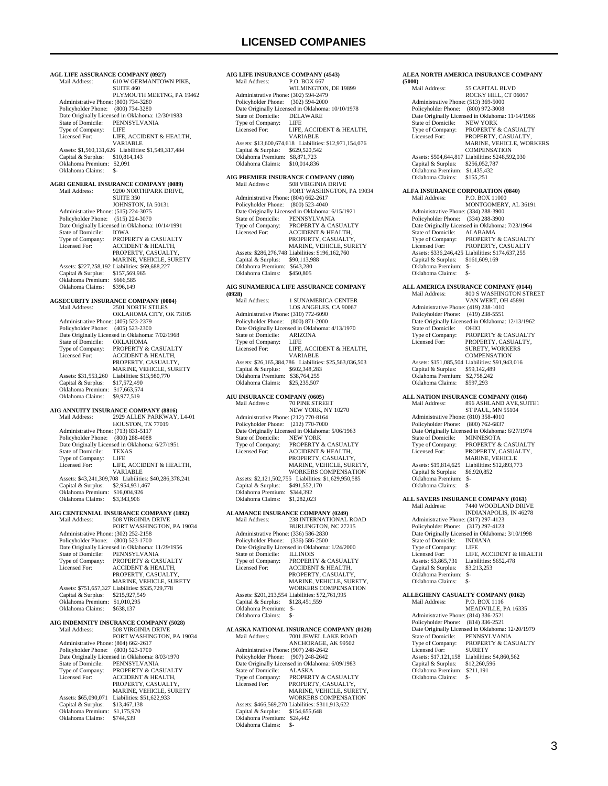**AGL LIFE ASSURANCE COMPANY (0927)**<br>Mail Address: 610 W GERMANTOV **EXECUTATION CONDUCTS:** 610 W GERMANTOWN PIKE, SUITE 460 PLYMOUTH MEETNG, PA 19462 Administrative Phone: (800) 734-3280 Policyholder Phone: (800) 734-3280 Date Originally Licensed in Oklahoma: 12/30/1983<br>State of Domicile: PENNSYLVANIA PENNSYLVANIA<br>LIFE Type of Company:<br>Licensed For: LIFE, ACCIDENT & HEALTH, VARIABLE Assets: \$1,560,131,626 Liabilities: \$1,549,317,484 Capital & Surplus: \$10,814,143 Oklahoma Premium: \$2,091 Oklahoma Claims: **AGRI GENERAL INSURANCE COMPANY (0089)** 9200 NORTHPARK DRIVE, **SUITE 350** JOHNSTON, IA 50131 Administrative Phone: (515) 224-3075 Policyholder Phone: (515) 224-3070 Date Originally Licensed in Oklahoma: 10/14/1991 State of Domicile:<br>Type of Company: State of Domicile: IOWA<br>Type of Company: PROPERTY & CASUALTY<br>Licensed For: ACCIDENT & HEALTH. Licensed For: ACCIDENT & HEALTH, PROPERTY, CASUALTY, MARINE, VEHICLE, SURETY Assets: \$227,258,192 Liabilities: \$69,688,227 Capital & Surplus: \$157,569,965 Oklahoma Premium: \$666,585 Oklahoma Claims: \$396,149 **AGSECURITY INSURANCE COMPANY (0004)** Mail Address: 2501 NORTH STILES OKLAHOMA CITY, OK 73105 Administrative Phone: (405) 523-2379 Policyholder Phone: (405) 523-2300 Date Originally Licensed in Oklahoma: 7/02/1968<br>State of Domicile: OKLAHOMA State of Domicile:<br>Type of Company: Type of Company: PROPERTY & CASUALTY<br>Licensed For: ACCIDENT & HEALTH. ACCIDENT & HEALTH. PROPERTY, CASUALTY, MARINE, VEHICLE, SURETY Assets: \$31,553,260 Liabilities: \$13,980,770 Capital & Surplus: \$17,572,490 Oklahoma Premium: \$17,663,574 Oklahoma Claims: \$9,977,519 **AIG ANNUITY INSURANCE COMPANY (8816)** 2929 ALLEN PARKWAY, L4-01 HOUSTON, TX 77019 Administrative Phone: (713) 831-5117 Policyholder Phone: (800) 288-4088 Date Originally Licensed in Oklahoma: 6/27/1951<br>State of Domicile: TEXAS State of Domicile:  $TEXA$ <br>Type of Company:  $IEF$ Type of Company: Licensed For: LIFE, ACCIDENT & HEALTH, VARIABLE Assets: \$43,241,309,708 Liabilities: \$40,286,378,241 Capital & Surplus: \$2,954,931,467 Oklahoma Premium: \$16,004,926 Oklahoma Claims: \$3,343,906 **AIG CENTENNIAL INSURANCE COMPANY (1892)** Mail Address: 508 VIRGINIA DRIVE FORT WASHINGTON, PA 19034 Administrative Phone: (302) 252-2158 Policyholder Phone: (800) 523-1700 Date Originally Licensed in Oklahoma: 11/29/1956 State of Domicile: PENNSYLVANIA Type of Company: PROPERTY & CASUALTY<br>Licensed For: ACCIDENT & HEALTH, Licensed For: ACCIDENT & HEALTH, PROPERTY, CASUALTY, MARINE, VEHICLE, SURETY Assets: \$751,657,327 Liabilities: \$535,729,778 Capital & Surplus: \$215,927,549 Oklahoma Premium: \$1,010,295<br>Oklahoma Claims: \$638,137 Oklahoma Claims: **AIG INDEMNITY INSURANCE COMPANY (5028)** Mail Address: 508 VIRGINIA DRIVE FORT WASHINGTON, PA 19034 Administrative Phone: (804) 662-2617 Policyholder Phone: (800) 523-1700 Date Originally Licensed in Oklahoma: 8/03/1970<br>State of Domicile: PENNSYLVANIA State of Domicile: PENNSYLVANIA<br>Type of Company: PROPERTY & CAS Type of Company: PROPERTY & CASUALTY<br>Licensed For: ACCIDENT & HEALTH, ACCIDENT & HEALTH, PROPERTY, CASUALTY, MARINE, VEHICLE, SURETY<br>Assets: \$65,090,071 Liabilities: \$51,622,933 Capital & Surplus: \$13,467,138 Oklahoma Premium: \$1,175,970<br>Oklahoma Claims: \$744,539 Oklahoma Claims:

**AIG LIFE INSURANCE COMPANY (4543)**<br>Mail Address: P.O. BOX 667 P.O. BOX 667 WILMINGTON, DE 19899 Administrative Phone: (302) 594-2479 Policyholder Phone: (302) 594-2000 Date Originally Licensed in Oklahoma: 10/10/1978 State of Domicile: DELA<br>Type of Company: LIFE Type of Company:<br>Licensed For LIFE, ACCIDENT & HEALTH VARIABLE Assets: \$13,600,674,618 Liabilities: \$12,971,154,076 Capital & Surplus: \$629,520,542 Oklahoma Premium: \$8,871,723 Oklahoma Claims: **AIG PREMIER INSURANCE COMPANY (1890) 508 VIRGINIA DRIVE**  FORT WASHINGTON, PA 19034 Administrative Phone: (804) 662-2617<br>Policyholder Phone: (800) 523-4040 Policyholder Phone: Date Originally Licensed in Oklahoma: 6/15/1921 State of Domicile: PENNSYLVANIA Type of Company: PROPERTY & CASUALTY<br>Licensed For: ACCIDENT & HEALTH. ACCIDENT & HEALTH, PROPERTY, CASUALTY MARINE, VEHICLE, SURETY Assets: \$286,276,748 Liabilities: \$196,162,760 Capital & Surplus: \$90,113,988 Oklahoma Premium: \$643,280<br>Oklahoma Claims: \$450,805 Oklahoma Claims: **AIG SUNAMERICA LIFE ASSURANCE COMPANY (0928)** 1 SUNAMERICA CENTER LOS ANGELES, CA 90067 Administrative Phone: (310) 772-6090 Policyholder Phone: (800) 871-2000 Date Originally Licensed in Oklahoma: 4/13/1970<br>State of Domicile: ARIZONA State of Domicile: ARIZON<br>Type of Company: LIFE Type of Company:<br>Licensed For: LIFE, ACCIDENT & HEALTH, VARIABLE Assets: \$26,165,384,786 Liabilities: \$25,563,036,503<br>Capital & Surplus: \$602,348,283 Capital & Surplus: Oklahoma Premium: \$38,764,255<br>Oklahoma Claims: \$25,235,507 Oklahoma Claims: **AIU INSURANCE COMPANY (0605)** Mail Address: 70 PINE STREET NEW YORK, NY 10270 Administrative Phone: (212) 770-8164 Policyholder Phone: (212) 770-7000 Date Originally Licensed in Oklahoma: 5/06/1963<br>State of Domicile: NEW YORK State of Domicile:<br>Type of Company: Type of Company: PROPERTY & CASUALTY<br>Licensed For: ACCIDENT & HEALTH, PROPERTY, CASUALTY, MARINE, VEHICLE, SURETY, WORKERS COMPENSATION Assets: \$2,121,502,755 Liabilities: \$1,629,950,585 Capital & Surplus: \$491,552,170 Oklahoma Premium: \$344,392 Oklahoma Claims: \$1,282,023 **ALAMANCE INSURANCE COMPANY (0249)** Mail Address: 238 INTERNATIONAL ROAD BURLINGTON, NC 27215 Administrative Phone: (336) 586-2830 Policyholder Phone: (336) 586-2500 Date Originally Licensed in Oklahoma: 1/24/2000<br>State of Domicile: ILLINOIS State of Domicile:<br>Type of Company: Type of Company: PROPERTY & CASUALTY<br>Licensed For: ACCIDENT & HEALTH, Licensed For: ACCIDENT & HEALTH, PROPERTY, CASUALTY, MARINE, VEHICLE, SURETY, WORKERS COMPENSATION Assets: \$201,213,554 Liabilities: \$72,761,995 Capital & Surplus: \$128,451,559 Oklahoma Premium: \$- Oklahoma Claims: \$-**ALASKA NATIONAL INSURANCE COMPANY (0120)** 7001 JEWEL LAKE ROAD ANCHORAGE, AK 99502 Administrative Phone: (907) 248-2642 Policyholder Phone: (907) 248-2642 Date Originally Licensed in Oklahoma: 6/09/1983 State of Domicile:<br>Type of Company: Exter of Domicile: ALASKA<br>Type of Company: PROPERTY & CASUALTY<br>Licensed For: PROPERTY. CASUALTY. PROPERTY, CASUALTY, MARINE, VEHICLE, SURETY WORKERS COMPENSATION Assets: \$466,569,270 Liabilities: \$311,913,622 Capital & Surplus: \$154,655,648 Oklahoma Premium: \$24,442

Oklahoma Claims: \$-

#### **ALEA NORTH AMERICA INSURANCE COMPANY (5000)** 55 CAPITAL BLVD ROCKY HILL, CT 06067 Administrative Phone: (513) 369-5000 Policyholder Phone: (800) 972-3008 Date Originally Licensed in Oklahoma: 11/14/1966<br>State of Domicile: NEW YORK State of Domicile:<br>Type of Company: Type of Company: PROPERTY & CASUALTY<br>Licensed For: PROPERTY, CASUALTY. PROPERTY, CASUALTY, MARINE, VEHICLE, WORKERS COMPENSATION Assets: \$504,644,817 Liabilities: \$248,592,030 Capital & Surplus: \$256,052,787 Oklahoma Premium: \$1,435,432 Oklahoma Claims: \$155,251 **ALFA INSURANCE CORPORATION (0840)**<br>Mail Address: P.O. BOX 11000 Mail Address: P.O. BOX 11000 MONTGOMERY, AL 36191 Administrative Phone: (334) 288-3900 Policyholder Phone: (334) 288-3900 Date Originally Licensed in Oklahoma: 7/23/1964<br>State of Domicile: ALABAMA State of Domicile:<br>Type of Company: PROPERTY & CASUALTY Licensed For: PROPERTY, CASUALTY Assets: \$336,246,425 Liabilities: \$174,637,255 Capital & Surplus: \$161,609,169 Oklahoma Premium: \$- Oklahoma Claims: **ALL AMERICA INSURANCE COMPANY (0144)** Mail Address: 800 S WASHINGTON STREET VAN WERT, OH 45891 Administrative Phone: (419) 238-1010 Policyholder Phone: (419) 238-5551 Date Originally Licensed in Oklahoma: 12/13/1962<br>State of Domicile: OHIO State of Domicile:<br>Type of Company: Type of Company: PROPERTY & CASUALTY<br>Licensed For: PROPERTY, CASUALTY. PROPERTY, CASUALTY, SURETY, WORKERS COMPENSATION Assets: \$151,085,504 Liabilities: \$91,943,016<br>Capital & Surplus: \$59,142,489 Capital & Surplus: Oklahoma Premium: \$2,758,242<br>Oklahoma Claims: \$597,293 Oklahoma Claims: **ALL NATION INSURANCE COMPANY (0164)**<br>Mail Address: 896 ASHLAND AVE,SU Mail Address: 896 ASHLAND AVE,SUITE1 ST PAUL, MN 55104 Administrative Phone: (810) 358-4010 Policyholder Phone: (800) 762-6837 Date Originally Licensed in Oklahoma: 6/27/1974<br>State of Domicile: MINNESOTA State of Domicile:<br>Type of Company: Type of Company: PROPERTY & CASUALTY<br>Licensed For: PROPERTY, CASUALTY. PROPERTY, CASUALTY, MARINE, VEHICLE Assets: \$19,814,625 Liabilities: \$12,893,773<br>Capital & Surplus: \$6,920,852 Capital & Surplus: Oklahoma Premium: \$- Oklahoma Claims: **ALL SAVERS INSURANCE COMPANY (0161)**<br>Mail Address: 7440 WOODLAND DRIV 7440 WOODLAND DRIVE INDIANAPOLIS, IN 46278 Administrative Phone: (317) 297-4123 Policyholder Phone: (317) 297-4123 Date Originally Licensed in Oklahoma: 3/10/1998 State of Domicile: INDIANA Type of Company: LIFE<br>Licensed For: LIFE Licensed For: LIFE, ACCIDENT & HEALTH<br>Assets: \$3,865,731 Liabilities: \$652,478 Liabilities: \$652,478<br>\$3,213,253 Capital & Surplus: Oklahoma Premium: \$- Oklahoma Claims:

**ALLEGHENY CASUALTY COMPANY (0162)**<br>Mail Address: P.O. BOX 1116 P.O. BOX 1116 MEADVILLE, PA 16335 Administrative Phone: (814) 336-2521 Policyholder Phone: (814) 336-2521 Pate Originally Licensed in Oklahoma: 12/20/1979<br>State of Domicile: PENNSYLVANIA State of Domicile:<br>Type of Company: PROPERTY & CASUALTY Licensed For: SURETY Assets: \$17,121,158 Liabilities: \$4,860,562 Capital & Surplus: \$12,260,596 Oklahoma Premium: \$211,191 Oklahoma Claims: \$-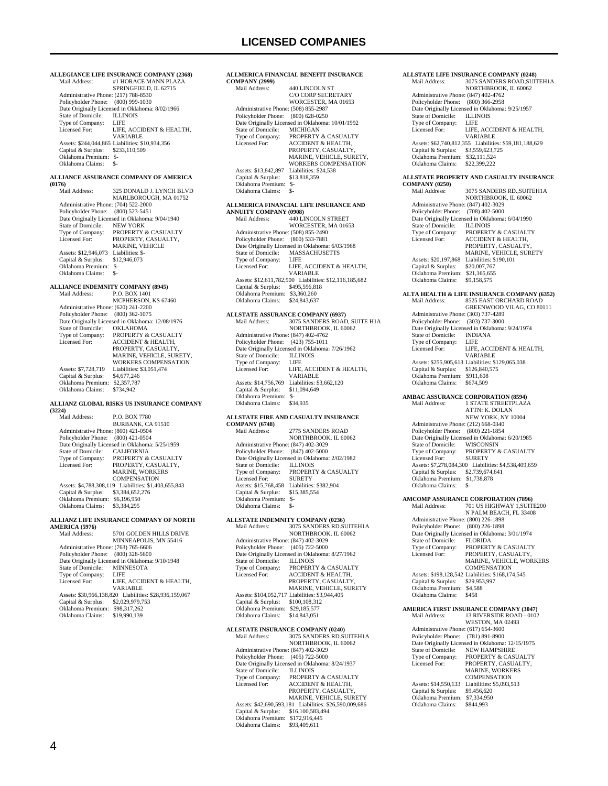**ALLEGIANCE LIFE INSURANCE COMPANY (2368)**<br>Mail Address: #1 HORACE MANN PLAZA #1 HORACE MANN PLAZA SPRINGFIELD, IL 62715 Administrative Phone: (217) 788-8530 Policyholder Phone: (800) 999-1030 Date Originally Licensed in Oklahoma: 8/02/1966<br>State of Domicile: ILLINOIS State of Domicile: ILLIN<br>Type of Company: LIFE Type of Company:<br>Licensed For: LIFE, ACCIDENT & HEALTH, VARIABLE Assets: \$244,044,865 Liabilities: \$10,934,356 Capital & Surplus: \$233,110,509 Oklahoma Premium: \$- Oklahoma Claims: \$-**ALLIANCE ASSURANCE COMPANY OF AMERICA (0176)** 325 DONALD J. LYNCH BLVD MARLBOROUGH, MA 01752 Administrative Phone: (704) 522-2000 Policyholder Phone: (800) 523-5451 Poneyholder Phone: (600) 225-5451<br>Date Originally Licensed in Oklahoma: 9/04/1940<br>State of Domicile: NEW YORK State of Domicile:<br>Type of Company: Type of Company: PROPERTY & CASUALTY<br>Licensed For: PROPERTY, CASUALTY. PROPERTY, CASUALTY, MARINE, VEHICLE Assets: \$12,946,073 Liabilities: \$-<br>Capital & Surplus: \$12,946,073 Capital & Surplus: \$12,946,073 Oklahoma Premium: \$- Oklahoma Claims: \$- **ALLIANCE INDEMNITY COMPANY (8945)** Mail Address: P.O. BOX 1401 MCPHERSON, KS 67460 Administrative Phone: (620) 241-2200 Policyholder Phone: (800) 362-1075 Date Originally Licensed in Oklahoma: 12/08/1976<br>State of Domicile: OKLAHOMA State of Domicile:<br>Type of Company: Type of Company: PROPERTY & CASUALTY<br>Licensed For: ACCIDENT & HEALTH ACCIDENT & HEALTH. PROPERTY, CASUALTY MARINE, VEHICLE, SURETY WORKERS COMPENSATION Assets: \$7,728,719 Liabilities: \$3,051,474<br>Capital & Surplus: \$4,677,246 Capital & Surplus: \$4,677,246 Oklahoma Premium: \$2,357,787 Oklahoma Claims: \$734,942 **ALLIANZ GLOBAL RISKS US INSURANCE COMPANY (3224)** Mail Address: P.O. BOX 7780 BURBANK, CA 91510 Administrative Phone: (800) 421-0504 Policyholder Phone: (800) 421-0504 Date Originally Licensed in Oklahoma: 5/25/1959<br>State of Domicile: CALIFORNIA State of Domicile:<br>Type of Company: PROPERTY & CASUALTY Licensed For: PROPERTY, CASUALTY, MARINE, WORKERS COMPENSATION Assets: \$4,788,308,119 Liabilities: \$1,403,655,843 Capital & Surplus: \$3,384,652,276 Oklahoma Premium: \$6,196,950 Oklahoma Claims: \$3,384,295 **ALLIANZ LIFE INSURANCE COMPANY OF NORTH**  AMERICA (5976)<br>Mail Address: 5701 GOLDEN HILLS DRIVE MINNEAPOLIS, MN 55416 Administrative Phone: (763) 765-6606 Policyholder Phone: (800) 328-5600 Date Originally Licensed in Oklahoma: 9/10/1948<br>State of Domicile: MINNESOTA State of Domicile: Type of Company: LIFE LIFE, ACCIDENT & HEALTH, VARIABLE Assets: \$30,966,138,820 Liabilities: \$28,936,159,067<br>Capital & Surplus: \$2,029,979,753 Capital & Surplus: Oklahoma Premium: \$98,317,262<br>Oklahoma Claims: \$19,990,139 Oklahoma Claims:

#### **ALLMERICA FINANCIAL BENEFIT INSURANCE COMPANY (2999)** 440 LINCOLN ST C/O CORP SECRETARY WORCESTER, MA 01653 Administrative Phone: (508) 855-2987 Policyholder Phone: (800) 628-0250 Date Originally Licensed in Oklahoma: 10/01/1992<br>State of Domicile: MICHIGAN State of Domicile:<br>Type of Company: Type of Company: PROPERTY & CASUALTY<br>
Licensed For: ACCIDENT & HEALTH Licensed For: ACCIDENT & HEALTH, PROPERTY, CASUALTY, MARINE, VEHICLE, SURETY, WORKERS COMPENSATION<br>Liabilities: \$24,538 Assets:  $$13,842,897$  Liabilities:  $$$ <br>Capital & Surplus:  $$13,818,359$  Capital & Surplus: \$13,818,359 Oklahoma Premium: \$- Oklahoma Claims: **ALLMERICA FINANCIAL LIFE INSURANCE AND ANNUITY COMPANY (0908)** Mail Address: 440 LINCOLN STREET WORCESTER, MA 01653 Administrative Phone: (508) 855-2490 Policyholder Phone: (800) 533-7881 Date Originally Licensed in Oklahoma: 6/03/1968 State of Domicile: MASSACHUSETTS Type of Company: LIFE<br>Licensed For: LIFE, LIFE, ACCIDENT & HEALTH VARIABLE Assets: \$12,611,782,500 Liabilities: \$12,116,185,682 Capital & Surplus: \$495,596,818 Oklahoma Premium: \$3,360,260 Oklahoma Claims: \$24,843,637 **ALLSTATE ASSURANCE COMPANY (6937)**<br>Mail Address: 3075 SANDERS ROAD Mail Address: 3075 SANDERS ROAD, SUITE H1A NORTHBROOK, IL 60062 Administrative Phone: (847) 402-4762 Policyholder Phone: (423) 755-1011 For the Originally Licensed in Oklahoma: 7/26/1962<br>State of Domicile: II J INOIS State of Domicile: Type of Company: LIFE<br>Licensed For: LIFE. LIFE, ACCIDENT & HEALTH, VARIABLE Assets: \$14,756,769 Liabilities: \$3,662,120<br>Capital & Surplus: \$11,094,649 Capital & Surplus: Oklahoma Premium: \$- Oklahoma Claims: **ALLSTATE FIRE AND CASUALTY INSURANCE COMPANY (6748)**<br>Mail Address: 2775 SANDERS ROAD NORTHBROOK, IL 60062 Administrative Phone: (847) 402-3029 Policyholder Phone: (847) 402-5000 Date Originally Licensed in Oklahoma: 2/02/1982 State of Domicile: ILLINOIS<br>Type of Company: PROPERT PROPERTY & CASUALTY Licensed For: SURETY Assets: \$15,768,458 Liabilities: \$382,904 Capital & Surplus: \$15,385,554 Oklahoma Premium: \$- Oklahoma Claims: \$- **ALLSTATE INDEMNITY COMPANY (0236)**<br>Mail Address: 3075 SANDERS RD.SU Mail Address: 3075 SANDERS RD.SUITEH1A NORTHBROOK, IL 60062 Administrative Phone: (847) 402-3029 Policyholder Phone: (405) 722-5000 Date Originally Licensed in Oklahoma: 8/27/1962<br>State of Domicile: ILLINOIS State of Domicile:<br>Type of Company: Type of Company: PROPERTY & CASUALTY Licensed For: ACCIDENT & HEALTH, PROPERTY, CASUALTY, MARINE, VEHICLE, SURETY<br>Assets: \$104,052,717 Liabilities: \$3,944,405 Capital & Surplus: \$100,108,312 Oklahoma Premium: \$29,185,577 Oklahoma Claims: \$14,843,051 **ALLSTATE INSURANCE COMPANY (0240)**<br>Mail Address: 3075 SANDERS RD.SU 3075 SANDERS RD.SUITEH1A NORTHBROOK, IL 60062 Administrative Phone: (847) 402-3029

 Policyholder Phone: (405) 722-5000 Date Originally Licensed in Oklahoma: 8/24/1937 State of Domicile:<br>Type of Company: Exact of Domicile: ILLINOIS<br>Type of Company: PROPERTY & CASUALTY<br>Licensed For: ACCIDENT & HEALTH. ACCIDENT & HEALTH, PROPERTY, CASUALTY, MARINE, VEHICLE, SURETY Assets: \$42,690,593,181 Liabilities: \$26,590,009,686 Capital & Surplus: \$16,100,583,494 Oklahoma Premium: \$172,916,445 Oklahoma Claims: \$93,409,611

#### **ALLSTATE LIFE INSURANCE COMPANY (0248)** 3075 SANDERS ROAD, SUITEH1A NORTHBROOK, IL 60062 Administrative Phone: (847) 402-4762 Policyholder Phone: (800) 366-2958 Date Originally Licensed in Oklahoma: 9/25/1957<br>State of Domicile: ILLINOIS State of Domicile: ILLIN<br>Type of Company: LIFE Type of Company:<br>Licensed For: LIFE, ACCIDENT & HEALTH, VARIABLE Assets: \$62,740,812,355 Liabilities: \$59,181,188,629<br>Capital & Surplus: \$3,559,623,725  $\frac{1}{3}$ Capital & Surplus: Oklahoma Premium: \$32,111,524<br>Oklahoma Claims: \$22,399,222 Oklahoma Claims: \$22,399,222 **ALLSTATE PROPERTY AND CASUALTY INSURANCE COMPANY (0250)** 3075 SANDERS RD., SUITEH1A NORTHBROOK, IL 60062 Administrative Phone: (847) 402-3029 Policyholder Phone: (708) 402-5000 Date Originally Licensed in Oklahoma: 6/04/1990 State of Domicile: ILLINOIS<br>Type of Company: PROPERT Type of Company: PROPERTY & CASUALTY<br>Licensed For: ACCIDENT & HEALTH, ACCIDENT & HEALTH, PROPERTY, CASUALTY, MARINE, VEHICLE, SURETY Assets: \$20,197,868 Liabilities: \$190,101 Capital & Surplus: \$20,007,767 Oklahoma Premium: \$21,165,655 Oklahoma Claims: \$9,158,575 **ALTA HEALTH & LIFE INSURANCE COMPANY (6352)** Mail Address: 8525 EAST ORCHARD ROAD GREENWOOD VILAG, CO 80111 Administrative Phone: (303) 737-4289 Policyholder Phone: (303) 737-3000 Date Originally Licensed in Oklahoma: 9/24/1974<br>State of Domicile: INDIANA State of Domicile: INDI<br>Type of Company: LIFE Type of Company:<br>Licensed For: LIFE, ACCIDENT & HEALTH, VARIABLE Assets: \$255,905,613 Liabilities: \$129,065,038<br>Capital & Surplus: \$126,840,575 Capital & Surplus: Oklahoma Premium: \$911,608<br>Oklahoma Claims: \$674,509 Oklahoma Claims: **AMBAC ASSURANCE CORPORATION (8594)**<br>Mail Address: 1 STATE STREETPLAZ 1 STATE STREETPLAZA ATTN: K. DOLAN NEW YORK, NY 10004 Administrative Phone: (212) 668-0340 Policyholder Phone: (800) 221-1854 Date Originally Licensed in Oklahoma: 6/20/1985<br>State of Domicile: WISCONSIN State of Domicile:<br>Type of Company: PROPERTY & CASUALTY<br>SURETY Licensed For: Assets: \$7,278,084,300 Liabilities: \$4,538,409,659 Capital & Surplus: \$2,739,674,641 Oklahoma Premium: \$1,738,878 Oklahoma Claims: **AMCOMP ASSURANCE CORPORATION (7896)**<br>Mail Address: 701 US HIGHWAY 1,SUIT 701 US HIGHWAY 1,SUITE200 N PALM BEACH, FL 33408 Administrative Phone: (800) 226-1898 Policyholder Phone: (800) 226-1898 Date Originally Licensed in Oklahoma: 3/01/1974 State of Domicile: FLORIDA Type of Company: PROPERTY & CASUALTY<br>
Licensed For: PROPERTY. CASUALTY. PROPERTY, CASUALTY, MARINE, VEHICLE, WORKERS **COMPENSATION**  Assets: \$198,128,542 Liabilities: \$168,174,545 Capital & Surplus: \$29,953,997 Oklahoma Premium: \$4,588 Oklahoma Claims: \$458 **AMERICA FIRST INSURANCE COMPANY (3047)**<br>Mail Address: 13 RIVERSIDE ROAD - 0102 13 RIVERSIDE ROAD - 0102 WESTON, MA 02493 Administrative Phone: (617) 654-3600 Policyholder Phone: (781) 891-8900 Date Originally Licensed in Oklahoma: 12/15/1975<br>State of Domicile: NEW HAMPSHIRE State of Domicile: NEW HAMPSHIRE<br>Type of Company: PROPERTY & CASUALTY<br>Licensed For: PROPERTY, CASUALTY, MARINE, WORKERS **COMPENSATION**  Assets: \$14,550,133 Liabilities: \$5,093,513 Capital & Surplus: \$9,456,620 Oklahoma Premium: \$7,334,950

Oklahoma Claims: \$844,993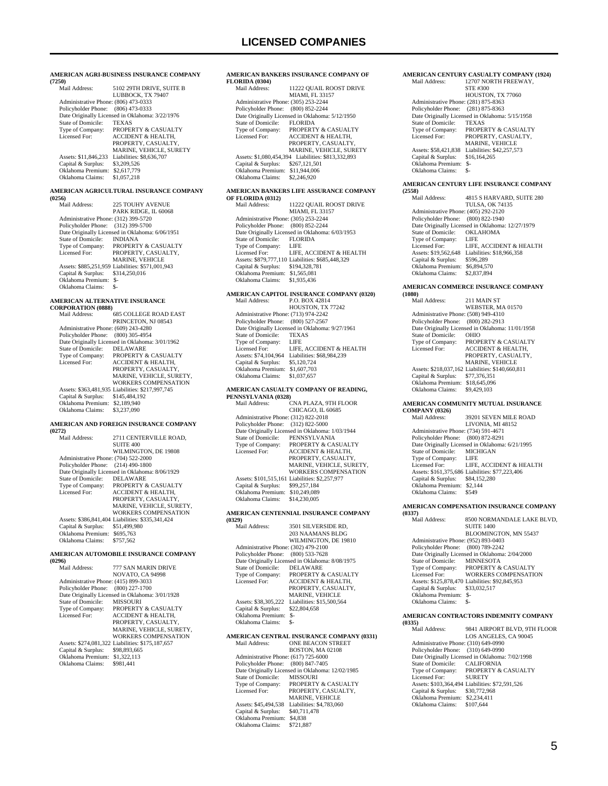**AMERICAN AGRI-BUSINESS INSURANCE COMPANY (7250)** 5102 29TH DRIVE, SUITE B LUBBOCK, TX 79407 Administrative Phone: (806) 473-0333 Policyholder Phone: (806) 473-0333 Date Originally Licensed in Oklahoma: 3/22/1976<br>State of Domicile: TEXAS State of Domicile:<br>Type of Company: Type of Company: PROPERTY & CASUALTY<br>Licensed For: ACCIDENT & HEALTH, ACCIDENT & HEALTH, PROPERTY, CASUALTY MARINE, VEHICLE, SURETY Assets: \$11,846,233 Liabilities: \$8,636,707<br>Capital & Surplus: \$3,209,526 Capital & Surplus: \$3,209,526 Oklahoma Premium: \$2,617,779 Oklahoma Claims: \$1,057,218 **AMERICAN AGRICULTURAL INSURANCE COMPANY (0256)** 225 TOUHY AVENUE PARK RIDGE, IL 60068 Administrative Phone: (312) 399-5720 Policyholder Phone: (312) 399-5700 Date Originally Licensed in Oklahoma: 6/06/1951<br>State of Domicile: INDIANA State of Domicile:<br>Type of Company: Type of Company: PROPERTY & CASUALTY Licensed For: PROPERTY, CASUALTY, MARINE, VEHICLE Assets: \$885,251,959 Liabilities: \$571,001,943 Capital & Surplus: \$314,250,016 Oklahoma Premium: \$- Oklahoma Claims: \$- **AMERICAN ALTERNATIVE INSURANCE CORPORATION (0888)** 685 COLLEGE ROAD EAST PRINCETON, NJ 08543 Administrative Phone: (609) 243-4280 Policyholder Phone: (800) 305-4954 Date Originally Licensed in Oklahoma: 3/01/1962 State of Domicile:<br>Type of Company: PROPERTY & CASUALTY Licensed For: ACCIDENT & HEALTH, PROPERTY, CASUALTY MARINE, VEHICLE, SURETY WORKERS COMPENSATION Assets: \$363,481,935 Liabilities: \$217,997,745 Capital & Surplus: \$145,484,192 Oklahoma Premium: \$2,189,940 Oklahoma Claims: \$3,237,090 **AMERICAN AND FOREIGN INSURANCE COMPANY (0272)** 2711 CENTERVILLE ROAD, SUITE 400 WILMINGTON, DE 19808 Administrative Phone: (704) 522-2000 Policyholder Phone: (214) 490-1800 Date Originally Licensed in Oklahoma: 8/06/1929<br>State of Domicile: DELAWARE State of Domicile:<br>Type of Company: Type of Company: PROPERTY & CASUALTY<br>Licensed For: ACCIDENT & HEALTH, ACCIDENT & HEALTH, PROPERTY, CASUALTY, MARINE, VEHICLE, SURETY, WORKERS COMPENSATION Assets: \$386,841,404 Liabilities: \$335,341,424 Capital & Surplus: \$51,499,980 Oklahoma Premium: \$695,763<br>Oklahoma Claims: \$757,562 Oklahoma Claims: **AMERICAN AUTOMOBILE INSURANCE COMPANY (0296)** 777 SAN MARIN DRIVE NOVATO, CA 94998 Administrative Phone: (415) 899-3033 Policyholder Phone: (800) 227-1700 Patte Originally Licensed in Oklahoma: 3/01/1928<br>State of Domicile: MISSOURI State of Domicile:<br>Type of Company: Type of Company: PROPERTY & CASUALTY<br>Licensed For: ACCIDENT & HEALTH, ACCIDENT & HEALTH, PROPERTY, CASUALTY MARINE, VEHICLE, SURETY, WORKERS COMPENSATION Assets: \$274,081,322 Liabilities: \$175,187,657<br>Capital & Surplus: \$98,893,665 Capital & Surplus: Oklahoma Premium: \$1,322,113 Oklahoma Claims:

#### **AMERICAN BANKERS INSURANCE COMPANY OF**  FLORIDA (0304)<br>Mail Address: 11222 QUAIL ROOST DRIVE MIAMI, FL 33157 Administrative Phone: (305) 253-2244 Policyholder Phone: (800) 852-2244

| Date Originally Licensed in Oklahoma: 5/12/1950 |                                                    |
|-------------------------------------------------|----------------------------------------------------|
| State of Domicile:                              | <b>FLORIDA</b>                                     |
| Type of Company:                                | PROPERTY & CASUALTY                                |
| Licensed For:                                   | <b>ACCIDENT &amp; HEALTH.</b>                      |
|                                                 | PROPERTY, CASUALTY,                                |
|                                                 | MARINE, VEHICLE, SURETY                            |
|                                                 | Assets: \$1,080,454,394 Liabilities: \$813,332,893 |
| Capital & Surplus:                              | \$267,121,501                                      |
| Oklahoma Premium:                               | \$11,944,006                                       |
| Oklahoma Claims:                                | \$2,246,920                                        |

### **AMERICAN BANKERS LIFE ASSURANCE COMPANY**

| OF FLORIDA (0312)                    |                                                  |
|--------------------------------------|--------------------------------------------------|
| Mail Address:                        | 11222 QUAIL ROOST DRIVE                          |
|                                      | MIAMI, FL 33157                                  |
| Administrative Phone: (305) 253-2244 |                                                  |
| Policyholder Phone: (800) 852-2244   |                                                  |
|                                      | Date Originally Licensed in Oklahoma: 6/03/1953  |
| State of Domicile:                   | <b>FLORIDA</b>                                   |
| Type of Company:                     | LIFE                                             |
| Licensed For:                        | LIFE. ACCIDENT & HEALTH                          |
|                                      | Assets: \$879,777,110 Liabilities: \$685,448,329 |
| Capital & Surplus:                   | \$194,328,781                                    |
| Oklahoma Premium:                    | \$1,565,081                                      |
| Oklahoma Claims:                     | \$1,935,436                                      |
|                                      |                                                  |

### **AMERICAN CAPITOL INSURANCE COMPANY (0320)**

| Mail Address:                        | P.O. BOX 42814                                  |
|--------------------------------------|-------------------------------------------------|
|                                      | HOUSTON, TX 77242                               |
| Administrative Phone: (713) 974-2242 |                                                 |
| Policyholder Phone: (800) 527-2567   |                                                 |
|                                      | Date Originally Licensed in Oklahoma: 9/27/1961 |
| State of Domicile:                   | <b>TEXAS</b>                                    |
| Type of Company:                     | LIFE                                            |
| Licensed For:                        | LIFE. ACCIDENT & HEALTH                         |
| Assets: \$74,104,964                 | Liabilities: \$68,984,239                       |
| Capital & Surplus:                   | \$5,120,724                                     |
| Oklahoma Premium:                    | \$1,607,703                                     |
| Oklahoma Claims:                     | \$1,037,657                                     |
|                                      |                                                 |

### **AMERICAN CASUALTY COMPANY OF READING, PENNSYLVANIA (0328)**

| Mail Address:                        | CNA PLAZA. 9TH FLOOR                            |
|--------------------------------------|-------------------------------------------------|
|                                      | CHICAGO, IL 60685                               |
| Administrative Phone: (312) 822-2018 |                                                 |
| Policyholder Phone: (312) 822-5000   |                                                 |
|                                      | Date Originally Licensed in Oklahoma: 1/03/1944 |
| State of Domicile:                   | PENNSYLVANIA                                    |
| Type of Company:                     | PROPERTY & CASUALTY                             |
| Licensed For:                        | <b>ACCIDENT &amp; HEALTH.</b>                   |
|                                      | PROPERTY, CASUALTY,                             |
|                                      | MARINE, VEHICLE, SURETY,                        |
|                                      | <b>WORKERS COMPENSATION</b>                     |
|                                      | Assets: \$101.515.161 Liabilities: \$2.257.977  |
| Capital & Surplus:                   | \$99,257,184                                    |
| Oklahoma Premium:                    | \$10,249,089                                    |
| Oklahoma Claims:                     | \$14,230,005                                    |
|                                      |                                                 |

#### **AMERICAN CENTENNIAL INSURANCE COMPANY (0329)**

| (U329)                               |                                                 |
|--------------------------------------|-------------------------------------------------|
| Mail Address:                        | 3501 SILVERSIDE RD.                             |
|                                      | 203 NAAMANS BLDG                                |
|                                      | WILMINGTON, DE 19810                            |
| Administrative Phone: (302) 479-2100 |                                                 |
| Policyholder Phone:                  | $(800)$ 533-7628                                |
|                                      | Date Originally Licensed in Oklahoma: 8/08/1975 |
| State of Domicile:                   | <b>DELAWARE</b>                                 |
| Type of Company:                     | PROPERTY & CASUALTY                             |
| Licensed For:                        | <b>ACCIDENT &amp; HEALTH,</b>                   |
|                                      | PROPERTY, CASUALTY,                             |
|                                      | <b>MARINE, VEHICLE</b>                          |
| Assets: \$38,305,222                 | Liabilities: \$15,500,564                       |
| Capital & Surplus:                   | \$22,804,658                                    |
| Oklahoma Premium:                    | \$-                                             |
| Oklahoma Claims:                     | \$-                                             |

#### **AMERICAN CENTRAL INSURANCE COMPANY (0331)** ONE BEACON STREET BOSTON, MA 02108 Administrative Phone: (617) 725-6000 Policyholder Phone: (800) 847-7405 Date Originally Licensed in Oklahoma: 12/02/1985<br>State of Domicile: MISSOURI State of Domicile:<br>Type of Company: Type of Company: PROPERTY & CASUALTY<br>Licensed For: PROPERTY, CASUALTY PROPERTY, CASUALTY, MARINE, VEHICLE Assets: \$45,494,538 Liabilities: \$4,783,060 Capital & Surplus: \$40,711,478 Oklahoma Premium: \$4,838 Oklahoma Claims: \$721,887

#### **AMERICAN CENTURY CASUALTY COMPANY (1924)**<br>Mail Address: 19707 NORTH EDERWAY MANIL ADDRESS: 12707 NORTH FREEWAY

| STE #300                                        |
|-------------------------------------------------|
|                                                 |
| HOUSTON, TX 77060                               |
| Administrative Phone: (281) 875-8363            |
| $(281)$ 875-8363<br>Policyholder Phone:         |
| Date Originally Licensed in Oklahoma: 5/15/1958 |
| <b>TEXAS</b>                                    |
| PROPERTY & CASUALTY                             |
| PROPERTY. CASUALTY.                             |
| <b>MARINE, VEHICLE</b>                          |
| Liabilities: \$42,257,573                       |
| \$16,164,265                                    |
| Oklahoma Premium:<br>\$-                        |
| \$-                                             |
|                                                 |

### **AMERICAN CENTURY LIFE INSURANCE COMPANY**

| (2558)                               |                                                  |
|--------------------------------------|--------------------------------------------------|
| Mail Address:                        | 4815 S HARVARD, SUITE 280                        |
|                                      | <b>TULSA, OK 74135</b>                           |
| Administrative Phone: (405) 292-2120 |                                                  |
| Policyholder Phone:                  | $(800) 822 - 1940$                               |
|                                      | Date Originally Licensed in Oklahoma: 12/27/1979 |
| State of Domicile:                   | <b>OKLAHOMA</b>                                  |
| Type of Company:                     | LIFE                                             |
| Licensed For:                        | LIFE. ACCIDENT & HEALTH                          |
| Assets: \$19,562,648                 | Liabilities: \$18,966,358                        |
| Capital & Surplus:                   | \$596.289                                        |
| Oklahoma Premium:                    | \$6,894,570                                      |
| Oklahoma Claims:                     | \$2,837,894                                      |
|                                      |                                                  |

### **AMERICAN COMMERCE INSURANCE COMPANY**

| (1080)                               |                                                  |
|--------------------------------------|--------------------------------------------------|
| Mail Address:                        | 211 MAIN ST                                      |
|                                      | WEBSTER, MA 01570                                |
| Administrative Phone: (508) 949-4310 |                                                  |
| Policyholder Phone:                  | $(800)$ 282-2913                                 |
|                                      | Date Originally Licensed in Oklahoma: 11/01/1958 |
| State of Domicile:                   | <b>OHIO</b>                                      |
| Type of Company:                     | <b>PROPERTY &amp; CASUALTY</b>                   |
| Licensed For:                        | <b>ACCIDENT &amp; HEALTH.</b>                    |
|                                      | PROPERTY, CASUALTY,                              |
|                                      | <b>MARINE, VEHICLE</b>                           |
|                                      | Assets: \$218,037,162 Liabilities: \$140,660,811 |
| Capital & Surplus:                   | \$77,376,351                                     |
| Oklahoma Premium:                    | \$18,645,096                                     |
| Oklahoma Claims:                     | \$9,429,103                                      |

### **AMERICAN COMMUNITY MUTUAL INSURANCE**

| <b>COMPANY (0326)</b> |                                                 |
|-----------------------|-------------------------------------------------|
| Mail Address:         | 39201 SEVEN MILE ROAD                           |
|                       | LIVONIA. MI 48152                               |
|                       | Administrative Phone: (734) 591-4671            |
|                       | Policyholder Phone: (800) 872-8291              |
|                       | Date Originally Licensed in Oklahoma: 6/21/1995 |
| State of Domicile:    | MICHIGAN                                        |
| Type of Company:      | LIFE                                            |
| Licensed For:         | LIFE, ACCIDENT & HEALTH                         |
|                       | Assets: \$161,375,686 Liabilities: \$77,223,406 |
| Capital & Surplus:    | \$84,152,280                                    |
| Oklahoma Premium:     | \$2.144                                         |
| Oklahoma Claims:      | \$549                                           |
|                       |                                                 |

### **AMERICAN COMPENSATION INSURANCE COMPANY**

| (0337)                               |                                                 |
|--------------------------------------|-------------------------------------------------|
| Mail Address:                        | 8500 NORMANDALE LAKE BLVD.                      |
|                                      | <b>SUITE 1400</b>                               |
|                                      | BLOOMINGTON, MN 55437                           |
| Administrative Phone: (952) 893-0403 |                                                 |
| Policyholder Phone: (800) 789-2242   |                                                 |
|                                      | Date Originally Licensed in Oklahoma: 2/04/2000 |
| State of Domicile:                   | <b>MINNESOTA</b>                                |
| Type of Company:                     | <b>PROPERTY &amp; CASUALTY</b>                  |
| Licensed For:                        | <b>WORKERS COMPENSATION</b>                     |
|                                      | Assets: \$125,878,470 Liabilities: \$92,845,953 |
| Capital & Surplus:                   | \$33,032,517                                    |
| Oklahoma Premium:                    | \$-                                             |
| Oklahoma Claims:                     | \$-                                             |
|                                      |                                                 |

#### **AMERICAN CONTRACTORS INDEMNITY COMPANY (0335)**

| Mail Address:                        | 9841 AIRPORT BLVD, 9TH FLOOR                    |
|--------------------------------------|-------------------------------------------------|
|                                      | LOS ANGELES, CA 90045                           |
| Administrative Phone: (310) 649-0990 |                                                 |
| Policyholder Phone: (310) 649-0990   |                                                 |
|                                      | Date Originally Licensed in Oklahoma: 7/02/1998 |
| State of Domicile:                   | <b>CALIFORNIA</b>                               |
| Type of Company:                     | <b>PROPERTY &amp; CASUALTY</b>                  |
| Licensed For:                        | <b>SURETY</b>                                   |
|                                      | Assets: \$103,364,494 Liabilities: \$72,591,526 |
| Capital & Surplus:                   | \$30,772,968                                    |
| Oklahoma Premium:                    | \$2,234,411                                     |
| Oklahoma Claims:                     | \$107.644                                       |
|                                      |                                                 |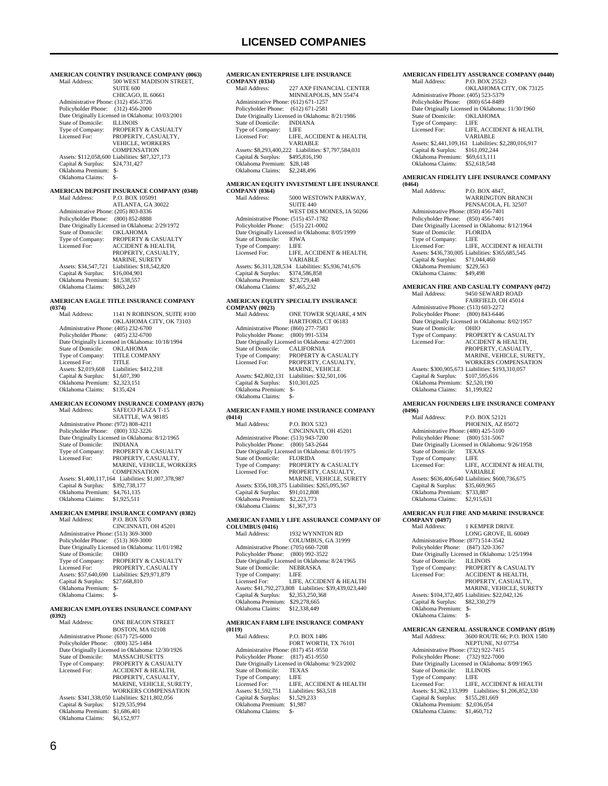**AMERICAN COUNTRY INSURANCE COMPANY (0063)**<br>Mail Address: 500 WEST MADISON STREET. 500 WEST MADISON STREET, SUITE 600 CHICAGO, IL 60661 Administrative Phone: (312) 456-3726 Policyholder Phone: (312) 456-2000 Point Originally Licensed in Oklahoma: 10/03/2001<br>State of Domicile: LLINOIS State of Domicile:<br>Type of Company: Type of Company: PROPERTY & CASUALTY<br>Licensed For: PROPERTY, CASUALTY. PROPERTY, CASUALTY, VEHICLE, WORKERS COMPENSATION Assets: \$112,058,600 Liabilities: \$87,327,173 Capital & Surplus: \$24,731,427 Oklahoma Premium: \$- Oklahoma Claims: \$- **AMERICAN DEPOSIT INSURANCE COMPANY (0348)**<br>Mail Address: P.O. BOX 105091 Mail Address: P.O. BOX 105091 ATLANTA, GA 30022 Administrative Phone: (205) 803-8336 Policyholder Phone: (800) 852-8888 Date Originally Licensed in Oklahoma: 2/29/1972<br>State of Domicile: OKLAHOMA State of Domicile:<br>Type of Company: Type of Company: PROPERTY & CASUALTY<br>Licensed For: ACCIDENT & HEALTH, Licensed For: ACCIDENT & HEALTH, PROPERTY, CASUALTY, MARINE, SURETY Assets: \$34,547,721 Liabilities: \$18,542,820<br>Capital & Surplus: \$16,004,901 Capital & Surplus: Oklahoma Premium: \$1,538,557 Oklahoma Claims: \$863,249 **AMERICAN EAGLE TITLE INSURANCE COMPANY (0374)** 1141 N ROBINSON, SUITE #100 OKLAHOMA CITY, OK 73103 Administrative Phone: (405) 232-6700 Policyholder Phone: (405) 232-6700 Date Originally Licensed in Oklahoma: 10/18/1994<br>State of Domicile: OKLAHOMA State of Domicile: OKLAHOMA<br>Type of Company: TITLE COMPANY Type of Company: Licensed For: TITLE<br>Assets: \$2,019,608 Liabilit Liabilities: \$412,218 Capital & Surplus: \$1,607,390 Oklahoma Premium: \$2,323,151 Oklahoma Claims: \$135,424 **AMERICAN ECONOMY INSURANCE COMPANY (0376)**<br>Mail Address: SAFECO PLAZA T-15 Mail Address: SAFECO PLAZA T-15 SEATTLE, WA 98185 Administrative Phone: (972) 808-4211 Policyholder Phone: (800) 332-3226 Date Originally Licensed in Oklahoma: 8/12/1965<br>State of Domicile: INDIANA State of Domicile:<br>Type of Company: Type of Company: PROPERTY & CASUALTY<br>Licensed For: PROPERTY, CASUALTY, PROPERTY, CASUALTY, MARINE, VEHICLE, WORKERS **COMPENSATION**  Assets: \$1,400,117,164 Liabilities: \$1,007,378,987 Capital & Surplus: \$392,738,177 Oklahoma Premium: \$4,761,135 Oklahoma Claims: \$1,925,511 **AMERICAN EMPIRE INSURANCE COMPANY (0382)** Mail Address: P.O. BOX 5370 CINCINNATI, OH 45201 Administrative Phone: (513) 369-3000 Policyholder Phone: (513) 369-3000 Date Originally Licensed in Oklahoma: 11/01/1982<br>State of Domicile: OHIO State of Domicile:<br>Type of Company: PROPERTY & CASUALTY<br>PROPERTY, CASUALTY Licensed For: PROPERTY, CASUALTY Assets: \$57,640,690 Liabilities: \$29,971,879 Capital & Surplus: \$27,668,810 Oklahoma Premium: \$- Oklahoma Claims: \$- **AMERICAN EMPLOYERS INSURANCE COMPANY (0392)** ONE BEACON STREET

 BOSTON, MA 02108 Administrative Phone: (617) 725-6000 Policyholder Phone: (800) 325-1484 Date Originally Licensed in Oklahoma: 12/30/1926<br>State of Domicile: MASSACHUSETTS State of Domicile: MASSACHUSETTS<br>Type of Company: PROPERTY & CASU Type of Company: PROPERTY & CASUALTY<br>Licensed For: ACCIDENT & HEALTH, ACCIDENT & HEALTH, PROPERTY, CASUALTY, MARINE, VEHICLE, SURETY, WORKERS COMPENSATION Assets: \$341,338,050 Liabilities: \$211,802,056 Capital & Surplus: \$129,535,994 Oklahoma Premium: \$1,686,401 Oklahoma Claims: \$6,152,977

#### **AMERICAN ENTERPRISE LIFE INSURANCE COMPANY (0334)**<br>Mail Address: 227 AXP FINANCIAL CENTER

|                                      | MINNEAPOLIS, MN 55474                                |
|--------------------------------------|------------------------------------------------------|
| Administrative Phone: (612) 671-1257 |                                                      |
| Policyholder Phone: (612) 671-2581   |                                                      |
|                                      | Date Originally Licensed in Oklahoma: 8/21/1986      |
| State of Domicile:                   | <b>INDIANA</b>                                       |
| Type of Company:                     | LIFE                                                 |
| Licensed For:                        | LIFE. ACCIDENT & HEALTH.                             |
|                                      | <b>VARIARLE</b>                                      |
|                                      | Assets: \$8,293,400,222 Liabilities: \$7,797,584,031 |
| Capital & Surplus:                   | \$495,816,190                                        |
| Oklahoma Premium:                    | \$28,148                                             |
| Oklahoma Claims:                     | \$2,248,496                                          |
|                                      |                                                      |

### **AMERICAN EQUITY INVESTMENT LIFE INSURANCE**

| <b>COMPANY (0364)</b>                |                                                      |
|--------------------------------------|------------------------------------------------------|
| Mail Address:                        | 5000 WESTOWN PARKWAY.                                |
|                                      | <b>SUITE 440</b>                                     |
|                                      | WEST DES MOINES, IA 50266                            |
| Administrative Phone: (515) 457-1782 |                                                      |
| Policyholder Phone: (515) 221-0002   |                                                      |
|                                      | Date Originally Licensed in Oklahoma: 8/05/1999      |
| State of Domicile:                   | <b>IOWA</b>                                          |
| Type of Company:                     | LIFE                                                 |
| Licensed For:                        | LIFE, ACCIDENT & HEALTH.                             |
|                                      | <b>VARIABLE</b>                                      |
|                                      | Assets: \$6.311.328.534 Liabilities: \$5.936.741.676 |
| Capital & Surplus:                   | \$374,586,858                                        |
| Oklahoma Premium:                    | \$23,729,448                                         |
| Oklahoma Claims:                     | \$7,465,232                                          |
|                                      |                                                      |

#### **AMERICAN EQUITY SPECIALTY INSURANCE COMPANY (0023)**

| Mail Address:                        | ONE TOWER SQUARE, 4 MN                          |
|--------------------------------------|-------------------------------------------------|
|                                      | HARTFORD, CT 06183                              |
| Administrative Phone: (860) 277-7583 |                                                 |
| Policyholder Phone: (800) 991-5334   |                                                 |
|                                      | Date Originally Licensed in Oklahoma: 4/27/2001 |
| State of Domicile:                   | <b>CALIFORNIA</b>                               |
| Type of Company:                     | <b>PROPERTY &amp; CASUALTY</b>                  |
| Licensed For:                        | PROPERTY, CASUALTY,                             |
|                                      | <b>MARINE, VEHICLE</b>                          |
| Assets: \$42,802,131                 | Liabilities: \$32,501,106                       |
| Capital & Surplus:                   | \$10,301,025                                    |
| Oklahoma Premium:                    | \$-                                             |
| Oklahoma Claims:                     | \$-                                             |
|                                      |                                                 |

### **AMERICAN FAMILY HOME INSURANCE COMPANY**

| (0414)                               |                                                  |
|--------------------------------------|--------------------------------------------------|
| Mail Address:                        | <b>P.O. BOX 5323</b>                             |
|                                      | CINCINNATI, OH 45201                             |
| Administrative Phone: (513) 943-7200 |                                                  |
| Policyholder Phone: (800) 543-2644   |                                                  |
|                                      | Date Originally Licensed in Oklahoma: 8/01/1975  |
| State of Domicile:                   | <b>FLORIDA</b>                                   |
| Type of Company:                     | <b>PROPERTY &amp; CASUALTY</b>                   |
| Licensed For:                        | PROPERTY, CASUALTY,                              |
|                                      | <b>MARINE, VEHICLE, SURETY</b>                   |
|                                      | Assets: \$356,108,375 Liabilities: \$265,095,567 |
| Capital & Surplus:                   | \$91,012,808                                     |
| Oklahoma Premium:                    | \$2,223,773                                      |
| Oklahoma Claims:                     | \$1,367,373                                      |
|                                      |                                                  |

#### **AMERICAN FAMILY LIFE ASSURANCE COMPANY OF COLUMBUS (0416)**

| Mail Address:                        | 1932 WYNNTON RD                                        |
|--------------------------------------|--------------------------------------------------------|
|                                      | COLUMBUS, GA 31999                                     |
| Administrative Phone: (705) 660-7208 |                                                        |
| Policyholder Phone:                  | (800) 992-3522                                         |
|                                      | Date Originally Licensed in Oklahoma: 8/24/1965        |
| State of Domicile:                   | <b>NEBRASKA</b>                                        |
| Type of Company:                     | LIFE                                                   |
| Licensed For:                        | LIFE. ACCIDENT & HEALTH                                |
|                                      | Assets: \$41,792,273,808 Liabilities: \$39,439,023,440 |
| Capital & Surplus:                   | \$2,353,250,368                                        |
| Oklahoma Premium:                    | \$29,278,665                                           |
| Oklahoma Claims:                     | \$12,338,449                                           |
|                                      |                                                        |

### **AMERICAN FARM LIFE INSURANCE COMPANY**

**(0119)** P.O. BOX 1486 FORT WORTH, TX 76101 Administrative Phone: (817) 451-9550 Policyholder Phone: (817) 451-9550 Date Originally Licensed in Oklahoma: 9/23/2002 State of Domicile: TEXAS<br>Type of Company: LIFE Type of Company:<br>Licensed For: LIFE, ACCIDENT & HEALTH<br>Liabilities: \$63.518 Assets: \$1,592,751 Liabilities: \$63,592,751 Liabilities: \$1,529,233 Capital & Surplus: Oklahoma Premium: \$1,987 Oklahoma Claims: \$-

#### **AMERICAN FIDELITY ASSURANCE COMPANY (0440)**<br>Mail Address: P.O. BOX 25523  $P \cap R$   $N$   $2523$

| <b>NEXT AGGLESS.</b>                 | PAL BUA 20020                                        |
|--------------------------------------|------------------------------------------------------|
|                                      | OKLAHOMA CITY, OK 73125                              |
| Administrative Phone: (405) 523-5379 |                                                      |
| Policyholder Phone: (800) 654-8489   |                                                      |
|                                      | Date Originally Licensed in Oklahoma: 11/30/1960     |
| State of Domicile:                   | <b>OKLAHOMA</b>                                      |
| Type of Company:                     | LIFE                                                 |
| Licensed For:                        | LIFE, ACCIDENT & HEALTH.                             |
|                                      | VARIABLE                                             |
|                                      | Assets: \$2,441,109,161 Liabilities: \$2,280,016,917 |
| Capital & Surplus:                   | \$161,092,244                                        |
| Oklahoma Premium:                    | \$69,613.111                                         |
| Oklahoma Claims:                     | \$52,618,548                                         |

### **AMERICAN FIDELITY LIFE INSURANCE COMPANY**

**(0464)** P.O. BOX 4847, WARRINGTON BRANCH PENSACOLA, FL 32507 Administrative Phone: (850) 456-7401 Policyholder Phone: (850) 456-7401 Date Originally Licensed in Oklahoma: 8/12/1964<br>State of Domicile: FLORIDA State of Domicile: FLOR<br>Type of Company: LIFE Type of Company: LIFE<br>
Licensed For: LIFE, ACCIDENT & HEALTH Licensed For: LIFE, ACCIDENT & HEALTH Assets: \$436,730,005 Liabilities: \$365,685,545 Capital & Surplus: \$71,044,460 Oklahoma Premium: \$229,563<br>Oklahoma Claims: \$49,498 Oklahoma Claims:

#### **AMERICAN FIRE AND CASUALTY COMPANY (0472)** Mail Address: 9450 SEWARD ROAD

| киян жинезз.                         | <b>74.30 SEWARD BUAD</b>                         |
|--------------------------------------|--------------------------------------------------|
|                                      | <b>FAIRFIELD, OH 45014</b>                       |
| Administrative Phone: (513) 603-2272 |                                                  |
| Policyholder Phone: (800) 843-6446   |                                                  |
|                                      | Date Originally Licensed in Oklahoma: 8/02/1957  |
| State of Domicile:                   | <b>OHIO</b>                                      |
| Type of Company:                     | <b>PROPERTY &amp; CASUALTY</b>                   |
| Licensed For:                        | <b>ACCIDENT &amp; HEALTH.</b>                    |
|                                      | PROPERTY, CASUALTY,                              |
|                                      | MARINE, VEHICLE, SURETY.                         |
|                                      | <b>WORKERS COMPENSATION</b>                      |
|                                      | Assets: \$300,905,673 Liabilities: \$193,310,057 |
| Capital & Surplus:                   | \$107,595,616                                    |
| Oklahoma Premium:                    | \$2,520,190                                      |
| Oklahoma Claims:                     | \$1,199,822                                      |

#### **AMERICAN FOUNDERS LIFE INSURANCE COMPANY (0496)**

| Mail Address:                        | <b>P.O. BOX 52121</b>                            |
|--------------------------------------|--------------------------------------------------|
|                                      | PHOENIX, AZ 85072                                |
| Administrative Phone: (480) 425-5100 |                                                  |
| Policyholder Phone: (800) 531-5067   |                                                  |
|                                      | Date Originally Licensed in Oklahoma: 9/26/1958  |
| State of Domicile:                   | <b>TEXAS</b>                                     |
| Type of Company:                     | LIFE                                             |
| Licensed For:                        | LIFE, ACCIDENT & HEALTH.                         |
|                                      | <b>VARIABLE</b>                                  |
|                                      | Assets: \$636,406,640 Liabilities: \$600,736,675 |
| Capital & Surplus:                   | \$35,669,965                                     |
| Oklahoma Premium:                    | \$733,887                                        |
| Oklahoma Claims:                     | \$2,915,631                                      |
|                                      |                                                  |

### **AMERICAN FUJI FIRE AND MARINE INSURANCE**

**COMPANY (0497)** 1 KEMPER DRIVE LONG GROVE, IL 60049 Administrative Phone: (877) 514-3542 Policyholder Phone: (847) 320-3367 Date Originally Licensed in Oklahoma: 1/25/1994<br>State of Domicile: ILLINOIS State of Domicile:<br>Type of Company: PROPERTY & CASUALTY Licensed For: ACCIDENT & HEALTH, PROPERTY, CASUALTY MARINE, VEHICLE, SURETY<br>Assets: \$104,372,405 Liabilities: \$22,042,126 Capital & Surplus: \$82,330,279 Oklahoma Premium: \$- Oklahoma Claims:

### **AMERICAN GENERAL ASSURANCE COMPANY (8519)**

3600 ROUTE 66; P.O. BOX 1580 NEPTUNE, NJ 07754 Administrative Phone: (732) 922-7415 Policyholder Phone: (732) 922-7000 Date Originally Licensed in Oklahoma: 8/09/1965 State of Domicile: ILLINOIS<br>Type of Company: LIFE Type of Company:<br>Licensed For: LIFE, ACCIDENT & HEALTH Assets: \$1,362,133,999 Liabilities: \$1,206,852,330 Capital & Surplus: \$155,281,669 Oklahoma Premium: \$2,036,054 Oklahoma Claims: \$1,460,712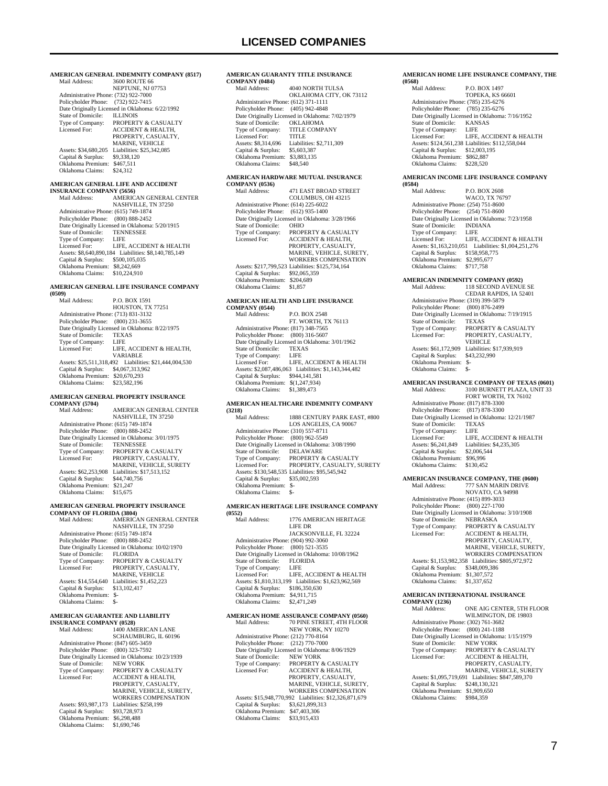### **AMERICAN GENERAL INDEMNITY COMPANY (8517)**

| Mail Address:                        | 3600 ROUTE 66                                   |
|--------------------------------------|-------------------------------------------------|
|                                      | NEPTUNE, NJ 07753                               |
| Administrative Phone: (732) 922-7000 |                                                 |
| Policyholder Phone: (732) 922-7415   |                                                 |
|                                      | Date Originally Licensed in Oklahoma: 6/22/1992 |
| State of Domicile:                   | <b>ILLINOIS</b>                                 |
| Type of Company:                     | <b>PROPERTY &amp; CASUALTY</b>                  |
| Licensed For:                        | <b>ACCIDENT &amp; HEALTH.</b>                   |
|                                      | PROPERTY, CASUALTY,                             |
|                                      | <b>MARINE, VEHICLE</b>                          |
| Assets: \$34,680,205                 | Liabilities: \$25.342.085                       |
| Capital & Surplus:                   | \$9,338,120                                     |
| Oklahoma Premium:                    | \$467.511                                       |
| Oklahoma Claims:                     | \$24.312                                        |
|                                      |                                                 |

### **AMERICAN GENERAL LIFE AND ACCIDENT INSURANCE COMPANY (5656)**

| INSURANCE COMITANT (5050)            |                                                      |  |
|--------------------------------------|------------------------------------------------------|--|
| Mail Address:                        | AMERICAN GENERAL CENTER                              |  |
|                                      | <b>NASHVILLE, TN 37250</b>                           |  |
| Administrative Phone: (615) 749-1874 |                                                      |  |
| Policyholder Phone: (800) 888-2452   |                                                      |  |
|                                      | Date Originally Licensed in Oklahoma: 5/20/1915      |  |
| State of Domicile:                   | <b>TENNESSEE</b>                                     |  |
| Type of Company:                     | LIFE                                                 |  |
| Licensed For:                        | LIFE, ACCIDENT & HEALTH                              |  |
|                                      | Assets: \$8,640,890,184 Liabilities: \$8,140,785,149 |  |
| Capital & Surplus:                   | \$500,105,035                                        |  |
| Oklahoma Premium:                    | \$8,242,669                                          |  |
| Oklahoma Claims:                     | \$10,224,910                                         |  |
|                                      |                                                      |  |

#### **AMERICAN GENERAL LIFE INSURANCE COMPANY (0509)**

 Mail Address: P.O. BOX 1591 HOUSTON, TX 77251 Administrative Phone: (713) 831-3132 Policyholder Phone: (800) 231-3655 Patter Originally Licensed in Oklahoma: 8/22/1975<br>State of Domicile: TEXAS State of Domicile: TEXA<br>Type of Company: LIFE Type of Company:<br>Licensed For: LIFE, ACCIDENT & HEALTH, VARIABLE Assets: \$25,511,318,492 Liabilities: \$21,444,004,530 Capital & Surplus: \$4,067,313,962 Oklahoma Premium: \$20,670,293 Oklahoma Claims: \$23,582,196

#### **AMERICAN GENERAL PROPERTY INSURANCE**   $\overline{\text{cc}}$

| COMITAIN 1 (3/04)                    |                                                 |
|--------------------------------------|-------------------------------------------------|
| Mail Address:                        | <b>AMERICAN GENERAL CENTER</b>                  |
|                                      | NASHVILLE, TN 37250                             |
| Administrative Phone: (615) 749-1874 |                                                 |
| Policyholder Phone: (800) 888-2452   |                                                 |
|                                      | Date Originally Licensed in Oklahoma: 3/01/1975 |
| State of Domicile:                   | <b>TENNESSEE</b>                                |
| Type of Company:                     | <b>PROPERTY &amp; CASUALTY</b>                  |
| Licensed For:                        | PROPERTY, CASUALTY,                             |
|                                      | MARINE, VEHICLE, SURETY                         |
| Assets: \$62,253,908                 | Liabilities: \$17,513,152                       |
| Capital & Surplus:                   | \$44,740,756                                    |
| Oklahoma Premium:                    | \$21.247                                        |
| Oklahoma Claims:                     | \$15,675                                        |
|                                      |                                                 |

### **AMERICAN GENERAL PROPERTY INSURANCE**

**COMPANY OF FLORIDA (3804)**<br>
Mail Address: AMERICAN GENERAL CENTER<br>
NASHVILLE, TN 37250 Administrative Phone: (615) 749-1874 Policyholder Phone: (800) 888-2452 Date Originally Licensed in Oklahoma: 10/02/1970<br>State of Domicile: FLORIDA State of Domicile:<br>Type of Company: Type of Company: PROPERTY & CASUALTY<br>Licensed For: PROPERTY, CASUALTY, Licensed For: PROPERTY, CASUALTY, MARINE, VEHICLE Assets: \$14,554,640 Liabilities: \$1,452,223<br>Capital & Surplus: \$13,102,417 Capital & Surplus: \$13,102,417 Oklahoma Premium: \$- Oklahoma Claims: \$-

### **AMERICAN GUARANTEE AND LIABILITY INSURANCE COMPANY (0528)**

| INSURANCE COMIFANT (0526)            |                                                  |
|--------------------------------------|--------------------------------------------------|
| Mail Address:                        | 1400 AMERICAN LANE                               |
|                                      | SCHAUMBURG, IL 60196                             |
| Administrative Phone: (847) 605-3459 |                                                  |
| Policyholder Phone:                  | (800) 323-7592                                   |
|                                      | Date Originally Licensed in Oklahoma: 10/23/1939 |
| State of Domicile:                   | <b>NEW YORK</b>                                  |
| Type of Company:                     | <b>PROPERTY &amp; CASUALTY</b>                   |
| Licensed For:                        | <b>ACCIDENT &amp; HEALTH.</b>                    |
|                                      | PROPERTY, CASUALTY.                              |
|                                      | MARINE, VEHICLE, SURETY.                         |
|                                      | <b>WORKERS COMPENSATION</b>                      |
| Assets: \$93,987,173                 | Liabilities: \$258.199                           |
| Capital & Surplus:                   | \$93,728,973                                     |
| Oklahoma Premium:                    | \$6,298,488                                      |
| Oklahoma Claims:                     | \$1,690,746                                      |
|                                      |                                                  |

#### **AMERICAN GUARANTY TITLE INSURANCE**   $COI$

| COMPANY (0484)                       |                                                 |
|--------------------------------------|-------------------------------------------------|
| Mail Address:                        | 4040 NORTH TULSA                                |
|                                      | OKLAHOMA CITY, OK 73112                         |
| Administrative Phone: (612) 371-1111 |                                                 |
| Policyholder Phone: (405) 942-4848   |                                                 |
|                                      | Date Originally Licensed in Oklahoma: 7/02/1979 |
| State of Domicile:                   | <b>OKLAHOMA</b>                                 |
| Type of Company:                     | <b>TITLE COMPANY</b>                            |
| Licensed For:                        | TITI F                                          |
| Assets: \$8,314,696                  | Liabilities: \$2,711,309                        |
| Capital & Surplus:                   | \$5,603,387                                     |
| Oklahoma Premium:                    | \$3,883,135                                     |
| Oklahoma Claims:                     | \$48,540                                        |
|                                      |                                                 |

#### **AMERICAN HARDWARE MUTUAL INSURANCE**   $COMPANY$

| CORREILLE (0000)                     |                                                  |
|--------------------------------------|--------------------------------------------------|
| Mail Address:                        | <b>471 EAST BROAD STREET</b>                     |
|                                      | COLUMBUS, OH 43215                               |
| Administrative Phone: (614) 225-6022 |                                                  |
| Policyholder Phone:                  | $(612)$ 935-1400                                 |
|                                      | Date Originally Licensed in Oklahoma: 3/28/1966  |
| State of Domicile:                   | <b>OHIO</b>                                      |
| Type of Company:                     | <b>PROPERTY &amp; CASUALTY</b>                   |
| Licensed For:                        | ACCIDENT & HEALTH.                               |
|                                      | PROPERTY, CASUALTY,                              |
|                                      | MARINE, VEHICLE, SURETY,                         |
|                                      | <b>WORKERS COMPENSATION</b>                      |
|                                      | Assets: \$217,799,523 Liabilities: \$125,734,164 |
| Capital & Surplus:                   | \$92,065,359                                     |
| Oklahoma Premium:                    | \$204,689                                        |
| Oklahoma Claims:                     | \$1.857                                          |
|                                      |                                                  |

### **AMERICAN HEALTH AND LIFE INSURANCE COMPANY (0544)**

| $\frac{1}{2}$                        |                                                      |
|--------------------------------------|------------------------------------------------------|
| Mail Address:                        | P.O. BOX 2548                                        |
|                                      | FT. WORTH, TX 76113                                  |
| Administrative Phone: (817) 348-7565 |                                                      |
| Policyholder Phone: (800) 316-5607   |                                                      |
|                                      | Date Originally Licensed in Oklahoma: 3/01/1962      |
| State of Domicile:                   | <b>TEXAS</b>                                         |
| Type of Company:                     | LIFE                                                 |
| Licensed For:                        | LIFE, ACCIDENT & HEALTH                              |
|                                      | Assets: \$2,087,486,063 Liabilities: \$1,143,344,482 |
| Capital & Surplus:                   | \$944,141,581                                        |
| Oklahoma Premium:                    | \$(1,247,934)                                        |
| Oklahoma Claims:                     | \$1,389,473                                          |
|                                      |                                                      |

#### **AMERICAN HEALTHCARE INDEMNITY COMPANY (3218)**

| Mail Address:                        | 1888 CENTURY PARK EAST, #800                    |
|--------------------------------------|-------------------------------------------------|
|                                      | LOS ANGELES, CA 90067                           |
| Administrative Phone: (310) 557-8711 |                                                 |
| Policyholder Phone: (800) 962-5549   |                                                 |
|                                      | Date Originally Licensed in Oklahoma: 3/08/1990 |
| State of Domicile:                   | <b>DELAWARE</b>                                 |
| Type of Company:                     | <b>PROPERTY &amp; CASUALTY</b>                  |
| Licensed For:                        | PROPERTY. CASUALTY. SURETY                      |
|                                      | Assets: \$130,548,535 Liabilities: \$95,545,942 |
| Capital & Surplus:                   | \$35,002.593                                    |
| Oklahoma Premium:                    | \$-                                             |
| Oklahoma Claims:                     | $S-$                                            |

#### **AMERICAN HERITAGE LIFE INSURANCE COMPANY (0552)**

| 19 <i>3341</i>                       |                                                  |
|--------------------------------------|--------------------------------------------------|
| Mail Address:                        | 1776 AMERICAN HERITAGE                           |
|                                      | LIFE DR                                          |
|                                      | JACKSONVILLE, FL 32224                           |
| Administrative Phone: (904) 992-3060 |                                                  |
| Policyholder Phone: (800) 521-3535   |                                                  |
|                                      | Date Originally Licensed in Oklahoma: 10/08/1962 |
| State of Domicile:                   | <b>FLORIDA</b>                                   |
| Type of Company:                     | LIFE                                             |
| Licensed For:                        | LIFE. ACCIDENT & HEALTH                          |
| Assets: \$1,810,313,199              | Liabilities: \$1,623,962,569                     |
| Capital & Surplus:                   | \$186,350,630                                    |
| Oklahoma Premium:                    | \$4,911,715                                      |
| Oklahoma Claims:                     | \$2,471,249                                      |
|                                      |                                                  |
|                                      |                                                  |

#### **AMERICAN HOME ASSURANCE COMPANY (0560)**<br>Mail Address: 70 PINE STREET, 4TH FLOOR 70 PINE STREET, 4TH FLOOR

|                                      | NEW YORK, NY 10270                                     |
|--------------------------------------|--------------------------------------------------------|
| Administrative Phone: (212) 770-8164 |                                                        |
| Policyholder Phone: (212) 770-7000   |                                                        |
|                                      | Date Originally Licensed in Oklahoma: 8/06/1929        |
| State of Domicile:                   | <b>NEW YORK</b>                                        |
| Type of Company:                     | PROPERTY & CASUALTY                                    |
| Licensed For:                        | <b>ACCIDENT &amp; HEALTH.</b>                          |
|                                      | PROPERTY, CASUALTY,                                    |
|                                      | MARINE, VEHICLE, SURETY.                               |
|                                      | <b>WORKERS COMPENSATION</b>                            |
|                                      | Assets: \$15,948,770,992 Liabilities: \$12,326,871,679 |
| Capital & Surplus:                   | \$3,621,899,313                                        |
| Oklahoma Premium:                    | \$47,403,306                                           |
| Oklahoma Claims:                     | \$33,915,433                                           |
|                                      |                                                        |

#### **AMERICAN HOME LIFE INSURANCE COMPANY, THE (0568)**

| Mail Address:                        | <b>P.O. BOX 1497</b>                             |
|--------------------------------------|--------------------------------------------------|
|                                      | <b>TOPEKA, KS 66601</b>                          |
| Administrative Phone: (785) 235-6276 |                                                  |
| Policyholder Phone: (785) 235-6276   |                                                  |
|                                      | Date Originally Licensed in Oklahoma: 7/16/1952  |
| State of Domicile:                   | <b>KANSAS</b>                                    |
| Type of Company:                     | LIFE                                             |
| Licensed For:                        | LIFE. ACCIDENT & HEALTH                          |
|                                      | Assets: \$124,561,238 Liabilities: \$112,558,044 |
| Capital & Surplus:                   | \$12,003,195                                     |
| Oklahoma Premium:                    | \$862,887                                        |
| Oklahoma Claims:                     | \$228,520                                        |
|                                      |                                                  |

#### **AMERICAN INCOME LIFE INSURANCE COMPANY**

**(0584)** P.O. BOX 2608 WACO, TX 76797 Administrative Phone: (254) 751-8600 Policyholder Phone: (254) 751-8600 Date Originally Licensed in Oklahoma: 7/23/1958 State of Domicile: INDIANA Type of Company: LIFE Licensed For: LIFE, ACCIDENT & HEALTH Assets: \$1,163,210,051 Liabilities: \$1,004,251,276 Capital & Surplus: \$158,958,775 Oklahoma Premium: \$2,995,677 Oklahoma Claims: \$717,758 **AMERICAN INDEMNITY COMPANY (0592)**<br>Mail Address: **118 SECOND AVENU** 118 SECOND AVENUE SE

|                                      | CEDAR RAPIDS, IA 52401                          |
|--------------------------------------|-------------------------------------------------|
| Administrative Phone: (319) 399-5879 |                                                 |
| Policyholder Phone: (800) 876-2499   |                                                 |
|                                      | Date Originally Licensed in Oklahoma: 7/19/1915 |
| State of Domicile:                   | <b>TEXAS</b>                                    |
| Type of Company:                     | <b>PROPERTY &amp; CASUALTY</b>                  |
| Licensed For:                        | PROPERTY, CASUALTY,                             |
|                                      | <b>VEHICLE</b>                                  |
| Assets: \$61,172,909                 | Liabilities: \$17.939.919                       |
| Capital & Surplus:                   | \$43,232,990                                    |
| Oklahoma Premium:                    | $S-$                                            |
| Oklahoma Claims:                     | \$-                                             |

### **AMERICAN INSURANCE COMPANY OF TEXAS (0601)**

| Mail Address:                        | 3100 BURNETT PLAZA, UNIT 33                      |
|--------------------------------------|--------------------------------------------------|
|                                      | FORT WORTH, TX 76102                             |
| Administrative Phone: (817) 878-3300 |                                                  |
| Policyholder Phone: (817) 878-3300   |                                                  |
|                                      | Date Originally Licensed in Oklahoma: 12/21/1987 |
| State of Domicile:                   | <b>TEXAS</b>                                     |
| Type of Company:                     | LIFE.                                            |
| Licensed For:                        | LIFE. ACCIDENT & HEALTH                          |
| Assets: \$6,241,849                  | Liabilities: \$4,235,305                         |
| Capital & Surplus:                   | \$2,006.544                                      |
| Oklahoma Premium:                    | \$96,996                                         |
| Oklahoma Claims:                     | \$130.452                                        |
|                                      |                                                  |

#### **AMERICAN INSURANCE COMPANY, THE (0600)**

| Mail Address:                        | 777 SAN MARIN DRIVE                             |
|--------------------------------------|-------------------------------------------------|
|                                      | NOVATO, CA 94998                                |
| Administrative Phone: (415) 899-3033 |                                                 |
| Policyholder Phone:                  | $(800)$ 227-1700                                |
|                                      | Date Originally Licensed in Oklahoma: 3/10/1908 |
| State of Domicile:                   | <b>NEBRASKA</b>                                 |
| Type of Company:                     | PROPERTY & CASUALTY                             |
| Licensed For:                        | <b>ACCIDENT &amp; HEALTH,</b>                   |
|                                      | PROPERTY, CASUALTY,                             |
|                                      | MARINE, VEHICLE, SURETY.                        |
|                                      | <b>WORKERS COMPENSATION</b>                     |
| Assets: \$1.153,982,358              | Liabilities: \$805.972.972                      |
| Capital & Surplus:                   | \$348,009,386                                   |
| Oklahoma Premium:                    | \$1,307,572                                     |
| Oklahoma Claims:                     | \$1,337,652                                     |
|                                      |                                                 |

#### **AMERICAN INTERNATIONAL INSURANCE COMPANY (1236)**

| Mail Address:                        | ONE AIG CENTER, 5TH FLOOR                       |
|--------------------------------------|-------------------------------------------------|
|                                      | WILMINGTON, DE 19803                            |
| Administrative Phone: (302) 761-3682 |                                                 |
| Policyholder Phone:                  | $(800)$ 241-1188                                |
|                                      | Date Originally Licensed in Oklahoma: 1/15/1979 |
| State of Domicile:                   | <b>NEW YORK</b>                                 |
| Type of Company:                     | <b>PROPERTY &amp; CASUALTY</b>                  |
| Licensed For:                        | <b>ACCIDENT &amp; HEALTH,</b>                   |
|                                      | PROPERTY, CASUALTY,                             |
|                                      | <b>MARINE, VEHICLE, SURETY</b>                  |
| Assets: \$1,095,719,691              | Liabilities: \$847,589,370                      |
| Capital & Surplus:                   | \$248,130,321                                   |
| Oklahoma Premium:                    | \$1,909,650                                     |
| Oklahoma Claims:                     | \$984.359                                       |
|                                      |                                                 |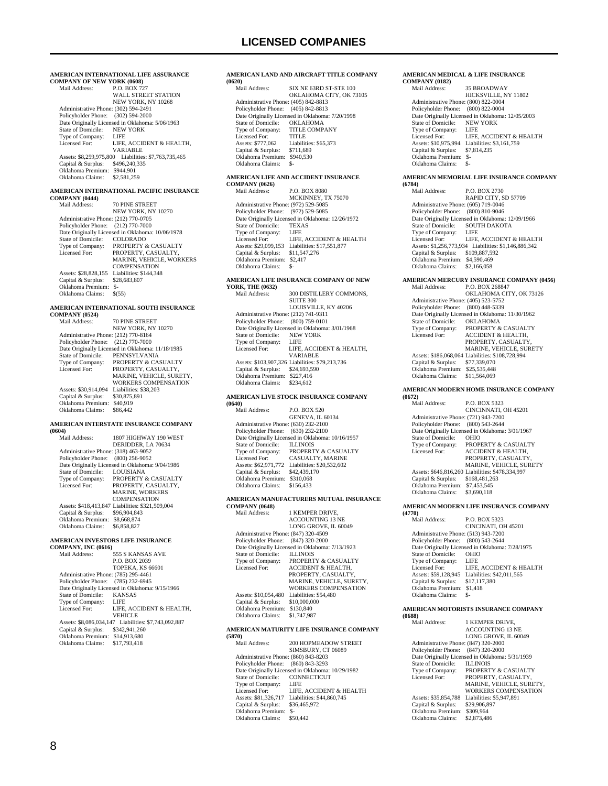#### **AMERICAN INTERNATIONAL LIFE ASSURANCE COMPANY OF NEW YORK (0608)**<br>Mail Address: P.O. BOX 72 P.O. BOX 727 WALL STREET STATION

 NEW YORK, NY 10268 Administrative Phone: (302) 594-2491 Policyholder Phone: (302) 594-2000 Date Originally Licensed in Oklahoma: 5/06/1963<br>State of Domicile: NEW YORK State of Domicile: NEW<br>Type of Company: LIFE Type of Company:<br>Licensed For: LIFE, ACCIDENT & HEALTH, VARIABLE Assets: \$8,259,975,800 Liabilities: \$7,763,735,465 Capital & Surplus: \$496,240,335 Oklahoma Premium: \$944,901 Oklahoma Claims: \$2,581,259

### **AMERICAN INTERNATIONAL PACIFIC INSURANCE**

```
COMPANY (0444)
                           70 PINE STREET
 NEW YORK, NY 10270 
 Administrative Phone: (212) 770-0705 
    Policyholder Phone: (212) 770-7000 
   Date Originally Licensed in Oklahoma: 10/06/1978<br>State of Domicile: COLORADO
   State of Domicile:<br>Type of Company:
                          PROPERTY & CASUALTY
   Licensed For: PROPERTY, CASUALTY,
                          MARINE, VEHICLE, WORKERS
                          COMPENSATION
   Assets: $28,828,155 Liabilities: $144,348<br>Capital & Surplus: $28,683,807
   Capital & Surplus:
    Oklahoma Premium: $- 
    Oklahoma Claims: $(55)
```
#### **AMERICAN INTERNATIONAL SOUTH INSURANCE**

**COMPANY (0524)**

| Mail Address:                        | <b>70 PINE STREET</b>                            |
|--------------------------------------|--------------------------------------------------|
|                                      | NEW YORK, NY 10270                               |
| Administrative Phone: (212) 770-8164 |                                                  |
| Policyholder Phone: (212) 770-7000   |                                                  |
|                                      | Date Originally Licensed in Oklahoma: 11/18/1985 |
| State of Domicile:                   | PENNSYLVANIA                                     |
| Type of Company:                     | <b>PROPERTY &amp; CASUALTY</b>                   |
| Licensed For:                        | PROPERTY, CASUALTY.                              |
|                                      | MARINE, VEHICLE, SURETY,                         |
|                                      | WORKERS COMPENSATION                             |
| Assets: \$30,914.094                 | Liabilities: \$38,203                            |
| Capital & Surplus:                   | \$30,875,891                                     |
| Oklahoma Premium:                    | \$40,919                                         |
| Oklahoma Claims:                     | \$86,442                                         |
|                                      |                                                  |

#### **AMERICAN INTERSTATE INSURANCE COMPANY (0604)**

| (VOV4)                               |                                                  |
|--------------------------------------|--------------------------------------------------|
| Mail Address:                        | 1807 HIGHWAY 190 WEST                            |
|                                      | DERIDDER, LA 70634                               |
| Administrative Phone: (318) 463-9052 |                                                  |
| Policyholder Phone: (800) 256-9052   |                                                  |
|                                      | Date Originally Licensed in Oklahoma: 9/04/1986  |
| State of Domicile:                   | <b>LOUISIANA</b>                                 |
| Type of Company:                     | PROPERTY & CASUALTY                              |
| Licensed For:                        | PROPERTY, CASUALTY,                              |
|                                      | <b>MARINE, WORKERS</b>                           |
|                                      | <b>COMPENSATION</b>                              |
|                                      | Assets: \$418,413,847 Liabilities: \$321,509,004 |
| Capital & Surplus:                   | \$96,904,843                                     |
| Oklahoma Premium:                    | \$8,668,874                                      |
| Oklahoma Claims:                     | \$6,858,827                                      |
|                                      |                                                  |

#### **AMERICAN INVESTORS LIFE INSURANCE**

| COMPANY, INC (0616)                  |                                                      |
|--------------------------------------|------------------------------------------------------|
| Mail Address:                        | 555 S KANSAS AVE                                     |
|                                      | P.O. BOX 2039                                        |
|                                      | <b>TOPEKA, KS 66601</b>                              |
| Administrative Phone: (785) 295-4461 |                                                      |
| Policyholder Phone: (785) 232-6945   |                                                      |
|                                      | Date Originally Licensed in Oklahoma: 9/15/1966      |
| State of Domicile:                   | <b>KANSAS</b>                                        |
| Type of Company:                     | <b>LIFE</b>                                          |
| Licensed For:                        | LIFE. ACCIDENT & HEALTH.                             |
|                                      | <b>VEHICLE</b>                                       |
|                                      | Assets: \$8,086,034,147 Liabilities: \$7,743,092,887 |
| Capital & Surplus:                   | \$342,941,260                                        |
| Oklahoma Premium:                    | \$14,913,680                                         |
| Oklahoma Claims:                     | \$17,793,418                                         |
|                                      |                                                      |

#### **AMERICAN LAND AND AIRCRAFT TITLE COMPANY**

**(0620)**

| (0620)                               |                                                 |
|--------------------------------------|-------------------------------------------------|
| Mail Address:                        | SIX NE 63RD ST-STE 100                          |
|                                      | OKLAHOMA CITY, OK 73105                         |
| Administrative Phone: (405) 842-8813 |                                                 |
| Policyholder Phone: (405) 842-8813   |                                                 |
|                                      | Date Originally Licensed in Oklahoma: 7/20/1998 |
| State of Domicile:                   | <b>OKLAHOMA</b>                                 |
| Type of Company:                     | <b>TITLE COMPANY</b>                            |
| Licensed For:                        | <b>TITLE</b>                                    |
| Assets: \$777,062                    | Liabilities: \$65,373                           |
| Capital & Surplus:                   | \$711,689                                       |
| Oklahoma Premium:                    | \$940,530                                       |
| Oklahoma Claims:                     |                                                 |
|                                      |                                                 |

### **AMERICAN LIFE AND ACCIDENT INSURANCE**

**COMPANY (0626)** P.O. BOX 8080 MCKINNEY, TX 75070 Administrative Phone: (972) 529-5085 Policyholder Phone: (972) 529-5085 Date Originally Licensed in Oklahoma: 12/26/1972 State of Domicile: TEXAS<br>Type of Company: LIFE Type of Company:<br>Licensed For: LIFE, ACCIDENT & HEALTH Assets: \$29,099,153 Liabilities: \$17,551,877 Capital & Surplus: \$11,547,276 Oklahoma Premium: \$2,417 Oklahoma Claims: \$-

#### **AMERICAN LIFE INSURANCE COMPANY OF NEW YC**

| YORK, THE (0652)                     |                                                 |
|--------------------------------------|-------------------------------------------------|
| Mail Address:                        | 300 DISTILLERY COMMONS.                         |
|                                      | <b>SUITE 300</b>                                |
|                                      | LOUISVILLE, KY 40206                            |
| Administrative Phone: (212) 741-9311 |                                                 |
| Policyholder Phone:                  | $(800)$ 759-0101                                |
|                                      | Date Originally Licensed in Oklahoma: 3/01/1968 |
| State of Domicile:                   | <b>NEW YORK</b>                                 |
| Type of Company:                     | LIFE                                            |
| Licensed For:                        | LIFE, ACCIDENT & HEALTH.                        |
|                                      | <b>VARIABLE</b>                                 |
|                                      | Assets: \$103,907,326 Liabilities: \$79,213,736 |
| Capital & Surplus:                   | \$24,693,590                                    |
| Oklahoma Premium:                    | \$227.416                                       |
| Oklahoma Claims:                     | \$234.612                                       |
|                                      |                                                 |

#### **AMERICAN LIVE STOCK INSURANCE COMPANY (0640)**

| Mail Address:                        | <b>P.O. BOX 520</b>                              |
|--------------------------------------|--------------------------------------------------|
|                                      | <b>GENEVA, IL 60134</b>                          |
| Administrative Phone: (630) 232-2100 |                                                  |
| Policyholder Phone: (630) 232-2100   |                                                  |
|                                      | Date Originally Licensed in Oklahoma: 10/16/1957 |
| State of Domicile: ILLINOIS          |                                                  |
| Type of Company:                     | PROPERTY & CASUALTY                              |
| Licensed For:                        | <b>CASUALTY, MARINE</b>                          |
| Assets: \$62,971,772                 | Liabilities: \$20,532,602                        |
| Capital & Surplus:                   | \$42,439,170                                     |
| Oklahoma Premium:                    | \$310,068                                        |
| Oklahoma Claims:                     | \$156.433                                        |
|                                      |                                                  |

#### **AMERICAN MANUFACTURERS MUTUAL INSURANCE**   $COM<sup>1</sup>$

| COMPANY (9048)                       |                                                 |
|--------------------------------------|-------------------------------------------------|
| Mail Address:                        | 1 KEMPER DRIVE.                                 |
|                                      | <b>ACCOUNTING 13 NE</b>                         |
|                                      | LONG GROVE, IL 60049                            |
| Administrative Phone: (847) 320-4509 |                                                 |
| Policyholder Phone:                  | $(847)$ 320-2000                                |
|                                      | Date Originally Licensed in Oklahoma: 7/13/1923 |
| State of Domicile:                   | <b>ILLINOIS</b>                                 |
| Type of Company:                     | <b>PROPERTY &amp; CASUALTY</b>                  |
| Licensed For:                        | <b>ACCIDENT &amp; HEALTH.</b>                   |
|                                      | PROPERTY, CASUALTY,                             |
|                                      | MARINE, VEHICLE, SURETY.                        |
|                                      | <b>WORKERS COMPENSATION</b>                     |
| Assets: \$10,054,480                 | Liabilities: \$54,480                           |
| Capital & Surplus:                   | \$10,000,000                                    |
| Oklahoma Premium:                    | \$130,840                                       |
| Oklahoma Claims:                     | \$1,747,987                                     |
|                                      |                                                 |

#### **AMERICAN MATURITY LIFE INSURANCE COMPANY**

**(5870)** 200 HOPMEADOW STREET SIMSBURY, CT 06089 Administrative Phone: (860) 843-8203 Policyholder Phone: (860) 843-3293 Date Originally Licensed in Oklahoma: 10/29/1982<br>State of Domicile: CONNECTICUT State of Domicile: CONN<br>Type of Company: LIFE Type of Company: LIFE<br>
Licensed For: LIFE, ACCIDENT & HEALTH Licensed For: LIFE, ACCIDENT & HEALTH Assets: \$81,326,717 Liabilities: \$44,860,745 Capital & Surplus: \$36,465,972 Oklahoma Premium: \$- Oklahoma Claims:

#### **AMERICAN MEDICAL & LIFE INSURANCE COMPANY (0182)**

| Mail Address:                        | <b>35 BROADWAY</b>                               |
|--------------------------------------|--------------------------------------------------|
|                                      | HICKSVILLE, NY 11802                             |
| Administrative Phone: (800) 822-0004 |                                                  |
| Policyholder Phone: (800) 822-0004   |                                                  |
|                                      | Date Originally Licensed in Oklahoma: 12/05/2003 |
| State of Domicile:                   | <b>NEW YORK</b>                                  |
| Type of Company:                     | LIFE                                             |
| Licensed For:                        | LIFE. ACCIDENT & HEALTH                          |
| Assets: \$10,975,994                 | Liabilities: \$3,161,759                         |
| Capital & Surplus:                   | \$7,814,235                                      |
| Oklahoma Premium:                    | \$-                                              |
| Oklahoma Claims:                     | \$-                                              |
|                                      |                                                  |

#### **AMERICAN MEMORIAL LIFE INSURANCE COMPANY (6784)**

| \V/VTI                               |                                                  |
|--------------------------------------|--------------------------------------------------|
| Mail Address:                        | P.O. BOX 2730                                    |
|                                      | RAPID CITY, SD 57709                             |
| Administrative Phone: (605) 719-0046 |                                                  |
| Policyholder Phone:                  | $(800)$ 810-9046                                 |
|                                      | Date Originally Licensed in Oklahoma: 12/09/1966 |
| State of Domicile:                   | <b>SOUTH DAKOTA</b>                              |
| Type of Company:                     | LIFE                                             |
| Licensed For:                        | LIFE. ACCIDENT & HEALTH                          |
| Assets: \$1,256,773,934              | Liabilities: \$1,146,886,342                     |
| Capital & Surplus:                   | \$109,887,592                                    |
| Oklahoma Premium:                    | \$4,590,469                                      |
| Oklahoma Claims:                     | \$2,166,058                                      |
|                                      |                                                  |

#### **AMERICAN MERCURY INSURANCE COMPANY (0456)**

| Mail Address:                        | P.O. BOX 268847                                  |
|--------------------------------------|--------------------------------------------------|
|                                      | OKLAHOMA CITY, OK 73126                          |
| Administrative Phone: (405) 523-5752 |                                                  |
| Policyholder Phone:                  | $(800)$ 448-5339                                 |
|                                      | Date Originally Licensed in Oklahoma: 11/30/1962 |
| State of Domicile:                   | <b>OKLAHOMA</b>                                  |
| Type of Company:                     | <b>PROPERTY &amp; CASUALTY</b>                   |
| Licensed For:                        | <b>ACCIDENT &amp; HEALTH.</b>                    |
|                                      | PROPERTY, CASUALTY,                              |
|                                      | MARINE, VEHICLE, SURETY                          |
|                                      | Assets: \$186,068,064 Liabilities: \$108,728,994 |
| Capital & Surplus:                   | \$77,339,070                                     |
| Oklahoma Premium:                    | \$25,535,448                                     |
| Oklahoma Claims:                     | \$11,564,069                                     |
|                                      |                                                  |

#### **AMERICAN MODERN HOME INSURANCE COMPANY (0672)**

| \VV/41                               |                                                  |
|--------------------------------------|--------------------------------------------------|
| Mail Address:                        | <b>P.O. BOX 5323</b>                             |
|                                      | CINCINNATI, OH 45201                             |
| Administrative Phone: (721) 943-7200 |                                                  |
| Policyholder Phone: (800) 543-2644   |                                                  |
|                                      | Date Originally Licensed in Oklahoma: 3/01/1967  |
| State of Domicile:                   | <b>OHIO</b>                                      |
| Type of Company:                     | <b>PROPERTY &amp; CASUALTY</b>                   |
| Licensed For:                        | <b>ACCIDENT &amp; HEALTH.</b>                    |
|                                      | PROPERTY, CASUALTY,                              |
|                                      | <b>MARINE, VEHICLE, SURETY</b>                   |
|                                      | Assets: \$646,816,260 Liabilities: \$478,334,997 |
| Capital & Surplus:                   | \$168,481,263                                    |
| Oklahoma Premium:                    | \$7,453,545                                      |
| Oklahoma Claims:                     | \$3,690,118                                      |

#### **AMERICAN MODERN LIFE INSURANCE COMPANY**

**(4770)** P.O. BOX 5323 CINCINATI, OH 45201 Administrative Phone: (513) 943-7200 Policyholder Phone: (800) 543-2644 Date Originally Licensed in Oklahoma: 7/28/1975<br>State of Domicile: OHIO State of Domicile: OHIC<br>Type of Company: LIFE Type of Company: LIFE<br>Licensed For: LIFE, ACCIDENT & HEALTH Licensed For: LIFE, ACCIDENT & HEALTH Assets: \$59,128,945 Liabilities: \$42,011,565 Capital & Surplus: \$17,117,380 Oklahoma Premium: \$1,418 Oklahoma Claims:

#### **AMERICAN MOTORISTS INSURANCE COMPANY (0688)**

| , vvoo <i>n</i>                      |                                                 |
|--------------------------------------|-------------------------------------------------|
| Mail Address:                        | 1 KEMPER DRIVE.                                 |
|                                      | <b>ACCOUNTING 13 NE</b>                         |
|                                      | LONG GROVE, IL 60049                            |
| Administrative Phone: (847) 320-2000 |                                                 |
| Policyholder Phone:                  | $(847)$ 320-2000                                |
|                                      | Date Originally Licensed in Oklahoma: 5/31/1939 |
| State of Domicile:                   | <b>ILLINOIS</b>                                 |
| Type of Company:                     | <b>PROPERTY &amp; CASUALTY</b>                  |
| Licensed For:                        | PROPERTY, CASUALTY,                             |
|                                      | MARINE, VEHICLE, SURETY.                        |
|                                      | <b>WORKERS COMPENSATION</b>                     |
| Assets: \$35,854,788                 | Liabilities: \$5,947,891                        |
| Capital & Surplus:                   | \$29,906,897                                    |
| Oklahoma Premium:                    | \$309,964                                       |
| Oklahoma Claims:                     | \$2,873,486                                     |
|                                      |                                                 |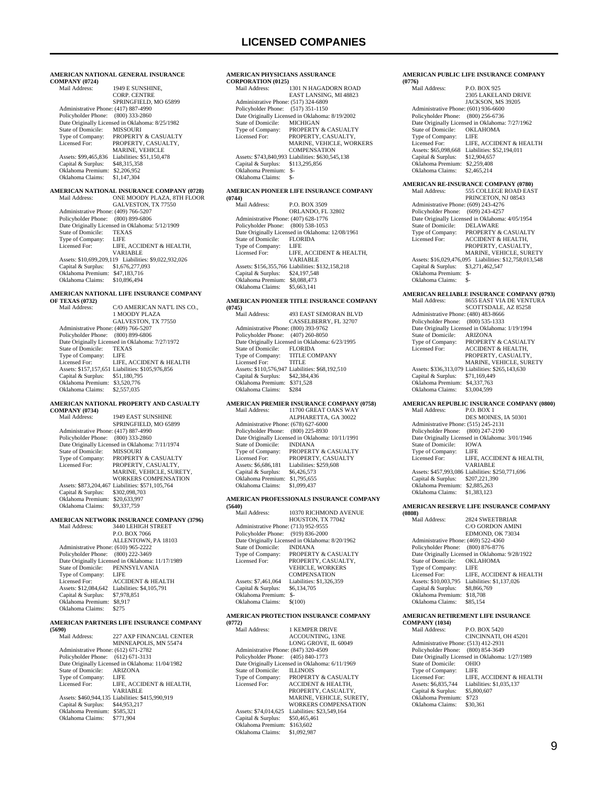#### **AMERICAN NATIONAL GENERAL INSURANCE COMPANY (0724)** 1949 E SUNSHINE. CORP. CENTRE SPRINGFIELD, MO 65899 Administrative Phone: (417) 887-4990 Policyholder Phone: (800) 333-2860 Date Originally Licensed in Oklahoma: 8/25/1982<br>State of Domicile: MISSOURI State of Domicile:<br>Type of Company: Type of Company: PROPERTY & CASUALTY<br>Licensed For: PROPERTY, CASUALTY, PROPERTY, CASUALTY, MARINE, VEHICLE Assets: \$99,465,836 Liabilities: \$51,150,478<br>Capital & Surplus: \$48,315,358 Capital & Surplus: \$48,315,358 Oklahoma Premium: \$2,206,952 Oklahoma Claims: \$1,147,304 **AMERICAN NATIONAL INSURANCE COMPANY (0728)** Mail Address: ONE MOODY PLAZA, 8TH FLOOR GALVESTON, TX 77550 Administrative Phone: (409) 766-5207 Policyholder Phone: (800) 899-6806 Date Originally Licensed in Oklahoma: 5/12/1909<br>State of Domicile: TEXAS State of Domicile: TEXAS Type of Company: LIFE Licensed For: LIFE, ACCIDENT & HEALTH, VARIABLE Assets: \$10,699,209,119 Liabilities: \$9,022,932,026 Capital & Surplus: \$1,676,277,093 Oklahoma Premium: \$47,183,716 Oklahoma Claims: \$10,896,494 **AMERICAN NATIONAL LIFE INSURANCE COMPANY OF TEXAS (0732)** Mail Address: C/O AMERICAN NAT'L INS CO., 1 MOODY PLAZA GALVESTON, TX 77550 Administrative Phone: (409) 766-5207 Policyholder Phone: (800) 899-6806 Date Originally Licensed in Oklahoma: 7/27/1972 State of Domicile: TEXA<br>Type of Company: LEE Type of Company: Licensed For: LIFE, ACCIDENT & HEALTH Assets: \$157,157,651 Liabilities: \$105,976,856 Capital & Surplus: \$51,180,795 Oklahoma Premium: \$3,520,776 Oklahoma Claims: \$2,557,035 **AMERICAN NATIONAL PROPERTY AND CASUALTY COMPANY (0734)** 1949 EAST SUNSHINE SPRINGFIELD, MO 65899 Administrative Phone: (417) 887-4990 Policyholder Phone: (800) 333-2860 Date Originally Licensed in Oklahoma: 7/11/1974<br>State of Domicile: MISSOURI State of Domicile:<br>Type of Company: PROPERTY & CASUALTY Licensed For: PROPERTY, CASUALTY, MARINE, VEHICLE, SURETY, WORKERS COMPENSATION Assets: \$873,204,467 Liabilities: \$571,105,764

## **AMERICAN NETWORK INSURANCE COMPANY (3796)** Mail Address: 3440 LEHIGH STREET

 Capital & Surplus: \$302,098,703 Oklahoma Premium: \$20,633,997 Oklahoma Claims: \$9,337,759

3440 LEHIGH STREET P.O. BOX 7066 ALLENTOWN, PA 18103 Administrative Phone: (610) 965-2222 Policyholder Phone: (800) 222-3469 Date Originally Licensed in Oklahoma: 11/17/1989 PENNSYLVANIA Type of Company: LIFE<br>Licensed For: ACCIDENT & HEALTH Licensed For: ACCIDENT & HEALTH Assets: \$12,084,642 Liabilities: \$4,105,791 Capital & Surplus: \$7,978,851<br>Oklahoma Premium: \$8,917 Oklahoma Premium: \$8,9<br>Oklahoma Claims: \$275 Oklahoma Claims:

#### **AMERICAN PARTNERS LIFE INSURANCE COMPANY**

**(5690)**

| Mail Address:                        | <b>227 AXP FINANCIAL CENTER</b>                  |
|--------------------------------------|--------------------------------------------------|
|                                      | MINNEAPOLIS, MN 55474                            |
| Administrative Phone: (612) 671-2782 |                                                  |
| Policyholder Phone: (612) 671-3131   |                                                  |
|                                      | Date Originally Licensed in Oklahoma: 11/04/1982 |
| State of Domicile:                   | ARIZONA                                          |
| Type of Company:                     | LIFE.                                            |
| Licensed For:                        | LIFE. ACCIDENT & HEALTH.                         |
|                                      | VARIABLE                                         |
|                                      | Assets: \$460,944,135 Liabilities: \$415,990,919 |
| Capital & Surplus:                   | \$44,953,217                                     |
| Oklahoma Premium:                    | \$585.321                                        |
| Oklahoma Claims:                     | \$771.904                                        |
|                                      |                                                  |

#### **AMERICAN PHYSICIANS ASSURANCE CORPORATION (0125)**

| Mail Address:                        | 1301 N HAGADORN ROAD                             |
|--------------------------------------|--------------------------------------------------|
|                                      | EAST LANSING, MI 48823                           |
| Administrative Phone: (517) 324-6809 |                                                  |
| Policyholder Phone: (517) 351-1150   |                                                  |
|                                      | Date Originally Licensed in Oklahoma: 8/19/2002  |
| State of Domicile:                   | <b>MICHIGAN</b>                                  |
| Type of Company:                     | <b>PROPERTY &amp; CASUALTY</b>                   |
| Licensed For:                        | PROPERTY, CASUALTY,                              |
|                                      | MARINE, VEHICLE, WORKERS                         |
|                                      | <b>COMPENSATION</b>                              |
|                                      | Assets: \$743,840,993 Liabilities: \$630,545,138 |
| Capital & Surplus:                   | \$113,295,856                                    |
| Oklahoma Premium:                    | $S-$                                             |
| Oklahoma Claims:                     | \$-                                              |
|                                      |                                                  |

#### **AMERICAN PIONEER LIFE INSURANCE COMPANY (0744)**

| Mail Address:                        | P.O. BOX 3509                                    |
|--------------------------------------|--------------------------------------------------|
|                                      | ORLANDO, FL 32802                                |
| Administrative Phone: (407) 628-1776 |                                                  |
| Policyholder Phone: (800) 538-1053   |                                                  |
|                                      | Date Originally Licensed in Oklahoma: 12/08/1961 |
| State of Domicile: FLORIDA           |                                                  |
| Type of Company:                     | LIFE                                             |
| Licensed For:                        | LIFE, ACCIDENT & HEALTH.                         |
|                                      | <b>VARIABLE</b>                                  |
|                                      | Assets: \$156,355,766 Liabilities: \$132,158,218 |
| Capital & Surplus:                   | \$24,197,548                                     |
| Oklahoma Premium:                    | \$8,088,473                                      |
| Oklahoma Claims:                     | \$5,663,141                                      |
|                                      |                                                  |

#### **AMERICAN PIONEER TITLE INSURANCE COMPANY (0745)**

| Mail Address:                        | <b>493 EAST SEMORAN BLVD</b>                    |
|--------------------------------------|-------------------------------------------------|
|                                      | CASSELBERRY, FL 32707                           |
| Administrative Phone: (800) 393-9762 |                                                 |
| Policyholder Phone: (407) 260-8050   |                                                 |
|                                      | Date Originally Licensed in Oklahoma: 6/23/1995 |
| State of Domicile:                   | <b>FLORIDA</b>                                  |
| Type of Company:                     | <b>TITLE COMPANY</b>                            |
| Licensed For:                        | <b>TITLE</b>                                    |
|                                      | Assets: \$110,576,947 Liabilities: \$68,192,510 |
| Capital & Surplus:                   | \$42,384,436                                    |
| Oklahoma Premium:                    | \$371.528                                       |
| Oklahoma Claims:                     | \$284                                           |
|                                      |                                                 |

### **AMERICAN PREMIER INSURANCE COMPANY (0758)**

| Mail Address:                        | 11700 GREAT OAKS WAY                             |
|--------------------------------------|--------------------------------------------------|
|                                      | ALPHARETTA, GA 30022                             |
| Administrative Phone: (678) 627-6000 |                                                  |
| Policyholder Phone: (800) 225-8930   |                                                  |
|                                      | Date Originally Licensed in Oklahoma: 10/11/1991 |
| State of Domicile:                   | <b>INDIANA</b>                                   |
| Type of Company:                     | PROPERTY & CASUALTY                              |
| Licensed For:                        | PROPERTY, CASUALTY                               |
| Assets: \$6,686,181                  | Liabilities: \$259,608                           |
| Capital & Surplus:                   | \$6,426,573                                      |
| Oklahoma Premium:                    | \$1,795,655                                      |
| Oklahoma Claims:                     | \$1,099,437                                      |
|                                      |                                                  |

#### **AMERICAN PROFESSIONALS INSURANCE COMPANY (5640)**

| (3040)                               |                                                 |
|--------------------------------------|-------------------------------------------------|
| Mail Address:                        | 10370 RICHMOND AVENUE                           |
|                                      | HOUSTON, TX 77042                               |
| Administrative Phone: (713) 952-9555 |                                                 |
| Policyholder Phone: (919) 836-2000   |                                                 |
|                                      | Date Originally Licensed in Oklahoma: 8/20/1962 |
| State of Domicile:                   | <b>INDIANA</b>                                  |
| Type of Company:                     | PROPERTY & CASUALTY                             |
| Licensed For:                        | PROPERTY, CASUALTY,                             |
|                                      | <b>VEHICLE, WORKERS</b>                         |
|                                      | <b>COMPENSATION</b>                             |
| Assets: \$7,461,064                  | Liabilities: \$1.326.359                        |
| Capital & Surplus:                   | \$6,134,705                                     |
| Oklahoma Premium:                    | $S-$                                            |
| Oklahoma Claims:                     | \$(100)                                         |
|                                      |                                                 |

#### **AMERICAN PROTECTION INSURANCE COMPANY (0772)**

| Mail Address:                        | <b>1 KEMPER DRIVE</b>                           |
|--------------------------------------|-------------------------------------------------|
|                                      | <b>ACCOUNTING, 13NE</b>                         |
|                                      | LONG GROVE, IL 60049                            |
| Administrative Phone: (847) 320-4509 |                                                 |
| Policyholder Phone:                  | (405) 840-1773                                  |
|                                      | Date Originally Licensed in Oklahoma: 6/11/1969 |
| State of Domicile:                   | <b>ILLINOIS</b>                                 |
| Type of Company:                     | PROPERTY & CASUALTY                             |
| Licensed For:                        | <b>ACCIDENT &amp; HEALTH.</b>                   |
|                                      | PROPERTY, CASUALTY,                             |
|                                      | MARINE, VEHICLE, SURETY.                        |
|                                      | <b>WORKERS COMPENSATION</b>                     |
| Assets: \$74,014,625                 | Liabilities: \$23,549,164                       |
| Capital & Surplus:                   | \$50,465,461                                    |
| Oklahoma Premium:                    | \$163,602                                       |
| Oklahoma Claims:                     | \$1,092,987                                     |
|                                      |                                                 |

#### **AMERICAN PUBLIC LIFE INSURANCE COMPANY (0776)**

| Mail Address:                                  | P.O. BOX 925                                                                                                                                                                                                                                                                                                                                                                                                                                                                                                                                                                                                                                                                                            |
|------------------------------------------------|---------------------------------------------------------------------------------------------------------------------------------------------------------------------------------------------------------------------------------------------------------------------------------------------------------------------------------------------------------------------------------------------------------------------------------------------------------------------------------------------------------------------------------------------------------------------------------------------------------------------------------------------------------------------------------------------------------|
|                                                | 2305 LAKELAND DRIVE                                                                                                                                                                                                                                                                                                                                                                                                                                                                                                                                                                                                                                                                                     |
|                                                | JACKSON, MS 39205                                                                                                                                                                                                                                                                                                                                                                                                                                                                                                                                                                                                                                                                                       |
|                                                |                                                                                                                                                                                                                                                                                                                                                                                                                                                                                                                                                                                                                                                                                                         |
|                                                | $(800)$ 256-6736                                                                                                                                                                                                                                                                                                                                                                                                                                                                                                                                                                                                                                                                                        |
|                                                | OKLAHOMA                                                                                                                                                                                                                                                                                                                                                                                                                                                                                                                                                                                                                                                                                                |
|                                                | LIFE                                                                                                                                                                                                                                                                                                                                                                                                                                                                                                                                                                                                                                                                                                    |
|                                                | LIFE, ACCIDENT & HEALTH                                                                                                                                                                                                                                                                                                                                                                                                                                                                                                                                                                                                                                                                                 |
|                                                | Assets: \$65,098,668 Liabilities: \$52,194,011                                                                                                                                                                                                                                                                                                                                                                                                                                                                                                                                                                                                                                                          |
|                                                | \$12,904,657                                                                                                                                                                                                                                                                                                                                                                                                                                                                                                                                                                                                                                                                                            |
|                                                |                                                                                                                                                                                                                                                                                                                                                                                                                                                                                                                                                                                                                                                                                                         |
|                                                | \$2,465,214                                                                                                                                                                                                                                                                                                                                                                                                                                                                                                                                                                                                                                                                                             |
|                                                |                                                                                                                                                                                                                                                                                                                                                                                                                                                                                                                                                                                                                                                                                                         |
|                                                | 555 COLLEGE ROAD EAST                                                                                                                                                                                                                                                                                                                                                                                                                                                                                                                                                                                                                                                                                   |
|                                                | PRINCETON, NJ 08543                                                                                                                                                                                                                                                                                                                                                                                                                                                                                                                                                                                                                                                                                     |
|                                                |                                                                                                                                                                                                                                                                                                                                                                                                                                                                                                                                                                                                                                                                                                         |
|                                                | $(609)$ 243-4257                                                                                                                                                                                                                                                                                                                                                                                                                                                                                                                                                                                                                                                                                        |
|                                                | Date Originally Licensed in Oklahoma: 4/05/1954                                                                                                                                                                                                                                                                                                                                                                                                                                                                                                                                                                                                                                                         |
|                                                | DELAWARE                                                                                                                                                                                                                                                                                                                                                                                                                                                                                                                                                                                                                                                                                                |
|                                                | PROPERTY & CASUALTY                                                                                                                                                                                                                                                                                                                                                                                                                                                                                                                                                                                                                                                                                     |
|                                                | ACCIDENT & HEALTH,                                                                                                                                                                                                                                                                                                                                                                                                                                                                                                                                                                                                                                                                                      |
|                                                | PROPERTY, CASUALTY,                                                                                                                                                                                                                                                                                                                                                                                                                                                                                                                                                                                                                                                                                     |
|                                                | MARINE, VEHICLE, SURETY                                                                                                                                                                                                                                                                                                                                                                                                                                                                                                                                                                                                                                                                                 |
|                                                | \$3,271,462,547                                                                                                                                                                                                                                                                                                                                                                                                                                                                                                                                                                                                                                                                                         |
|                                                |                                                                                                                                                                                                                                                                                                                                                                                                                                                                                                                                                                                                                                                                                                         |
|                                                | \$-                                                                                                                                                                                                                                                                                                                                                                                                                                                                                                                                                                                                                                                                                                     |
|                                                |                                                                                                                                                                                                                                                                                                                                                                                                                                                                                                                                                                                                                                                                                                         |
|                                                | <b>AMERICAN RELIABLE INSURANCE COMPANY (0793)</b>                                                                                                                                                                                                                                                                                                                                                                                                                                                                                                                                                                                                                                                       |
|                                                | 8655 EAST VIA DE VENTURA                                                                                                                                                                                                                                                                                                                                                                                                                                                                                                                                                                                                                                                                                |
|                                                | SCOTTSDALE, AZ 85258                                                                                                                                                                                                                                                                                                                                                                                                                                                                                                                                                                                                                                                                                    |
|                                                | $(800)$ 535-1333                                                                                                                                                                                                                                                                                                                                                                                                                                                                                                                                                                                                                                                                                        |
|                                                |                                                                                                                                                                                                                                                                                                                                                                                                                                                                                                                                                                                                                                                                                                         |
|                                                |                                                                                                                                                                                                                                                                                                                                                                                                                                                                                                                                                                                                                                                                                                         |
|                                                |                                                                                                                                                                                                                                                                                                                                                                                                                                                                                                                                                                                                                                                                                                         |
| State of Domicile:                             | ARIZONA                                                                                                                                                                                                                                                                                                                                                                                                                                                                                                                                                                                                                                                                                                 |
| Type of Company:<br>Licensed For:              | PROPERTY & CASUALTY<br><b>ACCIDENT &amp; HEALTH,</b>                                                                                                                                                                                                                                                                                                                                                                                                                                                                                                                                                                                                                                                    |
|                                                | PROPERTY, CASUALTY,                                                                                                                                                                                                                                                                                                                                                                                                                                                                                                                                                                                                                                                                                     |
|                                                | MARINE, VEHICLE, SURETY                                                                                                                                                                                                                                                                                                                                                                                                                                                                                                                                                                                                                                                                                 |
|                                                | Assets: \$336,313,079 Liabilities: \$265,143,630                                                                                                                                                                                                                                                                                                                                                                                                                                                                                                                                                                                                                                                        |
| Capital & Surplus:                             | \$71,169,449                                                                                                                                                                                                                                                                                                                                                                                                                                                                                                                                                                                                                                                                                            |
| Oklahoma Premium: \$4,337,763                  |                                                                                                                                                                                                                                                                                                                                                                                                                                                                                                                                                                                                                                                                                                         |
| Oklahoma Claims:                               | \$3,004,599                                                                                                                                                                                                                                                                                                                                                                                                                                                                                                                                                                                                                                                                                             |
|                                                | <b>AMERICAN REPUBLIC INSURANCE COMPANY (0800)</b>                                                                                                                                                                                                                                                                                                                                                                                                                                                                                                                                                                                                                                                       |
| Mail Address:                                  | P.O. BOX 1                                                                                                                                                                                                                                                                                                                                                                                                                                                                                                                                                                                                                                                                                              |
|                                                | DES MOINES, IA 50301                                                                                                                                                                                                                                                                                                                                                                                                                                                                                                                                                                                                                                                                                    |
| Administrative Phone: (515) 245-2131           |                                                                                                                                                                                                                                                                                                                                                                                                                                                                                                                                                                                                                                                                                                         |
| Policyholder Phone: (800) 247-2190             |                                                                                                                                                                                                                                                                                                                                                                                                                                                                                                                                                                                                                                                                                                         |
|                                                | Date Originally Licensed in Oklahoma: 3/01/1946                                                                                                                                                                                                                                                                                                                                                                                                                                                                                                                                                                                                                                                         |
| State of Domicile:                             | IOWA                                                                                                                                                                                                                                                                                                                                                                                                                                                                                                                                                                                                                                                                                                    |
| Type of Company:<br>Licensed For:              | LIFE<br>LIFE, ACCIDENT & HEALTH,                                                                                                                                                                                                                                                                                                                                                                                                                                                                                                                                                                                                                                                                        |
|                                                | VARIABLE                                                                                                                                                                                                                                                                                                                                                                                                                                                                                                                                                                                                                                                                                                |
|                                                | Assets: \$457,993,086 Liabilities: \$250,771,696                                                                                                                                                                                                                                                                                                                                                                                                                                                                                                                                                                                                                                                        |
| Capital & Surplus:                             | \$207,221,390                                                                                                                                                                                                                                                                                                                                                                                                                                                                                                                                                                                                                                                                                           |
| Oklahoma Premium: \$2,885,263                  |                                                                                                                                                                                                                                                                                                                                                                                                                                                                                                                                                                                                                                                                                                         |
| Oklahoma Claims:                               | \$1,383,123                                                                                                                                                                                                                                                                                                                                                                                                                                                                                                                                                                                                                                                                                             |
|                                                | AMERICAN RESERVE LIFE INSURANCE COMPANY                                                                                                                                                                                                                                                                                                                                                                                                                                                                                                                                                                                                                                                                 |
| (0808)                                         |                                                                                                                                                                                                                                                                                                                                                                                                                                                                                                                                                                                                                                                                                                         |
| Mail Address:                                  | 2824 SWEETBRIAR                                                                                                                                                                                                                                                                                                                                                                                                                                                                                                                                                                                                                                                                                         |
|                                                | C/O GORDON AMINI                                                                                                                                                                                                                                                                                                                                                                                                                                                                                                                                                                                                                                                                                        |
|                                                | EDMOND, OK 73034                                                                                                                                                                                                                                                                                                                                                                                                                                                                                                                                                                                                                                                                                        |
| Administrative Phone: (469) 522-4360           |                                                                                                                                                                                                                                                                                                                                                                                                                                                                                                                                                                                                                                                                                                         |
| Policyholder Phone:                            | $(800) 876 - 8776$                                                                                                                                                                                                                                                                                                                                                                                                                                                                                                                                                                                                                                                                                      |
|                                                | Date Originally Licensed in Oklahoma: 9/28/1922                                                                                                                                                                                                                                                                                                                                                                                                                                                                                                                                                                                                                                                         |
| State of Domicile:<br>Type of Company:         | OKLAHOMA<br>LIFE                                                                                                                                                                                                                                                                                                                                                                                                                                                                                                                                                                                                                                                                                        |
| Licensed For:                                  | LIFE, ACCIDENT & HEALTH                                                                                                                                                                                                                                                                                                                                                                                                                                                                                                                                                                                                                                                                                 |
| Assets: \$10,003,795                           | Liabilities: \$1,137,026                                                                                                                                                                                                                                                                                                                                                                                                                                                                                                                                                                                                                                                                                |
| Capital & Surplus:                             | \$8,866,769                                                                                                                                                                                                                                                                                                                                                                                                                                                                                                                                                                                                                                                                                             |
| Oklahoma Premium: \$18,708<br>Oklahoma Claims: | \$85,154                                                                                                                                                                                                                                                                                                                                                                                                                                                                                                                                                                                                                                                                                                |
|                                                | Administrative Phone: (601) 936-6600<br>Policyholder Phone:<br>Date Originally Licensed in Oklahoma: 7/27/1962<br>State of Domicile:<br>Type of Company:<br>Licensed For:<br>Capital & Surplus:<br>Oklahoma Premium: \$2,259,408<br>Oklahoma Claims:<br>AMERICAN RE-INSURANCE COMPANY (0780)<br>Mail Address:<br>Administrative Phone: (609) 243-4276<br>Policyholder Phone:<br>State of Domicile:<br>Type of Company:<br>Licensed For:<br>Assets: \$16,029,476,095 Liabilities: \$12,758,013,548<br>Capital & Surplus:<br>Oklahoma Premium: \$-<br>Oklahoma Claims:<br>Mail Address:<br>Administrative Phone: (480) 483-8666<br>Policyholder Phone:<br>Date Originally Licensed in Oklahoma: 1/19/1994 |

#### **AMERICAN RETIREMENT LIFE INSURANCE COMPANY (1034)**

**(0808)**

| Mail Address:                        | P.O. BOX 5420                                   |
|--------------------------------------|-------------------------------------------------|
|                                      | CINCINNATI, OH 45201                            |
| Administrative Phone: (513) 412-2931 |                                                 |
| Policyholder Phone: (800) 854-3649   |                                                 |
|                                      | Date Originally Licensed in Oklahoma: 1/27/1989 |
| State of Domicile:                   | <b>OHIO</b>                                     |
| Type of Company:                     | LIFE                                            |
| Licensed For:                        | LIFE, ACCIDENT & HEALTH                         |
| Assets: \$6,835,744                  | Liabilities: \$1,035,137                        |
| Capital & Surplus:                   | \$5,800,607                                     |
| Oklahoma Premium:                    | \$723                                           |
| Oklahoma Claims:                     | \$30,361                                        |
|                                      |                                                 |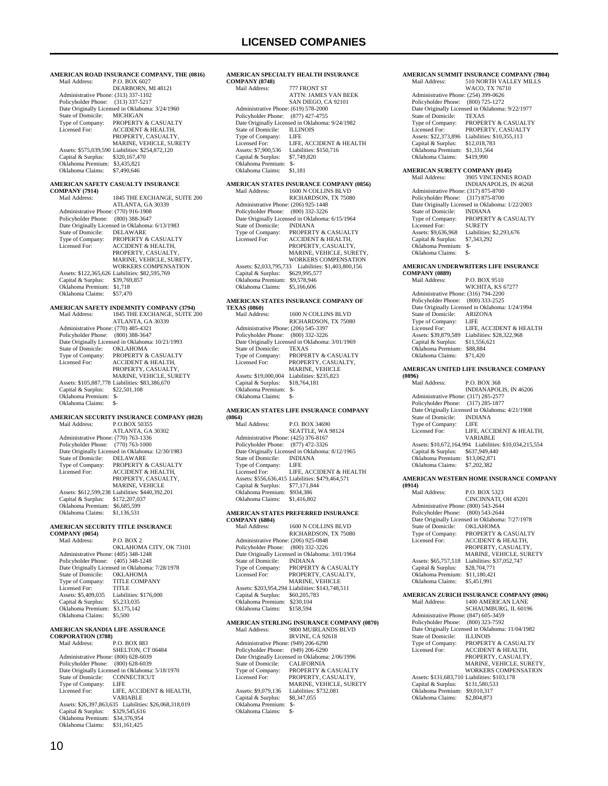| Mail Address:                                                              | AMERICAN ROAD INSURANCE COMPANY, THE (0816)<br>P.O. BOX 6027                   |
|----------------------------------------------------------------------------|--------------------------------------------------------------------------------|
| Administrative Phone: (313) 337-1102<br>Policyholder Phone: (313) 337-5217 | DEARBORN, MI 48121                                                             |
| State of Domicile:                                                         | Date Originally Licensed in Oklahoma: 3/24/1960<br><b>MICHIGAN</b>             |
| Type of Company:<br>Licensed For:                                          | PROPERTY & CASUALTY<br><b>ACCIDENT &amp; HEALTH.</b>                           |
|                                                                            | PROPERTY, CASUALTY,                                                            |
|                                                                            | MARINE, VEHICLE, SURETY<br>Assets: \$575,039,590 Liabilities: \$254,872,120    |
| Capital & Surplus:<br>Oklahoma Premium: \$3,435,821                        | \$320,167,470                                                                  |
| Oklahoma Claims:                                                           | \$7,490,646                                                                    |
| <b>COMPANY (7914)</b>                                                      | AMERICAN SAFETY CASUALTY INSURANCE                                             |
| Mail Address:                                                              | 1845 THE EXCHANGE, SUITE 200<br>ATLANTA, GA 30339                              |
| Administrative Phone: (770) 916-1908<br>Policyholder Phone:                | $(800)$ 388-3647                                                               |
| State of Domicile:                                                         | Date Originally Licensed in Oklahoma: 6/13/1983<br>DELAWARE                    |
| Type of Company:<br>Licensed For:                                          | PROPERTY & CASUALTY<br><b>ACCIDENT &amp; HEALTH,</b>                           |
|                                                                            | PROPERTY, CASUALTY,<br>MARINE, VEHICLE, SURETY,                                |
|                                                                            | <b>WORKERS COMPENSATION</b><br>Assets: \$122,365,626 Liabilities: \$82,595,769 |
| Capital & Surplus:<br>Oklahoma Premium:                                    | \$39,769,857<br>\$1,718                                                        |
| Oklahoma Claims:                                                           | \$57,470                                                                       |
| Mail Address:                                                              | AMERICAN SAFETY INDEMNITY COMPANY (3794)<br>1845 THE EXCHANGE, SUITE 200       |
| Administrative Phone: (770) 485-4321                                       | ATLANTA, GA 30339                                                              |
| Policyholder Phone: (800) 388-3647                                         | Date Originally Licensed in Oklahoma: 10/21/1993                               |
| State of Domicile:<br>Type of Company:                                     | OKLAHOMA<br>PROPERTY & CASUALTY                                                |
| Licensed For:                                                              | <b>ACCIDENT &amp; HEALTH,</b><br>PROPERTY, CASUALTY,                           |
|                                                                            | MARINE, VEHICLE, SURETY<br>Assets: \$105,887,778 Liabilities: \$83,386,670     |
| Capital & Surplus:<br>Oklahoma Premium: \$-                                | \$22,501,108                                                                   |
| Oklahoma Claims:                                                           | \$-                                                                            |
| Mail Address:                                                              | AMERICAN SECURITY INSURANCE COMPANY (0828)<br>P.O.BOX 50355                    |
| Administrative Phone: (770) 763-1336                                       | ATLANTA, GA 30302                                                              |
| Policyholder Phone:                                                        | $(770) 763 - 1000$<br>Date Originally Licensed in Oklahoma: 12/30/1983         |
| State of Domicile:<br>Type of Company:                                     | <b>DELAWARE</b><br>PROPERTY & CASUALTY                                         |
| Licensed For:                                                              | <b>ACCIDENT &amp; HEALTH,</b><br>PROPERTY, CASUALTY,                           |
|                                                                            | MARINE, VEHICLE<br>Assets: \$612,599,238 Liabilities: \$440,392,201            |
| Capital & Surplus:<br>Oklahoma Premium:                                    | \$172,207,037<br>\$6,685,599                                                   |
| Oklahoma Claims:                                                           | \$1,136,531                                                                    |
| AMERICAN SECURITY TITLE INSURANCE<br><b>COMPANY (0054)</b>                 |                                                                                |
| Mail Address:                                                              | <b>P.O. BOX 2</b><br>OKLAHOMA CITY, OK 73101                                   |
| Administrative Phone: (405) 348-1248<br>Policyholder Phone:                | $(405)$ 348-1248                                                               |
| State of Domicile:                                                         | Date Originally Licensed in Oklahoma: 7/28/1978<br><b>OKLAHOMA</b>             |
| Type of Company:                                                           | <b>TITLE COMPANY</b>                                                           |
| Licensed For:<br>Assets: \$5,409,035                                       | TITLE<br>Liabilities: \$176,000                                                |
| Capital & Surplus:<br>Oklahoma Premium: \$3,175,142                        | \$5,233,035                                                                    |
| Oklahoma Claims:<br>AMERICAN SKANDIA LIFE ASSURANCE                        | \$5,500                                                                        |
| <b>CORPORATION (3788)</b><br>Mail Address:                                 | P.O. BOX 883                                                                   |
| Administrative Phone: (800) 628-6039                                       | SHELTON, CT 06484                                                              |
| Policyholder Phone:                                                        | $(800)$ 628-6039<br>Date Originally Licensed in Oklahoma: 5/18/1970            |
| State of Domicile:<br>Type of Company:                                     | CONNECTICUT<br>LIFE                                                            |
| Licensed For:                                                              | LIFE, ACCIDENT & HEALTH,<br>VARIABLE                                           |
| Capital & Surplus:                                                         | Assets: \$26,397,863,635 Liabilities: \$26,068,318,019<br>\$329,545,616        |
| Oklahoma Premium:<br>Oklahoma Claims:                                      | \$34,376,954<br>\$31,161,425                                                   |

| <b>COMPANY (8748)</b>                                                      | AMERICAN SPECIALTY HEALTH INSURANCE                                 |
|----------------------------------------------------------------------------|---------------------------------------------------------------------|
| Mail Address:                                                              | 777 FRONT ST                                                        |
|                                                                            | ATTN: JAMES VAN BEEK<br>SAN DIEGO, CA 92101                         |
| Administrative Phone: (619) 578-2000                                       |                                                                     |
| Policyholder Phone:                                                        | $(877)$ 427-4755                                                    |
| State of Domicile:                                                         | Date Originally Licensed in Oklahoma: 9/24/1982<br><b>ILLINOIS</b>  |
| Type of Company:                                                           | LIFE                                                                |
| Licensed For:<br>Assets: \$7,900,536                                       | LIFE, ACCIDENT & HEALTH<br>Liabilities: \$150,716                   |
| Capital & Surplus:                                                         | \$7,749,820                                                         |
| Oklahoma Premium: \$-<br>Oklahoma Claims:                                  | \$1,181                                                             |
|                                                                            |                                                                     |
| Mail Address:                                                              | AMERICAN STATES INSURANCE COMPANY (0856)<br>1600 N COLLINS BLVD     |
|                                                                            | RICHARDSON, TX 75080                                                |
| Administrative Phone: (206) 925-1448<br>Policyholder Phone:                | $(800)$ 332-3226                                                    |
|                                                                            | Date Originally Licensed in Oklahoma: 6/15/1964                     |
| State of Domicile:<br>Type of Company:                                     | INDIANA<br>PROPERTY & CASUALTY                                      |
| Licensed For:                                                              | ACCIDENT & HEALTH,                                                  |
|                                                                            | PROPERTY, CASUALTY,<br>MARINE, VEHICLE, SURETY,                     |
|                                                                            | WORKERS COMPENSATION                                                |
| Assets: \$2,033,795,733                                                    | Liabilities: \$1,403,800,156                                        |
| Capital & Surplus:<br>Oklahoma Premium: \$9,578,946                        | \$629,995,577                                                       |
| Oklahoma Claims:                                                           | \$5,166,606                                                         |
|                                                                            | AMERICAN STATES INSURANCE COMPANY OF                                |
| <b>TEXAS (0860)</b><br>Mail Address:                                       | 1600 N COLLINS BLVD                                                 |
|                                                                            | RICHARDSON, TX 75080                                                |
| Administrative Phone: (206) 545-3397                                       |                                                                     |
| Policyholder Phone: (800) 332-3226                                         | Date Originally Licensed in Oklahoma: 3/01/1969                     |
| State of Domicile:                                                         | <b>TEXAS</b>                                                        |
| Type of Company:<br>Licensed For:                                          | PROPERTY & CASUALTY<br>PROPERTY, CASUALTY,                          |
|                                                                            | MARINE, VEHICLE                                                     |
| Assets: \$19,000,004<br>Capital & Surplus:                                 | Liabilities: \$235,823<br>\$18,764,181                              |
| Oklahoma Premium: \$-                                                      |                                                                     |
| Oklahoma Claims:                                                           | \$-                                                                 |
|                                                                            | AMERICAN STATES LIFE INSURANCE COMPANY                              |
| (0864)<br>Mail Address:                                                    | P.O. BOX 34690                                                      |
|                                                                            | SEATTLE, WA 98124                                                   |
| Administrative Phone: (425) 376-8167<br>Policyholder Phone:                | (877) 472-3326                                                      |
|                                                                            | Date Originally Licensed in Oklahoma: 8/12/1965                     |
| State of Domicile:<br>Type of Company:                                     | <b>INDIANA</b><br>LIFE                                              |
| Licensed For:                                                              | LIFE, ACCIDENT & HEALTH                                             |
| Capital & Surplus: \$77,171,844                                            | Assets: \$556,636,415 Liabilities: \$479,464,571                    |
| Oklahoma Premium: \$934,386                                                |                                                                     |
| Oklahoma Claims:                                                           | \$1,416,802                                                         |
|                                                                            | <b>AMERICAN STATES PREFERRED INSURANCE</b>                          |
| <b>COMPANY (6804)</b><br>Mail Address:                                     | 1600 N COLLINS BLVD                                                 |
|                                                                            | RICHARDSON, TX 75080                                                |
| Administrative Phone: (206) 925-0848<br>Policyholder Phone: (800) 332-3226 |                                                                     |
|                                                                            | Date Originally Licensed in Oklahoma: 3/01/1964                     |
| State of Domicile:<br>Type of Company:                                     | <b>INDIANA</b><br>PROPERTY & CASUALTY                               |
| Licensed For:                                                              | PROPERTY, CASUALTY,                                                 |
|                                                                            | MARINE, VEHICLE<br>Assets: \$203,954,294 Liabilities: \$143,748,511 |
| Capital & Surplus:                                                         | \$60,205,783                                                        |
| Oklahoma Premium:<br>Oklahoma Claims:                                      | \$230,104<br>\$158,594                                              |
|                                                                            |                                                                     |
| Mail Address:                                                              | AMERICAN STERLING INSURANCE COMPANY (0870)<br>9800 MUIRLANDS BLVD   |
|                                                                            | <b>IRVINE, CA 92618</b>                                             |
| Administrative Phone: (949) 206-6290                                       |                                                                     |
| Policyholder Phone:                                                        | $(949)$ 206-6290<br>Date Originally Licensed in Oklahoma: 2/06/1996 |
| State of Domicile:                                                         | <b>CALIFORNIA</b>                                                   |
| Type of Company:<br>Licensed For:                                          | PROPERTY & CASUALTY<br>PROPERTY, CASUALTY,                          |
|                                                                            | MARINE, VEHICLE, SURETY                                             |
| Assets: \$9,079,136<br>Capital & Surplus:                                  | Liabilities: \$732,081<br>\$8,347,055                               |
| Oklahoma Premium: \$-                                                      |                                                                     |
| Oklahoma Claims:                                                           | \$-                                                                 |

|                                                                            | AMERICAN SUMMIT INSURANCE COMPANY (7804)                            |
|----------------------------------------------------------------------------|---------------------------------------------------------------------|
| Mail Address:                                                              | 510 NORTH VALLEY MILLS                                              |
| Administrative Phone: (254) 399-0626                                       | WACO, TX 76710                                                      |
| Policyholder Phone:                                                        | $(800)$ 725-1272                                                    |
|                                                                            | Date Originally Licensed in Oklahoma: 9/22/1977                     |
| State of Domicile:<br>Type of Company:                                     | TEXAS<br>PROPERTY & CASUALTY                                        |
| Licensed For:                                                              | PROPERTY, CASUALTY                                                  |
|                                                                            | Assets: \$22,373,896 Liabilities: \$10,355,113                      |
| Capital & Surplus:                                                         | \$12,018,783                                                        |
| Oklahoma Premium: \$1,331,564<br>Oklahoma Claims:                          | \$419,990                                                           |
|                                                                            |                                                                     |
| AMERICAN SURETY COMPANY (0145)                                             |                                                                     |
| Mail Address:                                                              | 3905 VINCENNES ROAD<br>INDIANAPOLIS, IN 46268                       |
| Administrative Phone: (317) 875-8700                                       |                                                                     |
| Policyholder Phone:                                                        | $(317) 875 - 8700$                                                  |
| State of Domicile:                                                         | Date Originally Licensed in Oklahoma: 1/22/2003                     |
| Type of Company:                                                           | INDIANA<br>PROPERTY & CASUALTY                                      |
| Licensed For:                                                              | <b>SURETY</b>                                                       |
| Assets: \$9,636,968                                                        | Liabilities: \$2,293,676                                            |
| Capital & Surplus:<br>Oklahoma Premium: \$-                                | \$7,343,292                                                         |
| Oklahoma Claims:                                                           | $S-$                                                                |
|                                                                            |                                                                     |
| <b>COMPANY (0889)</b>                                                      | AMERICAN UNDERWRITERS LIFE INSURANCE                                |
| Mail Address:                                                              | P.O. BOX 9510                                                       |
|                                                                            | WICHITA, KS 67277                                                   |
| Administrative Phone: (316) 794-2200                                       |                                                                     |
| Policyholder Phone:                                                        | $(800)$ 333-2525<br>Date Originally Licensed in Oklahoma: 1/24/1994 |
| State of Domicile:                                                         | ARIZONA                                                             |
| Type of Company:                                                           | LIFE                                                                |
| Licensed For:                                                              | LIFE, ACCIDENT & HEALTH                                             |
| Capital & Surplus: \$11,556,621                                            | Assets: \$39,879,589 Liabilities: \$28,322,968                      |
| Oklahoma Premium: \$88,884                                                 |                                                                     |
| Oklahoma Claims:                                                           | \$71,420                                                            |
|                                                                            | AMERICAN UNITED LIFE INSURANCE COMPANY                              |
| (0896)                                                                     |                                                                     |
| Mail Address:                                                              | P.O. BOX 368                                                        |
|                                                                            | INDIANAPOLIS, IN 46206                                              |
| Administrative Phone: (317) 285-2577<br>Policyholder Phone: (317) 285-1877 |                                                                     |
|                                                                            | Date Originally Licensed in Oklahoma: 4/21/1908                     |
| State of Domicile:                                                         | <b>INDIANA</b>                                                      |
| Type of Company:<br>Licensed For:                                          | LIFE<br>LIFE, ACCIDENT & HEALTH,                                    |
|                                                                            | VARIABLE                                                            |
|                                                                            | Assets: \$10,672,164,994 Liabilities: \$10,034,215,554              |
| Capital & Surplus: \$637,949,440<br>Oklahoma Premium: \$13,062,871         |                                                                     |
| Oklahoma Claims:                                                           | \$7,202,382                                                         |
|                                                                            |                                                                     |
|                                                                            | AMERICAN WESTERN HOME INSURANCE COMPANY                             |
| (0914)<br>Mail Address:                                                    | P.O. BOX 5323                                                       |
|                                                                            | CINCINNATI, OH 45201                                                |
| Administrative Phone: (800) 543-2644                                       |                                                                     |
| Policyholder Phone: (800) 543-2644                                         | Date Originally Licensed in Oklahoma: 7/27/1978                     |
| State of Domicile:                                                         | OKLAHOMA                                                            |
| Type of Company:                                                           | PROPERTY & CASUALTY                                                 |
| Licensed For:                                                              | <b>ACCIDENT &amp; HEALTH,</b>                                       |
|                                                                            | PROPERTY, CASUALTY,<br>MARINE, VEHICLE, SURETY                      |
| Assets: \$65,757,518                                                       |                                                                     |
| Capital & Surplus:                                                         |                                                                     |
| Oklahoma Premium:<br>Oklahoma Claims:                                      | Liabilities: \$37,052,747<br>\$28,704,771                           |
|                                                                            | \$11,180,421                                                        |
|                                                                            | \$5,451,991                                                         |
|                                                                            | AMERICAN ZURICH INSURANCE COMPANY (0906)                            |
| Mail Address:                                                              | 1400 AMERICAN LANE                                                  |
|                                                                            | SCHAUMBURG, IL 60196                                                |
| Administrative Phone: (847) 605-3459<br>Policyholder Phone:                | $(800)$ 323-7592                                                    |
|                                                                            | Date Originally Licensed in Oklahoma: 11/04/1982                    |
| State of Domicile:                                                         | <b>ILLINOIS</b>                                                     |
| Type of Company:<br>Licensed For:                                          | PROPERTY & CASUALTY                                                 |
|                                                                            | ACCIDENT & HEALTH,<br>PROPERTY, CASUALTY,                           |
|                                                                            | MARINE, VEHICLE, SURETY,                                            |
|                                                                            | WORKERS COMPENSATION                                                |
| Capital & Surplus:                                                         | Assets: \$131,683,710 Liabilities: \$103,178<br>\$131,580,533       |
| Oklahoma Premium:<br>Oklahoma Claims:                                      | \$9,010,317<br>\$2,804,873                                          |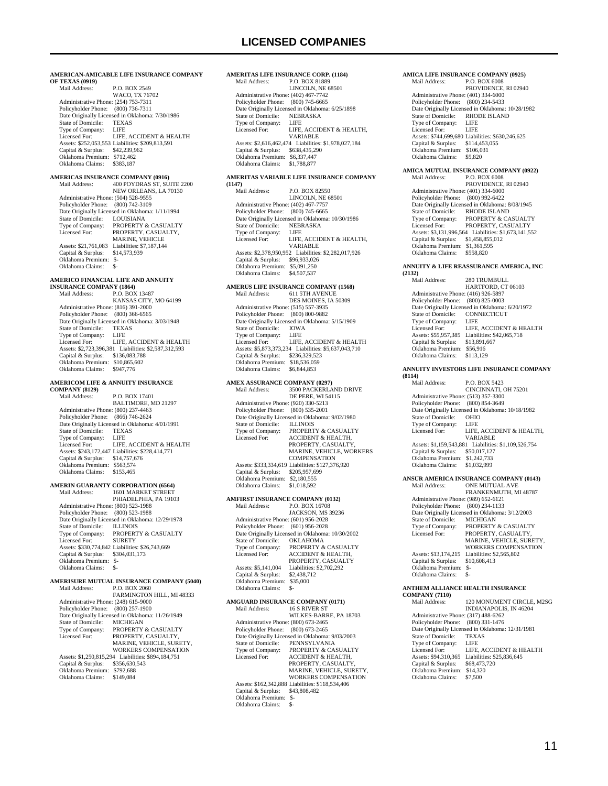#### **AMERICAN-AMICABLE LIFE INSURANCE COMPANY OF TEXAS (0919)** Mail Address: P.O. BOX 2549 WACO, TX 76702 Administrative Phone: (254) 753-7311 Policyholder Phone: (800) 736-7311 Policy Product Phone: (600) 750 7511<br>Date Originally Licensed in Oklahoma: 7/30/1986<br>State of Domicile: TEXAS State of Domicile: TEXA<br>Type of Company: LIFE Type of Company: LIFE<br>Licensed For: LIFE, ACCIDENT & HEALTH Licensed For: LIFE, ACCIDENT & HEALTH Assets: \$252,053,553 Liabilities: \$209,813,591 Capital & Surplus: \$42,239,962 Oklahoma Premium: \$712,462 Oklahoma Claims: \$383,187 **AMERICAS INSURANCE COMPANY (0916)** Mail Address: 400 POYDRAS ST, SUITE 2200 NEW ORLEANS, LA 70130 Administrative Phone: (504) 528-9555 Policyholder Phone: (800) 742-3109 Date Originally Licensed in Oklahoma: 1/11/1994 State of Domicile: LOUISIANA Type of Company: PROPERTY & CASUALTY<br>Licensed For: PROPERTY CASUALTY PROPERTY, CASUALTY, MARINE, VEHICLE Assets: \$21,761,083 Liabilities: \$7,187,144 Capital & Surplus: \$14,573,939 Oklahoma Premium: \$- Oklahoma Claims: \$- **AMERICO FINANCIAL LIFE AND ANNUITY INSURANCE COMPANY (1864)**<br>Mail Address: P.O. BOX P.O. BOX 13487 KANSAS CITY, MO 64199 Administrative Phone: (816) 391-2000 Policyholder Phone: (800) 366-6565 Date Originally Licensed in Oklahoma: 3/03/1948 State of Domicile: TEXA<br>Type of Company: LIFE Type of Company:<br>Licensed For: LIFE, ACCIDENT & HEALTH Assets: \$2,723,396,381 Liabilities: \$2,587,312,593 Capital & Surplus: \$136,083,788 Oklahoma Premium: \$10,865,602 Oklahoma Claims: \$947,776 **AMERICOM LIFE & ANNUITY INSURANCE COMPANY (8129)** P.O. BOX 17401 BALTIMORE, MD 21297 Administrative Phone: (800) 237-4463 Policyholder Phone: (866) 746-2624 Date Originally Licensed in Oklahoma: 4/01/1991 State of Domicile: TEXAS<br>Type of Company: LIFE Type of Company:<br>Licensed For: LIFE, ACCIDENT & HEALTH Assets: \$243,172,447 Liabilities: \$228,414,771 Capital & Surplus: \$14,757,676 Oklahoma Premium: \$563,574 Oklahoma Claims: \$153,465 **AMERIN GUARANTY CORPORATION (6564)**<br>Mail Address: 1601 MARKET STREET 1601 MARKET STREET PHIADELPHIA, PA 19103 Administrative Phone: (800) 523-1988 Policyholder Phone: (800) 523-1988 Pate Originally Licensed in Oklahoma: 12/29/1978<br>State of Domicile: ILLINOIS State of Domicile:<br>Type of Company: Type of Company: PROPERTY & CASUALTY<br>Licensed For: SURETY Licensed For: SURETY Assets: \$330,774,842 Liabilities: \$26,743,669 Capital & Surplus: \$304,031,173 Oklahoma Premium: \$- Oklahoma Claims: \$-**AMERISURE MUTUAL INSURANCE COMPANY (5040)**<br>Mail Address: PO BOX 2060 P.O. BOX 2060 FARMINGTON HILL, MI 48333 Administrative Phone: (248) 615-9000 Policyholder Phone: (800) 257-1900 Date Originally Licensed in Oklahoma: 11/26/1949<br>State of Domicile: MICHIGAN State of Domicile:<br>Type of Company: Type of Company: PROPERTY & CASUALTY<br>Licensed For: PROPERTY, CASUALTY, Licensed For: PROPERTY, CASUALTY, MARINE, VEHICLE, SURETY, WORKERS COMPENSATION

Assets: \$1,250,815,294 Liabilities: \$894,184,751<br>Capital & Surplus: \$356,630,543 Capital & Surplus: Oklahoma Premium: \$792,688<br>Oklahoma Claims: \$149.084 Oklahoma Claims:

#### **AMERITAS LIFE INSURANCE CORP. (1184)**<br>Mail Address: P.O. BOX 81889 P.O. BOX 81889 LINCOLN, NE 68501

 Administrative Phone: (402) 467-7742 Policyholder Phone: (800) 745-6665 Date Originally Licensed in Oklahoma: 6/25/1898<br>State of Domicile: NEBRASKA State of Domicile: Type of Company: LIFE<br>Licensed For: LIFE LIFE, ACCIDENT & HEALTH VARIABLE Assets: \$2,616,462,474 Liabilities: \$1,978,027,184 Capital & Surplus: \$638,435,290 Oklahoma Premium: \$6,337,447 Oklahoma Claims: \$1,788,877

### **AMERITAS VARIABLE LIFE INSURANCE COMPANY**

**(1147)** P.O. BOX 82550 LINCOLN, NE 68501 Administrative Phone: (402) 467-7757 Policyholder Phone: (800) 745-6665 Date Originally Licensed in Oklahoma: 10/30/1986 State of Domicile: NEBRASKA<br>Type of Company: LIFE Type of Company:<br>Licensed For: LIFE, ACCIDENT & HEALTH, VARIABLE Assets: \$2,378,950,952 Liabilities: \$2,282,017,926 Capital & Surplus: \$96,933,026 Oklahoma Premium: \$5,091,250 Oklahoma Claims: \$4,507,537

### **AMERUS LIFE INSURANCE COMPANY (1568)** Mail Address: 611 5TH AVENUE

 DES MOINES, IA 50309 Administrative Phone: (515) 557-3935 Policyholder Phone: (800) 800-9882 Date Originally Licensed in Oklahoma: 5/15/1909<br>State of Domicile: IOWA State of Domicile: IOWA<br>Type of Company: LIFE Type of Company:<br>Licensed For: LIFE, ACCIDENT & HEALTH Assets: \$5,873,373,234 Liabilities: \$5,637,043,710 Capital & Surplus: \$236,329,523 Oklahoma Premium: \$18,536,059<br>Oklahoma Claims: \$6,844,853 Oklahoma Claims:

#### **AMEX ASSURANCE COMPANY (0297)**<br>Mail Address: 3500 PACKERLA MAIL (0227)<br>3500 PACKERLAND DRIVE

|                                      | <b>DE PERE, WI 54115</b>                         |
|--------------------------------------|--------------------------------------------------|
| Administrative Phone: (920) 330-5213 |                                                  |
| Policyholder Phone: (800) 535-2001   |                                                  |
|                                      | Date Originally Licensed in Oklahoma: 9/02/1980  |
| State of Domicile:                   | <b>ILLINOIS</b>                                  |
| Type of Company:                     | <b>PROPERTY &amp; CASUALTY</b>                   |
| Licensed For:                        | <b>ACCIDENT &amp; HEALTH.</b>                    |
|                                      | PROPERTY, CASUALTY,                              |
|                                      | <b>MARINE, VEHICLE, WORKERS</b>                  |
|                                      | <b>COMPENSATION</b>                              |
|                                      | Assets: \$333,334,619 Liabilities: \$127,376,920 |
| Capital & Surplus:                   | \$205,957,699                                    |
| Oklahoma Premium:                    | \$2,180,555                                      |
| Oklahoma Claims:                     | \$1,018,592                                      |

#### **AMFIRST INSURANCE COMPANY (0132)**

| Mail Address:                        | P.O. BOX 16708                                   |
|--------------------------------------|--------------------------------------------------|
|                                      | JACKSON, MS 39236                                |
| Administrative Phone: (601) 956-2028 |                                                  |
| Policyholder Phone: (601) 956-2028   |                                                  |
|                                      | Date Originally Licensed in Oklahoma: 10/30/2002 |
| State of Domicile:                   | <b>OKLAHOMA</b>                                  |
| Type of Company:                     | PROPERTY & CASUALTY                              |
| Licensed For:                        | <b>ACCIDENT &amp; HEALTH,</b>                    |
|                                      | PROPERTY, CASUALTY                               |
| Assets: \$5,141,004                  | Liabilities: \$2,702,292                         |
| Capital & Surplus:                   | \$2,438,712                                      |
| Oklahoma Premium:                    | \$35,000                                         |
| Oklahoma Claims:                     | ፍ.                                               |
|                                      |                                                  |

#### **AMGUARD INSURANCE COMPANY (0171)**<br>Mail Address: 16 S RIVER ST 16 S RIVER ST WILKES-BARRE, PA 18703 Administrative Phone: (800) 673-2465 Policyholder Phone: (800) 673-2465 Date Originally Licensed in Oklahoma: 9/03/2003<br>State of Domicile: PENNSYLVANIA State of Domicile: PENNSYLVANIA<br>Type of Company: PROPERTY & CA! Type of Company: PROPERTY & CASUALTY<br>Licensed For: ACCIDENT & HEALTH. Licensed For: ACCIDENT & HEALTH, PROPERTY, CASUALTY, MARINE, VEHICLE, SURETY, WORKERS COMPENSATION Assets: \$162,342,888 Liabilities: \$118,534,406 Capital & Surplus: \$43,808,482 Oklahoma Premium: \$- Oklahoma Claims:

### **AMICA LIFE INSURANCE COMPANY (0925)**<br>Mail Address: P.O. BOX 6008

P.O. BOX 6008 PROVIDENCE, RI 02940 Administrative Phone: (401) 334-6000 Policyholder Phone: (800) 234-5433 Date Originally Licensed in Oklahoma: 10/28/1982<br>State of Domicile: RHODE ISLAND State of Domicile: RHOI<br>Type of Company: LIFE Type of Company: LIFE<br>Licensed For: LIFE Licensed For: Assets: \$744,699,680 Liabilities: \$630,246,625 Capital & Surplus: \$114,453,055 Oklahoma Premium: \$106,031 Oklahoma Claims: \$5,820

#### **AMICA MUTUAL INSURANCE COMPANY (0922)**<br>Mail Address: P.O. BOX 6008 P.O. BOX 6008 PROVIDENCE, RI 02940 Administrative Phone: (401) 334-6000 Policyholder Phone: (800) 992-6422 Date Originally Licensed in Oklahoma: 8/08/1945 State of Domicile: RHODE ISLAND<br>Type of Company: PROPERTY & CASUALTY Licensed For: PROPERTY, CASUALTY Assets: \$3,131,996,564 Liabilities: \$1,673,141,552 Capital & Surplus: \$1,458,855,012

#### Oklahoma Premium: \$1,361,595<br>Oklahoma Claims: \$558,820 Oklahoma Claims: \$558,820

#### **ANNUITY & LIFE REASSURANCE AMERICA, INC (2132)**

| Mail Address:                        | 280 TRUMBULL                                    |
|--------------------------------------|-------------------------------------------------|
|                                      | HARTFORD, CT 06103                              |
| Administrative Phone: (416) 926-5897 |                                                 |
| Policyholder Phone: (800) 825-0003   |                                                 |
|                                      | Date Originally Licensed in Oklahoma: 6/20/1972 |
| State of Domicile:                   | <b>CONNECTICUT</b>                              |
| Type of Company:                     | LIFE                                            |
| Licensed For:                        | LIFE. ACCIDENT & HEALTH                         |
| Assets: \$55,957,385                 | Liabilities: \$42,065,718                       |
| Capital & Surplus:                   | \$13,891,667                                    |
| Oklahoma Premium:                    | \$56,916                                        |
| Oklahoma Claims:                     | \$113.129                                       |

#### **ANNUITY INVESTORS LIFE INSURANCE COMPANY**

| (8114)                               |                                                  |
|--------------------------------------|--------------------------------------------------|
| Mail Address:                        | <b>P.O. BOX 5423</b>                             |
|                                      | CINCINNATI, OH 75201                             |
| Administrative Phone: (513) 357-3300 |                                                  |
| Policyholder Phone: (800) 854-3649   |                                                  |
|                                      | Date Originally Licensed in Oklahoma: 10/18/1982 |
| State of Domicile:                   | <b>OHIO</b>                                      |
| Type of Company:                     | <b>LIFE</b>                                      |
| Licensed For:                        | LIFE, ACCIDENT & HEALTH,                         |
|                                      | VARIARI F                                        |
| Assets: \$1,159,543,881              | Liabilities: \$1,109,526,754                     |
| Capital & Surplus:                   | \$50,017,127                                     |
| Oklahoma Premium:                    | \$1,242,733                                      |
| Oklahoma Claims:                     | \$1,032,999                                      |
|                                      |                                                  |

#### **ANSUR AMERICA INSURANCE COMPANY (0143)**

| Mail Address:                        | <b>ONE MUTUAL AVE</b>                           |
|--------------------------------------|-------------------------------------------------|
|                                      | FRANKENMUTH, MI 48787                           |
| Administrative Phone: (989) 652-6121 |                                                 |
| Policyholder Phone: (800) 234-1133   |                                                 |
|                                      | Date Originally Licensed in Oklahoma: 3/12/2003 |
| State of Domicile:                   | <b>MICHIGAN</b>                                 |
| Type of Company:                     | PROPERTY & CASUALTY                             |
| Licensed For:                        | PROPERTY, CASUALTY,                             |
|                                      | MARINE, VEHICLE, SURETY,                        |
|                                      | <b>WORKERS COMPENSATION</b>                     |
| Assets: \$13,174,215                 | Liabilities: \$2,565,802                        |
| Capital & Surplus:                   | \$10,608,413                                    |
| Oklahoma Premium:                    | $S-$                                            |
| Oklahoma Claims:                     | \$-                                             |
|                                      |                                                 |

#### **ANTHEM ALLIANCE HEALTH INSURANCE**

| <b>COMPANY (7110)</b>                |                                                  |  |
|--------------------------------------|--------------------------------------------------|--|
| Mail Address:                        | 120 MONUMENT CIRCLE, M2SG                        |  |
|                                      | INDIANAPOLIS, IN 46204                           |  |
| Administrative Phone: (317) 488-6262 |                                                  |  |
| Policyholder Phone: (800) 331-1476   |                                                  |  |
|                                      | Date Originally Licensed in Oklahoma: 12/31/1981 |  |
| State of Domicile:                   | <b>TEXAS</b>                                     |  |
| Type of Company:                     | LIFE                                             |  |
| Licensed For:                        | LIFE. ACCIDENT & HEALTH                          |  |
| Assets: \$94,310,365                 | Liabilities: \$25,836,645                        |  |
| Capital & Surplus:                   | \$68,473,720                                     |  |
| Oklahoma Premium:                    | \$14,320                                         |  |
| Oklahoma Claims:                     | \$7,500                                          |  |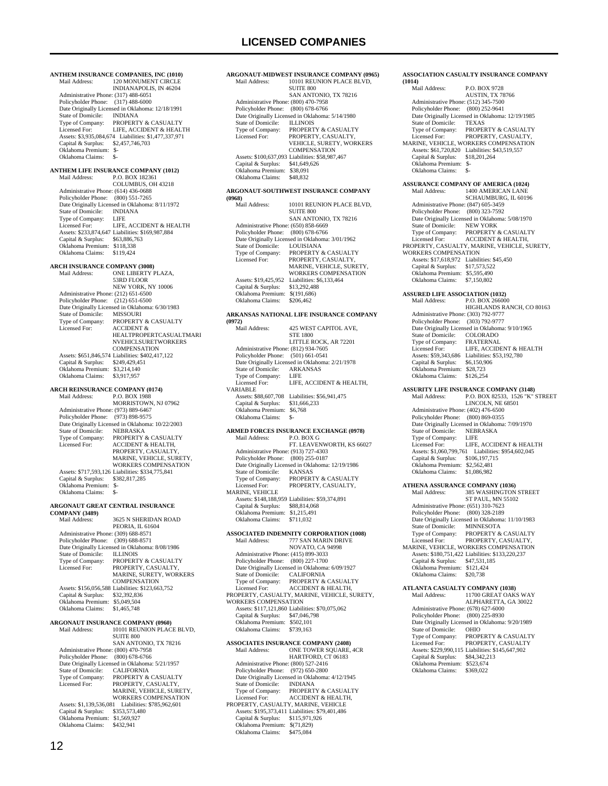**ANTHEM INSURANCE COMPANIES, INC (1010)** 120 MONUMENT CIRCLE INDIANAPOLIS, IN 46204 Administrative Phone: (317) 488-6051 Policyholder Phone: (317) 488-6000 Date Originally Licensed in Oklahoma: 12/18/1991<br>State of Domicile: INDIANA State of Domicile:<br>Type of Company: PROPERTY & CASUALTY Licensed For: LIFE, ACCIDENT & HEALTH Assets: \$3,935,084,674 Liabilities: \$1,477,337,971 Capital & Surplus: \$2,457,746,703 Oklahoma Premium: \$- Oklahoma Claims: \$-**ANTHEM LIFE INSURANCE COMPANY (1012)**<br>Mail Address: P.O. BOX 182361 P.O. BOX 182361 COLUMBUS, OH 43218 Administrative Phone: (614) 436-0688 Policyholder Phone: (800) 551-7265 Date Originally Licensed in Oklahoma: 8/11/1972 State of Domicile: INDIANA<br>Type of Company: LIFE Type of Company:<br>Licensed For: LIFE, ACCIDENT & HEALTH Assets: \$233,874,647 Liabilities: \$169,987,884 Capital & Surplus: \$63,886,763 Oklahoma Premium: \$118,338 Oklahoma Claims: \$119,424 **ARCH INSURANCE COMPANY (3008)** Mail Address: ONE LIBERTY PLAZA, 53RD FLOOR NEW YORK, NY 10006 Administrative Phone: (212) 651-6500 Policyholder Phone: (212) 651-6500 Date Originally Licensed in Oklahoma: 6/30/1983<br>State of Domicile: MISSOURI State of Domicile:<br>Type of Company: PROPERTY & CASUALTY Licensed For: ACCIDENT & HEALTPROPERTCASUALTMARI NVEHICLSURETWORKERS COMPENSATION Assets: \$651,846,574 Liabilities: \$402,417,122 Capital & Surplus: \$249,429,451 Oklahoma Premium: \$3,214,140 Oklahoma Claims: \$3,917,957 **ARCH REINSURANCE COMPANY (0174)** P.O. BOX 1988 MORRISTOWN, NJ 07962 Administrative Phone: (973) 889-6467 Policyholder Phone: (973) 898-9575 Date Originally Licensed in Oklahoma: 10/22/2003<br>State of Domicile: NEBRASKA State of Domicile:<br>Type of Company: Type of Company: PROPERTY & CASUALTY<br>Licensed For: ACCIDENT & HEALTH, Licensed For: ACCIDENT & HEALTH, PROPERTY, CASUALTY, MARINE, VEHICLE, SURETY, WORKERS COMPENSATION Assets: \$717,593,126 Liabilities: \$334,775,841 Capital & Surplus: \$382,817,285 Oklahoma Premium: \$- Oklahoma Claims: \$-**ARGONAUT GREAT CENTRAL INSURANCE COMPANY (3489)** Mail Address: 3625 N SHERIDAN ROAD PEORIA, IL 61604 Administrative Phone: (309) 688-8571 Policyholder Phone: (309) 688-8571 Date Originally Licensed in Oklahoma: 8/08/1986<br>State of Domicile: ILLINOIS State of Domicile:<br>Type of Company: Type of Company: PROPERTY & CASUALTY<br>Licensed For: PROPERTY, CASUALTY, Licensed For: PROPERTY, CASUALTY, MARINE, SURETY, WORKERS **COMPENSATION**  Assets: \$156,056,588 Liabilities: \$123,663,752 Capital & Surplus: \$32,392,836 Oklahoma Premium: \$5,049,504 Oklahoma Claims: \$1,465,748 **ARGONAUT INSURANCE COMPANY (0960)** Mail Address: 10101 REUNION PLACE BLVD, SUITE 800 SAN ANTONIO, TX 78216 Administrative Phone: (800) 470-7958 Policyholder Phone: (800) 678-6766 Date Originally Licensed in Oklahoma: 5/21/1957 State of Domicile: CALIFORNIA<br>Type of Company: PROPERTY & Type of Company: PROPERTY & CASUALTY Licensed For: PROPERTY, CASUALTY, MARINE, VEHICLE, SURETY, WORKERS COMPENSATION Assets: \$1,139,536,081 Liabilities: \$785,962,601 Capital & Surplus: \$353,573,480 Oklahoma Premium: \$1,569,927 Oklahoma Claims: \$432,941

#### **ARGONAUT-MIDWEST INSURANCE COMPANY (0965)** 10101 REUNION PLACE BLVD, SUITE 800 SAN ANTONIO, TX 78216 Administrative Phone: (800) 470-7958 Policyholder Phone: (800) 678-6766 Date Originally Licensed in Oklahoma: 5/14/1980<br>State of Domicile: ILLINOIS State of Domicile:<br>Type of Company: Type of Company: PROPERTY & CASUALTY<br>Licensed For: PROPERTY, CASUALTY, PROPERTY, CASUALTY VEHICLE, SURETY, WORKERS COMPENSATION Assets: \$100,637,093 Liabilities: \$58,987,467 Capital & Surplus: \$41,649,626 Oklahoma Premium: \$38,091 Oklahoma Claims: \$48,832 **ARGONAUT-SOUTHWEST INSURANCE COMPANY (0968)** 10101 REUNION PLACE BLVD, SUITE 800

|                                      | SAN ANTONIO, TX 78216                           |
|--------------------------------------|-------------------------------------------------|
| Administrative Phone: (650) 858-6669 |                                                 |
| Policyholder Phone: (800) 678-6766   |                                                 |
|                                      | Date Originally Licensed in Oklahoma: 3/01/1962 |
| State of Domicile:                   | <b>LOUISIANA</b>                                |
| Type of Company:                     | <b>PROPERTY &amp; CASUALTY</b>                  |
| Licensed For:                        | PROPERTY, CASUALTY,                             |
|                                      | MARINE, VEHICLE, SURETY,                        |
|                                      | WORKERS COMPENSATION                            |
| Assets: \$19,425,952                 | Liabilities: \$6,133,464                        |
| Capital & Surplus:                   | \$13,292,488                                    |
| Oklahoma Premium:                    | \$(191,686)                                     |
| Oklahoma Claims:                     | \$206.462                                       |

#### **ARKANSAS NATIONAL LIFE INSURANCE COMPANY**

| (0972)                               |                                                 |  |
|--------------------------------------|-------------------------------------------------|--|
| Mail Address:                        | 425 WEST CAPITOL AVE.                           |  |
|                                      | <b>STE 1800</b>                                 |  |
|                                      | LITTLE ROCK, AR 72201                           |  |
| Administrative Phone: (812) 934-7605 |                                                 |  |
| Policyholder Phone: (501) 661-0541   |                                                 |  |
|                                      | Date Originally Licensed in Oklahoma: 2/21/1978 |  |
| State of Domicile:                   | ARKANSAS                                        |  |
| Type of Company:                     | LIFE                                            |  |
| Licensed For:                        | LIFE, ACCIDENT & HEALTH,                        |  |
| VARIABLE                             |                                                 |  |
| Assets: \$88,607,708                 | Liabilities: \$56,941,475                       |  |
| Capital & Surplus:                   | \$31,666,233                                    |  |
| Oklahoma Premium:                    | \$6,768                                         |  |
| Oklahoma Claims:                     | \$-                                             |  |

### **ARMED FORCES INSURANCE EXCHANGE (0978)**

| Mail Address:                        | <b>POROXG</b>                                    |
|--------------------------------------|--------------------------------------------------|
|                                      | FT. LEAVENWORTH, KS 66027                        |
| Administrative Phone: (913) 727-4303 |                                                  |
| Policyholder Phone:                  | $(800)$ 255-0187                                 |
|                                      | Date Originally Licensed in Oklahoma: 12/19/1986 |
| State of Domicile:                   | <b>KANSAS</b>                                    |
| Type of Company:                     | PROPERTY & CASUALTY                              |
| Licensed For:                        | PROPERTY, CASUALTY,                              |
| MARINE. VEHICLE                      |                                                  |
|                                      | Assets: \$148,188,959 Liabilities: \$59,374,891  |
| Capital & Surplus:                   | \$88,814,068                                     |
| Oklahoma Premium:                    | \$1,215,491                                      |
| Oklahoma Claims:                     | \$711.032                                        |
|                                      |                                                  |

### **ASSOCIATED INDEMNITY CORPORATION (1008)**

| Mail Address:                        | 777 SAN MARIN DRIVE                             |
|--------------------------------------|-------------------------------------------------|
|                                      | NOVATO, CA 94998                                |
| Administrative Phone: (415) 899-3033 |                                                 |
| Policyholder Phone: (800) 227-1700   |                                                 |
|                                      | Date Originally Licensed in Oklahoma: 6/09/1927 |
| State of Domicile: CALIFORNIA        |                                                 |
|                                      | Type of Company: PROPERTY & CASUALTY            |
| Licensed For:                        | ACCIDENT & HEALTH,                              |
|                                      | PROPERTY, CASUALTY, MARINE, VEHICLE, SURETY,    |
| WORKERS COMPENSATION                 |                                                 |
|                                      | Assets: \$117,121,860 Liabilities: \$70,075,062 |
| Capital & Surplus: \$47,046,798      |                                                 |
| Oklahoma Premium: \$502.101          |                                                 |
| Oklahoma Claims:                     | \$739.163                                       |
|                                      |                                                 |
|                                      | <b>ASSOCIATES INSURANCE COMPANY (2408)</b>      |

**ASSOCIATES INSURANCE COMPANY (2408)** Mail Address: ONE TOWER SQUARE, 4CR HARTFORD, CT 06183 Administrative Phone: (800) 527-2416 Policyholder Phone: (972) 650-2800 Date Originally Licensed in Oklahoma: 4/12/1945 State of Domicile: INDIANA Type of Company: PROPERTY & CASUALTY<br>Licensed For: ACCIDENT & HEALTH. ACCIDENT & HEALTH, PROPERTY, CASUALTY, MARINE, VEHICLE Assets: \$195,373,411 Liabilities: \$79,401,486 Capital & Surplus: \$115,971,926 Oklahoma Premium: \$(71,829) Oklahoma Claims: \$475,084

#### **ASSOCIATION CASUALTY INSURANCE COMPANY (1014)** Mail Address: P.O. BOX 9728

|  |                                                                              | AUSTIN, TX 78766                                                  |
|--|------------------------------------------------------------------------------|-------------------------------------------------------------------|
|  | Administrative Phone: (512) 345-7500                                         |                                                                   |
|  | Policyholder Phone:                                                          | $(800)$ 252-9641                                                  |
|  |                                                                              | Date Originally Licensed in Oklahoma: 12/19/1985                  |
|  | State of Domicile:                                                           | <b>TEXAS</b>                                                      |
|  | Type of Company:                                                             | PROPERTY & CASUALTY                                               |
|  | Licensed For:                                                                | PROPERTY, CASUALTY,                                               |
|  |                                                                              | MARINE, VEHICLE, WORKERS COMPENSATION                             |
|  | Capital & Surplus:                                                           | Assets: \$61,720,820 Liabilities: \$43,519,557<br>\$18,201,264    |
|  | Oklahoma Premium: \$-                                                        |                                                                   |
|  | Oklahoma Claims:                                                             | \$-                                                               |
|  |                                                                              |                                                                   |
|  |                                                                              | <b>ASSURANCE COMPANY OF AMERICA (1024)</b>                        |
|  | Mail Address:                                                                | 1400 AMERICAN LANE                                                |
|  |                                                                              | SCHAUMBURG, IL 60196                                              |
|  | Administrative Phone: (847) 605-3459                                         |                                                                   |
|  | Policyholder Phone:                                                          | (800) 323-7592<br>Date Originally Licensed in Oklahoma: 5/08/1970 |
|  | State of Domicile:                                                           | NEW YORK                                                          |
|  | Type of Company:                                                             |                                                                   |
|  | Licensed For:                                                                | PROPERTY & CASUALTY ACCIDENT & HEALTH,                            |
|  |                                                                              | PROPERTY, CASUALTY, MARINE, VEHICLE, SURETY,                      |
|  | WORKERS COMPENSATION                                                         |                                                                   |
|  | Assets: \$17,618,972 Liabilities: \$45,450                                   |                                                                   |
|  | Capital & Surplus: \$17,573,522                                              |                                                                   |
|  | Oklahoma Premium: \$5,595,490                                                |                                                                   |
|  | Oklahoma Claims:                                                             | \$7,150,802                                                       |
|  | <b>ASSURED LIFE ASSOCIATION (1032)</b>                                       |                                                                   |
|  | Mail Address:                                                                | P.O. BOX 266000                                                   |
|  |                                                                              | HIGHLANDS RANCH, CO 80163                                         |
|  | Administrative Phone: (303) 792-9777                                         |                                                                   |
|  | Policyholder Phone: (303) 792-9777                                           |                                                                   |
|  |                                                                              | Date Originally Licensed in Oklahoma: 9/10/1965                   |
|  | State of Domicile:                                                           | COLORADO                                                          |
|  | Type of Company:<br>Licensed For:                                            | <b>FRATERNAL</b><br>LIFE, ACCIDENT & HEALTH                       |
|  |                                                                              | Assets: \$59,343,686 Liabilities: \$53,192,780                    |
|  | Capital & Surplus: \$6,150,906                                               |                                                                   |
|  | Oklahoma Premium: \$28,723                                                   |                                                                   |
|  | Oklahoma Claims:                                                             | \$126,254                                                         |
|  |                                                                              |                                                                   |
|  |                                                                              |                                                                   |
|  |                                                                              | <b>ASSURITY LIFE INSURANCE COMPANY (3148)</b>                     |
|  | Mail Address:                                                                | P.O. BOX 82533, 1526 "K" STREET                                   |
|  |                                                                              | LINCOLN, NE 68501                                                 |
|  | Administrative Phone: (402) 476-6500                                         |                                                                   |
|  | Policyholder Phone: (800) 869-0355                                           |                                                                   |
|  |                                                                              | Date Originally Licensed in Oklahoma: 7/09/1970                   |
|  | State of Domicile:                                                           | <b>NEBRASKA</b>                                                   |
|  | Type of Company:<br>Licensed For:                                            | LIFE<br>LIFE, ACCIDENT & HEALTH                                   |
|  |                                                                              | Assets: \$1,060,799,761 Liabilities: \$954,602,045                |
|  | Capital & Surplus: \$106,197,715                                             |                                                                   |
|  | Oklahoma Premium: \$2,562,481                                                |                                                                   |
|  | Oklahoma Claims:                                                             | \$1,086,982                                                       |
|  |                                                                              |                                                                   |
|  | ATHENA ASSURANCE COMPANY (1036)                                              |                                                                   |
|  | Mail Address:                                                                | 385 WASHINGTON STREET                                             |
|  |                                                                              | <b>ST PAUL, MN 55102</b>                                          |
|  | Administrative Phone: (651) 310-7623<br>Policyholder Phone:                  | (800) 328-2189                                                    |
|  |                                                                              | Date Originally Licensed in Oklahoma: 11/10/1983                  |
|  |                                                                              |                                                                   |
|  |                                                                              | PROPERTY & CASUALTY                                               |
|  | State of Domicile: MINNESOTA<br>Type of Company: PROPERTY &<br>Licensed For: | PROPERTY, CASUALTY,                                               |
|  |                                                                              | MARINE, VEHICLE, WORKERS COMPENSATION                             |
|  |                                                                              | Assets: \$180,751,422 Liabilities: \$133,220,237                  |
|  | Capital & Surplus:                                                           | \$47,531,185                                                      |
|  | Oklahoma Premium:<br>Oklahoma Claims:                                        | \$121,424                                                         |
|  |                                                                              | \$20,738                                                          |
|  |                                                                              |                                                                   |
|  | ATLANTA CASUALTY COMPANY (1038)<br>Mail Address:                             | 11700 GREAT OAKS WAY                                              |
|  |                                                                              | ALPHARETTA, GA 30022                                              |
|  | Administrative Phone: (678) 627-6000                                         |                                                                   |
|  | Policyholder Phone:                                                          | $(800)$ 225-8930                                                  |
|  |                                                                              | Date Originally Licensed in Oklahoma: 9/20/1989                   |
|  | State of Domicile:                                                           | OHIO                                                              |
|  | Type of Company:                                                             | PROPERTY & CASUALTY                                               |
|  | Licensed For:                                                                | PROPERTY, CASUALTY                                                |
|  | Capital & Surplus: \$84,342,213                                              | Assets: \$229,990,115 Liabilities: \$145,647,902                  |
|  | Oklahoma Premium: \$523,674<br>Oklahoma Claims:                              | \$369,022                                                         |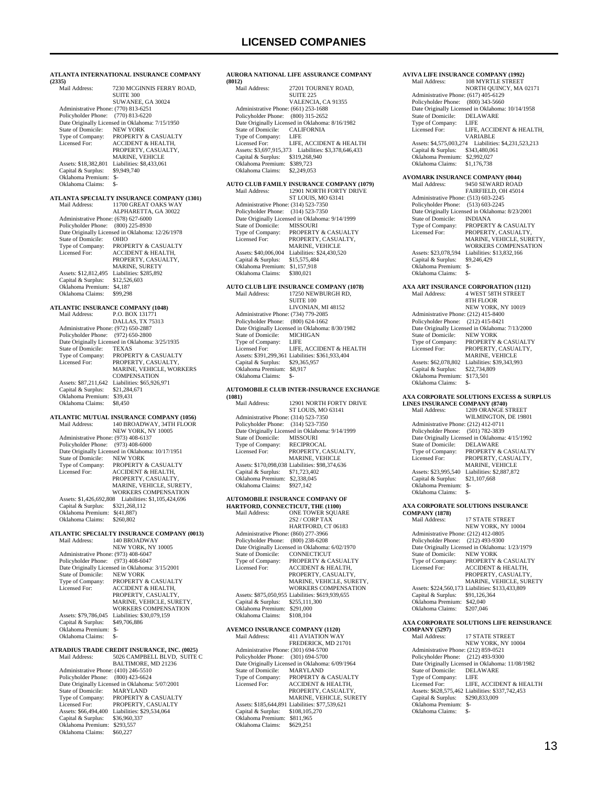| (2335)                                                                                                                                       | ATLANTA INTERNATIONAL INSURANCE COMPANY                                                                                                                                                                               |
|----------------------------------------------------------------------------------------------------------------------------------------------|-----------------------------------------------------------------------------------------------------------------------------------------------------------------------------------------------------------------------|
| Mail Address:                                                                                                                                | 7230 MCGINNIS FERRY ROAD,<br>SUITE 300<br>SUWANEE, GA 30024                                                                                                                                                           |
| Administrative Phone: (770) 813-6251<br>Policyholder Phone:<br>State of Domicile:                                                            | $(770)$ 813-6220<br>Date Originally Licensed in Oklahoma: 7/15/1950<br><b>NEW YORK</b>                                                                                                                                |
| Type of Company:<br>Licensed For:                                                                                                            | PROPERTY & CASUALTY<br><b>ACCIDENT &amp; HEALTH,</b><br>PROPERTY, CASUALTY,<br>MARINE, VEHICLE                                                                                                                        |
| Assets: \$18,382,801<br>Capital & Surplus:<br>Oklahoma Premium:<br>Oklahoma Claims:                                                          | Liabilities: \$8,433,061<br>\$9,949,740<br>\$-<br>\$-                                                                                                                                                                 |
| Mail Address:                                                                                                                                | ATLANTA SPECIALTY INSURANCE COMPANY (1301)<br>11700 GREAT OAKS WAY<br>ALPHARETTA, GA 30022                                                                                                                            |
| Administrative Phone: (678) 627-6000<br>Policyholder Phone:<br>State of Domicile:<br>Type of Company:<br>Licensed For:                       | $(800)$ 225-8930<br>Date Originally Licensed in Oklahoma: 12/26/1978<br>OHIO<br>PROPERTY & CASUALTY<br><b>ACCIDENT &amp; HEALTH,</b><br>PROPERTY, CASUALTY,                                                           |
| Assets: \$12,812,495<br>Capital & Surplus:<br>Oklahoma Premium:<br>Oklahoma Claims:                                                          | <b>MARINE, SURETY</b><br>Liabilities: \$285,892<br>\$12,526,603<br>\$4,187<br>\$99,298                                                                                                                                |
| <b>ATLANTIC INSURANCE COMPANY (1048)</b><br>Mail Address:                                                                                    | P.O. BOX 131771<br>DALLAS, TX 75313                                                                                                                                                                                   |
| Administrative Phone: (972) 650-2887<br>Policyholder Phone:<br>State of Domicile:<br>Type of Company:<br>Licensed For:                       | $(972) 650 - 2800$<br>Date Originally Licensed in Oklahoma: 3/25/1935<br><b>TEXAS</b><br>PROPERTY & CASUALTY<br>PROPERTY, CASUALTY,<br>MARINE, VEHICLE, WORKERS                                                       |
| Assets: \$87,211,642<br>Capital & Surplus:<br>Oklahoma Premium:<br>Oklahoma Claims:                                                          | COMPENSATION<br>Liabilities: \$65,926,971<br>\$21,284,671<br>\$39,431<br>\$8,450                                                                                                                                      |
| Mail Address:                                                                                                                                | ATLANTIC MUTUAL INSURANCE COMPANY (1056)<br>140 BROADWAY, 34TH FLOOR<br>NEW YORK, NY 10005                                                                                                                            |
| Administrative Phone: (973) 408-6137<br>Policyholder Phone:<br>State of Domicile:<br>Type of Company:<br>Licensed For:                       | $(973)$ 408-6000<br>Date Originally Licensed in Oklahoma: 10/17/1951<br><b>NEW YORK</b><br>PROPERTY & CASUALTY<br><b>ACCIDENT &amp; HEALTH,</b><br>PROPERTY, CASUALTY,<br>MARINE, VEHICLE, SURETY,                    |
| Assets: \$1,426,692,808<br>Capital & Surplus:<br>Oklahoma Premium:<br>Oklahoma Claims:                                                       | <b>WORKERS COMPENSATION</b><br>Liabilities: \$1,105,424,696<br>\$321,268,112<br>\$(41,887)<br>\$260,802                                                                                                               |
| Mail Address:                                                                                                                                | ATLANTIC SPECIALTY INSURANCE COMPANY (0013)<br>140 BROADWAY<br>NEW YORK, NY 10005                                                                                                                                     |
| Administrative Phone: (973) 408-6047<br>Policyholder Phone:<br>State of Domicile:<br>Type of Company:<br>Licensed For:                       | $(973)$ 408-6047<br>Date Originally Licensed in Oklahoma: 3/15/2001<br><b>NEW YORK</b><br>PROPERTY & CASUALTY<br><b>ACCIDENT &amp; HEALTH,</b><br>PROPERTY, CASUALTY,<br>MARINE, VEHICLE, SURETY,                     |
| Assets: \$79,786,045<br>Capital & Surplus:<br>Oklahoma Premium:<br>Oklahoma Claims:                                                          | <b>WORKERS COMPENSATION</b><br>Liabilities: \$30,079,159<br>\$49,706,886<br>$S-$<br>\$-                                                                                                                               |
| Mail Address:                                                                                                                                | ATRADIUS TRADE CREDIT INSURANCE, INC. (0025)<br>5026 CAMPBELL BLVD, SUITE C                                                                                                                                           |
| Administrative Phone: (410) 246-5510<br>Policyholder Phone:<br>State of Domicile:<br>Type of Company:<br>Licensed For:<br>Capital & Surplus: | BALTIMORE, MD 21236<br>$(800)$ 423-6624<br>Date Originally Licensed in Oklahoma: 5/07/2001<br>MARYLAND<br>PROPERTY & CASUALTY<br>PROPERTY, CASUALTY<br>Assets: \$66,494,400 Liabilities: \$29,534,064<br>\$36,960,337 |
| Oklahoma Premium: \$293,557                                                                                                                  |                                                                                                                                                                                                                       |

Oklahoma Claims: \$60,227

#### **AURORA NATIONAL LIFE ASSURANCE COMPANY (8012)** 27201 TOURNEY ROAD, SUITE 225 VALENCIA, CA 91355 Administrative Phone: (661) 253-1688 Policyholder Phone: (800) 315-2652 Date Originally Licensed in Oklahoma: 8/16/1982<br>State of Domicile: CALIFORNIA State of Domicile: CALI<br>Type of Company: LIFE Type of Company: Licensed For: LIFE, ACCIDENT & HEALTH Assets: \$3,697,915,373 Liabilities: \$3,378,646,433 Capital & Surplus: \$319,268,940 Oklahoma Premium: \$389,723 Oklahoma Claims: \$2,249,053 **AUTO CLUB FAMILY INSURANCE COMPANY (1079)** 12901 NORTH FORTY DRIVE ST LOUIS, MO 63141 Administrative Phone: (314) 523-7350 Policyholder Phone: (314) 523-7350 Pate Originally Licensed in Oklahoma: 9/14/1999<br>State of Domicile: MISSOURI State of Domicile:<br>Type of Company: Type of Company: PROPERTY & CASUALTY<br>Licensed For: PROPERTY, CASUALTY, PROPERTY, CASUALTY, MARINE, VEHICLE Assets: \$40,006,004 Liabilities: \$24,430,520 Capital & Surplus: \$15,575,484 Oklahoma Premium: \$1,157,918<br>Oklahoma Claims: \$380,021 Oklahoma Claims: **AUTO CLUB LIFE INSURANCE COMPANY (1078)** Mail Address: 17250 NEWBURGH RD, SUITE 100 LIVONIAN, MI 48152 Administrative Phone: (734) 779-2085 Policyholder Phone: (800) 624-1662 Date Originally Licensed in Oklahoma: 8/30/1982<br>State of Domicile: MICHIGAN State of Domicile: MICH<br>Type of Company: LIFE Type of Company:<br>Licensed For: LIFE, ACCIDENT & HEALTH Assets: \$391,299,361 Liabilities: \$361,933,404 Capital & Surplus: \$29,365,957 Oklahoma Premium: \$8,917 Oklahoma Claims: \$- **AUTOMOBILE CLUB INTER-INSURANCE EXCHANGE (1081)** 12901 NORTH FORTY DRIVE ST LOUIS, MO 63141 Administrative Phone: (314) 523-7350 Policyholder Phone: (314) 523-7350 Date Originally Licensed in Oklahoma: 9/14/1999<br>State of Domicile: MISSOURI State of Domicile: MISSOURI<br>Type of Company: RECIPROCAL Type of Company:<br>Licensed For: PROPERTY, CASUALTY, MARINE, VEHICLE Assets: \$170,098,038 Liabilities: \$98,374,636 Capital & Surplus: \$71,723,402 Oklahoma Premium: \$2,338,045 Oklahoma Claims: \$927,142 **AUTOMOBILE INSURANCE COMPANY OF HARTFORD, CONNECTICUT, THE (1100)**<br>Mail Address: ONE TOWER SQUAL ONE TOWER SQUARE 2S2 / CORP TAX HARTFORD, CT 06183 Administrative Phone: (860) 277-3966 Policyholder Phone: (800) 238-6208 Date Originally Licensed in Oklahoma: 6/02/1970<br>State of Domicile: CONNECTICUT State of Domicile:<br>Type of Company: Type of Company: PROPERTY & CASUALTY<br>Licensed For: ACCIDENT & HEALTH, Licensed For: ACCIDENT & HEALTH, PROPERTY, CASUALTY, MARINE, VEHICLE, SURETY, WORKERS COMPENSATION Assets: \$875,050,955 Liabilities: \$619,939,655 Capital & Surplus: \$255,111,300 Oklahoma Premium: \$291,000 Oklahoma Claims: \$108,104 **AVEMCO INSURANCE COMPANY (1120)** 411 AVIATION WAY FREDERICK, MD 21701 Administrative Phone: (301) 694-5700 Policyholder Phone: (301) 694-5700

| Policyholder Phone: | $(301)$ 694-5700                                |
|---------------------|-------------------------------------------------|
|                     | Date Originally Licensed in Oklahoma: 6/09/1964 |
| State of Domicile:  | <b>MARYLAND</b>                                 |
| Type of Company:    | PROPERTY & CASUALTY                             |
| Licensed For:       | <b>ACCIDENT &amp; HEALTH,</b>                   |
|                     | PROPERTY, CASUALTY,                             |
|                     | MARINE, VEHICLE, SURETY                         |
|                     | Assets: \$185,644,891 Liabilities: \$77,539,621 |
| Capital & Surplus:  | \$108,105,270                                   |
| Oklahoma Premium:   | \$811,965                                       |
| Oklahoma Claims:    | \$629.251                                       |
|                     |                                                 |

#### Policyholder Phone: (800) 343-5660 Date Originally Licensed in Oklahoma: 10/14/1958<br>State of Domicile: DELAWARE State of Domicile: DELA<br>Type of Company: LIFE Type of Company:<br>Licensed For: LIFE, ACCIDENT & HEALTH VARIABLE Assets: \$4,575,003,274 Liabilities: \$4,231,523,213 Capital & Surplus: \$343,480,061 Oklahoma Premium: \$2,992,027 Oklahoma Claims: \$1,176,738 **AVOMARK INSURANCE COMPANY (0044)** MAIL (0044) FAIRFIELD, OH 45014 Administrative Phone: (513) 603-2245 Policyholder Phone: (513) 603-2245 Date Originally Licensed in Oklahoma: 8/23/2001 State of Domicile: INDIANA Type of Company: PROPERTY & CASUALTY<br>Licensed For: PROPERTY, CASUALTY. PROPERTY, CASUALTY, MARINE, VEHICLE, SURETY, WORKERS COMPENSATION Assets: \$23,078,594 Liabilities: \$13,832,166 Capital & Surplus: \$9,246,429 Oklahoma Premium: \$- Oklahoma Claims: **AXA ART INSURANCE CORPORATION (1121)** Mail Address: 4 WEST 58TH STREET 8TH FLOOR NEW YORK, NY 10019 Administrative Phone: (212) 415-8400 Policyholder Phone: (212) 415-8421 Date Originally Licensed in Oklahoma: 7/13/2000<br>State of Domicile: NEW YORK State of Domicile:<br>Type of Company:<br>Licensed For: PROPERTY & CASUALTY PROPERTY, CASUALTY, MARINE, VEHICLE Assets: \$62,078,802 Liabilities: \$39,343,993<br>Capital & Surplus: \$22,734,809 Capital & Surplus: Oklahoma Premium: \$173,501 Oklahoma Claims: \$-

**AVIVA LIFE INSURANCE COMPANY (1992)**

Administrative Phone: (617) 405-6129

108 MYRTLE STREET NORTH QUINCY, MA 02171

### **AXA CORPORATE SOLUTIONS EXCESS & SURPLUS**

| <b>LINES INSURANCE COMPANY (8740)</b> |                                                 |  |
|---------------------------------------|-------------------------------------------------|--|
| Mail Address:                         | 1209 ORANGE STREET                              |  |
|                                       | WILMINGTON, DE 19801                            |  |
| Administrative Phone: (212) 412-0711  |                                                 |  |
| Policyholder Phone: (501) 782-3839    |                                                 |  |
|                                       | Date Originally Licensed in Oklahoma: 4/15/1992 |  |
| State of Domicile:                    | <b>DELAWARE</b>                                 |  |
| Type of Company:                      | <b>PROPERTY &amp; CASUALTY</b>                  |  |
| Licensed For:                         | PROPERTY, CASUALTY,                             |  |
|                                       | <b>MARINE, VEHICLE</b>                          |  |
| Assets: \$23,995,540                  | Liabilities: \$2,887,872                        |  |
| Capital & Surplus:                    | \$21,107,668                                    |  |
| Oklahoma Premium:                     | \$-                                             |  |
| Oklahoma Claims:                      | \$-                                             |  |

### **AXA CORPORATE SOLUTIONS INSURANCE**

| <b>COMPANY (1878)</b>                |                                                  |
|--------------------------------------|--------------------------------------------------|
| Mail Address:                        | <b>17 STATE STREET</b>                           |
|                                      | NEW YORK, NY 10004                               |
| Administrative Phone: (212) 412-0805 |                                                  |
| Policyholder Phone:                  | $(212)$ 493-9300                                 |
|                                      | Date Originally Licensed in Oklahoma: 1/23/1979  |
| State of Domicile:                   | <b>NEW YORK</b>                                  |
| Type of Company:                     | PROPERTY & CASUALTY                              |
| Licensed For:                        | <b>ACCIDENT &amp; HEALTH.</b>                    |
|                                      | PROPERTY, CASUALTY,                              |
|                                      | <b>MARINE, VEHICLE, SURETY</b>                   |
|                                      | Assets: \$224,560,173 Liabilities: \$133,433,809 |
| Capital & Surplus:                   | \$91.126.364                                     |
| Oklahoma Premium:                    | \$42,040                                         |
| Oklahoma Claims:                     | \$207,046                                        |
|                                      |                                                  |

### **AXA CORPORATE SOLUTIONS LIFE REINSURANCE**

**COMPANY (5297)**<br>Mail Address: 17 STATE STREET NEW YORK, NY 10004 Administrative Phone: (212) 859-0521 Policyholder Phone: (212) 493-9300 Date Originally Licensed in Oklahoma: 11/08/1982 State of Domicile: DELAWARE Type of Company: LIFE Licensed For: LIFE, ACCIDENT & HEALTH Assets: \$628,575,462 Liabilities: \$337,742,453 Capital & Surplus: \$290,833,009 Oklahoma Premium: \$- Oklahoma Claims: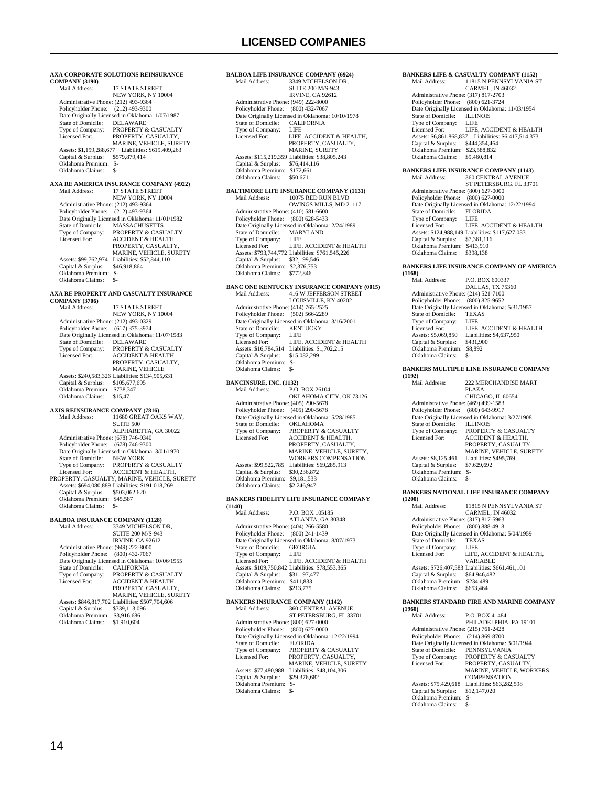**AXA CORPORATE SOLUTIONS REINSURANCE COMPANY (3190)**<br>Mail Address: 17 STATE STREET NEW YORK, NY 10004 Administrative Phone: (212) 493-9364 Policyholder Phone: (212) 493-9300 Date Originally Licensed in Oklahoma: 1/07/1987 State of Domicile: DELAWARE<br>Type of Company: PROPERTY & Type of Company: PROPERTY & CASUALTY<br>Licensed For: PROPERTY, CASUALTY, Licensed For: PROPERTY, CASUALTY, MARINE, VEHICLE, SURETY Assets: \$1,199,288,677 Liabilities: \$619,409,263 Capital & Surplus: \$579,879,414 Oklahoma Premium: \$- Oklahoma Claims: **AXA RE AMERICA INSURANCE COMPANY (4922)**<br>Mail Address: 17 STATE STREET 17 STATE STREET NEW YORK, NY 10004 Administrative Phone: (212) 493-9364 Policyholder Phone: (212) 493-9364 Patte Originally Licensed in Oklahoma: 11/01/1982<br>State of Domicile: MASSACHUSETTS State of Domicile: MASSACHUSETTS<br>Type of Company: PROPERTY & CASI<br>Licensed For: ACCIDENT & HEAI Type of Company: PROPERTY & CASUALTY<br>Licensed For: ACCIDENT & HEALTH, PROPERTY, CASUALTY, MARINE, VEHICLE, SURETY Assets: \$99,762,974 Liabilities: \$52,844,110<br>Capital & Surplus: \$46,918,864 Capital & Surplus: Oklahoma Premium: \$- Oklahoma Claims: **AXA RE PROPERTY AND CASUALTY INSURANCE COMPANY (3706)** Mail Address: 17 STATE STREET NEW YORK, NY 10004 Administrative Phone: (212) 493-0329 Policyholder Phone: (617) 375-3974 Date Originally Licensed in Oklahoma: 11/07/1983 State of Domicile:<br>Type of Company: Type of Company: PROPERTY & CASUALTY<br>Licensed For: ACCIDENT & HEALTH. ACCIDENT & HEALTH. PROPERTY, CASUALTY, MARINE, VEHICLE Assets: \$240,583,326 Liabilities: \$134,905,631 Capital & Surplus: \$105,677,695 Oklahoma Premium: \$738,347 Oklahoma Claims: \$15,471 **AXIS REINSURANCE COMPANY (7816)** 11680 GREAT OAKS WAY,  $S$ UITE  $500$  ALPHARETTA, GA 30022 Administrative Phone: (678) 746-9340 Policyholder Phone: (678) 746-9300 Patte Originally Licensed in Oklahoma: 3/01/1970<br>State of Domicile: NEW YORK State of Domicile: NEW YORK<br>Type of Company: PROPERTY & CASUALTY Type of Company: PROPERTY & CASUALTY Licensed For: ACCIDENT & HEALTH, PROPERTY, CASUALTY, MARINE, VEHICLE, SURETY Assets: \$694,080,889 Liabilities: \$191,018,269 Capital & Surplus: \$503,062,620 Oklahoma Premium: \$45,587 Oklahoma Claims: **BALBOA INSURANCE COMPANY (1128)**<br>Mail Address: 3349 MICHELSON 3349 MICHELSON DR, SUITE 200 M/S-943 IRVINE, CA 92612 Administrative Phone: (949) 222-8000 Policyholder Phone: (800) 432-7067 Date Originally Licensed in Oklahoma: 10/06/1955<br>State of Domicile: CALIFORNIA State of Domicile:

Type of Company: PROPERTY & CASUALTY<br>Licensed For: ACCIDENT & HEALTH, ACCIDENT & HEALTH, PROPERTY, CASUALTY MARINE, VEHICLE, SURETY Assets: \$846,817,702 Liabilities: \$507,704,606 Capital & Surplus: \$339,113,096 Oklahoma Premium: \$3,916,686 Oklahoma Claims: \$1,910,604

**BALBOA LIFE INSURANCE COMPANY (6924)**<br>Mail Address: 3349 MICHELSON DR. 3349 MICHELSON DR, SUITE 200 M/S-943 IRVINE, CA 92612 Administrative Phone: (949) 222-8000 Policyholder Phone: (800) 432-7067 Date Originally Licensed in Oklahoma: 10/10/1978<br>State of Domicile: CALIFORNIA State of Domicile: CALI<br>Type of Company: LIFE Type of Company:<br>Licensed For: LIFE, ACCIDENT & HEALTH, PROPERTY, CASUALTY, MARINE, SURETY Assets: \$115,219,359 Liabilities: \$38,805,243 Capital & Surplus: \$76,414,116 Oklahoma Premium: \$172,661 Oklahoma Claims: \$50,671 **BALTIMORE LIFE INSURANCE COMPANY (1131)**<br>Mail Address: 10075 RED RUN BLVD 10075 RED RUN BLVD OWINGS MILLS, MD 21117 Administrative Phone: (410) 581-6600 Policyholder Phone: (800) 628-5433 Date Originally Licensed in Oklahoma: 2/24/1989<br>State of Domicile: MARYLAND State of Domicile: MARY<br>Type of Company: LIFE Type of Company: Licensed For: LIFE, ACCIDENT & HEALTH Assets: \$793,744,772 Liabilities: \$761,545,226 Capital & Surplus: \$32,199,546 Oklahoma Premium: \$2,376,753 Oklahoma Claims: \$772,846 **BANC ONE KENTUCKY INSURANCE COMPANY (0015)** Mail Address: 416 W JEFFERSON STREET LOUISVILLE, KY 40202 Administrative Phone: (414) 765-2525 Policyholder Phone: (502) 566-2289 Date Originally Licensed in Oklahoma: 3/16/2001<br>State of Domicile: KENTUCKY State of Domicile: KEN<br>Type of Company: LIFE Type of Company:<br>Licensed For: LIFE, ACCIDENT & HEALTH Assets: \$16,784,514 Liabilities: \$1,702,215 Capital & Surplus: \$15,082,299 Oklahoma Premium: \$- Oklahoma Claims: **BANCINSURE, INC. (1132)**<br>Mail Address: P.O.  $P \cap R$ OX 26104 OKLAHOMA CITY, OK 73126 Administrative Phone: (405) 290-5678 Policyholder Phone: (405) 290-5678 Pate Originally Licensed in Oklahoma: 5/28/1985<br>State of Domicile: OKLAHOMA State of Domicile: Type of Company: PROPERTY & CASUALTY<br>Licensed For: ACCIDENT & HEALTH, ACCIDENT & HEALTH, PROPERTY, CASUALTY, MARINE, VEHICLE, SURETY, WORKERS COMPENSATION Assets: \$99,522,785 Liabilities: \$69,285,913<br>Capital & Surplus: \$30,236,872 Capital & Surplus: Oklahoma Premium: \$9,181,533 Oklahoma Claims: \$2,246,947 **BANKERS FIDELITY LIFE INSURANCE COMPANY (1140)** Mail Address: P.O. BOX 105185

| внан жинсээ.                         | <b>EALINIA</b> IVILLA                           |
|--------------------------------------|-------------------------------------------------|
|                                      | ATLANTA, GA 30348                               |
| Administrative Phone: (404) 266-5580 |                                                 |
| Policyholder Phone: (800) 241-1439   |                                                 |
|                                      | Date Originally Licensed in Oklahoma: 8/07/1973 |
| State of Domicile:                   | <b>GEORGIA</b>                                  |
| Type of Company:                     | LIFE                                            |
| Licensed For:                        | LIFE. ACCIDENT & HEALTH                         |
|                                      | Assets: \$109,750,842 Liabilities: \$78,553,365 |
| Capital & Surplus:                   | \$31.197.477                                    |
| Oklahoma Premium:                    | \$411.833                                       |
| Oklahoma Claims:                     | \$213,775                                       |
|                                      |                                                 |

| <b>BANKERS INSURANCE COMPANY (1142)</b> |                                                  |  |
|-----------------------------------------|--------------------------------------------------|--|
| Mail Address:                           | 360 CENTRAL AVENUE                               |  |
|                                         | ST PETERSBURG, FL 33701                          |  |
| Administrative Phone: (800) 627-0000    |                                                  |  |
| Policyholder Phone:                     | $(800)$ 627-0000                                 |  |
|                                         | Date Originally Licensed in Oklahoma: 12/22/1994 |  |
| State of Domicile:                      | <b>FLORIDA</b>                                   |  |
| Type of Company:                        | <b>PROPERTY &amp; CASUALTY</b>                   |  |
| Licensed For:                           | PROPERTY, CASUALTY,                              |  |
|                                         | <b>MARINE, VEHICLE, SURETY</b>                   |  |
| Assets: \$77,480,988                    | Liabilities: \$48,104,306                        |  |
| Capital & Surplus:                      | \$29,376,682                                     |  |
| Oklahoma Premium:                       | $S-$                                             |  |
| Oklahoma Claims:                        | \$-                                              |  |
|                                         |                                                  |  |

### Administrative Phone: (317) 817-2703 Policyholder Phone: (800) 621-3724 Date Originally Licensed in Oklahoma: 11/03/1954 State of Domicile: ILLINOIS<br>Type of Company: LIFE<br>Licensed For: LIFE, ACCIDENT & HEALTH<br>Assets: \$6,861,868,837 Liabilities: \$6,417,514,373<br>Capital & Surplus: \$444,354,464<br>Oklahoma Premium: \$23,588,832 Oklahoma Claims: \$9,460,814 **BANKERS LIFE INSURANCE COMPANY (1143)** 360 CENTRAL AVENUE ST PETERSBURG, FL 33701 Administrative Phone: (800) 627-0000 Policyholder Phone: (800) 627-0000 Date Originally Licensed in Oklahoma: 12/22/1994 State of Domicile: FLORIDA<br>Type of Company: LIFE Type of Company: LIFE<br>Licensed For: LIFE, ACCIDENT & HEALTH Licensed For: LIFE, ACCIDENT & HEALTH Assets: \$124,988,149 Liabilities: \$117,627,033 Capital & Surplus: \$7,361,116 Oklahoma Premium: \$413,910<br>Oklahoma Claims: \$398.138 Oklahoma Claims: **BANKERS LIFE INSURANCE COMPANY OF AMERICA (1168)** P.O. BOX 600337 DALLAS, TX 75360 Administrative Phone: (214) 521-7100 Policyholder Phone: (800) 825-9652 Date Originally Licensed in Oklahoma: 5/31/1957<br>State of Domicile: TEXAS

**BANKERS LIFE & CASUALTY COMPANY (1152)**

11815 N PENNSYLVANIA ST CARMEL, IN 46032

State of Domicile:  $TEX$ <br>Type of Company:  $IEF$ Type of Company:<br>Licensed For: Licensed For: LIFE, ACCIDENT & HEALTH<br>Assets: \$5,069,850 Liabilities: \$4,637,950 Liabilities: \$4,637,950<br>\$431,900 Capital & Surplus: \$431,900 Oklahoma Premium: \$8,892 Oklahoma Claims: \$-

#### **BANKERS MULTIPLE LINE INSURANCE COMPANY**

| (1192)                               |                                                 |
|--------------------------------------|-------------------------------------------------|
| Mail Address <sup>.</sup>            | 222 MERCHANDISE MART                            |
|                                      | PLAZA                                           |
|                                      | CHICAGO, IL 60654                               |
| Administrative Phone: (469) 499-1583 |                                                 |
| Policyholder Phone: (800) 643-9917   |                                                 |
|                                      | Date Originally Licensed in Oklahoma: 3/27/1908 |
| State of Domicile:                   | <b>ILLINOIS</b>                                 |
| Type of Company:                     | PROPERTY & CASUALTY                             |
| Licensed For:                        | <b>ACCIDENT &amp; HEALTH.</b>                   |
|                                      | PROPERTY, CASUALTY,                             |
|                                      | <b>MARINE, VEHICLE, SURETY</b>                  |
| Assets: \$8,125,461                  | Liabilities: \$495.769                          |
| Capital & Surplus:                   | \$7,629,692                                     |
| Oklahoma Premium:                    | \$-                                             |
| Oklahoma Claims:                     | \$-                                             |
|                                      |                                                 |

#### **BANKERS NATIONAL LIFE INSURANCE COMPANY**

**(1200)** 11815 N PENNSYLVANIA ST CARMEL, IN 46032 Administrative Phone: (317) 817-5963 Policyholder Phone: (800) 888-4918 Date Originally Licensed in Oklahoma: 5/04/1959<br>State of Domicile: TEXAS State of Domicile: TEXA<br>Type of Company: LIFE Type of Company:<br>Licensed For: LIFE, ACCIDENT & HEALTH, VARIABLE Assets: \$726,407,583 Liabilities: \$661,461,101 Capital & Surplus: \$64,946,482 Assets. 4725, 2017.<br>Capital & Surplus: \$64,946,4<br>Oklahoma Claims: \$653,464 Oklahoma Claims:

#### **BANKERS STANDARD FIRE AND MARINE COMPANY (1960)**

 Mail Address: P.O. BOX 41484 PHILADELPHIA, PA 19101 Administrative Phone: (215) 761-2428 Policyholder Phone: (214) 869-8700 Date Originally Licensed in Oklahoma: 3/01/1944 State of Domicile: PENNSYLVANIA Type of Company: PROPERTY & CASUALTY Licensed For: PROPERTY, CASUALTY, MARINE, VEHICLE, WORKERS **COMPENSATION**  Assets: \$75,429,618 Liabilities: \$63,282,598 Capital & Surplus: \$12,147,020 Oklahoma Premium: \$- Oklahoma Claims: \$-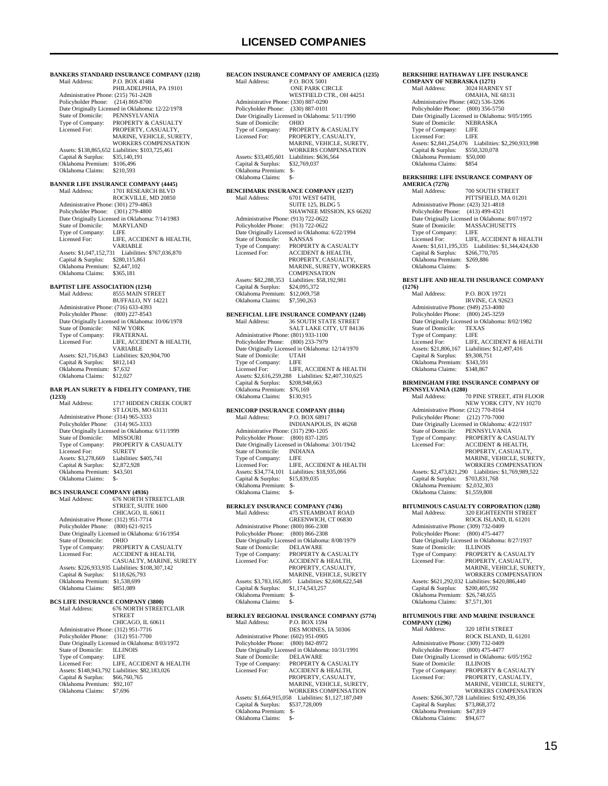**BEACON INSURANCE COMPANY OF AMERICA (1235)**<br>Mail Address: P.O. BOX 5001 P.O. BOX 5001

**BANKERS STANDARD INSURANCE COMPANY (1218)**<br>Mail Address: P.O. BOX 41484 P.O. BOX 41484 PHILADELPHIA, PA 19101 Administrative Phone: (215) 761-2428 Policyholder Phone: (214) 869-8700 Date Originally Licensed in Oklahoma: 12/22/1978 State of Domicile: PENNSYLVANIA<br>Type of Company: PROPERTY & CAS Type of Company: PROPERTY & CASUALTY<br>Licensed For: PROPERTY CASUALTY PROPERTY, CASUALTY MARINE, VEHICLE, SURETY, WORKERS COMPENSATION Assets: \$138,865,652 Liabilities: \$103,725,461 Capital & Surplus: \$35,140,191 Oklahoma Premium: \$106,496 Oklahoma Claims: \$210,593 **BANNER LIFE INSURANCE COMPANY (4445)**<br>Mail Address: 1701 RESEARCH BLVD 1701 RESEARCH BLVD ROCKVILLE, MD 20850 Administrative Phone: (301) 279-4863 Policyholder Phone: (301) 279-4800 Policyholder Fiolic. (301) 273-4600<br>Date Originally Licensed in Oklahoma: 7/14/1983<br>State of Domicile: MARYLAND State of Domicile: MAR<br>Type of Company: I IFE Type of Company:<br>Licensed For: LIFE, ACCIDENT & HEALTH, VARIABLE<br>
Assets: \$1,047,152,731 Liabilities: \$767,036,870 Capital & Surplus: \$280,115,861 Oklahoma Premium: \$2,447,102<br>Oklahoma Claims: \$365,181 Oklahoma Claims: **BAPTIST LIFE ASSOCIATION (1234)** Mail Address: 8555 MAIN STREET BUFFALO, NY 14221 Administrative Phone: (716) 633-4393 Policyholder Phone: (800) 227-8543 Date Originally Licensed in Oklahoma: 10/06/1978<br>State of Domicile: NEW YORK State of Domicile: NEW YORK<br>Type of Company: FRATERNAL Type of Company:<br>Licensed For: LIFE, ACCIDENT & HEALTH, VARIABLE Assets: \$21,716,843 Liabilities: \$20,904,700<br>Capital & Surplus: \$812,143 Capital & Surplus: Oklahoma Premium: \$7,632 Oklahoma Claims: \$12,027 **BAR PLAN SURETY & FIDELITY COMPANY, THE (1233)** 1717 HIDDEN CREEK COURT ST LOUIS, MO 63131 Administrative Phone: (314) 965-3333 Policyholder Phone: (314) 965-3333 Date Originally Licensed in Oklahoma: 6/11/1999<br>State of Domicile: MISSOURI State of Domicile:<br>Type of Company: PROPERTY & CASUALTY<br>SURETY Licensed For: SURETY<br>Assets: \$3.278.669 Liabilities: \$405.741 Assets: \$3,278,669 Capital & Surplus: \$2,872,928 Oklahoma Premium: \$43,501 Oklahoma Claims: \$- **BCS INSURANCE COMPANY (4936)**<br>Mail Address: 676 NORTH ST Mail Address: 676 NORTH STREETCLAIR STREET, SUITE 1600 CHICAGO, IL 60611 Administrative Phone: (312) 951-7714 Policyholder Phone: (800) 621-9215 Date Originally Licensed in Oklahoma: 6/16/1954<br>State of Domicile: OHIO State of Domicile:<br>Type of Company: Type of Company: PROPERTY & CASUALTY<br>Licensed For: ACCIDENT & HEALTH, CASUALTY, MARINE, SURETY Assets: \$226,933,935 Liabilities: \$108,307,142 Capital & Surplus: \$118,626,793 Oklahoma Premium: \$1,538,699 Oklahoma Claims: \$851,089 **BCS LIFE INSURANCE COMPANY (3800)**<br>Mail Address: 676 NORTH STREETCLAIR STREET CHICAGO, IL 60611 Administrative Phone: (312) 951-7716 Policyholder Phone: (312) 951-7700 Patte Originally Licensed in Oklahoma: 8/03/1972<br>State of Domicile: ILLINOIS State of Domicile: ILLIN<br>Type of Company: I.JFE Type of Company:<br>Licensed For: LIFE, ACCIDENT & HEALTH Assets: \$148,943,792 Liabilities: \$82,183,026 Capital & Surplus: \$66,760,765 Oklahoma Premium: \$92,107 Oklahoma Claims: \$7,696

#### ONE PARK CIRCLE WESTFIELD CTR., OH 44251 Administrative Phone: (330) 887-0290 Policyholder Phone: (330) 887-0101 Politylished Themeters (S50) 607 6161<br>Date Originally Licensed in Oklahoma: 5/11/1990<br>State of Domicile: OHIO State of Domicile:<br>Type of Company: Type of Company: PROPERTY & CASUALTY<br>Licensed For: PROPERTY, CASUALTY, PROPERTY, CASUALTY, MARINE, VEHICLE, SURETY, WORKERS COMPENSATION Assets: \$33,405,601 Liabilities: \$636,564<br>Capital & Surplus: \$32,769,037 Capital & Surplus: \$32,769,037 Oklahoma Premium: \$- Oklahoma Claims: \$- **BENCHMARK INSURANCE COMPANY (1237)**<br>Mail Address: 6701 WEST 64TH. Mail Address: 6701 WEST 64TH, SUITE 125, BLDG 5 SHAWNEE MISSION, KS 66202 Administrative Phone: (913) 722-0622 Policyholder Phone: (913) 722-0622 Date Originally Licensed in Oklahoma: 6/22/1994 State of Domicile: KANSAS Type of Company: PROPERTY & CASUALTY Licensed For: ACCIDENT & HEALTH, PROPERTY, CASUALTY MARINE, SURETY, WORKERS COMPENSATION Assets: \$82,288,353 Liabilities: \$58,192,981<br>Capital & Surplus: \$24,095,372 Capital & Surplus: Oklahoma Premium: \$12,069,758<br>Oklahoma Claims: \$7,590,263 Oklahoma Claims: **BENEFICIAL LIFE INSURANCE COMPANY (1240)**<br>Mail Address: 36 SOUTH STATE STREET 36 SOUTH STATE STREET SOBOOTH STREET Administrative Phone: (801) 933-1100 Policyholder Phone: (800) 233-7979 Date Originally Licensed in Oklahoma: 12/14/1970 State of Domicile: UTAH<br>Type of Company: LIFE Type of Company: LIFE<br>Licensed For: LIFE, ACCIDENT & HEALTH Licensed For: LIFE, ACCIDENT & HEALTH Assets: \$2,616,259,288 Liabilities: \$2,407,310,625 Capital & Surplus: \$208,948,663 Oklahoma Premium: \$76,169 Oklahoma Claims: \$130,915 **BENICORP INSURANCE COMPANY (8184)**<br>Mail Address: P.O. BOX 68917 P.O. BOX 68917 INDIANAPOLIS, IN 46268 Administrative Phone: (317) 290-1205 Policyholder Phone: (800) 837-1205 Date Originally Licensed in Oklahoma: 3/01/1942<br>State of Domicile: INDIANA State of Domicile: INDIA<br>Type of Company: IFF Type of Company: Licensed For: LIFE, ACCIDENT & HEALTH Assets: \$34,774,101 Liabilities: \$18,935,066<br>Capital & Surplus: \$15,839,035 Capital & Surplus: \$15,839,035 Oklahoma Premium: \$- Oklahoma Claims: \$-**BERKLEY INSURANCE COMPANY (7436)**<br>Mail Address: 475 STEAMBOAT RC Mail Address: 475 STEAMBOAT ROAD GREENWICH, CT 06830 Administrative Phone: (800) 866-2308 Policyholder Phone: (800) 866-2308 Date Originally Licensed in Oklahoma: 8/08/1979 State of Domicile:<br>Type of Company: State of Domicile: DELAWARE<br>Type of Company: PROPERTY & CASUALTY<br>Licensed For: ACCIDENT & HEALTH, ACCIDENT & HEALTH, PROPERTY, CASUALTY, MARINE, VEHICLE, SURETY Assets: \$3,783,165,805 Liabilities: \$2,608,622,548 Capital & Surplus: \$1,174,543,257 Oklahoma Premium: \$- Oklahoma Claims: \$-**BERKLEY REGIONAL INSURANCE COMPANY (5774)**<br>Mail Address: PO BOX 1594 Mail Address: DES MOINES, IA 50306 Administrative Phone: (602) 951-0905 Policyholder Phone: (800) 842-8972 Date Originally Licensed in Oklahoma: 10/31/1991<br>State of Domicile: DELAWARE State of Domicile:<br>Type of Company: Type of Company: PROPERTY & CASUALTY<br>Licensed For: ACCIDENT & HEALTH, ACCIDENT & HEALTH, PROPERTY, CASUALTY, MARINE, VEHICLE, SURETY, WORKERS COMPENSATION Assets: \$1,664,915,058 Liabilities: \$1,127,187,049 Capital & Surplus: \$537,728,009 Oklahoma Premium: \$- Oklahoma Claims: \$-

### **BERKSHIRE HATHAWAY LIFE INSURANCE COMPANY OF NEBRASKA (1271)**<br>Mail Address: 3024 HARNI Mail Address: 3024 HARNEY ST OMAHA, NE 68131 Administrative Phone: (402) 536-3206 Policyholder Phone: (800) 356-5750 Date Originally Licensed in Oklahoma: 9/05/1995<br>State of Domicile: NEBRASKA State of Domicile: NEBI<br>Type of Company: LIFE Type of Company: Licensed For: LIFE Assets: \$2,841,254,076 Liabilities: \$2,290,933,998 Capital & Surplus: \$550,320,078 Oklahoma Premium: \$50,000 Oklahoma Claims: \$854 **BERKSHIRE LIFE INSURANCE COMPANY OF AMERICA (7276)**<br>Mail Address: 700 SOUTH STREET PITTSFIELD, MA 01201 Administrative Phone: (423) 321-4818 Policyholder Phone: (413) 499-4321 Date Originally Licensed in Oklahoma: 8/07/1972 State of Domicile: MASSACHUSETTS<br>Type of Company: LIFE Type of Company:<br>Licensed For: LIFE, ACCIDENT & HEALTH Assets: \$1,611,195,335 Liabilities: \$1,344,424,630 Capital & Surplus: \$266,770,705 Oklahoma Premium: \$269,886 Oklahoma Claims: \$- **BEST LIFE AND HEALTH INSURANCE COMPANY (1276)** P.O. BOX 19721 IRVINE, CA 92623 Administrative Phone: (949) 253-4080 Policyholder Phone: (800) 245-3259 Date Originally Licensed in Oklahoma: 8/02/1982<br>State of Domicile: TEXAS State of Domicile: TEXAS<br>Type of Company: LIFE<br>Licensed For: LIFE. ACCIDENT & HEALTH Type of Company: LIFE Licensed For: LIFE, ACCIDENT & HEALTH Assets: \$21,806,167 Liabilities: \$12,497,416 Capital & Surplus: \$9,308,751 Oklahoma Premium: \$343,591 Oklahoma Claims: **BIRMINGHAM FIRE INSURANCE COMPANY OF PENNSYLVANIA (1280)**<br>Mail Address: 7 Mail Address: 70 PINE STREET, 4TH FLOOR NEW YORK CITY, NY 10270 Administrative Phone: (212) 770-8164 Policyholder Phone: (212) 770-7000 Date Originally Licensed in Oklahoma: 4/22/1937<br>State of Domicile: PENNSYLVANIA State of Domicile: PENNSYLVANIA<br>Type of Company: PROPERTY & CAS Type of Company: PROPERTY & CASUALTY<br>Licensed For: ACCIDENT & HEALTH. ACCIDENT & HEALTH, PROPERTY, CASUALTY, MARINE, VEHICLE, SURETY, WORKERS COMPENSATION Assets: \$2,473,821,290 Liabilities: \$1,769,989,522 Capital & Surplus: \$703,831,768 Oklahoma Premium: \$2,032,303 Oklahoma Claims: \$1,559,808 **BITUMINOUS CASUALTY CORPORATION (1288)** Mail Address: 320 EIGHTEENTH STREET ROCK ISLAND, IL 61201 Administrative Phone: (309) 732-0409 Policyholder Phone: (800) 475-4477 Date Originally Licensed in Oklahoma: 8/27/1937 State of Domicile:<br>Type of Company: State of Domicile: ILLINOIS<br>Type of Company: PROPERTY & CASUALTY<br>Licensed For: PROPERTY, CASUALTY, PROPERTY, CASUALTY, MARINE, VEHICLE, SURETY, WORKERS COMPENSATION Assets: \$621,292,032 Liabilities: \$420,886,440 Capital & Surplus: \$200,405,592 Oklahoma Premium: \$26,748,655 Oklahoma Claims: \$7,571,301 **BITUMINOUS FIRE AND MARINE INSURANCE COMPANY (1296)** 320 18TH STREET ROCK ISLAND, IL 61201 Administrative Phone: (309) 732-0409 Policyholder Phone: (800) 475-4477 Date Originally Licensed in Oklahoma: 6/05/1952 State of Domicile: ILLINOIS Type of Company: PROPERTY & CASUALTY<br>Licensed For: PROPERTY, CASUALTY, Licensed For: PROPERTY, CASUALTY, MARINE, VEHICLE, SURETY, WORKERS COMPENSATION

Assets: \$266,307,728 Liabilities: \$192,439,356<br>Capital & Surplus: \$73,868,372

Capital & Surplus: Oklahoma Premium: \$47,819 Oklahoma Claims: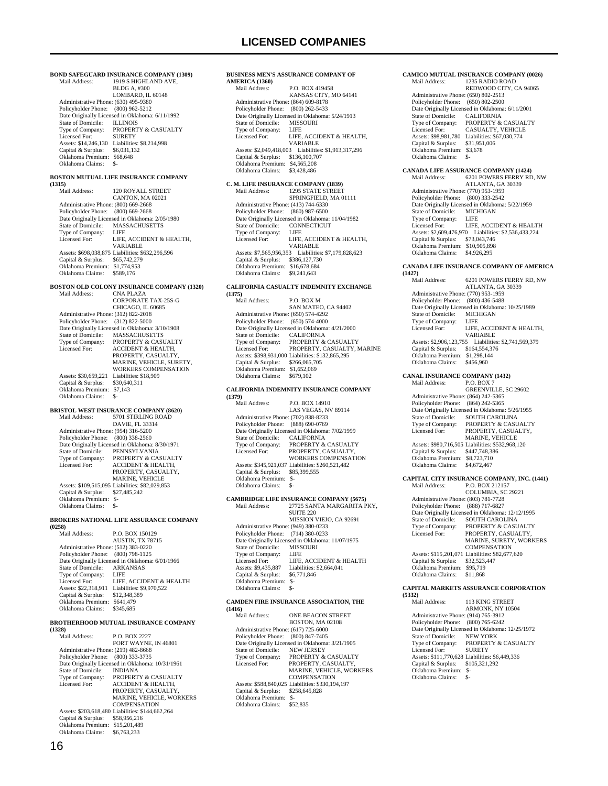**BOND SAFEGUARD INSURANCE COMPANY (1309)**<br>Mail Address: 1919 S HIGHLAND AVE. 1919 S HIGHLAND AVE, BLDG A, #300 LOMBARD, IL 60148 Administrative Phone: (630) 495-9380 Policyholder Phone: (800) 962-5212 Pate Originally Licensed in Oklahoma: 6/11/1992<br>State of Domicile: ILLINOIS State of Domicile:<br>Type of Company: PROPERTY & CASUALTY<br>SURETY Licensed For: Assets: \$14,246,130 Liabilities: \$8,214,998<br>Capital & Surplus: \$6,031,132  $Capital & Surplus:$ Oklahoma Premium: \$68,648<br>Oklahoma Claims: \$-Oklahoma Claims: **BOSTON MUTUAL LIFE INSURANCE COMPANY (1315)** 120 ROYALL STREET CANTON, MA 02021 Administrative Phone: (800) 669-2668 Policyholder Phone: (800) 669-2668 Patte Originally Licensed in Oklahoma: 2/05/1980<br>State of Domicile: MASSACHUSETTS MASSACHUSETTS<br>LIFE Type of Company:<br>Licensed For: LIFE, ACCIDENT & HEALTH, VARIABLE Assets: \$698,038,875 Liabilities: \$632,296,596 Capital & Surplus: \$65,742,279 Oklahoma Premium: \$1,774,953<br>Oklahoma Claims: \$589.176 Oklahoma Claims: **BOSTON OLD COLONY INSURANCE COMPANY (1320)** Mail Address: CNA PLAZA CORPORATE TAX-25S-G CHICAGO, IL 60685 Administrative Phone: (312) 822-2018 Policyholder Phone: (312) 822-5000 Patter Originally Licensed in Oklahoma: 3/10/1908<br>State of Domicile: MASSACHUSETTS State of Domicile: MASSACHUSETTS<br>Type of Company: PROPERTY & CASU Type of Company: PROPERTY & CASUALTY<br>Licensed For: ACCIDENT & HEALTH. ACCIDENT & HEALTH, PROPERTY, CASUALTY, MARINE, VEHICLE, SURETY, WORKERS COMPENSATION Assets: \$30,659,221 Liabilities: \$18,909<br>Capital & Surplus: \$30,640,311 Capital & Surplus: Oklahoma Premium: \$7,143 Oklahoma Claims: \$-**BRISTOL WEST INSURANCE COMPANY (8620)**<br>Mail Address: 5701 STIRLING ROAD 5701 STIRLING ROAD DAVIE, FL 33314 Administrative Phone: (954) 316-5200 Policyholder Phone: (800) 338-2560 Date Originally Licensed in Oklahoma: 8/30/1971<br>State of Domicile: PENNSYLVANIA State of Domicile: PENNSYLVANIA<br>Type of Company: PROPERTY & CA: PROPERTY & CASUALTY Licensed For: ACCIDENT & HEALTH, PROPERTY, CASUALTY, MARINE, VEHICLE Assets: \$109,515,095 Liabilities: \$82,029,853 Capital & Surplus: \$27,485,242 Oklahoma Premium: \$- Oklahoma Claims: **BROKERS NATIONAL LIFE ASSURANCE COMPANY (0258)** P.O. BOX 150129 AUSTIN, TX 78715 Administrative Phone: (512) 383-0220 Policyholder Phone: (800) 798-1125 Date Originally Licensed in Oklahoma: 6/01/1966<br>State of Domicile: ARKANSAS State of Domicile: ARK<br>Type of Company: LIFE Type of Company: LIFE<br>Licensed For: LIFE, ACCIDENT & HEALTH Licensed For: LIFE, ACCIDENT & HEALTH Assets: \$22,318,911 Liabilities: \$9,970,522 Capital & Surplus: \$12,348,389 Oklahoma Premium: \$641,479 Oklahoma Claims: **BROTHERHOOD MUTUAL INSURANCE COMPANY** 

**(1328)** P.O. BOX 2227 FORT WAYNE, IN 46801 Administrative Phone: (219) 482-8668 Policyholder Phone: (800) 333-3735 Date Originally Licensed in Oklahoma: 10/31/1961 State of Domicile: INDIANA<br>Type of Company: PROPERT Type of Company: PROPERTY & CASUALTY<br>Licensed For: ACCIDENT & HEALTH. ACCIDENT & HEALTH, PROPERTY, CASUALTY, MARINE, VEHICLE, WORKERS COMPENSATION Assets: \$203,618,480 Liabilities: \$144,662,264 Capital & Surplus: \$58,956,216 Oklahoma Premium: \$15,201,489 Oklahoma Claims: \$6,763,233

#### **BUSINESS MEN'S ASSURANCE COMPANY OF AMERICA (1360)**  $\overline{D}$  O. DOV 410458

| внан жинсээ.                         | EAL DALA 41.74.10                               |
|--------------------------------------|-------------------------------------------------|
|                                      | KANSAS CITY, MO 64141                           |
| Administrative Phone: (864) 609-8178 |                                                 |
| Policyholder Phone: (800) 262-5433   |                                                 |
|                                      | Date Originally Licensed in Oklahoma: 5/24/1913 |
| State of Domicile:                   | <b>MISSOURI</b>                                 |
| Type of Company:                     | LIFE                                            |
| Licensed For:                        | LIFE. ACCIDENT & HEALTH.                        |
|                                      | VARIABLE                                        |
| Assets: \$2,049,418,003              | Liabilities: \$1,913,317,296                    |
| Capital & Surplus:                   | \$136,100,707                                   |
| Oklahoma Premium:                    | \$4,565,208                                     |
| Oklahoma Claims:                     | \$3,428,486                                     |

### **C. M. LIFE INSURANCE COMPANY (1839)**

| Mail Address:                        | <b>1295 STATE STREET</b>                         |
|--------------------------------------|--------------------------------------------------|
|                                      | SPRINGFIELD, MA 01111                            |
| Administrative Phone: (413) 744-6330 |                                                  |
| Policyholder Phone:                  | $(860)$ 987-6500                                 |
|                                      | Date Originally Licensed in Oklahoma: 11/04/1982 |
| State of Domicile:                   | <b>CONNECTICUT</b>                               |
| Type of Company:                     | LIFE                                             |
| Licensed For:                        | LIFE, ACCIDENT & HEALTH,                         |
|                                      | <b>VARIABLE</b>                                  |
| Assets: \$7,565,956,353              | Liabilities: \$7,179,828,623                     |
| Capital & Surplus:                   | \$386,127,730                                    |
| Oklahoma Premium:                    | \$16,678,684                                     |
| Oklahoma Claims:                     | \$9,241,643                                      |

#### **CALIFORNIA CASUALTY INDEMNITY EXCHANGE (1375)**

| Mail Address:                        | <b>P.O. BOX M</b>                                |
|--------------------------------------|--------------------------------------------------|
|                                      | SAN MATEO, CA 94402                              |
| Administrative Phone: (650) 574-4292 |                                                  |
| Policyholder Phone: (650) 574-4000   |                                                  |
|                                      | Date Originally Licensed in Oklahoma: 4/21/2000  |
| State of Domicile:                   | <b>CALIFORNIA</b>                                |
| Type of Company:                     | <b>PROPERTY &amp; CASUALTY</b>                   |
| Licensed For:                        | PROPERTY. CASUALTY. MARINE                       |
|                                      | Assets: \$398,931,000 Liabilities: \$132,865,295 |
| Capital & Surplus:                   | \$266,065,705                                    |
| Oklahoma Premium:                    | \$1,652,069                                      |
| Oklahoma Claims:                     | \$679.102                                        |
|                                      |                                                  |

### **CALIFORNIA INDEMNITY INSURANCE COMPANY**

| (1379)                               |                                                  |
|--------------------------------------|--------------------------------------------------|
| Mail Address:                        | P.O. BOX 14910                                   |
|                                      | LAS VEGAS, NV 89114                              |
| Administrative Phone: (702) 838-8233 |                                                  |
| Policyholder Phone: (888) 690-0769   |                                                  |
|                                      | Date Originally Licensed in Oklahoma: 7/02/1999  |
| State of Domicile:                   | <b>CALIFORNIA</b>                                |
| Type of Company:                     | <b>PROPERTY &amp; CASUALTY</b>                   |
| Licensed For:                        | PROPERTY, CASUALTY,                              |
|                                      | <b>WORKERS COMPENSATION</b>                      |
|                                      | Assets: \$345,921,037 Liabilities: \$260,521,482 |
| Capital & Surplus:                   | \$85,399,555                                     |
| Oklahoma Premium:                    | \$-                                              |
| Oklahoma Claims:                     | \$-                                              |
|                                      |                                                  |

#### **CAMBRIDGE LIFE INSURANCE COMPANY (5675)** 27725 SANTA MARGARITA PKY,

|                                      | <b>SUITE 220</b>                                 |
|--------------------------------------|--------------------------------------------------|
|                                      | MISSION VIEJO, CA 92691                          |
| Administrative Phone: (949) 380-0233 |                                                  |
| Policyholder Phone: (714) 380-0233   |                                                  |
|                                      | Date Originally Licensed in Oklahoma: 11/07/1975 |
| State of Domicile:                   | <b>MISSOURI</b>                                  |
| Type of Company:                     | LIFE                                             |
| Licensed For:                        | LIFE. ACCIDENT & HEALTH                          |
| Assets: \$9,435,887                  | Liabilities: \$2,664,041                         |
| Capital & Surplus:                   | \$6,771,846                                      |
| Oklahoma Premium:                    | \$-                                              |
| Oklahoma Claims:                     | \$-                                              |

#### **CAMDEN FIRE INSURANCE ASSOCIATION, THE (1416)**

| $1 - 10$                             |                                                  |
|--------------------------------------|--------------------------------------------------|
| Mail Address:                        | <b>ONE BEACON STREET</b>                         |
|                                      | <b>BOSTON, MA 02108</b>                          |
| Administrative Phone: (617) 725-6000 |                                                  |
| Policyholder Phone: (800) 847-7405   |                                                  |
|                                      | Date Originally Licensed in Oklahoma: 3/21/1905  |
| State of Domicile:                   | <b>NEW JERSEY</b>                                |
| Type of Company:                     | <b>PROPERTY &amp; CASUALTY</b>                   |
| Licensed For:                        | PROPERTY, CASUALTY,                              |
|                                      | MARINE, VEHICLE, WORKERS                         |
|                                      | <b>COMPENSATION</b>                              |
|                                      | Assets: \$588,840,025 Liabilities: \$330,194,197 |
| Capital & Surplus:                   | \$258,645,828                                    |
| Oklahoma Premium:                    | \$-                                              |
| Oklahoma Claims:                     | \$52,835                                         |
|                                      |                                                  |

#### **CAMICO MUTUAL INSURANCE COMPANY (0026)**<br>Mail Address: 1235 RADIO ROAD Mail Address: 1235 RADIO ROAD

|                                      | REDWOOD CITY, CA 94065                          |
|--------------------------------------|-------------------------------------------------|
| Administrative Phone: (650) 802-2513 |                                                 |
| Policyholder Phone: (650) 802-2500   |                                                 |
|                                      | Date Originally Licensed in Oklahoma: 6/11/2001 |
| State of Domicile:                   | <b>CALIFORNIA</b>                               |
| Type of Company:                     | PROPERTY & CASUALTY                             |
| Licensed For:                        | CASUALTY, VEHICLE                               |
| Assets: \$98,981,780                 | Liabilities: \$67,030,774                       |
| Capital & Surplus:                   | \$31,951,006                                    |
| Oklahoma Premium:                    | \$3,678                                         |
| Oklahoma Claims:                     | \$-                                             |

#### **CANADA LIFE ASSURANCE COMPANY (1424)** 6201 POWERS FERRY RD, NW ATLANTA, GA 30339 Administrative Phone: (770) 953-1959 Policyholder Phone: (800) 333-2542 Date Originally Licensed in Oklahoma: 5/22/1959 State of Domicile: MICHIGAN<br>Type of Company: LIFE Type of Company: LIFE<br>Licensed For: LIFE, ACCIDENT & HEALTH Licensed For: LIFE, ACCIDENT & HEALTH Assets: \$2,609,476,970 Liabilities: \$2,536,433,224 Capital & Surplus: \$73,043,746 Oklahoma Premium: \$10,905,898<br>Oklahoma Claims: \$4,926,295 Oklahoma Claims:

#### **CANADA LIFE INSURANCE COMPANY OF AMERICA (1427)**

| ,                                    |                                                      |
|--------------------------------------|------------------------------------------------------|
| Mail Address:                        | 6201 POWERS FERRY RD, NW                             |
|                                      | ATLANTA, GA 30339                                    |
| Administrative Phone: (770) 953-1959 |                                                      |
| Policyholder Phone: (800) 436-5488   |                                                      |
|                                      | Date Originally Licensed in Oklahoma: 10/25/1989     |
| State of Domicile:                   | <b>MICHIGAN</b>                                      |
| Type of Company:                     | LIFE                                                 |
| Licensed For:                        | LIFE. ACCIDENT & HEALTH.                             |
|                                      | <b>VARIABLE</b>                                      |
|                                      | Assets: \$2,906,123,755 Liabilities: \$2,741,569,379 |
| Capital & Surplus:                   | \$164,554,376                                        |
| Oklahoma Premium:                    | \$1,298,144                                          |
| Oklahoma Claims:                     | \$456,960                                            |
|                                      |                                                      |

### **CANAL INSURANCE COMPANY (1432)**

Mail Address: GREENVILLE, SC 29602 Administrative Phone: (864) 242-5365 Policyholder Phone: (864) 242-5365 Date Originally Licensed in Oklahoma: 5/26/1955 State of Domicile: SOUTH CAROLINA Type of Company: PROPERTY & CASUALTY Licensed For: PROPERTY, CASUALTY, MARINE, VEHICLE Assets: \$980,716,505 Liabilities: \$532,968,120 Capital & Surplus: \$447,748,386 Oklahoma Premium: \$8,723,710 Oklahoma Claims: \$4,672,467

#### **CAPITAL CITY INSURANCE COMPANY, INC. (1441)**

Mail Address: P.O. BOX 212157 COLUMBIA, SC 29221 Administrative Phone: (803) 781-7728 Policyholder Phone: (888) 717-6827 Date Originally Licensed in Oklahoma: 12/12/1995 State of Domicile: SOUTH CAROLINA Type of Company: PROPERTY & CASUALTY<br>Licensed For: PROPERTY, CASUALTY, Licensed For: PROPERTY, CASUALTY, MARINE, SURETY, WORKERS **COMPENSATION**  Assets: \$115,201,071 Liabilities: \$82,677,620 Capital & Surplus: \$32,523,447 Oklahoma Premium: \$95,719 Oklahoma Claims: \$11,868

#### **CAPITAL MARKETS ASSURANCE CORPORATION**

**(5332)** 113 KING STREET ARMONK, NY 10504 Administrative Phone: (914) 765-3912 Policyholder Phone: (800) 765-6242 Date Originally Licensed in Oklahoma: 12/25/1972 State of Domicile: NEW YORK<br>Type of Company: PROPERTY PROPERTY & CASUALTY Licensed For: SURETY Assets: \$111,770,628 Liabilities: \$6,449,336 Capital & Surplus: \$105,321,292 Oklahoma Premium: \$- Oklahoma Claims: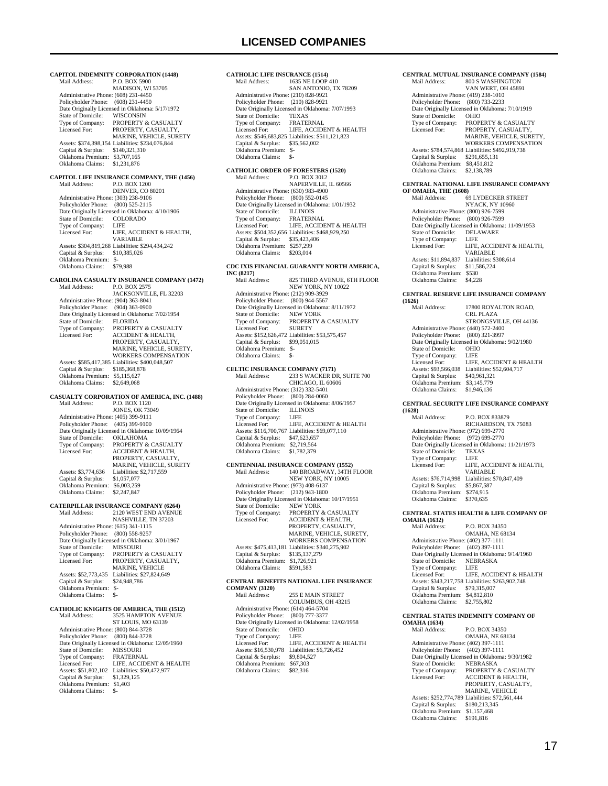**CAPITOL INDEMNITY CORPORATION (1448)**<br>Mail Address: P.O. BOX 5900 P.O. BOX 5900 MADISON, WI 53705 Administrative Phone: (608) 231-4450 Policyholder Phone: (608) 231-4450 Date Originally Licensed in Oklahoma: 5/17/1972<br>State of Domicile: WISCONSIN State of Domicile:<br>Type of Company: Type of Company: PROPERTY & CASUALTY<br>Licensed For: PROPERTY CASUALTY PROPERTY, CASUALTY MARINE, VEHICLE, SURETY Assets: \$374,398,154 Liabilities: \$234,076,844 Capital & Surplus: \$140,321,310 Oklahoma Premium: \$3,707,165 Oklahoma Claims: \$1,231,876 **CAPITOL LIFE INSURANCE COMPANY, THE (1456)**<br>Mail Address: P.O. BOX 1200 P.O. BOX 1200 DENVER, CO 80201 Administrative Phone: (303) 238-9106 Policyholder Phone: (800) 525-2115 Date Originally Licensed in Oklahoma: 4/10/1906<br>State of Domicile: COLORADO State of Domicile: COLO<br>Type of Company: LIFE Type of Company:<br>Licensed For: LIFE, ACCIDENT & HEALTH, VARIABLE Assets: \$304,819,268 Liabilities: \$294,434,242 Capital & Surplus: \$10,385,026 Oklahoma Premium: \$- Oklahoma Claims: \$79,988 **CAROLINA CASUALTY INSURANCE COMPANY (1472)**<br>Mail Address: P.O. BOX 2575 P.O. BOX 2575 JACKSONVILLE, FL 32203 Administrative Phone: (904) 363-8041 Policyholder Phone: (904) 363-0900 Date Originally Licensed in Oklahoma: 7/02/1954<br>State of Domicile: FLORIDA State of Domicile:<br>Type of Company: Type of Company: PROPERTY & CASUALTY<br>Licensed For: ACCIDENT & HEALTH, ACCIDENT & HEALTH, PROPERTY, CASUALTY, MARINE, VEHICLE, SURETY, WORKERS COMPENSATION Assets: \$585,417,385 Liabilities: \$400,048,507<br>Capital & Surplus: \$185,368,878 Capital & Surplus: Oklahoma Premium: \$5,115,627<br>Oklahoma Claims: \$2,649,068 Oklahoma Claims: **CASUALTY CORPORATION OF AMERICA, INC. (1488)** Mail Address: P.O. BOX 1120 JONES, OK 73049 Administrative Phone: (405) 399-9111 Policyholder Phone: (405) 399-9100 Patte Originally Licensed in Oklahoma: 10/09/1964<br>State of Domicile: OKLAHOMA State of Domicile:<br>Type of Company: Type of Company: PROPERTY & CASUALTY<br>Licensed For: ACCIDENT & HEALTH, ACCIDENT & HEALTH, PROPERTY, CASUALTY, MARINE, VEHICLE, SURETY Assets: \$3,774,636 Liabilities: \$2,717,559 Capital & Surplus: \$1,057,077 Oklahoma Premium: \$6,003,259 Oklahoma Claims: \$2,247,847 **CATERPILLAR INSURANCE COMPANY (6264)** Mail Address: 2120 WEST END AVENUE NASHVILLE, TN 37203 Administrative Phone: (615) 341-1115 Policyholder Phone: (800) 558-9257 Date Originally Licensed in Oklahoma: 3/01/1967 State of Domicile:<br>Type of Company: State of Domicile: MISSOURI<br>Type of Company: PROPERTY & CASUALTY<br>Licensed For: PROPERTY, CASUALTY, PROPERTY, CASUALTY, MARINE, VEHICLE Assets: \$52,773,435 Liabilities: \$27,824,649<br>Capital & Surplus: \$24,948,786 Capital & Surplus: Oklahoma Premium: \$- Oklahoma Claims: \$- **CATHOLIC KNIGHTS OF AMERICA, THE (1512)** 3525 HAMPTON AVENUE ST LOUIS, MO 63139 Administrative Phone: (800) 844-3728 Policyholder Phone: (800) 844-3728 Date Originally Licensed in Oklahoma: 12/05/1960 State of Domicile: MISSOURI<br>Type of Company: FRATERNAL Type of Company:<br>Licensed For: LIFE, ACCIDENT & HEALTH Assets: \$51,802,102 Liabilities: \$50,472,977<br>Capital & Surplus: \$1,329,125 Capital & Surplus: \$1,329,125 Oklahoma Premium: \$1,403

Oklahoma Claims: \$-

#### **CATHOLIC LIFE INSURANCE (1514)**<br>Mail Address: 1635 NE LOOP 1635 NE LOOP 410 SAN ANTONIO, TX 78209 Administrative Phone: (210) 828-9921 Policyholder Phone: (210) 828-9921 Date Originally Licensed in Oklahoma: 7/07/1993<br>State of Domicile: TEXAS State of Domicile: TEXAS<br>Type of Company: FRATERNAL Type of Company:<br>Licensed For: LIFE, ACCIDENT & HEALTH Assets: \$546,683,825 Liabilities: \$511,121,823 Capital & Surplus: \$35,562,002 Oklahoma Premium: \$- Oklahoma Claims: \$- **CATHOLIC ORDER OF FORESTERS (1520)**<br>Mail Address: P.O. BOX 3012 Mail Address: P.O. BOX 3012 NAPERVILLE, IL 60566 Administrative Phone: (630) 983-4900 Policyholder Phone: (800) 552-0145 Date Originally Licensed in Oklahoma: 1/01/1932 State of Domicile: ILLINOIS<br>Type of Company: FRATERNAL Type of Company: FRATERNAL Licensed For: LIFE, ACCIDENT & HEALTH Assets: \$504,352,656 Liabilities: \$468,929,250 Capital & Surplus: \$35,423,406 Oklahoma Premium: \$257,299<br>Oklahoma Claims: \$203,014 Oklahoma Claims: **CDC IXIS FINANCIAL GUARANTY NORTH AMERICA, INC (8217)** 825 THIRD AVENUE, 6TH FLOOR NEW YORK, NY 10022 Administrative Phone: (212) 909-3929 Policyholder Phone: (800) 944-5567 Date Originally Licensed in Oklahoma: 8/11/1972 State of Domicile:<br>Type of Company: THE OF COMPANY: PROPERTY & CASUALTY<br>
FROPERTY & CASUALTY<br>
SURETY Licensed For: Assets: \$152,626,472 Liabilities: \$53,575,457 Capital & Surplus: \$99,051,015 Oklahoma Premium: \$- Oklahoma Claims: \$- **CELTIC INSURANCE COMPANY (7171)**<br>Mail Address: 233.5 WACKER D  $\frac{333 \text{ N}}{233 \text{ S}}$  WACKER DR, SUITE 700 CHICAGO, IL 60606 Administrative Phone: (312) 332-5401 Policyholder Phone: (800) 284-0060 Date Originally Licensed in Oklahoma: 8/06/1957<br>State of Domicile: II J JNOIS State of Domicile: ILLIN<br>Type of Company: LIFE Type of Company:<br>Licensed For: LIEE ACCIDENT & HEALTH Assets: \$116,700,767 Liabilities: \$69,077,110 Capital & Surplus: \$47,623,657 Oklahoma Premium: \$2,719,564 Oklahoma Claims: \$1,782,379 **CENTENNIAL INSURANCE COMPANY (1552)** 140 BROADWAY, 34TH FLOOR NEW YORK, NY 10005 Administrative Phone: (973) 408-6137 Policyholder Phone: (212) 943-1800 Date Originally Licensed in Oklahoma: 10/17/1951 State of Domicile:<br>Type of Company: Type of Company: PROPERTY & CASUALTY Licensed For: ACCIDENT & HEALTH, PROPERTY, CASUALTY, MARINE, VEHICLE, SURETY, WORKERS COMPENSATION Assets: \$475,413,181 Liabilities: \$340,275,902 Capital & Surplus: \$135,137,279 Oklahoma Premium: \$1,726,921 Oklahoma Claims: \$591,583 **CENTRAL BENEFITS NATIONAL LIFE INSURANCE COMPANY (3120)** 255 E MAIN STREET COLUMBUS, OH 43215 Administrative Phone: (614) 464-5704 Policyholder Phone: (800) 777-3377 Date Originally Licensed in Oklahoma: 12/02/1958<br>State of Domicile: OHIO State of Domicile: OHIC<br>Type of Company: LIFE Type of Company:<br>Licensed For: LIFE, ACCIDENT & HEALTH Assets: \$16,530,978 Liabilities: \$6,726,452<br>Capital & Surplus: \$9,804,527 Capital & Surplus: \$9,804,527 Oklahoma Premium: \$67,303 Oklahoma Claims: \$82,316

#### **CENTRAL MUTUAL INSURANCE COMPANY (1584)**<br>Mail Address: 800 S WASHINGTON Mail Address: 800 S WASHINGTON VAN WERT, OH 45891 Administrative Phone: (419) 238-1010 Policyholder Phone: (800) 733-2233 Date Originally Licensed in Oklahoma: 7/10/1919 State of Domicile:<br>Type of Company: Type of Company: PROPERTY & CASUALTY<br>Licensed For: PROPERTY CASUALTY PROPERTY, CASUALTY, MARINE, VEHICLE, SURETY, WORKERS COMPENSATION Assets: \$784,574,868 Liabilities: \$492,919,738 Capital & Surplus: \$291,655,131 Oklahoma Premium: \$8,451,812 Oklahoma Claims: \$2,138,789 **CENTRAL NATIONAL LIFE INSURANCE COMPANY OF OMAHA, THE (1608)**<br>Mail Address: 69 Mail Address: 69 LYDECKER STREET NYACK, NY 10960 Administrative Phone: (800) 926-7599 Policyholder Phone: (800) 926-7599 Date Originally Licensed in Oklahoma: 11/09/1953<br>State of Domicile: DEI AWARE State of Domicile: DELA<br>Type of Company: LIFE Type of Company:<br>Licensed For: LIFE, ACCIDENT & HEALTH, VARIABLE Assets: \$11,894,837 Liabilities: \$308,614<br>Capital & Surplus: \$11,586,224 Capital & Surplus: \$11,586,224 Oklahoma Premium: \$530 Oklahoma Claims: \$4,228 **CENTRAL RESERVE LIFE INSURANCE COMPANY (1626)** 17800 ROYALTON ROAD, CRL PLAZA STRONGSVILLE, OH 44136 Administrative Phone: (440) 572-2400<br>Policyholder Phone: (800) 321-3997 Policyholder Phone: Date Originally Licensed in Oklahoma: 9/02/1980<br>State of Domicile: OHIO State of Domicile: OHIO<br>Type of Company: IFF Type of Company:<br>Licensed For: LIFE, ACCIDENT & HEALTH Assets: \$93,566,038 Liabilities: \$52,604,717<br>Capital & Surplus: \$40,961,321 Capital & Surplus: \$40,961,321 Oklahoma Premium: \$3,145,779 Oklahoma Claims: \$1,946,136 **CENTRAL SECURITY LIFE INSURANCE COMPANY (1628)** P.O. BOX 833879 RICHARDSON, TX 75083 Administrative Phone: (972) 699-2770 Policyholder Phone: (972) 699-2770 Date Originally Licensed in Oklahoma: 11/21/1973<br>State of Domicile: TEXAS State of Domicile: TEXA<br>Type of Company: IFFE Type of Company: Licensed For: LIFE, ACCIDENT & HEALTH, VARIABLE Assets: \$76,714,998 Liabilities: \$70,847,409<br>Capital & Surplus: \$5,867,587  $Capital & Surplus:$  Oklahoma Premium: \$274,915 Oklahoma Claims: \$370,635 **CENTRAL STATES HEALTH & LIFE COMPANY OF OMAHA (1632)** Mail Address: P.O. BOX 34350 OMAHA, NE 68134 Administrative Phone: (402) 377-1111 Policyholder Phone: (402) 397-1111 Date Originally Licensed in Oklahoma: 9/14/1960<br>State of Domicile: NEBRASKA State of Domicile: NEBF<br>Type of Company: LIFE Type of Company: Licensed For: LIFE, ACCIDENT & HEALTH Assets: \$343,217,758 Liabilities: \$263,902,748 Capital & Surplus: \$79,315,007 Oklahoma Premium: \$4,812,810 Oklahoma Claims: \$2,755,802 **CENTRAL STATES INDEMNITY COMPANY OF OMAHA (1634)**<br>Mail Address: P.O. BOX 34350 OMAHA, NE 68134 Administrative Phone: (402) 397-1111

 Policyholder Phone: (402) 397-1111 Date Originally Licensed in Oklahoma: 9/30/1982 State of Domicile: NEBRASKA Type of Company: PROPERTY & CASUALTY<br>Licensed For: ACCIDENT & HEALTH, ACCIDENT & HEALTH, PROPERTY, CASUALTY, MARINE, VEHICLE Assets: \$252,774,789 Liabilities: \$72,561,444 Capital & Surplus: \$180,213,345 Oklahoma Premium: \$1,157,468 Oklahoma Claims: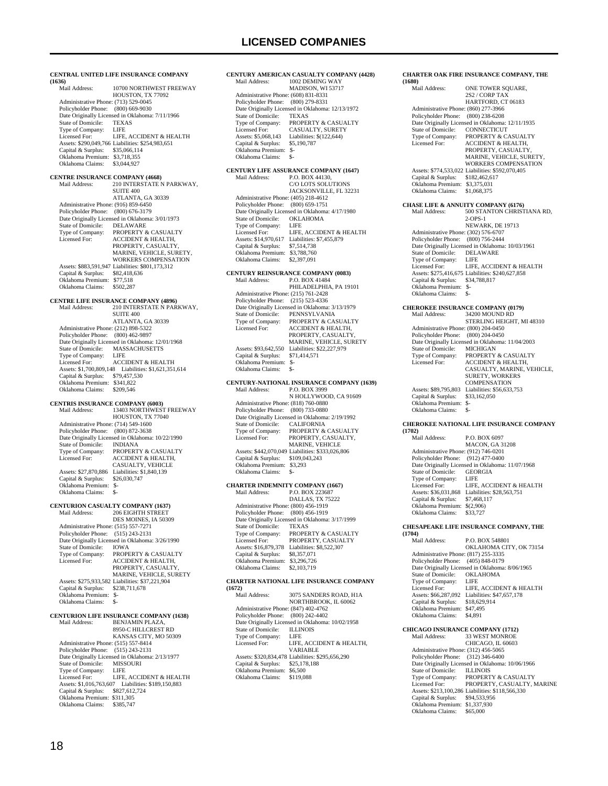**CENTRAL UNITED LIFE INSURANCE COMPANY (1636)** 10700 NORTHWEST FREEWAY HOUSTON, TX 77092 Administrative Phone: (713) 529-0045 Policyholder Phone: (800) 669-9030 Patrick Prince Correspondent Correspondent Correspondent Division State of Domicile: TEXAS State of Domicile: TEXA<br>Type of Company: LIFE Type of Company: LIFE<br>Licensed For: LIFE, ACCIDENT & HEALTH Licensed For: LIFE, ACCIDENT & HEALTH Assets: \$290,049,766 Liabilities: \$254,983,651 Capital & Surplus: \$35,066,114 Oklahoma Premium: \$3,718,355 Oklahoma Claims: \$3,044,927 **CENTRE INSURANCE COMPANY (4668)**<br>Mail Address: 210 INTERSTATE N 210 INTERSTATE N PARKWAY, SUITE 400 ATLANTA, GA 30339 Administrative Phone: (916) 859-6450 Policyholder Phone: (800) 676-3179 Policylonder Fibric. (600) 070-5117<br>Date Originally Licensed in Oklahoma: 3/01/1973<br>State of Domicile: DELAWARE State of Domicile:<br>Type of Company: Type of Company: PROPERTY & CASUALTY<br>Licensed For: ACCIDENT & HEALTH, PROPERTY, CASUALTY, MARINE, VEHICLE, SURETY, WORKERS COMPENSATION Assets: \$883,591,947 Liabilities: \$801,173,312 Capital & Surplus: \$82,418,636 Capital & Surplus: \$82,418,<br>Oklahoma Premium: \$77,518 Oklahoma Claims: \$502,287 **CENTRE LIFE INSURANCE COMPANY (4896)** Mail Address: 210 INTERSTATE N PARKWAY, SUITE 400 ATLANTA, GA 30339 Administrative Phone: (212) 898-5322 Policyholder Phone: (800) 462-9897 Date Originally Licensed in Oklahoma: 12/01/1968<br>State of Domicile: MASSACHUSETTS MASSACHUSETTS Type of Company: Licensed For: ACCIDENT & HEALTH Assets: \$1,700,809,148 Liabilities: \$1,621,351,614 Capital & Surplus: \$79,457,530 Oklahoma Premium: \$341,822 Oklahoma Claims: \$209,546 **CENTRIS INSURANCE COMPANY (6003)** Mail Address: 13403 NORTHWEST FREEWAY HOUSTON, TX 77040 Administrative Phone: (714) 549-1600 Policyholder Phone: (800) 872-3638 Date Originally Licensed in Oklahoma: 10/22/1990<br>State of Domicile: INDIANA State of Domicile:<br>Type of Company: Type of Company: PROPERTY & CASUALTY<br>Licensed For: ACCIDENT & HEALTH. Licensed For: ACCIDENT & HEALTH, CASUALTY, VEHICLE Assets: \$27,870,886 Liabilities: \$1,840,139<br>Capital & Surplus: \$26,030,747 Capital & Surplus: \$26,030,747 Oklahoma Premium: \$- Oklahoma Claims: \$-**CENTURION CASUALTY COMPANY (1637)**<br>Mail Address: 206 EIGHTH STREET Mail Address: 206 EIGHTH STREET DES MOINES, IA 50309 Administrative Phone: (515) 557-7271 Policyholder Phone: (515) 243-2131 Date Originally Licensed in Oklahoma: 3/26/1990 State of Domicile:<br>Type of Company: State of Domicile: IOWA<br>Type of Company: PROPERTY & CASUALTY<br>Licensed For: ACCIDENT & HEALTH, ACCIDENT & HEALTH, PROPERTY, CASUALTY, MARINE, VEHICLE, SURETY Assets: \$275,933,582 Liabilities: \$37,221,904 Capital & Surplus: \$238,711,678 Oklahoma Premium: \$- Oklahoma Claims: \$-**CENTURION LIFE INSURANCE COMPANY (1638) BENJAMIN PLAZA** 8950-C HILLCREST RD KANSAS CITY, MO 50309 Administrative Phone: (515) 557-8414 Policyholder Phone: (515) 243-2131 Date Originally Licensed in Oklahoma: 2/13/1977<br>State of Domicile: MISSOURI State of Domicile: MISS<br>Type of Company: LIFE Type of Company:<br>Licensed For: LIFE, ACCIDENT & HEALTH Assets: \$1,016,763,607 Liabilities: \$189,150,883 Capital & Surplus: \$827,612,724 Oklahoma Premium: \$311,305

**CENTURY AMERICAN CASUALTY COMPANY (4428)**<br>Mail Address: 1002 DEMING WAY 1002 DEMING WAY MADISON, WI 53717 Administrative Phone: (608) 831-8331 Policyholder Phone: (800) 279-8331 Date Originally Licensed in Oklahoma: 12/13/1972<br>State of Domicile: TEXAS State of Domicile:<br>Type of Company: Type of Company: PROPERTY & CASUALTY<br>Licensed For: CASUALTY SURETY Licensed For: CASUALTY, SURETY<br>Assets: \$5,068,143 Liabilities: \$(122,644) Liabilities: \$(122,644)<br>\$5,190.787 Capital & Surplus: \$5,190,787 Oklahoma Premium: \$- Oklahoma Claims: \$- **CENTURY LIFE ASSURANCE COMPANY (1647)**<br>Mail Address: P.O. BOX 44130. P.O. BOX 44130, C/O LOTS SOLUTIONS JACKSONVILLE, FL 32231 Administrative Phone: (405) 218-4612 Policyholder Phone: (800) 659-1751 Date Originally Licensed in Oklahoma: 4/17/1980 State of Domicile: OKLAHOMA Type of Company: LIFE<br>Licensed For: LIFE,<br>Assets: \$14,970,617 Liabil LIFE, ACCIDENT & HEALTH Liabilities: \$7,455,879 Capital & Surplus: \$7,514,738 Oklahoma Premium: \$3,788,760 Oklahoma Claims: \$2,397,091 **CENTURY REINSURANCE COMPANY (0083)**<br>Mail Address: P.O. BOX 41484 Mail Address: P.O. BOX 41484 PHILADELPHIA, PA 19101 Administrative Phone: (215) 761-2428 Policyholder Phone: (215) 523-4336 Date Originally Licensed in Oklahoma: 3/13/1979<br>State of Domicile: PENNSYLVANIA State of Domicile: PENNSYLVANIA<br>Type of Company: PROPERTY & CASUALTY Licensed For: ACCIDENT & HEALTH, PROPERTY, CASUALTY, MARINE, VEHICLE, SURETY Assets: \$93,642,550 Liabilities: \$22,227,979 Capital & Surplus: \$71,414,571 Oklahoma Premium: \$- Oklahoma Claims: **CENTURY-NATIONAL INSURANCE COMPANY (1639)**<br>Mail Address: P.O. BOX 3999 P.O. BOX 3999 N HOLLYWOOD, CA 91609 Administrative Phone: (818) 760-0880 Policyholder Phone: (800) 733-0880 Pate Originally Licensed in Oklahoma: 2/19/1992<br>State of Domicile: CALIFORNIA State of Domicile:<br>Type of Company:<br>Licensed For: PROPERTY & CASUALTY PROPERTY, CASUALTY, MARINE, VEHICLE Assets: \$442,070,049 Liabilities: \$333,026,806 Capital & Surplus: \$109,043,243 Oklahoma Premium: \$3,293 Oklahoma Claims: **CHARTER INDEMNITY COMPANY (1667)**<br>Mail Address: P.O. BOX 223687 P.O. BOX 223687 DALLAS, TX 75222 Administrative Phone: (800) 456-1919 Policyholder Phone: (800) 456-1919 Date Originally Licensed in Oklahoma: 3/17/1999 State of Domicile: TEXAS<br>Type of Company: PROPERTY & CASUALTY Type of Company: PROPERTY & CASUALTY<br>
Licensed For: PROPERTY, CASUALTY<br>
Assets: \$16,879,378 Liabilities: \$8,522,307<br>
Capital & Surplus: \$8,357,071 Oklahoma Premium: \$3,296,726 Oklahoma Claims: \$2,103,719 **CHARTER NATIONAL LIFE INSURANCE COMPANY (1672)** 3075 SANDERS ROAD, H1A NORTHBROOK, IL 60062 Administrative Phone: (847) 402-4762 Policyholder Phone: (800) 242-4402 Date Originally Licensed in Oklahoma: 10/02/1958<br>State of Domicile: ILLINOIS State of Domicile: ILLIN<br>Type of Company: LIFE Type of Company:<br>Licensed For: LIFE, ACCIDENT & HEALTH, VARIABLE Assets: \$320,834,478 Liabilities: \$295,656,290 Capital & Surplus: \$25,178,188 Oklahoma Premium: \$6,500<br>Oklahoma Claims: \$119.088 Oklahoma Claims:

#### **CHARTER OAK FIRE INSURANCE COMPANY, THE (1680)** ONE TOWER SQUARE, 2S2 / CORP TAX HARTFORD, CT 06183 Administrative Phone: (860) 277-3966<br>Policyholder Phone: (800) 238-6208 Policyholder Phone: Date Originally Licensed in Oklahoma: 12/11/1935<br>State of Domicile: CONNECTICUT State of Domicile:<br>Type of Company: Type of Company: PROPERTY & CASUALTY<br>Licensed For: ACCIDENT & HEALTH. Licensed For: ACCIDENT & HEALTH, PROPERTY, CASUALTY, MARINE, VEHICLE, SURETY, WORKERS COMPENSATION Assets: \$774,533,022 Liabilities: \$592,070,405 Capital & Surplus: \$182,462,617 Oklahoma Premium: \$3,375,031 Oklahoma Claims: \$1,068,375 **CHASE LIFE & ANNUITY COMPANY (6176)**<br>Mail Address: 500 STANTON CHRIST Mail Address: 500 STANTON CHRISTIANA RD, 2-OPS-1 NEWARK, DE 19713 Administrative Phone: (302) 576-6707 Policyholder Phone: (800) 756-2444 Date Originally Licensed in Oklahoma: 10/03/1961 State of Domicile: DELAWARE Type of Company: LIFE Licensed For: LIFE, ACCIDENT & HEALTH Assets: \$275,416,675 Liabilities: \$240,627,858 Capital & Surplus: \$34,788,817 Oklahoma Premium: \$- Oklahoma Claims: \$-**CHEROKEE INSURANCE COMPANY (0179)**<br>Mail Address: 34200 MOUND RD Mail Address: 34200 MOUND RD STERLING HEIGHT, MI 48310 Administrative Phone: (800) 204-0450<br>Policyholder Phone: (800) 204-0450 Policyholder Phone: Date Originally Licensed in Oklahoma: 11/04/2003 State of Domicile: MICHIGAN<br>Type of Company: PROPERTY & CASUAL TY Type of Company: Licensed For: ACCIDENT & HEALTH, CASUALTY, MARINE, VEHICLE, SURETY, WORKERS COMPENSATION Assets: \$89,795,803 Liabilities: \$56,633,753<br>Capital & Surplus: \$33,162,050 Capital & Surplus: Oklahoma Premium: \$- Oklahoma Claims: \$- **CHEROKEE NATIONAL LIFE INSURANCE COMPANY (1702)** Mail Address: P.O. BOX 6097 MACON, GA 31208 Administrative Phone: (912) 746-0201 Policyholder Phone: (912) 477-0400 Date Originally Licensed in Oklahoma: 11/07/1968 State of Domicile: GEORGIA Type of Company:<br>Licensed For: LIFE, ACCIDENT & HEALTH Assets: \$36,031,868 Liabilities: \$28,563,751 Capital & Surplus: \$7,468,117 Oklahoma Premium: \$(2,906) Oklahoma Claims: \$33,727 **CHESAPEAKE LIFE INSURANCE COMPANY, THE (1704)** P.O. BOX 548801 OKLAHOMA CITY, OK 73154 Administrative Phone: (817) 255-3335 Policyholder Phone: (405) 848-0179 Date Originally Licensed in Oklahoma: 8/06/1965<br>State of Domicile: OKLAHOMA State of Domicile: Type of Company:<br>Licensed For: LIFE<br>LIFE, ACCIDENT & HEALTH Assets: \$66,287,092 Liabilities: \$47,657,178<br>Capital & Surplus: \$18,629,914 Capital & Surplus: \$18,629,914 Oklahoma Premium: \$47,495 Oklahoma Claims: \$4,891 **CHICAGO INSURANCE COMPANY (1712)**<br>Mail Address: 33 WEST MONROE 33 WEST MONROE CHICAGO, IL 60603 Administrative Phone: (312) 456-5065 Policyholder Phone: (312) 346-6400 Date Originally Licensed in Oklahoma: 10/06/1966 State of Domicile: ILLINOIS<br>Type of Company: PROPERTY & CASUALTY Type of Company: PROPERTY & CASUALTY<br>Licensed For: PROPERTY, CASUALTY, MARINE<br>Assets: \$213,100,286 Liabilities: \$118,566,330 Capital & Surplus: \$94,533,956 Oklahoma Premium: \$1,337,930 Oklahoma Claims: \$65,000

Oklahoma Claims: \$385,747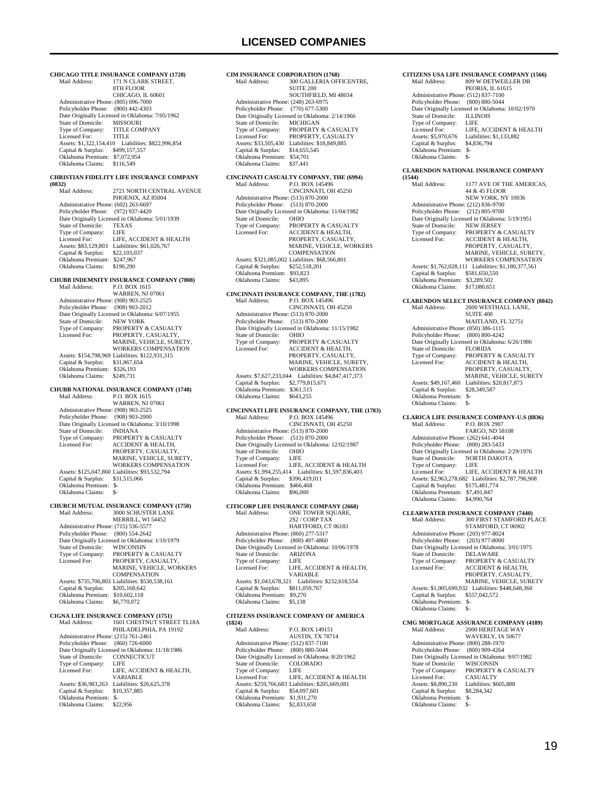**CHICAGO TITLE INSURANCE COMPANY (1728)**<br>Mail Address: 171 N CLARK STREET. 171 N CLARK STREET, 8TH FLOOR CHICAGO, IL 60601 Administrative Phone: (805) 696-7000 Policyholder Phone: (800) 442-4303 Patte Originally Licensed in Oklahoma: 7/05/1962<br>State of Domicile: MISSOURI State of Domicile: MISSOURI<br>Type of Company: TITLE COMPANY Type of Company: Licensed For: TITLE Assets: \$1,322,154,410 Liabilities: \$822,996,854 Capital & Surplus: \$499,157,557 Oklahoma Premium: \$7,072,954 Oklahoma Claims: \$116,549 **CHRISTIAN FIDELITY LIFE INSURANCE COMPANY (0832)** 2721 NORTH CENTRAL AVENUE PHOENIX, AZ 85004 Administrative Phone: (602) 263-6697 Policyholder Phone: (972) 937-4420 Policylioner Fibric. (972) 337-4420<br>Date Originally Licensed in Oklahoma: 5/01/1939<br>State of Domicile: TEXAS State of Domicile: TEXA<br>Type of Company: LIFE Type of Company:<br>Licensed For: LIFE, ACCIDENT & HEALTH Assets: \$83,129,803 Liabilities: \$61,026,767 Capital & Surplus: \$22,103,037 Oklahoma Premium: \$247,967 Oklahoma Claims: \$190,290 **CHUBB INDEMNITY INSURANCE COMPANY (7808)**<br>Mail Address: P.O. BOX 1615 P.O. BOX 1615 WARREN, NJ 07061 Administrative Phone: (908) 903-2525 Policyholder Phone: (908) 903-2012 Date Originally Licensed in Oklahoma: 6/07/1955<br>State of Domicile: NEW YORK State of Domicile:<br>Type of Company: Type of Company: PROPERTY & CASUALTY<br>Licensed For: PROPERTY, CASUALTY, Licensed For: PROPERTY, CASUALTY, MARINE, VEHICLE, SURETY, WORKERS COMPENSATION Assets: \$154,798,969 Liabilities: \$122,931,315 Capital & Surplus: \$31,867,654 Oklahoma Premium: \$326,193 Oklahoma Claims: \$249,731 **CHUBB NATIONAL INSURANCE COMPANY (1748)**<br>Mail Address: P.O. BOX 1615 Mail Address: P.O. BOX 1615 WARREN, NJ 07061 Administrative Phone: (908) 903-2525 Policyholder Phone: (908) 903-2000 Date Originally Licensed in Oklahoma: 3/10/1998<br>State of Domicile: INDIANA State of Domicile:<br>Type of Company: Type of Company: PROPERTY & CASUALTY<br>Licensed For: ACCIDENT & HEALTH ACCIDENT & HEALTH, PROPERTY, CASUALTY, MARINE, VEHICLE, SURETY, WORKERS COMPENSATION Assets: \$125,047,860 Liabilities: \$93,532,794 Capital & Surplus: \$31,515,066 Oklahoma Premium: \$- Oklahoma Claims: \$-**CHURCH MUTUAL INSURANCE COMPANY (1750)**<br>Mail Address: 3000 SCHUSTER LANE Mail Address: 3000 SCHUSTER LANE MERRILL, WI 54452 Administrative Phone: (715) 536-5577 Policyholder Phone: (800) 554-2642 Date Originally Licensed in Oklahoma: 1/10/1979 State of Domicile:<br>Type of Company: State of Domicile: WISCONSIN<br>Type of Company: PROPERTY & CASUALTY<br>Licensed For: PROPERTY, CASUALTY, PROPERTY, CASUALTY, MARINE, VEHICLE, WORKERS COMPENSATION Assets: \$735,706,803 Liabilities: \$530,538,161 Capital & Surplus: \$205,168,642 Oklahoma Premium: \$10,602,118 Oklahoma Claims: \$6,770,072 **CIGNA LIFE INSURANCE COMPANY (1751)** 1601 CHESTNUT STREET TL18A PHILADELPHIA, PA 19192 Administrative Phone: (215) 761-2461 Policyholder Phone: (860) 726-6000 Date Originally Licensed in Oklahoma: 11/18/1986<br>State of Domicile: CONNECTICUT CONNECTICUT<br>LIFE Type of Company:<br>Licensed For: LIFE, ACCIDENT & HEALTH, VARIABLE Assets: \$36,983,263 Liabilities: \$26,625,378<br>Capital & Surplus: \$10,357,885 Capital & Surplus: \$10,357,885 Oklahoma Premium: \$- Oklahoma Claims: \$22,956

**CIM INSURANCE CORPORATION (1768)**<br>Mail Address: 300 GALLERIA OFF 300 GALLERIA OFFICENTRE, **SUITE 200**  SOUTHFIELD, MI 48034 Administrative Phone: (248) 263-6975 Policyholder Phone: (770) 677-5300 Date Originally Licensed in Oklahoma: 2/14/1966 State of Domicile: MICHIGAN<br>Type of Company: PROPERTY PROPERTY & CASUALTY<br>PROPERTY, CASUALTY Licensed For: PROPERTY, CASUALTY Assets: \$33,505,430 Liabilities: \$18,849,885 Capital & Surplus: \$14,655,545 Oklahoma Premium: \$54,701<br>Oklahoma Claims: \$37,441 Oklahoma Claims: \$37,441 **CINCINNATI CASUALTY COMPANY, THE (6994)**<br>Mail Address: P.O. BOX 145496 P.O. BOX 145496 CINCINNATI, OH 45250 Administrative Phone: (513) 870-2000 Policyholder Phone: (513) 870-2000 Date Originally Licensed in Oklahoma: 11/04/1982<br>State of Domicile: OHIO State of Domicile:<br>Type of Company: Type of Company: PROPERTY & CASUALTY<br>Licensed For: ACCIDENT & HEALTH ACCIDENT & HEALTH, PROPERTY, CASUALTY MARINE, VEHICLE, WORKERS COMPENSATION Assets: \$321,085,002 Liabilities: \$68,566,801 Capital & Surplus: \$252,518,201 Oklahoma Premium: \$93,823 Oklahoma Claims: \$43,895 **CINCINNATI INSURANCE COMPANY, THE (1782)** Mail Address: P.O. BOX 145496 CINCINNATI, OH 45250 Administrative Phone: (513) 870-2000 Policyholder Phone: (513) 870-2000 Date Originally Licensed in Oklahoma: 11/15/1982 State of Domicile:<br>Type of Company: State of Domicile: OHIO<br>Type of Company: PROPERTY & CASUALTY<br>Licensed For: ACCIDENT & HEALTH, ACCIDENT & HEALTH, PROPERTY, CASUALTY MARINE, VEHICLE, SURETY, WORKERS COMPENSATION Assets: \$7,627,233,044 Liabilities: \$4,847,417,373 Capital & Surplus: \$2,779,815,671 Oklahoma Premium: \$361,515 Oklahoma Claims: \$643,255 **CINCINNATI LIFE INSURANCE COMPANY, THE (1783)** Mail Address: P.O. BOX 145496 CINCINNATI, OH 45250 Administrative Phone: (513) 870-2000 Policyholder Phone: (513) 870-2000 Date Originally Licensed in Oklahoma: 12/02/1987<br>State of Domicile: OHIO State of Domicile: OHIC<br>Type of Company: I IEE Type of Company: Licensed For: LIFE, ACCIDENT & HEALTH Assets: \$1,994,255,414 Liabilities: \$1,597,836,403 Capital & Surplus: \$396,419,011 Oklahoma Premium: \$466,468 Oklahoma Claims: \$96,000 **CITICORP LIFE INSURANCE COMPANY (2668)** Mail Address: ONE TOWER SQUARE,<br>  $2S2 / CORP TAX$  HARTFORD, CT 06183 Administrative Phone: (860) 277-5317 Policyholder Phone: (800) 497-4860 Date Originally Licensed in Oklahoma: 10/06/1978<br>State of Domicile: ARIZONA State of Domicile: ARIZ<br>Type of Company: LIFE Type of Company:<br>Licensed For: LIFE, ACCIDENT & HEALTH, VARIABLE Assets: \$1,043,678,321 Liabilities: \$232,618,554 Capital & Surplus: \$811,059,767 Oklahoma Premium: \$9,270 Oklahoma Claims: \$5,138 **CITIZENS INSURANCE COMPANY OF AMERICA (1824)** Mail Address: P.O. BOX 149151 AUSTIN, TX 78714 Administrative Phone: (512) 837-7100 Policyholder Phone: (800) 880-5044 Date Originally Licensed in Oklahoma: 8/20/1962 State of Domicile: COLORADO Type of Company: LIFE<br>Licensed For: LIFE, ACCIDENT & HEALTH Licensed For: LIFE, ACCIDENT & HEALTH Assets: \$259,766,683 Liabilities: \$205,669,081

 Capital & Surplus: \$54,097,601 Oklahoma Premium: \$1,931,270 Oklahoma Claims: \$2,833,658

**CITIZENS USA LIFE INSURANCE COMPANY (1566)** Mail Address: 809 W DETWEILLER DR PEORIA, IL 61615 Administrative Phone: (512) 837-7100 Policyholder Phone: (800) 880-5044 Date Originally Licensed in Oklahoma: 10/02/1970<br>State of Domicile: ILLINOIS State of Domicile: Type of Company:<br>Licensed For: Type of Company: LIFE<br>
Licensed For: LIFE, ACCIDENT & HEALTH<br>
Assets: \$5,970,676 Liabilities: \$1,133,882 Assets: \$5,970,676 Liabilities: \$1,133,882 Capital & Surplus: Oklahoma Premium: \$- Oklahoma Claims: \$- **CLARENDON NATIONAL INSURANCE COMPANY (1544)** 1177 AVE OF THE AMERICAS, 44 & 45 FLOOR NEW YORK, NY 10036 Administrative Phone: (212) 836-9700 Policyholder Phone: (212) 805-9700 Date Originally Licensed in Oklahoma: 5/19/1951 State of Domicile: NEW JERSEY<br>Type of Company: PROPERTY & Type of Company: PROPERTY & CASUALTY<br>Licensed For: ACCIDENT & HEALTH, PROPERTY, CASUALTY, MARINE, VEHICLE, SURETY, WORKERS COMPENSATION Assets: \$1,762,028,111 Liabilities: \$1,180,377,561 Capital & Surplus: \$581,650,550 Oklahoma Premium: \$3,289,502 Oklahoma Claims: \$17,080,651 **CLARENDON SELECT INSURANCE COMPANY (8842)** Mail Address: 2600 WESTHALL LANE, SUITE 400 MAITLAND, FL 32751 Administrative Phone: (850) 386-1115<br>Policyholder Phone: (800) 800-4242 Policyholder Phone: Date Originally Licensed in Oklahoma: 6/26/1986 State of Domicile:<br>Type of Company: State of Domicile: FLORIDA<br>Type of Company: PROPERTY & CASUALTY<br>Licensed For: ACCIDENT & HEALTH, ACCIDENT & HEALTH, PROPERTY, CASUALTY MARINE, VEHICLE, SURETY Assets: \$49,167,460 Liabilities: \$20,817,873<br>Capital & Surplus: \$28,349,587 Capital & Surplus: Oklahoma Premium: \$- Oklahoma Claims: **CLARICA LIFE INSURANCE COMPANY-U.S (8836)** P.O. BOX 2907 FARGO, ND 58108 Administrative Phone: (262) 641-4044 Policyholder Phone: (800) 283-5433 Date Originally Licensed in Oklahoma: 2/29/1976 State of Domicile: NORTH DAKOTA<br>Type of Company: LIFE Type of Company: LIFE<br>Licensed For: LIFE, ACCIDENT & HEALTH Licensed For: LIFE, ACCIDENT & HEALTH Assets: \$2,963,278,682 Liabilities: \$2,787,796,908 Capital & Surplus: \$175,481,774 Oklahoma Premium: \$7,491,847 Oklahoma Claims: \$4,990,764 **CLEARWATER INSURANCE COMPANY (7440)** Mail Address: 300 FIRST STAMFORD PLACE STAMFORD, CT 06902 Administrative Phone: (203) 977-8024 Policyholder Phone: (203) 977-8000 Date Originally Licensed in Oklahoma: 3/01/1975 State of Domicile: DELAWARE Type of Company: PROPERTY & CASUALTY<br>Licensed For: ACCIDENT & HEALTH, Licensed For: ACCIDENT & HEALTH, PROPERTY, CASUALTY, MARINE, VEHICLE, SURETY Assets: \$1,005,690,932 Liabilities: \$448,648,360 Capital & Surplus: \$557,042,572 Oklahoma Premium: \$- Oklahoma Claims: **CMG MORTGAGE ASSURANCE COMPANY (4189)** 2000 HERITAGE WAY WAVERLY, IA 50677 Administrative Phone: (800) 288-1970 Policyholder Phone: (800) 909-4264 Date Originally Licensed in Oklahoma: 9/07/1982 State of Domicile: WISCONSIN Type of Company: PROPERTY & CASUALTY<br>Licensed For: CASUALTY Licensed For:<br>Assets: \$8,890,230 Liabilities: \$605,888<br>\$8,284,342 Capital & Surplus: \$8,284,342 Oklahoma Premium: \$- Oklahoma Claims: \$-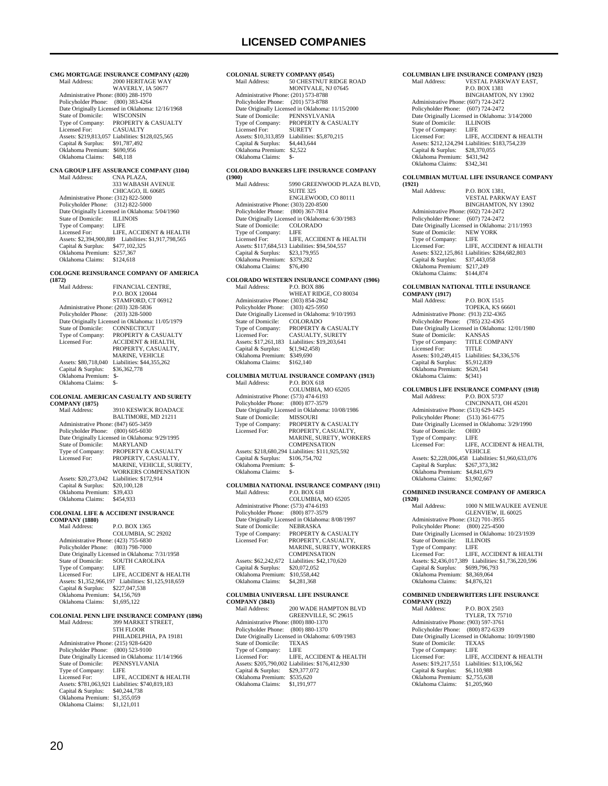**CMG MORTGAGE INSURANCE COMPANY (4220)**<br>Mail Address: 2000 HERITAGE WAY 2000 HERITAGE WAY WAVERLY, IA 50677 Administrative Phone: (800) 288-1970 Policyholder Phone: (800) 383-4264 Date Originally Licensed in Oklahoma: 12/16/1968<br>State of Domicile: WISCONSIN State of Domicile:<br>Type of Company: Type of Company: PROPERTY & CASUALTY<br>Licensed For: CASUALTY Licensed For: CASUALTY Assets: \$219,813,057 Liabilities: \$128,025,565 Capital & Surplus: \$91,787,492 Oklahoma Premium: \$690,956 Oklahoma Claims: \$48,118 **CNA GROUP LIFE ASSURANCE COMPANY (3104)** Mail Address: CNA PLAZA, 333 WABASH AVENUE CHICAGO, IL 60685 Administrative Phone: (312) 822-5000 Policyholder Phone: (312) 822-5000 Date Originally Licensed in Oklahoma: 5/04/1960<br>State of Domicile: ILLINOIS State of Domicile: ILLIN<br>Type of Company: LIFE Type of Company: LIFE<br>Licensed For: LIFE, ACCIDENT & HEALTH Licensed For: LIFE, ACCIDENT & HEALTH Assets: \$2,394,900,889 Liabilities: \$1,917,798,565 Capital & Surplus: \$477,102,325 Oklahoma Premium: \$257,367 Oklahoma Claims: \$124,618 **COLOGNE REINSURANCE COMPANY OF AMERICA (1872)** FINANCIAL CENTRE. P.O. BOX 120044 STAMFORD, CT 06912 Administrative Phone: (203) 328-5836 Policyholder Phone: (203) 328-5000 Date Originally Licensed in Oklahoma: 11/05/1979 State of Domicile: CONNECTICUT<br>Type of Company: PROPERTY & CA Type of Company: PROPERTY & CASUALTY<br>Licensed For: ACCIDENT & HEALTH. ACCIDENT & HEALTH. PROPERTY, CASUALTY, MARINE, VEHICLE Assets: \$80,718,040 Liabilities: \$44,355,262<br>Capital & Surplus: \$36,362,778 Capital & Surplus: Oklahoma Premium: \$- Oklahoma Claims: **COLONIAL AMERICAN CASUALTY AND SURETY COMPANY (1875)**<br>Mail Address: 3910 KESWICK ROADACE BALTIMORE, MD 21211 Administrative Phone: (847) 605-3459 Policyholder Phone: (800) 605-6030 Date Originally Licensed in Oklahoma: 9/29/1995<br>State of Domicile: MARYLAND State of Domicile:<br>Type of Company: Type of Company: PROPERTY & CASUALTY<br>Licensed For: PROPERTY. CASUALTY PROPERTY, CASUALTY, MARINE, VEHICLE, SURETY, WORKERS COMPENSATION Assets: \$20,273,042 Liabilities: \$172,914 Capital & Surplus: \$20,100,128 Oklahoma Premium: \$39,433 Oklahoma Claims: \$454,933 **COLONIAL LIFE & ACCIDENT INSURANCE COMPANY (1880)** Mail Address: P.O. BOX 1365 COLUMBIA, SC 29202 Administrative Phone: (423) 755-6830 Policyholder Phone: (803) 798-7000 Date Originally Licensed in Oklahoma: 7/31/1958<br>State of Domicile: SOUTH CAROLINA SOUTH CAROLINA<br>LIFE Type of Company: Licensed For: LIFE, ACCIDENT & HEALTH Assets: \$1,352,966,197 Liabilities: \$1,125,918,659 Capital & Surplus: \$227,047,538 Oklahoma Premium: \$4,156,769 Oklahoma Claims: \$1,695,122 **COLONIAL PENN LIFE INSURANCE COMPANY (1896)** 399 MARKET STREET. 5TH FLOOR PHILADELPHIA, PA 19181 Administrative Phone: (215) 928-6420 Policyholder Phone: (800) 523-9100 Date Originally Licensed in Oklahoma: 11/14/1966<br>State of Domicile: PENNSYLVANIA State in Ormanomia: 11<br>PENNSYLVANIA<br>LIFE Type of Company:<br>Licensed For: LIFE, ACCIDENT & HEALTH Assets: \$781,063,921 Liabilities: \$740,819,183 Capital & Surplus: \$40,244,738 Oklahoma Premium: \$1,355,059 Oklahoma Claims: \$1,121,011

#### **COLONIAL SURETY COMPANY (0545)**<br>Mail Address: 50 CHESTNUT RI 50 CHESTNUT RIDGE ROAD MONTVALE, NJ 07645 Administrative Phone: (201) 573-8788 Policyholder Phone: (201) 573-8788 Date Originally Licensed in Oklahoma: 11/15/2000<br>State of Domicile: PENNSYLVANIA State of Domicile: PENNSYLVANIA<br>Type of Company: PROPERTY & CAS Type of Company: PROPERTY & CASUALTY<br>Licensed For: SURETY Licensed For: SURETY Assets: \$10,313,859 Liabilities: \$5,870,215 Capital & Surplus: \$4,443,644 Oklahoma Premium: \$2,522 Oklahoma Claims: \$-**COLORADO BANKERS LIFE INSURANCE COMPANY (1900)** 5990 GREENWOOD PLAZA BLVD, SUITE 325 ENGLEWOOD, CO 80111 Administrative Phone: (303) 220-8500 Policyholder Phone: (800) 367-7814 Date Originally Licensed in Oklahoma: 6/30/1983 State of Domicile: COLORADO<br>Type of Company: LIFE Type of Company:<br>Licensed For: LIFE, ACCIDENT & HEALTH Assets: \$117,684,513 Liabilities: \$94,504,557<br>Capital & Surplus: \$23,179,955 Capital & Surplus: \$23,179,955 Oklahoma Premium: \$379,282 Oklahoma Claims: \$76,490 **COLORADO WESTERN INSURANCE COMPANY (1906)** Mail Address: WHEAT RIDGE, CO 80034 Administrative Phone: (303) 854-2842 Policyholder Phone: (303) 425-5950 Date Originally Licensed in Oklahoma: 9/10/1993<br>State of Domicile: COLOR ADO State of Domicile:<br>Type of Company: PROPERTY & CASUALTY Licensed For: CASUALTY, SURETY Assets: \$17,261,183 Liabilities: \$19,203,641 Capital & Surplus: \$(1,942,458) Oklahoma Premium: \$349,690<br>Oklahoma Claims: \$162,140 Oklahoma Claims: **COLUMBIA MUTUAL INSURANCE COMPANY (1913)** Mail Address: P.O. BOX 618 COLUMBIA, MO 65205 Administrative Phone: (573) 474-6193<br>Policyholder Phone: (800) 877-3579 Policyholder Phone: Date Originally Licensed in Oklahoma: 10/08/1986<br>State of Domicile: MISSOURI State of Domicile:<br>Type of Company: PROPERTY & CASUALTY Licensed For: PROPERTY, CASUALTY, MARINE, SURETY, WORKERS **COMPENSATION**  Assets: \$218,680,294 Liabilities: \$111,925,592 Capital & Surplus: \$106,754,702 Oklahoma Premium: \$- Oklahoma Claims: **COLUMBIA NATIONAL INSURANCE COMPANY (1911)** P.O. BOX 618 COLUMBIA, MO 65205 Administrative Phone: (573) 474-6193 Policyholder Phone: (800) 877-3579 Policylonder Fibric. (600) 677-5577<br>Date Originally Licensed in Oklahoma: 8/08/1997<br>State of Domicile: NEBRASKA State of Domicile:<br>Type of Company: Type of Company: PROPERTY & CASUALTY Licensed For: PROPERTY, CASUALTY, MARINE, SURETY, WORKERS **COMPENSATION** Assets: \$62,242,672 Liabilities: \$42,170,620<br>Capital & Surplus: \$20,072,052 Capital  $&$  Surplus: Oklahoma Premium: \$10,558,442 Oklahoma Claims: **COLUMBIA UNIVERSAL LIFE INSURANCE COMPANY (3843)** 200 WADE HAMPTON BLVD GREENVILLE, SC 29615 Administrative Phone: (800) 880-1370 Policyholder Phone: (800) 880-1370 Date Originally Licensed in Oklahoma: 6/09/1983<br>State of Domicile: TEXAS State of Domicile: TEXA<br>Type of Company: LIFE Type of Company: LIFE<br>Licensed For: LIFE, ACCIDENT & HEALTH Licensed For: LIFE, ACCIDENT & HEALTH Assets: \$205,790,002 Liabilities: \$176,412,930 Capital & Surplus: \$29,377,072

Oklahoma Premium: \$535,620 Oklahoma Claims: \$1,191,977

#### **COLUMBIAN LIFE INSURANCE COMPANY (1923)** VESTAL PARKWAY EAST, P.O. BOX 1381 BINGHAMTON, NY 13902 Administrative Phone: (607) 724-2472 Policyholder Phone: (607) 724-2472 Date Originally Licensed in Oklahoma: 3/14/2000<br>State of Domicile: ILLINOIS State of Domicile: ILLIN<br>Type of Company: I JFE Type of Company: LIFE<br>Licensed For: LIFE, ACCIDENT & HEALTH Licensed For: LIFE, ACCIDENT & HEALTH Assets: \$212,124,294 Liabilities: \$183,754,239 Capital & Surplus: \$28,370,055 Oklahoma Premium: \$431,942 Oklahoma Claims: \$342,341 **COLUMBIAN MUTUAL LIFE INSURANCE COMPANY (1921)** P.O. BOX 1381, VESTAL PARKWAY EAST BINGHAMTON, NY 13902 Administrative Phone: (602) 724-2472 Policyholder Phone: (607) 724-2472 Date Originally Licensed in Oklahoma: 2/11/1993<br>State of Domicile: NEW YORK State of Domicile: NEW<br>Type of Company: LIFE Type of Company: LIFE<br>
Licensed For: LIFE, ACCIDENT & HEALTH Licensed For: LIFE, ACCIDENT & HEALTH Assets: \$322,125,861 Liabilities: \$284,682,803 Capital & Surplus: \$37,443,058 Oklahoma Premium: \$217,249 Oklahoma Claims: \$144,874 **COLUMBIAN NATIONAL TITLE INSURANCE COMPANY (1917)** Mail Address: P.O. BOX 1515 TOPEKA, KS 66601 Administrative Phone: (913) 232-4365

| Administrative Phone: (913) 232-4365             |
|--------------------------------------------------|
| Policyholder Phone: (785) 232-4365               |
| Date Originally Licensed in Oklahoma: 12/01/1980 |
| <b>KANSAS</b>                                    |
| <b>TITLE COMPANY</b>                             |
| <b>TITLE</b>                                     |
| Liabilities: \$4,336,576                         |
| \$5,912,839                                      |
| \$620,541                                        |
| \$(341)                                          |
|                                                  |

### **COLUMBUS LIFE INSURANCE COMPANY (1918)**

P.O. BOX 5737 CINCINNATI, OH 45201 Administrative Phone: (513) 629-1425 Policyholder Phone: (513) 361-6775 Date Originally Licensed in Oklahoma: 3/29/1990 State of Domicile: OHIO<br>Type of Company: LIFE Type of Company:<br>Licensed For: LIFE, ACCIDENT & HEALTH, **VEHICLE**  Assets: \$2,228,006,458 Liabilities: \$1,960,633,076 Capital & Surplus: \$267,373,382 Oklahoma Premium: \$4,841,679 Oklahoma Claims: \$3,902,667

#### **COMBINED INSURANCE COMPANY OF AMERICA**

**(1920)**  $1000$ N MILWAUKEE AVENUE GLENVIEW, IL 60025 Administrative Phone: (312) 701-3955 Policyholder Phone: (800) 225-4500 Date Originally Licensed in Oklahoma: 10/23/1939 State of Domicile: ILLINOIS Type of Company: LIFE LIFE, ACCIDENT & HEALTH Assets: \$2,436,017,389 Liabilities: \$1,736,220,596 Capital & Surplus: \$699,796,793 Oklahoma Premium: \$8,369,064 Oklahoma Claims: \$4,876,321

#### **COMBINED UNDERWRITERS LIFE INSURANCE COMPANY (1922)**

| COMIL AIN L (1944)                   |                                                  |
|--------------------------------------|--------------------------------------------------|
| Mail Address:                        | <b>P.O. BOX 2503</b>                             |
|                                      | <b>TYLER, TX 75710</b>                           |
| Administrative Phone: (903) 597-3761 |                                                  |
|                                      | Policyholder Phone: (800) 872-6339               |
|                                      | Date Originally Licensed in Oklahoma: 10/09/1980 |
| State of Domicile:                   | <b>TEXAS</b>                                     |
| Type of Company:                     | LIFE                                             |
| Licensed For:                        | LIFE. ACCIDENT & HEALTH                          |
| Assets: \$19,217,551                 | Liabilities: \$13,106,562                        |
| Capital & Surplus:                   | \$6,110,988                                      |
| Oklahoma Premium:                    | \$2,755,638                                      |
| Oklahoma Claims:                     | \$1,205,960                                      |
|                                      |                                                  |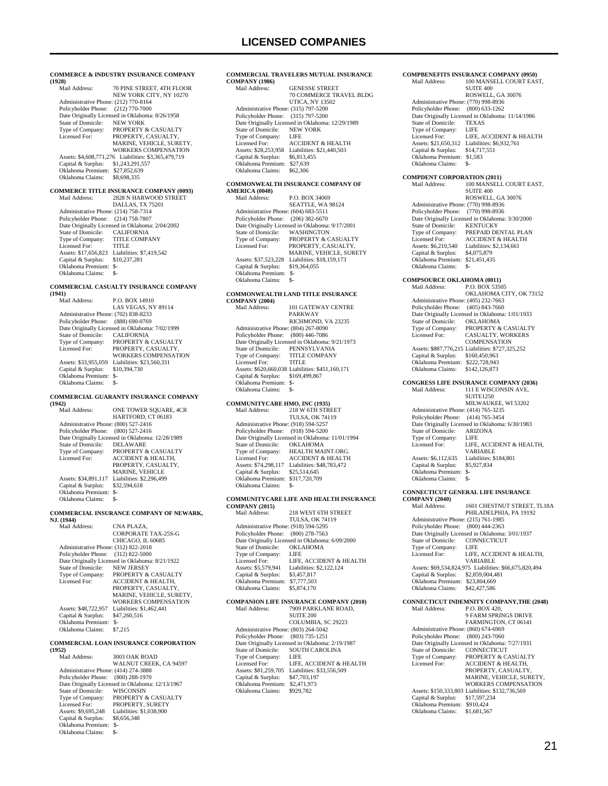**COMMERCE & INDUSTRY INSURANCE COMPANY (1928)** 70 PINE STREET, 4TH FLOOR NEW YORK CITY, NY 10270 Administrative Phone: (212) 770-8164 Policyholder Phone: (212) 770-7000 Patte Originally Licensed in Oklahoma: 8/26/1958<br>State of Domicile: NEW YORK State of Domicile:<br>Type of Company: Type of Company: PROPERTY & CASUALTY<br>Licensed For: PROPERTY, CASUALTY, PROPERTY, CASUALTY, MARINE, VEHICLE, SURETY, WORKERS COMPENSATION Assets: \$4,608,771,276 Liabilities: \$3,365,479,719 Capital & Surplus: \$1,243,291,557 Oklahoma Premium: \$27,852,639 Oklahoma Claims: \$8,698,335 **COMMERCE TITLE INSURANCE COMPANY (0093)** Mail Address: 2828 N HARWOOD STREET DALLAS, TX 75201 Administrative Phone: (214) 758-7314 Policyholder Phone: (214) 758-7807 Date Originally Licensed in Oklahoma: 2/04/2002<br>State of Domicile: CALIFORNIA State of Domicile: CALIFORNIA Type of Company: TITLE COMPANY Licensed For: TITLE Assets: \$17,656,823 Liabilities: \$7,419,542 Capital & Surplus: \$10,237,281 Oklahoma Premium: \$- Oklahoma Claims: \$- **COMMERCIAL CASUALTY INSURANCE COMPANY (1941)** P.O. BOX 14910 LAS VEGAS, NY 89114 Administrative Phone: (702) 838-8233 Policyholder Phone: (888) 690-0769 Date Originally Licensed in Oklahoma: 7/02/1999<br>State of Domicile: CALIFORNIA State of Domicile:<br>Type of Company:<br>Licensed For: PROPERTY & CASUALTY PROPERTY, CASUALTY, WORKERS COMPENSATION Assets: \$33,955,059 Liabilities: \$23,560,331<br>Capital & Surplus: \$10,394,730 Capital & Surplus: Oklahoma Premium: \$- Oklahoma Claims: **COMMERCIAL GUARANTY INSURANCE COMPANY (1942)** ONE TOWER SOUARE, 4CR HARTFORD, CT 06183 Administrative Phone: (800) 527-2416 Policyholder Phone: (800) 527-2416 Date Originally Licensed in Oklahoma: 12/28/1989<br>State of Domicile: DELAWARE State of Domicile:<br>Type of Company: Type of Company: PROPERTY & CASUALTY<br>Licensed For: ACCIDENT & HEALTH, ACCIDENT & HEALTH, PROPERTY, CASUALTY, MARINE, VEHICLE Assets: \$34,891,117 Liabilities: \$2,296,499<br>Capital & Surplus: \$32,594.618  $Capital & Surplus:$  Oklahoma Premium: \$- Oklahoma Claims: \$-**COMMERCIAL INSURANCE COMPANY OF NEWARK, NJ. (1944)** CNA PLAZA. CORPORATE TAX-25S-G CHICAGO, IL 60685 Administrative Phone: (312) 822-2018 Policyholder Phone: (312) 822-5000 Date Originally Licensed in Oklahoma: 8/21/1922 State of Domicile: Type of Company: PROPERTY & CASUALTY<br>Licensed For: ACCIDENT & HEALTH, ACCIDENT & HEALTH, PROPERTY, CASUALTY MARINE, VEHICLE, SURETY, WORKERS COMPENSATION Assets: \$48,722,957 Liabilities: \$1,462,441<br>Capital & Surplus: \$47,260,516 Capital & Surplus: Oklahoma Premium: \$-<br>Oklahoma Claims: \$7,215 Oklahoma Claims: **COMMERCIAL LOAN INSURANCE CORPORATION (1952)** 3003 OAK ROAD WALNUT CREEK, CA 94597 Administrative Phone: (414) 274-3888 Policyholder Phone: (800) 288-1970 Date Originally Licensed in Oklahoma: 12/13/1967 State of Domicile: WISCONSIN<br>Type of Company: PROPERTY & Type of Company: PROPERTY & CASUALTY<br>Licensed For: PROPERTY, SURETY PROPERTY, SURETY Assets: \$9,695,248 Liabilities: \$1,038,900<br>Capital & Surplus: \$8,656,348

Capital & Surplus: Oklahoma Premium: \$- Oklahoma Claims: \$-

#### **COMMERCIAL TRAVELERS MUTUAL INSURANCE COMPANY** (1986) GENESSE STREET

|                                      | <b>70 COMMERCE TRAVEL BLDG</b>                   |
|--------------------------------------|--------------------------------------------------|
|                                      | <b>UTICA, NY 13502</b>                           |
| Administrative Phone: (315) 797-5200 |                                                  |
| Policyholder Phone: (315) 797-5200   |                                                  |
|                                      | Date Originally Licensed in Oklahoma: 12/29/1989 |
| State of Domicile:                   | <b>NEW YORK</b>                                  |
| Type of Company:                     | LIFE                                             |
| Licensed For:                        | <b>ACCIDENT &amp; HEALTH</b>                     |
| Assets: \$28,253,958                 | Liabilities: \$21,440,503                        |
| Capital & Surplus:                   | \$6,813,455                                      |
| Oklahoma Premium:                    | \$27,639                                         |
| Oklahoma Claims:                     | \$62,306                                         |
|                                      |                                                  |

### **COMMONWEALTH INSURANCE COMPANY OF**

| AMERICA (0048)                       |                                                 |
|--------------------------------------|-------------------------------------------------|
| Mail Address:                        | P.O. BOX 34069                                  |
|                                      | SEATTLE, WA 98124                               |
| Administrative Phone: (604) 683-5511 |                                                 |
| Policyholder Phone:                  | $(206)$ 382-6670                                |
|                                      | Date Originally Licensed in Oklahoma: 9/17/2001 |
| State of Domicile:                   | WASHINGTON                                      |
| Type of Company:                     | <b>PROPERTY &amp; CASUALTY</b>                  |
| Licensed For:                        | PROPERTY, CASUALTY,                             |
|                                      | <b>MARINE, VEHICLE, SURETY</b>                  |
| Assets: \$37,523,228                 | Liabilities: \$18,159,173                       |
| Capital & Surplus:                   | \$19,364,055                                    |
| Oklahoma Premium:                    | \$-                                             |
| Oklahoma Claims:                     |                                                 |

### **COMMONWEALTH LAND TITLE INSURANCE**

| <b>COMPANY (2004)</b>                |                                                  |
|--------------------------------------|--------------------------------------------------|
| Mail Address:                        | 101 GATEWAY CENTRE                               |
|                                      | PARKWAY                                          |
|                                      | RICHMOND. VA 23235                               |
| Administrative Phone: (804) 267-8090 |                                                  |
| Policyholder Phone: (800) 446-7086   |                                                  |
|                                      | Date Originally Licensed in Oklahoma: 9/21/1973  |
| State of Domicile:                   | PENNSYLVANIA                                     |
| Type of Company:                     | <b>TITLE COMPANY</b>                             |
| Licensed For:                        | <b>TITLE</b>                                     |
|                                      | Assets: \$620,660,038 Liabilities: \$451,160,171 |
| Capital & Surplus:                   | \$169,499,867                                    |
| Oklahoma Premium:                    | \$-                                              |
| Oklahoma Claims:                     | \$-                                              |
|                                      |                                                  |

#### **COMMUNITYCARE HMO, INC (1935)**

| <u> commentar a chanal annos ante (abec)</u> |                                                  |
|----------------------------------------------|--------------------------------------------------|
| Mail Address:                                | 218 W 6TH STREET                                 |
|                                              | <b>TULSA, OK 74119</b>                           |
| Administrative Phone: (918) 594-5257         |                                                  |
| Policyholder Phone: (918) 594-5200           |                                                  |
|                                              | Date Originally Licensed in Oklahoma: 11/01/1994 |
| State of Domicile:                           | <b>OKLAHOMA</b>                                  |
| Type of Company:                             | HEALTH MAINT ORG.                                |
| Licensed For:                                | <b>ACCIDENT &amp; HEALTH</b>                     |
| Assets: \$74,298,117                         | Liabilities: \$48,783,472                        |
| Capital & Surplus:                           | \$25,514,645                                     |
| Oklahoma Premium:                            | \$317,720,709                                    |
| Oklahoma Claims:                             |                                                  |
|                                              |                                                  |

#### **COMMUNITYCARE LIFE AND HEALTH INSURANCE**   $COI$

| <b>COMPANY (2015)</b>                |                                                 |
|--------------------------------------|-------------------------------------------------|
| Mail Address:                        | 218 WEST 6TH STREET                             |
|                                      | <b>TULSA, OK 74119</b>                          |
| Administrative Phone: (918) 594-5295 |                                                 |
| Policyholder Phone: (800) 278-7563   |                                                 |
|                                      | Date Originally Licensed in Oklahoma: 6/09/2000 |
| State of Domicile:                   | <b>OKLAHOMA</b>                                 |
| Type of Company:                     | LIFE                                            |
| Licensed For:                        | LIFE. ACCIDENT & HEALTH                         |
| Assets: \$5,579.941                  | Liabilities: \$2,122,124                        |
| Capital & Surplus:                   | \$3,457,817                                     |
| Oklahoma Premium:                    | \$7,777,503                                     |
| Oklahoma Claims:                     | \$5,874,170                                     |
|                                      |                                                 |

#### **COMPANION LIFE INSURANCE COMPANY (2010)** 7909 PARKLANE ROAD,

|                                      | <b>SUITE 200</b>                                |
|--------------------------------------|-------------------------------------------------|
|                                      | COLUMBIA, SC 29223                              |
| Administrative Phone: (803) 264-5042 |                                                 |
| Policyholder Phone: (803) 735-1251   |                                                 |
|                                      | Date Originally Licensed in Oklahoma: 2/19/1987 |
| State of Domicile:                   | SOUTH CAROLINA                                  |
| Type of Company:                     | LIFE                                            |
| Licensed For:                        | LIFE, ACCIDENT & HEALTH                         |
| Assets: \$81,259,705                 | Liabilities: \$33,556,509                       |
| Capital & Surplus:                   | \$47,703,197                                    |
| Oklahoma Premium:                    | \$2,471,973                                     |
| Oklahoma Claims:                     | \$929.782                                       |
|                                      |                                                 |

### **COMPBENEFITS INSURANCE COMPANY (0950)**<br>Mail Address: 100 MANSELL COURT EAS 100 MANSELL COURT EAST, SUITE 400 ROSWELL, GA 30076

| KUS WELL, UA 30070                               |
|--------------------------------------------------|
| Administrative Phone: (770) 998-8936             |
| Policyholder Phone: (800) 633-1262               |
| Date Originally Licensed in Oklahoma: 11/14/1986 |
| <b>TEXAS</b>                                     |
| LIFE                                             |
| LIFE. ACCIDENT & HEALTH                          |
| Liabilities: \$6,932,761                         |
| \$14,717,551                                     |
| \$1,583                                          |
| \$-                                              |
|                                                  |

#### **COMPDENT CORPORATION (2011)**<br>Mail Address: 100 MANSELI 100 MANSELL COURT EAST,

|                                      | <b>SUITE 400</b>                                |
|--------------------------------------|-------------------------------------------------|
|                                      | ROSWELL, GA 30076                               |
| Administrative Phone: (770) 998-8936 |                                                 |
| Policyholder Phone: (770) 998-8936   |                                                 |
|                                      | Date Originally Licensed in Oklahoma: 3/30/2000 |
| State of Domicile:                   | <b>KENTUCKY</b>                                 |
| Type of Company:                     | PREPAID DENTAL PLAN                             |
| Licensed For:                        | <b>ACCIDENT &amp; HEALTH</b>                    |
| Assets: \$6,210,540                  | Liabilities: \$2,134,661                        |
| Capital & Surplus:                   | \$4,075,879                                     |
| Oklahoma Premium:                    | \$21.451.435                                    |
| Oklahoma Claims:                     |                                                 |

#### **COMPSOURCE OKLAHOMA (0011)**<br>Mail Address: P.O. BOX 5350 Mail Address

| Mali Address:                        | רווררר גגווא וווי                                |
|--------------------------------------|--------------------------------------------------|
|                                      | OKLAHOMA CITY, OK 73152                          |
| Administrative Phone: (405) 232-7663 |                                                  |
| Policyholder Phone: (405) 843-7660   |                                                  |
|                                      | Date Originally Licensed in Oklahoma: 1/01/1933  |
| State of Domicile:                   | <b>OKLAHOMA</b>                                  |
| Type of Company:                     | <b>PROPERTY &amp; CASUALTY</b>                   |
| Licensed For:                        | <b>CASUALTY, WORKERS</b>                         |
|                                      | COMPENSATION                                     |
|                                      | Assets: \$887,776,215 Liabilities: \$727,325,252 |
| Capital & Surplus:                   | \$160,450,963                                    |
| Oklahoma Premium:                    | \$222,728,943                                    |
| Oklahoma Claims:                     | \$142,126,873                                    |

#### **CONGRESS LIFE INSURANCE COMPANY (2036)**<br>Mail Address: **LITE WISCONSIN AVE.** 111 E WISCONSIN AVE.

|                                      | <b>SUITE1250</b>                                |
|--------------------------------------|-------------------------------------------------|
|                                      | MILWAUKEE, WI 53202                             |
| Administrative Phone: (414) 765-3235 |                                                 |
| Policyholder Phone: (414) 765-3454   |                                                 |
|                                      | Date Originally Licensed in Oklahoma: 6/30/1983 |
| State of Domicile:                   | <b>ARIZONA</b>                                  |
| Type of Company:                     | LIFE                                            |
| Licensed For:                        | LIFE, ACCIDENT & HEALTH,                        |
|                                      | VARIARI E                                       |
| Assets: \$6,112,635                  | Liabilities: \$184,801                          |
| Capital & Surplus:                   | \$5,927,834                                     |
| Oklahoma Premium:                    | \$-                                             |
| Oklahoma Claims:                     | \$-                                             |
|                                      |                                                 |

#### **CONNECTICUT GENERAL LIFE INSURANCE**   $C<sub>O</sub>$

| COMPANY (2040)                       |                                                        |
|--------------------------------------|--------------------------------------------------------|
| Mail Address:                        | 1601 CHESTNUT STREET, TL18A                            |
|                                      | PHILADELPHIA, PA 19192                                 |
| Administrative Phone: (215) 761-1985 |                                                        |
| Policyholder Phone: (800) 444-2363   |                                                        |
|                                      | Date Originally Licensed in Oklahoma: 3/01/1937        |
| State of Domicile:                   | <b>CONNECTICUT</b>                                     |
| Type of Company:                     | LIFE                                                   |
| Licensed For:                        | LIFE. ACCIDENT & HEALTH.                               |
|                                      | <b>VARIABLE</b>                                        |
|                                      | Assets: \$69,534,824,975 Liabilities: \$66,675,820,494 |
| Capital & Surplus:                   | \$2,859,004,481                                        |
| Oklahoma Premium:                    | \$23,804,669                                           |
| Oklahoma Claims:                     | \$42,427,586                                           |

#### **CONNECTICUT INDEMNITY COMPANY,THE (2048)**

| Mail Address:                        | P.O. BOX 420.                                    |
|--------------------------------------|--------------------------------------------------|
|                                      | 9 FARM SPRINGS DRIVE                             |
|                                      | FARMINGTON, CT 06141                             |
| Administrative Phone: (860) 674-6969 |                                                  |
| Policyholder Phone:                  | $(800)$ 243-7060                                 |
|                                      | Date Originally Licensed in Oklahoma: 7/27/1931  |
| State of Domicile:                   | <b>CONNECTICUT</b>                               |
| Type of Company:                     | PROPERTY & CASUALTY                              |
| Licensed For:                        | <b>ACCIDENT &amp; HEALTH.</b>                    |
|                                      | PROPERTY, CASUALTY,                              |
|                                      | MARINE, VEHICLE, SURETY.                         |
|                                      | <b>WORKERS COMPENSATION</b>                      |
|                                      | Assets: \$150,333,803 Liabilities: \$132,736,569 |
| Capital & Surplus:                   | \$17,597,234                                     |
| Oklahoma Premium:                    | \$910.424                                        |
| Oklahoma Claims:                     | \$1,681,567                                      |
|                                      |                                                  |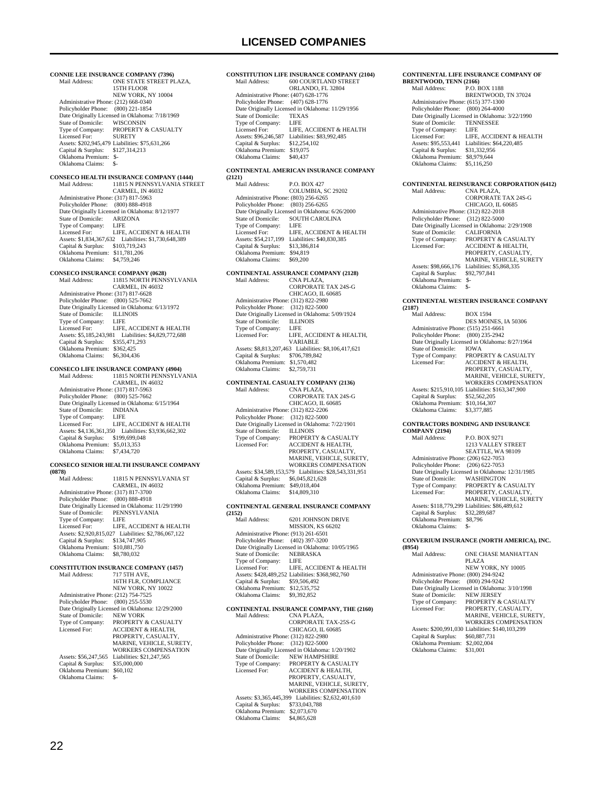**CONNIE LEE INSURANCE COMPANY (7396)**<br>Mail Address: **ONE STATE STREET PI** MEE COMMANY (1556)<br>ONE STATE STREET PLAZA, 15TH FLOOR NEW YORK, NY 10004 Administrative Phone: (212) 668-0340 Policyholder Phone: (800) 221-1854 Date Originally Licensed in Oklahoma: 7/18/1969 State of Domicile: WISCONSIN<br>Type of Company: PROPERTY & PROPERTY & CASUALTY Licensed For: SURETY Assets: \$202,945,479 Liabilities: \$75,631,266 Capital & Surplus: \$127,314,213 Oklahoma Premium: \$- Oklahoma Claims: **CONSECO HEALTH INSURANCE COMPANY (1444)** Mail Address: 11815 N PENNSYLVANIA STREET CARMEL, IN 46032 Administrative Phone: (317) 817-5963 Policyholder Phone: (800) 888-4918 Date Originally Licensed in Oklahoma: 8/12/1977 State of Domicile: ARIZONA Type of Company: LIFE Licensed For: LIFE, ACCIDENT & HEALTH Assets: \$1,834,367,632 Liabilities: \$1,730,648,389 Capital & Surplus: \$103,719,243 Oklahoma Premium: \$11,781,206 Oklahoma Claims: \$4,759,246 **CONSECO INSURANCE COMPANY (0628)**<br>Mail Address: 11815 NORTH PENN: 11815 NORTH PENNSYLVANIA CARMEL, IN 46032 Administrative Phone: (317) 817-6628 Policyholder Phone: (800) 525-7662 Date Originally Licensed in Oklahoma: 6/13/1972<br>State of Domicile: ILLINOIS State of Domicile: Type of Company: LIFE<br>Licensed For: LIFE, LIFE, ACCIDENT & HEALTH Assets: \$5,185,243,981 Liabilities: \$4,829,772,688 Capital & Surplus: \$355,471,293 Oklahoma Premium: \$362,425 Oklahoma Claims: \$6,304,436 **CONSECO LIFE INSURANCE COMPANY (4904)** 11815 NORTH PENNSYLVANIA CARMEL, IN 46032 Administrative Phone: (317) 817-5963 Policyholder Phone: (800) 525-7662 Date Originally Licensed in Oklahoma: 6/15/1964<br>State of Domicile: INDIANA State of Domicile: INDIA<br>Type of Company: LIFE Type of Company:<br>Licensed For: LIFE, ACCIDENT  $\&$  HEALTH Assets: \$4,136,361,350 Liabilities: \$3,936,662,302 Capital & Surplus: \$199,699,048 Oklahoma Premium: \$5,013,353 Oklahoma Claims: \$7,434,720 **CONSECO SENIOR HEALTH INSURANCE COMPANY (0878)** 11815 N PENNSYLVANIA ST CARMEL, IN 46032 Administrative Phone: (317) 817-3700 Policyholder Phone: (800) 888-4918 Date Originally Licensed in Oklahoma: 11/29/1990 State of Domicile: PENNSYLVANIA<br>Type of Company: LIFE Type of Company:<br>Licensed For: LIFE, ACCIDENT  $\&$  HEALTH Assets: \$2,920,815,027 Liabilities: \$2,786,067,122 Capital & Surplus: \$134,747,905 Oklahoma Premium: \$10,881,750 Oklahoma Claims: \$8,780,032 **CONSTITUTION INSURANCE COMPANY (1457)** Mail Address: 717 5TH AVE, 16TH FLR, COMPLIANCE NEW YORK, NY 10022 Administrative Phone: (212) 754-7525 Policyholder Phone: (800) 255-5530 Date Originally Licensed in Oklahoma: 12/29/2000<br>State of Domicile: NEW YORK State of Domicile:<br>Type of Company: Type of Company: PROPERTY & CASUALTY Licensed For: ACCIDENT & HEALTH, PROPERTY, CASUALTY MARINE, VEHICLE, SURETY, WORKERS COMPENSATION Assets: \$56,247,565 Liabilities: \$21,247,565<br>Capital & Surplus: \$35,000,000 Capital  $&$  Surplus: Oklahoma Premium: \$60,102<br>Oklahoma Claims: \$-

### **CONSTITUTION LIFE INSURANCE COMPANY (2104)** 600 COURTLAND STREET ORLANDO, FL 32804 Administrative Phone: (407) 628-1776 Policyholder Phone: (407) 628-1776 Date Originally Licensed in Oklahoma: 11/29/1956<br>State of Domicile: TEXAS State of Domicile: TEXA<br>Type of Company: LIFE Type of Company:<br>Licensed For: LIFE, ACCIDENT & HEALTH Assets: \$96,246,587 Liabilities: \$83,992,485 Capital & Surplus: \$12,254,102 Oklahoma Premium: \$19,075 Oklahoma Claims: \$40,437 **CONTINENTAL AMERICAN INSURANCE COMPANY (2121)** P.O. BOX 427

 COLUMBIA, SC 29202 Administrative Phone: (803) 256-6265 Policyholder Phone: (803) 256-6265 Date Originally Licensed in Oklahoma: 6/26/2000 State of Domicile: SOUTH CAROLINA Type of Company: LIFE<br>Licensed For: LIFE, ACCIDENT & HEALTH Licensed For: LIFE, ACCIDENT & HEALTH Assets: \$54,217,199 Liabilities: \$40,830,385 Capital & Surplus: \$13,386,814 Oklahoma Premium: \$94,819 Oklahoma Claims: \$69,200

### **CONTINENTAL ASSURANCE COMPANY (2128)**

| Mail Address:                        | CNA PLAZA.                                           |
|--------------------------------------|------------------------------------------------------|
|                                      | CORPORATE TAX 24S-G                                  |
|                                      | CHICAGO, IL 60685                                    |
| Administrative Phone: (312) 822-2980 |                                                      |
| Policyholder Phone: (312) 822-5000   |                                                      |
|                                      | Date Originally Licensed in Oklahoma: 5/09/1924      |
| State of Domicile:                   | <b>ILLINOIS</b>                                      |
| Type of Company:                     | LIFE                                                 |
| Licensed For:                        | LIFE, ACCIDENT & HEALTH.                             |
|                                      | <b>VARIABLE</b>                                      |
|                                      | Assets: \$8,813,207,463 Liabilities: \$8,106,417,621 |
| Capital & Surplus:                   | \$706,789,842                                        |
| Oklahoma Premium:                    | \$1,570,482                                          |
| Oklahoma Claims:                     | \$2,759,731                                          |
|                                      |                                                      |

### **CONTINENTAL CASUALTY COMPANY (2136)**

| Mail Address:                        | CNA PLAZA.                                             |
|--------------------------------------|--------------------------------------------------------|
|                                      | CORPORATE TAX 24S-G                                    |
|                                      | CHICAGO, IL 60685                                      |
| Administrative Phone: (312) 822-2206 |                                                        |
| Policyholder Phone:                  | $(312)$ 822-5000                                       |
|                                      | Date Originally Licensed in Oklahoma: 7/22/1901        |
| State of Domicile:                   | <b>ILLINOIS</b>                                        |
| Type of Company:                     | PROPERTY & CASUALTY                                    |
| Licensed For:                        | <b>ACCIDENT &amp; HEALTH,</b>                          |
|                                      | PROPERTY, CASUALTY,                                    |
|                                      | MARINE, VEHICLE, SURETY.                               |
|                                      | <b>WORKERS COMPENSATION</b>                            |
|                                      | Assets: \$34,589,153,579 Liabilities: \$28,543,331,951 |
| Capital & Surplus:                   | \$6,045,821,628                                        |
| Oklahoma Premium:                    | \$49,018,404                                           |
| Oklahoma Claims:                     | \$14,809,310                                           |

### **CONTINENTAL GENERAL INSURANCE COMPANY**

| (2152)                               |                                                  |
|--------------------------------------|--------------------------------------------------|
| Mail Address <sup>.</sup>            | 6201 JOHNSON DRIVE                               |
|                                      | MISSION, KS 66202                                |
| Administrative Phone: (913) 261-6501 |                                                  |
| Policyholder Phone: (402) 397-3200   |                                                  |
|                                      | Date Originally Licensed in Oklahoma: 10/05/1965 |
| State of Domicile:                   | <b>NEBRASKA</b>                                  |
| Type of Company:                     | LIFE.                                            |
| Licensed For:                        | LIFE. ACCIDENT & HEALTH                          |
|                                      | Assets: \$428,489,252 Liabilities: \$368,982,760 |
| Capital & Surplus:                   | \$59,506,492                                     |
| Oklahoma Premium:                    | \$12,535,752                                     |
| Oklahoma Claims:                     | \$9,392,852                                      |
|                                      |                                                  |

#### **CONTINENTAL INSURANCE COMPANY, THE (2160)**<br>Mail Address: CNA PLAZA Mail Address

|                                      | .                                               |
|--------------------------------------|-------------------------------------------------|
|                                      | CORPORATE TAX-25S-G                             |
|                                      | CHICAGO, IL 60685                               |
| Administrative Phone: (312) 822-2980 |                                                 |
| Policyholder Phone:                  | $(312)$ 822-5000                                |
|                                      | Date Originally Licensed in Oklahoma: 1/20/1902 |
| State of Domicile:                   | <b>NEW HAMPSHIRE</b>                            |
| Type of Company:                     | PROPERTY & CASUALTY                             |
| Licensed For:                        | ACCIDENT & HEALTH.                              |
|                                      | PROPERTY, CASUALTY,                             |
|                                      | MARINE, VEHICLE, SURETY,                        |
|                                      | <b>WORKERS COMPENSATION</b>                     |
| Assets: \$3,365,445,399              | Liabilities: \$2,632,401,610                    |
| Capital & Surplus:                   | \$733,043,788                                   |
| Oklahoma Premium:                    | \$2,073,670                                     |
| Oklahoma Claims:                     | \$4,865,628                                     |

#### **CONTINENTAL LIFE INSURANCE COMPANY OF BRENTWOOD, TENN (2166)**

| Mail Address:                        | <b>P.O. BOX 1188</b>                            |
|--------------------------------------|-------------------------------------------------|
|                                      | BRENTWOOD, TN 37024                             |
| Administrative Phone: (615) 377-1300 |                                                 |
| Policyholder Phone: (800) 264-4000   |                                                 |
|                                      | Date Originally Licensed in Oklahoma: 3/22/1990 |
| State of Domicile:                   | <b>TENNESSEE</b>                                |
| Type of Company:                     | LIFE                                            |
| Licensed For:                        | LIFE. ACCIDENT & HEALTH                         |
| Assets: \$95,553,441                 | Liabilities: \$64,220,485                       |
| Capital & Surplus:                   | \$31,332,956                                    |
| Oklahoma Premium:                    | \$8,979,644                                     |
| Oklahoma Claims:                     | \$5,116,250                                     |
|                                      |                                                 |

#### **CONTINENTAL REINSURANCE CORPORATION (6412)**

| Mail Address:                        | CNA PLAZA.                                      |
|--------------------------------------|-------------------------------------------------|
|                                      | <b>CORPORATE TAX 24S-G</b>                      |
|                                      | CHICAGO, IL 60685                               |
| Administrative Phone: (312) 822-2018 |                                                 |
| Policyholder Phone: (312) 822-5000   |                                                 |
|                                      | Date Originally Licensed in Oklahoma: 2/29/1908 |
| State of Domicile:                   | <b>CALIFORNIA</b>                               |
| Type of Company:                     | PROPERTY & CASUALTY                             |
| Licensed For:                        | <b>ACCIDENT &amp; HEALTH.</b>                   |
|                                      | PROPERTY, CASUALTY,                             |
|                                      | <b>MARINE, VEHICLE, SURETY</b>                  |
| Assets: \$98,666,176                 | Liabilities: \$5,868,335                        |
| Capital & Surplus:                   | \$92,797,841                                    |
| Oklahoma Premium:                    | $S-$                                            |
| Oklahoma Claims:                     | \$-                                             |

#### **CONTINENTAL WESTERN INSURANCE COMPANY (2187)**

| ,                                    |                                                  |
|--------------------------------------|--------------------------------------------------|
| Mail Address:                        | <b>BOX 1594</b>                                  |
|                                      | DES MOINES. IA 50306                             |
| Administrative Phone: (515) 251-6661 |                                                  |
| Policyholder Phone:                  | $(800)$ 235-2942                                 |
|                                      | Date Originally Licensed in Oklahoma: 8/27/1964  |
| State of Domicile:                   | <b>IOWA</b>                                      |
| Type of Company:                     | <b>PROPERTY &amp; CASUALTY</b>                   |
| Licensed For:                        | <b>ACCIDENT &amp; HEALTH,</b>                    |
|                                      | PROPERTY, CASUALTY.                              |
|                                      | MARINE, VEHICLE, SURETY.                         |
|                                      | <b>WORKERS COMPENSATION</b>                      |
|                                      | Assets: \$215,910,105 Liabilities: \$163,347,900 |
| Capital & Surplus:                   | \$52,562,205                                     |
| Oklahoma Premium:                    | \$10,164,307                                     |
| Oklahoma Claims:                     | \$3,377,885                                      |
|                                      |                                                  |

#### **CONTRACTORS BONDING AND INSURANCE**   $C<sub>O</sub>$

| <b>COMPANY (2194)</b>                |                                                  |
|--------------------------------------|--------------------------------------------------|
| Mail Address:                        | <b>P.O. BOX 9271</b>                             |
|                                      | <b>1213 VALLEY STREET</b>                        |
|                                      | SEATTLE, WA 98109                                |
| Administrative Phone: (206) 622-7053 |                                                  |
| Policyholder Phone:                  | $(206)$ 622-7053                                 |
|                                      | Date Originally Licensed in Oklahoma: 12/31/1985 |
| State of Domicile:                   | <b>WASHINGTON</b>                                |
| Type of Company:                     | <b>PROPERTY &amp; CASUALTY</b>                   |
| Licensed For:                        | PROPERTY, CASUALTY,                              |
|                                      | <b>MARINE, VEHICLE, SURETY</b>                   |
|                                      | Assets: \$118,779,299 Liabilities: \$86,489,612  |
| Capital & Surplus:                   | \$32,289,687                                     |
| Oklahoma Premium:                    | \$8,796                                          |
| Oklahoma Claims:                     | \$-                                              |
|                                      |                                                  |

#### **CONVERIUM INSURANCE (NORTH AMERICA), INC.**

| (8954)                               |                                                  |
|--------------------------------------|--------------------------------------------------|
| Mail Address:                        | <b>ONE CHASE MANHATTAN</b>                       |
|                                      | PLAZA                                            |
|                                      | NEW YORK, NY 10005                               |
| Administrative Phone: (800) 294-9242 |                                                  |
| Policyholder Phone:                  | $(800)$ 294-9242                                 |
|                                      | Date Originally Licensed in Oklahoma: 3/10/1998  |
| State of Domicile:                   | <b>NEW JERSEY</b>                                |
| Type of Company:                     | <b>PROPERTY &amp; CASUALTY</b>                   |
| Licensed For:                        | PROPERTY, CASUALTY,                              |
|                                      | MARINE, VEHICLE, SURETY.                         |
|                                      | <b>WORKERS COMPENSATION</b>                      |
|                                      | Assets: \$200,991,030 Liabilities: \$140,103,299 |
| Capital & Surplus:                   | \$60,887,731                                     |
| Oklahoma Premium:                    | \$2,002,004                                      |
| Oklahoma Claims:                     | \$31,001                                         |
|                                      |                                                  |

Oklahoma Claims: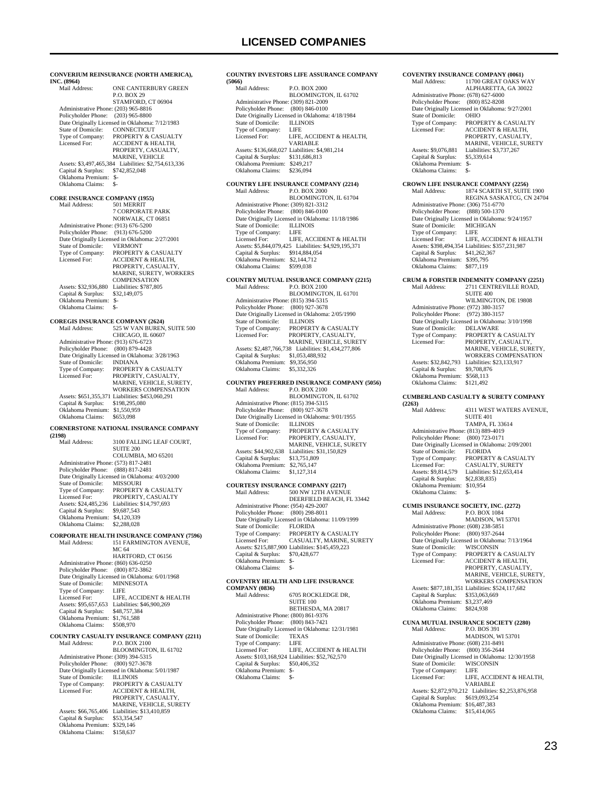**CONVERIUM REINSURANCE (NORTH AMERICA), INC. (8964)** ONE CANTERBURY GREEN P.O. BOX 29 STAMFORD, CT 06904 Administrative Phone: (203) 965-8816 Policyholder Phone: (203) 965-8800 Date Originally Licensed in Oklahoma: 7/12/1983<br>State of Domicile: CONNECTICUT State of Domicile:<br>Type of Company: Type of Company: PROPERTY & CASUALTY<br>Licensed For: ACCIDENT & HEALTH. ACCIDENT & HEALTH. PROPERTY, CASUALTY, MARINE, VEHICLE Assets: \$3,497,465,384 Liabilities: \$2,754,613,336 Capital & Surplus: \$742,852,048 Oklahoma Premium: \$- Oklahoma Claims: **CORE INSURANCE COMPANY (1955)** 501 MERRIT 7 CORPORATE PARK NORWALK, CT 06851 Administrative Phone: (913) 676-5200 Policyholder Phone: (913) 676-5200 Poneylonder Phone: (515) 676-5266<br>Date Originally Licensed in Oklahoma: 2/27/2001<br>State of Domicile: VERMONT State of Domicile: Type of Company: PROPERTY & CASUALTY<br>
Licensed For: ACCIDENT & HEALTH, ACCIDENT & HEALTH, PROPERTY, CASUALTY, MARINE, SURETY, WORKERS **COMPENSATION**  Assets: \$32,936,880 Liabilities: \$787,805 Capital & Surplus: \$32,149,075 Oklahoma Premium: \$- Oklahoma Claims: \$-**COREGIS INSURANCE COMPANY (2624)** Mail Address: 525 W VAN BUREN, SUITE 500 CHICAGO, IL 60607 Administrative Phone: (913) 676-6723 Policyholder Phone: (800) 879-4428 Date Originally Licensed in Oklahoma: 3/28/1963<br>State of Domicile: INDIANA State of Domicile:<br>Type of Company: Type of Company: PROPERTY & CASUALTY<br>Licensed For: PROPERTY CASUALTY PROPERTY, CASUALTY MARINE, VEHICLE, SURETY, WORKERS COMPENSATION Assets: \$651,355,371 Liabilities: \$453,060,291 Capital & Surplus: \$198,295,080 Oklahoma Premium: \$1,550,959 Oklahoma Claims: \$653,098 **CORNERSTONE NATIONAL INSURANCE COMPANY (2198)** 3100 FALLING LEAF COURT, SUITE 200 COLUMBIA, MO 65201 Administrative Phone: (573) 817-2481 Policyholder Phone: (888) 817-2481 Date Originally Licensed in Oklahoma: 4/03/2000 State of Domicile: MISSOURI The of Company: PROPERTY & CASUALTY<br>Type of Company: PROPERTY & CASUALTY PROPERTY, CASUALTY Assets: \$24,485,236 Liabilities: \$14,797,693<br>Capital & Surplus: \$9,687,543 Capital & Surplus: Oklahoma Premium: \$4,120,339<br>Oklahoma Claims: \$2,288,028 .<br>Oklahoma Claims: **CORPORATE HEALTH INSURANCE COMPANY (7596)** 151 FARMINGTON AVENUE, MC 64 HARTFORD, CT 06156 Administrative Phone: (860) 636-0250 Policyholder Phone: (800) 872-3862 Date Originally Licensed in Oklahoma: 6/01/1968<br>State of Domicile: MINNESOTA State of Domicile: MINN<br>Type of Company: LIFE Type of Company: LIFE<br>Licensed For: LIFE, ACCIDENT & HEALTH Licensed For: LIFE, ACCIDENT & HEALTH Assets: \$95,657,653 Liabilities: \$46,900,269 Capital & Surplus: \$48,757,384 Oklahoma Premium: \$1,761,588 Oklahoma Claims: \$508,970 **COUNTRY CASUALTY INSURANCE COMPANY (2211)** Mail Address: BLOOMINGTON, IL 61702 Administrative Phone: (309) 394-5315 Policyholder Phone: (800) 927-3678 Date Originally Licensed in Oklahoma: 5/01/1987<br>State of Domicile: **ILLINOIS** State of Domicile:<br>Type of Company: Type of Company: PROPERTY & CASUALTY<br>Licensed For: ACCIDENT & HEALTH. Licensed For: ACCIDENT & HEALTH, PROPERTY, CASUALTY, MARINE, VEHICLE, SURETY Assets: \$66,765,406 Liabilities: \$13,410,859<br>Capital & Surplus: \$53,354,547 Capital & Surplus: \$53,354,547 Oklahoma Premium: \$329,146

Oklahoma Claims: \$158,637

**COUNTRY INVESTORS LIFE ASSURANCE COMPANY (5066)**  P.O. BOX 2000 BLOOMINGTON, IL 61702 Administrative Phone: (309) 821-2009 Policyholder Phone: (800) 846-0100 Date Originally Licensed in Oklahoma: 4/18/1984<br>State of Domicile: ILLINOIS State of Domicile: ILLIN<br>Type of Company: LIFE Type of Company:<br>Licensed For: LIFE, ACCIDENT & HEALTH, VARIABLE Assets: \$136,668,027 Liabilities: \$4,981,214 Capital & Surplus: \$131,686,813 Oklahoma Premium: \$249,217 Oklahoma Claims: \$236,094 **COUNTRY LIFE INSURANCE COMPANY (2214)** P.O. BOX 2000  $\,$ BLOOMINGTON, IL 61704 Administrative Phone: (309) 821-3312 Policyholder Phone: (800) 846-0100 Date Originally Licensed in Oklahoma: 11/18/1986 State of Domicile: ILLINOIS<br>Type of Company: I.JFE Type of Company:<br>Licensed For: LIFE, ACCIDENT & HEALTH Assets: \$5,844,079,425 Liabilities: \$4,929,195,371 Capital & Surplus: \$914,884,054 Oklahoma Premium: \$2,144,712 Oklahoma Claims: \$599,038 **COUNTRY MUTUAL INSURANCE COMPANY (2215)**<br>Mail Address: P.O. BOX 2100 P.O. BOX 2100 BLOOMINGTON, IL 61701 Administrative Phone: (815) 394-5315 Policyholder Phone: (800) 927-3678 Date Originally Licensed in Oklahoma: 2/05/1990<br>State of Domicile: II J INOIS State of Domicile:<br>Type of Company: The of Company: PROPERTY & CASUALTY<br>icensed For: PROPERTY, CASUALTY, Licensed For: PROPERTY, CASUALTY, MARINE, VEHICLE, SURETY Assets: \$2,487,766,738 Liabilities: \$1,434,277,806 Capital & Surplus: \$1,053,488,932 Oklahoma Premium: \$9,356,950 Oklahoma Claims: \$5,332,326 **COUNTRY PREFERRED INSURANCE COMPANY (5056)**<br>Mail Address: P.O. BOX 2100 P.O. BOX 2100 BLOOMINGTON, IL 61702 Administrative Phone: (815) 394-5315 Policyholder Phone: (800) 927-3678 Date Originally Licensed in Oklahoma: 9/01/1955 State of Domicile: ILLINOIS<br>Type of Company: PROPERT<br>Licensed For: PROPERT **PROPERTY & CASUALTY** PROPERTY, CASUALTY, MARINE, VEHICLE, SURETY Assets: \$44,902,638 Liabilities: \$31,150,829 Capital & Surplus: \$13,751,809 Oklahoma Premium: \$2,765,147 Oklahoma Claims: \$1,127,314 **COURTESY INSURANCE COMPANY (2217)**<br>Mail Address: 500 NW 12TH AVENU. 500 NW 12TH AVENUE DEERFIELD BEACH, FL 33442 Administrative Phone: (954) 429-2007 Policyholder Phone: (800) 298-8011 Date Originally Licensed in Oklahoma: 11/09/1999<br>State of Domicile: FLORIDA State of Domicile:<br>Type of Company: PROPERTY & CASUALTY<br>CASUALTY, MARINE, SURETY Licensed For: CASUALTY, MARINE, SURETY Assets: \$215,887,900 Liabilities: \$145,459,223 Capital & Surplus: \$70,428,677 Oklahoma Premium: \$- Oklahoma Claims: \$-**COVENTRY HEALTH AND LIFE INSURANCE COMPANY (0836)** 6705 ROCKLEDGE DR,  $\textsc{SUTE}\ 100$  BETHESDA, MA 20817 Administrative Phone: (800) 861-9376 Policyholder Phone: (800) 843-7421

Patrick Prince Correspondent Correspondent Correspondent District Data Correspondent Charles State of Domicile: TEXAS

Type of Company: LIFE<br>Licensed For: LIFE, ACCIDENT & HEALTH Licensed For: LIFE, ACCIDENT & HEALTH Assets: \$103,168,924 Liabilities: \$52,762,570 Capital & Surplus: \$50,406,352

State of Domicile: TEXA<br>Type of Company: LIFE

 Oklahoma Premium: \$- Oklahoma Claims: \$-

| Type of Company:<br>Licensed For:                                                                                                                                                                            | PROPERTY & CASUALTY<br><b>ACCIDENT &amp; HEALTH,</b><br>PROPERTY, CASUALTY,                                                                                                                                                                               |
|--------------------------------------------------------------------------------------------------------------------------------------------------------------------------------------------------------------|-----------------------------------------------------------------------------------------------------------------------------------------------------------------------------------------------------------------------------------------------------------|
| Assets: \$9,076,881<br>Capital & Surplus:<br>Oklahoma Premium:<br>Oklahoma Claims:                                                                                                                           | MARINE, VEHICLE, SURETY<br>Liabilities: \$3,737,267<br>\$5,339,614<br>$S-$<br>\$-                                                                                                                                                                         |
| Mail Address:                                                                                                                                                                                                | <b>CROWN LIFE INSURANCE COMPANY (2256)</b><br>1874 SCARTH ST, SUITE 1900                                                                                                                                                                                  |
| Administrative Phone: (306) 751-6770<br>Policyholder Phone:<br>State of Domicile:<br>Type of Company:<br>Licensed For:<br>Capital & Surplus:<br>Oklahoma Premium:<br>Oklahoma Claims:                        | REGINA SASKATCG, CN 24704<br>(888) 500-1370<br>Date Originally Licensed in Oklahoma: 9/24/1957<br><b>MICHIGAN</b><br><b>LIFE</b><br>LIFE, ACCIDENT & HEALTH<br>Assets: \$398,494,354 Liabilities: \$357,231,987<br>\$41,262,367<br>\$395,795<br>\$877,119 |
| Mail Address:                                                                                                                                                                                                | <b>CRUM &amp; FORSTER INDEMNITY COMPANY (2251)</b><br>2711 CENTREVILLE ROAD,<br><b>SUITE 400</b>                                                                                                                                                          |
| Administrative Phone: (972) 380-3157<br>Policyholder Phone:<br>State of Domicile:<br>Type of Company:<br>Licensed For:<br>Assets: \$32,842,793                                                               | WILMINGTON, DE 19808<br>$(972)$ 380-3157<br>Date Originally Licensed in Oklahoma: 3/10/1998<br>DELAWARE<br>PROPERTY & CASUALTY<br>PROPERTY, CASUALTY,<br>MARINE, VEHICLE, SURETY,<br><b>WORKERS COMPENSATION</b><br>Liabilities: \$23,133,917             |
| Capital & Surplus:<br>Oklahoma Premium:<br>Oklahoma Claims:                                                                                                                                                  | \$9,708,876<br>\$568,113<br>\$121,492                                                                                                                                                                                                                     |
| (2263)                                                                                                                                                                                                       | <b>CUMBERLAND CASUALTY &amp; SURETY COMPANY</b>                                                                                                                                                                                                           |
| Mail Address:                                                                                                                                                                                                | 4311 WEST WATERS AVENUE,<br><b>SUITE 401</b><br>TAMPA, FL 33614                                                                                                                                                                                           |
| Administrative Phone: (813) 889-4019<br>Policyholder Phone:<br>State of Domicile:<br>Type of Company:<br>Licensed For:<br>Assets: \$9,814,579<br>Capital & Surplus:<br>Oklahoma Premium:<br>Oklahoma Claims: | (800) 723-0171<br>Date Originally Licensed in Oklahoma: 2/09/2001<br><b>FLORIDA</b><br>PROPERTY & CASUALTY<br>CASUALTY, SURETY<br>Liabilities: \$12,653,414<br>\$(2,838,835)<br>\$10,954<br>\$-                                                           |
| Mail Address:                                                                                                                                                                                                | <b>CUMIS INSURANCE SOCIETY, INC. (2272)</b><br>P.O. BOX 1084                                                                                                                                                                                              |
| Administrative Phone: (608) 238-5851<br>Policyholder Phone:<br>State of Domicile:<br>Type of Company:<br><b>Licensed For:</b>                                                                                | MADISON, WI 53701<br>$(800)$ 937-2644<br>Date Originally Licensed in Oklahoma: 7/13/1964<br><b>WISCONSIN</b><br>PROPERTY & CASUALTY<br><b>ACCIDENT &amp; HEALTH,</b><br>PROPERTY, CASUALTY,<br>MARINE, VEHICLE, SURETY,                                   |
| Capital & Surplus:<br>Oklahoma Premium: \$3,237,469<br>Oklahoma Claims:                                                                                                                                      | WORKERS COMPENSATION<br>Assets: \$877,181,351 Liabilities: \$524,117,682<br>\$353,063,669<br>\$824,938                                                                                                                                                    |
| Mail Address:                                                                                                                                                                                                | CUNA MUTUAL INSURANCE SOCIETY (2280)<br>P.O. BOS 391                                                                                                                                                                                                      |
| Administrative Phone: (608) 231-8491<br>Policyholder Phone:<br>State of Domicile:<br>Type of Company:<br>Licensed For:                                                                                       | MADISON, WI 53701<br>$(800)$ 356-2644<br>Date Originally Licensed in Oklahoma: 12/30/1958<br>WISCONSIN<br>LIFE<br>LIFE, ACCIDENT & HEALTH,<br>VARIABLE                                                                                                    |
| Capital & Surplus:<br>Oklahoma Premium: \$16,487,383<br>Oklahoma Claims:                                                                                                                                     | Assets: \$2,872,970,212 Liabilities: \$2,253,876,958<br>\$619,093,254<br>\$15,414,065                                                                                                                                                                     |
|                                                                                                                                                                                                              |                                                                                                                                                                                                                                                           |

**(2263)**

**COVENTRY INSURANCE COMPANY (0061)**<br>Mail Address: 11700 GREAT OAKS W

 Administrative Phone: (678) 627-6000 Policyholder Phone: (800) 852-8208 Date Originally Licensed in Oklahoma: 9/27/2001<br>State of Domicile: OHIO

State of Domicile:

11700 GREAT OAKS WAY ALPHARETTA, GA 30022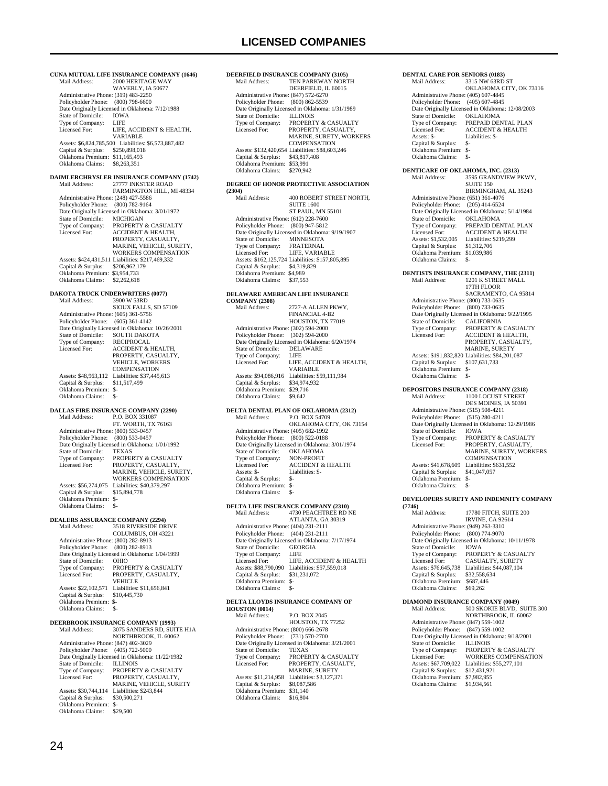**CUNA MUTUAL LIFE INSURANCE COMPANY (1646)**<br>Mail Address: 2000 HERITAGE WAY 2000 HERITAGE WAY WAVERLY, IA 50677 Administrative Phone: (319) 483-2250 Policyholder Phone: (800) 798-6600 Date Originally Licensed in Oklahoma: 7/12/1988<br>State of Domicile: IOWA State of Domicile: IOWA<br>Type of Company: LIFE Type of Company:<br>Licensed For: LIFE, ACCIDENT & HEALTH, VARIABLE Assets: \$6,824,785,500 Liabilities: \$6,573,887,482 Capital & Surplus: \$250,898,018 Oklahoma Premium: \$11,165,493 Oklahoma Claims: \$8,263,351 **DAIMLERCHRYSLER INSURANCE COMPANY (1742)** Mail Address: 27777 INKSTER ROAD FARMINGTON HILL, MI 48334 Administrative Phone: (248) 427-5586 Policyholder Phone: (800) 782-9164 Date Originally Licensed in Oklahoma: 3/01/1972 State of Domicile: MICHIGAN Type of Company: PROPERTY & CASUALTY<br>Licensed For: ACCIDENT & HEALTH Licensed For: ACCIDENT & HEALTH, PROPERTY, CASUALTY, MARINE, VEHICLE, SURETY, WORKERS COMPENSATION Assets: \$424,431,511 Liabilities: \$217,469,332 Capital & Surplus: \$206,962,179 Oklahoma Premium: \$3,954,733 Oklahoma Claims: \$2,262,618 **DAKOTA TRUCK UNDERWRITERS (0077)**<br>Mail Address: 3900 W 53RD Mail Address: 3900 W 53RD SIOUX FALLS, SD 57109 Administrative Phone: (605) 361-5756 Policyholder Phone: (605) 361-4142 Date Originally Licensed in Oklahoma: 10/26/2001<br>State of Domicile: SOUTH DAKOTA SOUTH DAKOTA<br>RECIPROCAL Type of Company:<br>Licensed For: ACCIDENT & HEALTH, PROPERTY, CASUALTY VEHICLE, WORKERS **COMPENSATION** Assets: \$48,963,112 Liabilities: \$37,445,613<br>Capital & Surplus: \$11,517,499 Capital & Surplus: Oklahoma Premium: \$- Oklahoma Claims: \$-**DALLAS FIRE INSURANCE COMPANY (2290)** P.O. BOX 331087 FT. WORTH, TX 76163 Administrative Phone: (800) 533-0457 Policyholder Phone: (800) 533-0457 Date Originally Licensed in Oklahoma: 1/01/1992<br>State of Domicile: TEXAS State of Domicile:<br>Type of Company: PROPERTY & CASUALTY Licensed For: PROPERTY, CASUALTY, MARINE, VEHICLE, SURETY, WORKERS COMPENSATION Assets: \$56,274,075 Liabilities: \$40,379,297<br>Capital & Surplus: \$15,894,778 Capital & Surplus: Oklahoma Premium: \$- Oklahoma Claims: **DEALERS ASSURANCE COMPANY (2294)**<br>Mail Address: 3518 RIVERSIDE DR 3518 RIVERSIDE DRIVE COLUMBUS, OH 43221 Administrative Phone: (800) 282-8913 Policyholder Phone: (800) 282-8913 Date Originally Licensed in Oklahoma: 1/04/1999<br>State of Domicile: OHIO State of Domicile:<br>Type of Company: Type of Company: PROPERTY & CASUALTY Licensed For: PROPERTY, CASUALTY, VEHICLE Assets: \$22,102,571 Liabilities: \$11,656,841 Capital & Surplus: \$10,445,730 Oklahoma Premium: \$- Oklahoma Claims: **DEERBROOK INSURANCE COMPANY (1993)** Mail Address: 3075 SANDERS RD, SUITE H1A NORTHBROOK, IL 60062 Administrative Phone: (847) 402-3029 Policyholder Phone: (405) 722-5000 Date Originally Licensed in Oklahoma: 11/22/1982<br>State of Domicile: ILLINOIS State of Domicile:<br>Type of Company: Type of Company: PROPERTY & CASUALTY<br>Licensed For: PROPERTY, CASUALTY, PROPERTY, CASUALTY, MARINE, VEHICLE, SURETY Assets: \$30,744,114 Liabilities: \$243,844<br>Capital & Surplus: \$30,500,271 Capital & Surplus: Oklahoma Premium: \$- Oklahoma Claims: \$29,500

#### **DEERFIELD INSURANCE COMPANY (3105)**<br>Mail Address: TEN PARKWAY NORT TEN PARKWAY NORTH DEERFIELD, IL 60015 Administrative Phone: (847) 572-6270 Policyholder Phone: (800) 862-5539 Date Originally Licensed in Oklahoma: 1/31/1989<br>State of Domicile: ILLINOIS State of Domicile:<br>Type of Company: Type of Company: PROPERTY & CASUALTY<br>Licensed For: PROPERTY CASUALTY PROPERTY, CASUALTY MARINE, SURETY, WORKERS **COMPENSATION**  Assets: \$132,420,654 Liabilities: \$88,603,246 Capital & Surplus: \$43,817,408 Oklahoma Premium: \$53,991 Oklahoma Claims: \$270,942

#### **DEGREE OF HONOR PROTECTIVE ASSOCIATION**

| (2304)                               |                                                  |
|--------------------------------------|--------------------------------------------------|
| Mail Address:                        | <b>400 ROBERT STREET NORTH.</b>                  |
|                                      | <b>SUITE 1600</b>                                |
|                                      | <b>ST PAUL, MN 55101</b>                         |
| Administrative Phone: (612) 228-7600 |                                                  |
| Policyholder Phone:                  | $(800)$ 947-5812                                 |
|                                      | Date Originally Licensed in Oklahoma: 9/19/1907  |
| State of Domicile:                   | <b>MINNESOTA</b>                                 |
| Type of Company:                     | <b>FRATERNAL</b>                                 |
| Licensed For:                        | LIFE. VARIABLE                                   |
|                                      | Assets: \$162,125,724 Liabilities: \$157,805,895 |
| Capital & Surplus:                   | \$4,319,829                                      |
| Oklahoma Premium:                    | \$4,989                                          |
| Oklahoma Claims:                     | \$37.553                                         |

### **DELAWARE AMERICAN LIFE INSURANCE**

| <b>COMPANY (2308)</b>                |                                                 |
|--------------------------------------|-------------------------------------------------|
| Mail Address:                        | 2727-A ALLEN PKWY.                              |
|                                      | FINANCIAL 4-B2                                  |
|                                      | HOUSTON, TX 77019                               |
| Administrative Phone: (302) 594-2000 |                                                 |
| Policyholder Phone: (302) 594-2000   |                                                 |
|                                      | Date Originally Licensed in Oklahoma: 6/20/1974 |
| State of Domicile:                   | <b>DELAWARE</b>                                 |
| Type of Company:                     | LIFE.                                           |
| Licensed For:                        | LIFE. ACCIDENT & HEALTH.                        |
|                                      | <b>VARIABLE</b>                                 |
| Assets: \$94,086,916                 | Liabilities: \$59.111.984                       |
| Capital & Surplus:                   | \$34,974,932                                    |
| Oklahoma Premium:                    | \$29,716                                        |
| Oklahoma Claims:                     | \$9,642                                         |
|                                      |                                                 |

### **DELTA DENTAL PLAN OF OKLAHOMA (2312)**

| Mail Address:                        | P.O. BOX 54709                                  |
|--------------------------------------|-------------------------------------------------|
|                                      | OKLAHOMA CITY, OK 73154                         |
| Administrative Phone: (405) 682-1992 |                                                 |
| Policyholder Phone: (800) 522-0188   |                                                 |
|                                      | Date Originally Licensed in Oklahoma: 3/01/1974 |
| State of Domicile:                   | <b>OKLAHOMA</b>                                 |
| Type of Company:                     | <b>NON-PROFIT</b>                               |
| Licensed For:                        | <b>ACCIDENT &amp; HEALTH</b>                    |
| Assets: \$-                          | Liabilities: \$-                                |
| Capital & Surplus:                   | \$-                                             |
| Oklahoma Premium:                    | $S-$                                            |
| Oklahoma Claims:                     | \$-                                             |
|                                      |                                                 |

#### **DELTA LIFE INSURANCE COMPANY (2310)**<br>Mail Address: 4730 PEACHTREE RD 1 4730 PEACHTREE RD NE

|                                      | ATLANTA, GA 30319                               |
|--------------------------------------|-------------------------------------------------|
| Administrative Phone: (404) 231-2111 |                                                 |
| Policyholder Phone: (404) 231-2111   |                                                 |
|                                      | Date Originally Licensed in Oklahoma: 7/17/1974 |
| State of Domicile:                   | <b>GEORGIA</b>                                  |
| Type of Company:                     | <b>LIFE</b>                                     |
| Licensed For:                        | LIFE, ACCIDENT & HEALTH                         |
| Assets: \$88,790,090                 | Liabilities: \$57,559,018                       |
| Capital & Surplus:                   | \$31.231.072                                    |
| Oklahoma Premium:                    | $S-$                                            |
| Oklahoma Claims:                     | \$-                                             |
|                                      |                                                 |

#### **DELTA LLOYDS INSURANCE COMPANY OF HOUSTON (0014)**

| P.O. BOX 2045                                   |
|-------------------------------------------------|
| HOUSTON, TX 77252                               |
| Administrative Phone: (800) 666-2678            |
| Policyholder Phone: (731) 570-2700              |
| Date Originally Licensed in Oklahoma: 3/21/2001 |
| <b>TEXAS</b>                                    |
| PROPERTY & CASUALTY                             |
| PROPERTY, CASUALTY,                             |
| <b>MARINE, SURETY</b>                           |
| Liabilities: \$3,127,371                        |
| \$8,087,586                                     |
| \$31.140                                        |
| \$16,804                                        |
|                                                 |

#### OKLAHOMA CITY, OK 73116 Administrative Phone: (405) 607-4845 Policyholder Phone: (405) 607-4845 Date Originally Licensed in Oklahoma: 12/08/2003<br>State of Domicile: OKLAHOMA State of Domicile:<br>Type of Company: Type of Company: PREPAID DENTAL PLAN<br>Licensed For: ACCIDENT & HEALTH Licensed For: <br> ACCIDENT & HEALTH<br> Assets: \$-<br> Liabilities: \$- Assets: \$- Liabilities: \$- Assees. w<br>Capital & Surplus: \$-<br>Oklahoma Premium: \$-Oklahoma Premium: \$-<br>Oklahoma Claims: \$-Oklahoma Claims: **DENTICARE OF OKLAHOMA, INC. (2313)**<br>Mail Address: 3595 GRANDVIEW P 3595 GRANDVIEW PKWY, **SUITE 150**  BIRMINGHAM, AL 35243 Administrative Phone: (651) 361-4076 Policyholder Phone: (205) 414-6524 Date Originally Licensed in Oklahoma: 5/14/1984 State of Domicile: OKLAHOMA Type of Company: PREPAID DENTAL PLAN<br>Licensed For: ACCIDENT & HEALTH Licensed For: ACCIDENT & HEALTH Assets: \$1,532,005 Liabilities: \$219,299 Capital & Surplus: \$1,312,706 Oklahoma Premium: \$1,039,986 Oklahoma Claims: \$- **DENTISTS INSURANCE COMPANY, THE (2311)** Mail Address: 1201 K STREET MALL 1201 K STREET MALL 17TH FLOOR SACRAMENTO, CA 95814 Administrative Phone: (800) 733-0635 Policyholder Phone: (800) 733-0635 Date Originally Licensed in Oklahoma: 9/22/1995<br>State of Domicile: CALIEORNIA State of Domicile:<br>Type of Company: Type of Company: PROPERTY & CASUALTY<br>Licensed For: ACCIDENT & HEALTH, ACCIDENT & HEALTH, PROPERTY, CASUALTY MARINE, SURETY Assets: \$191,832,820 Liabilities: \$84,201,087 Capital & Surplus: \$107,631,733 Oklahoma Premium: \$- Oklahoma Claims: \$- **DEPOSITORS INSURANCE COMPANY (2318)**<br>Mail Address: 1100 LOCUST STREET 1100 LOCUST STREET DES MOINES, IA 50391 Administrative Phone: (515) 508-4211 Policyholder Phone: (515) 280-4211 Date Originally Licensed in Oklahoma: 12/29/1986 State of Domicile: IOWA<br>Type of Company: PROPE Type of Company: PROPERTY & CASUALTY<br>Licensed For: PROPERTY, CASUALTY.

**DENTAL CARE FOR SENIORS (0183)**<br>Mail Address: 3315 NW 63RD

2315 NW 63RD ST

 Licensed For: PROPERTY, CASUALTY, MARINE, SURETY, WORKERS **COMPENSATION** Assets: \$41,678,609 Liabilities: \$631,552<br>Capital & Surplus: \$41,047,057 Capital & Surplus: Oklahoma Premium: \$- Oklahoma Claims: \$-

#### **DEVELOPERS SURETY AND INDEMNITY COMPANY**

| (7746)                               |                                                  |
|--------------------------------------|--------------------------------------------------|
| Mail Address:                        | 17780 FITCH, SUITE 200                           |
|                                      | <b>IRVINE, CA 92614</b>                          |
| Administrative Phone: (949) 263-3310 |                                                  |
| Policyholder Phone: (800) 774-9070   |                                                  |
|                                      | Date Originally Licensed in Oklahoma: 10/11/1978 |
| State of Domicile:                   | <b>IOWA</b>                                      |
| Type of Company:                     | <b>PROPERTY &amp; CASUALTY</b>                   |
| Licensed For:                        | CASUALTY, SURETY                                 |
| Assets: \$76,645,738                 | Liabilities: \$44,087,104                        |
| Capital & Surplus:                   | \$32,558,634                                     |
| Oklahoma Premium:                    | \$687,446                                        |
| Oklahoma Claims:                     | \$69,262                                         |
|                                      |                                                  |

#### **DIAMOND INSURANCE COMPANY (0049)**

| Mail Address:                        | 500 SKOKIE BLVD, SUITE 300                      |
|--------------------------------------|-------------------------------------------------|
|                                      | NORTHBROOK, IL 60062                            |
| Administrative Phone: (847) 559-1002 |                                                 |
| Policyholder Phone: (847) 559-1002   |                                                 |
|                                      | Date Originally Licensed in Oklahoma: 9/18/2001 |
| State of Domicile:                   | <b>ILLINOIS</b>                                 |
| Type of Company:                     | PROPERTY & CASUALTY                             |
| Licensed For:                        | <b>WORKERS COMPENSATION</b>                     |
| Assets: \$67,709,022                 | Liabilities: \$55,277,101                       |
| Capital & Surplus:                   | \$12,431,921                                    |
| Oklahoma Premium:                    | \$7,982,955                                     |
| Oklahoma Claims:                     | \$1,934,561                                     |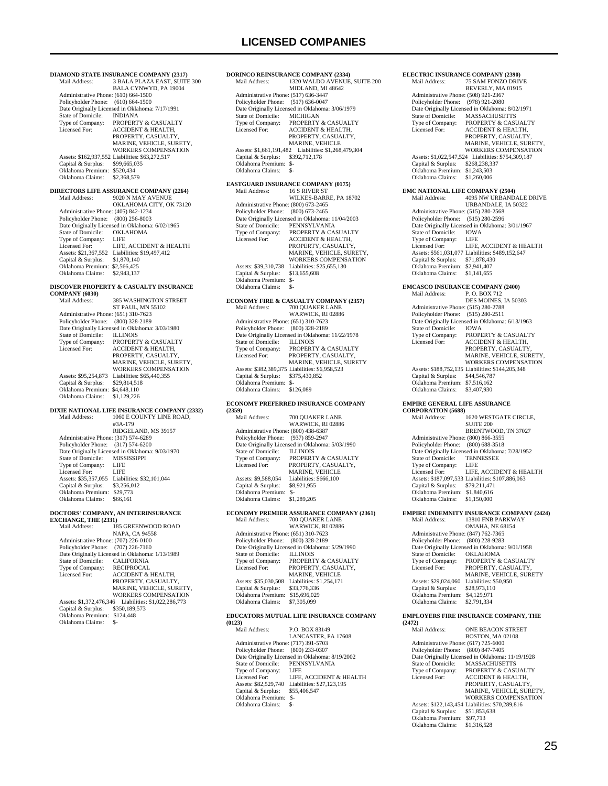**DIAMOND STATE INSURANCE COMPANY (2317)** 3 BALA PLAZA EAST, SUITE 300 BALA CYNWYD, PA 19004 Administrative Phone: (610) 664-1500 Policyholder Phone: (610) 664-1500 Date Originally Licensed in Oklahoma: 7/17/1991<br>State of Domicile: INDIANA State of Domicile:<br>Type of Company: Type of Company: PROPERTY & CASUALTY<br>Licensed For: ACCIDENT & HEALTH ACCIDENT & HEALTH, PROPERTY, CASUALTY MARINE, VEHICLE, SURETY, WORKERS COMPENSATION Assets: \$162,937,552 Liabilities: \$63,272,517 Capital & Surplus: \$99,665,035 Oklahoma Premium: \$520,434 Oklahoma Claims: \$2,368,579 **DIRECTORS LIFE ASSURANCE COMPANY (2264)**<br>Mail Address: 9020 N MAY AVENUE Mail Address: 9020 N MAY AVENUE OKLAHOMA CITY, OK 73120 Administrative Phone: (405) 842-1234 Policyholder Phone: (800) 256-8003 Date Originally Licensed in Oklahoma: 6/02/1965 State of Domicile: OKLAHOMA Type of Company: LIFE Licensed For: LIFE, ACCIDENT & HEALTH Assets: \$21,367,552 Liabilities: \$19,497,412 Capital & Surplus: \$1,870,140 Oklahoma Premium: \$2,566,425 Oklahoma Claims: \$2,943,137 **DISCOVER PROPERTY & CASUALTY INSURANCE COMPANY (6030)**<br>Mail Address: 385 WASHINGTON STREET ST PAUL, MN 55102 Administrative Phone: (651) 310-7623 Policyholder Phone: (800) 328-2189 Date Originally Licensed in Oklahoma: 3/03/1980 State of Domicile:<br>Type of Company:<br>Licensed For: THE NOTES OF COMPANY: PROPERTY & CASUALTY ACCIDENT & HEALTH, PROPERTY, CASUALTY, MARINE, VEHICLE, SURETY, WORKERS COMPENSATION Assets: \$95,254,873 Liabilities: \$65,440,355<br>Capital & Surplus: \$29,814,518 Capital & Surplus: \$29,814,518 Oklahoma Premium: \$4,648,110 Oklahoma Claims: \$1,129,226 **DIXIE NATIONAL LIFE INSURANCE COMPANY (2332)** 1060 E COUNTY LINE ROAD, #3A-179 RIDGELAND, MS 39157 Administrative Phone: (317) 574-6289 Policyholder Phone: (317) 574-6200 Date Originally Licensed in Oklahoma: 9/03/1970 State of Domicile: MISSISSIPPI Type of Company: LIFE Licensed For: LIFE Assets: \$35,357,055 Liabilities: \$32,101,044 Capital & Surplus: \$3,256,012 Oklahoma Premium: \$29,773 Oklahoma Claims: \$66,161 **DOCTORS' COMPANY, AN INTERINSURANCE EXCHANGE, THE (2331)** Mail Address: 185 GREENWOOD ROAD NAPA, CA 94558 Administrative Phone: (707) 226-0100 Policyholder Phone: (707) 226-7160 Date Originally Licensed in Oklahoma: 1/13/1989 State of Domicile: CALIFORNIA Type of Company: Type of Company: RECIPROCAL<br>Licensed For: ACCIDENT & HEALTH, PROPERTY, CASUALTY, MARINE, VEHICLE, SURETY, WORKERS COMPENSATION Assets: \$1,372,476,346 Liabilities: \$1,022,286,773 Capital & Surplus: \$350,189,573 Oklahoma Premium: \$124,448

Oklahoma Claims: \$-

| Mail Address:                                               | <b>DORINCO REINSURANCE COMPANY (2334)</b>                          |
|-------------------------------------------------------------|--------------------------------------------------------------------|
|                                                             | 1320 WALDO AVENUE, SUITE 200                                       |
| Administrative Phone: (517) 636-3447                        | MIDLAND, MI 48642                                                  |
| Policyholder Phone: (517) 636-0047                          |                                                                    |
|                                                             | Date Originally Licensed in Oklahoma: 3/06/1979                    |
| State of Domicile:                                          | <b>MICHIGAN</b>                                                    |
| Type of Company:<br>Licensed For:                           | PROPERTY & CASUALTY<br><b>ACCIDENT &amp; HEALTH,</b>               |
|                                                             | PROPERTY, CASUALTY,                                                |
|                                                             | MARINE, VEHICLE                                                    |
| Assets: \$1,661,191,482                                     | Liabilities: \$1,268,479,304                                       |
| Capital & Surplus:<br>Oklahoma Premium: \$-                 | \$392,712,178                                                      |
| Oklahoma Claims:                                            | \$-                                                                |
|                                                             |                                                                    |
|                                                             | <b>EASTGUARD INSURANCE COMPANY (0175)</b>                          |
| Mail Address:                                               | 16 S RIVER ST<br>WILKES-BARRE, PA 18702                            |
| Administrative Phone: (800) 673-2465                        |                                                                    |
| Policyholder Phone:                                         | $(800)$ 673-2465                                                   |
|                                                             | Date Originally Licensed in Oklahoma: 11/04/2003                   |
| State of Domicile:<br>Type of Company:                      | PENNSYLVANIA                                                       |
| Licensed For:                                               | PROPERTY & CASUALTY ACCIDENT & HEALTH,                             |
|                                                             | PROPERTY, CASUALTY,                                                |
|                                                             | MARINE, VEHICLE, SURETY,<br>WORKERS COMPENSATION                   |
| Assets: \$39,310,738                                        | Liabilities: \$25,655,130                                          |
| Capital & Surplus:                                          | \$13,655,608                                                       |
| Oklahoma Premium:                                           | \$-                                                                |
| Oklahoma Claims:                                            | \$-                                                                |
|                                                             | ECONOMY FIRE & CASUALTY COMPANY (2357)                             |
| Mail Address:                                               | 700 QUAKER LANE                                                    |
|                                                             | WARWICK, RI 02886                                                  |
| Administrative Phone: (651) 310-7623<br>Policyholder Phone: | $(800)$ 328-2189                                                   |
|                                                             | Date Originally Licensed in Oklahoma: 11/22/1978                   |
| State of Domicile:                                          | <b>ILLINOIS</b>                                                    |
| Type of Company:                                            | PROPERTY & CASUALTY                                                |
| Licensed For:                                               | PROPERTY, CASUALTY,<br>MARINE, VEHICLE, SURETY                     |
|                                                             | Assets: \$382,389,375 Liabilities: \$6,958,523                     |
| Capital & Surplus:                                          | \$375,430,852                                                      |
| Oklahoma Premium: \$-<br>Oklahoma Claims:                   |                                                                    |
|                                                             | \$126,089                                                          |
|                                                             | ECONOMY PREFERRED INSURANCE COMPANY                                |
| (2359)                                                      |                                                                    |
| Mail Address:                                               | 700 QUAKER LANE<br>WARWICK, RI 02886                               |
| Administrative Phone: (800) 438-6387                        |                                                                    |
|                                                             |                                                                    |
| Policyholder Phone:                                         | $(937) 859 - 2947$                                                 |
|                                                             | Date Originally Licensed in Oklahoma: 5/03/1990                    |
| State of Domicile:                                          | <b>ILLINOIS</b>                                                    |
| Type of Company:<br>Licensed For:                           | PROPERTY & CASUALTY                                                |
|                                                             | PROPERTY, CASUALTY,<br>MARINE, VEHICLE                             |
| Assets: \$9,588,054                                         | Liabilities: \$666,100                                             |
| Capital & Surplus:                                          | \$8,921,955                                                        |
| Oklahoma Premium: \$-<br>Oklahoma Claims:                   | \$1,289,205                                                        |
|                                                             |                                                                    |
| Mail Address:                                               | ECONOMY PREMIER ASSURANCE COMPANY (2361)<br>700 QUAKER LANE        |
|                                                             | WARWICK, RI 02886                                                  |
| Administrative Phone: (651) 310-7623                        |                                                                    |
| Policyholder Phone:                                         | $(800)$ 328-2189                                                   |
| State of Domicile:                                          | Date Originally Licensed in Oklahoma: 5/29/1990<br><b>ILLINOIS</b> |
| Type of Company:                                            | PROPERTY & CASUALTY                                                |
| Licensed For:                                               | PROPERTY, CASUALTY,                                                |
|                                                             | MARINE, VEHICLE                                                    |
| Assets: \$35,030,508<br>Capital & Surplus:                  | Liabilities: \$1,254,171<br>\$33,776,336                           |
| Oklahoma Premium:                                           | \$15,696,029                                                       |
| Oklahoma Claims:                                            | \$7,305,099                                                        |
|                                                             | EDUCATORS MUTUAL LIFE INSURANCE COMPANY                            |
| (0123)                                                      |                                                                    |
| Mail Address:                                               | P.O. BOX 83149                                                     |
| Administrative Phone: (717) 391-5703                        | LANCASTER, PA 17608                                                |
| Policyholder Phone:                                         | $(800)$ 233-0307                                                   |
|                                                             | Date Originally Licensed in Oklahoma: 8/19/2002                    |
| State of Domicile:                                          | PENNSYLVANIA                                                       |
| Type of Company:<br>Licensed For:                           | LIFE<br>LIFE, ACCIDENT & HEALTH                                    |
| Assets: \$82,529,740                                        | Liabilities: \$27,123,195                                          |
| Capital & Surplus:<br>Oklahoma Premium:                     | \$55,406,547<br>\$-                                                |

| <b>ELECTRIC INSURANCE COMPANY (2390)</b>                          |                                                                                   |
|-------------------------------------------------------------------|-----------------------------------------------------------------------------------|
| Mail Address:                                                     | 75 SAM FONZO DRIVE                                                                |
|                                                                   | BEVERLY, MA 01915                                                                 |
| Administrative Phone: (508) 921-2367                              |                                                                                   |
| Policyholder Phone:                                               | (978) 921-2080<br>Date Originally Licensed in Oklahoma: 8/02/1971                 |
| State of Domicile:                                                | <b>MASSACHUSETTS</b>                                                              |
| Type of Company:                                                  | PROPERTY & CASUALTY                                                               |
| Licensed For:                                                     | <b>ACCIDENT &amp; HEALTH,</b>                                                     |
|                                                                   | PROPERTY, CASUALTY,                                                               |
|                                                                   | MARINE, VEHICLE, SURETY,                                                          |
|                                                                   | <b>WORKERS COMPENSATION</b><br>Assets: \$1,022,547,524 Liabilities: \$754,309,187 |
| Capital & Surplus:                                                | \$268,238,337                                                                     |
| Oklahoma Premium:                                                 | \$1,243,503                                                                       |
| Oklahoma Claims:                                                  | \$1,260,006                                                                       |
| <b>EMC NATIONAL LIFE COMPANY (2504)</b>                           |                                                                                   |
| Mail Address:                                                     | 4095 NW URBANDALE DRIVE                                                           |
|                                                                   | URBANDALE, IA 50322                                                               |
| Administrative Phone: (515) 280-2568                              |                                                                                   |
| Policyholder Phone:                                               | $(515)$ 280-2596                                                                  |
|                                                                   | Date Originally Licensed in Oklahoma: 3/01/1967                                   |
| State of Domicile:<br>Type of Company:                            | <b>IOWA</b><br>LIFE                                                               |
| Licensed For:                                                     | LIFE, ACCIDENT & HEALTH                                                           |
|                                                                   | Assets: \$561,031,077 Liabilities: \$489,152,647                                  |
| Capital & Surplus: \$71,878,430                                   |                                                                                   |
| Oklahoma Premium: \$2,941,407                                     |                                                                                   |
| Oklahoma Claims:                                                  | \$1,141,655                                                                       |
| <b>EMCASCO INSURANCE COMPANY (2400)</b>                           |                                                                                   |
| Mail Address:                                                     | P.O. BOX 712                                                                      |
|                                                                   | DES MOINES, IA 50303                                                              |
| Administrative Phone: (515) 280-2788                              |                                                                                   |
| Policyholder Phone:                                               | $(515)$ 280-2511                                                                  |
| <b>State of Domicile:</b>                                         | Date Originally Licensed in Oklahoma: 6/13/1963<br><b>IOWA</b>                    |
| Type of Company:                                                  | PROPERTY & CASUALTY                                                               |
| Licensed For:                                                     | <b>ACCIDENT &amp; HEALTH,</b>                                                     |
|                                                                   | PROPERTY, CASUALTY,                                                               |
|                                                                   | MARINE, VEHICLE, SURETY,                                                          |
|                                                                   | WORKERS COMPENSATION                                                              |
| Capital & Surplus:                                                | Assets: \$188,752,135 Liabilities: \$144,205,348<br>\$44,546,787                  |
| Oklahoma Premium:                                                 | \$7,516,162                                                                       |
| Oklahoma Claims:                                                  | \$3,407,930                                                                       |
|                                                                   |                                                                                   |
| <b>EMPIRE GENERAL LIFE ASSURANCE</b><br><b>CORPORATION (5688)</b> |                                                                                   |
| Mail Address:                                                     | 1620 WESTGATE CIRCLE,                                                             |
|                                                                   | <b>SUITE 200</b>                                                                  |
|                                                                   | BRENTWOOD, TN 37027                                                               |
| Administrative Phone: (800) 866-3555<br>Policyholder Phone:       |                                                                                   |
|                                                                   | $(800)$ 688-3518<br>Date Originally Licensed in Oklahoma: 7/28/1952               |
| State of Domicile:                                                | <b>TENNESSEE</b>                                                                  |
| Type of Company:                                                  | LIFE                                                                              |
| Licensed For:                                                     | LIFE, ACCIDENT & HEALTH                                                           |
|                                                                   | Assets: \$187,097,533 Liabilities: \$107,886,063                                  |
| Capital & Surplus:<br>Oklahoma Premium:                           | \$79,211,471<br>\$1,840,616                                                       |
| Oklahoma Claims:                                                  | \$1,150,000                                                                       |
|                                                                   |                                                                                   |
|                                                                   | <b>EMPIRE INDEMNITY INSURANCE COMPANY (2424)</b>                                  |
| Mail Address:                                                     | 13810 FNB PARKWAY<br>OMAHA, NE 68154                                              |
| Administrative Phone: (847) 762-7365                              |                                                                                   |
| Policyholder Phone:                                               | $(800)$ 228-9283                                                                  |
|                                                                   | Date Originally Licensed in Oklahoma: 9/01/1958                                   |
| State of Domicile:                                                | <b>OKLAHOMA</b>                                                                   |
| Type of Company:                                                  | PROPERTY & CASUALTY                                                               |
| Licensed For:                                                     | PROPERTY, CASUALTY,                                                               |
| Assets: \$29,024,060                                              | MARINE, VEHICLE, SURETY<br>Liabilities: \$50,950                                  |
| Capital & Surplus:                                                | \$28,973,110                                                                      |
| Oklahoma Premium: \$4,129,971                                     |                                                                                   |
| Oklahoma Claims:                                                  | \$2,791,334                                                                       |
|                                                                   | <b>EMPLOYERS FIRE INSURANCE COMPANY, THE</b>                                      |
| (2472)                                                            |                                                                                   |
| Mail Address:                                                     | ONE BEACON STREET                                                                 |

| Mail Address:                        | ONE BEACON STREET                                |
|--------------------------------------|--------------------------------------------------|
|                                      | <b>BOSTON, MA 02108</b>                          |
| Administrative Phone: (617) 725-6000 |                                                  |
| Policyholder Phone: (800) 847-7405   |                                                  |
|                                      | Date Originally Licensed in Oklahoma: 11/19/1928 |
| State of Domicile:                   | <b>MASSACHUSETTS</b>                             |
| Type of Company:                     | PROPERTY & CASUALTY                              |
| Licensed For:                        | <b>ACCIDENT &amp; HEALTH.</b>                    |
|                                      | PROPERTY, CASUALTY.                              |
|                                      | MARINE, VEHICLE, SURETY.                         |
|                                      | <b>WORKERS COMPENSATION</b>                      |
|                                      | Assets: \$122,143,454 Liabilities: \$70,289,816  |
| Capital & Surplus:                   | \$51,853,638                                     |
| Oklahoma Premium:                    | \$97,713                                         |
| Oklahoma Claims:                     | \$1,316,528                                      |
|                                      |                                                  |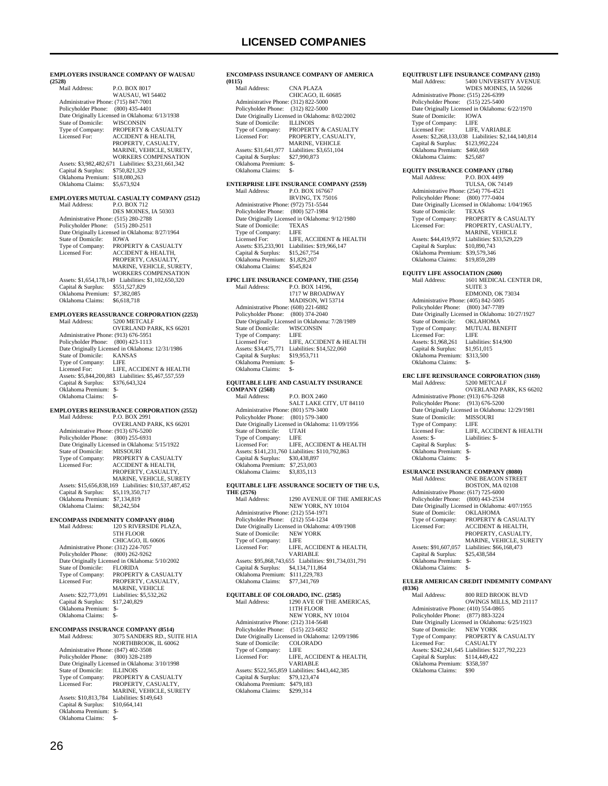| (2528)                                                                                                                                                                                                            | EMPLOYERS INSURANCE COMPANY OF WAUSAU                                                                                                                                                                                                                                                                                       |
|-------------------------------------------------------------------------------------------------------------------------------------------------------------------------------------------------------------------|-----------------------------------------------------------------------------------------------------------------------------------------------------------------------------------------------------------------------------------------------------------------------------------------------------------------------------|
| Mail Address:                                                                                                                                                                                                     | P.O. BOX 8017<br>WAUSAU, WI 54402                                                                                                                                                                                                                                                                                           |
| Administrative Phone: (715) 847-7001<br>Policyholder Phone:<br>State of Domicile:<br>Type of Company:<br>Licensed For:                                                                                            | $(800)$ 435-4401<br>Date Originally Licensed in Oklahoma: 6/13/1938<br>WISCONSIN<br>PROPERTY & CASUALTY<br>ACCIDENT & HEALTH,<br>PROPERTY, CASUALTY,<br>MARINE, VEHICLE, SURETY,<br>WORKERS COMPENSATION                                                                                                                    |
| Assets: \$3,982,482,671<br>Capital & Surplus:<br>Oklahoma Premium:<br>Oklahoma Claims:                                                                                                                            | Liabilities: \$3,231,661,342<br>\$750,821,329<br>\$18,080,263<br>\$5,673,924                                                                                                                                                                                                                                                |
| Mail Address:                                                                                                                                                                                                     | EMPLOYERS MUTUAL CASUALTY COMPANY (2512)<br>P.O. BOX 712                                                                                                                                                                                                                                                                    |
| Administrative Phone: (515) 280-2788<br>Policyholder Phone: (515) 280-2511<br>State of Domicile:<br>Type of Company:<br>Licensed For:<br>Capital & Surplus:                                                       | DES MOINES, IA 50303<br>Date Originally Licensed in Oklahoma: 8/27/1964<br><b>IOWA</b><br>PROPERTY & CASUALTY<br>ACCIDENT & HEALTH,<br>PROPERTY, CASUALTY,<br>MARINE, VEHICLE, SURETY,<br>WORKERS COMPENSATION<br>Assets: \$1,654,178,149 Liabilities: \$1,102,650,320<br>\$551,527,829                                     |
| Oklahoma Premium: \$7,382,085<br>Oklahoma Claims:                                                                                                                                                                 | \$6,618,718                                                                                                                                                                                                                                                                                                                 |
| Mail Address:                                                                                                                                                                                                     | <b>EMPLOYERS REASSURANCE CORPORATION (2253)</b><br>5200 METCALF<br>OVERLAND PARK, KS 66201                                                                                                                                                                                                                                  |
| Administrative Phone: (913) 676-5951<br>Policyholder Phone: (800) 423-1113<br>State of Domicile:<br>Type of Company:<br>Licensed For:<br>Capital & Surplus:<br>Oklahoma Premium:<br>Oklahoma Claims:              | Date Originally Licensed in Oklahoma: 12/31/1986<br>KANSAS<br>LIFE<br>LIFE, ACCIDENT & HEALTH<br>Assets: \$5,844,200,883 Liabilities: \$5,467,557,559<br>\$376,643,324<br>$S-$<br>\$-                                                                                                                                       |
| Mail Address:                                                                                                                                                                                                     | <b>EMPLOYERS REINSURANCE CORPORATION (2552)</b><br>P.O. BOX 2991                                                                                                                                                                                                                                                            |
| Administrative Phone: (913) 676-5200<br>Policyholder Phone:<br>State of Domicile:<br>Type of Company:<br>Licensed For:<br>Capital & Surplus:<br>Oklahoma Premium:<br>Oklahoma Claims:                             | <b>OVERLAND PARK, KS 66201</b><br>$(800)$ 255-6931<br>Date Originally Licensed in Oklahoma: 5/15/1922<br>MISSOURI<br>PROPERTY & CASUALTY<br>ACCIDENT & HEALTH,<br>PROPERTY, CASUALTY,<br>MARINE, VEHICLE, SURETY<br>Assets: \$15,656,838,169 Liabilities: \$10,537,487,452<br>\$5,119,350,717<br>\$7,134,819<br>\$8,242,504 |
| <b>ENCOMPASS INDEMNITY COMPANY (0104)</b><br>Mail Address:                                                                                                                                                        | 120 S RIVERSIDE PLAZA,<br>5TH FLOOR                                                                                                                                                                                                                                                                                         |
| Administrative Phone: (312) 224-7057<br>Policyholder Phone:<br>State of Domicile:<br>Type of Company:<br>Licensed For:<br>Assets: \$22,773,091<br>Capital & Surplus:<br>Oklahoma Premium: \$-<br>Oklahoma Claims: | CHICAGO, IL 60606<br>$(800)$ 262-9262<br>Date Originally Licensed in Oklahoma: 5/10/2002<br><b>FLORIDA</b><br>PROPERTY & CASUALTY<br>PROPERTY, CASUALTY,<br>MARINE, VEHICLE<br>Liabilities: \$5,532,262<br>\$17,240,829<br>\$-                                                                                              |
| <b>ENCOMPASS INSURANCE COMPANY (8514)</b><br>Mail Address:                                                                                                                                                        | 3075 SANDERS RD., SUITE H1A                                                                                                                                                                                                                                                                                                 |
| Administrative Phone: (847) 402-3508<br>Policyholder Phone: (800) 328-2189<br>State of Domicile:<br>Type of Company:<br>Licensed For:<br>Assets: \$10,813,784 Liabilities: \$149,643                              | NORTHBROOK, IL 60062<br>Date Originally Licensed in Oklahoma: 3/10/1998<br><b>ILLINOIS</b><br>PROPERTY & CASUALTY<br>PROPERTY, CASUALTY,<br>MARINE, VEHICLE, SURETY                                                                                                                                                         |

### **ENCOMPASS INSURANCE COMPANY OF AMERICA (0115)** Mail Address: CNA PLAZA CHICAGO, IL 60685 Administrative Phone: (312) 822-5000 Policyholder Phone: (312) 822-5000 Date Originally Licensed in Oklahoma: 8/02/2002 State of Domicile: ILLINOIS<br>Type of Company: PROPERT<br>Licensed For: PROPERT PROPERTY & CASUALTY PROPERTY, CASUALTY, MARINE, VEHICLE<br>Assets: \$31,641,977 Liabilities: \$3,651,104 Capital & Surplus: \$27,990,873 Oklahoma Premium: \$- Oklahoma Claims: \$- **ENTERPRISE LIFE INSURANCE COMPANY (2559)** P.O. BOX 167667 IRVING, TX 75016 Administrative Phone: (972) 751-5544 Policyholder Phone: (800) 527-1984 Date Originally Licensed in Oklahoma: 9/12/1980 State of Domicile: TEXAS Type of Company: LIFE Licensed For: LIFE, ACCIDENT & HEALTH Assets: \$35,233,901 Liabilities: \$19,966,147 Capital & Surplus: \$15,267,754 Oklahoma Premium: \$1,829,207 Oklahoma Claims: \$545,824 **EPIC LIFE INSURANCE COMPANY, THE (2554)**<br>Mail Address: P.O. BOX 14196. P.O. BOX 14196. 1717 W BROADWAY MADISON, WI 53714 Administrative Phone: (608) 221-6882 Policyholder Phone: (800) 374-2040 Date Originally Licensed in Oklahoma: 7/28/1989 State of Domicile: WISC<br>Type of Company: LIFE Type of Company: LIFE<br>Licensed For: LIFE, ACCIDENT & HEALTH Licensed For: LIFE, ACCIDENT & HEALTH Assets: \$34,475,771 Liabilities: \$14,522,060 Capital & Surplus: \$19,953,711 Oklahoma Premium: \$- Oklahoma Claims: \$- **EQUITABLE LIFE AND CASUALTY INSURANCE COMPANY (2568)** Mail Address: P.O. BOX 2460 SALT LAKE CITY, UT 84110 Administrative Phone: (801) 579-3400 Policyholder Phone: (801) 579-3400 Date Originally Licensed in Oklahoma: 11/09/1956 State of Domicile: UTAH<br>Type of Company: LIFE Type of Company: Licensed For: LIFE, ACCIDENT & HEALTH Assets: \$141,231,760 Liabilities: \$110,792,863 Capital & Surplus: \$30,438,897 Oklahoma Premium: \$7,253,003 Oklahoma Claims: \$3,835,113 **EQUITABLE LIFE ASSURANCE SOCIETY OF THE U.S,**

### **THE (2576)**

| Mail Address:                        | <b>1290 AVENUE OF THE AMERICAS</b>                     |
|--------------------------------------|--------------------------------------------------------|
|                                      | NEW YORK, NY 10104                                     |
| Administrative Phone: (212) 554-1971 |                                                        |
| Policyholder Phone: (212) 554-1234   |                                                        |
|                                      | Date Originally Licensed in Oklahoma: 4/09/1908        |
| State of Domicile:                   | <b>NEW YORK</b>                                        |
| Type of Company:                     | LIFE.                                                  |
| Licensed For:                        | LIFE, ACCIDENT & HEALTH.                               |
|                                      | <b>VARIABLE</b>                                        |
|                                      | Assets: \$95,868,743,655 Liabilities: \$91,734,031,791 |
| Capital & Surplus:                   | \$4,134,711,864                                        |
| Oklahoma Premium:                    | \$111,229,783                                          |
| Oklahoma Claims:                     | \$77,341,769                                           |
|                                      |                                                        |

#### **EQUITABLE OF COLORADO, INC. (2585)**

| LOCALIMBER OF COLORIDO, EVC. (2000)  |                                                  |
|--------------------------------------|--------------------------------------------------|
| Mail Address:                        | 1290 AVE OF THE AMERICAS.                        |
|                                      | 11TH FLOOR                                       |
|                                      | NEW YORK, NY 10104                               |
| Administrative Phone: (212) 314-5648 |                                                  |
| Policyholder Phone: (515) 223-6832   |                                                  |
|                                      | Date Originally Licensed in Oklahoma: 12/09/1986 |
| State of Domicile:                   | <b>COLORADO</b>                                  |
| Type of Company:                     | LIFE                                             |
| Licensed For:                        | LIFE, ACCIDENT & HEALTH.                         |
|                                      | <b>VARIABLE</b>                                  |
|                                      | Assets: \$522,565,859 Liabilities: \$443,442,385 |
| Capital & Surplus:                   | \$79,123,474                                     |
| Oklahoma Premium:                    | \$479.183                                        |
| Oklahoma Claims:                     | \$299.314                                        |
|                                      |                                                  |

| <b>EQUITRUST LIFE INSURANCE COMPANY (2193)</b>              |                                                                              |  |
|-------------------------------------------------------------|------------------------------------------------------------------------------|--|
| Mail Address:                                               | 5400 UNIVERSITY AVENUE<br>WDES MOINES, IA 50266                              |  |
| Administrative Phone: (515) 226-6399                        |                                                                              |  |
| Policyholder Phone:                                         | $(515)$ 225-5400                                                             |  |
| State of Domicile:                                          | Date Originally Licensed in Oklahoma: 6/22/1970<br><b>IOWA</b>               |  |
| Type of Company:                                            | LIFE                                                                         |  |
| Licensed For:                                               | LIFE, VARIABLE                                                               |  |
|                                                             | Assets: \$2,268,133,038 Liabilities: \$2,144,140,814                         |  |
| Capital & Surplus:                                          | \$123,992,224                                                                |  |
| Oklahoma Premium:<br>Oklahoma Claims:                       | \$460,669                                                                    |  |
|                                                             | \$25,687                                                                     |  |
| <b>EQUITY INSURANCE COMPANY (1784)</b>                      |                                                                              |  |
| Mail Address:                                               | P.O. BOX 4499                                                                |  |
|                                                             | <b>TULSA, OK 74149</b>                                                       |  |
| Administrative Phone: (254) 776-4521<br>Policyholder Phone: | (800) 777-0404                                                               |  |
|                                                             | Date Originally Licensed in Oklahoma: 1/04/1965                              |  |
| State of Domicile:                                          | <b>TEXAS</b>                                                                 |  |
| Type of Company:                                            | PROPERTY & CASUALTY                                                          |  |
| Licensed For:                                               | PROPERTY, CASUALTY,                                                          |  |
|                                                             | MARINE, VEHICLE                                                              |  |
| Assets: \$44,419,972<br>Capital & Surplus:                  | Liabilities: \$33,529,229<br>\$10,890,743                                    |  |
| Oklahoma Premium:                                           | \$39,579,346                                                                 |  |
| Oklahoma Claims:                                            | \$19,859,289                                                                 |  |
|                                                             |                                                                              |  |
| <b>EQUITY LIFE ASSOCIATION (2600)</b><br>Mail Address:      |                                                                              |  |
|                                                             | 1601 MEDICAL CENTER DR,<br><b>SUITE 3</b>                                    |  |
|                                                             | EDMOND, OK 73034                                                             |  |
| Administrative Phone: (405) 842-5005                        |                                                                              |  |
| Policyholder Phone:                                         | $(800)$ 347-7789                                                             |  |
|                                                             | Date Originally Licensed in Oklahoma: 10/27/1927                             |  |
| State of Domicile:                                          | <b>OKLAHOMA</b>                                                              |  |
| Type of Company:<br>Licensed For:                           | MUTUAL BENEFIT<br>LIFE                                                       |  |
| Assets: \$1,968,261                                         | Liabilities: \$14,900                                                        |  |
| Capital & Surplus:                                          | \$1,951,015                                                                  |  |
| Oklahoma Premium:                                           | \$313,500                                                                    |  |
| Oklahoma Claims:                                            | $S-$                                                                         |  |
|                                                             | <b>ERC LIFE REINSURANCE CORPORATION (3169)</b>                               |  |
| Mail Address:                                               | 5200 METCALF                                                                 |  |
|                                                             | OVERLAND PARK, KS 66202                                                      |  |
| Administrative Phone: (913) 676-3268                        |                                                                              |  |
| Policyholder Phone:                                         | $(913) 676 - 5200$<br>Date Originally Licensed in Oklahoma: 12/29/1981       |  |
| State of Domicile:                                          | <b>MISSOURI</b>                                                              |  |
| Type of Company:                                            | LIFE                                                                         |  |
| Licensed For:                                               | LIFE, ACCIDENT & HEALTH                                                      |  |
| Assets: \$-                                                 | Liabilities: \$-                                                             |  |
| Capital & Surplus:                                          | \$-                                                                          |  |
| Oklahoma Premium:<br>Oklahoma Claims:                       | \$-<br>\$-                                                                   |  |
|                                                             |                                                                              |  |
| <b>ESURANCE INSURANCE COMPANY (8080)</b>                    |                                                                              |  |
| Mail Address:                                               | ONE BEACON STREET<br>BOSTON, MA 02108                                        |  |
| Administrative Phone: (617) 725-6000                        |                                                                              |  |
| Policyholder Phone:                                         | $(800)$ 443-2534                                                             |  |
|                                                             | Date Originally Licensed in Oklahoma: 4/07/1955<br>$\alpha \nu$ and $\alpha$ |  |
|                                                             |                                                                              |  |

|                                      | <b>DUD LUIS. MA 04100</b>                       |
|--------------------------------------|-------------------------------------------------|
| Administrative Phone: (617) 725-6000 |                                                 |
| Policyholder Phone:                  | $(800)$ 443-2534                                |
|                                      | Date Originally Licensed in Oklahoma: 4/07/1955 |
| State of Domicile:                   | <b>OKLAHOMA</b>                                 |
| Type of Company:                     | <b>PROPERTY &amp; CASUALTY</b>                  |
| Licensed For:                        | <b>ACCIDENT &amp; HEALTH.</b>                   |
|                                      | PROPERTY, CASUALTY,                             |
|                                      | MARINE, VEHICLE, SURETY                         |
| Assets: \$91,607,057                 | Liabilities: \$66,168,473                       |
| Capital & Surplus:                   | \$25,438,584                                    |
| Oklahoma Premium:                    | \$-                                             |
| Oklahoma Claims:                     | \$-                                             |
|                                      |                                                 |

#### **EULER AMERICAN CREDIT INDEMNITY COMPANY (0336)**

| \VJJVI                               |                                                  |
|--------------------------------------|--------------------------------------------------|
| Mail Address:                        | 800 RED BROOK BLVD                               |
|                                      | OWINGS MILLS, MD 21117                           |
| Administrative Phone: (410) 554-0865 |                                                  |
| Policyholder Phone: (877) 883-3224   |                                                  |
|                                      | Date Originally Licensed in Oklahoma: 6/25/1923  |
| State of Domicile:                   | <b>NEW YORK</b>                                  |
| Type of Company:                     | <b>PROPERTY &amp; CASUALTY</b>                   |
| Licensed For:                        | <b>CASUALTY</b>                                  |
|                                      | Assets: \$242,241,645 Liabilities: \$127,792,223 |
| Capital & Surplus:                   | \$114,449,422                                    |
| Oklahoma Premium:                    | \$358,597                                        |
| Oklahoma Claims:                     | \$90                                             |
|                                      |                                                  |

 Capital & Surplus: \$10,664,141 Oklahoma Premium: \$- Oklahoma Claims: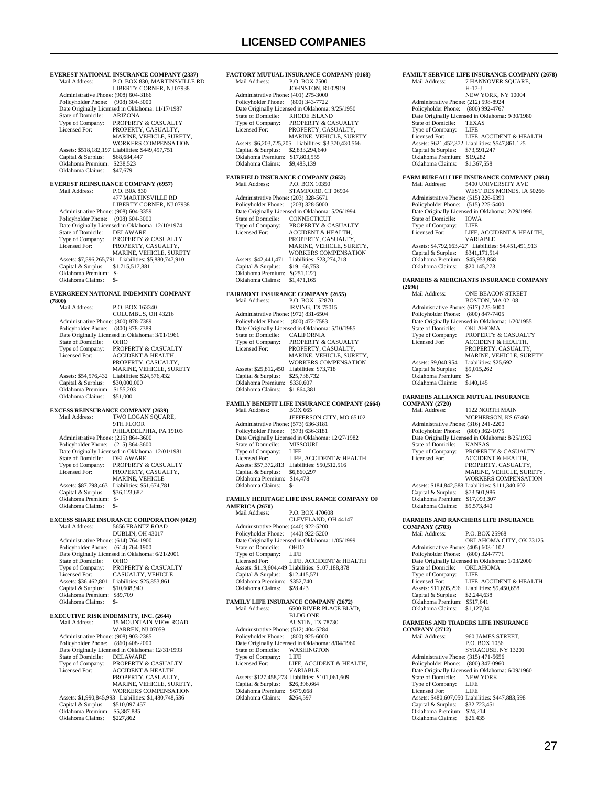**FACTORY MUTUAL INSURANCE COMPANY (0168)**<br>Mail Address: P.O. BOX 7500 P.O. BOX 7500 JOHNSTON, RI 02919

 Administrative Phone: (401) 275-3000 Policyholder Phone: (800) 343-7722 Date Originally Licensed in Oklahoma: 9/25/1950<br>State of Domicile: RHODE ISLAND

**EVEREST NATIONAL INSURANCE COMPANY (2337)**<br>Mail Address: P.O. BOX 830. MARTINSVILLE R P.O. BOX 830, MARTINSVILLE RD LIBERTY CORNER, NJ 07938 Administrative Phone: (908) 604-3166 Policyholder Phone: (908) 604-3000 Date Originally Licensed in Oklahoma: 11/17/1987<br>State of Domicile: ARIZONA State of Domicile:<br>Type of Company: Type of Company: PROPERTY & CASUALTY<br>Licensed For: PROPERTY CASUALTY PROPERTY, CASUALTY MARINE, VEHICLE, SURETY, WORKERS COMPENSATION Assets: \$518,182,197 Liabilities: \$449,497,751 Capital & Surplus: \$68,684,447 Oklahoma Premium: \$238,523 Oklahoma Claims: \$47,679 **EVEREST REINSURANCE COMPANY (6957)**<br>Mail Address: P.O. BOX 830 Mail Address: P.O. B0X 830 477 MARTINSVILLE RD LIBERTY CORNER, NJ 07938 Administrative Phone: (908) 604-3359 Policyholder Phone: (908) 604-3000 Date Originally Licensed in Oklahoma: 12/10/1974<br>State of Domicile: DELAWARE State of Domicile:<br>Type of Company: Type of Company: PROPERTY & CASUALTY<br>Licensed For: PROPERTY, CASUALTY Licensed For: PROPERTY, CASUALTY, MARINE, VEHICLE, SURETY Assets: \$7,596,265,791 Liabilities: \$5,880,747,910<br>Capital & Surplus: \$1,715,517,881 Capital & Surplus: \$1,715,517,881 Oklahoma Premium: \$- Oklahoma Claims: \$-**EVERGREEN NATIONAL INDEMNITY COMPANY (7800)** P.O. BOX 163340 COLUMBUS, OH 43216 Administrative Phone: (800) 878-7389 Policyholder Phone: (800) 878-7389 Date Originally Licensed in Oklahoma: 3/01/1961<br>State of Domicile: OHIO State of Domicile:<br>Type of Company: Type of Company: PROPERTY & CASUALTY<br>Ticensed For: ACCIDENT & HEATTH ACCIDENT & HEALTH PROPERTY, CASUALTY, MARINE, VEHICLE, SURETY Assets: \$54,576,432 Liabilities: \$24,576,432<br>Capital & Surplus: \$30,000,000 Capital & Surplus: Oklahoma Premium: \$155,203 Oklahoma Claims: \$51,000 **EXCESS REINSURANCE COMPANY (2639)**<br>Mail Address: TWO LOGAN SQUAR TWO LOGAN SQUARE, 9TH FLOOR PHILADELPHIA, PA 19103 Administrative Phone: (215) 864-3600 Policyholder Phone: (215) 864-3600 Date Originally Licensed in Oklahoma: 12/01/1981<br>State of Domicile: DELAWARE State of Domicile: Type of Company: PROPERTY & CASUALTY<br>Licensed For: PROPERTY, CASUALTY, PROPERTY, CASUALTY, MARINE, VEHICLE<br>Assets: \$87,798,463 Liabilities: \$51,674,781 Capital & Surplus: \$36,123,682 Oklahoma Premium: \$- Oklahoma Claims: \$- **EXCESS SHARE INSURANCE CORPORATION (0029)**<br>Mail Address: 5656 FRANTZ ROAD Mail Address: 5656 FRANTZ ROAD DUBLIN, OH 43017 Administrative Phone: (614) 764-1900 Policyholder Phone: (614) 764-1900 Date Originally Licensed in Oklahoma: 6/21/2001<br>State of Domicile: OHIO State of Domicile:<br>Type of Company: PROPERTY & CASUALTY Licensed For: CASUALTY, VEHICLE Assets: \$36,462,801 Liabilities: \$25,853,861<br>Capital & Surplus: \$10,608,940 Capital & Surplus: \$10,608,940 Oklahoma Premium: \$89,709 Oklahoma Claims: \$-**EXECUTIVE RISK INDEMNITY, INC. (2644)**<br>Mail Address: 15 MOUNTAIN VIEW 15 MOUNTAIN VIEW ROAD WARREN, NJ 07059 Administrative Phone: (908) 903-2385 Policyholder Phone: (860) 408-2000 Date Originally Licensed in Oklahoma: 12/31/1993<br>State of Domicile: DELAWARE State of Domicile:<br>Type of Company: Type of Company: PROPERTY & CASUALTY<br>Licensed For: ACCIDENT & HEALTH, ACCIDENT & HEALTH, PROPERTY, CASUALTY, MARINE, VEHICLE, SURETY, WORKERS COMPENSATION Assets: \$1,990,845,993 Liabilities: \$1,480,748,536 Capital & Surplus: \$510,097,457 Oklahoma Premium: \$5,387,885<br>Oklahoma Claims: \$227.862

Oklahoma Claims:

State of Domicile: RHODE ISLAND<br>Type of Company: PROPERTY & CA Type of Company: PROPERTY & CASUALTY<br>Licensed For: PROPERTY CASUALTY PROPERTY CASUALTY MARINE, VEHICLE, SURETY Assets: \$6,203,725,205 Liabilities: \$3,370,430,566 Capital & Surplus: \$2,833,294,640 Oklahoma Premium: \$17,803,555<br>Oklahoma Claims: \$9,483,139 Oklahoma Claims: \$9,483,139 **FAIRFIELD INSURANCE COMPANY (2652)**<br>Mail Address: P.O. BOX 10350 P.O. BOX 10350 STAMFORD, CT 06904 Administrative Phone: (203) 328-5671 Policyholder Phone: (203) 328-5000 Date Originally Licensed in Oklahoma: 5/26/1994<br>State of Domicile: CONNECTICUT State of Domicile: CONNECTICUT<br>Type of Company: PROPERTY & CA Type of Company: PROPERTY & CASUALTY<br>Licensed For: ACCIDENT & HEALTH ACCIDENT & HEALTH, PROPERTY, CASUALTY MARINE, VEHICLE, SURETY, WORKERS COMPENSATION Assets: \$42,441,471 Liabilities: \$23,274,718<br>Capital & Surplus: \$19,166,753 Capital & Surplus: \$19,166,753 Oklahoma Premium: \$(251,122) Oklahoma Claims: \$1,471,165 **FAIRMONT INSURANCE COMPANY (2655)** Mail Address: P.O. BOX 152870 IRVING, TX 75015 Administrative Phone: (972) 831-6504 Policyholder Phone: (800) 472-7583 Date Originally Licensed in Oklahoma: 5/10/1985 State of Domicile:<br>Type of Company:<br>Licensed For: THE CALIFORNIA<br>
PROPERTY & CASUALTY PROPERTY, CASUALTY, MARINE, VEHICLE, SURETY WORKERS COMPENSATION Assets: \$25,812,450 Liabilities: \$73,718 Capital & Surplus: \$25,738,732 Oklahoma Premium: \$330,607 Oklahoma Claims: \$1,864,381 **FAMILY BENEFIT LIFE INSURANCE COMPANY (2664)**<br>Mail Address: **BOX 665** Mail Address: JEFFERSON CITY, MO 65102 Administrative Phone: (573) 636-3181 Policyholder Phone: (573) 636-3181 Date Originally Licensed in Oklahoma: 12/27/1982 State of Domicile: MISS<br>Type of Company: LIFE Type of Company: LIFE<br>Licensed For: LIFE, ACCIDENT & HEALTH Licensed For: LIFE, ACCIDENT & HEALTH Assets: \$57,372,813 Liabilities: \$50,512,516 Capital & Surplus: \$6,860,297 Oklahoma Premium: \$14,478 Oklahoma Claims: **FAMILY HERITAGE LIFE INSURANCE COMPANY OF AMERICA (2670)**<br>Mail Address: P.O. BOX 470608 CLEVELAND, OH 44147 Administrative Phone: (440) 922-5200 Policyholder Phone: (440) 922-5200 Date Originally Licensed in Oklahoma: 1/05/1999 State of Domicile: OHIO<br>Type of Company: LIFE Type of Company: LIFE<br>Licensed For: LIFE, ACCIDENT & HEALTH Licensed For: LIFE, ACCIDENT & HEALTH Assets: \$119,604,449 Liabilities: \$107,188,878 Capital & Surplus: \$12,415,571 Oklahoma Premium: \$352,740<br>Oklahoma Claims: \$28,423 Oklahoma Claims: \$28,423 **FAMILY LIFE INSURANCE COMPANY (2672)** 6500 RIVER PLACE BLVD. BLDG ONE AUSTIN, TX 78730 Administrative Phone: (512) 404-5284 Policyholder Phone: (800) 925-6000 Date Originally Licensed in Oklahoma: 8/04/1960<br>State of Domicile: WASHINGTON State of Domicile: WASH<br>Type of Company: LIFE Type of Company:<br>Licensed For: LIFE, ACCIDENT & HEALTH, VARIABLE Assets: \$127,458,273 Liabilities: \$101,061,609<br>Capital & Surplus: \$26,396,664 Capital & Surplus: Oklahoma Premium: \$679,668<br>Oklahoma Claims: \$264,597 Oklahoma Claims:

#### **FAMILY SERVICE LIFE INSURANCE COMPANY (2678)**<br>Mail Address: 7 HANNOVER SOUARE. **7 HANNOVER SQUARE,**  H-17-J NEW YORK, NY 10004 Administrative Phone: (212) 598-8924 Policyholder Phone: (800) 992-4767 Date Originally Licensed in Oklahoma: 9/30/1980<br>State of Domicile: TEXAS State of Domicile: TEXA<br>Type of Company: LIFE Type of Company: LIFE<br>Licensed For: LIFE, ACCIDENT & HEALTH Licensed For: LIFE, ACCIDENT & HEALTH Assets: \$621,452,372 Liabilities: \$547,861,125 Capital & Surplus: \$73,591,247 Oklahoma Premium: \$19,282 Oklahoma Claims: \$1,367,558 **FARM BUREAU LIFE INSURANCE COMPANY (2694)**<br>Mail Address: 5400 UNIVERSITY AVE MODELLINGE COMMANY WEST DES MOINES, IA 50266 Administrative Phone: (515) 226-6399 Policyholder Phone: (515) 225-5400 Date Originally Licensed in Oklahoma: 2/29/1996<br>State of Domicile: IOWA State of Domicile: IOWA<br>Type of Company: LIFE Type of Company:<br>Licensed For: LIFE, ACCIDENT & HEALTH, VARIABLE Assets: \$4,792,663,427 Liabilities: \$4,451,491,913<br>Capital & Surplus: \$341,171,514 Capital & Surplus: \$341,171,514 Oklahoma Premium: \$45,953,858 Oklahoma Claims: \$20,145,273 **FARMERS & MERCHANTS INSURANCE COMPANY (2696)** ONE BEACON STREET BOSTON, MA 02108 Administrative Phone: (617) 725-6000 Policyholder Phone: (800) 847-7405 Date Originally Licensed in Oklahoma: 1/20/1955<br>State of Domicile: OKLAHOMA State of Domicile:<br>Type of Company: Type of Company: PROPERTY & CASUALTY<br>Licensed For: ACCIDENT & HEALTH, PROPERTY, CASUALTY, MARINE, VEHICLE, SURETY Assets: \$9,040,954 Liabilities: \$25,692<br>Capital & Surplus: \$9,015,262 Capital & Surplus: Oklahoma Premium: \$-<br>Oklahoma Claims: \$140,145 Oklahoma Claims: **FARMERS ALLIANCE MUTUAL INSURANCE COMPANY (2720)** 1122 NORTH MAIN MCPHERSON, KS 67460 Administrative Phone: (316) 241-2200 Policyholder Phone: (800) 362-1075 Date Originally Licensed in Oklahoma: 8/25/1932<br>State of Domicile: KANSAS State of Domicile:<br>Type of Company: Type of Company: PROPERTY & CASUALTY<br>Licensed For: ACCIDENT & HEALTH. Licensed For: ACCIDENT & HEALTH, PROPERTY, CASUALTY, MARINE, VEHICLE, SURETY, WORKERS COMPENSATION Assets: \$184,842,588 Liabilities: \$111,340,602 Capital & Surplus: \$73,501,986 Oklahoma Premium: \$17,093,307 Oklahoma Claims: \$9,573,840 **FARMERS AND RANCHERS LIFE INSURANCE COMPANY (2703)** Mail Address: P.O. BOX 25968 OKLAHOMA CITY, OK 73125 Administrative Phone: (405) 603-1102 Policyholder Phone: (800) 324-7771 Date Originally Licensed in Oklahoma: 1/03/2000<br>State of Domicile: OKLAHOMA State of Domicile: Type of Company: LIFE<br>Licensed For: LIFE, ACCIDENT & HEALTH Licensed For: LIFE, ACCIDENT & HEALTH Assets: \$11,695,296 Liabilities: \$9,450,658 Capital & Surplus: \$2,244,638 Oklahoma Premium: \$517,641<br>Oklahoma Claims: \$1,127,041 Oklahoma Claims: **FARMERS AND TRADERS LIFE INSURANCE COMPANY (2712)** 960 JAMES STREET, P.O. BOX 1056 SYRACUSE, NY 13201 Administrative Phone: (315) 471-5656 Policyholder Phone: (800) 347-0960 Date Originally Licensed in Oklahoma: 6/09/1960<br>State of Domicile: NEW YORK State of Domicile: NEW<br>Type of Company: LIFE Type of Company: LIFE<br>Licensed For: LIFE Licensed For: Assets: \$480,607,050 Liabilities: \$447,883,598<br>Capital & Surplus: \$32,723,451

Capital & Surplus: Oklahoma Premium: \$24,214 Oklahoma Claims: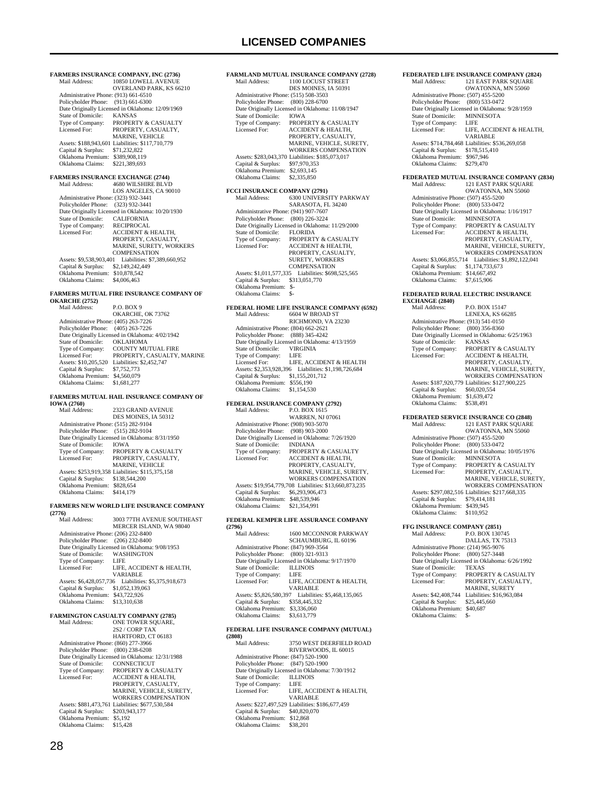**FARMERS INSURANCE COMPANY, INC (2736)** 10850 LOWELL AVENUE OVERLAND PARK, KS 66210 Administrative Phone: (913) 661-6510 Policyholder Phone: (913) 661-6300 Date Originally Licensed in Oklahoma: 12/09/1969<br>State of Domicile: KANSAS State of Domicile:<br>Type of Company: Type of Company: PROPERTY & CASUALTY<br>Licensed For: PROPERTY CASUALTY PROPERTY CASUALTY MARINE, VEHICLE Assets: \$188,943,601 Liabilities: \$117,710,779 Capital & Surplus: \$71,232,822 Oklahoma Premium: \$389,908,119 Oklahoma Claims: \$221,389,693 **FARMERS INSURANCE EXCHANGE (2744)** Mail Address: 4680 WILSHIRE BLVD LOS ANGELES, CA 90010 Administrative Phone: (323) 932-3441 Policyholder Phone: (323) 932-3441 Date Originally Licensed in Oklahoma: 10/20/1930 State of Domicile: CALIFORNIA Type of Company: RECIPROCAL<br>Licensed For: ACCIDENT & Licensed For: ACCIDENT & HEALTH, PROPERTY, CASUALTY, MARINE, SURETY, WORKERS COMPENSATION Assets: \$9,538,903,401 Liabilities: \$7,389,660,952 Capital & Surplus: \$2,149,242,449 Oklahoma Premium: \$10,878,542 Oklahoma Claims: \$4,006,463 **FARMERS MUTUAL FIRE INSURANCE COMPANY OF OKARCHE (2752)** Mail Address: P.O. BOX 9 OKARCHE, OK 73762 Administrative Phone: (405) 263-7226 Policyholder Phone: (405) 263-7226 Date Originally Licensed in Oklahoma: 4/02/1942<br>State of Domicile: OKLAHOMA State of Domicile:<br>Type of Company: Type of Company: COUNTY MUTUAL FIRE<br>Licensed For: PROPERTY, CASUALTY. PROPERTY, CASUALTY, MARINE Assets: \$10,205,520 Liabilities: \$2,452,747<br>Capital & Surplus: \$7,752,773 Capital & Surplus: Oklahoma Premium: \$4,560,079 Oklahoma Claims: \$1,681,277 **FARMERS MUTUAL HAIL INSURANCE COMPANY OF IOWA (2760)**<br>Mail Address: 2323 GRAND AVENUE DES MOINES, IA 50312 Administrative Phone: (515) 282-9104 Policyholder Phone: (515) 282-9104 Date Originally Licensed in Oklahoma: 8/31/1950<br>State of Domicile: IOWA State of Domicile:<br>Type of Company: Type of Company: PROPERTY & CASUALTY<br>Licensed For: PROPERTY. CASUALTY Licensed For: PROPERTY, CASUALTY, MARINE, VEHICLE Assets: \$253,919,358 Liabilities: \$115,375,158 Capital & Surplus: \$138,544,200 Oklahoma Premium: \$828,654 Oklahoma Claims: \$414,179 **FARMERS NEW WORLD LIFE INSURANCE COMPANY**  *(2776)* Mail Address: 3003 77TH AVENUE SOUTHEAST MERCER ISLAND, WA 98040 Administrative Phone: (206) 232-8400 Policyholder Phone: (206) 232-8400 Date Originally Licensed in Oklahoma: 9/08/1953<br>State of Domicile: WASHINGTON State of Domicile: WAS<br>Type of Company: LIFE Type of Company:<br>Licensed For: LIFE, ACCIDENT & HEALTH, VARIABLE<br>6 Liabilities: \$5,375,918,673 Assets: \$6,428,057,736 Liabilities: \$5,375,918,673 Capital & Surplus: \$1,052,139,063 Oklahoma Premium: \$43,722,926 Oklahoma Claims: \$13,310,638 **FARMINGTON CASUALTY COMPANY (2785)**<br>Mail Address: ONE TOWER SOUARE. ONE TOWER SOUARE. 2S2 / CORP TAX HARTFORD, CT 06183 Administrative Phone: (860) 277-3966 Policyholder Phone: (800) 238-6208 Date Originally Licensed in Oklahoma: 12/31/1988<br>State of Domicile: CONNECTICUT State of Domicile:<br>Type of Company: Type of Company: PROPERTY & CASUALTY<br>Licensed For: ACCIDENT & HEALTH, Licensed For: ACCIDENT & HEALTH, PROPERTY, CASUALTY, MARINE, VEHICLE, SURETY WORKERS COMPENSATION Assets: \$881,473,761 Liabilities: \$677,530,584

**FARMLAND MUTUAL INSURANCE COMPANY (2728)**<br>Mail Address: 1100 LOCUST STREET 1100 LOCUST STREET DES MOINES, IA 50391 Administrative Phone: (515) 508-3503 Policyholder Phone: (800) 228-6700 Date Originally Licensed in Oklahoma: 11/08/1947<br>State of Domicile: IOWA State of Domicile:<br>Type of Company: Type of Company: PROPERTY & CASUALTY<br>Licensed For: ACCIDENT & HEALTH ACCIDENT & HEALTH, PROPERTY, CASUALTY MARINE, VEHICLE, SURETY, WORKERS COMPENSATION Assets: \$283,043,370 Liabilities: \$185,073,017 Capital & Surplus: \$97,970,353 Oklahoma Premium: \$2,693,145 Oklahoma Claims: \$2,335,850 **FCCI INSURANCE COMPANY (2791)**<br>
Mail Address: 6300 UNIVERSITY PARKWAY SARASOTA, FL 34240 Administrative Phone: (941) 907-7607 Policyholder Phone: (800) 226-3224 Date Originally Licensed in Oklahoma: 11/29/2000<br>State of Domicile: FLORIDA State of Domicile:<br>Type of Company: Type of Company: PROPERTY & CASUALTY<br>Licensed For: ACCIDENT & HEALTH, Licensed For: ACCIDENT & HEALTH, PROPERTY, CASUALTY, SURETY, WORKERS **COMPENSATION**  Assets: \$1,011,577,335 Liabilities: \$698,525,565 Capital & Surplus: \$313,051,770 Oklahoma Premium: \$- Oklahoma Claims: \$-**FEDERAL HOME LIFE INSURANCE COMPANY (6592)**<br>Mail Address: 6604 W BROAD ST 6604 W BROAD ST RICHMOND, VA 23230 Administrative Phone: (804) 662-2621 Policyholder Phone: (888) 345-4242 Date Originally Licensed in Oklahoma: 4/13/1959<br>State of Domicile: VIRGINIA State of Domicile: VIRG<br>Type of Company: IFF Type of Company: Licensed For: LIFE, ACCIDENT & HEALTH Assets: \$2,353,928,396 Liabilities: \$1,198,726,684 Capital & Surplus: \$1,155,201,712 Oklahoma Premium: \$556,190 Oklahoma Claims: \$1,154,530 **FEDERAL INSURANCE COMPANY (2792)**<br>Mail Address: P.O. BOX 1615 Mail Address: P.O. BOX 1615 WARREN, NJ 07061 Administrative Phone: (908) 903-5070 Policyholder Phone: (908) 903-2000 Date Originally Licensed in Oklahoma: 7/26/1920<br>State of Domicile: INDIANA State of Domicile:<br>Type of Company: Type of Company: PROPERTY & CASUALTY<br>Licensed For: ACCIDENT & HEALTH. ACCIDENT & HEALTH, PROPERTY, CASUALTY, MARINE, VEHICLE, SURETY, WORKERS COMPENSATION Assets: \$19,954,779,708 Liabilities: \$13,660,873,235 Capital & Surplus: \$6,293,906,473 Oklahoma Premium: \$48,539,946 Oklahoma Claims: \$21,354,991 **FEDERAL KEMPER LIFE ASSURANCE COMPANY (2796)** Mail Address: 1600 MCCONNOR PARKWAY SCHAUMBURG, IL 60196 Administrative Phone: (847) 969-3564 Policyholder Phone: (800) 321-9313 Date Originally Licensed in Oklahoma: 9/17/1970<br>State of Domicile: ILLINOIS State of Domicile: Type of Company: LIFE LIFE, ACCIDENT & HEALTH, VARIABLE Assets: \$5,826,580,397 Liabilities: \$5,468,135,065 Capital & Surplus: \$358,445,332 Oklahoma Premium: \$3,336,060 Oklahoma Claims: \$3,613,779 **FEDERAL LIFE INSURANCE COMPANY (MUTUAL) (2808)** 3750 WEST DEERFIELD ROAD RIVERWOODS, IL 60015 Administrative Phone: (847) 520-1900 Policyholder Phone: (847) 520-1900 Date Originally Licensed in Oklahoma: 7/30/1912<br>State of Domicile: ILLINOIS State of Domicile: ILLIN<br>Type of Company: LIFE Type of Company:<br>Licensed For: LIFE, ACCIDENT & HEALTH, VARIABLE Assets: \$227,497,529 Liabilities: \$186,677,459 Capital & Surplus: \$40,820,070 Oklahoma Premium: \$12,868

Oklahoma Claims: \$38,201

**FEDERATED LIFE INSURANCE COMPANY (2824)**<br>Mail Address: [21 EAST PARK SOUARE 121 EAST PARK SQUARE OWATONNA, MN 55060 Administrative Phone: (507) 455-5200 Policyholder Phone: (800) 533-0472 Date Originally Licensed in Oklahoma: 9/28/1959<br>State of Domicile: MINNESOTA State of Domicile: MINN<br>Type of Company: LIFE Type of Company: LIFE<br>Licensed For: LIFE ACCIDENT & HEALTH Licensed For: LIFE, ACCIDENT & HEALTH,<br>
VARIABLE<br>
Assets: \$714,784,468 Liabilities: \$536,269,058<br>
Capital & Surplus: \$178,515,410 Oklahoma Premium: \$967,946<br>Oklahoma Claims: \$279,470 Oklahoma Claims: **FEDERATED MUTUAL INSURANCE COMPANY (2834)** Mail Address: 121 EAST PARK SQUARE OWATONNA, MN 55060 Administrative Phone: (507) 455-5200 Policyholder Phone: (800) 533-0472 Date Originally Licensed in Oklahoma: 1/16/1917 State of Domicile: MINNESOTA Type of Company: PROPERTY & CASUALTY<br>Licensed For: ACCIDENT & HEALTH. ACCIDENT & HEALTH, PROPERTY, CASUALTY, MARINE, VEHICLE, SURETY, WORKERS COMPENSATION Assets: \$3,066,855,714 Liabilities: \$1,892,122,041 Capital & Surplus: \$1,174,733,673 Oklahoma Premium: \$14,667,492 Oklahoma Claims: \$7,615,906 **FEDERATED RURAL ELECTRIC INSURANCE EXCHANGE (2840)** P.O. BOX 15147 LENEXA, KS 66285 Administrative Phone: (913) 541-0150 Policyholder Phone: (800) 356-8360 Date Originally Licensed in Oklahoma: 6/25/1963<br>State of Domicile KANSAS State of Domicile:<br>Type of Company: Type of Company: PROPERTY & CASUALTY<br>
I icensed For: ACCIDENT & HEALTH Licensed For: ACCIDENT & HEALTH, PROPERTY, CASUALTY, MARINE, VEHICLE, SURETY, WORKERS COMPENSATION Assets: \$187,920,779 Liabilities: \$127,900,225<br>Capital & Surplus: \$60,020,554 Capital & Surplus: Oklahoma Premium: \$1,639,472 Oklahoma Claims: **FEDERATED SERVICE INSURANCE CO (2848)**<br>Mail Address: 121 EAST PARK SOUARE 121 EAST PARK SQUARE OWATONNA, MN 55060 Administrative Phone: (507) 455-5200 Policyholder Phone: (800) 533-0472 Date Originally Licensed in Oklahoma: 10/05/1976 State of Domicile: MINNESOTA Type of Company: PROPERTY & CASUALTY<br>Licensed For: PROPERTY, CASUALTY, PROPERTY, CASUALTY, MARINE, VEHICLE, SURETY, WORKERS COMPENSATION Assets: \$297,082,516 Liabilities: \$217,668,335 Capital & Surplus: \$79,414,181 Oklahoma Premium: \$439,945 Oklahoma Claims: \$110,952 **FFG INSURANCE COMPANY (2851)**<br>Mail Address: P.O. BOX 1307 Mail Address: P.O. BOX 130745 DALLAS, TX 75313 Administrative Phone: (214) 965-9076 Policyholder Phone: (800) 527-3448 Date Originally Licensed in Oklahoma: 6/26/1992 State of Domicile: State of Domicile: TEXAS<br>
Type of Company: PROPERTY & CASUALTY<br>
Licensed For: PROPERTY. CASUALTY. Licensed For: PROPERTY, CASUALTY, MARINE, SURETY Assets: \$42,408,744 Liabilities: \$16,963,084<br>Capital & Surplus: \$25,445,660 Capital & Surplus: Oklahoma Premium: \$40,687 Oklahoma Claims:

 Capital & Surplus: \$203,943,177 Oklahoma Premium: \$5,192 Oklahoma Claims: \$15,428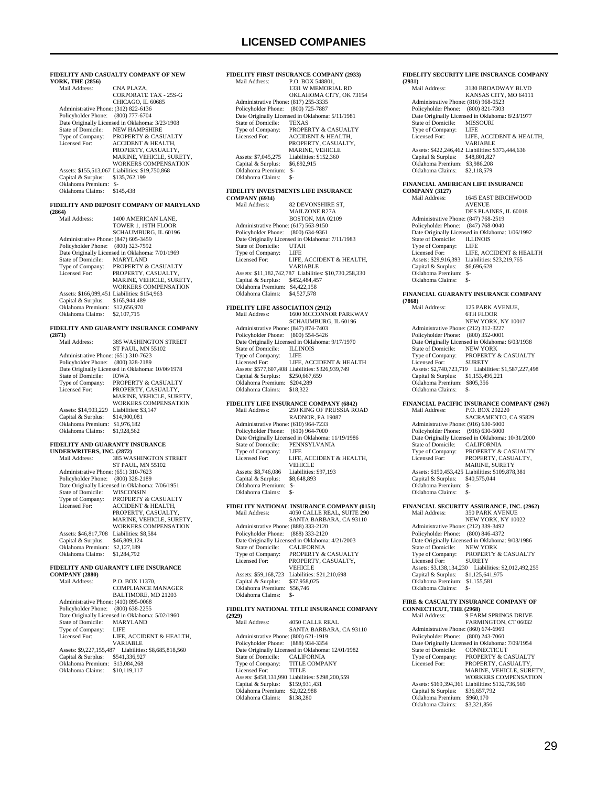| YORK, THE (2856)                                                   |                                                                     |  |
|--------------------------------------------------------------------|---------------------------------------------------------------------|--|
|                                                                    | FIDELITY AND CASUALTY COMPANY OF NEW                                |  |
| Mail Address:                                                      | CNA PLAZA,                                                          |  |
|                                                                    | <b>CORPORATE TAX - 25S-G</b>                                        |  |
|                                                                    | CHICAGO, IL 60685                                                   |  |
| Administrative Phone: (312) 822-6136                               |                                                                     |  |
| Policyholder Phone: (800) 777-6704                                 | Date Originally Licensed in Oklahoma: 3/23/1908                     |  |
| State of Domicile:                                                 | <b>NEW HAMPSHIRE</b>                                                |  |
| Type of Company:                                                   | PROPERTY & CASUALTY                                                 |  |
| Licensed For:                                                      | <b>ACCIDENT &amp; HEALTH,</b>                                       |  |
|                                                                    | PROPERTY, CASUALTY,<br>MARINE, VEHICLE, SURETY,                     |  |
|                                                                    | <b>WORKERS COMPENSATION</b>                                         |  |
|                                                                    | Assets: \$155,513,067 Liabilities: \$19,750,868                     |  |
| Capital & Surplus:<br>Oklahoma Premium: \$-                        | \$135,762,199                                                       |  |
| Oklahoma Claims:                                                   | \$145,438                                                           |  |
|                                                                    |                                                                     |  |
| (2864)                                                             | FIDELITY AND DEPOSIT COMPANY OF MARYLAND                            |  |
| Mail Address:                                                      | 1400 AMERICAN LANE,                                                 |  |
|                                                                    | TOWER 1, 19TH FLOOR                                                 |  |
|                                                                    | SCHAUMBURG, IL 60196                                                |  |
| Administrative Phone: (847) 605-3459<br>Policyholder Phone:        | (800) 323-7592                                                      |  |
|                                                                    | Date Originally Licensed in Oklahoma: 7/01/1969                     |  |
| <b>State of Domicile:</b>                                          | <b>MARYLAND</b>                                                     |  |
| Type of Company:<br>Licensed For:                                  | PROPERTY & CASUALTY<br>PROPERTY, CASUALTY,                          |  |
|                                                                    | MARINE, VEHICLE, SURETY,                                            |  |
|                                                                    | WORKERS COMPENSATION                                                |  |
|                                                                    | Assets: \$166,099,451 Liabilities: \$154,963                        |  |
| Capital & Surplus: \$165,944,489<br>Oklahoma Premium: \$12,656,970 |                                                                     |  |
| Oklahoma Claims:                                                   | \$2,107,715                                                         |  |
|                                                                    |                                                                     |  |
| (2871)                                                             | FIDELITY AND GUARANTY INSURANCE COMPANY                             |  |
| Mail Address:                                                      | <b>385 WASHINGTON STREET</b>                                        |  |
|                                                                    | <b>ST PAUL, MN 55102</b>                                            |  |
| Administrative Phone: (651) 310-7623                               |                                                                     |  |
| Policyholder Phone: (800) 328-2189                                 | Date Originally Licensed in Oklahoma: 10/06/1978                    |  |
| State of Domicile:                                                 | <b>IOWA</b>                                                         |  |
| Type of Company:                                                   | PROPERTY & CASUALTY                                                 |  |
| Licensed For:                                                      | PROPERTY, CASUALTY,<br>MARINE, VEHICLE, SURETY,                     |  |
|                                                                    | <b>WORKERS COMPENSATION</b>                                         |  |
| Assets: \$14,903,229 Liabilities: \$3,147                          |                                                                     |  |
| Capital & Surplus: \$14,900,081<br>Oklahoma Premium: \$1,976,182   |                                                                     |  |
| Oklahoma Claims:                                                   | \$1,928,562                                                         |  |
|                                                                    |                                                                     |  |
|                                                                    |                                                                     |  |
| FIDELITY AND GUARANTY INSURANCE                                    |                                                                     |  |
| UNDERWRITERS, INC. (2872)<br>Mail Address:                         | 385 WASHINGTON STREET                                               |  |
|                                                                    | <b>ST PAUL, MN 55102</b>                                            |  |
| Administrative Phone: (651) 310-7623                               |                                                                     |  |
| Policyholder Phone: (800) 328-2189                                 |                                                                     |  |
| State of Domicile:                                                 | Date Originally Licensed in Oklahoma: 7/06/1951<br><b>WISCONSIN</b> |  |
| Type of Company:                                                   | PROPERTY & CASUALTY                                                 |  |
| Licensed For:                                                      | ACCIDENT & HEALTH.                                                  |  |
|                                                                    | PROPERTY, CASUALTY,<br>MARINE, VEHICLE, SURETY,                     |  |
|                                                                    | WORKERS COMPENSATION                                                |  |
| Assets: \$46,817,708                                               | Liabilities: \$8,584                                                |  |
| Capital & Surplus:                                                 | \$46,809,124                                                        |  |
| Oklahoma Premium:<br>Oklahoma Claims:                              | \$2,127,189<br>\$1,284,792                                          |  |
|                                                                    |                                                                     |  |
|                                                                    | FIDELITY AND GUARANTY LIFE INSURANCE                                |  |
| <b>COMPANY (2880)</b><br>Mail Address:                             | P.O. BOX 11370,                                                     |  |
|                                                                    | <b>COMPLIANCE MANAGER</b>                                           |  |
|                                                                    | BALTIMORE, MD 21203                                                 |  |
| Administrative Phone: (410) 895-0068<br>Policyholder Phone:        | $(800)$ 638-2255                                                    |  |
|                                                                    | Date Originally Licensed in Oklahoma: 5/02/1960                     |  |
| State of Domicile:                                                 | MARYLAND                                                            |  |
| Type of Company:<br>Licensed For:                                  | LIFE<br>LIFE, ACCIDENT & HEALTH,                                    |  |
|                                                                    | <b>VARIABLE</b>                                                     |  |
| Assets: \$9,227,155,487                                            | Liabilities: \$8,685,818,560                                        |  |
| Capital & Surplus:<br>Oklahoma Premium: \$13,084,268               | \$541,336,927                                                       |  |
| Oklahoma Claims:                                                   | \$10,119,117                                                        |  |

#### **FIDELITY FIRST INSURANCE COMPANY (2933)**<br>Mail Address: P.O. BOX 548801, P.O. BOX 548801, 1331 W MEMORIAL RD OKLAHOMA CITY, OK 73154 Administrative Phone: (817) 255-3335 Policyholder Phone: (800) 725-7887 Date Originally Licensed in Oklahoma: 5/11/1981 State of Domicile:<br>Type of Company:<br>Licensed For: TEXAS<br>PROPERTY & CASUALTY ACCIDENT & HEALTH, PROPERTY, CASUALTY MARINE, VEHICLE Assets: \$7,045,275 Liabilities: \$152,360<br>Capital & Surplus: \$6,892,915 Capital & Surplus: \$6,892,915 Oklahoma Premium: \$- Oklahoma Claims: \$-

### **FIDELITY INVESTMENTS LIFE INSURANCE**

**COMPANY (6934)** 82 DEVONSHIRE ST. MAILZONE R27A BOSTON, MA 02109 Administrative Phone: (617) 563-9150 Policyholder Phone: (800) 634-9361 Date Originally Licensed in Oklahoma: 7/11/1983 State of Domicile: UTAH<br>Type of Company: LIFE Type of Company:<br>Licensed For: LIFE, ACCIDENT & HEALTH, VARIABLE Assets: \$11,182,742,787 Liabilities: \$10,730,258,330 Capital & Surplus: \$452,484,457 Oklahoma Premium: \$4,422,158 Oklahoma Claims: \$4,527,578

**FIDELITY LIFE ASSOCIATION (2912)**<br>Mail Address: 1600 MCCONNC 1600 MCCONNOR PARKWAY SCHAUMBURG, IL 60196 Administrative Phone: (847) 874-7403 Policyholder Phone: (800) 554-5426 Date Originally Licensed in Oklahoma: 9/17/1970<br>State of Domicile: ILLINOIS State of Domicile: ILLIN<br>Type of Company: I IEE Type of Company: Licensed For: LIFE, ACCIDENT & HEALTH Assets: \$577,607,408 Liabilities: \$326,939,749 Capital & Surplus: \$250,667,659 Oklahoma Premium: \$204,289 Oklahoma Claims: \$18,322

### **FIDELITY LIFE INSURANCE COMPANY (6842)**

| Mail Address:                        | 250 KING OF PRUSSIA ROAD                         |
|--------------------------------------|--------------------------------------------------|
|                                      | RADNOR, PA 19087                                 |
| Administrative Phone: (610) 964-7233 |                                                  |
| Policyholder Phone: (610) 964-7000   |                                                  |
|                                      | Date Originally Licensed in Oklahoma: 11/19/1986 |
| State of Domicile:                   | PENNSYLVANIA                                     |
| Type of Company:                     | LIFE                                             |
| Licensed For:                        | LIFE. ACCIDENT & HEALTH.                         |
|                                      | <b>VEHICLE</b>                                   |
| Assets: \$8,746,086                  | Liabilities: \$97,193                            |
| Capital & Surplus:                   | \$8,648,893                                      |
| Oklahoma Premium:                    | \$-                                              |
| Oklahoma Claims:                     | \$-                                              |
|                                      |                                                  |

#### **FIDELITY NATIONAL INSURANCE COMPANY (0151)** 4050 CALLE REAL, SUITE 290

|                                      | SANTA BARBARA, CA 93110                         |
|--------------------------------------|-------------------------------------------------|
| Administrative Phone: (888) 333-2120 |                                                 |
| Policyholder Phone: (888) 333-2120   |                                                 |
|                                      | Date Originally Licensed in Oklahoma: 4/21/2003 |
| State of Domicile:                   | <b>CALIFORNIA</b>                               |
| Type of Company:                     | PROPERTY & CASUALTY                             |
| Licensed For:                        | PROPERTY, CASUALTY,                             |
|                                      | <b>VEHICLE</b>                                  |
| Assets: \$59,168,723                 | Liabilities: \$21.210.698                       |
| Capital & Surplus:                   | \$37,958,025                                    |
| Oklahoma Premium:                    | \$56,746                                        |
| Oklahoma Claims:                     |                                                 |
|                                      |                                                 |

### **FIDELITY NATIONAL TITLE INSURANCE COMPANY**

**(2929)** 4050 CALLE REAL SANTA BARBARA, CA 93110 Administrative Phone: (800) 621-1919 Policyholder Phone: (888) 934-3354 Date Originally Licensed in Oklahoma: 12/01/1982 State of Domicile: CALIFORNIA<br>Type of Company: TITLE COMPANY Type of Company: Licensed For: TITLE Assets: \$458,131,990 Liabilities: \$298,200,559 Capital & Surplus: \$159,931,431 Oklahoma Premium: \$2,022,988 Oklahoma Claims:

#### **FIDELITY SECURITY LIFE INSURANCE COMPANY (2931)**

| Mail Address:                        | <b>3130 BROADWAY BLVD</b>                        |
|--------------------------------------|--------------------------------------------------|
|                                      | KANSAS CITY, MO 64111                            |
| Administrative Phone: (816) 968-0523 |                                                  |
| Policyholder Phone: (800) 821-7303   |                                                  |
|                                      | Date Originally Licensed in Oklahoma: 8/23/1977  |
| State of Domicile:                   | <b>MISSOURI</b>                                  |
| Type of Company:                     | LIFE                                             |
| Licensed For:                        | LIFE, ACCIDENT & HEALTH,                         |
|                                      | <b>VARIABLE</b>                                  |
|                                      | Assets: \$422,246,462 Liabilities: \$373,444,636 |
| Capital & Surplus:                   | \$48,801,827                                     |
| Oklahoma Premium:                    | \$3,986,208                                      |
| Oklahoma Claims:                     | \$2,118,579                                      |
|                                      |                                                  |

### **FINANCIAL AMERICAN LIFE INSURANCE COMPANY (3127)**

| <b>COMPANY (3127)</b>                |                                                 |
|--------------------------------------|-------------------------------------------------|
| Mail Address:                        | <b>1645 EAST BIRCHWOOD</b>                      |
|                                      | <b>AVENUE</b>                                   |
|                                      | DES PLAINES, IL 60018                           |
| Administrative Phone: (847) 768-2519 |                                                 |
| Policyholder Phone: (847) 768-0040   |                                                 |
|                                      | Date Originally Licensed in Oklahoma: 1/06/1992 |
| State of Domicile:                   | <b>ILLINOIS</b>                                 |
| Type of Company:                     | LIFE                                            |
| Licensed For:                        | LIFE. ACCIDENT & HEALTH                         |
| Assets: \$29,916,393                 | Liabilities: \$23,219,765                       |
| Capital & Surplus:                   | \$6,696,628                                     |
| Oklahoma Premium:                    | \$-                                             |
| Oklahoma Claims:                     | \$-                                             |

### **FINANCIAL GUARANTY INSURANCE COMPANY**

| (7868)                               |                                                 |
|--------------------------------------|-------------------------------------------------|
| Mail Address:                        | <b>125 PARK AVENUE.</b>                         |
|                                      | <b>6TH FLOOR</b>                                |
|                                      | NEW YORK, NY 10017                              |
| Administrative Phone: (212) 312-3227 |                                                 |
| Policyholder Phone: (800) 352-0001   |                                                 |
|                                      | Date Originally Licensed in Oklahoma: 6/03/1938 |
| State of Domicile:                   | <b>NEW YORK</b>                                 |
| Type of Company:                     | PROPERTY & CASUALTY                             |
| Licensed For:                        | <b>SURETY</b>                                   |
| Assets: \$2,740,723,719              | Liabilities: \$1,587,227,498                    |
| Capital & Surplus:                   | \$1,153,496,221                                 |
| Oklahoma Premium:                    | \$805,356                                       |
| Oklahoma Claims:                     |                                                 |

### **FINANCIAL PACIFIC INSURANCE COMPANY (2967)**

| Mail Address:                        | P.O. BOX 292220                                  |
|--------------------------------------|--------------------------------------------------|
|                                      | SACRAMENTO, CA 95829                             |
| Administrative Phone: (916) 630-5000 |                                                  |
| Policyholder Phone: (916) 630-5000   |                                                  |
|                                      | Date Originally Licensed in Oklahoma: 10/31/2000 |
| State of Domicile:                   | <b>CALIFORNIA</b>                                |
| Type of Company:                     | <b>PROPERTY &amp; CASUALTY</b>                   |
| Licensed For:                        | PROPERTY, CASUALTY,                              |
|                                      | <b>MARINE, SURETY</b>                            |
|                                      | Assets: \$150,453,425 Liabilities: \$109,878,381 |
| Capital & Surplus:                   | \$40,575,044                                     |
| Oklahoma Premium:                    | $S-$                                             |
| Oklahoma Claims:                     | \$-                                              |
|                                      |                                                  |

**FINANCIAL SECURITY ASSURANCE, INC. (2962)** Mail Address: 350 PARK AVENUE NEW YORK, NY 10022 Administrative Phone: (212) 339-3492 Policyholder Phone: (800) 846-4372 Date Originally Licensed in Oklahoma: 9/03/1986 State of Domicile: NEW YORK<br>PROPERTY & CASUALTY<br>SURETY Type of Company:<br>Licensed For: Assets: \$3,138,134,230 Liabilities: \$2,012,492,255 Capital & Surplus: \$1,125,641,975 Oklahoma Premium: \$1,155,581 Oklahoma Claims: \$-

### **FIRE & CASUALTY INSURANCE COMPANY OF**

**CONNECTICUT, THE (2968)**<br>Mail Address: 9 FAR 9 FARM SPRINGS DRIVE FARMINGTON, CT 06032 Administrative Phone: (860) 674-6969 Policyholder Phone: (800) 243-7060 Date Originally Licensed in Oklahoma: 7/09/1954<br>State of Domicile: CONNECTICUT State of Domicile:<br>Type of Company:<br>Licensed For: Type of Company: PROPERTY & CASUALTY Licensed For: PROPERTY, CASUALTY, MARINE, VEHICLE, SURETY, WORKERS COMPENSATION Assets: \$169,394,361 Liabilities: \$132,736,569 Capital & Surplus: \$36,657,792 Oklahoma Premium: \$960,170 Oklahoma Claims: \$3,321,856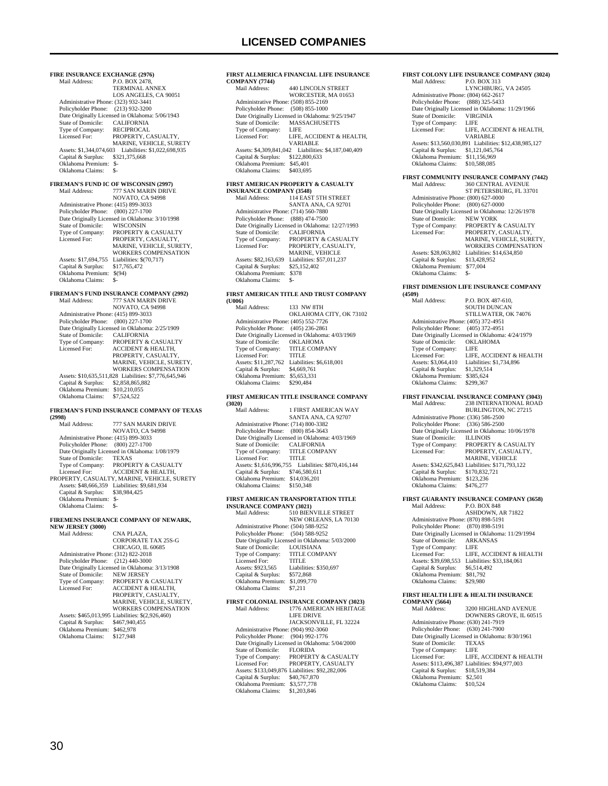**FIRE INSURANCE EXCHANGE (2976)**<br>Mail Address: P.O. BOX 2478, P.O. BOX 2478, TERMINAL ANNEX LOS ANGELES, CA 90051 Administrative Phone: (323) 932-3441 Policyholder Phone: (213) 932-3200 Patte Originally Licensed in Oklahoma: 5/06/1943<br>State of Domicile: CALIFORNIA State of Domicile: CALIFORNIA<br>Type of Company: RECIPROCAL Type of Company:<br>Licensed For: PROPERTY, CASUALTY, MARINE, VEHICLE, SURETY<br>Assets: \$1,344,074,603 Liabilities: \$1,022,698,935 Capital & Surplus: \$321,375,668 Oklahoma Premium: \$- Oklahoma Claims: **FIREMAN'S FUND IC OF WISCONSIN (2997)** 777 SAN MARIN DRIVE NOVATO, CA 94998 Administrative Phone: (415) 899-3033 Policyholder Phone: (800) 227-1700 Date Originally Licensed in Oklahoma: 3/10/1998 State of Domicile: WISCONSIN<br>Type of Company: PROPERTY & Type of Company: PROPERTY & CASUALTY Licensed For: PROPERTY, CASUALTY, MARINE, VEHICLE, SURETY, WORKERS COMPENSATION Assets: \$17,694,755 Liabilities: \$(70,717) Capital & Surplus: \$17,765,472 Oklahoma Premium: \$(94) Oklahoma Claims: \$ **FIREMAN'S FUND INSURANCE COMPANY (2992)** 777 SAN MARIN DRIVE NOVATO, CA 94998 Administrative Phone: (415) 899-3033 Policyholder Phone: (800) 227-1700 Patter Originally Licensed in Oklahoma: 2/25/1909<br>State of Domicile: CALIFORNIA State of Domicile:<br>Type of Company:<br>Licensed For: PROPERTY & CASUALTY ACCIDENT & HEALTH, PROPERTY, CASUALTY, MARINE, VEHICLE, SURETY, WORKERS COMPENSATION Assets: \$10,635,511,828 Liabilities: \$7,776,645,946 Capital & Surplus: \$2,858,865,882 Oklahoma Premium: \$10,210,055 Oklahoma Claims: \$7,524,522 **FIREMAN'S FUND INSURANCE COMPANY OF TEXAS (2998)** 777 SAN MARIN DRIVE NOVATO, CA 94998 Administrative Phone: (415) 899-3033 Policyholder Phone: (800) 227-1700 Date Originally Licensed in Oklahoma: 1/08/1979 State of Domicile: TEXAS<br>Type of Company: PROPERTY & CASUALTY Type of Company: PROPERTY & CASUALTY Licensed For: ACCIDENT & HEALTH, PROPERTY, CASUALTY, MARINE, VEHICLE, SURETY Assets: \$48,666,359 Liabilities: \$9,681,934 Capital & Surplus: \$38,984,425 Oklahoma Premium: \$- Oklahoma Claims:

**FIREMENS INSURANCE COMPANY OF NEWARK,** 

**NEW JERSEY (3000)**

| Mail Address:                        | CNA PLAZA.                                       |
|--------------------------------------|--------------------------------------------------|
|                                      | CORPORATE TAX 25S-G                              |
|                                      | CHICAGO, IL 60685                                |
| Administrative Phone: (312) 822-2018 |                                                  |
| Policyholder Phone:                  | $(212)$ 440-3000                                 |
|                                      | Date Originally Licensed in Oklahoma: 3/13/1908  |
| State of Domicile:                   | <b>NEW JERSEY</b>                                |
| Type of Company:                     | PROPERTY & CASUALTY                              |
| Licensed For:                        | <b>ACCIDENT &amp; HEALTH.</b>                    |
|                                      | PROPERTY, CASUALTY.                              |
|                                      | MARINE, VEHICLE, SURETY,                         |
|                                      | <b>WORKERS COMPENSATION</b>                      |
|                                      | Assets: \$465,013,995 Liabilities: \$(2,926,460) |
| Capital & Surplus:                   | \$467,940,455                                    |
| Oklahoma Premium:                    | \$462,978                                        |
| Oklahoma Claims:                     | \$127.948                                        |
|                                      |                                                  |

#### **FIRST ALLMERICA FINANCIAL LIFE INSURANCE COMPANY (7744)** 440 LINCOLN STREET WORCESTER, MA 01653 Administrative Phone: (508) 855-2169 Policyholder Phone: (508) 855-1000 Pate Originally Licensed in Oklahoma: 9/25/1947<br>State of Domicile: MASSACHUSETTS MASSACHUSETTS<br>LIFE Type of Company:<br>Licensed For: LIFE, ACCIDENT & HEALTH, VARIABLE Assets: \$4,309,841,042 Liabilities: \$4,187,040,409 Capital & Surplus: \$122,800,633 Oklahoma Premium: \$45,401 Oklahoma Claims: \$403,695 **FIRST AMERICAN PROPERTY & CASUALTY**

| <b>INSURANCE COMPANY (3548)</b>      |                                                  |
|--------------------------------------|--------------------------------------------------|
| Mail Address:                        | <b>114 EAST 5TH STREET</b>                       |
|                                      | SANTA ANA, CA 92701                              |
| Administrative Phone: (714) 560-7880 |                                                  |
| Policyholder Phone: (888) 474-7500   |                                                  |
|                                      | Date Originally Licensed in Oklahoma: 12/27/1993 |
| State of Domicile:                   | <b>CALIFORNIA</b>                                |
| Type of Company:                     | PROPERTY & CASUALTY                              |
| Licensed For:                        | PROPERTY, CASUALTY,                              |
|                                      | <b>MARINE, VEHICLE</b>                           |
| Assets: \$82,163,639                 | Liabilities: \$57,011.237                        |
| Capital & Surplus:                   | \$25,152,402                                     |
| Oklahoma Premium:                    | \$378                                            |
| Oklahoma Claims:                     |                                                  |

#### **FIRST AMERICAN TITLE AND TRUST COMPANY**

| (U006)                               |                                                 |
|--------------------------------------|-------------------------------------------------|
| Mail Address:                        | 133 NW 8TH                                      |
|                                      | OKLAHOMA CITY, OK 73102                         |
| Administrative Phone: (405) 552-7726 |                                                 |
| Policyholder Phone: (405) 236-2861   |                                                 |
|                                      | Date Originally Licensed in Oklahoma: 4/03/1969 |
| State of Domicile:                   | <b>OKLAHOMA</b>                                 |
| Type of Company:                     | <b>TITLE COMPANY</b>                            |
| Licensed For:                        | <b>TITLE</b>                                    |
| Assets: \$11,287,762                 | Liabilities: \$6,618,001                        |
| Capital & Surplus:                   | \$4,669,761                                     |
| Oklahoma Premium:                    | \$5,653,331                                     |
| Oklahoma Claims:                     | \$290,484                                       |
|                                      |                                                 |

#### **FIRST AMERICAN TITLE INSURANCE COMPANY (3020)**

| 1.JUZU 1                             |                                                    |
|--------------------------------------|----------------------------------------------------|
| Mail Address:                        | 1 FIRST AMERICAN WAY                               |
|                                      | SANTA ANA, CA 92707                                |
| Administrative Phone: (714) 800-3382 |                                                    |
| Policyholder Phone:                  | $(800)$ 854-3643                                   |
|                                      | Date Originally Licensed in Oklahoma: 4/03/1969    |
| State of Domicile:                   | <b>CALIFORNIA</b>                                  |
| Type of Company:                     | <b>TITLE COMPANY</b>                               |
| Licensed For:                        | <b>TITLE</b>                                       |
|                                      | Assets: \$1,616,996,755 Liabilities: \$870,416,144 |
| Capital & Surplus:                   | \$746,580,611                                      |
| Oklahoma Premium:                    | \$14,036,201                                       |
| Oklahoma Claims:                     | \$150,348                                          |
|                                      |                                                    |

### **FIRST AMERICAN TRANSPORTATION TITLE**

| <b>INSURANCE COMPANY (3021)</b>      |                                                 |
|--------------------------------------|-------------------------------------------------|
| Mail Address:                        | 510 BIENVILLE STREET                            |
|                                      | NEW ORLEANS, LA 70130                           |
| Administrative Phone: (504) 588-9252 |                                                 |
| Policyholder Phone: (504) 588-9252   |                                                 |
|                                      | Date Originally Licensed in Oklahoma: 5/03/2000 |
| State of Domicile:                   | <b>LOUISIANA</b>                                |
| Type of Company:                     | <b>TITLE COMPANY</b>                            |
| Licensed For:                        | <b>TITLE</b>                                    |
| Assets: \$923,565                    | Liabilities: \$350,697                          |
| Capital & Surplus:                   | \$572,868                                       |
| Oklahoma Premium:                    | \$1,099,770                                     |
| Oklahoma Claims:                     | \$7.211                                         |
|                                      |                                                 |

#### **FIRST COLONIAL INSURANCE COMPANY (3023)** 1776 AMERICAN HERITAGE LIFE DRIVE

|                                      | JACKSONVILLE, FL 32224                          |
|--------------------------------------|-------------------------------------------------|
| Administrative Phone: (904) 992-3060 |                                                 |
| Policyholder Phone: (904) 992-1776   |                                                 |
|                                      | Date Originally Licensed in Oklahoma: 5/04/2000 |
| State of Domicile:                   | <b>FLORIDA</b>                                  |
| Type of Company:                     | <b>PROPERTY &amp; CASUALTY</b>                  |
| Licensed For:                        | PROPERTY, CASUALTY                              |
|                                      | Assets: \$133,049,876 Liabilities: \$92,282,006 |
| Capital & Surplus:                   | \$40,767,870                                    |
| Oklahoma Premium:                    | \$3,577,778                                     |
| Oklahoma Claims:                     | \$1,203,846                                     |
|                                      |                                                 |

### **FIRST COLONY LIFE INSURANCE COMPANY (3024)** Mail Address: P.O. BOX 313

|                                      | LYNCHBURG, VA 24505                                    |
|--------------------------------------|--------------------------------------------------------|
| Administrative Phone: (804) 662-2617 |                                                        |
| Policyholder Phone: (888) 325-5433   |                                                        |
|                                      | Date Originally Licensed in Oklahoma: 11/29/1966       |
| State of Domicile:                   | <b>VIRGINIA</b>                                        |
| Type of Company:                     | LIFE                                                   |
| Licensed For:                        | LIFE, ACCIDENT & HEALTH.                               |
|                                      | <b>VARIABLE</b>                                        |
|                                      | Assets: \$13,560,030,891 Liabilities: \$12,438,985,127 |
| Capital & Surplus:                   | \$1,121,045,764                                        |
| Oklahoma Premium:                    | \$11.156.969                                           |
| Oklahoma Claims:                     | \$10,588,085                                           |
|                                      |                                                        |

### **FIRST COMMUNITY INSURANCE COMPANY (7442)**

| Mail Address:                        | <b>360 CENTRAL AVENUE</b>                        |
|--------------------------------------|--------------------------------------------------|
|                                      | ST PETERSBURG, FL 33701                          |
| Administrative Phone: (800) 627-0000 |                                                  |
| Policyholder Phone: (800) 627-0000   |                                                  |
|                                      | Date Originally Licensed in Oklahoma: 12/26/1978 |
| State of Domicile:                   | <b>NEW YORK</b>                                  |
| Type of Company:                     | <b>PROPERTY &amp; CASUALTY</b>                   |
| Licensed For:                        | PROPERTY, CASUALTY,                              |
|                                      | MARINE, VEHICLE, SURETY,                         |
|                                      | <b>WORKERS COMPENSATION</b>                      |
| Assets: \$28,063,802                 | Liabilities: \$14,634,850                        |
| Capital & Surplus:                   | \$13,428,952                                     |
| Oklahoma Premium:                    | \$77,004                                         |
| Oklahoma Claims:                     | \$-                                              |

#### **FIRST DIMENSION LIFE INSURANCE COMPANY**

| (4509)                               |                                                 |
|--------------------------------------|-------------------------------------------------|
| Mail Address:                        | P.O. BOX 487-610.                               |
|                                      | <b>SOUTH DUNCAN</b>                             |
|                                      | STILLWATER, OK 74076                            |
| Administrative Phone: (405) 372-4951 |                                                 |
| Policyholder Phone: (405) 372-4951   |                                                 |
|                                      | Date Originally Licensed in Oklahoma: 4/24/1979 |
| State of Domicile:                   | <b>OKLAHOMA</b>                                 |
| Type of Company:                     | LIFE                                            |
| Licensed For:                        | LIFE. ACCIDENT & HEALTH                         |
| Assets: \$3,064,410                  | Liabilities: \$1,734,896                        |
| Capital & Surplus:                   | \$1,329,514                                     |
| Oklahoma Premium:                    | \$385.624                                       |
| Oklahoma Claims:                     | \$299.367                                       |

#### **FIRST FINANCIAL INSURANCE COMPANY (3043)**

| Mail Address:                        | 238 INTERNATIONAL ROAD                           |
|--------------------------------------|--------------------------------------------------|
|                                      | <b>BURLINGTON, NC 27215</b>                      |
| Administrative Phone: (336) 586-2500 |                                                  |
| Policyholder Phone:                  | $(336) 586 - 2500$                               |
|                                      | Date Originally Licensed in Oklahoma: 10/06/1978 |
| State of Domicile:                   | <b>ILLINOIS</b>                                  |
| Type of Company:                     | <b>PROPERTY &amp; CASUALTY</b>                   |
| Licensed For:                        | PROPERTY, CASUALTY,                              |
|                                      | <b>MARINE, VEHICLE</b>                           |
|                                      | Assets: \$342,625,843 Liabilities: \$171,793,122 |
| Capital & Surplus:                   | \$170,832,721                                    |
| Oklahoma Premium:                    | \$123.236                                        |
| Oklahoma Claims:                     | \$476.277                                        |
|                                      |                                                  |

#### **FIRST GUARANTY INSURANCE COMPANY (3658)**

| Mail Address:                        | <b>P.O. BOX 848</b>                              |
|--------------------------------------|--------------------------------------------------|
|                                      | ASHDOWN, AR 71822                                |
| Administrative Phone: (870) 898-5191 |                                                  |
| Policyholder Phone: (870) 898-5191   |                                                  |
|                                      | Date Originally Licensed in Oklahoma: 11/29/1994 |
| State of Domicile:                   | <b>ARKANSAS</b>                                  |
| Type of Company:                     | LIFE                                             |
| Licensed For:                        | LIFE, ACCIDENT & HEALTH                          |
| Assets: \$39,698,553                 | Liabilities: \$33,184,061                        |
| Capital & Surplus:                   | \$6,514,492                                      |
| Oklahoma Premium:                    | \$81,792                                         |
| Oklahoma Claims:                     | \$29,980                                         |
|                                      |                                                  |

#### **FIRST HEALTH LIFE & HEALTH INSURANCE COMPANY (5664)**

| Mail Address:                        | 3200 HIGHLAND AVENUE                            |
|--------------------------------------|-------------------------------------------------|
|                                      | DOWNERS GROVE, IL 60515                         |
| Administrative Phone: (630) 241-7919 |                                                 |
| Policyholder Phone: (630) 241-7900   |                                                 |
|                                      | Date Originally Licensed in Oklahoma: 8/30/1961 |
| State of Domicile:                   | TEXAS                                           |
| Type of Company:                     | <b>LIFE</b>                                     |
| Licensed For:                        | LIFE. ACCIDENT & HEALTH                         |
|                                      | Assets: \$113,496,387 Liabilities: \$94,977,003 |
| Capital & Surplus:                   | \$18,519,384                                    |
| Oklahoma Premium:                    | \$2.501                                         |
| Oklahoma Claims:                     | \$10,524                                        |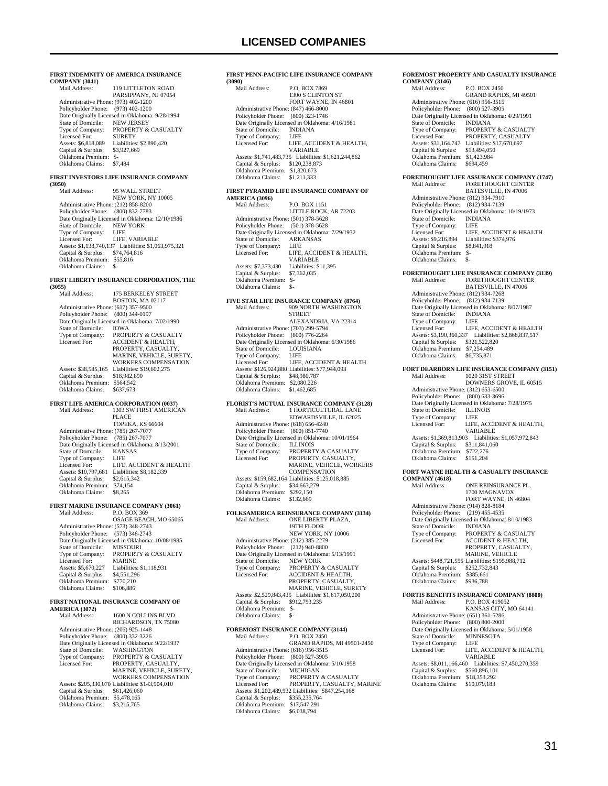#### **FIRST INDEMNITY OF AMERICA INSURANCE COMPANY (3041)** 119 LITTLETON ROAD PARSIPPANY, NJ 07054 Administrative Phone: (973) 402-1200 Policyholder Phone: (973) 402-1200 Patte Originally Licensed in Oklahoma: 9/28/1994<br>State of Domicile: NEW JERSEY State of Domicile:<br>Type of Company: PROPERTY & CASUALTY<br>SURETY Licensed For: SURETY Assets: \$6,818,089 Liabilities: \$2,890,420 Capital & Surplus: \$3,927,669 Oklahoma Premium: \$- Oklahoma Claims: **FIRST INVESTORS LIFE INSURANCE COMPANY (3050)** 95 WALL STREET NEW YORK, NY 10005 Administrative Phone: (212) 858-8200 Policyholder Phone: (800) 832-7783 Date Originally Licensed in Oklahoma: 12/10/1986 State of Domicile: NEW YORK<br>Type of Company: LIFE Type of Company: LIFE<br>Licensed For: LIFE, VARIABLE Licensed For: LIFE, VARIABLE<br>Assets: \$1,138,740,137 Liabilities: \$1,063,975,321<br>Capital & Surplus: \$74,764,816<br>Oklahoma Premium: \$55,816 Oklahoma Claims: \$-**FIRST LIBERTY INSURANCE CORPORATION, THE (3055)** 175 BERKELEY STREET BOSTON, MA 02117 Administrative Phone: (617) 357-9500 Policyholder Phone: (800) 344-0197 Date Originally Licensed in Oklahoma: 7/02/1990<br>State of Domicile: IOWA State of Domicile:<br>Type of Company: Type of Company: PROPERTY & CASUALTY<br>Licensed For: ACCIDENT & HEALTH. ACCIDENT & HEALTH, PROPERTY, CASUALTY MARINE, VEHICLE, SURETY WORKERS COMPENSATION Assets: \$38,585,165 Liabilities: \$19,602,275 Capital & Surplus: \$18,982,890 Oklahoma Premium: \$564,542 Oklahoma Claims: \$637,673 **FIRST LIFE AMERICA CORPORATION (0037)**<br>Mail Address: 1303 SW FIRST AMERIC. 1303 SW FIRST AMERICAN PLACE TOPEKA, KS 66604 Administrative Phone: (785) 267-7077 Policyholder Phone: (785) 267-7077 Date Originally Licensed in Oklahoma: 8/13/2001<br>State of Domicile: KANSAS State of Domicile: KANS<br>Type of Company: I IEE Type of Company: Licensed For: LIFE, ACCIDENT & HEALTH Assets: \$10,797,681 Liabilities: \$8,182,339 Capital & Surplus: \$2,615,342 Oklahoma Premium: \$74,154 Oklahoma Claims: \$8,265 **FIRST MARINE INSURANCE COMPANY (3061)**<br>Mail Address: P.O. BOX 369 Mail Address: P.O. BOX 369 OSAGE BEACH, MO 65065 Administrative Phone: (573) 348-2743 Policyholder Phone: (573) 348-2743 Patter Originally Licensed in Oklahoma: 10/08/1985<br>State of Domicile: MISSOURI State of Domicile:<br>Type of Company: PROPERTY & CASUALTY<br>MARINE Licensed For:<br>Assets: \$5,670,227 Liabilities: \$1,118,931<br>\$4,551,296 Capital  $&$  Surplus: Oklahoma Premium: \$770,210<br>Oklahoma Claims: \$106,886 Oklahoma Claims: **FIRST NATIONAL INSURANCE COMPANY OF AMERICA (3072)** 1600 N COLLINS BLVD RICHARDSON, TX 75080 Administrative Phone: (206) 925-1448 Policyholder Phone: (800) 332-3226 Date Originally Licensed in Oklahoma: 9/22/1937<br>State of Domicile: WASHINGTON State of Domicile:<br>Type of Company:<br>Licensed For: Type of Company: PROPERTY & CASUALTY Licensed For: PROPERTY, CASUALTY, MARINE, VEHICLE, SURETY, WORKERS COMPENSATION Assets: \$205,330,070 Liabilities: \$143,904,010

 Capital & Surplus: \$61,426,060 Oklahoma Premium: \$5,478,165 Oklahoma Claims: \$3,215,765

#### **FIRST PENN-PACIFIC LIFE INSURANCE COMPANY (3090)** P.O. BOX 7869 1300 S CLINTON ST

|                                      | FORT WAYNE, IN 46801                                 |
|--------------------------------------|------------------------------------------------------|
| Administrative Phone: (847) 466-8000 |                                                      |
| Policyholder Phone: (800) 323-1746   |                                                      |
|                                      | Date Originally Licensed in Oklahoma: 4/16/1981      |
| State of Domicile:                   | <b>INDIANA</b>                                       |
| Type of Company:                     | LIFE                                                 |
| Licensed For:                        | LIFE, ACCIDENT & HEALTH.                             |
|                                      | <b>VARIABLE</b>                                      |
|                                      | Assets: \$1,741,483,735 Liabilities: \$1,621,244,862 |
| Capital & Surplus:                   | \$120,238,873                                        |
| Oklahoma Premium:                    | \$1,820,673                                          |
| Oklahoma Claims:                     | \$1,211,333                                          |
|                                      |                                                      |

#### **FIRST PYRAMID LIFE INSURANCE COMPANY OF AMERICA (3096)**

| AMERICA (3070)                       |                                                 |
|--------------------------------------|-------------------------------------------------|
| Mail Address:                        | <b>P.O. BOX 1151</b>                            |
|                                      | LITTLE ROCK. AR 72203                           |
| Administrative Phone: (501) 378-5628 |                                                 |
| Policyholder Phone: (501) 378-5628   |                                                 |
|                                      | Date Originally Licensed in Oklahoma: 7/29/1932 |
| State of Domicile: ARKANSAS          |                                                 |
| Type of Company:                     | LIFE.                                           |
| Licensed For:                        | LIFE, ACCIDENT & HEALTH.                        |
|                                      | VARIABLE                                        |
| Assets: \$7,373,430                  | Liabilities: \$11.395                           |
| Capital & Surplus:                   | \$7,362,035                                     |
| Oklahoma Premium:                    | \$-                                             |
| Oklahoma Claims:                     | \$-                                             |

#### **FIVE STAR LIFE INSURANCE COMPANY (8764)** Mail Address: 909 NORTH WASHINGTON **STREET**

|                                      | ALEXANDRIA, VA 22314                            |
|--------------------------------------|-------------------------------------------------|
| Administrative Phone: (703) 299-5794 |                                                 |
| Policyholder Phone: (800) 776-2264   |                                                 |
|                                      | Date Originally Licensed in Oklahoma: 6/30/1986 |
| State of Domicile: LOUISIANA         |                                                 |
| Type of Company:                     | LIFE.                                           |
| Licensed For:                        | LIFE, ACCIDENT & HEALTH                         |
|                                      | Assets: \$126,924,880 Liabilities: \$77,944,093 |
| Capital & Surplus:                   | \$48,980,787                                    |
| Oklahoma Premium:                    | \$2,080,226                                     |
| Oklahoma Claims:                     | \$1,462,685                                     |

### **FLORIST'S MUTUAL INSURANCE COMPANY (3128)**

| Mail Address:                        | 1 HORTICULTURAL LANE                             |
|--------------------------------------|--------------------------------------------------|
|                                      | EDWARDSVILLE, IL 62025                           |
| Administrative Phone: (618) 656-4240 |                                                  |
| Policyholder Phone: (800) 851-7740   |                                                  |
|                                      | Date Originally Licensed in Oklahoma: 10/01/1964 |
| State of Domicile:                   | <b>ILLINOIS</b>                                  |
| Type of Company:                     | PROPERTY & CASUALTY                              |
| Licensed For:                        | PROPERTY, CASUALTY,                              |
|                                      | <b>MARINE, VEHICLE, WORKERS</b>                  |
|                                      | <b>COMPENSATION</b>                              |
|                                      | Assets: \$159,682,164 Liabilities: \$125,018,885 |
| Capital & Surplus:                   | \$34,663,279                                     |
| Oklahoma Premium:                    | \$292.150                                        |
| Oklahoma Claims:                     | \$132,669                                        |
|                                      |                                                  |

### **FOLKSAMERICA REINSURANCE COMPANY (3134)**

| Mail Address:                        | ONE LIBERTY PLAZA.                                   |
|--------------------------------------|------------------------------------------------------|
|                                      | 19TH FLOOR                                           |
|                                      | NEW YORK, NY 10006                                   |
| Administrative Phone: (212) 385-2279 |                                                      |
| Policyholder Phone: (212) 940-8800   |                                                      |
|                                      | Date Originally Licensed in Oklahoma: 5/13/1991      |
| State of Domicile:                   | <b>NEW YORK</b>                                      |
| Type of Company:                     | <b>PROPERTY &amp; CASUALTY</b>                       |
| Licensed For:                        | <b>ACCIDENT &amp; HEALTH,</b>                        |
|                                      | PROPERTY, CASUALTY,                                  |
|                                      | <b>MARINE, VEHICLE, SURETY</b>                       |
|                                      | Assets: \$2,529,843,435 Liabilities: \$1,617,050,200 |
| Capital & Surplus:                   | \$912,793,235                                        |
| Oklahoma Premium:                    | $S-$                                                 |
| Oklahoma Claims:                     | \$-                                                  |
|                                      |                                                      |

### **FOREMOST INSURANCE COMPANY (3144)**

| Mail Address:                        | <b>PO BOX 2450</b>                                 |
|--------------------------------------|----------------------------------------------------|
|                                      | <b>GRAND RAPIDS, MI 49501-2450</b>                 |
| Administrative Phone: (616) 956-3515 |                                                    |
| Policyholder Phone: (800) 527-3905   |                                                    |
|                                      | Date Originally Licensed in Oklahoma: 5/10/1958    |
| State of Domicile:                   | <b>MICHIGAN</b>                                    |
| Type of Company:                     | <b>PROPERTY &amp; CASUALTY</b>                     |
| Licensed For:                        | PROPERTY, CASUALTY, MARINE                         |
|                                      | Assets: \$1,202,489,932 Liabilities: \$847,254,168 |
| Capital & Surplus:                   | \$355,235,764                                      |
| Oklahoma Premium:                    | \$17,547,291                                       |
| Oklahoma Claims:                     | \$6,038,794                                        |
|                                      |                                                    |

#### **FOREMOST PROPERTY AND CASUALTY INSURANCE COMPANY (3146)**

| Mail Address:                        | P.O. BOX 2450                                   |
|--------------------------------------|-------------------------------------------------|
|                                      | <b>GRAND RAPIDS, MI 49501</b>                   |
| Administrative Phone: (616) 956-3515 |                                                 |
| Policyholder Phone:                  | $(800)$ 527-3905                                |
|                                      | Date Originally Licensed in Oklahoma: 4/29/1991 |
| State of Domicile:                   | <b>INDIANA</b>                                  |
| Type of Company:                     | PROPERTY & CASUALTY                             |
| Licensed For:                        | PROPERTY, CASUALTY                              |
| Assets: \$31,164,747                 | Liabilities: \$17,670,697                       |
| Capital & Surplus:                   | \$13,494,050                                    |
| Oklahoma Premium:                    | \$1,423,984                                     |
| Oklahoma Claims:                     | \$694.459                                       |

#### **FORETHOUGHT LIFE ASSURANCE COMPANY (1747)** Mail Address: FORETHOUGHT CENTER

 BATESVILLE, IN 47006 Administrative Phone: (812) 934-7910 Policyholder Phone: (812) 934-7139 Date Originally Licensed in Oklahoma: 10/19/1973<br>State of Domicile: INDIANA State of Domicile: INDI.<br>Type of Company: LIFE Type of Company:<br>Licensed For: Licensed For: LIFE, ACCIDENT & HEALTH<br>Assets: \$9,216,894 Liabilities: \$374,976 ERENT CONSTRUCTED<br>Liabilities: \$374,976<br>\$8.841.918 Capital & Surplus: Oklahoma Premium: \$- Oklahoma Claims: \$-

### **FORETHOUGHT LIFE INSURANCE COMPANY (3139)**

FORETHOUGHT CENTER BATESVILLE, IN 47006 Administrative Phone: (812) 934-7268 Policyholder Phone: (812) 934-7139 Date Originally Licensed in Oklahoma: 8/07/1987<br>State of Domicile: INDIANA State of Domicile: INDI<br>Type of Company: IFF Type of Company:<br>Licensed For: LIFE, ACCIDENT & HEALTH Assets: \$3,190,360,337 Liabilities: \$2,868,837,517 Capital & Surplus: \$321,522,820 Oklahoma Premium: \$7,254,489 Oklahoma Claims: \$6,735,871

### **FORT DEARBORN LIFE INSURANCE COMPANY (3151)**

| Mail Address:                        | <b>1020 31ST STREET</b>                         |
|--------------------------------------|-------------------------------------------------|
|                                      | DOWNERS GROVE, IL 60515                         |
| Administrative Phone: (312) 653-6500 |                                                 |
| Policyholder Phone: (800) 633-3696   |                                                 |
|                                      | Date Originally Licensed in Oklahoma: 7/28/1975 |
| State of Domicile:                   | <b>ILLINOIS</b>                                 |
| Type of Company:                     | LIFE                                            |
| Licensed For:                        | LIFE. ACCIDENT & HEALTH.                        |
|                                      | VARIABLE                                        |
| Assets: \$1,369,813,903              | Liabilities: \$1,057,972,843                    |
| Capital & Surplus:                   | \$311,841,060                                   |
| Oklahoma Premium:                    | \$722,276                                       |
| Oklahoma Claims:                     | \$151.204                                       |

#### **FORT WAYNE HEALTH & CASUALTY INSURANCE**   $CO$

| CUMIFAIVI (4010)                     |                                                  |
|--------------------------------------|--------------------------------------------------|
| Mail Address:                        | ONE REINSURANCE PL.                              |
|                                      | 1700 MAGNAVOX                                    |
|                                      | FORT WAYNE, IN 46804                             |
| Administrative Phone: (914) 828-8184 |                                                  |
| Policyholder Phone:                  | $(219)$ 455-4535                                 |
|                                      | Date Originally Licensed in Oklahoma: 8/10/1983  |
| State of Domicile:                   | <b>INDIANA</b>                                   |
| Type of Company:                     | <b>PROPERTY &amp; CASUALTY</b>                   |
| Licensed For:                        | <b>ACCIDENT &amp; HEALTH,</b>                    |
|                                      | PROPERTY, CASUALTY,                              |
|                                      | <b>MARINE, VEHICLE</b>                           |
|                                      | Assets: \$448,721,555 Liabilities: \$195,988,712 |
| Capital & Surplus:                   | \$252,732,843                                    |
| Oklahoma Premium:                    | \$385,661                                        |
| Oklahoma Claims:                     | \$936,788                                        |
|                                      |                                                  |

#### **FORTIS BENEFITS INSURANCE COMPANY (8800)**<br>Mail Address: P.O. BOX 419052 P.O. BOX 419052 KANSAS CITY, MO 64141 Administrative Phone: (651) 361-5286 Policyholder Phone: (800) 800-2000 Date Originally Licensed in Oklahoma: 5/01/1958<br>State of Domicile: MINNESOTA State of Domicile: MINN<br>Type of Company: LIFE Type of Company:<br>Licensed For: LIFE, ACCIDENT & HEALTH, VARIABLE Assets: \$8,011,166,460 Liabilities: \$7,450,270,359 Capital & Surplus: \$560,896,101 Oklahoma Premium: \$18,353,292 Oklahoma Claims: \$10,079,183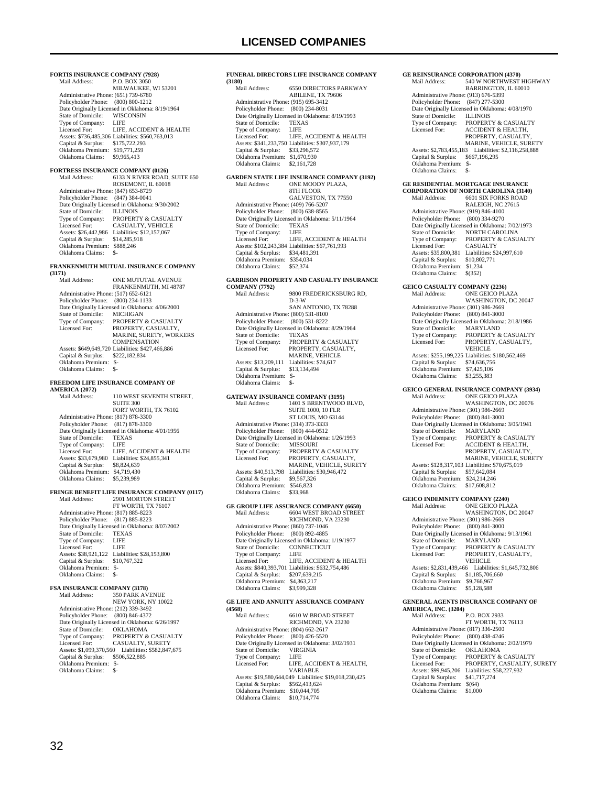**FORTIS INSURANCE COMPANY (7928)**<br>Mail Address: P.O. BOX 3050 P.O. BOX 3050 MILWAUKEE, WI 53201 Administrative Phone: (651) 739-6780 Policyholder Phone: (800) 800-1212 Date Originally Licensed in Oklahoma: 8/19/1964<br>State of Domicile: WISCONSIN State of Domicile: WISC<br>Type of Company: LIFE Type of Company: LIFE<br>Licensed For: LIFE ACCIDENT & HEALTH Licensed For: LIFE, ACCIDENT & HEALTH Assets: \$736,485,306 Liabilities: \$560,763,013 Capital & Surplus: \$175,722,293 Oklahoma Premium: \$19,771,259 Oklahoma Claims: \$9,965,413 **FORTRESS INSURANCE COMPANY (0126)**<br>Mail Address: 6133 N RIVER ROAD. 6133 N RIVER ROAD, SUITE 650 ROSEMONT, IL 60018 Administrative Phone: (847) 653-8729 Policyholder Phone: (847) 384-0041 Date Originally Licensed in Oklahoma: 9/30/2002 State of Domicile: ILLINOIS<br>Type of Company: PROPERTY Type of Company: PROPERTY & CASUALTY<br>Licensed For: CASUALTY, VEHICLE CASUALTY, VEHICLE Assets: \$26,442,986 Liabilities: \$12,157,067 Capital & Surplus: \$14,285,918 Oklahoma Premium: \$888,246 Oklahoma Claims: \$-**FRANKENMUTH MUTUAL INSURANCE COMPANY (3171)** Mail Address: ONE MUTUTAL AVENUE FRANKENMUTH, MI 48787 Administrative Phone: (517) 652-6121 Policyholder Phone: (800) 234-1133 Date Originally Licensed in Oklahoma: 4/06/2000 State of Domicile:<br>Type of Company: MICHIGAN<br>PROPERTY & CASUALTY Licensed For: PROPERTY, CASUALTY, MARINE, SURETY, WORKERS **COMPENSATION**  Assets: \$649,649,720 Liabilities: \$427,466,886 Capital & Surplus: \$222,182,834 Oklahoma Premium: \$- Oklahoma Claims: **FREEDOM LIFE INSURANCE COMPANY OF AMERICA (2072)** 110 WEST SEVENTH STREET. SUITE 300 FORT WORTH, TX 76102 Administrative Phone: (817) 878-3300 Policyholder Phone: (817) 878-3300 Date Originally Licensed in Oklahoma: 4/01/1956<br>State of Domicile: TEXAS State of Domicile: TEXA<br>Type of Company: LIFE Type of Company:<br>Licensed For: LIFE, ACCIDENT & HEALTH Assets: \$33,679,980 Liabilities: \$24,855,341 Capital & Surplus: \$8,824,639 Oklahoma Premium: \$4,719,430 Oklahoma Claims: \$5,239,989 **FRINGE BENEFIT LIFE INSURANCE COMPANY (0117)** Mail Address: 2901 MORTON STREET 2901 MORTON STREET FT WORTH, TX 76107 Administrative Phone: (817) 885-8223 Policyholder Phone: (817) 885-8223 Date Originally Licensed in Oklahoma: 8/07/2002 State of Domicile: TEXAS<br>Type of Company: LIFE Type of Company: Licensed For: LIFE Assets: \$38,921,122 Liabilities: \$28,153,800 Capital & Surplus: \$10,767,322 Oklahoma Premium: \$- Oklahoma Claims: **FSA INSURANCE COMPANY (3178)**<br>Mail Address: 350 PARK AV 350 PARK AVENUE NEW YORK, NY 10022 Administrative Phone: (212) 339-3492 Policyholder Phone: (800) 846-4372 Date Originally Licensed in Oklahoma: 6/26/1997<br>State of Domicile: OKLAHOMA State of Domicile:<br>Type of Company: Type of Company: PROPERTY & CASUALTY<br>Licensed For: CASUALTY. SURETY Licensed For: CASUALTY, SURETY<br>
Assets: \$1,099,370,560 Liabilities: \$582,847,675<br>
Capital & Surplus: \$506,522,885<br>
Oklahoma Premium: \$-Oklahoma Claims: \$-

#### **FUNERAL DIRECTORS LIFE INSURANCE COMPANY (3180)** 6550 DIRECTORS PARKWAY ABILENE, TX 79606 Administrative Phone: (915) 695-3412 Policyholder Phone: (800) 234-8031 Date Originally Licensed in Oklahoma: 8/19/1993 State of Domicile: TEXAS<br>Type of Company: LIFE Type of Company: LIFE<br>Licensed For: LIFE, ACCIDENT & HEALTH Licensed For: LIFE, ACCIDENT & HEALTH Assets: \$341,233,750 Liabilities: \$307,937,179 Capital & Surplus: \$33,296,572 Oklahoma Premium: \$1,670,930 Oklahoma Claims: \$2,161,728 **GARDEN STATE LIFE INSURANCE COMPANY (3192)**<br>Mail Address: **ONE MOODY PLAZA**. ONE MOODY PLAZA, 8TH FLOOR GALVESTON, TX 77550 Administrative Phone: (409) 766-5207 Policyholder Phone: (800) 638-8565 Date Originally Licensed in Oklahoma: 5/11/1964 State of Domicile: TEXAS<br>Type of Company: LIFE Type of Company:<br>Licensed For: LIFE, ACCIDENT & HEALTH Assets: \$102,243,384 Liabilities: \$67,761,993 Capital & Surplus: \$34,481,391 Capital & Surplus: \$34,481,3<br>Oklahoma Premium: \$354,034 Oklahoma Claims: \$52,374 **GARRISON PROPERTY AND CASUALTY INSURANCE COMPANY (7792)** 9800 FREDERICKSBURG RD, D-3-W SAN ANTONIO, TX 78288 Administrative Phone: (800) 531-8100 Policyholder Phone: (800) 531-8222 Date Originally Licensed in Oklahoma: 8/29/1964 State of Domicile:<br>Type of Company: Fraction Company: TEXAS<br>
Type of Company: PROPERTY & CASUALTY<br>
Licensed For: PROPERTY. CASUALTY. PROPERTY, CASUALTY, MARINE, VEHICLE<br>Liabilities: \$74,617 Assets: \$13,209,111 Liabilities: \$7<br>Capital & Surplus: \$13,134,494 Capital & Surplus: Oklahoma Premium: \$- Oklahoma Claims: \$- **GATEWAY INSURANCE COMPANY (3195)**<br>Mail Address: 1401 S BRENTWOOD 1401 S BRENTWOOD BLVD, SUITE 1000, 10 FLR ST LOUIS, MO 63144 Administrative Phone: (314) 373-3333 Policyholder Phone: (800) 444-0512 Date Originally Licensed in Oklahoma: 1/26/1993<br>State of Domicile: MISSOURI State of Domicile:<br>Type of Company: Type of Company: PROPERTY & CASUALTY<br>Licensed For: PROPERTY CASUALTY PROPERTY, CASUALTY, MARINE, VEHICLE, SURETY Assets: \$40,513,798 Liabilities: \$30,946,472<br>Capital & Surplus: \$9,567,326 Capital & Surplus: \$9,567,326 Oklahoma Premium: \$546,823 Oklahoma Claims: \$33,968 **GE GROUP LIFE ASSURANCE COMPANY (6650)** Mail Address: 6604 WEST BROAD STREET RICHMOND, VA 23230 Administrative Phone: (860) 737-1046 Policyholder Phone: (800) 892-4885 Patte Originally Licensed in Oklahoma: 1/19/1977<br>State of Domicile: CONNECTICUT State of Domicile: CONN<br>Type of Company: LIFE Type of Company:<br>Licensed For: LIFE, ACCIDENT & HEALTH Assets: \$840,393,701 Liabilities: \$632,754,486 Capital & Surplus: \$207,639,215 Oklahoma Premium: \$4,363,217<br>Oklahoma Claims: \$3,999,328 Oklahoma Claims: \$3,999,328 **GE LIFE AND ANNUITY ASSURANCE COMPANY (4568)** 6610 W BROAD STREET RICHMOND, VA 23230 Administrative Phone: (804) 662-2617 Policyholder Phone: (800) 426-5520 Date Originally Licensed in Oklahoma: 3/02/1931 State of Domicile: VIRG<br>Type of Company: LIFE Type of Company:<br>Licensed For: LIFE, ACCIDENT & HEALTH, VARIABLE Assets: \$19,580,644,049 Liabilities: \$19,018,230,425 Capital & Surplus: \$562,413,624 Oklahoma Premium: \$10,044,705<br>Oklahoma Claims: \$10,714,774 Oklahoma Claims:

#### **GE REINSURANCE CORPORATION (4370)**<br>Mail Address: 540 W NORTHWEST MAIL SUCCESSION (4576)<br>540 W NORTHWEST HIGHWAY BARRINGTON, IL 60010 Administrative Phone: (913) 676-5399 Policyholder Phone: (847) 277-5300 Date Originally Licensed in Oklahoma: 4/08/1970 State of Domicile:<br>Type of Company: Type of Company: PROPERTY & CASUALTY<br>Licensed For: ACCIDENT & HEALTH ACCIDENT & HEALTH PROPERTY, CASUALTY, MARINE, VEHICLE, SURETY<br>Assets: \$2,783,455,183 Liabilities: \$2,116,258,888 Capital & Surplus: \$667,196,295 Oklahoma Premium: \$- Oklahoma Claims: **GE RESIDENTIAL MORTGAGE INSURANCE CORPORATION OF NORTH CAROLINA (3140)** 6601 SIX FORKS ROAD RALEIGH, NC 27615 Administrative Phone: (919) 846-4100 Policyholder Phone: (800) 334-9270 Date Originally Licensed in Oklahoma: 7/02/1973<br>State of Domicile: NORTH CAROLINA State of Domicile:<br>Type of Company: PROPERTY & CASUALTY Licensed For: CASUALTY Assets: \$35,800,381 Liabilities: \$24,997,610 Capital & Surplus: \$10,802,771 Oklahoma Premium: \$1,234<br>Oklahoma Claims: \$(352) Oklahoma Claims: **GEICO CASUALTY COMPANY (2236)** Mail Address: ONE GEICO PLAZA WASHINGTON, DC 20047 Administrative Phone: (301) 986-2669 Policyholder Phone: (800) 841-3000 Date Originally Licensed in Oklahoma: 2/18/1986 State of Domicile:<br>Type of Company: Type of Company: PROPERTY & CASUALTY<br>Licensed For: PROPERTY, CASUALTY. PROPERTY, CASUALTY, **VEHICLE**  Assets: \$255,199,225 Liabilities: \$180,562,469 Capital & Surplus: \$74,636,756 Oklahoma Premium: \$7,425,106 Oklahoma Claims: \$3,255,383 **GEICO GENERAL INSURANCE COMPANY (3934)**<br>Mail Address: **ONE GEICO PLAZA** ONE GEICO PLAZA WASHINGTON, DC 20076 Administrative Phone: (301) 986-2669 Policyholder Phone: (800) 841-3000 Date Originally Licensed in Oklahoma: 3/05/1941<br>State of Domicile: MARYLAND State of Domicile:<br>Type of Company: Type of Company: PROPERTY & CASUALTY<br>Licensed For: ACCIDENT & HEALTH. Licensed For: ACCIDENT & HEALTH, PROPERTY, CASUALTY, MARINE, VEHICLE, SURETY Assets: \$128,317,103 Liabilities: \$70,675,019 Capital & Surplus: \$57,642,084 Oklahoma Premium: \$24,214,246 Oklahoma Claims: \$17,608,812 **GEICO INDEMNITY COMPANY (2240)**<br>Mail Address: ONE GEICO PLA ONE GEICO PLAZA WASHINGTON, DC 20047 Administrative Phone: (301) 986-2669 Policyholder Phone: (800) 841-3000 Date Originally Licensed in Oklahoma: 9/13/1961<br>State of Domicile: MARYLAND State of Domicile:<br>Type of Company: Type of Company: PROPERTY & CASUALTY Licensed For: PROPERTY, CASUALTY, VEHICLE Assets: \$2,831,439,466 Liabilities: \$1,645,732,806 Capital & Surplus: \$1,185,706,660 Oklahoma Premium: \$9,766,967 Oklahoma Claims: \$5,128,588 **GENERAL AGENTS INSURANCE COMPANY OF AMERICA, INC. (3204)** P.O. BOX 2933 FT WORTH, TX 76113 Administrative Phone: (817) 336-2500 Policyholder Phone: (800) 438-4246 Date Originally Licensed in Oklahoma: 2/02/1979<br>State of Domicile: OKLAHOMA State of Domicile:<br>Type of Company: Type of Company: PROPERTY & CASUALTY<br>Licensed For: PROPERTY, CASUALTY, S Licensed For: PROPERTY, CASUALTY, SURETY Assets: \$99,945,206 Liabilities: \$58,227,932<br>Capital & Surplus: \$41.717.274 Capital & Surplus: \$41,717,274 Oklahoma Premium: \$(64)

Oklahoma Claims: \$1,000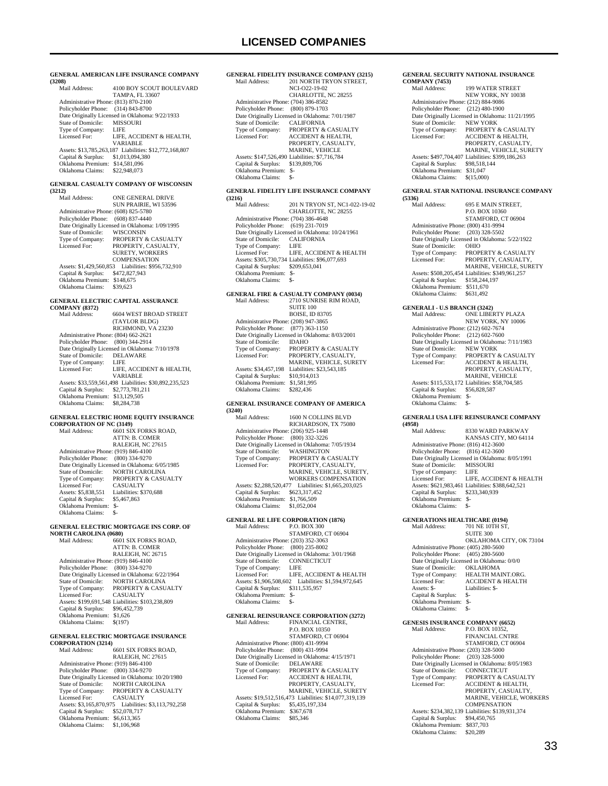| (3208)                                                                     | <b>GENERAL AMERICAN LIFE INSURANCE COMPANY</b>                                               |
|----------------------------------------------------------------------------|----------------------------------------------------------------------------------------------|
| Mail Address:                                                              | 4100 BOY SCOUT BOULEVARD<br>TAMPA, FL 33607                                                  |
| Administrative Phone: (813) 870-2100<br>Policyholder Phone: (314) 843-8700 |                                                                                              |
|                                                                            | Date Originally Licensed in Oklahoma: 9/22/1933                                              |
| State of Domicile: MISSOURI<br>Type of Company:                            | LIFE                                                                                         |
| Licensed For:                                                              | LIFE, ACCIDENT & HEALTH,<br>VARIABLE                                                         |
|                                                                            | Assets: \$13,785,263,187 Liabilities: \$12,772,168,807                                       |
| Capital & Surplus: \$1,013,094,380<br>Oklahoma Premium: \$14,581,096       |                                                                                              |
| Oklahoma Claims: \$22,948,073                                              |                                                                                              |
|                                                                            | <b>GENERAL CASUALTY COMPANY OF WISCONSIN</b>                                                 |
| (3212)<br>Mail Address:                                                    | ONE GENERAL DRIVE                                                                            |
|                                                                            | SUN PRAIRIE, WI 53596                                                                        |
| Administrative Phone: (608) 825-5780<br>Policyholder Phone: (608) 837-4440 |                                                                                              |
| State of Domicile:                                                         | Date Originally Licensed in Oklahoma: 1/09/1995<br>WISCONSIN                                 |
| Type of Company:                                                           | PROPERTY & CASUALTY                                                                          |
| Licensed For:                                                              | PROPERTY, CASUALTY,<br>SURETY, WORKERS                                                       |
|                                                                            | <b>COMPENSATION</b>                                                                          |
| Assets: \$1,429,560,853<br>Capital & Surplus: \$472,827,943                | Liabilities: \$956,732,910                                                                   |
| Oklahoma Premium: \$148,675<br>Oklahoma Claims:                            | \$39,623                                                                                     |
|                                                                            | <b>GENERAL ELECTRIC CAPITAL ASSURANCE</b>                                                    |
| <b>COMPANY (8372)</b><br>Mail Address:                                     | <b>6604 WEST BROAD STREET</b>                                                                |
|                                                                            | (TAYLOR BLDG)                                                                                |
| Administrative Phone: (804) 662-2621                                       | RICHMOND, VA 23230                                                                           |
| Policyholder Phone: (800) 344-2914                                         | Date Originally Licensed in Oklahoma: 7/10/1978                                              |
| <b>State of Domicile:</b>                                                  | DELAWARE                                                                                     |
| Type of Company:<br>Licensed For:                                          | LIFE<br>LIFE, ACCIDENT & HEALTH,                                                             |
|                                                                            | VARIABLE                                                                                     |
| Capital & Surplus: \$2,773,781,211                                         | Assets: \$33,559,561,498 Liabilities: \$30,892,235,523                                       |
| Oklahoma Premium: \$13,129,505<br>Oklahoma Claims: \$8,284,738             |                                                                                              |
|                                                                            | GENERAL ELECTRIC HOME EQUITY INSURANCE                                                       |
| <b>CORPORATION OF NC (3149)</b><br>Mail Address:                           | 6601 SIX FORKS ROAD,                                                                         |
|                                                                            | <b>ATTN: B. COMER</b>                                                                        |
| Administrative Phone: (919) 846-4100                                       | RALEIGH, NC 27615                                                                            |
| Policyholder Phone: (800) 334-9270                                         |                                                                                              |
|                                                                            | Date Originally Licensed in Oklahoma: 6/05/1985                                              |
|                                                                            | State of Domicile: NORTH CAROLINA<br>Type of Company: PROPERTY & CASUALTY<br><b>CASUALTY</b> |
| Licensed For:<br>Assets: \$5,838,551                                       | Liabilities: \$370,688                                                                       |
| Capital & Surplus:<br>Oklahoma Premium: \$-                                | \$5,467,863                                                                                  |
| Oklahoma Claims:                                                           | $S-$                                                                                         |
|                                                                            | GENERAL ELECTRIC MORTGAGE INS CORP. OF                                                       |
| <b>NORTH CAROLINA (0680)</b><br>Mail Address:                              | 6601 SIX FORKS ROAD,                                                                         |
|                                                                            | <b>ATTN: B. COMER</b><br>RALEIGH, NC 26715                                                   |
| Administrative Phone: (919) 846-4100                                       |                                                                                              |
| Policyholder Phone: (800) 334-9270                                         | Date Originally Licensed in Oklahoma: 6/22/1964                                              |
| <b>State of Domicile:</b>                                                  | NORTH CAROLINA                                                                               |
| Type of Company:<br>Licensed For:                                          | PROPERTY & CASUALTY<br>CASUALTY                                                              |
| Capital & Surplus: \$96,452,739                                            | Assets: \$199,691,548 Liabilities: \$103,238,809                                             |
| Oklahoma Premium: \$1,626                                                  |                                                                                              |
| Oklahoma Claims:                                                           | \$(197)                                                                                      |
|                                                                            |                                                                                              |
|                                                                            | <b>GENERAL ELECTRIC MORTGAGE INSURANCE</b>                                                   |
| <b>CORPORATION (3214)</b><br>Mail Address:                                 | 6601 SIX FORKS ROAD,<br>RALEIGH, NC 27615                                                    |
| Administrative Phone: (919) 846-4100                                       |                                                                                              |
| Policyholder Phone: (800) 334-9270                                         | Date Originally Licensed in Oklahoma: 10/20/1980                                             |
| State of Domicile:                                                         | NORTH CAROLINA                                                                               |
| Type of Company:<br>Licensed For:                                          | PROPERTY & CASUALTY<br>CASUALTY                                                              |
| Capital & Surplus: \$52,078,717                                            | Assets: \$3,165,870,975 Liabilities: \$3,113,792,258                                         |

|                                      | <b>GENERAL FIDELITY INSURANCE COMPANY (3215)</b> |
|--------------------------------------|--------------------------------------------------|
| Mail Address:                        | 201 NORTH TRYON STREET.                          |
|                                      | NCI-022-19-02                                    |
|                                      | CHARLOTTE, NC 28255                              |
| Administrative Phone: (704) 386-8582 |                                                  |
| Policyholder Phone: (800) 879-1703   |                                                  |
|                                      | Date Originally Licensed in Oklahoma: 7/01/1987  |
| State of Domicile:                   | <b>CALIFORNIA</b>                                |
| Type of Company:                     | PROPERTY & CASUALTY                              |
| Licensed For:                        | <b>ACCIDENT &amp; HEALTH.</b>                    |
|                                      | PROPERTY, CASUALTY,                              |
|                                      | <b>MARINE, VEHICLE</b>                           |
|                                      | Assets: \$147,526,490 Liabilities: \$7,716,784   |
| Capital & Surplus:                   | \$139,809,706                                    |
| Oklahoma Premium:                    | $S-$                                             |
| Oklahoma Claims:                     | \$-                                              |
|                                      |                                                  |

### **GENERAL FIDELITY LIFE INSURANCE COMPANY (3216)**

| 1 <i>34</i> 101                      |                                                  |
|--------------------------------------|--------------------------------------------------|
| Mail Address:                        | 201 N TRYON ST, NC1-022-19-02                    |
|                                      | CHARLOTTE, NC 28255                              |
| Administrative Phone: (704) 386-4648 |                                                  |
| Policyholder Phone: (619) 231-7019   |                                                  |
|                                      | Date Originally Licensed in Oklahoma: 10/24/1961 |
| State of Domicile:                   | <b>CALIFORNIA</b>                                |
| Type of Company:                     | LIFE.                                            |
| Licensed For:                        | LIFE, ACCIDENT & HEALTH                          |
|                                      | Assets: \$305,730,734 Liabilities: \$96,077,693  |
| Capital & Surplus:                   | \$209,653,041                                    |
| Oklahoma Premium:                    | \$-                                              |
| Oklahoma Claims:                     | \$-                                              |
|                                      |                                                  |

### **GENERAL FIRE & CASUALTY COMPANY (0034)** Mail Address: 2710 SUNRISE RIM ROAD, Mail Address: 2710 SUNRISE RIM ROAD, SUITE 100 BOISE, ID 83705

|                                      | ----------                                      |
|--------------------------------------|-------------------------------------------------|
| Administrative Phone: (208) 947-3865 |                                                 |
| Policyholder Phone: (877) 363-1150   |                                                 |
|                                      | Date Originally Licensed in Oklahoma: 8/03/2001 |
| State of Domicile:                   | <b>IDAHO</b>                                    |
| Type of Company:                     | <b>PROPERTY &amp; CASUALTY</b>                  |
| Licensed For:                        | PROPERTY, CASUALTY,                             |
|                                      | <b>MARINE, VEHICLE, SURETY</b>                  |
| Assets: \$34,457,198                 | Liabilities: \$23,543,185                       |
| Capital & Surplus:                   | \$10,914,013                                    |
| Oklahoma Premium:                    | \$1,581,995                                     |
| Oklahoma Claims:                     | \$282.436                                       |
|                                      |                                                 |

#### **GENERAL INSURANCE COMPANY OF AMERICA (3240)**

| Mail Address:                        | 1600 N COLLINS BLVD                                  |
|--------------------------------------|------------------------------------------------------|
|                                      | RICHARDSON, TX 75080                                 |
| Administrative Phone: (206) 925-1448 |                                                      |
| Policyholder Phone:                  | (800) 332-3226                                       |
|                                      | Date Originally Licensed in Oklahoma: 7/05/1934      |
| State of Domicile:                   | <b>WASHINGTON</b>                                    |
| Type of Company:                     | PROPERTY & CASUALTY                                  |
| Licensed For:                        | PROPERTY, CASUALTY,                                  |
|                                      | MARINE, VEHICLE, SURETY.                             |
|                                      | <b>WORKERS COMPENSATION</b>                          |
| Assets: \$2,288,520,477              | Liabilities: \$1,665,203,025                         |
| Capital & Surplus:                   | \$623,317,452                                        |
| Oklahoma Premium:                    | \$1,766,509                                          |
| Oklahoma Claims:                     | \$1,052,004                                          |
|                                      |                                                      |
|                                      | $G \cap D \cap C \cap T$ if $T \cap T$ if $T \cap T$ |

#### **GENERAL RE LIFE CORPORATION (1876)**

|                                      | GENERAL RE EIFE CORFORATION (1070)              |
|--------------------------------------|-------------------------------------------------|
| Mail Address:                        | <b>P.O. BOX 300</b>                             |
|                                      | STAMFORD, CT 06904                              |
| Administrative Phone: (203) 352-3063 |                                                 |
| Policyholder Phone: (800) 235-8002   |                                                 |
|                                      | Date Originally Licensed in Oklahoma: 3/01/1968 |
| State of Domicile: CONNECTICUT       |                                                 |
| Type of Company:                     | – LIFE                                          |
| Licensed For:                        | LIFE, ACCIDENT & HEALTH                         |
| Assets: \$1,906,508,602              | Liabilities: \$1,594,972,645                    |
| Capital & Surplus:                   | \$311,535,957                                   |
| Oklahoma Premium: \$-                |                                                 |
| Oklahoma Claims:                     | $S-$                                            |
|                                      | <b>GENERAL REINSURANCE CORPORATION (3272)</b>   |
| Mail Address:                        | FINANCIAL CENTRE,                               |

# **GENERAL REINSURANCE CORPORATION (3272)**<br>
Mail Address: FINANCIAL CENTRE,<br>
P.O. BOX 10350<br>
STAMFORD, CT 06904

|                                      | STAMFORD, CT 06904                                     |
|--------------------------------------|--------------------------------------------------------|
| Administrative Phone: (800) 431-9994 |                                                        |
| Policyholder Phone:                  | $(800)$ 431-9994                                       |
|                                      | Date Originally Licensed in Oklahoma: 4/15/1971        |
| State of Domicile:                   | <b>DELAWARE</b>                                        |
| Type of Company:                     | <b>PROPERTY &amp; CASUALTY</b>                         |
| Licensed For:                        | <b>ACCIDENT &amp; HEALTH,</b>                          |
|                                      | PROPERTY, CASUALTY,                                    |
|                                      | MARINE, VEHICLE, SURETY                                |
|                                      | Assets: \$19.512.516.473 Liabilities: \$14.077.319.139 |
| Capital & Surplus:                   | \$5,435,197,334                                        |
| Oklahoma Premium:                    | \$367,678                                              |
| Oklahoma Claims:                     | \$85,346                                               |
|                                      |                                                        |

#### **GENERAL SECURITY NATIONAL INSURANCE COMPANY (7453)**

| Mail Address:                        | <b>199 WATER STREET</b>                          |
|--------------------------------------|--------------------------------------------------|
|                                      | NEW YORK, NY 10038                               |
| Administrative Phone: (212) 884-9086 |                                                  |
| Policyholder Phone:                  | $(212)$ 480-1900                                 |
|                                      | Date Originally Licensed in Oklahoma: 11/21/1995 |
| State of Domicile:                   | <b>NEW YORK</b>                                  |
| Type of Company:                     | PROPERTY & CASUALTY                              |
| Licensed For:                        | <b>ACCIDENT &amp; HEALTH.</b>                    |
|                                      | PROPERTY, CASUALTY,                              |
|                                      | MARINE, VEHICLE, SURETY                          |
|                                      | Assets: \$497,704,407 Liabilities: \$399,186,263 |
| Capital & Surplus:                   | \$98.518.144                                     |
| Oklahoma Premium:                    | \$31,047                                         |
| Oklahoma Claims:                     | \$(15,000)                                       |
|                                      |                                                  |

#### **GENERAL STAR NATIONAL INSURANCE COMPANY (5336)**

| \JJJVI                               |                                                  |
|--------------------------------------|--------------------------------------------------|
| Mail Address:                        | 695 E MAIN STREET.                               |
|                                      | P.O. BOX 10360                                   |
|                                      | STAMFORD, CT 06904                               |
| Administrative Phone: (800) 431-9994 |                                                  |
| Policyholder Phone:                  | $(203)$ 328-5502                                 |
|                                      | Date Originally Licensed in Oklahoma: 5/22/1922  |
| State of Domicile:                   | <b>OHIO</b>                                      |
| Type of Company:                     | <b>PROPERTY &amp; CASUALTY</b>                   |
| Licensed For:                        | PROPERTY, CASUALTY,                              |
|                                      | MARINE, VEHICLE, SURETY                          |
|                                      | Assets: \$508,205,454 Liabilities: \$349,961,257 |
| Capital & Surplus:                   | \$158,244,197                                    |
| Oklahoma Premium:                    | \$511,670                                        |
| Oklahoma Claims:                     | \$631.492                                        |
|                                      |                                                  |

### **GENERALI - U.S BRANCH (3242)** Mail Address: ONE LIBERTY PLAZA

| Mali Address:                        | UNE LIBERTY PLAZA                               |
|--------------------------------------|-------------------------------------------------|
|                                      | NEW YORK, NY 10006                              |
| Administrative Phone: (212) 602-7674 |                                                 |
| Policyholder Phone: (212) 602-7600   |                                                 |
|                                      | Date Originally Licensed in Oklahoma: 7/11/1983 |
| State of Domicile:                   | <b>NEW YORK</b>                                 |
| Type of Company:                     | <b>PROPERTY &amp; CASUALTY</b>                  |
| Licensed For:                        | <b>ACCIDENT &amp; HEALTH.</b>                   |
|                                      | PROPERTY, CASUALTY,                             |
|                                      | <b>MARINE, VEHICLE</b>                          |
|                                      | Assets: \$115,533,172 Liabilities: \$58,704,585 |
| Capital & Surplus:                   | \$56,828,587                                    |
| Oklahoma Premium:                    | \$-                                             |
| Oklahoma Claims:                     | \$-                                             |

#### **GENERALI USA LIFE REINSURANCE COMPANY (4958)**

| 142301                               |                                                  |
|--------------------------------------|--------------------------------------------------|
| Mail Address:                        | 8330 WARD PARKWAY                                |
|                                      | KANSAS CITY, MO 64114                            |
| Administrative Phone: (816) 412-3600 |                                                  |
| Policyholder Phone: (816) 412-3600   |                                                  |
|                                      | Date Originally Licensed in Oklahoma: 8/05/1991  |
| State of Domicile: MISSOURI          |                                                  |
| Type of Company:                     | - LIFE                                           |
| Licensed For:                        | LIFE. ACCIDENT & HEALTH                          |
|                                      | Assets: \$621,983,461 Liabilities: \$388,642,521 |
| Capital & Surplus:                   | \$233,340,939                                    |
| Oklahoma Premium:                    | $S-$                                             |
| Oklahoma Claims:                     | \$-                                              |
|                                      |                                                  |

## **GENERATIONS HEALTHCARE (0194)**<br>Mail Address: 701 NE 10TH ST,

701 NE 10TH ST, SUITE 300 OKLAHOMA CITY, OK 73104 Administrative Phone: (405) 280-5600 Policyholder Phone: (405) 280-5600 Date Originally Licensed in Oklahoma: 0/0/0 State of Domicile: OKLAHOMA State of Domicile: <br>
OKLAHOMA<br>
Type of Company: <br>
HEALTH MAINT.ORG.<br>
Licensed For: <br>
ACCIDENT & HEALTH ACCIDENT & HEALTH<br>Liabilities: \$- Assets: \$- Liabilities: \$- Capital & Surplus: \$- Oklahoma Premium: \$- Oklahoma Claims: \$-

### **GENESIS INSURANCE COMPANY (6652)**

| Mail Address:                        | P.O. BOX 10352.                                  |
|--------------------------------------|--------------------------------------------------|
|                                      | <b>FINANCIAL CNTRE</b>                           |
|                                      | STAMFORD, CT 06904                               |
| Administrative Phone: (203) 328-5000 |                                                  |
| Policyholder Phone: (203) 328-5000   |                                                  |
|                                      | Date Originally Licensed in Oklahoma: 8/05/1983  |
| State of Domicile:                   | <b>CONNECTICUT</b>                               |
| Type of Company:                     | <b>PROPERTY &amp; CASUALTY</b>                   |
| Licensed For:                        | <b>ACCIDENT &amp; HEALTH,</b>                    |
|                                      | PROPERTY, CASUALTY.                              |
|                                      | <b>MARINE, VEHICLE, WORKERS</b>                  |
|                                      | <b>COMPENSATION</b>                              |
|                                      | Assets: \$234,382,139 Liabilities: \$139,931,374 |
| Capital & Surplus:                   | \$94,450,765                                     |
| Oklahoma Premium:                    | \$837,703                                        |
| Oklahoma Claims:                     | \$20,289                                         |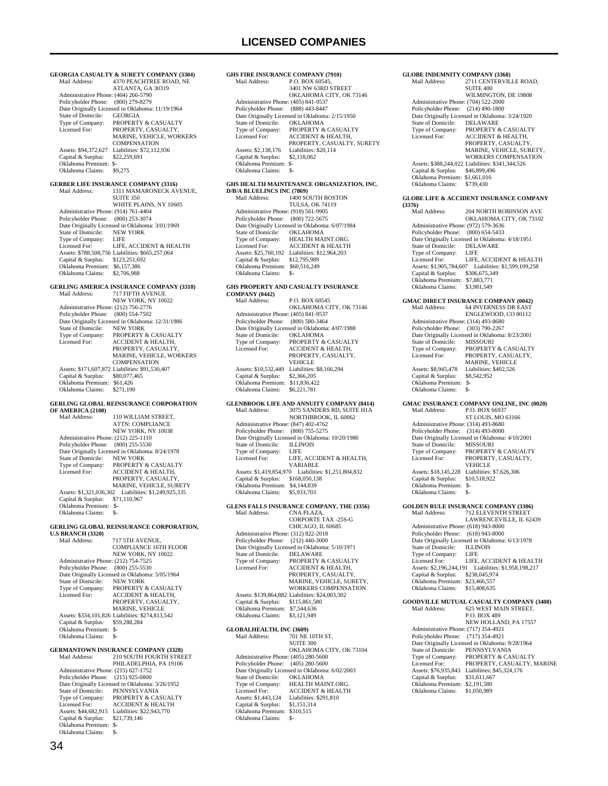**GEORGIA CASUALTY & SURETY COMPANY (3304)**<br>Mail Address: 4370 PEACHTREE ROAD. NE 4370 PEACHTREE ROAD, NE ATLANTA, GA 30319 Administrative Phone: (404) 266-5790 Policyholder Phone: (800) 279-8279 Date Originally Licensed in Oklahoma: 11/19/1964 State of Domicile:<br>Type of Company: Type of Company: PROPERTY & CASUALTY<br>Licensed For: PROPERTY CASUALTY PROPERTY, CASUALTY. MARINE, VEHICLE, WORKERS **COMPENSATION** Assets: \$94,372,627 Liabilities: \$72,112,936<br>Capital & Surplus: \$22,259,691 Capital & Surplus: Oklahoma Premium: \$-<br>Oklahoma Claims: \$9,275 Oklahoma Claims: **GERBER LIFE INSURANCE COMPANY (3316)**<br>Mail Address: 1311 MAMARONECK AV 1311 MAMARONECK AVENUE, **SUITE 350**  WHITE PLAINS, NY 10605 Administrative Phone: (914) 761-4404 Policyholder Phone: (800) 253-3074 Date Originally Licensed in Oklahoma: 3/01/1969<br>State of Domicile: NEW YORK State of Domicile: NEW<br>Type of Company: LIFE Type of Company:<br>Licensed For: LIFE, ACCIDENT  $\&$  HEALTH Assets: \$788,508,756 Liabilities: \$665,257,064 Capital & Surplus: \$123,251,692 Oklahoma Premium: \$6,157,386 Oklahoma Claims: \$2,706,988 **GERLING AMERICA INSURANCE COMPANY (3318)**<br>Mail Address: 717 FIFTH AVENUE NEW YORK, NY 10022 Administrative Phone: (212) 756-2776 Policyholder Phone: (800) 554-7502 Date Originally Licensed in Oklahoma: 12/31/1986<br>State of Domicile: NEW YORK State of Domicile:<br>Type of Company: Type of Company: PROPERTY & CASUALTY<br>Licensed For: ACCIDENT & HEALTH ACCIDENT & HEALTH. PROPERTY, CASUALTY MARINE, VEHICLE, WORKERS COMPENSATION Assets: \$171,607,872 Liabilities: \$91,530,407 Capital & Surplus: \$80,077,465 Oklahoma Premium: \$61,426 Oklahoma Claims: \$271,190 **GERLING GLOBAL REINSURANCE CORPORATION OF AMERICA (2108)** 110 WILLIAM STREET, ATTN: COMPLIANCE NEW YORK, NY 10038 Administrative Phone: (212) 225-1110 Policyholder Phone: (800) 255-5530 Date Originally Licensed in Oklahoma: 8/24/1978<br>State of Domicile: NEW YORK NEW YORK Type of Company: PROPERTY & CASUALTY<br>Licensed For: ACCIDENT & HEALTH, ACCIDENT & HEALTH, PROPERTY, CASUALTY MARINE, VEHICLE, SURETY Assets: \$1,321,036,302 Liabilities: \$1,249,925,335 Capital & Surplus: \$71,110,967 Oklahoma Premium: \$- Oklahoma Claims: \$-**GERLING GLOBAL REINSURANCE CORPORATION, U.S BRANCH (3320)** Mail Address: 717 5TH AVENUE, COMPLIANCE 16TH FLOOR NEW YORK, NY 10022 Administrative Phone: (212) 754-7525 Policyholder Phone: (800) 255-5530 Date Originally Licensed in Oklahoma: 5/05/1964 State of Domicile: NEW YORK<br>Type of Company: PROPERTY &<br>Licensed For: ACCIDENT & Type of Company: PROPERTY & CASUALTY Licensed For: ACCIDENT & HEALTH, PROPERTY, CASUALTY, MARINE, VEHICLE Assets: \$334,101,826 Liabilities: \$274,813,542 Capital & Surplus: \$59,288,284 Oklahoma Premium: \$- Oklahoma Claims: \$-**GERMANTOWN INSURANCE COMPANY (3328)** Mail Address: 210 SOUTH FOURTH STREET PHILADELPHIA, PA 19106 Administrative Phone: (215) 627-1752 Policyholder Phone: (215) 925-0800 Date Originally Licensed in Oklahoma: 3/26/1952 State of Domicile: PENNSYLVANIA<br>Type of Company: PROPERTY & CASUALTY Licensed For: ACCIDENT & HEALTH Assets: \$44,682,915 Liabilities: \$22,943,770<br>Capital & Surplus: \$21,739,146 Capital & Surplus: Oklahoma Premium: \$- Oklahoma Claims: \$-

**GHS FIRE INSURANCE COMPANY (7910)**<br>Mail Address: P.O. BOX 60545. P.O. BOX 60545, 3401 NW 63RD STREET OKLAHOMA CITY, OK 73146 Administrative Phone: (405) 841-9537 Policyholder Phone: (888) 443-8447 Politylished Thome: (600) 113 6117<br>Date Originally Licensed in Oklahoma: 2/15/1950<br>State of Domicile: OKLAHOMA State of Domicile:<br>Type of Company: Type of Company: PROPERTY & CASUALTY<br>Licensed For: ACCIDENT & HEALTH. Licensed For: ACCIDENT & HEALTH, PROPERTY, CASUALTY, SURETY Assets: \$2,138,176 Liabilities: \$20,114<br>Capital & Surplus: \$2,118,062 Capital & Surplus: Oklahoma Premium: \$- Oklahoma Claims: **GHS HEALTH MAINTENANCE ORGANIZATION, INC. D/B/A BLUELINCS INC (7869)**<br>Mail Address: 1400 SC  $\frac{1400}{1400}$  SOUTH BOSTON TULSA, OK 74119 Administrative Phone: (918) 561-9905 Policyholder Phone: (800) 722-5675 Date Originally Licensed in Oklahoma: 6/07/1984 State of Domicile:<br>Type of Company: OKLAHOMA<br>HEALTH MAINT.ORG. Licensed For: ACCIDENT & HEALTH Assets: \$25,760,192 Liabilities: \$12,964,203 Capital & Surplus: \$12,795,989 Oklahoma Premium: \$60,516,249 Oklahoma Claims: **GHS PROPERTY AND CASUALTY INSURANCE COMPANY (0442)** Mail Address: P.O. BOX 60545 OKLAHOMA CITY, OK 73146 Administrative Phone: (405) 841-9537 Policyholder Phone: (800) 580-3464 Date Originally Licensed in Oklahoma: 4/07/1988 State of Domicile:<br>Type of Company: State of Domicile: OKLAHOMA<br>Type of Company: PROPERTY & CASUALTY<br>Licensed For: ACCIDENT & HEALTH, ACCIDENT & HEALTH, PROPERTY, CASUALTY, **VEHICLE**  Assets: \$10,532,449 Liabilities: \$8,166,294 Capital & Surplus: \$2,366,205 Oklahoma Premium: \$11,836,422 Oklahoma Claims: \$6,221,781 **GLENBROOK LIFE AND ANNUITY COMPANY (8414)**<br>Mail Address: 3075 SANDERS RD. SUITE H1A 3075 SANDERS RD, SUITE H1A NORTHBROOK, IL 60062 Administrative Phone: (847) 402-4762 Policyholder Phone: (800) 755-5275 Date Originally Licensed in Oklahoma: 10/20/1980 State of Domicile: ILLINOIS<br>Type of Company: LIFE Type of Company:<br>Licensed For: LIFE, ACCIDENT & HEALTH, VARIABLE Assets: \$1,419,854,970 Liabilities: \$1,251,804,832 Capital & Surplus: \$168,050,138 Oklahoma Premium: \$4,144,839 Oklahoma Claims: \$5,933,703 **GLENS FALLS INSURANCE COMPANY, THE (3356)** Mail Address: CNA PLAZA, CORPORTE TAX -25S-G CHICAGO, IL 60685 Administrative Phone: (312) 822-2018 Policyholder Phone: (212) 440-3000 Date Originally Licensed in Oklahoma: 5/10/1971<br>State of Domicile: DELAWARE State of Domicile:<br>Type of Company: Type of Company: PROPERTY & CASUALTY<br>Licensed For: ACCIDENT & HEALTH, Licensed For: ACCIDENT & HEALTH, PROPERTY, CASUALTY, MARINE, VEHICLE, SURETY, WORKERS COMPENSATION Assets: \$139,864,882 Liabilities: \$24,003,302 Capital & Surplus: \$115,861,580 Oklahoma Premium: \$7,544,636 Oklahoma Claims: \$3,121,949 **GLOBALHEALTH, INC (3609)**<br>Mail Address: 701 NE 701 NE 10TH ST, SUITE 300 OKLAHOMA CITY, OK 73104 Administrative Phone: (405) 280-5600 Policyholder Phone: (405) 280-5600 Date Originally Licensed in Oklahoma: 6/02/2003<br>State of Domicile: OKLAHOMA State of Domicile:<br>Type of Company: Type of Company: HEALTH MAINT.ORG.<br>Licensed For: ACCIDENT & HEALTH Licensed For: ACCIDENT & HEALTH Assets: \$1,443,124 Liabilities: \$291,810 Capital & Surplus: \$1,151,314 Oklahoma Premium: \$310,515<br>Oklahoma Claims: \$-Oklahoma Claims:

#### **GLOBE INDEMNITY COMPANY (3368)**<br>Mail Address: 2711 CENTERVIL 2711 CENTERVILLE ROAD, **SUITE 400** WILMINGTON, DE 19808 Administrative Phone: (704) 522-2000 Policyholder Phone: (214) 490-1800 Date Originally Licensed in Oklahoma: 3/24/1920<br>State of Domicile: DELAWARE State of Domicile:<br>Type of Company: Type of Company: PROPERTY & CASUALTY<br>Licensed For: ACCIDENT & HEALTH. ACCIDENT & HEALTH, PROPERTY, CASUALTY MARINE, VEHICLE, SURETY, WORKERS COMPENSATION Assets: \$388,244,022 Liabilities: \$341,344,526<br>Capital & Surplus: \$46,899,496 Capital & Surplus: Oklahoma Premium: \$1,661,016<br>Oklahoma Claims: \$739,430 Oklahoma Claims: **GLOBE LIFE & ACCIDENT INSURANCE COMPANY (3376)** 204 NORTH ROBINSON AVE OKLAHOMA CITY, OK 73102 Administrative Phone: (972) 579-3636

 Policyholder Phone: (800) 654-5433 Date Originally Licensed in Oklahoma: 4/18/1951 State of Domicile: DELAWARE<br>Type of Company: LIFE Type of Company:<br>Licensed For: LIFE, ACCIDENT & HEALTH Assets: \$1,905,784,607 Liabilities: \$1,599,109,258 Capital & Surplus: \$306,675,349 Oklahoma Premium: \$7,883,771 Oklahoma Claims: \$3,981,549 **GMAC DIRECT INSURANCE COMPANY (0042)** Mail Address: 64 INVERNESS DR EAST ENGLEWOOD, CO 80112 Administrative Phone: (314) 493-8680 Policyholder Phone: (303) 790-2267 Date Originally Licensed in Oklahoma: 8/23/2001 State of Domicile: MISSOURI Type of Company: PROPERTY & CASUALTY<br>Licensed For: PROPERTY. CASUALTY PROPERTY, CASUALTY, MARINE, VEHICLE Assets: \$8,945,478 Liabilities: \$402,526<br>Capital & Surplus: \$8,542,952 Capital & Surplus: Oklahoma Premium: \$- Oklahoma Claims: \$-**GMAC INSURANCE COMPANY ONLINE, INC (0020)**<br>Mail Address: P.O. BOX 66937 P.O. BOX 66937 ST LOUIS, MO 63166 Administrative Phone: (314) 493-8680 Policyholder Phone: (314) 493-8000 Date Originally Licensed in Oklahoma: 4/10/2001<br>State of Domicile: MISSOURI State of Domicile:<br>Type of Company: Type of Company: PROPERTY & CASUALTY<br>Licensed For: PROPERTY, CASUALTY PROPERTY, CASUALTY, **VEHICLE** Assets: \$18,145,228 Liabilities: \$7,626,306<br>Capital & Surplus: \$10.518.922 Capital & Surplus: \$10,518,922 Oklahoma Premium: \$- Oklahoma Claims: \$-**GOLDEN RULE INSURANCE COMPANY (3386)**<br>Mail Address: 712 ELEVENTH STREET Mail Address: 712 ELEVENTH STREET LAWRENCEVILLE, IL 62439 Administrative Phone: (618) 943-8000 Policyholder Phone: (618) 943-8000 Patte Originally Licensed in Oklahoma: 6/13/1978<br>State of Domicile: ILLINOIS State of Domicile: ILLIN<br>Type of Company: LIFE Type of Company:<br>Licensed For: LIFE, ACCIDENT & HEALTH Assets: \$2,196,244,191 Liabilities: \$1,958,198,217 Capital & Surplus: \$238,045,974 Oklahoma Premium: \$23,466,557 Oklahoma Claims: \$15,408,635 **GOODVILLE MUTUAL CASUALTY COMPANY (3408)** 625 WEST MAIN STREET, P.O. BOX 489

 NEW HOLLAND, PA 17557 Administrative Phone: (717) 354-4921 Policyholder Phone: (717) 354-4921 Date Originally Licensed in Oklahoma: 9/28/1964<br>State of Domicile: PENNSYLVANIA State of Domicile: PENNSYLVANIA<br>Type of Company: PROPERTY & CAS Type of Company: PROPERTY & CASUALTY Licensed For: PROPERTY, CASUALTY, MARINE Assets: \$76,935,843 Liabilities: \$45,324,176<br>Capital & Surplus: \$31.611.667 Capital & Surplus: \$31,611,667 Oklahoma Premium: \$2,191,580 Oklahoma Claims: \$1,050,989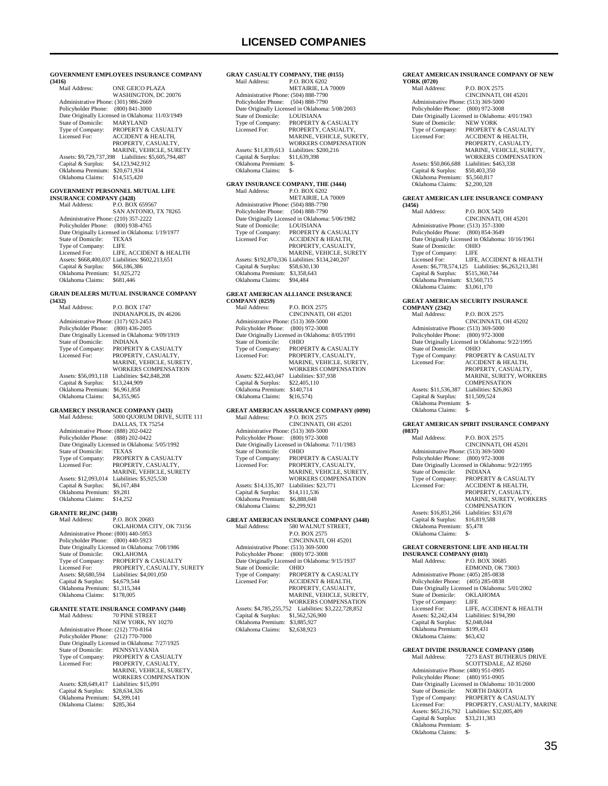**GOVERNMENT EMPLOYEES INSURANCE COMPANY (3416)** ONE GEICO PLAZA WASHINGTON, DC 20076 Administrative Phone: (301) 986-2669 Policyholder Phone: (800) 841-3000 Date Originally Licensed in Oklahoma: 11/03/1949 State of Domicile:<br>Type of Company: Type of Company: PROPERTY & CASUALTY<br>Licensed For: ACCIDENT & HEALTH. ACCIDENT & HEALTH, PROPERTY, CASUALTY MARINE, VEHICLE, SURETY Assets: \$9,729,737,398 Liabilities: \$5,605,794,487 Capital & Surplus: \$4,123,942,912 Oklahoma Premium: \$20,671,934 Oklahoma Claims: \$14,515,420 **GOVERNMENT PERSONNEL MUTUAL LIFE INSURANCE COMPANY (3428)**<br>
Mail Address: P.O. BOX 659567 SAN ANTONIO, TX 78265 Administrative Phone: (210) 357-2222 Policyholder Phone: (800) 938-4765 Date Originally Licensed in Oklahoma: 1/19/1977<br>State of Domicile: TEXAS State of Domicile: TEXA<br>Type of Company: LIFE Type of Company:<br>Licensed For: LIFE, ACCIDENT & HEALTH Assets: \$668,400,037 Liabilities: \$602,213,651 Capital & Surplus: \$66,186,386 Oklahoma Premium: \$1,925,272 Oklahoma Claims: \$681,446 **GRAIN DEALERS MUTUAL INSURANCE COMPANY (3432)** Mail Address: P.O. BOX 1747 INDIANAPOLIS, IN 46206 Administrative Phone: (317) 923-2453 Policyholder Phone: (800) 436-2005 Date Originally Licensed in Oklahoma: 9/09/1919 State of Domicile:<br>Type of Company: State of Domicile: INDIANA<br>Type of Company: PROPERTY & CASUALTY<br>Licensed For: PROPERTY CASUALTY PROPERTY, CASUALTY MARINE, VEHICLE, SURETY, WORKERS COMPENSATION Assets: \$56,093,118 Liabilities: \$42,848,208 Capital & Surplus: \$13,244,909 Oklahoma Premium: \$6,961,858 Oklahoma Claims: \$4,355,965 **GRAMERCY INSURANCE COMPANY (3433)**<br>Mail Address: 5000 QUORUM DRIVE, Mail Address: 5000 QUORUM DRIVE, SUITE 111 DALLAS, TX 75254 Administrative Phone: (888) 202-0422 Policyholder Phone: (888) 202-0422 Date Originally Licensed in Oklahoma: 5/05/1992<br>State of Domicile: TEXAS State of Domicile:<br>Type of Company: TEARS<br>PROPERTY & CASUALTY Licensed For: PROPERTY, CASUALTY, MARINE, VEHICLE, SURETY Assets: \$12,093,014 Liabilities: \$5,925,530<br>Capital & Surplus: \$6,167,484 Capital & Surplus: Oklahoma Premium: \$9,281 Oklahoma Claims: \$14,252 **GRANITE RE,INC (3438)** Mail Address: P.O. BOX 20683 OKLAHOMA CITY, OK 73156 Administrative Phone: (800) 440-5953 Policyholder Phone: (800) 440-5923 Date Originally Licensed in Oklahoma: 7/08/1986<br>State of Domicile: OKLAHOMA State of Domicile:<br>Type of Company: Type of Company: PROPERTY & CASUALTY<br>Licensed For: PROPERTY, CASUALTY, S<br>Assets: \$8,680,594 Liabilities: \$4,001,050 PROPERTY, CASUALTY, SURETY Liabilities: \$4,001,050<br>\$4,679,544 Capital & Surplus: Oklahoma Premium: \$1,315,344 Oklahoma Claims: \$178,005 **GRANITE STATE INSURANCE COMPANY (3440)**<br>Mail Address: 70 PINE STREET 70 PINE STREET NEW YORK, NY 10270 Administrative Phone: (212) 770-8164 Policyholder Phone: (212) 770-7000 Date Originally Licensed in Oklahoma: 7/27/1925<br>State of Domicile: PENNSYLVANIA State of Domicile: PENNSYLVANIA<br>Type of Company: PROPERTY & CAS<br>Licensed For: PROPERTY. CASU Type of Company: PROPERTY & CASUALTY Licensed For: PROPERTY, CASUALTY, MARINE, VEHICLE, SURETY, WORKERS COMPENSATION Assets: \$28,649,417 Liabilities: \$15,091<br>Capital & Surplus: \$28,634,326 Capital & Surplus: \$28,634,326 Oklahoma Premium: \$4,399,141

Oklahoma Claims: \$285,364

#### **GRAY CASUALTY COMPANY, THE (0155)**<br>Mail Address: P.O. BOX 6202 P.O. BOX 6202 METAIRIE, LA 70009 Administrative Phone: (504) 888-7790 Policyholder Phone: (504) 888-7790 Date Originally Licensed in Oklahoma: 5/08/2003<br>State of Domicile: LOUISIANA State of Domicile:<br>Type of Company: Type of Company: PROPERTY & CASUALTY<br>Licensed For: PROPERTY CASUALTY PROPERTY CASUALTY MARINE, VEHICLE, SURETY, WORKERS COMPENSATION Assets: \$11,839,613 Liabilities: \$200,216 Capital & Surplus: \$11,639,398 Oklahoma Premium: \$- Oklahoma Claims: **GRAY INSURANCE COMPANY, THE (3444)**<br>Mail Address: P.O. BOX 6202 P.O. BOX 6202 METAIRIE, LA 70009 Administrative Phone: (504) 888-7790 Policyholder Phone: (504) 888-7790 Date Originally Licensed in Oklahoma: 5/06/1982 State of Domicile: LOUISIANA<br>Type of Company: PROPERTY & Type of Company: PROPERTY & CASUALTY<br>Licensed For: ACCIDENT & HEALTH. ACCIDENT & HEALTH, PROPERTY, CASUALTY, MARINE, VEHICLE, SURETY Assets: \$192,870,336 Liabilities: \$134,240,207 Capital & Surplus: \$58,630,130 Oklahoma Premium: \$3,358,643 Oklahoma Claims: \$94,484 **GREAT AMERICAN ALLIANCE INSURANCE COMPANY (0259)** P.O. BOX 2575 CINCINNATI, OH 45201 Administrative Phone: (513) 369-5000 Policyholder Phone: (800) 972-3008 Date Originally Licensed in Oklahoma: 8/05/1991<br>State of Domicile: OHIO State of Domicile:<br>Type of Company: Type of Company: PROPERTY & CASUALTY<br>Licensed For: PROPERTY. CASUALTY PROPERTY CASUALTY MARINE, VEHICLE, SURETY, WORKERS COMPENSATION Assets: \$22,443,047 Liabilities: \$37,938<br>Capital & Surplus: \$22,405,110 Capital & Surplus: \$22,405,110 Oklahoma Premium: \$140,714 Oklahoma Claims: \$(16,574) **GREAT AMERICAN ASSURANCE COMPANY (0090)**<br>Mail Address: P.O. BOX 2575 P.O. BOX 2575 CINCINNATI, OH 45201 Administrative Phone: (513) 369-5000 Policyholder Phone: (800) 972-3008 Date Originally Licensed in Oklahoma: 7/11/1983<br>State of Domicile: OHIO State of Domicile:<br>Type of Company: **THUPS OF COMPANY** & CASUALTY Licensed For: PROPERTY, CASUALTY, MARINE, VEHICLE, SURETY, WORKERS COMPENSATION Assets: \$14,135,307 Liabilities: \$23,771 Capital & Surplus: \$14,111,536 Oklahoma Premium: \$6,888,048 Oklahoma Claims: **GREAT AMERICAN INSURANCE COMPANY (3448)** 580 WALNUT STREET, P.O. BOX 2575 CINCINNATI, OH 45201 Administrative Phone: (513) 369-5000 Policyholder Phone: (800) 972-3008 Date Originally Licensed in Oklahoma: 9/15/1937<br>State of Domicile: OHIO State of Domicile: Type of Company: PROPERTY & CASUALTY<br>Licensed For: ACCIDENT & HEALTH, ACCIDENT & HEALTH, PROPERTY, CASUALTY MARINE, VEHICLE, SURETY,

WORKERS COMPENSATION

 Assets: \$4,785,255,752 Liabilities: \$3,222,728,852 Capital & Surplus: \$1,562,526,900 Oklahoma Premium: \$3,885,927<br>Oklahoma Claims: \$2,638,923 Oklahoma Claims:

| <b>GREAT AMERICAN LIFE INSURANCE COMPANY</b>                |                                                          |  |  |
|-------------------------------------------------------------|----------------------------------------------------------|--|--|
| (3456)<br>Mail Address:                                     | P.O. BOX 5420                                            |  |  |
|                                                             | CINCINNATI, OH 45201                                     |  |  |
| Administrative Phone: (513) 357-3300                        |                                                          |  |  |
| Policyholder Phone:                                         | $(800)$ 854-3649                                         |  |  |
|                                                             | Date Originally Licensed in Oklahoma: 10/16/1961<br>OHIO |  |  |
| State of Domicile:<br>Type of Company:                      | LIFE                                                     |  |  |
| Licensed For:                                               | LIFE, ACCIDENT & HEALTH                                  |  |  |
|                                                             | Assets: \$6,778,574,125 Liabilities: \$6,263,213,381     |  |  |
| Capital & Surplus: \$515,360,744                            |                                                          |  |  |
| Oklahoma Premium: \$3,560,715<br>Oklahoma Claims:           | \$3,061,170                                              |  |  |
|                                                             |                                                          |  |  |
|                                                             | <b>GREAT AMERICAN SECURITY INSURANCE</b>                 |  |  |
| <b>COMPANY (2342)</b><br>Mail Address:                      |                                                          |  |  |
|                                                             | P.O. BOX 2575<br><b>CINCINNATI, OH 45202</b>             |  |  |
| Administrative Phone: (513) 369-5000                        |                                                          |  |  |
| Policyholder Phone:                                         | $(800)$ 972-3008                                         |  |  |
|                                                             | Date Originally Licensed in Oklahoma: 9/22/1995          |  |  |
| State of Domicile:<br>Type of Company:                      | OHIO<br>PROPERTY & CASUALTY                              |  |  |
| Licensed For:                                               | <b>ACCIDENT &amp; HEALTH,</b>                            |  |  |
|                                                             | PROPERTY, CASUALTY,                                      |  |  |
|                                                             | MARINE, SURETY, WORKERS                                  |  |  |
|                                                             | COMPENSATION                                             |  |  |
| Assets: \$11,536,387<br>Capital & Surplus:                  | Liabilities: \$26,863<br>\$11,509,524                    |  |  |
| Oklahoma Premium:                                           | $S-$                                                     |  |  |
| Oklahoma Claims:                                            | \$-                                                      |  |  |
|                                                             |                                                          |  |  |
| (0837)                                                      | <b>GREAT AMERICAN SPIRIT INSURANCE COMPANY</b>           |  |  |
| Mail Address:                                               | P.O. BOX 2575                                            |  |  |
|                                                             | CINCINNATI, OH 45201                                     |  |  |
| Administrative Phone: (513) 369-5000                        |                                                          |  |  |
| Policyholder Phone: (800) 972-3008                          | Date Originally Licensed in Oklahoma: 9/22/1995          |  |  |
| State of Domicile:                                          | <b>INDIANA</b>                                           |  |  |
| Type of Company:                                            | PROPERTY & CASUALTY                                      |  |  |
| Licensed For:                                               | ACCIDENT & HEALTH,                                       |  |  |
|                                                             | PROPERTY, CASUALTY,<br>MARINE, SURETY, WORKERS           |  |  |
|                                                             | <b>COMPENSATION</b>                                      |  |  |
| Assets: \$16,851,266                                        | Liabilities: \$31,678                                    |  |  |
| Capital & Surplus:                                          | \$16,819,588                                             |  |  |
| Oklahoma Premium:<br>Oklahoma Claims:                       | \$5,478<br>\$-                                           |  |  |
|                                                             |                                                          |  |  |
|                                                             | <b>GREAT CORNERSTONE LIFE AND HEALTH</b>                 |  |  |
| <b>INSURANCE COMPANY (0103)</b>                             |                                                          |  |  |
| Mail Address:                                               | P.O. BOX 30685                                           |  |  |
| Administrative Phone: (405) 285-0838                        | EDMOND, OK 73003                                         |  |  |
| Policyholder Phone:                                         | $(405)$ 285-0838                                         |  |  |
|                                                             | Date Originally Licensed in Oklahoma: 5/01/2002          |  |  |
| State of Domicile:                                          | OKLAHOMA                                                 |  |  |
| Type of Company:<br>Licensed For:                           | LIFE<br>LIFE, ACCIDENT & HEALTH                          |  |  |
| Assets: \$2,242,434                                         | Liabilities: \$194,390                                   |  |  |
| Capital & Surplus:                                          | \$2,048,044                                              |  |  |
| Oklahoma Premium:                                           | \$199,431                                                |  |  |
| Oklahoma Claims:                                            | \$63,432                                                 |  |  |
|                                                             | <b>GREAT DIVIDE INSURANCE COMPANY (3500)</b>             |  |  |
| Mail Address:                                               | 7273 EAST BUTHERUS DRIVE                                 |  |  |
|                                                             | SCOTTSDALE, AZ 85260                                     |  |  |
| Administrative Phone: (480) 951-0905<br>Policyholder Phone: | $(480)$ 951-0905                                         |  |  |
|                                                             | Date Originally Licensed in Oklahoma: 10/31/2000         |  |  |
| State of Domicile:                                          | NORTH DAKOTA                                             |  |  |
| Type of Company:                                            | PROPERTY & CASUALTY                                      |  |  |
| Licensed For:<br>Assets: \$65,216,792                       | PROPERTY, CASUALTY, MARINE                               |  |  |
| Capital & Surplus:                                          | Liabilities: \$32,005,409<br>\$33,211,383                |  |  |

**GREAT AMERICAN INSURANCE COMPANY OF NEW** 

Type of Company: PROPERTY & CASUALTY<br>Licensed For: ACCIDENT & HEALTH.

Assets: \$50,866,688 Liabilities: \$463,338<br>Capital & Surplus: \$50,403,350

 Administrative Phone: (513) 369-5000 Policyholder Phone: (800) 972-3008 Date Originally Licensed in Oklahoma: 4/01/1943<br>State of Domicile: NEW YORK

P.O. BOX 2575 CINCINNATI, OH 45201

ACCIDENT & HEALTH, PROPERTY, CASUALTY MARINE, VEHICLE, SURETY, WORKERS COMPENSATION

**YORK (0720)**

State of Domicile:<br>Type of Company:

Capital & Surplus: Oklahoma Premium: \$5,560,817<br>Oklahoma Claims: \$2,200,328 Oklahoma Claims:

Capital & Surplus: Oklahoma Premium: \$- Oklahoma Claims: \$-

### 35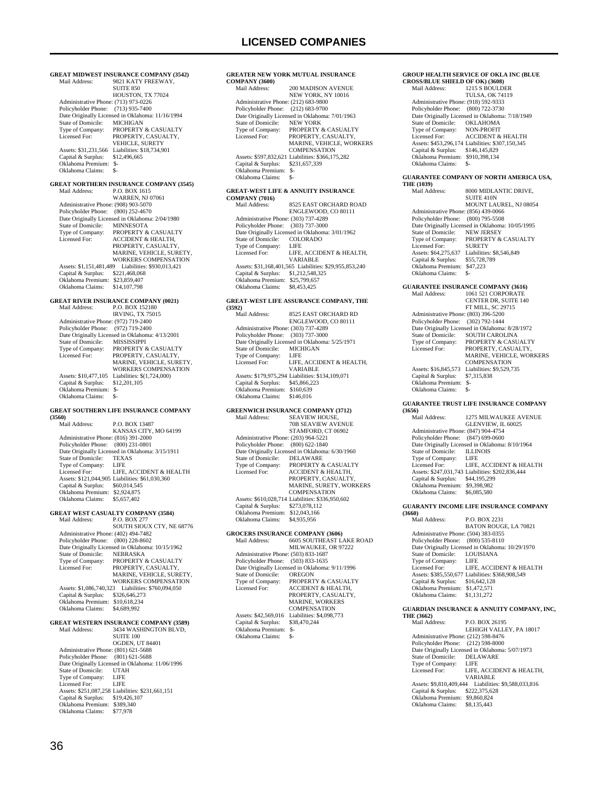| <b>GREAT MIDWEST INSURANCE COMPANY (3542)</b>               |                                                                       |  |
|-------------------------------------------------------------|-----------------------------------------------------------------------|--|
| Mail Address:                                               | 9821 KATY FREEWAY,<br><b>SUITE 850</b>                                |  |
| Administrative Phone: (713) 973-0226                        | HOUSTON, TX 77024                                                     |  |
| Policyholder Phone:                                         | $(713)$ 935-7400                                                      |  |
| State of Domicile:                                          | Date Originally Licensed in Oklahoma: 11/16/1994                      |  |
| Type of Company:                                            | MICHIGAN<br>PROPERTY & CASUALTY                                       |  |
| Licensed For:                                               | PROPERTY, CASUALTY,<br>VEHICLE, SURETY                                |  |
| Assets: \$31,231,566                                        | Liabilities: \$18,734,901                                             |  |
| Capital & Surplus:<br>Oklahoma Premium:                     | \$12,496,665<br>\$-                                                   |  |
| Oklahoma Claims:                                            | \$-                                                                   |  |
|                                                             | <b>GREAT NORTHERN INSURANCE COMPANY (3545)</b>                        |  |
| Mail Address:                                               | P.O. BOX 1615                                                         |  |
|                                                             | <b>WARREN, NJ 07061</b>                                               |  |
| Administrative Phone: (908) 903-5070<br>Policyholder Phone: | $(800)$ 252-4670                                                      |  |
|                                                             | Date Originally Licensed in Oklahoma: 2/04/1980                       |  |
| State of Domicile:                                          | <b>MINNESOTA</b>                                                      |  |
| Type of Company:<br>Licensed For:                           | PROPERTY & CASUALTY<br><b>ACCIDENT &amp; HEALTH,</b>                  |  |
|                                                             | PROPERTY, CASUALTY,                                                   |  |
|                                                             | MARINE, VEHICLE, SURETY,<br>WORKERS COMPENSATION                      |  |
| Assets: \$1,151,481,489                                     | Liabilities: \$930,013,421                                            |  |
| Capital & Surplus:                                          | \$221,468,068                                                         |  |
| Oklahoma Premium:<br>Oklahoma Claims:                       | \$23,859,407                                                          |  |
|                                                             | \$14,107,798                                                          |  |
|                                                             | <b>GREAT RIVER INSURANCE COMPANY (0021)</b>                           |  |
| Mail Address:                                               | P.O. BOX 152180<br><b>IRVING, TX 75015</b>                            |  |
| Administrative Phone: (972) 719-2400                        |                                                                       |  |
| Policyholder Phone:                                         | (972) 719-2400                                                        |  |
| State of Domicile:                                          | Date Originally Licensed in Oklahoma: 4/13/2001<br><b>MISSISSIPPI</b> |  |
| Type of Company:                                            | PROPERTY & CASUALTY                                                   |  |
| Licensed For:                                               | PROPERTY, CASUALTY,                                                   |  |
|                                                             | MARINE, VEHICLE, SURETY,<br>WORKERS COMPENSATION                      |  |
| Assets: \$10,477,105                                        | Liabilities: \$(1,724,000)                                            |  |
| Capital & Surplus:                                          | \$12,201,105                                                          |  |
|                                                             |                                                                       |  |
| Oklahoma Premium:                                           | \$-                                                                   |  |
| Oklahoma Claims:                                            | \$-                                                                   |  |
|                                                             | <b>GREAT SOUTHERN LIFE INSURANCE COMPANY</b>                          |  |
| (3560)<br>Mail Address:                                     | P.O. BOX 13487                                                        |  |
|                                                             | KANSAS CITY, MO 64199                                                 |  |
| Administrative Phone: (816) 391-2000<br>Policyholder Phone: | $(800)$ 231-0801                                                      |  |
|                                                             | Date Originally Licensed in Oklahoma: 3/15/1911                       |  |
| State of Domicile:                                          | <b>TEXAS</b>                                                          |  |
| Type of Company:<br>Licensed For:                           | LIFE<br>LIFE, ACCIDENT & HEALTH                                       |  |
|                                                             | Assets: \$121,044,905 Liabilities: \$61,030,360                       |  |
| Capital & Surplus:                                          | \$60,014,545                                                          |  |
| Oklahoma Premium:<br>Oklahoma Claims:                       | \$2,924,875<br>\$5,657,402                                            |  |
|                                                             |                                                                       |  |
| Mail Address:                                               | <b>GREAT WEST CASUALTY COMPANY (3584)</b><br>P.O. BOX 277             |  |
|                                                             | SOUTH SIOUX CTY, NE 68776                                             |  |
| Administrative Phone: (402) 494-7482                        |                                                                       |  |
| Policyholder Phone:                                         | $(800)$ 228-8602<br>Date Originally Licensed in Oklahoma: 10/15/1962  |  |
| State of Domicile:                                          | <b>NEBRASKA</b>                                                       |  |
| Type of Company:                                            | PROPERTY & CASUALTY                                                   |  |
| Licensed For:                                               | PROPERTY, CASUALTY,<br>MARINE, VEHICLE, SURETY,                       |  |
|                                                             | WORKERS COMPENSATION                                                  |  |
| Assets: \$1,086,740,323<br>Capital & Surplus:               | Liabilities: \$760,094,050<br>\$326,646,273                           |  |
| Oklahoma Premium: \$10,618,234                              |                                                                       |  |
| Oklahoma Claims:                                            | \$4,689,992                                                           |  |
|                                                             | <b>GREAT WESTERN INSURANCE COMPANY (3589)</b>                         |  |
| Mail Address:                                               | 3434 WASHINGTON BLVD,                                                 |  |
|                                                             | SUITE 100<br><b>OGDEN, UT 84401</b>                                   |  |
| Administrative Phone: (801) 621-5688                        |                                                                       |  |
| Policyholder Phone:                                         | $(801)$ 621-5688                                                      |  |
| State of Domicile:                                          | Date Originally Licensed in Oklahoma: 11/06/1996<br><b>UTAH</b>       |  |
| Type of Company:                                            | LIFE                                                                  |  |
| Licensed For:                                               | LIFE                                                                  |  |
| Capital & Surplus:                                          | Assets: \$251,087,258 Liabilities: \$231,661,151<br>\$19,426,107      |  |
| Oklahoma Premium: \$389,340<br>Oklahoma Claims:             | \$77,978                                                              |  |

| GREATER NEW YORK MUTUAL INSURANCE                |  |  |
|--------------------------------------------------|--|--|
|                                                  |  |  |
| 200 MADISON AVENUE                               |  |  |
| NEW YORK, NY 10016                               |  |  |
| Administrative Phone: (212) 683-9800             |  |  |
| Policyholder Phone: (212) 683-9700               |  |  |
| Date Originally Licensed in Oklahoma: 7/01/1963  |  |  |
| <b>NEW YORK</b>                                  |  |  |
| Type of Company: PROPERTY & CASUALTY             |  |  |
| PROPERTY, CASUALTY,                              |  |  |
| <b>MARINE, VEHICLE, WORKERS</b>                  |  |  |
| <b>COMPENSATION</b>                              |  |  |
| Assets: \$597,832,621 Liabilities: \$366,175,282 |  |  |
| \$231,657,339                                    |  |  |
| Oklahoma Premium:<br>$S-$                        |  |  |
| \$-                                              |  |  |
|                                                  |  |  |
| <b>GREAT-WEST LIFE &amp; ANNUITY INSURANCE</b>   |  |  |
|                                                  |  |  |
| 8525 EAST ORCHARD ROAD                           |  |  |
|                                                  |  |  |

|                                      | ENGLEWOOD, CO 80111                                    |
|--------------------------------------|--------------------------------------------------------|
| Administrative Phone: (303) 737-4289 |                                                        |
| Policyholder Phone: (303) 737-3000   |                                                        |
|                                      | Date Originally Licensed in Oklahoma: 3/01/1962        |
| State of Domicile:                   | COLORADO                                               |
| Type of Company:                     | LIFE                                                   |
| Licensed For:                        | LIFE, ACCIDENT & HEALTH.                               |
|                                      | VARIABLE                                               |
|                                      | Assets: \$31,168,401,565 Liabilities: \$29,955,853,240 |
| Capital & Surplus:                   | \$1,212,548,325                                        |
| Oklahoma Premium:                    | \$25,799,657                                           |
| Oklahoma Claims:                     | \$8 453 425                                            |

#### **GREAT-WEST LIFE ASSURANCE COMPANY, THE (3592)**

| (3592) |                                      |                                                  |
|--------|--------------------------------------|--------------------------------------------------|
|        | Mail Address:                        | 8525 EAST ORCHARD RD                             |
|        |                                      | ENGLEWOOD, CO 80111                              |
|        | Administrative Phone: (303) 737-4289 |                                                  |
|        | Policyholder Phone: (303) 737-3000   |                                                  |
|        |                                      | Date Originally Licensed in Oklahoma: 5/25/1971  |
|        | State of Domicile:                   | <b>MICHIGAN</b>                                  |
|        | Type of Company:                     | LIFE                                             |
|        | Licensed For:                        | LIFE. ACCIDENT & HEALTH.                         |
|        |                                      | <b>VARIABLE</b>                                  |
|        |                                      | Assets: \$179,975,294 Liabilities: \$134,109,071 |
|        | Capital & Surplus:                   | \$45,866,223                                     |
|        | Oklahoma Premium:                    | \$160,639                                        |
|        | Oklahoma Claims:                     | \$146,016                                        |
|        |                                      |                                                  |

### **GREENWICH INSURANCE COMPANY (3712)**

| Mail Address:                        | <b>SEAVIEW HOUSE.</b>                            |
|--------------------------------------|--------------------------------------------------|
|                                      | <b>70B SEAVIEW AVENUE</b>                        |
|                                      | STAMFORD, CT 06902                               |
| Administrative Phone: (203) 964-5221 |                                                  |
| Policyholder Phone:                  | $(800)$ 622-1840                                 |
|                                      | Date Originally Licensed in Oklahoma: 6/30/1960  |
| State of Domicile:                   | <b>DELAWARE</b>                                  |
| Type of Company:                     | PROPERTY & CASUALTY                              |
| Licensed For:                        | ACCIDENT & HEALTH.                               |
|                                      | PROPERTY, CASUALTY,                              |
|                                      | MARINE, SURETY, WORKERS                          |
|                                      | <b>COMPENSATION</b>                              |
|                                      | Assets: \$610,028,714 Liabilities: \$336,950,602 |
| Capital & Surplus:                   | \$273,078,112                                    |
| Oklahoma Premium:                    | \$12,043,166                                     |
| Oklahoma Claims:                     | \$4,935,956                                      |
|                                      |                                                  |

### GROCERS INSURANCE COMPANY (3606)<br>
Mail Address: 6605 SOUTHEAST LAKE ROAD<br>
MILWAUKEE, OR 97222 Administrative Phone: (503) 833-1687 Policyholder Phone: (503) 833-1635 Date Originally Licensed in Oklahoma: 9/11/1996<br>State of Domicile: OREGON State of Domicile:<br>Type of Company: Type of Company: PROPERTY & CASUALTY<br>Licensed For: ACCIDENT & HEALTH. Licensed For: ACCIDENT & HEALTH, PROPERTY, CASUALTY,

|                                 | <b>MARINE, WORKERS</b>                        |
|---------------------------------|-----------------------------------------------|
|                                 | <b>COMPENSATION</b>                           |
|                                 | Assets: \$42,569,016 Liabilities: \$4,098,773 |
| Capital & Surplus: \$38,470,244 |                                               |
| Oklahoma Premium:               | \$-                                           |
| Oklahoma Claims:                | \$-                                           |
|                                 |                                               |

#### **GROUP HEALTH SERVICE OF OKLA INC (BLUE CROSS/BLUE SHIELD OF OK) (3608)**

| <i><u><b>CALODINALIDED</b></u></i> U. U. U. UUUU |                                                  |
|--------------------------------------------------|--------------------------------------------------|
| Mail Address:                                    | 1215 S BOULDER                                   |
|                                                  | <b>TULSA, OK 74119</b>                           |
| Administrative Phone: (918) 592-9333             |                                                  |
| Policyholder Phone: (800) 722-3730               |                                                  |
|                                                  | Date Originally Licensed in Oklahoma: 7/18/1949  |
| State of Domicile:                               | <b>OKLAHOMA</b>                                  |
| Type of Company:                                 | <b>NON-PROFIT</b>                                |
| Licensed For:                                    | <b>ACCIDENT &amp; HEALTH</b>                     |
|                                                  | Assets: \$453,296,174 Liabilities: \$307,150,345 |
| Capital & Surplus:                               | \$146,145,829                                    |
| Oklahoma Premium:                                | \$910,398,134                                    |
| Oklahoma Claims:                                 |                                                  |
|                                                  |                                                  |

### **GUARANTEE COMPANY OF NORTH AMERICA USA, THE (1039)**

| ************                         |                                                  |
|--------------------------------------|--------------------------------------------------|
| Mail Address:                        | 8000 MIDLANTIC DRIVE.                            |
|                                      | SUITE 410N                                       |
|                                      | MOUNT LAUREL, NJ 08054                           |
| Administrative Phone: (856) 439-0066 |                                                  |
| Policyholder Phone: (800) 795-5508   |                                                  |
|                                      | Date Originally Licensed in Oklahoma: 10/05/1995 |
| State of Domicile:                   | <b>NEW JERSEY</b>                                |
| Type of Company:                     | <b>PROPERTY &amp; CASUALTY</b>                   |
| Licensed For:                        | <b>SURETY</b>                                    |
| Assets: \$64,275,637                 | Liabilities: \$8,546,849                         |
| Capital & Surplus:                   | \$55,728,789                                     |
| Oklahoma Premium:                    | \$47,223                                         |
| Oklahoma Claims:                     |                                                  |
|                                      |                                                  |

#### **GUARANTEE INSURANCE COMPANY (3616)**

| Mail Address:                        | 1061 521 CORPORATE                              |
|--------------------------------------|-------------------------------------------------|
|                                      | <b>CENTER DR. SUITE 140</b>                     |
|                                      | <b>FT MILL, SC 29715</b>                        |
| Administrative Phone: (803) 396-5200 |                                                 |
| Policyholder Phone: (302) 792-1444   |                                                 |
|                                      | Date Originally Licensed in Oklahoma: 8/28/1972 |
| State of Domicile:                   | SOUTH CAROLINA                                  |
| Type of Company:                     | <b>PROPERTY &amp; CASUALTY</b>                  |
| Licensed For:                        | PROPERTY. CASUALTY.                             |
|                                      | <b>MARINE, VEHICLE, WORKERS</b>                 |
|                                      | <b>COMPENSATION</b>                             |
| Assets: \$16,845,573                 | Liabilities: \$9.529.735                        |
| Capital & Surplus:                   | \$7,315,838                                     |
| Oklahoma Premium:                    | \$-                                             |
| Oklahoma Claims:                     | \$-                                             |

#### **GUARANTEE TRUST LIFE INSURANCE COMPANY (3656)**

| $\cdots\cdots$                       |                                                  |
|--------------------------------------|--------------------------------------------------|
| Mail Address:                        | 1275 MILWAUKEE AVENUE                            |
|                                      | GLENVIEW, IL 60025                               |
| Administrative Phone: (847) 904-4754 |                                                  |
| Policyholder Phone: (847) 699-0600   |                                                  |
|                                      | Date Originally Licensed in Oklahoma: 8/10/1964  |
| State of Domicile:                   | <b>ILLINOIS</b>                                  |
| Type of Company:                     | LIFE                                             |
| Licensed For:                        | LIFE, ACCIDENT & HEALTH                          |
|                                      | Assets: \$247,031,743 Liabilities: \$202,836,444 |
| Capital & Surplus:                   | \$44,195,299                                     |
| Oklahoma Premium:                    | \$9,398,982                                      |
| Oklahoma Claims:                     | \$6,085,580                                      |

#### **GUARANTY INCOME LIFE INSURANCE COMPANY**

**(3660)** Mail Address: P.O. BOX 2231 BATON ROUGE, LA 70821 Administrative Phone: (504) 383-0355 Policyholder Phone: (800) 535-8110 Date Originally Licensed in Oklahoma: 10/29/1970 State of Domicile: LOUISIANA Type of Company: LIFE Licensed For: LIFE, ACCIDENT & HEALTH Assets: \$385,550,677 Liabilities: \$368,908,549 Capital & Surplus: \$16,642,128 Oklahoma Premium: \$1,472,571 Oklahoma Claims: \$1,131,272

#### **GUARDIAN INSURANCE & ANNUITY COMPANY, INC, THE (3662)**

| Mail Address:           | P.O. BOX 26195                                  |
|-------------------------|-------------------------------------------------|
|                         | LEHIGH VALLEY, PA 18017                         |
|                         | Administrative Phone: (212) 598-8476            |
|                         | Policyholder Phone: (212) 598-8000              |
|                         | Date Originally Licensed in Oklahoma: 5/07/1973 |
| State of Domicile:      | <b>DELAWARE</b>                                 |
| Type of Company:        | LIFE                                            |
| Licensed For:           | LIFE, ACCIDENT & HEALTH.                        |
|                         | VARIABLE                                        |
| Assets: \$9,810,409,444 | Liabilities: \$9,588,033,816                    |
| Capital & Surplus:      | \$222,375,628                                   |
| Oklahoma Premium:       | \$9,860,824                                     |
| Oklahoma Claims:        | \$8,135,443                                     |
|                         |                                                 |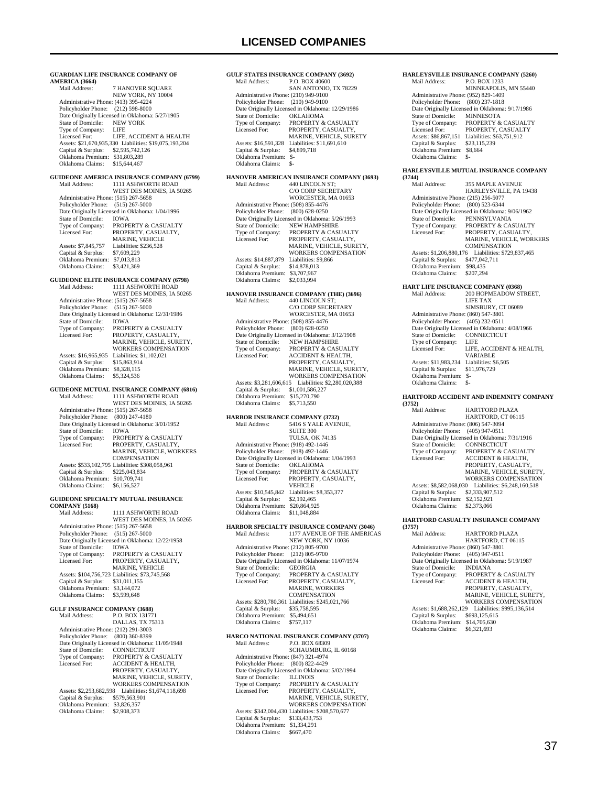**GULF STATES INSURANCE COMPANY (3692)**<br>Mail Address: P.O. BOX 40600 P.O. BOX 40600 SAN ANTONIO, TX 78229

 Administrative Phone: (210) 949-9100 Policyholder Phone: (210) 949-9100

**GUARDIAN LIFE INSURANCE COMPANY OF**  AMERICA (3664)<br>Mail Address: 7 HANOVER SQUARE NEW YORK, NY 10004 Administrative Phone: (413) 395-4224 Policyholder Phone: (212) 598-8000 Policylistic Phone: (212) 350 8888<br>Date Originally Licensed in Oklahoma: 5/27/1905<br>State of Domicile: NEW YORK State of Domicile: NEW<br>Type of Company: LIFE Type of Company: Licensed For: LIFE, ACCIDENT & HEALTH Assets: \$21,670,935,330 Liabilities: \$19,075,193,204 Capital & Surplus: \$2,595,742,126 Oklahoma Premium: \$31,803,289 Oklahoma Claims: \$15,644,467 **GUIDEONE AMERICA INSURANCE COMPANY (6799)**<br>Mail Address: [1111 ASHWORTH ROAD] 1111 ASHWORTH ROAD WEST DES MOINES, IA 50265 Administrative Phone: (515) 267-5658 Policyholder Phone: (515) 267-5000 Date Originally Licensed in Oklahoma: 1/04/1996<br>State of Domicile: IOWA State of Domicile:<br>Type of Company: Type of Company: PROPERTY & CASUALTY<br>Licensed For: PROPERTY CASUALTY Licensed For: PROPERTY, CASUALTY, MARINE, VEHICLE Assets: \$7,845,757 Liabilities: \$236,528<br>Capital & Surplus: \$7,609,229 Capital & Surplus: Oklahoma Premium: \$7,013,813 Oklahoma Claims: \$3,421,369 **GUIDEONE ELITE INSURANCE COMPANY (6798)**<br>Mail Address: [111] ASHWORTH ROAD 1111 ASHWORTH ROAD WEST DES MOINES, IA 50265 Administrative Phone: (515) 267-5658 Policyholder Phone: (515) 267-5000 Date Originally Licensed in Oklahoma: 12/31/1986<br>State of Domicile: IOWA State of Domicile:<br>Type of Company: Type of Company: PROPERTY & CASUALTY<br>Licensed For: PROPERTY, CASUALTY, Licensed For: PROPERTY, CASUALTY, MARINE, VEHICLE, SURETY, WORKERS COMPENSATION Assets: \$16,965,935 Liabilities: \$1,102,021<br>Capital & Surplus: \$15,863,914 Capital & Surplus: Oklahoma Premium: \$8,328,115 Oklahoma Claims: \$5,324,536 **GUIDEONE MUTUAL INSURANCE COMPANY (6816)** Mail Address: 1111 ASHWORTH ROAD WEST DES MOINES, IA 50265 Administrative Phone: (515) 267-5658 Policyholder Phone: (800) 247-4180 Date Originally Licensed in Oklahoma: 3/01/1952 State of Domicile: IOWA<br>Type of Company: PROPE Type of Company: PROPERTY & CASUALTY<br>Licensed For: PROPERTY CASUALTY Licensed For: PROPERTY, CASUALTY, MARINE, VEHICLE, WORKERS **COMPENSATION**  Assets: \$533,102,795 Liabilities: \$308,058,961 Capital & Surplus: \$225,043,834 Oklahoma Premium: \$10,709,741 Oklahoma Claims: \$6,156,527 **GUIDEONE SPECIALTY MUTUAL INSURANCE COMPANY (5168)**<br>Mail Address: 1111 ASHWORTH ROAD WEST DES MOINES, IA 50265 Administrative Phone: (515) 267-5658 Policyholder Phone: (515) 267-5000 Date Originally Licensed in Oklahoma: 12/22/1958 State of Domicile:<br>Type of Company: State of Domicile: IOWA<br>Type of Company: PROPERTY & CASUALTY<br>Licensed For: PROPERTY, CASUALTY, PROPERTY, CASUALTY, MARINE, VEHICLE Assets: \$104,756,723 Liabilities: \$73,745,568<br>Capital & Surplus: \$31,011,155 Capital & Surplus: \$31,011,155 Oklahoma Premium: \$3,144,072 Oklahoma Claims: \$3,599,648 **GULF INSURANCE COMPANY (3688)**<br>Mail Address: P.O. BOX 13177 P.O. BOX 131771 DALLAS, TX 75313 Administrative Phone: (212) 291-3003 Policyholder Phone: (800) 360-8399 Date Originally Licensed in Oklahoma: 11/05/1948<br>State of Domicile: CONNECTICUT State of Domicile: CONNECTICUT<br>Type of Company: PROPERTY & CASUALTY<br>Licensed For: ACCIDENT & HEALTH, PROPERTY, CASUALTY, MARINE, VEHICLE, SURETY, WORKERS COMPENSATION Assets: \$2,253,682,598 Liabilities: \$1,674,118,698 Capital & Surplus: \$579,563,901 Oklahoma Premium: \$3,826,357

Oklahoma Claims: \$2,908,373

## Date Originally Licensed in Oklahoma: 12/29/1986<br>State of Domicile: OKLAHOMA State of Domicile:<br>Type of Company: Type of Company: PROPERTY & CASUALTY<br>Licensed For: PROPERTY CASUALTY PROPERTY, CASUALTY MARINE, VEHICLE, SURETY Assets: \$16,591,328 Liabilities: \$11,691,610<br>Capital & Surplus: \$4,899.718 Capital & Surplus: Oklahoma Premium: \$- Oklahoma Claims: \$- **HANOVER AMERICAN INSURANCE COMPANY (3693)**<br>Mail Address: 440 LINCOLN ST: 440 LINCOLN ST; C/O CORP SECRETARY WORCESTER, MA 01653 Administrative Phone: (508) 855-4476 Policyholder Phone: (800) 628-0250 Date Originally Licensed in Oklahoma: 5/26/1993 State of Domicile: NEW HAMPSHIRE<br>Type of Company: PROPERTY & CASU Type of Company: PROPERTY & CASUALTY Licensed For: PROPERTY, CASUALTY, MARINE, VEHICLE, SURETY, WORKERS COMPENSATION Assets: \$14,887,879 Liabilities: \$9,866<br>Capital & Surplus: \$14,878,013 Capital & Surplus: \$14,878,013 Oklahoma Premium: \$3,707,967 Oklahoma Claims: \$2,033,994 **HANOVER INSURANCE COMPANY (THE) (3696)** Mail Address: 440 LINCOLN ST; C/O CORP SECRETARY WORCESTER, MA 01653 Administrative Phone: (508) 855-4476 Policyholder Phone: (800) 628-0250 Date Originally Licensed in Oklahoma: 3/12/1908 State of Domicile: NEW HAMPSHIRE Type of Company: PROPERTY & CASUALTY<br>
I icensed For: ACCIDENT & HEAT TH ACCIDENT & HEALTH PROPERTY, CASUALTY, MARINE, VEHICLE, SURETY, WORKERS COMPENSATION Assets: \$3,281,606,615 Liabilities: \$2,280,020,388 Capital & Surplus: \$1,001,586,227 Oklahoma Premium: \$15,270,790 Oklahoma Claims: \$5,713,550 **HARBOR INSURANCE COMPANY (3732)**<br>Mail Address: 5416 S YALE AVEN S416 S YALE AVENUE SUITE 300 TULSA, OK 74135 Administrative Phone: (918) 492-1446 Policyholder Phone: (918) 492-1446 Date Originally Licensed in Oklahoma: 1/04/1993<br>State of Domicile: OKLAHOMA State of Domicile:<br>Type of Company: Type of Company: PROPERTY & CASUALTY<br>Licensed For: PROPERTY CASUALTY PROPERTY, CASUALTY **VEHICLE**  Assets: \$10,545,842 Liabilities: \$8,353,377 Capital & Surplus: \$2,192,465 Oklahoma Premium: \$20,864,925 Oklahoma Claims: \$11,048,884 **HARBOR SPECIALTY INSURANCE COMPANY (3046)**<br>Mail Address: 1177 AVENUE OF THE AMERICA Mail Address: 1177 AVENUE OF THE AMERICAS NEW YORK, NY 10036 Administrative Phone: (212) 805-9700 Policyholder Phone: (212) 805-9700 Date Originally Licensed in Oklahoma: 11/07/1974 State of Domicile: State of Domicile: GEORGIA<br>Type of Company: PROPERTY & CASUALTY<br>Licensed For: PROPERTY, CASUALTY, Licensed For: PROPERTY, CASUALTY, MARINE, WORKERS COMPENSATION Assets: \$280,780,361 Liabilities: \$245,021,766 Capital & Surplus: \$35,758,595 Oklahoma Premium: \$5,494,651 Oklahoma Claims: \$757,117 **HARCO NATIONAL INSURANCE COMPANY (3707)** P.O. BOX 68309 SCHAUMBURG, IL 60168 Administrative Phone: (847) 321-4974 Policyholder Phone: (800) 822-4429 Date Originally Licensed in Oklahoma: 5/02/1994<br>State of Domicile: ILLINOIS State of Domicile:<br>Type of Company: Type of Company: PROPERTY & CASUALTY<br>Licensed For: PROPERTY, CASUALTY PROPERTY, CASUALTY, MARINE, VEHICLE, SURETY, WORKERS COMPENSATION Assets: \$342,004,430 Liabilities: \$208,570,677 Capital & Surplus: \$133,433,753 Oklahoma Premium: \$1,334,291 Oklahoma Claims: \$667,470

### **HARLEYSVILLE INSURANCE COMPANY (5260)**<br>Mail Address: P.O. BOX 1233 P.O. BOX 1233 MINNEAPOLIS, MN 55440 Administrative Phone: (952) 829-1409 Policyholder Phone: (800) 237-1818 Date Originally Licensed in Oklahoma: 9/17/1986<br>State of Domicile: MINNESOTA State of Domicile:<br>Type of Company: Type of Company: PROPERTY & CASUALTY<br>Licensed For: PROPERTY CASUALTY PROPERTY, CASUALTY Assets: \$86,867,151 Liabilities: \$63,751,912<br>Capital & Surplus: \$73,115,239 Capital & Surplus: \$23,115,239 Oklahoma Premium: \$8,664 Oklahoma Claims: \$-**HARLEYSVILLE MUTUAL INSURANCE COMPANY (3744)** 355 MAPLE AVENUE HARLEYSVILLE, PA 19438 Administrative Phone: (215) 256-5077 Policyholder Phone: (800) 523-6344 Date Originally Licensed in Oklahoma: 9/06/1962 State of Domicile: PENNSYLVANIA Type of Company: PROPERTY & CASUALTY<br>Licensed For: PROPERTY, CASUALTY Licensed For: PROPERTY, CASUALTY, MARINE, VEHICLE, WORKERS **COMPENSATION**  Assets: \$1,206,880,176 Liabilities: \$729,837,465 Capital & Surplus: \$477,042,711 Oklahoma Premium: \$98,435<br>Oklahoma Claims: \$207,294 Oklahoma Claims: **HART LIFE INSURANCE COMPANY (0368)**<br>Mail Address: 200 HOPMEADOW ST 200 HOPMEADOW STREET, LIFE TAX SIMSBURY, CT 06089 Administrative Phone: (860) 547-3801 Policyholder Phone: (405) 232-0511 Policylioder Fibric. (465) 252 6511<br>Date Originally Licensed in Oklahoma: 4/08/1966<br>State of Domicile: CONNECTICUT State of Domicile: CONI<br>Type of Company: LIFE Type of Company:<br>Licensed For: LIFE, ACCIDENT & HEALTH, VARIABLE Assets: \$11,983,234 Liabilities: \$6,505<br>Capital & Surplus: \$11,976,729 Capital & Surplus: \$11,976,729 Oklahoma Premium: \$- Oklahoma Claims: \$- **HARTFORD ACCIDENT AND INDEMNITY COMPANY (3752)** HARTFORD PLAZA HARTFORD, CT 06115 Administrative Phone: (806) 547-3094 Policyholder Phone: (405) 947-0511 Date Originally Licensed in Oklahoma: 7/31/1916<br>State of Domicile: CONNECTICUT State of Domicile:<br>Type of Company: Type of Company: PROPERTY & CASUALTY<br>Licensed For: ACCIDENT & HEALTH. ACCIDENT & HEALTH, PROPERTY, CASUALTY, MARINE, VEHICLE, SURETY, WORKERS COMPENSATION Assets: \$8,582,068,030 Liabilities: \$6,248,160,518 Capital & Surplus: \$2,333,907,512 Oklahoma Premium: \$2,152,921 Oklahoma Claims: \$2,373,066 **HARTFORD CASUALTY INSURANCE COMPANY (3757)** HARTFORD PLAZA HARTFORD, CT 06115 Administrative Phone: (860) 547-3801 Policyholder Phone: (405) 947-0511 Date Originally Licensed in Oklahoma: 5/19/1987 State of Domicile: State of Domicile: INDIANA<br>Type of Company: PROPERTY & CASUALTY<br>Licensed For: ACCIDENT & HEALTH, ACCIDENT & HEALTH, PROPERTY, CASUALTY MARINE, VEHICLE, SURETY, WORKERS COMPENSATION Assets: \$1,688,262,129 Liabilities: \$995,136,514<br>Capital & Surplus: \$693,125,615 Capital & Surplus: Oklahoma Premium: \$14,705,630<br>Oklahoma Claims: \$6.321.693 Oklahoma Claims: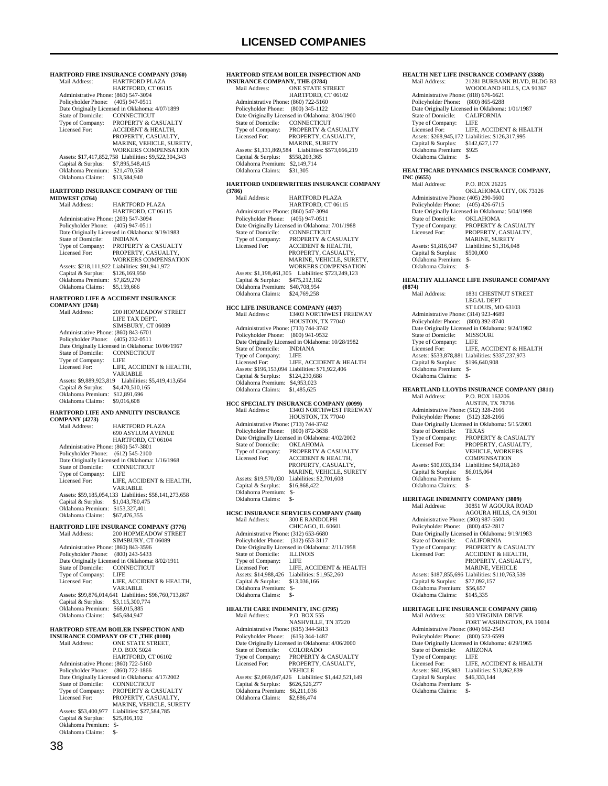| HARTFORD FIRE INSURANCE COMPANY (3760)                                 |                                                                      |  |
|------------------------------------------------------------------------|----------------------------------------------------------------------|--|
| Mail Address:                                                          | <b>HARTFORD PLAZA</b><br>HARTFORD, CT 06115                          |  |
| Administrative Phone: (860) 547-3094                                   |                                                                      |  |
| Policyholder Phone: (405) 947-0511                                     | Date Originally Licensed in Oklahoma: 4/07/1899                      |  |
| State of Domicile:                                                     | CONNECTICUT                                                          |  |
| Type of Company:<br>Licensed For:                                      | PROPERTY & CASUALTY<br><b>ACCIDENT &amp; HEALTH,</b>                 |  |
|                                                                        | PROPERTY, CASUALTY,                                                  |  |
|                                                                        | MARINE, VEHICLE, SURETY,<br><b>WORKERS COMPENSATION</b>              |  |
|                                                                        | Assets: \$17,417,852,758 Liabilities: \$9,522,304,343                |  |
| Capital & Surplus:<br>Oklahoma Premium: \$21,470,558                   | \$7,895,548,415                                                      |  |
| Oklahoma Claims:                                                       | \$13,584,940                                                         |  |
| <b>MIDWEST (3764)</b>                                                  | HARTFORD INSURANCE COMPANY OF THE                                    |  |
| Mail Address:                                                          | <b>HARTFORD PLAZA</b><br>HARTFORD, CT 06115                          |  |
| Administrative Phone: (203) 547-3094<br>Policyholder Phone:            | $(405)$ 947-0511                                                     |  |
|                                                                        | Date Originally Licensed in Oklahoma: 9/19/1983                      |  |
| State of Domicile:<br>Type of Company:                                 | <b>INDIANA</b><br>PROPERTY & CASUALTY                                |  |
| Licensed For:                                                          | PROPERTY, CASUALTY,<br>WORKERS COMPENSATION                          |  |
|                                                                        | Assets: \$218,111,922 Liabilities: \$91,941,972                      |  |
| Capital & Surplus:<br>Oklahoma Premium:                                | \$126,169,950<br>\$7,829,270                                         |  |
| Oklahoma Claims:                                                       | \$5,159,666                                                          |  |
|                                                                        | HARTFORD LIFE & ACCIDENT INSURANCE                                   |  |
| <b>COMPANY (3768)</b><br>Mail Address:                                 | <b>200 HOPMEADOW STREET</b>                                          |  |
|                                                                        | LIFE TAX DEPT.                                                       |  |
| Administrative Phone: (860) 843-6701                                   | SIMSBURY, CT 06089                                                   |  |
| Policyholder Phone:                                                    | $(405)$ 232-0511<br>Date Originally Licensed in Oklahoma: 10/06/1967 |  |
| State of Domicile:                                                     | CONNECTICUT                                                          |  |
| Type of Company:<br>Licensed For:                                      | LIFE<br>LIFE, ACCIDENT & HEALTH,                                     |  |
|                                                                        | VARIABLE                                                             |  |
| Assets: \$9,889,923,819<br>Capital & Surplus: \$4,470,510,165          | Liabilities: \$5,419,413,654                                         |  |
| Oklahoma Premium: \$12,891,696                                         |                                                                      |  |
| Oklahoma Claims:<br>\$9,016,608<br>HARTFORD LIFE AND ANNUITY INSURANCE |                                                                      |  |
|                                                                        |                                                                      |  |
| <b>COMPANY (4273)</b><br>Mail Address:                                 | <b>HARTFORD PLAZA</b>                                                |  |
|                                                                        | 690 ASYLUM AVENUE                                                    |  |
| Administrative Phone: (860) 547-3801                                   | HARTFORD, CT 06104                                                   |  |
| Policyholder Phone:                                                    | $(612)$ 545-2100<br>Date Originally Licensed in Oklahoma: 1/16/1968  |  |
| State of Domicile:                                                     | CONNECTICUT                                                          |  |
| Type of Company:<br>Licensed For:                                      | LIFE<br>LIFE, ACCIDENT & HEALTH,                                     |  |
|                                                                        | <b>VARIABLE</b>                                                      |  |
| Capital & Surplus: \$1,043,780,475                                     | Assets: \$59,185,054,133 Liabilities: \$58,141,273,658               |  |
| Oklahoma Premium: \$153,327,401<br>Oklahoma Claims:                    | \$67,476,355                                                         |  |
| Mail Address:                                                          | HARTFORD LIFE INSURANCE COMPANY (3776)<br>200 HOPMEADOW STREET       |  |
|                                                                        | SIMSBURY, CT 06089                                                   |  |
| Administrative Phone: (860) 843-3596<br>Policyholder Phone:            | $(800)$ 243-5433                                                     |  |
| State of Domicile:                                                     | Date Originally Licensed in Oklahoma: 8/02/1911<br>CONNECTICUT       |  |
| Type of Company:                                                       | <b>LIFE</b>                                                          |  |
| Licensed For:                                                          | LIFE, ACCIDENT & HEALTH,<br>VARIABLE                                 |  |
|                                                                        | Assets: \$99,876,014,641 Liabilities: \$96,760,713,867               |  |
| Capital & Surplus:<br>Oklahoma Premium: \$68,015,885                   | \$3,115,300,774                                                      |  |
| Oklahoma Claims:                                                       | \$45,684,947                                                         |  |
|                                                                        | HARTFORD STEAM BOILER INSPECTION AND                                 |  |
| INSURANCE COMPANY OF CT, THE (0100)<br>Mail Address:                   | ONE STATE STREET,                                                    |  |
|                                                                        | P.O. BOX 5024<br>HARTFORD, CT 06102                                  |  |
| Administrative Phone: (860) 722-5160                                   |                                                                      |  |
| Policyholder Phone:                                                    | $(860)$ 722-1866<br>Date Originally Licensed in Oklahoma: 4/17/2002  |  |
| State of Domicile:<br>Type of Company:                                 | CONNECTICUT<br>PROPERTY & CASUALTY                                   |  |
| Licensed For:                                                          | PROPERTY, CASUALTY,                                                  |  |
| Assets: \$53,400,977                                                   | MARINE, VEHICLE, SURETY<br>Liabilities: \$27,584,785                 |  |
| Capital & Surplus:<br>Oklahoma Premium:                                | \$25,816,192<br>\$-                                                  |  |

### **HARTFORD STEAM BOILER INSPECTION AND INSURANCE COMPANY, THE (3784)**  ONE STATE STREET HARTFORD, CT 06102 Administrative Phone: (860) 722-5160 Policyholder Phone: (800) 345-1122 Politylished Francisco Coston 1222<br>Date Originally Licensed in Oklahoma: 8/04/1900<br>State of Domicile: CONNECTICUT State of Domicile:<br>Type of Company: Type of Company: PROPERTY & CASUALTY<br>Licensed For: PROPERTY, CASUALTY. PROPERTY, CASUALTY, MARINE, SURETY Assets: \$1,131,869,584 Liabilities: \$573,666,219 Capital & Surplus: \$558,203,365 Oklahoma Premium: \$2,149,714 Oklahoma Claims: \$31,305 **HARTFORD UNDERWRITERS INSURANCE COMPANY (3786)** HARTFORD PLAZA HARTFORD, CT 06115 Administrative Phone: (860) 547-3094 Policyholder Phone: (405) 947-0511

Date Originally Licensed in Oklahoma: 7/01/1988<br>State of Domicile: CONNECTICUT State of Domicile:<br>Type of Company: Type of Company: PROPERTY & CASUALTY<br>Licensed For: ACCIDENT & HEALTH, Licensed For: ACCIDENT & HEALTH, PROPERTY, CASUALTY, MARINE, VEHICLE, SURETY, WORKERS COMPENSATION Assets: \$1,198,461,305 Liabilities: \$723,249,123 Capital & Surplus: \$475,212,182 Oklahoma Premium: \$40,708,954 Oklahoma Claims: \$24,769,258 **HCC LIFE INSURANCE COMPANY (4037)**<br>Mail Address: 13403 NORTHWEST 13403 NORTHWEST FREEWAY HOUSTON, TX 77040 Administrative Phone: (713) 744-3742 Policyholder Phone: (800) 941-9532 Date Originally Licensed in Oklahoma: 10/28/1982 State of Domicile: INDIA<br>Type of Company: IFFE Type of Company: Licensed For: LIFE, ACCIDENT & HEALTH Assets: \$196,153,094 Liabilities: \$71,922,406 Capital & Surplus: \$124,230,688 Oklahoma Premium: \$4,953,023 Oklahoma Claims: \$1,485,625 **HCC SPECIALTY INSURANCE COMPANY (0099)**<br>Mail Address: 13403 NORTHWEST FREEW 13403 NORTHWEST FREEWAY HOUSTON, TX 77040 Administrative Phone: (713) 744-3742 Policyholder Phone: (800) 872-3638 Date Originally Licensed in Oklahoma: 4/02/2002<br>State of Domicile: OKLAHOMA State of Domicile:<br>Type of Company: Type of Company: PROPERTY & CASUALTY<br>Licensed For: ACCIDENT & HEALTH. ACCIDENT & HEALTH, PROPERTY, CASUALTY, MARINE, VEHICLE, SURETY Assets: \$19,570,030 Liabilities: \$2,701,608<br>Capital & Surplus: \$16,868,422 Capital & Surplus: Oklahoma Premium: \$- Oklahoma Claims: \$- **HCSC INSURANCE SERVICES COMPANY (7448)** Mail Address: 300 E RANDOLPH CHICAGO, IL 60601 Administrative Phone: (312) 653-6680 Policyholder Phone: (312) 653-3117 Date Originally Licensed in Oklahoma: 2/11/1958<br>State of Domicile: ILLINOIS State of Domicile: ILLII<br>Type of Company: LIFE Type of Company: LIFE<br>Licensed For: LIFE, ACCIDENT & HEALTH Licensed For: LIFE, ACCIDENT & HEALTH Assets: \$14,988,426 Liabilities: \$1,952,260

### Capital & Surplus: \$13,036,166 Oklahoma Premium: \$- Oklahoma Claims: \$-**HEALTH CARE INDEMNITY, INC (3795)**<br>Mail Address: P.O. BOX 555 P.O. BOX 555 NASHVILLE, TN 37220 Administrative Phone: (615) 344-5813 Policyholder Phone: (615) 344-1487 Date Originally Licensed in Oklahoma: 4/06/2000<br>State of Domicile: COLORADO State of Domicile:<br>Type of Company: Type of Company: PROPERTY & CASUALTY<br>Licensed For: PROPERTY, CASUALTY, PROPERTY, CASUALTY, **VEHICLE**  Assets: \$2,069,047,426 Liabilities: \$1,442,521,149 Capital & Surplus: \$626,526,277 Oklahoma Premium: \$6,211,036<br>Oklahoma Claims: \$2,886,474

Oklahoma Claims:

### WOODLAND HILLS, CA 91367 Administrative Phone: (818) 676-6621 Policyholder Phone: (800) 865-6288 Date Originally Licensed in Oklahoma: 1/01/1987<br>State of Domicile: CALIFORNIA State of Domicile: Type of Company:<br>Licensed For: LIFE<br>LIFE, ACCIDENT & HEALTH Assets: \$268,945,172 Liabilities: \$126,317,995 Capital & Surplus: \$142,627,177 Oklahoma Premium: \$925 Oklahoma Claims: \$-**HEALTHCARE DYNAMICS INSURANCE COMPANY, INC (6655)**<br> **Mail Address:** P.O. BOX 26225 OKLAHOMA CITY, OK 73126 Administrative Phone: (405) 290-5600 Policyholder Phone: (405) 426-6715 Date Originally Licensed in Oklahoma: 5/04/1998 State of Domicile: OKLAHOMA Type of Company: PROPERTY & CASUALTY<br>Licensed For: PROPERTY CASUALTY PROPERTY, CASUALTY, MARINE, SURETY Assets: \$1,816,047 Liabilities: \$1,316,048<br>Capital & Surplus: \$500,000 Capital & Surplus: Oklahoma Premium: \$- Oklahoma Claims: \$- **HEALTHY ALLIANCE LIFE INSURANCE COMPANY (0874)** 1831 CHESTNUT STREET LEGAL DEPT ST LOUIS, MO 63103 Administrative Phone: (314) 923-4689 Policyholder Phone: (800) 392-8740 Date Originally Licensed in Oklahoma: 9/24/1982<br>State of Domicile: MISSOURI State of Domicile: MISS<br>Type of Company: LIFE Type of Company: LIFE<br>Licensed For: LIFE, ACCIDENT & HEALTH Licensed For: LIFE, ACCIDENT & HEALTH Assets: \$533,878,881 Liabilities: \$337,237,973 Capital & Surplus: \$196,640,908 Oklahoma Premium: \$- Oklahoma Claims: \$- **HEARTLAND LLOYDS INSURANCE COMPANY (3811)**<br>Mail Address: P.O. BOX 163206 P.O. BOX 163206 AUSTIN, TX 78716 Administrative Phone: (512) 328-2166 Policyholder Phone: (512) 328-2166 Date Originally Licensed in Oklahoma: 5/15/2001 State of Domicile: TEXAS<br>Type of Company: PROPER Type of Company: PROPERTY & CASUALTY<br>Licensed For: PROPERTY, CASUALTY. PROPERTY, CASUALTY, VEHICLE, WORKERS COMPENSATION Assets: \$10,033,334 Liabilities: \$4,018,269<br>Capital & Surplus: \$6,015,064 Capital & Surplus: Oklahoma Premium: \$- Oklahoma Claims: **HERITAGE INDEMNITY COMPANY (3809)**<br>Mail Address: 30851 W AGOURA RO 30851 W AGOURA ROAD AGOURA HILLS, CA 91301 Administrative Phone: (303) 987-5500 Policyholder Phone: (800) 452-2817 Date Originally Licensed in Oklahoma: 9/19/1983<br>State of Domicile: CALIFORNIA State of Domicile:<br>Type of Company: Type of Company: PROPERTY & CASUALTY<br>Licensed For: ACCIDENT & HEALTH. ACCIDENT & HEALTH, PROPERTY, CASUALTY, MARINE, VEHICLE Assets: \$187,855,696 Liabilities: \$110,763,539 Capital & Surplus: \$77,092,157 Oklahoma Premium: \$56,657 Oklahoma Claims: \$145,335 **HERITAGE LIFE INSURANCE COMPANY (3816)**<br>Mail Address: 500 VIRGINIA DRIVE 500 VIRGINIA DRIVE

**HEALTH NET LIFE INSURANCE COMPANY (3388)**<br>Mail Address: 21281 BURBANK BLVD, BLD

21281 BURBANK BLVD, BLDG B3

 FORT WASHINGTON, PA 19034 Administrative Phone: (804) 662-2543 Policyholder Phone: (800) 523-6599 Date Originally Licensed in Oklahoma: 4/29/1965<br>State of Domicile: ARIZONA State of Domicile: ARIZ Type of Company:<br>Licensed For: LIFE, ACCIDENT & HEALTH Assets: \$60,195,983 Liabilities: \$13,862,839<br>Capital & Surplus: \$46,333,144 Capital & Surplus: \$46,333,144 Oklahoma Premium: \$- Oklahoma Claims: \$-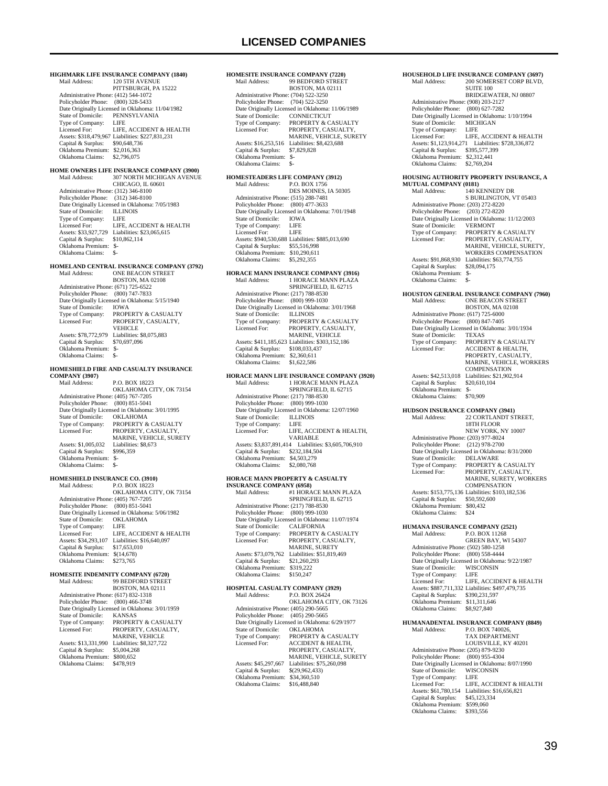## **LICENSED COMPANIES**

**HIGHMARK LIFE INSURANCE COMPANY (1840)**<br>Mail Address: 120 5TH AVENUE 120 5TH AVENUE PITTSBURGH, PA 15222 Administrative Phone: (412) 544-1072 Policyholder Phone: (800) 328-5433 Date Originally Licensed in Oklahoma: 11/04/1982 State of Domicile: PENN<br>Type of Company: LIFE Type of Company:<br>Licensed For LIFE, ACCIDENT & HEALTH Assets: \$318,479,967 Liabilities: \$227,831,231 Capital & Surplus: \$90,648,736 Oklahoma Premium: \$2,016,363 Oklahoma Claims: \$2,796,075 **HOME OWNERS LIFE INSURANCE COMPANY (3900)**<br>Mail Address: 307 NORTH MICHIGAN AVENTIF 307 NORTH MICHIGAN AVENUE CHICAGO, IL 60601 Administrative Phone: (312) 346-8100 Policyholder Phone: (312) 346-8100 Date Originally Licensed in Oklahoma: 7/05/1983 State of Domicile: ILLINOIS<br>Type of Company: LIFE Type of Company: LIFE<br>
Licensed For: LIFE, ACCIDENT & HEALTH<br>
Assets: \$33,927,729 Liabilities: \$23,065,615<br>
Capital & Surplus: \$10,862,114<br>
Oklahoma Premium: \$- Oklahoma Claims: \$- **HOMELAND CENTRAL INSURANCE COMPANY (3792)** Mail Address: ONE BEACON STREET BOSTON, MA 02108 Administrative Phone: (671) 725-6522 Policyholder Phone: (800) 747-7833 Date Originally Licensed in Oklahoma: 5/15/1940 State of Domicile: IOWA<br>Type of Company: PROPE Type of Company: PROPERTY & CASUALTY Licensed For: PROPERTY, CASUALTY, **VEHICLE** Assets: \$78,772,979 Liabilities: \$8,075,883<br>Capital & Surplus: \$70,697,096 Capital & Surplus: Oklahoma Premium: \$- Oklahoma Claims: \$- **HOMESHIELD FIRE AND CASUALTY INSURANCE COMPANY (3907)** P.O. BOX 18223 OKLAHOMA CITY, OK 73154 Administrative Phone: (405) 767-7205<br>Policyholder Phone: (800) 851-5041 Policyholder Phone: Date Originally Licensed in Oklahoma: 3/01/1995 State of Domicile:<br>Type of Company: THE OKEAHOMA<br>THE COMPANY & CASUALTY Licensed For: PROPERTY, CASUALTY, MARINE, VEHICLE, SURETY Assets: \$1,005,032 Liabilities: \$8,673<br>Canital & Surplus: \$996,359 Capital & Surplus: Oklahoma Premium: \$- Oklahoma Claims: \$-**HOMESHIELD INSURANCE CO. (3910)**<br>Mail Address: P.O. BOX 18223 P.O. BOX 18223 OKLAHOMA CITY, OK 73154 Administrative Phone: (405) 767-7205 Policyholder Phone: (800) 851-5041 Date Originally Licensed in Oklahoma: 5/06/1982<br>State of Domicile: OKLAHOMA State of Domicile: OKL<br>Type of Company: LIFE Type of Company:<br>Licensed For: Licensed For: LIFE, ACCIDENT & HEALTH Assets: \$34,293,107 Liabilities: \$16,640,097 Capital & Surplus: \$17,653,010 Oklahoma Premium: \$(14,678)<br>Oklahoma Claims: \$273,765 Oklahoma Claims: **HOMESITE INDEMNITY COMPANY (6720)**<br>Mail Address: 99 BEDFORD STREET 99 BEDFORD STREET BOSTON, MA 02111 Administrative Phone: (617) 832-1318 Policyholder Phone: (800) 466-3748 Date Originally Licensed in Oklahoma: 3/01/1959 State of Domicile:<br>Type of Company:<br>Licensed For: THE OF COMPANY COMPANY:<br>THE CASUALTY AND PROPERTY & CASUALTY PROPERTY, CASUALTY, MARINE, VEHICLE Assets: \$13,331,990 Liabilities: \$8,327,722<br>Capital & Surplus: \$5,004,268 Capital & Surplus: Oklahoma Premium: \$800,652 Oklahoma Claims:

**HOMESITE INSURANCE COMPANY (7220)**<br>Mail Address: 99 BEDFORD STREET 99 BEDFORD STREET BOSTON, MA 02111 Administrative Phone: (704) 522-3250 Policyholder Phone: (704) 522-3250 Date Originally Licensed in Oklahoma: 11/06/1989 State of Domicile:<br>Type of Company: Type of Company: PROPERTY & CASUALTY<br>Licensed For: PROPERTY CASUALTY PROPERTY CASUALTY MARINE, VEHICLE, SURETY Assets: \$16,253,516 Liabilities: \$8,423,688<br>Capital & Surplus: \$7,829,828 Capital & Surplus: Oklahoma Premium: \$- Oklahoma Claims: \$- **HOMESTEADERS LIFE COMPANY (3912)**<br>Mail Address: P.O. BOX 1756 P.O. BOX 1756 DES MOINES, IA 50305 Administrative Phone: (515) 288-7481 Policyholder Phone: (800) 477-3633 Date Originally Licensed in Oklahoma: 7/01/1948<br>State of Domicile: IOWA State of Domicile: IOW<sub>4</sub><br>Type of Company: LIFE Type of Company: Licensed For: LIFE Assets: \$940,530,688 Liabilities: \$885,013,690 Capital & Surplus: \$55,516,998 Oklahoma Premium: \$10,290,611 Oklahoma Claims: \$5,292,355 **HORACE MANN INSURANCE COMPANY (3916)** Mail Address: 1 HORACE MANN PLAZA SPRINGFIELD, IL 62715 Administrative Phone: (217) 788-8530 Policyholder Phone: (800) 999-1030 Date Originally Licensed in Oklahoma: 3/01/1968 State of Domicile:<br>Type of Company: State of Domicile: ILLINOIS<br>Type of Company: PROPERTY & CASUALTY<br>Licensed For: PROPERTY, CASUALTY, PROPERTY, CASUALTY, MARINE, VEHICLE Assets: \$411,185,623 Liabilities: \$303,152,186<br>Capital & Surplus: \$108,033,437 Capital & Surplus: Oklahoma Premium: \$2,360,611<br>Oklahoma Claims: \$1,622,586 Oklahoma Claims: **HORACE MANN LIFE INSURANCE COMPANY (3920)**<br>Mail Address: 1 HORACE MANN PLAZA Mail Address: 1 HORACE MANN PLAZA SPRINGFIELD, IL 62715 Administrative Phone: (217) 788-8530<br>Policyholder Phone: (800) 999-1030 Policyholder Phone: Date Originally Licensed in Oklahoma: 12/07/1960<br>State of Domicile: ILLINOIS State of Domicile: ILLIN<br>Type of Company: I IEE Type of Company: Licensed For: LIFE, ACCIDENT & HEALTH, VARIABLE Assets: \$3,837,891,414 Liabilities: \$3,605,706,910 Capital & Surplus: \$232,184,504 Oklahoma Premium: \$4,503,279 Oklahoma Claims: \$2,080,768 **HORACE MANN PROPERTY & CASUALTY INSURANCE COMPANY (6958)**<br>Mail Address: #1 HORA #1 HORACE MANN PLAZA SPRINGFIELD, IL 62715 Administrative Phone: (217) 788-8530 Policyholder Phone: (800) 999-1030 Date Originally Licensed in Oklahoma: 11/07/1974 State of Domicile: CALIFORNIA<br>Type of Company: PROPERTY & Type of Company: PROPERTY & CASUALTY<br>Licensed For: PROPERTY, CASUALTY, PROPERTY, CASUALTY, MARINE, SURETY Assets: \$73,079,762 Liabilities: \$51,819,469<br>Capital & Surplus: \$21,260,293 Capital & Surplus: Oklahoma Premium: \$319,222 Oklahoma Claims: \$150,247 **HOSPITAL CASUALTY COMPANY (3929)** P.O. BOX 26424 OKLAHOMA CITY, OK 73126 Administrative Phone: (405) 290-5665 Policyholder Phone: (405) 290-5665 Date Originally Licensed in Oklahoma: 6/29/1977<br>State of Domicile: OKLAHOMA State of Domicile:<br>Type of Company: Type of Company: PROPERTY & CASUALTY<br>Licensed For: ACCIDENT & HEALTH. ACCIDENT & HEALTH. PROPERTY, CASUALTY MARINE, VEHICLE, SURETY Assets: \$45,297,667 Liabilities: \$75,260,098<br>Capital & Surplus: \$(29,962,433) Capital & Surplus: Oklahoma Premium: \$34,360,510 Oklahoma Claims:

### **HOUSEHOLD LIFE INSURANCE COMPANY (3697)**<br>Mail Address: 200 SOMERSET CORP BLVD. 200 SOMERSET CORP BLVD, SUITE 100 BRIDGEWATER, NJ 08807 Administrative Phone: (908) 203-2127 Policyholder Phone: (800) 627-7282 Date Originally Licensed in Oklahoma: 1/10/1994<br>State of Domicile: MICHIGAN State of Domicile: MICH<br>Type of Company: LIFE Type of Company: LIFE<br>Licensed For: LIFE, ACCIDENT & HEALTH Licensed For: LIFE, ACCIDENT & HEALTH Assets: \$1,123,914,271 Liabilities: \$728,336,872 Capital & Surplus: \$395,577,399 Oklahoma Premium: \$2,312,441 Oklahoma Claims: \$2,769,204 **HOUSING AUTHORITY PROPERTY INSURANCE, A MUTUAL COMPANY (0181)**<br>Mail Address: 140 KE 140 KENNEDY DR S BURLINGTON, VT 05403 Administrative Phone: (203) 272-8220 Policyholder Phone: (203) 272-8220 Date Originally Licensed in Oklahoma: 11/12/2003 State of Domicile: VERMONT<br>Type of Company: PROPERTY Type of Company: PROPERTY & CASUALTY<br>Licensed For: PROPERTY, CASUALTY, PROPERTY, CASUALTY, MARINE, VEHICLE, SURETY, WORKERS COMPENSATION Assets: \$91,868,930 Liabilities: \$63,774,755<br>Capital & Surplus: \$28,094,175 Capital & Surplus: \$28,094,175 Oklahoma Premium: \$- Oklahoma Claims: \$ **HOUSTON GENERAL INSURANCE COMPANY (7960)**<br>Mail Address: ONE BEACON STREET Mail Address: ONE BEACON STREET BOSTON, MA 02108 Administrative Phone: (617) 725-6000 Policyholder Phone: (800) 847-7405 Date Originally Licensed in Oklahoma: 3/01/1934 State of Domicile:<br>Type of Company: State of Domicile: TEXAS<br>
Type of Company: PROPERTY & CASUALTY<br>
Licensed For: ACCIDENT & HEALTH, Licensed For: ACCIDENT & HEALTH, PROPERTY, CASUALTY, MARINE, VEHICLE, WORKERS **COMPENSATION** Assets: \$42,513,018 Liabilities: \$21,902,914<br>Capital & Surplus: \$20,610,104 Capital & Surplus: \$20,610,104 Oklahoma Premium: \$- Oklahoma Claims: \$70,909 **HUDSON INSURANCE COMPANY (3941)**<br>Mail Address: 22 CORTLANDT ST 22 CORTLANDT STREET, 18TH FLOOR NEW YORK, NY 10007 Administrative Phone: (203) 977-8024 Policyholder Phone: (212) 978-2700 Date Originally Licensed in Oklahoma: 8/31/2000<br>State of Domicile: DELAWARE State of Domicile: Type of Company: PROPERTY & CASUALTY<br>Licensed For: PROPERTY, CASUALTY, PROPERTY, CASUALTY, MARINE, SURETY, WORKERS COMPENSATION Assets: \$153,775,136 Liabilities: \$103,182,536 Capital & Surplus: \$50,592,600 Oklahoma Premium: \$80,432 Oklahoma Claims: \$24 **HUMANA INSURANCE COMPANY (2521)**<br>Mail Address: P.O. BOX 11268 Mail Address: P.O. BOX 11268 GREEN BAY, WI 54307 Administrative Phone: (502) 580-1258 Policyholder Phone: (800) 558-4444 Date Originally Licensed in Oklahoma: 9/22/1987<br>State of Domicile: WISCONSIN State of Domicile: Type of Company: LIFE<br>Licensed For: LIFE, ACCIDENT & HEALTH Licensed For: LIFE, ACCIDENT & HEALTH<br>
Assets: \$887,711,332 Liabilities: \$497,479,735<br>
Capital & Surplus: \$390,231,597 Oklahoma Premium: \$11,311,646<br>Oklahoma Claims: \$8,927,840 Oklahoma Claims: **HUMANADENTAL INSURANCE COMPANY (8849)**<br>Mail Address: P.O. BOX 740026. P.O. BOX 740026, TAX DEPARTMENT LOUISVILLE, KY 40201 Administrative Phone: (205) 879-9230 Policyholder Phone: (800) 955-4304 Date Originally Licensed in Oklahoma: 8/07/1990 State of Domicile: WISCONSIN<br>Type of Company: LIFE Type of Company: LIFE<br>Licensed For: LIFE, ACCIDENT & HEALTH Licensed For: LIFE, ACCIDENT & HEALTH Assets: \$61,780,154 Liabilities: \$16,656,821 Capital & Surplus: \$45,123,334 Oklahoma Premium: \$599,060 Oklahoma Claims: \$393,556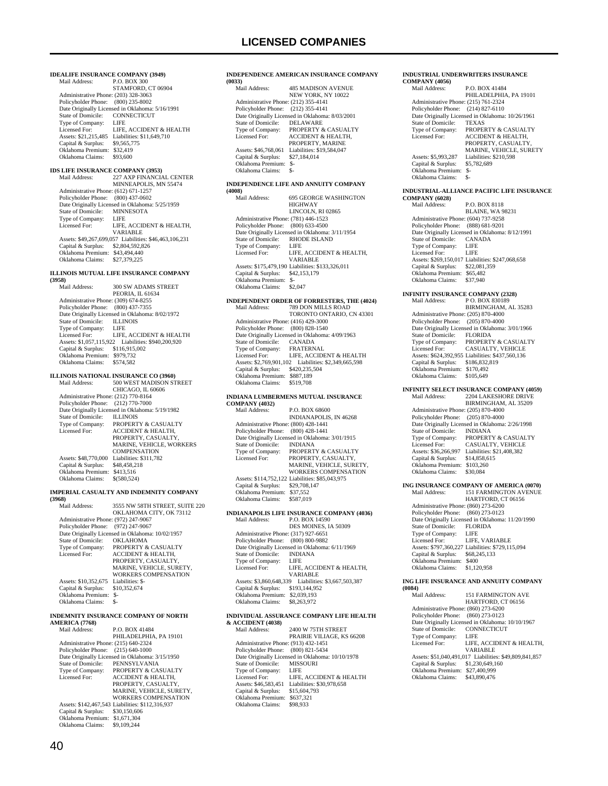**IDEALIFE INSURANCE COMPANY (3949)**<br>Mail Address: P.O. BOX 300 P.O. BOX 300 STAMFORD, CT 06904 Administrative Phone: (203) 328-3063 Policyholder Phone: (800) 235-8002 Date Originally Licensed in Oklahoma: 5/16/1991<br>State of Domicile: CONNECTICUT State of Domicile: CONI<br>Type of Company: LIFE Type of Company:<br>Licensed For: LIFE, ACCIDENT & HEALTH Assets: \$21,215,485 Liabilities: \$11,649,710<br>Capital & Surplus: \$9,565,775 Capital & Surplus: \$9,565,775 Oklahoma Premium: \$32,419 Oklahoma Claims: \$93,600 **IDS LIFE INSURANCE COMPANY (3953)**<br>Mail Address: 227 AXP FINANCIA Mail Address: 227 AXP FINANCIAL CENTER MINNEAPOLIS, MN 55474 Administrative Phone: (612) 671-1257 Policyholder Phone: (800) 437-0602 Date Originally Licensed in Oklahoma: 5/25/1959 State of Domicile: MINNESOTA<br>Type of Company: LIFE Type of Company:<br>Licensed For: LIFE, ACCIDENT  $\&$  HEALTH, VARIABLE Assets: \$49,267,699,057 Liabilities: \$46,463,106,231 Capital & Surplus: \$2,804,592,826 Oklahoma Premium: \$43,494,440 Oklahoma Claims: \$27,379,225 **ILLINOIS MUTUAL LIFE INSURANCE COMPANY (3958)** 300 SW ADAMS STREET PEORIA, IL 61634 Administrative Phone: (309) 674-8255 Policyholder Phone: (800) 437-7355 Date Originally Licensed in Oklahoma: 8/02/1972<br>State of Domicile: II J INOIS State of Domicile: ILLIN<br>Type of Company: LIFE Type of Company: LIFE<br>
Licensed For: LIFE, ACCIDENT & HEALTH<br>
Assets: \$1,057,115,922 Liabilities: \$940,200,920<br>
Capital & Surplus: \$116,915,002<br>
Oklahoma Premium: \$979,732 Oklahoma Claims: \$574,582 **ILLINOIS NATIONAL INSURANCE CO (3960)**<br>Mail Address: 500 WEST MADISON ST 500 WEST MADISON STREET CHICAGO, IL 60606 Administrative Phone: (212) 770-8164 Policyholder Phone: (212) 770-7000 Date Originally Licensed in Oklahoma: 5/19/1982<br>State of Domicile: ILLINOIS State of Domicile:<br>Type of Company: PROPERTY & CASUALTY Licensed For: ACCIDENT & HEALTH, PROPERTY, CASUALTY MARINE, VEHICLE, WORKERS COMPENSATION Assets: \$48,770,000 Liabilities: \$311,782 Capital & Surplus: \$48,458,218 Oklahoma Premium: \$413,516 Oklahoma Claims: \$(580,524) **IMPERIAL CASUALTY AND INDEMNITY COMPANY (3968)** 3555 NW 58TH STREET, SUITE 220 OKLAHOMA CITY, OK 73112 Administrative Phone: (972) 247-9067 Policyholder Phone: (972) 247-9067 Date Originally Licensed in Oklahoma: 10/02/1957<br>State of Domicile: OKLAHOMA State of Domicile:<br>Type of Company: Type of Company: PROPERTY & CASUALTY<br>Licensed For: ACCIDENT & HEALTH, PROPERTY, CASUALTY, MARINE, VEHICLE, SURETY, WORKERS COMPENSATION Assets:  $$10,352,675$  Liabilities:  $$$ <br>Capital & Surplus:  $$10,352,674$ Capital & Surplus: Oklahoma Premium: \$- Oklahoma Claims: \$-

## **INDEMNITY INSURANCE COMPANY OF NORTH AMERICA (7768)**

P.O. BOX 41484 PHILADELPHIA, PA 19101 Administrative Phone: (215) 640-2324 Policyholder Phone: (215) 640-1000 Date Originally Licensed in Oklahoma: 3/15/1950 State of Domicile: PENNSYLVANIA Type of Company: PROPERTY & CASUALTY<br>Licensed For: ACCIDENT & HEALTH, Licensed For: ACCIDENT & HEALTH, PROPERTY, CASUALTY, MARINE, VEHICLE, SURETY, WORKERS COMPENSATION Assets: \$142,467,543 Liabilities: \$112,316,937 Capital & Surplus: \$30,150,606 Oklahoma Premium: \$1,671,304 Oklahoma Claims: \$9,109,244

## 40

## **INDEPENDENCE AMERICAN INSURANCE COMPANY (0033)** 485 MADISON AVENUE NEW YORK, NY 10022 Administrative Phone: (212) 355-4141 Policyholder Phone: (212) 355-4141

 Date Originally Licensed in Oklahoma: 8/03/2001 State of Domicile:<br>Type of Company: Type of Company: PROPERTY & CASUALTY<br>Licensed For: ACCIDENT & HEALTH. ACCIDENT & HEALTH, PROPERTY, MARINE Assets: \$46,768,061 Liabilities: \$19,584,047<br>Capital & Surplus: \$27,184,014 Capital & Surplus: Oklahoma Premium: \$- Oklahoma Claims:

## **INDEPENDENCE LIFE AND ANNUITY COMPANY**

**(4008)** 695 GEORGE WASHINGTON HIGHWAY LINCOLN, RI 02865 Administrative Phone: (781) 446-1523 Policyholder Phone: (800) 633-4500 Date Originally Licensed in Oklahoma: 3/11/1954 State of Domicile: RHODE ISLAND Type of Company: LIFE Licensed For: LIFE, ACCIDENT & HEALTH, VARIABLE Assets: \$175,479,190 Liabilities: \$133,326,011 Capital & Surplus: \$42,153,179 Oklahoma Premium: \$- Oklahoma Claims: \$2,047

# **INDEPENDENT ORDER OF FORRESTERS, THE (4024)** Mail Address: 789 DON MILLS ROAD

|                                      | TORONTO ONTARIO. CN 43301                       |
|--------------------------------------|-------------------------------------------------|
| Administrative Phone: (416) 429-3000 |                                                 |
| Policyholder Phone: (800) 828-1540   |                                                 |
|                                      | Date Originally Licensed in Oklahoma: 4/09/1963 |
| State of Domicile:                   | <b>CANADA</b>                                   |
| Type of Company:                     | <b>FRATERNAL</b>                                |
| Licensed For:                        | LIFE. ACCIDENT & HEALTH                         |
| Assets: \$2,769,901.102              | Liabilities: \$2,349,665,598                    |
| Capital & Surplus:                   | \$420,235,504                                   |
| Oklahoma Premium:                    | \$887.189                                       |
| Oklahoma Claims:                     | \$519,708                                       |
|                                      |                                                 |

#### **INDIANA LUMBERMENS MUTUAL INSURANCE COMPANY (4032)**  $R \odot R$

| Mail Address:                        | P.O. BOX 68600                                  |
|--------------------------------------|-------------------------------------------------|
|                                      | <b>INDIANAPOLIS, IN 46268</b>                   |
| Administrative Phone: (800) 428-1441 |                                                 |
| Policyholder Phone:                  | $(800)$ 428-1441                                |
|                                      | Date Originally Licensed in Oklahoma: 3/01/1915 |
| State of Domicile:                   | <b>INDIANA</b>                                  |
| Type of Company:                     | <b>PROPERTY &amp; CASUALTY</b>                  |
| Licensed For:                        | PROPERTY, CASUALTY,                             |
|                                      | MARINE, VEHICLE, SURETY.                        |
|                                      | <b>WORKERS COMPENSATION</b>                     |
|                                      | Assets: \$114,752,122 Liabilities: \$85,043,975 |
| Capital & Surplus:                   | \$29,708,147                                    |
| Oklahoma Premium:                    | \$37,552                                        |
| Oklahoma Claims:                     | \$587,019                                       |
|                                      |                                                 |
| INDIANA POL IS I                     | TEE INSUPANCE COMPANY (4036)                    |

#### **INDIANAPOLIS LIFE INSURANCE COMPANY (4036)** Mail Address: P.O. BOX 14590

|                                      | DES MOINES, IA 50309                            |
|--------------------------------------|-------------------------------------------------|
| Administrative Phone: (317) 927-6651 |                                                 |
| Policyholder Phone: (800) 800-9882   |                                                 |
|                                      | Date Originally Licensed in Oklahoma: 6/11/1969 |
| State of Domicile:                   | <b>INDIANA</b>                                  |
| Type of Company:                     | LIFE                                            |
| Licensed For:                        | LIFE. ACCIDENT & HEALTH.                        |
|                                      | <b>VARIARLE</b>                                 |
| Assets: \$3,860,648,339              | Liabilities: \$3,667,503,387                    |
| Capital & Surplus:                   | \$193,144,952                                   |
| Oklahoma Premium:                    | \$2,039.193                                     |
| Oklahoma Claims:                     | \$8,263,972                                     |
|                                      |                                                 |

## **INDIVIDUAL ASSURANCE COMPANY LIFE HEALTH**

**& ACCIDENT (4038)** 2400 W 75TH STREET PRAIRIE VILIAGE, KS 66208 Administrative Phone: (913) 432-1451 Policyholder Phone: (800) 821-5434 Date Originally Licensed in Oklahoma: 10/10/1978 State of Domicile: MISSOURI Type of Company: LIFE LIFE, ACCIDENT & HEALTH Assets: \$46,583,451 Liabilities: \$30,978,658<br>Capital & Surplus: \$15,604.793 Capital & Surplus: \$15,604,793 Oklahoma Premium: \$637,321 Oklahoma Claims: \$98,933

#### **INDUSTRIAL UNDERWRITERS INSURANCE COMPANY (4056)**

| Mail Address:                        | <b>PO BOX 41484</b>                              |
|--------------------------------------|--------------------------------------------------|
|                                      | PHILADELPHIA, PA 19101                           |
| Administrative Phone: (215) 761-2324 |                                                  |
| Policyholder Phone: (214) 827-6110   |                                                  |
|                                      | Date Originally Licensed in Oklahoma: 10/26/1961 |
| State of Domicile:                   | <b>TEXAS</b>                                     |
| Type of Company:                     | <b>PROPERTY &amp; CASUALTY</b>                   |
| Licensed For:                        | <b>ACCIDENT &amp; HEALTH.</b>                    |
|                                      | PROPERTY, CASUALTY,                              |
|                                      | <b>MARINE, VEHICLE, SURETY</b>                   |
| Assets: \$5,993,287                  | Liabilities: \$210,598                           |
| Capital & Surplus:                   | \$5,782,689                                      |
| Oklahoma Premium:                    | $S-$                                             |
| Oklahoma Claims:                     | \$-                                              |
|                                      |                                                  |

#### **INDUSTRIAL-ALLIANCE PACIFIC LIFE INSURANCE COMPANY (6028)**

Mail Address: P.O. BOX 8118 BLAINE, WA 98231 Administrative Phone: (604) 737-9258 Policyholder Phone: (888) 681-9201 Date Originally Licensed in Oklahoma: 8/12/1991 State of Domicile: CANADA Type of Company: LIFE<br>Licensed For: LIFE Licensed For: Assets: \$269,150,017 Liabilities: \$247,068,658<br>Capital & Surplus: \$22,081,359 Capital & Surplus: \$22,081,359 Oklahoma Premium: \$65,482 Oklahoma Claims: \$37,940

## **INFINITY INSURANCE COMPANY (2328)**<br>Mail Address: P O. BOX 830189 Mail Address: P O. BOX 830189 BIRMINGHAM, AL 35283 Administrative Phone: (205) 870-4000 Policyholder Phone: (205) 870-4000 Date Originally Licensed in Oklahoma: 3/01/1966<br>State of Domicile: FLORIDA<br>Type of Company: PROPERTY & CASUALTY State of Domicile:<br>Type of Company: Type of Company: PROPERTY & CASUALTY Licensed For: CASUALTY, VEHICLE Assets: \$624,392,955 Liabilities: \$437,560,136 Capital & Surplus: \$186,832,819 Oklahoma Premium: \$170,492 Oklahoma Claims: \$105,649

### **INFINITY SELECT INSURANCE COMPANY (4059)**

| Mail Address:                        | <b>2204 LAKESHORE DRIVE</b>                     |
|--------------------------------------|-------------------------------------------------|
|                                      | BIRMINGHAM, AL 35209                            |
| Administrative Phone: (205) 870-4000 |                                                 |
| Policyholder Phone: (205) 870-4000   |                                                 |
|                                      | Date Originally Licensed in Oklahoma: 2/26/1998 |
| State of Domicile:                   | <b>INDIANA</b>                                  |
| Type of Company:                     | PROPERTY & CASUALTY                             |
| Licensed For:                        | <b>CASUALTY, VEHICLE</b>                        |
| Assets: \$36,266,997                 | Liabilities: \$21,408,382                       |
| Capital & Surplus:                   | \$14,858,615                                    |
| Oklahoma Premium:                    | \$103,260                                       |
| Oklahoma Claims:                     | \$30,084                                        |
|                                      |                                                 |

# **ING INSURANCE COMPANY OF AMERICA (0070)**<br>Mail Address: 151 FARMINGTON AVENUE

151 FARMINGTON AVENUE HARTFORD, CT 06156 Administrative Phone: (860) 273-6200 Policyholder Phone: (860) 273-0123 Pate Originally Licensed in Oklahoma: 11/20/1990<br>State of Domicile: FLORIDA State of Domicile: FLOR<br>Type of Company: LIFE Type of Company: Licensed For: LIFE, VARIABLE Assets: \$797,360,227 Liabilities: \$729,115,094<br>Capital & Surplus: \$68.245.133 Capital & Surplus: \$68,245,133 Oklahoma Premium: \$400 Oklahoma Claims: \$1,120,958

## **ING LIFE INSURANCE AND ANNUITY COMPANY**

| (0084)                               |                                                        |
|--------------------------------------|--------------------------------------------------------|
| Mail Address:                        | <b>151 FARMINGTON AVE</b>                              |
|                                      | HARTFORD, CT 06156                                     |
| Administrative Phone: (860) 273-6200 |                                                        |
| Policyholder Phone: (860) 273-0123   |                                                        |
|                                      | Date Originally Licensed in Oklahoma: 10/10/1967       |
| State of Domicile:                   | <b>CONNECTICUT</b>                                     |
| Type of Company:                     | LIFE                                                   |
| Licensed For:                        | LIFE, ACCIDENT & HEALTH.                               |
|                                      | VARIABLE                                               |
|                                      | Assets: \$51,040,491,017 Liabilities: \$49,809,841,857 |
| Capital & Surplus:                   | \$1,230,649,160                                        |
| Oklahoma Premium:                    | \$27,400,999                                           |
| Oklahoma Claims:                     | \$43,890,476                                           |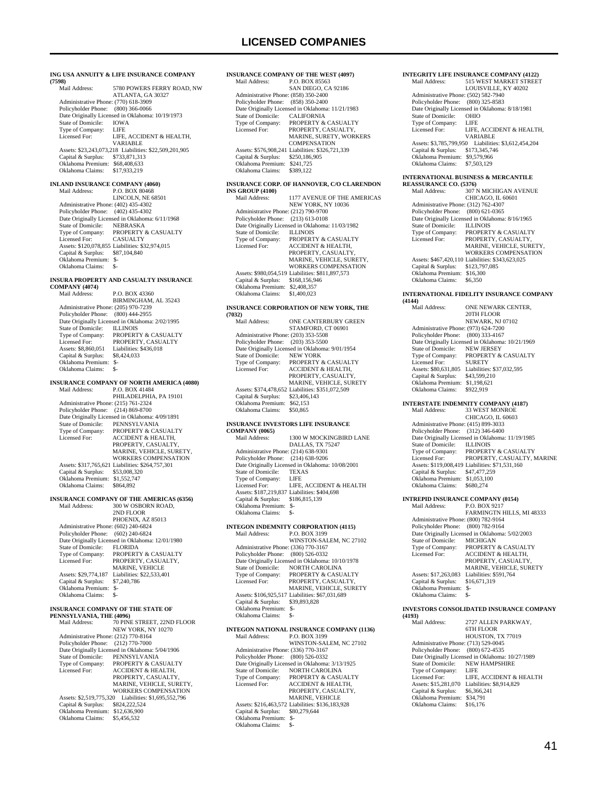#### **ING USA ANNUITY & LIFE INSURANCE COMPANY**

**(7598)** 5780 POWERS FERRY ROAD, NW ATLANTA, GA 30327 Administrative Phone: (770) 618-3909 Policyholder Phone: (800) 366-0066 Pate Originally Licensed in Oklahoma: 10/19/1973<br>State of Domicile: IOWA State of Domicile: IOWA<br>Type of Company: I JFE Type of Company:<br>Licensed For: LIFE, ACCIDENT & HEALTH, VARIABLE Assets: \$23,243,073,218 Liabilities: \$22,509,201,905 Capital & Surplus: \$733,871,313 Oklahoma Premium: \$68,408,633 Oklahoma Claims: \$17,933,219

# **INLAND INSURANCE COMPANY (4060)**

P.O. BOX 80468 LINCOLN, NE 68501 Administrative Phone: (402) 435-4302 Policyholder Phone: (402) 435-4302 Date Originally Licensed in Oklahoma: 6/11/1968<br>State of Domicile: NEBRASKA State of Domicile:<br>Type of Company: PROPERTY & CASUALTY<br>CASUALTY Licensed For: Assets: \$120,078,855 Liabilities: \$32,974,015 Capital & Surplus: \$87,104,840 Oklahoma Premium: \$- Oklahoma Claims: \$-

## **INSURA PROPERTY AND CASUALTY INSURANCE**

**COMPANY (4074)**

P.O. BOX 43360 BIRMINGHAM, AL 35243 Administrative Phone: (205) 970-7239 Policyholder Phone: (800) 444-2955 Date Originally Licensed in Oklahoma: 2/02/1995<br>State of Domicile: ILLINOIS State of Domicile:<br>Type of Company: Type of Company: PROPERTY & CASUALTY<br>Licensed For: PROPERTY CASUALTY Licensed For: PROPERTY, CASUALTY<br>Assets: \$8,860,051 Liabilities: \$436,018 Assets: \$436,018<br>\$8,424,033 Capital & Surplus: Oklahoma Premium: \$- Oklahoma Claims:

### **INSURANCE COMPANY OF NORTH AMERICA (4080)**<br>Mail Address: P.O. BOX 41484 P.O. BOX 41484

 PHILADELPHIA, PA 19101 Administrative Phone: (215) 761-2324 Policyholder Phone: (214) 869-8700 Date Originally Licensed in Oklahoma: 4/09/1891 State of Domicile: PENNSYLVANIA<br>Type of Company: PROPERTY & CA<br>Licensed For: ACCIDENT & HE PROPERTY & CASUALTY ACCIDENT & HEALTH, PROPERTY, CASUALTY, MARINE, VEHICLE, SURETY, WORKERS COMPENSATION Assets: \$317,765,621 Liabilities: \$264,757,301<br>Capital & Surplus: \$53,008,320 Capital & Surplus: \$53,008,320 Oklahoma Premium: \$1,552,747 Oklahoma Claims: \$864,892

#### **INSURANCE COMPANY OF THE AMERICAS (6356)**<br>Mail Address: 300 W OSBORN ROAD, 300 W OSBORN ROAD,

 2ND FLOOR PHOENIX, AZ 85013 Administrative Phone: (602) 240-6824 Policyholder Phone: (602) 240-6824 Date Originally Licensed in Oklahoma: 12/01/1980 State of Domicile:<br>Type of Company: State of Domicile: FLORIDA<br>Type of Company: PROPERTY & CASUALTY<br>Licensed For: PROPERTY, CASUALTY, PROPERTY, CASUALTY, MARINE, VEHICLE Assets: \$29,774,187 Liabilities: \$22,533,401<br>Capital & Surplus: \$7,240,786 Capital & Surplus: Oklahoma Premium: \$- Oklahoma Claims:

## **INSURANCE COMPANY OF THE STATE OF**

**PENNSYLVANIA, THE (4096)**<br>Mail Address: 70 PINE STREET, 22ND FLOOR NEW YORK, NY 10270 Administrative Phone: (212) 770-8164 Policyholder Phone: (212) 770-7000 Date Originally Licensed in Oklahoma: 5/04/1906<br>State of Domicile: PENNSYLVANIA State of Domicile: PENNSYLVANIA<br>Type of Company: PROPERTY & CA Type of Company: PROPERTY & CASUALTY<br>Licensed For: ACCIDENT & HEALTH, ACCIDENT & HEALTH, PROPERTY, CASUALTY, MARINE, VEHICLE, SURETY, WORKERS COMPENSATION Assets: \$2,519,775,320 Liabilities: \$1,695,552,796 Capital & Surplus: \$824,222,524 Oklahoma Premium: \$12,636,900<br>Oklahoma Claims: \$5,456,532 Oklahoma Claims:

#### **INSURANCE COMPANY OF THE WEST (4097)**<br>Mail Address: P.O. BOX 85563 P.O. BOX 85563 SAN DIEGO, CA 92186

|                                      | SAN DIEGO, CA 92180                              |
|--------------------------------------|--------------------------------------------------|
| Administrative Phone: (858) 350-2400 |                                                  |
| Policyholder Phone: (858) 350-2400   |                                                  |
|                                      | Date Originally Licensed in Oklahoma: 11/21/1983 |
| State of Domicile:                   | <b>CALIFORNIA</b>                                |
| Type of Company:                     | PROPERTY & CASUALTY                              |
| Licensed For:                        | PROPERTY, CASUALTY,                              |
|                                      | <b>MARINE, SURETY, WORKERS</b>                   |
|                                      | <b>COMPENSATION</b>                              |
|                                      | Assets: \$576,908,241 Liabilities: \$326,721,339 |
| Capital & Surplus:                   | \$250,186,905                                    |
| Oklahoma Premium:                    | \$241,725                                        |
| Oklahoma Claims:                     | \$389.122                                        |

## **INSURANCE CORP. OF HANNOVER, C/O CLARENDON**

| <b>INS GROUP (4100)</b>              |                                                  |
|--------------------------------------|--------------------------------------------------|
| Mail Address:                        | <b>1177 AVENUE OF THE AMERICAS</b>               |
|                                      | NEW YORK, NY 10036                               |
| Administrative Phone: (212) 790-9700 |                                                  |
| Policyholder Phone: (213) 613-0108   |                                                  |
|                                      | Date Originally Licensed in Oklahoma: 11/03/1982 |
| State of Domicile:                   | <b>ILLINOIS</b>                                  |
| Type of Company:                     | PROPERTY & CASUALTY                              |
| Licensed For:                        | <b>ACCIDENT &amp; HEALTH.</b>                    |
|                                      | PROPERTY, CASUALTY.                              |
|                                      | MARINE, VEHICLE, SURETY.                         |
|                                      | <b>WORKERS COMPENSATION</b>                      |
|                                      | Assets: \$980,054,519 Liabilities: \$811,897,573 |
| Capital & Surplus:                   | \$168,156,946                                    |
| Oklahoma Premium:                    | \$2,408,357                                      |
| Oklahoma Claims:                     | \$1,400,023                                      |
|                                      |                                                  |

## **INSURANCE CORPORATION OF NEW YORK, THE**

| (7032)                               |                                                  |
|--------------------------------------|--------------------------------------------------|
| Mail Address:                        | <b>ONE CANTERBURY GREEN</b>                      |
|                                      | STAMFORD, CT 06901                               |
| Administrative Phone: (203) 353-5508 |                                                  |
| Policyholder Phone:                  | $(203)$ 353-5500                                 |
|                                      | Date Originally Licensed in Oklahoma: 9/01/1954  |
| State of Domicile:                   | <b>NEW YORK</b>                                  |
| Type of Company:                     | <b>PROPERTY &amp; CASUALTY</b>                   |
| Licensed For:                        | <b>ACCIDENT &amp; HEALTH.</b>                    |
|                                      | PROPERTY, CASUALTY,                              |
|                                      | MARINE, VEHICLE, SURETY                          |
|                                      | Assets: \$374,478,652 Liabilities: \$351,072,509 |
| Capital & Surplus:                   | \$23,406,143                                     |
| Oklahoma Premium:                    | \$62,153                                         |
| Oklahoma Claims:                     | \$50,865                                         |
|                                      |                                                  |

## **INSURANCE INVESTORS LIFE INSURANCE**

| <b>COMPANY (0065)</b>                        |                                                  |
|----------------------------------------------|--------------------------------------------------|
| Mail Address <sup>.</sup>                    | 1300 W MOCKINGBIRD LANE                          |
|                                              | DALLAS, TX 75247                                 |
| Administrative Phone: (214) 638-9301         |                                                  |
| Policyholder Phone: (214) 638-9206           |                                                  |
|                                              | Date Originally Licensed in Oklahoma: 10/08/2001 |
| State of Domicile:                           | <b>TEXAS</b>                                     |
| Type of Company:                             | LIFE                                             |
| Licensed For:                                | LIFE. ACCIDENT & HEALTH                          |
| Assets: \$187,219,837 Liabilities: \$404,698 |                                                  |
| Capital & Surplus:                           | \$186,815,139                                    |
| Oklahoma Premium:                            | \$-                                              |
| Oklahoma Claims:                             | \$-                                              |
|                                              |                                                  |

## **INTEGON INDEMNITY CORPORATION (4115)**

| Mail Address:                        | P.O. BOX 3199                                    |
|--------------------------------------|--------------------------------------------------|
|                                      | WINSTON-SALEM, NC 27102                          |
| Administrative Phone: (336) 770-3167 |                                                  |
| Policyholder Phone: (800) 526-0332   |                                                  |
|                                      | Date Originally Licensed in Oklahoma: 10/10/1978 |
| State of Domicile:                   | NORTH CAROLINA                                   |
| Type of Company:                     | <b>PROPERTY &amp; CASUALTY</b>                   |
| Licensed For:                        | PROPERTY, CASUALTY,                              |
|                                      | MARINE, VEHICLE, SURETY                          |
|                                      | Assets: \$106,925,517 Liabilities: \$67,031,689  |
| Capital & Surplus:                   | \$39,893,828                                     |
| Oklahoma Premium:                    | \$-                                              |
| Oklahoma Claims:                     | \$-                                              |
|                                      |                                                  |

## **INTEGON NATIONAL INSURANCE COMPANY (1136)**

| Mail Address:                        | P.O. BOX 3199                                    |
|--------------------------------------|--------------------------------------------------|
|                                      | WINSTON-SALEM, NC 27102                          |
| Administrative Phone: (336) 770-3167 |                                                  |
| Policyholder Phone:                  | $(800)$ 526-0332                                 |
|                                      | Date Originally Licensed in Oklahoma: 3/13/1925  |
| State of Domicile:                   | NORTH CAROLINA                                   |
| Type of Company:                     | <b>PROPERTY &amp; CASUALTY</b>                   |
| Licensed For:                        | <b>ACCIDENT &amp; HEALTH,</b>                    |
|                                      | PROPERTY, CASUALTY,                              |
|                                      | <b>MARINE, VEHICLE</b>                           |
|                                      | Assets: \$216,463,572 Liabilities: \$136,183,928 |
| Capital & Surplus:                   | \$80,279,644                                     |
| Oklahoma Premium:                    | \$-                                              |
| Oklahoma Claims:                     | \$-                                              |
|                                      |                                                  |

### **INTEGRITY LIFE INSURANCE COMPANY (4122)**

| Mail Address:                        | <b>515 WEST MARKET STREET</b>                   |
|--------------------------------------|-------------------------------------------------|
|                                      | <b>LOUISVILLE, KY 40202</b>                     |
| Administrative Phone: (502) 582-7940 |                                                 |
| Policyholder Phone: (800) 325-8583   |                                                 |
|                                      | Date Originally Licensed in Oklahoma: 8/18/1981 |
| State of Domicile:                   | <b>OHIO</b>                                     |
| Type of Company:                     | LIFE                                            |
| Licensed For:                        | LIFE. ACCIDENT & HEALTH.                        |
|                                      | <b>VARIABLE</b>                                 |
| Assets: \$3,785,799,950              | Liabilities: \$3,612,454,204                    |
| Capital & Surplus:                   | \$173,345,746                                   |
| Oklahoma Premium:                    | \$9,579,966                                     |
| Oklahoma Claims:                     | \$7,503,129                                     |

## **INTERNATIONAL BUSINESS & MERCANTILE**

| <b>REASSURANCE CO. (5376)</b>        |                                                  |
|--------------------------------------|--------------------------------------------------|
| Mail Address:                        | <b>307 N MICHIGAN AVENUE</b>                     |
|                                      | CHICAGO, IL 60601                                |
| Administrative Phone: (312) 762-4307 |                                                  |
| Policyholder Phone: (800) 621-0365   |                                                  |
|                                      | Date Originally Licensed in Oklahoma: 8/16/1965  |
| State of Domicile:                   | <b>ILLINOIS</b>                                  |
| Type of Company:                     | <b>PROPERTY &amp; CASUALTY</b>                   |
| Licensed For:                        | PROPERTY, CASUALTY,                              |
|                                      | MARINE, VEHICLE, SURETY.                         |
|                                      | <b>WORKERS COMPENSATION</b>                      |
|                                      | Assets: \$467,420,110 Liabilities: \$343,623,025 |
| Capital & Surplus:                   | \$123,797,085                                    |
| Oklahoma Premium:                    | \$16,300                                         |
| Oklahoma Claims:                     | \$6,350                                          |

## **INTERNATIONAL FIDELITY INSURANCE COMPANY**

| (4144)                               |                                                  |
|--------------------------------------|--------------------------------------------------|
| Mail Address:                        | ONE NEWARK CENTER.                               |
|                                      | 20TH FLOOR                                       |
|                                      | <b>NEWARK, NJ 07102</b>                          |
| Administrative Phone: (973) 624-7200 |                                                  |
| Policyholder Phone: (800) 333-4167   |                                                  |
|                                      | Date Originally Licensed in Oklahoma: 10/21/1969 |
| State of Domicile:                   | <b>NEW JERSEY</b>                                |
| Type of Company:                     | PROPERTY & CASUALTY                              |
| Licensed For:                        | <b>SURETY</b>                                    |
| Assets: \$80,631,805                 | Liabilities: \$37,032,595                        |
| Capital & Surplus:                   | \$43,599,210                                     |
| Oklahoma Premium:                    | \$1.198.621                                      |
| Oklahoma Claims:                     | \$922.919                                        |

# **INTERSTATE INDEMNITY COMPANY (4187)**<br>Mail Address: 33 WEST MONROE

33 WEST MONROE CHICAGO, IL 60603 Administrative Phone: (415) 899-3033 Policyholder Phone: (312) 346-6400 Date Originally Licensed in Oklahoma: 11/19/1985<br>State of Domicile: ILLINOIS State of Domicile:<br>Type of Company: Type of Company: PROPERTY & CASUALTY<br>Licensed For: PROPERTY, CASUALTY, N PROPERTY, CASUALTY, MARINE Assets: \$119,008,419 Liabilities: \$71,531,160<br>Capital & Surplus: \$47,477,259 Capital & Surplus: \$47,477,259 Oklahoma Premium: \$1,053,100 Oklahoma Claims: \$680,274

# **INTREPID INSURANCE COMPANY (0154)**<br>Mail Address: P.O. BOX 9217

P.O. BOX 9217 FARMINGTN HILLS, MI 48333 Administrative Phone: (800) 782-9164 Policyholder Phone: (800) 782-9164 Date Originally Licensed in Oklahoma: 5/02/2003 State of Domicile: MICHIGAN Type of Company: PROPERTY & CASUALTY<br>Licensed For: ACCIDENT & HEALTH. ACCIDENT & HEALTH, PROPERTY, CASUALTY, MARINE, VEHICLE, SURETY Assets: \$17,263,083 Liabilities: \$591,764<br>Capital & Surplus: \$16,671,319 Capital & Surplus: Oklahoma Premium: \$- Oklahoma Claims:

### **INVESTORS CONSOLIDATED INSURANCE COMPANY**

| (4193)                               |                                                  |
|--------------------------------------|--------------------------------------------------|
| Mail Address:                        | 2727 ALLEN PARKWAY.                              |
|                                      | 6TH FLOOR                                        |
|                                      | HOUSTON, TX 77019                                |
| Administrative Phone: (713) 529-0045 |                                                  |
| Policyholder Phone: (800) 672-4535   |                                                  |
|                                      | Date Originally Licensed in Oklahoma: 10/27/1989 |
| State of Domicile:                   | <b>NEW HAMPSHIRE</b>                             |
| Type of Company:                     | LIFE                                             |
| Licensed For:                        | LIFE, ACCIDENT & HEALTH                          |
| Assets: \$15,281,070                 | Liabilities: \$8,914,829                         |
| Capital & Surplus:                   | \$6,366,241                                      |
| Oklahoma Premium:                    | \$34,791                                         |
| Oklahoma Claims:                     | \$16,176                                         |
|                                      |                                                  |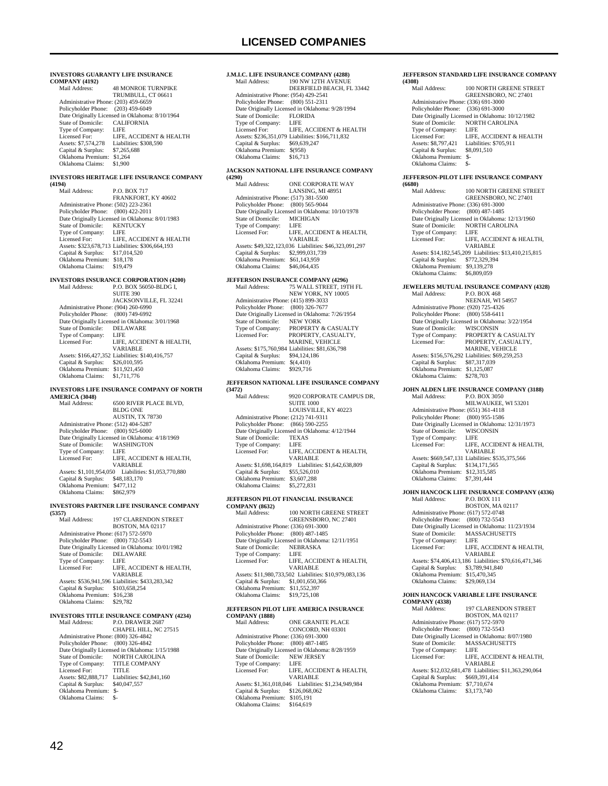**INVESTORS GUARANTY LIFE INSURANCE COMPANY (4192) 48 MONROE TURNPIKE**  TRUMBULL, CT 06611 Administrative Phone: (203) 459-6659 Policyholder Phone: (203) 459-6049 Patte Originally Licensed in Oklahoma: 8/10/1964<br>State of Domicile: CALIFORNIA State of Domicile: CALI<br>Type of Company: LIFE Type of Company:<br>Licensed For:<br>Assets: \$7.574.278 LIFE, ACCIDENT & HEALTH Liabilities: \$308,590<br>\$7,265,688 Capital  $&$  Surplus: Oklahoma Premium: \$1,264 Oklahoma Claims: \$1,900 **INVESTORS HERITAGE LIFE INSURANCE COMPANY (4194)** P.O. BOX 717 FRANKFORT, KY 40602 Administrative Phone: (502) 223-2361 Policyholder Phone: (800) 422-2011 Date Originally Licensed in Oklahoma: 8/01/1983 State of Domicile: KENTUCKY<br>Type of Company: LIFE Type of Company:<br>Licensed For: LIFE, ACCIDENT & HEALTH Assets: \$323,678,713 Liabilities: \$306,664,193 Capital & Surplus: \$17,014,520 Oklahoma Premium: \$18,178 Oklahoma Claims: \$19,479 **INVESTORS INSURANCE CORPORATION (4200)**<br>Mail Address: P.O. BOX 56050-BLDG L P.O. BOX 56050-BLDG I, SUITE 390 JACKSONVILLE, FL 32241 Administrative Phone: (904) 260-6990 Policyholder Phone: (800) 749-6992 Date Originally Licensed in Oklahoma: 3/01/1968<br>State of Domicile: DELAWARE State of Domicile: DELA<br>Type of Company: LIFE Type of Company:<br>Licensed For: LIFE, ACCIDENT & HEALTH, VARIABLE Assets: \$166,427,352 Liabilities: \$140,416,757 Capital & Surplus: \$26,010,595 Oklahoma Premium: \$11,921,450 Oklahoma Claims: \$1,711,776 **INVESTORS LIFE INSURANCE COMPANY OF NORTH AMERICA (3048)** 6500 RIVER PLACE BLVD, BLDG ONE AUSTIN, TX 78730 Administrative Phone: (512) 404-5287 Policyholder Phone: (800) 925-6000 Date Originally Licensed in Oklahoma: 4/18/1969<br>State of Domicile: WASHINGTON WASHINGTON<br>LIFE Type of Company:<br>Licensed For: LIFE, ACCIDENT & HEALTH, VARIABLE Assets: \$1,101,954,050 Liabilities: \$1,053,770,880 Capital & Surplus: \$48,183,170 Oklahoma Premium: \$477,112 Oklahoma Claims: \$862,979 **INVESTORS PARTNER LIFE INSURANCE COMPANY (5357)** 197 CLARENDON STREET BOSTON, MA 02117 Administrative Phone: (617) 572-5970 Policyholder Phone: (800) 732-5543 Date Originally Licensed in Oklahoma: 10/01/1982<br>State of Domicile: DELAWARE State of Domicile: DELA<br>Type of Company: LIFE Type of Company:<br>Licensed For: LIFE, ACCIDENT & HEALTH, VARIABLE Assets: \$536,941,596 Liabilities: \$433,283,342 Capital & Surplus: \$103,658,254 Oklahoma Premium: \$16,238 Oklahoma Claims: \$29,782 **INVESTORS TITLE INSURANCE COMPANY (4234)**<br>Mail Address: P.O. DRAWER 2687 P.O. DRAWER 2687 CHAPEL HILL, NC 27515 Administrative Phone: (800) 326-4842 Policyholder Phone: (800) 326-4842 Date Originally Licensed in Oklahoma: 1/15/1988<br>State of Domicile: NORTH CAROLINA NORTH CAROLINA<br>TITLE COMPANY Type of Company: Licensed For: TITLE Assets: \$82,888,717 Liabilities: \$42,841,160

## **J.M.I.C. LIFE INSURANCE COMPANY (4288)** 190 NW 12TH AVENUE

```
 DEERFIELD BEACH, FL 33442 
    Administrative Phone: (954) 429-2541 
   Policyholder Phone: (800) 551-2311
   Date Originally Licensed in Oklahoma: 9/28/1994<br>State of Domicile: FLORIDA
   State of Domicile:
   Type of Company:<br>Licensed For:
                           LIFE<br>LIFE, ACCIDENT & HEALTH
    Assets: $236,351,079 Liabilities: $166,711,832 
 Capital & Surplus: $69,639,247 
 Oklahoma Premium: $(958) 
    Oklahoma Claims: $16,713
```
#### **JACKSON NATIONAL LIFE INSURANCE COMPANY (4290)**

| (4290)                               |                                                        |
|--------------------------------------|--------------------------------------------------------|
| Mail Address:                        | <b>ONE CORPORATE WAY</b>                               |
|                                      | LANSING, MI 48951                                      |
| Administrative Phone: (517) 381-5500 |                                                        |
| Policyholder Phone: (800) 565-9044   |                                                        |
|                                      | Date Originally Licensed in Oklahoma: 10/10/1978       |
| State of Domicile:                   | <b>MICHIGAN</b>                                        |
| Type of Company:                     | LIFE                                                   |
| Licensed For:                        | LIFE, ACCIDENT & HEALTH,                               |
|                                      | <b>VARIABLE</b>                                        |
|                                      | Assets: \$49,322,123,036 Liabilities: \$46,323,091,297 |
| Capital & Surplus:                   | \$2,999,031,739                                        |
| Oklahoma Premium:                    | \$61,143,959                                           |
| Oklahoma Claims:                     | \$46,064,435                                           |
|                                      |                                                        |

## **JEFFERSON INSURANCE COMPANY (4296)**

| Mail Address:                        | 75 WALL STREET, 19TH FL                         |
|--------------------------------------|-------------------------------------------------|
|                                      | NEW YORK, NY 10005                              |
| Administrative Phone: (415) 899-3033 |                                                 |
| Policyholder Phone:                  | $(800)$ 326-7677                                |
|                                      | Date Originally Licensed in Oklahoma: 7/26/1954 |
| State of Domicile:                   | <b>NEW YORK</b>                                 |
| Type of Company:                     | <b>PROPERTY &amp; CASUALTY</b>                  |
| Licensed For:                        | PROPERTY, CASUALTY,                             |
|                                      | <b>MARINE, VEHICLE</b>                          |
|                                      | Assets: \$175,760,984 Liabilities: \$81,636,798 |
| Capital & Surplus:                   | \$94,124,186                                    |
| Oklahoma Premium:                    | \$(4,410)                                       |
| Oklahoma Claims:                     | \$929,716                                       |
|                                      |                                                 |

## **JEFFERSON NATIONAL LIFE INSURANCE COMPANY**

| (3472)                               |                                                 |
|--------------------------------------|-------------------------------------------------|
| Mail Address:                        | 9920 CORPORATE CAMPUS DR,                       |
|                                      | <b>SUITE 1000</b>                               |
|                                      | LOUISVILLE, KY 40223                            |
| Administrative Phone: (212) 741-9311 |                                                 |
| Policyholder Phone: (866) 590-2255   |                                                 |
|                                      | Date Originally Licensed in Oklahoma: 4/12/1944 |
| State of Domicile:                   | <b>TEXAS</b>                                    |
| Type of Company:                     | - LIFE                                          |
| Licensed For:                        | LIFE. ACCIDENT & HEALTH.                        |
|                                      | <b>VARIABLE</b>                                 |
| Assets: \$1,698,164,819              | Liabilities: \$1,642,638,809                    |
| Capital & Surplus:                   | \$55,526,010                                    |
| Oklahoma Premium:                    | \$3,607,288                                     |
| Oklahoma Claims:                     | \$5,272,831                                     |
|                                      |                                                 |

## **JEFFERSON PILOT FINANCIAL INSURANCE**

| <b>COMPANY (8632)</b>                |                                                        |
|--------------------------------------|--------------------------------------------------------|
| Mail Address:                        | 100 NORTH GREENE STREET                                |
|                                      | <b>GREENSBORO, NC 27401</b>                            |
| Administrative Phone: (336) 691-3000 |                                                        |
| Policyholder Phone: (800) 487-1485   |                                                        |
|                                      | Date Originally Licensed in Oklahoma: 12/11/1951       |
| State of Domicile:                   | <b>NEBRASKA</b>                                        |
| Type of Company:                     | LIFE.                                                  |
| Licensed For:                        | LIFE, ACCIDENT & HEALTH,                               |
|                                      | <b>VARIARLE</b>                                        |
|                                      | Assets: \$11,980,733,502 Liabilities: \$10,979,083,136 |
| Capital & Surplus:                   | \$1,001,650,366                                        |
| Oklahoma Premium:                    | \$11,552,397                                           |
| Oklahoma Claims:                     | \$19,725,108                                           |
|                                      |                                                        |

#### **JEFFERSON PILOT LIFE AMERICA INSURANCE COMPANY (1888)**

| Mail Address:                        | <b>ONE GRANITE PLACE</b>                        |
|--------------------------------------|-------------------------------------------------|
|                                      | CONCORD, NH 03301                               |
| Administrative Phone: (336) 691-3000 |                                                 |
| Policyholder Phone:                  | $(800)$ 487-1485                                |
|                                      | Date Originally Licensed in Oklahoma: 8/28/1959 |
| State of Domicile:                   | <b>NEW JERSEY</b>                               |
| Type of Company:                     | LIFE                                            |
| Licensed For:                        | LIFE, ACCIDENT & HEALTH.                        |
|                                      | <b>VARIABLE</b>                                 |
| Assets: \$1,361,018,046              | Liabilities: \$1,234,949,984                    |
| Capital & Surplus:                   | \$126,068,062                                   |
| Oklahoma Premium:                    | \$105.191                                       |
| Oklahoma Claims:                     | \$164,619                                       |
|                                      |                                                 |

#### **JEFFERSON STANDARD LIFE INSURANCE COMPANY (4308)**

| Mail Address:                        | 100 NORTH GREENE STREET                          |
|--------------------------------------|--------------------------------------------------|
|                                      | <b>GREENSBORO, NC 27401</b>                      |
| Administrative Phone: (336) 691-3000 |                                                  |
| Policyholder Phone:                  | $(336) 691 - 3000$                               |
|                                      | Date Originally Licensed in Oklahoma: 10/12/1982 |
| State of Domicile:                   | NORTH CAROLINA                                   |
| Type of Company:                     | LIFE                                             |
| Licensed For:                        | LIFE. ACCIDENT & HEALTH                          |
| Assets: \$8,797,421                  | Liabilities: \$705,911                           |
| Capital & Surplus:                   | \$8,091,510                                      |
| Oklahoma Premium:                    | \$-                                              |
| Oklahoma Claims:                     | \$-                                              |
|                                      |                                                  |

#### **JEFFERSON-PILOT LIFE INSURANCE COMPANY (6680)**

| (6680)                                     |                                                                          |  |
|--------------------------------------------|--------------------------------------------------------------------------|--|
| Mail Address:                              | 100 NORTH GREENE STREET<br>GREENSBORO, NC 27401                          |  |
| Administrative Phone: (336) 691-3000       |                                                                          |  |
| Policyholder Phone:                        | $(800)$ 487-1485                                                         |  |
|                                            | Date Originally Licensed in Oklahoma: 12/13/1960                         |  |
| State of Domicile:                         | <b>NORTH CAROLINA</b>                                                    |  |
| Type of Company:<br>Licensed For:          | <b>LIFE</b><br>LIFE, ACCIDENT & HEALTH,                                  |  |
|                                            | VARIABLE                                                                 |  |
| Capital & Surplus:                         | Assets: \$14,182,545,209 Liabilities: \$13,410,215,815<br>\$772,329,394  |  |
| Oklahoma Premium:                          | \$9,139,278                                                              |  |
| Oklahoma Claims:                           | \$6,809,059                                                              |  |
|                                            | JEWELERS MUTUAL INSURANCE COMPANY (4328)                                 |  |
| Mail Address:                              | P.O. BOX 468                                                             |  |
|                                            | NEENAH, WI 54957                                                         |  |
| Administrative Phone: (920) 725-4326       |                                                                          |  |
| Policyholder Phone:                        | $(800)$ 558-6411<br>Date Originally Licensed in Oklahoma: 3/22/1954      |  |
| State of Domicile:                         | <b>WISCONSIN</b>                                                         |  |
| Type of Company:                           | PROPERTY & CASUALTY                                                      |  |
| Licensed For:                              | PROPERTY, CASUALTY,                                                      |  |
|                                            | <b>MARINE, VEHICLE</b>                                                   |  |
|                                            | Assets: \$156,576,292 Liabilities: \$69,259,253                          |  |
| Capital & Surplus:                         | \$87,317,039                                                             |  |
| Oklahoma Premium:                          | \$1,125,087                                                              |  |
| Oklahoma Claims:                           | \$278,703                                                                |  |
|                                            | JOHN ALDEN LIFE INSURANCE COMPANY (3188)                                 |  |
| Mail Address:                              | P.O. BOX 3050                                                            |  |
|                                            | MILWAUKEE, WI 53201                                                      |  |
| Administrative Phone: (651) 361-4118       |                                                                          |  |
| Policyholder Phone: (800) 955-1586         |                                                                          |  |
| State of Domicile:                         | Date Originally Licensed in Oklahoma: 12/31/1973<br><b>WISCONSIN</b>     |  |
| Type of Company:                           | LIFE                                                                     |  |
| Licensed For:                              | LIFE, ACCIDENT & HEALTH,                                                 |  |
|                                            | VARIABLE                                                                 |  |
|                                            | Assets: \$669,547,131 Liabilities: \$535,375,566                         |  |
| Capital & Surplus:                         | \$134,171,565                                                            |  |
| Oklahoma Premium:                          | \$12,315,585                                                             |  |
| Oklahoma Claims:                           | \$7,391,444                                                              |  |
| JOHN HANCOCK LIFE INSURANCE COMPANY (4336) |                                                                          |  |
| Mail Address:                              | P.O. BOX 111                                                             |  |
|                                            | BOSTON, MA 02117                                                         |  |
| Administrative Phone: (617) 572-0748       |                                                                          |  |
| Policyholder Phone:                        | (800) 732-5543                                                           |  |
| <b>State of Domicile:</b>                  | Date Originally Licensed in Oklahoma: 11/23/1934<br><b>MASSACHUSETTS</b> |  |
| Type of Company:                           | LIFE                                                                     |  |
| Licensed For:                              | LIFE, ACCIDENT & HEALTH,                                                 |  |
|                                            | VARIABLE                                                                 |  |
|                                            | Assets: \$74,406,413,186 Liabilities: \$70,616,471,346                   |  |
| Capital & Surplus:                         | \$3,789,941,840                                                          |  |
| Oklahoma Premium:                          | \$15,470,345                                                             |  |
| Oklahoma Claims:                           | \$29,069,134                                                             |  |
| <b>COMPANY (4338)</b>                      | JOHN HANCOCK VARIABLE LIFE INSURANCE                                     |  |

| <b>COMPANY (4338)</b>                |                                                        |
|--------------------------------------|--------------------------------------------------------|
| Mail Address:                        | 197 CLARENDON STREET                                   |
|                                      | <b>BOSTON, MA 02117</b>                                |
| Administrative Phone: (617) 572-5970 |                                                        |
| Policyholder Phone:                  | $(800)$ 732-5543                                       |
|                                      | Date Originally Licensed in Oklahoma: 8/07/1980        |
| State of Domicile:                   | <b>MASSACHUSETTS</b>                                   |
| Type of Company:                     | LIFE                                                   |
| Licensed For:                        | LIFE. ACCIDENT & HEALTH.                               |
|                                      | <b>VARIABLE</b>                                        |
|                                      | Assets: \$12,032,681,478 Liabilities: \$11,363,290,064 |
| Capital & Surplus:                   | \$669,391,414                                          |
| Oklahoma Premium:                    | \$7,710,674                                            |
| Oklahoma Claims:                     | \$3,173,740                                            |
|                                      |                                                        |

Capital & Surplus: \$40,047,557 Oklahoma Premium: \$- Oklahoma Claims: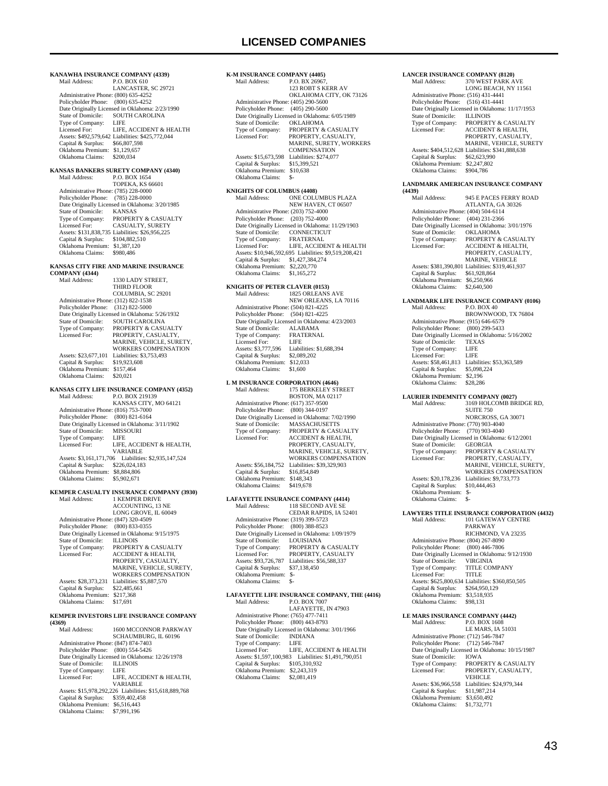**KANAWHA INSURANCE COMPANY (4339)**<br>Mail Address: P.O. BOX 610 P.O. BOX 610 LANCASTER, SC 29721 Administrative Phone: (800) 635-4252 Policyholder Phone: (800) 635-4252 Date Originally Licensed in Oklahoma: 2/23/1990<br>State of Domicile: SOUTH CAROLINA SOUTH CAROLINA Type of Company:<br>Licensed For LIFE<br>LIFE, ACCIDENT & HEALTH Assets: \$492,579,642 Liabilities: \$425,772,044 Capital & Surplus: \$66,807,598 Oklahoma Premium: \$1,129,657 Oklahoma Claims: \$200,034 **KANSAS BANKERS SURETY COMPANY (4340)**<br>Mail Address: P.O. BOX 1654 Mail Address: P.O. BOX 1654 TOPEKA, KS 66601 Administrative Phone: (785) 228-0000 Policyholder Phone: (785) 228-0000 Date Originally Licensed in Oklahoma: 3/20/1985 State of Domicile: KANSAS<br>Tvpe of Company: PROPERTY RANSAS<br>PROPERTY & CASUALTY Licensed For: CASUALTY, SURETY Assets: \$131,838,735 Liabilities: \$26,956,225 Capital & Surplus: \$104,882,510 Oklahoma Premium: \$1,387,120<br>Oklahoma Claims: \$980,486 Oklahoma Claims: **KANSAS CITY FIRE AND MARINE INSURANCE COMPANY (4344)** 1330 LADY STREET THIRD FLOOR COLUMBIA, SC 29201 Administrative Phone: (312) 822-1538 Policyholder Phone: (312) 822-5000 Date Originally Licensed in Oklahoma: 5/26/1932<br>State of Domicile: SOUTH CAROUNA State of Domicile: SOUTH CAROLINA<br>Type of Company: PROPERTY & CASU Type of Company: PROPERTY & CASUALTY<br>Licensed For: PROPERTY, CASUALTY, Licensed For: PROPERTY, CASUALTY, MARINE, VEHICLE, SURETY, WORKERS COMPENSATION Assets: \$23,677,101 Liabilities: \$3,753,493<br>Capital & Surplus: \$19,923,608 Capital & Surplus: Oklahoma Premium: \$157,464 Oklahoma Claims: \$20,021 **KANSAS CITY LIFE INSURANCE COMPANY (4352)**<br>Mail Address: P.O. BOX 219139 P.O. BOX 219139 KANSAS CITY, MO 64121 Administrative Phone: (816) 753-7000 Policyholder Phone: (800) 821-6164 Date Originally Licensed in Oklahoma: 3/11/1902<br>State of Domicile: MISSOURI State of Domicile: MISSO<br>Type of Company: LIFE Type of Company:<br>Licensed For: LIFE, ACCIDENT & HEALTH, VARIABLE Assets: \$3,161,171,706 Liabilities: \$2,935,147,524 Capital & Surplus: \$226,024,183 Oklahoma Premium: \$8,884,806 Oklahoma Claims: \$5,902,671 **KEMPER CASUALTY INSURANCE COMPANY (3930)**<br>Mail Address: 1 KEMPER DRIVE 1 KEMPER DRIVE ACCOUNTING, 13 NE LONG GROVE, IL 60049 Administrative Phone: (847) 320-4509 Policyholder Phone: (800) 833-0355 Date Originally Licensed in Oklahoma: 9/15/1975 State of Domicile: ILLINOIS Type of Company: PROPERTY & CASUALTY<br>Licensed For: ACCIDENT & HEALTH, PROPERTY, CASUALTY, MARINE, VEHICLE, SURETY, WORKERS COMPENSATION Assets: \$28,373,231 Liabilities: \$5,887,570<br>Capital & Surplus: \$22,485,661 Capital & Surplus: \$22,485,661 Oklahoma Premium: \$217,368 Oklahoma Claims: \$17,691 **KEMPER INVESTORS LIFE INSURANCE COMPANY (4369)** 1600 MCCONNOR PARKWAY SCHAUMBURG, IL 60196 Administrative Phone: (847) 874-7403

Policyholder Phone: (800) 554-5426 Date Originally Licensed in Oklahoma: 12/26/1978<br>State of Domicile: ILLINOIS State of Domicile: ILLIN<br>Type of Company: LIFE Type of Company:<br>Licensed For: LIFE, ACCIDENT & HEALTH, VARIABLE Assets: \$15,978,292,226 Liabilities: \$15,618,889,768 Capital & Surplus: \$359,402,458 Oklahoma Premium: \$6,516,443 Oklahoma Claims: \$7,991,196

#### **K-M INSURANCE COMPANY (4405)**<br>Mail Address: P.O. BX 26967 P.O. BX 26967, 123 ROBT S KERR AV OKLAHOMA CITY, OK 73126 Administrative Phone: (405) 290-5600 Policyholder Phone: (405) 290-5600 Pate Originally Licensed in Oklahoma: 6/05/1989<br>State of Domicile: OKLAHOMA State of Domicile:<br>Type of Company: Type of Company: PROPERTY & CASUALTY<br>Licensed For: PROPERTY. CASUALTY. PROPERTY, CASUALTY, MARINE, SURETY, WORKERS COMPENSATION Assets: \$15,673,598 Liabilities: \$274,077<br>Capital & Surplus: \$15,399,521 Capital & Surplus: \$15,399,521 Oklahoma Premium: \$10,638 Oklahoma Claims: \$-

## **KNIGHTS OF COLUMBUS (4408)** Mail Address: ONE COLUMBUS PLAZA NEW HAVEN, CT 06507 Administrative Phone: (203) 752-4000 Policyholder Phone: (203) 752-4000 Date Originally Licensed in Oklahoma: 11/29/1903<br>State of Domicile: CONNECTICUT State of Domicile: CONNECTICUType of Company: FRATERNAL Type of Company: Licensed For: LIFE, ACCIDENT & HEALTH Assets: \$10,946,592,695 Liabilities: \$9,519,208,421 Capital & Surplus: \$1,427,384,274 Oklahoma Premium: \$2,220,770 Oklahoma Claims: \$1,165,272

## **KNIGHTS OF PETER CLAVER (0153)**

| Mail Address:                        | <b>1825 ORLEANS AVE</b>                         |
|--------------------------------------|-------------------------------------------------|
|                                      | NEW ORLEANS, LA 70116                           |
| Administrative Phone: (504) 821-4225 |                                                 |
| Policyholder Phone: (504) 821-4225   |                                                 |
|                                      | Date Originally Licensed in Oklahoma: 4/23/2003 |
| State of Domicile:                   | <b>ALABAMA</b>                                  |
| Type of Company:                     | <b>FRATERNAL</b>                                |
| Licensed For:                        | LIFE                                            |
| Assets: \$3,777,596                  | Liabilities: \$1,688,394                        |
| Capital & Surplus:                   | \$2,089,202                                     |
| Oklahoma Premium:                    | \$12,033                                        |
| Oklahoma Claims:                     | \$1,600                                         |
|                                      |                                                 |

#### **L M INSURANCE CORPORATION (4646)** Mail Address: 175 BERKELEY STREET

| 11.0111.71111.77                     |                                                 |
|--------------------------------------|-------------------------------------------------|
|                                      | <b>BOSTON, MA 02117</b>                         |
| Administrative Phone: (617) 357-9500 |                                                 |
| Policyholder Phone: (800) 344-0197   |                                                 |
|                                      | Date Originally Licensed in Oklahoma: 7/02/1990 |
| State of Domicile:                   | <b>MASSACHUSETTS</b>                            |
| Type of Company:                     | <b>PROPERTY &amp; CASUALTY</b>                  |
| Licensed For:                        | <b>ACCIDENT &amp; HEALTH.</b>                   |
|                                      | PROPERTY, CASUALTY,                             |
|                                      | MARINE, VEHICLE, SURETY.                        |
|                                      | <b>WORKERS COMPENSATION</b>                     |
| Assets: \$56,184,752                 | Liabilities: \$39,329,903                       |
| Capital & Surplus:                   | \$16,854,849                                    |
| Oklahoma Premium:                    | \$148,343                                       |
| Oklahoma Claims:                     | \$419,678                                       |
|                                      |                                                 |

## **LAFAYETTE INSURANCE COMPANY (4414)**

| Mail Address:                        | 118 SECOND AVE SE                               |
|--------------------------------------|-------------------------------------------------|
|                                      | CEDAR RAPIDS, IA 52401                          |
| Administrative Phone: (319) 399-5723 |                                                 |
| Policyholder Phone: (800) 388-8523   |                                                 |
|                                      | Date Originally Licensed in Oklahoma: 1/09/1979 |
| State of Domicile:                   | <b>LOUISIANA</b>                                |
| Type of Company:                     | <b>PROPERTY &amp; CASUALTY</b>                  |
| Licensed For:                        | PROPERTY, CASUALTY                              |
| Assets: \$93,726,787                 | Liabilities: \$56,588,337                       |
| Capital & Surplus:                   | \$37,138,450                                    |
| Oklahoma Premium:                    | \$-                                             |
| Oklahoma Claims:                     | \$-                                             |

#### **LAFAYETTE LIFE INSURANCE COMPANY, THE (4416)**<br>Moil Address: BO BOY 7007  $P \cap ROX$

| внан жишсээ.                         | <b>EAL DOLA ADU</b>                             |
|--------------------------------------|-------------------------------------------------|
|                                      | LAFAYETTE, IN 47903                             |
| Administrative Phone: (765) 477-7411 |                                                 |
| Policyholder Phone: (800) 443-8793   |                                                 |
|                                      | Date Originally Licensed in Oklahoma: 3/01/1966 |
| State of Domicile:                   | <b>INDIANA</b>                                  |
| Type of Company:                     | LIFE                                            |
| Licensed For:                        | LIFE, ACCIDENT & HEALTH                         |
| Assets: \$1,597,100,983              | Liabilities: \$1,491,790,051                    |
| Capital & Surplus:                   | \$105,310,932                                   |
| Oklahoma Premium:                    | \$2,243,319                                     |
| Oklahoma Claims:                     | \$2,081,419                                     |
|                                      |                                                 |

### Policyholder Phone: (516) 431-4441 Date Originally Licensed in Oklahoma: 11/17/1953<br>State of Domicile: ILLINOIS State of Domicile:<br>Type of Company: Type of Company: PROPERTY & CASUALTY<br>Licensed For: ACCIDENT & HEALTH ACCIDENT & HEALTH PROPERTY, CASUALTY, MARINE, VEHICLE, SURETY<br>Assets: \$404,512,628 Liabilities: \$341,888,638 Capital & Surplus: \$62,623,990 Oklahoma Premium: \$2,247,802 Oklahoma Claims: \$904,786 **LANDMARK AMERICAN INSURANCE COMPANY (4439)** 945 E PACES FERRY ROAD ATLANTA, GA 30326 Administrative Phone: (404) 504-6114 Policyholder Phone: (404) 231-2366 Date Originally Licensed in Oklahoma: 3/01/1976<br>State of Domicile: OKLAHOMA State of Domicile:<br>Type of Company: Type of Company: PROPERTY & CASUALTY<br>Licensed For: ACCIDENT & HEALTH, Licensed For: ACCIDENT & HEALTH, PROPERTY, CASUALTY, MARINE, VEHICLE Assets: \$381,390,801 Liabilities: \$319,461,937 Capital & Surplus: \$61,928,864 Oklahoma Premium: \$6,250,966 Oklahoma Claims: \$2,640,500 **LANDMARK LIFE INSURANCE COMPANY (0106)** Mail Address: P.O. BOX 40 BROWNWOOD, TX 76804 Administrative Phone: (915) 646-6579 Policyholder Phone: (800) 299-5433 Date Originally Licensed in Oklahoma: 5/16/2002 State of Domicile: TEXAS Type of Company: LIFE<br>Licensed For: LIFE Licensed For: Assets: \$58,461,813 Liabilities: \$53,363,589<br>Capital & Surplus: \$5,098,224 Capital & Surplus: Oklahoma Premium: \$2,196<br>Oklahoma Claims: \$28,286 Oklahoma Claims:

**LANCER INSURANCE COMPANY (8120)**<br>Mail Address: 370 WEST PARK A

Administrative Phone: (516) 431-4441

370 WEST PARK AVE LONG BEACH, NY 11561

### **LAURIER INDEMNITY COMPANY (0027)**

| Mail Address:                        | 3169 HOLCOMB BRIDGE RD.                         |
|--------------------------------------|-------------------------------------------------|
|                                      |                                                 |
|                                      | <b>SUITE 750</b>                                |
|                                      | NORCROSS, GA 30071                              |
| Administrative Phone: (770) 903-4040 |                                                 |
| Policyholder Phone: (770) 903-4040   |                                                 |
|                                      | Date Originally Licensed in Oklahoma: 6/12/2001 |
| State of Domicile:                   | <b>GEORGIA</b>                                  |
| Type of Company:                     | <b>PROPERTY &amp; CASUALTY</b>                  |
| Licensed For:                        | PROPERTY, CASUALTY,                             |
|                                      | MARINE, VEHICLE, SURETY.                        |
|                                      | <b>WORKERS COMPENSATION</b>                     |
| Assets: \$20,178,236                 | Liabilities: \$9,733,773                        |
| Capital & Surplus:                   | \$10,444,463                                    |
| Oklahoma Premium:                    | \$-                                             |
| Oklahoma Claims:                     | \$-                                             |
|                                      |                                                 |

#### **LAWYERS TITLE INSURANCE CORPORATION (4432)** Mail Address: 101 GATEWAY CENTRE

PARKWAY RICHMOND, VA 23235 Administrative Phone: (804) 267-8090 Policyholder Phone: (800) 446-7806 Date Originally Licensed in Oklahoma: 9/12/1930 State of Domicile: VIRGINIA<br>Type of Company: TITLE COMPANY Type of Company: TITLE<br>Licensed For: TITLE Licensed For: Assets: \$625,800,634 Liabilities: \$360,850,505 Capital & Surplus: \$264,950,129 Oklahoma Premium: \$3,518,935 Oklahoma Claims: \$98,131

# **LE MARS INSURANCE COMPANY (4442)**<br>Mail Address: P.O. BOX 1608

Mail Address: LE MARS, IA 51031 Administrative Phone: (712) 546-7847 Policyholder Phone: (712) 546-7847 Date Originally Licensed in Oklahoma: 10/15/1987 State of Domicile:<br>Type of Company: State of Domicile: <br>Type of Company: PROPERTY & CASUALTY<br>Licensed For: PROPERTY, CASUALTY, PROPERTY, CASUALTY, **VEHICLE**  Assets: \$36,966,558 Liabilities: \$24,979,344 Capital & Surplus: \$11,987,214 Oklahoma Premium: \$3,650,492 Oklahoma Claims: \$1,732,771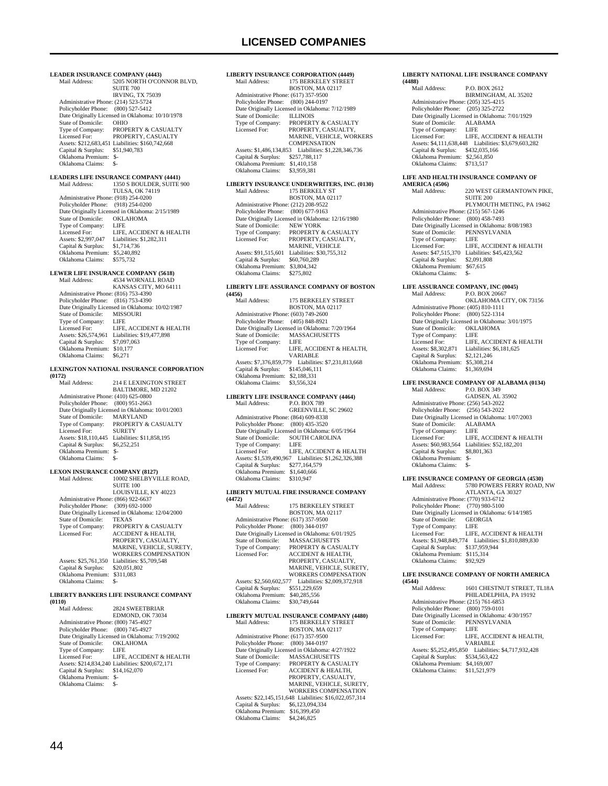**LEADER INSURANCE COMPANY (4443)**<br>Mail Address: 5205 NORTH O'COL

5205 NORTH O'CONNOR BLVD, SUITE 700 IRVING, TX 75039 Administrative Phone: (214) 523-5724 Policyholder Phone: (800) 527-5412 Date Originally Licensed in Oklahoma: 10/10/1978 State of Domicile: OHIO<br>Type of Company: PROPERTY & CASUALTY Licensed For: PROPERTY, CASUALTY Assets: \$212,683,451 Liabilities: \$160,742,668 Capital & Surplus: \$51,940,783 Oklahoma Premium: \$- Oklahoma Claims: \$-

## **LEADERS LIFE INSURANCE COMPANY (4441)**

Mail Address: 1350 S BOULDER, SUITE 900 TULSA, OK 74119 Administrative Phone: (918) 254-0200 Policyholder Phone: (918) 254-0200 Date Originally Licensed in Oklahoma: 2/15/1989 State of Domicile: OKLAHOMA Type of Company: LIFE<br>Licensed For: LIFE. Licensed For: LIFE, ACCIDENT & HEALTH<br>Assets: \$2,997,047 Liabilities: \$1,282,311 Liabilities: \$1,282,311<br>\$1,714,736 Capital & Surplus: Oklahoma Premium: \$5,240,892 Oklahoma Claims: \$575,732

# **LEWER LIFE INSURANCE COMPANY (5618)**<br>Mail Address: 4534 WORNALL ROAD

4534 WORNALL ROAD KANSAS CITY, MO 64111 Administrative Phone: (816) 753-4390 Policyholder Phone: (816) 753-4390 Date Originally Licensed in Oklahoma: 10/02/1987 State of Domicile: MISSOURI Type of Company:<br>Licensed For: LIFE, ACCIDENT & HEALTH Assets: \$26,574,961 Liabilities: \$19,477,898<br>Capital & Surplus: \$7,097,063 Capital & Surplus: \$7,097,063 Oklahoma Premium: \$10,177 Oklahoma Claims: \$6,271

### **LEXINGTON NATIONAL INSURANCE CORPORATION**

**(0172)** 214 E LEXINGTON STREET BALTIMORE, MD 21202 Administrative Phone: (410) 625-0800 Policyholder Phone: (800) 951-2663 Date Originally Licensed in Oklahoma: 10/01/2003<br>State of Domicile: MARYLAND State of Domicile:<br>Type of Company: PROPERTY & CASUALTY Licensed For: SURETY Assets: \$18,110,445 Liabilities: \$11,858,195 Capital & Surplus: \$6,252,251 Oklahoma Premium: \$- Oklahoma Claims: \$-

#### **LEXON INSURANCE COMPANY (8127)**<br>Mail Address: 10002 SHEI BYVII  $10002$  SHELBYVILLE ROAD

| тени сминала.                        | TUUUZ SITEEB I VIEEE KUAD.                       |
|--------------------------------------|--------------------------------------------------|
|                                      | <b>SUITE 100</b>                                 |
|                                      | LOUISVILLE, KY 40223                             |
| Administrative Phone: (866) 922-6637 |                                                  |
| Policyholder Phone:                  | $(309)$ 692-1000                                 |
|                                      | Date Originally Licensed in Oklahoma: 12/04/2000 |
| State of Domicile:                   | <b>TEXAS</b>                                     |
| Type of Company:                     | PROPERTY & CASUALTY                              |
| Licensed For:                        | <b>ACCIDENT &amp; HEALTH.</b>                    |
|                                      | PROPERTY, CASUALTY,                              |
|                                      | MARINE, VEHICLE, SURETY.                         |
|                                      | WORKERS COMPENSATION                             |
| Assets: \$25,761.350                 | Liabilities: \$5,709,548                         |
| Capital & Surplus:                   | \$20,051,802                                     |
| Oklahoma Premium:                    | \$311.083                                        |
| Oklahoma Claims:                     | \$-                                              |

### **LIBERTY BANKERS LIFE INSURANCE COMPANY**

2824 SWEETBRIAR

**(0110)**

|                                      | EDMOND, OK 73034                                 |
|--------------------------------------|--------------------------------------------------|
| Administrative Phone: (800) 745-4927 |                                                  |
| Policyholder Phone: (800) 745-4927   |                                                  |
|                                      | Date Originally Licensed in Oklahoma: 7/19/2002  |
| State of Domicile:                   | <b>OKLAHOMA</b>                                  |
| Type of Company:                     | LIFE                                             |
| Licensed For:                        | LIFE, ACCIDENT & HEALTH                          |
|                                      | Assets: \$214,834,240 Liabilities: \$200,672,171 |
| Capital & Surplus:                   | \$14,162,070                                     |
| Oklahoma Premium:                    | $S-$                                             |
| Oklahoma Claims:                     | \$-                                              |
|                                      |                                                  |

### **LIBERTY INSURANCE CORPORATION (4449)**<br>Mail Address: 175 BERKELEY STREET 175 BERKELEY STREET BOSTON, MA 02117 Administrative Phone: (617) 357-9500 Policyholder Phone: (800) 244-0197 Date Originally Licensed in Oklahoma: 7/12/1989<br>State of Domicile: ILLINOIS State of Domicile:<br>Type of Company: Type of Company: PROPERTY & CASUALTY<br>Licensed For: PROPERTY CASUALTY PROPERTY, CASUALTY MARINE, VEHICLE, WORKERS **COMPENSATION**  Assets: \$1,486,134,853 Liabilities: \$1,228,346,736 Capital & Surplus: \$257,788,117 Oklahoma Premium: \$1,410,158 Oklahoma Claims: \$3,959,381

### **LIBERTY INSURANCE UNDERWRITERS, INC. (0130)** 175 BERKELY ST BOSTON, MA 02117 Administrative Phone: (212) 208-9522 Policyholder Phone: (800) 677-9163 Date Originally Licensed in Oklahoma: 12/16/1980 State of Domicile: NEW YORK

|                      | 1.1.77<br>.               |
|----------------------|---------------------------|
| Type of Company:     | PROPERTY & CASUALTY       |
| Licensed For:        | PROPERTY, CASUALTY,       |
|                      | <b>MARINE, VEHICLE</b>    |
| Assets: \$91.515.601 | Liabilities: \$30,755,312 |
| Capital & Surplus:   | \$60,760,289              |
| Oklahoma Premium:    | \$3,804,342               |
| Oklahoma Claims:     | \$275.802                 |
|                      |                           |

#### **LIBERTY LIFE ASSURANCE COMPANY OF BOSTON (4456)**

| (4450)                               |                                                 |
|--------------------------------------|-------------------------------------------------|
| Mail Address:                        | 175 BERKELEY STREET                             |
|                                      | <b>BOSTON, MA 02117</b>                         |
| Administrative Phone: (603) 749-2600 |                                                 |
| Policyholder Phone: (405) 848-8921   |                                                 |
|                                      | Date Originally Licensed in Oklahoma: 7/20/1964 |
| State of Domicile:                   | <b>MASSACHUSETTS</b>                            |
| Type of Company:                     | LIFE                                            |
| Licensed For:                        | LIFE, ACCIDENT & HEALTH.                        |
|                                      | VARIABLE                                        |
| Assets: \$7,376,859,779              | Liabilities: \$7,231,813,668                    |
| Capital & Surplus:                   | \$145,046.111                                   |
| Oklahoma Premium:                    | \$2,188,331                                     |
| Oklahoma Claims:                     | \$3,556,324                                     |

## **LIBERTY LIFE INSURANCE COMPANY (4464)**

|                                      | LIBERTY LIFE INSURANCE COMPANY (4464)           |
|--------------------------------------|-------------------------------------------------|
| Mail Address:                        | P.O. BOX 789                                    |
|                                      | <b>GREENVILLE, SC 29602</b>                     |
| Administrative Phone: (864) 609-8338 |                                                 |
| Policyholder Phone: (800) 435-3520   |                                                 |
|                                      | Date Originally Licensed in Oklahoma: 6/05/1964 |
| State of Domicile:                   | <b>SOUTH CAROLINA</b>                           |
| Type of Company:                     | LIFE                                            |
| Licensed For:                        | LIFE. ACCIDENT & HEALTH                         |
| Assets: \$1,539,490,967              | Liabilities: \$1,262,326,388                    |
| Capital & Surplus:                   | \$277,164,579                                   |
| Oklahoma Premium:                    | \$1,640,666                                     |
| Oklahoma Claims:                     | \$310,947                                       |
|                                      |                                                 |

#### **LIBERTY MUTUAL FIRE INSURANCE COMPANY (4472)**

| (4472)                               |                                                 |
|--------------------------------------|-------------------------------------------------|
| Mail Address:                        | <b>175 BERKELEY STREET</b>                      |
|                                      | <b>BOSTON, MA 02117</b>                         |
| Administrative Phone: (617) 357-9500 |                                                 |
| Policyholder Phone:                  | $(800)$ 344-0197                                |
|                                      | Date Originally Licensed in Oklahoma: 6/01/1925 |
| State of Domicile:                   | <b>MASSACHUSETTS</b>                            |
| Type of Company:                     | PROPERTY & CASUALTY                             |
| Licensed For:                        | <b>ACCIDENT &amp; HEALTH.</b>                   |
|                                      | PROPERTY, CASUALTY,                             |
|                                      | MARINE, VEHICLE, SURETY.                        |
|                                      | <b>WORKERS COMPENSATION</b>                     |
| Assets: \$2,560,602,577              | Liabilities: \$2,009,372,918                    |
| Capital & Surplus:                   | \$551.229.659                                   |
| Oklahoma Premium:                    | \$40,285,556                                    |
| Oklahoma Claims:                     | \$30,749,644                                    |
|                                      |                                                 |

#### **LIBERTY MUTUAL INSURANCE COMPANY (4480)**<br>Mail Address: 175 BERKELEY STREET 175 BERKELEY STREET

|                                      | <b>BOSTON, MA 02117</b>                                |
|--------------------------------------|--------------------------------------------------------|
| Administrative Phone: (617) 357-9500 |                                                        |
| Policyholder Phone:                  | $(800)$ 344-0197                                       |
|                                      | Date Originally Licensed in Oklahoma: 4/27/1922        |
| State of Domicile:                   | <b>MASSACHUSETTS</b>                                   |
| Type of Company:                     | PROPERTY & CASUALTY                                    |
| Licensed For:                        | <b>ACCIDENT &amp; HEALTH.</b>                          |
|                                      | PROPERTY, CASUALTY,                                    |
|                                      | MARINE, VEHICLE, SURETY,                               |
|                                      | WORKERS COMPENSATION                                   |
|                                      | Assets: \$22,145,151,648 Liabilities: \$16,022,057,314 |
| Capital & Surplus:                   | \$6,123,094,334                                        |
| Oklahoma Premium:                    | \$16,399,450                                           |
| Oklahoma Claims:                     | \$4,246,825                                            |
|                                      |                                                        |

## **LIBERTY NATIONAL LIFE INSURANCE COMPANY (4488)**

P.O. BOX 2612 BIRMINGHAM, AL 35202 Administrative Phone: (205) 325-4215 Policyholder Phone: (205) 325-2722 Date Originally Licensed in Oklahoma: 7/01/1929 State of Domicile: ALABAMA Type of Company: LIFE Licensed For: LIFE, ACCIDENT & HEALTH Assets: \$4,111,638,448 Liabilities: \$3,679,603,282 Capital & Surplus: \$432,035,166 Oklahoma Premium: \$2,561,850 Oklahoma Claims: \$713,517

### **LIFE AND HEALTH INSURANCE COMPANY OF**

**AMERICA (4506)** 220 WEST GERMANTOWN PIKE, SUITE 200 PLYMOUTH METING, PA 19462 Administrative Phone: (215) 567-1246 Policyholder Phone: (800) 458-7493 Date Originally Licensed in Oklahoma: 8/08/1983<br>State of Domicile: PENNSYLVANIA PENNSYLVANIA<br>LIFE Type of Company: LIFE<br>
Licensed For: LIFE, ACCIDENT & HEALTH Licensed For: LIFE, ACCIDENT & HEALTH Assets: \$47,515,370 Liabilities: \$45,423,562 Capital & Surplus: \$2,091,808 Oklahoma Premium: \$67,615 Oklahoma Claims: \$-

# **LIFE ASSURANCE COMPANY, INC (0045)** Mail Address: P.O. BOX 20667

 OKLAHOMA CITY, OK 73156 Administrative Phone: (405) 810-1111 Policyholder Phone: (800) 522-1314 Date Originally Licensed in Oklahoma: 3/01/1975<br>State of Domicile: OKLAHOMA State of Domicile: OKL<br>Type of Company: LIFE Type of Company:<br>Licensed For: Licensed For: LIFE, ACCIDENT & HEALTH<br>Assets: \$8,302,871 Liabilities: \$6,181,625 Liabilities: \$6,181,625<br>\$2,121,246 Capital & Surplus: Oklahoma Premium: \$5,308,214 Oklahoma Claims:

#### **LIFE INSURANCE COMPANY OF ALABAMA (0134)**<br>Mail Address: P.O. BOX 349 P.O. BOX 349

 GADSEN, AL 35902 Administrative Phone: (256) 543-2022 Policyholder Phone: (256) 543-2022 Date Originally Licensed in Oklahoma: 1/07/2003 State of Domicile: ALABAMA Type of Company: LIFE<br>Licensed For: LIFE, ACCIDENT & HEALTH Licensed For: LIFE, ACCIDENT & HEALTH Assets: \$60,983,564 Liabilities: \$52,182,201 Capital & Surplus: \$8,801,363 Oklahoma Premium: \$- Oklahoma Claims: \$-

# **LIFE INSURANCE COMPANY OF GEORGIA (4530)**<br>Mail Address: 5780 POWERS FERRY ROAD.

5780 POWERS FERRY ROAD, NW ATLANTA, GA 30327 Administrative Phone: (770) 933-6712 Policyholder Phone: (770) 980-5100 Date Originally Licensed in Oklahoma: 6/14/1985<br>State of Domicile: GEORGIA State of Domicile: GEOI<br>Type of Company: LIFE Type of Company: LIFE<br>
Licensed For: LIFE, ACCIDENT & HEALTH Licensed For: LIFE, ACCIDENT & HEALTH Assets: \$1,948,849,774 Liabilities: \$1,810,889,830 Capital & Surplus: \$137,959,944 Oklahoma Premium: \$115,314 Oklahoma Claims: \$92,929

#### **LIFE INSURANCE COMPANY OF NORTH AMERICA (4544)**

| (4344)                               |                                                 |
|--------------------------------------|-------------------------------------------------|
| Mail Address:                        | 1601 CHESTNUT STREET, TL18A                     |
|                                      | PHILADELPHIA, PA 19192                          |
| Administrative Phone: (215) 761-6853 |                                                 |
| Policyholder Phone: (800) 759-0101   |                                                 |
|                                      | Date Originally Licensed in Oklahoma: 4/30/1957 |
| State of Domicile:                   | PENNSYLVANIA                                    |
| Type of Company:                     | LIFE                                            |
| Licensed For:                        | LIFE. ACCIDENT & HEALTH.                        |
|                                      | <b>VARIABLE</b>                                 |
| Assets: \$5,252,495,850              | Liabilities: \$4,717,932,428                    |
| Capital & Surplus:                   | \$534.563.422                                   |
| Oklahoma Premium: \$4.169,007        |                                                 |
| Oklahoma Claims:                     | \$11,521,979                                    |
|                                      |                                                 |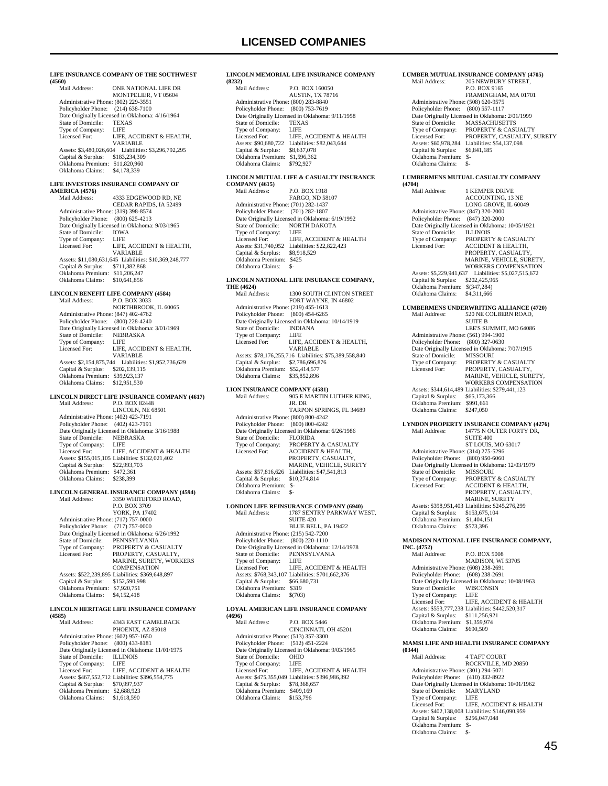|                                                                            | LIFE INSURANCE COMPANY OF THE SOUTHWEST                            |
|----------------------------------------------------------------------------|--------------------------------------------------------------------|
| (4560)<br>Mail Address:                                                    | ONE NATIONAL LIFE DR<br>MONTPELIER, VT 05604                       |
| Administrative Phone: (802) 229-3551                                       |                                                                    |
| Policyholder Phone: (214) 638-7100                                         |                                                                    |
| State of Domicile:                                                         | Date Originally Licensed in Oklahoma: 4/16/1964<br><b>TEXAS</b>    |
| Type of Company:                                                           | <b>LIFE</b>                                                        |
| Licensed For:                                                              | LIFE, ACCIDENT & HEALTH,<br>VARIABLE                               |
| Assets: \$3,480,026,604                                                    | Liabilities: \$3,296,792,295                                       |
| Capital & Surplus:<br>Oklahoma Premium: \$11,820,960                       | \$183,234,309                                                      |
| Oklahoma Claims:                                                           | \$4,178,339                                                        |
|                                                                            |                                                                    |
|                                                                            | LIFE INVESTORS INSURANCE COMPANY OF                                |
| <b>AMERICA (4576)</b><br>Mail Address:                                     | 4333 EDGEWOOD RD, NE                                               |
|                                                                            | CEDAR RAPIDS, IA 52499                                             |
| Administrative Phone: (319) 398-8574                                       |                                                                    |
| Policyholder Phone: (800) 625-4213                                         | Date Originally Licensed in Oklahoma: 9/03/1965                    |
| State of Domicile:                                                         | IOWA                                                               |
| Type of Company:                                                           | LIFE                                                               |
| Licensed For:                                                              | LIFE, ACCIDENT & HEALTH,                                           |
|                                                                            | VARIABLE<br>Assets: \$11,080,631,645 Liabilities: \$10,369,248,777 |
| Capital & Surplus: \$711,382,868                                           |                                                                    |
| Oklahoma Premium: \$11,206,247                                             |                                                                    |
| Oklahoma Claims:                                                           | \$10,641,856                                                       |
| LINCOLN BENEFIT LIFE COMPANY (4584)                                        |                                                                    |
| Mail Address:                                                              | P.O. BOX 3033                                                      |
|                                                                            | NORTHBROOK, IL 60065                                               |
| Administrative Phone: (847) 402-4762<br>Policyholder Phone: (800) 228-4240 |                                                                    |
|                                                                            | Date Originally Licensed in Oklahoma: 3/01/1969                    |
| State of Domicile:                                                         | NEBRASKA                                                           |
| Type of Company:<br>Licensed For:                                          | LIFE<br>LIFE, ACCIDENT & HEALTH,                                   |
|                                                                            | VARIABLE                                                           |
|                                                                            | Assets: \$2,154,875,744 Liabilities: \$1,952,736,629               |
| Capital & Surplus: \$202,139,115                                           |                                                                    |
| Oklahoma Premium: \$39,923,137<br>Oklahoma Claims: \$12,951,530            |                                                                    |
|                                                                            | LINCOLN DIRECT LIFE INSURANCE COMPANY (4617)                       |
| Mail Address:                                                              | P.O. BOX 82448                                                     |
|                                                                            | LINCOLN, NE 68501                                                  |
| Administrative Phone: (402) 423-7191                                       |                                                                    |
| Policyholder Phone: (402) 423-7191                                         | Date Originally Licensed in Oklahoma: 3/16/1988                    |
| State of Domicile:                                                         | NEBRASKA                                                           |
| Type of Company:                                                           | LIFE<br>LIFE, ACCIDENT & HEALTH                                    |
| Licensed For:                                                              |                                                                    |
|                                                                            |                                                                    |
| Capital & Surplus: \$22,993,703                                            | Assets: \$155,015,105 Liabilities: \$132,021,402                   |
| Oklahoma Premium: \$472,361                                                |                                                                    |
| Oklahoma Claims:                                                           | \$238,399                                                          |
|                                                                            | LINCOLN GENERAL INSURANCE COMPANY (4594)                           |
| Mail Address:                                                              | 3350 WHITEFORD ROAD,                                               |
|                                                                            | P.O. BOX 3709                                                      |
|                                                                            | YORK, PA 17402                                                     |
| Administrative Phone: (717) 757-0000<br>Policyholder Phone:                | $(717)$ 757-0000                                                   |
|                                                                            | Date Originally Licensed in Oklahoma: 6/26/1992                    |
| State of Domicile:                                                         | PENNSYLVANIA                                                       |
| Type of Company:<br>Licensed For:                                          | PROPERTY & CASUALTY<br>PROPERTY, CASUALTY,                         |
|                                                                            | MARINE, SURETY, WORKERS                                            |
|                                                                            | COMPENSATION                                                       |
| Capital & Surplus:                                                         | Assets: \$522,239,895 Liabilities: \$369,648,897<br>\$152,590,998  |
| Oklahoma Premium: \$7,920,751                                              |                                                                    |
| Oklahoma Claims:                                                           | \$4,152,418                                                        |
|                                                                            |                                                                    |
| (4585)                                                                     | LINCOLN HERITAGE LIFE INSURANCE COMPANY                            |
| Mail Address:                                                              | 4343 EAST CAMELBACK                                                |
|                                                                            | PHOENIX, AZ 85018                                                  |
| Administrative Phone: (602) 957-1650<br>Policyholder Phone:                | $(800)$ 433-8181                                                   |
|                                                                            | Date Originally Licensed in Oklahoma: 11/01/1975                   |
| State of Domicile:                                                         | <b>ILLINOIS</b>                                                    |
| Type of Company:<br>Licensed For:                                          | LIFE<br>LIFE, ACCIDENT & HEALTH                                    |

 Capital & Surplus: \$70,997,937 Oklahoma Premium: \$2,688,923 Oklahoma Claims: \$1,618,590

#### **LINCOLN MEMORIAL LIFE INSURANCE COMPANY (8232)**

| (8434)                               |                                                 |
|--------------------------------------|-------------------------------------------------|
| Mail Address:                        | P.O. BOX 160050                                 |
|                                      | <b>AUSTIN, TX 78716</b>                         |
| Administrative Phone: (800) 283-8840 |                                                 |
| Policyholder Phone: (800) 753-7619   |                                                 |
|                                      | Date Originally Licensed in Oklahoma: 9/11/1958 |
| State of Domicile:                   | <b>TEXAS</b>                                    |
| Type of Company:                     | LIFE                                            |
| Licensed For:                        | LIFE. ACCIDENT & HEALTH                         |
| Assets: \$90,680,722                 | Liabilities: \$82,043,644                       |
| Capital & Surplus:                   | \$8,637,078                                     |
| Oklahoma Premium:                    | \$1,596,362                                     |
| Oklahoma Claims:                     | \$792.927                                       |
|                                      |                                                 |

## **LINCOLN MUTUAL LIFE & CASUALTY INSURANCE**

**COMPANY (4615)** P.O. BOX 1918 FARGO, ND 58107 Administrative Phone: (701) 282-1437 Policyholder Phone: (701) 282-1807 Date Originally Licensed in Oklahoma: 6/19/1992 State of Domicile: NORTH DAKOTA<br>Type of Company: LIFE Type of Company: LIFE<br>Licensed For: LIFE, ACCIDENT & HEALTH Licensed For: LIFE, ACCIDENT & HEALTH Assets: \$31,740,952 Liabilities: \$22,822,423 Capital & Surplus: \$8,918,529 Oklahoma Premium: \$425 Oklahoma Claims: \$-

## **LINCOLN NATIONAL LIFE INSURANCE COMPANY,**

**THE (4624)** 1300 SOUTH CLINTON STREET FORT WAYNE, IN 46802 Administrative Phone: (219) 455-1613 Policyholder Phone: (800) 454-6265 Date Originally Licensed in Oklahoma: 10/14/1919 State of Domicile: INDIA<br>Type of Company: LIFE Type of Company:<br>Licensed For: LIFE, ACCIDENT & HEALTH, VARIABLE Assets: \$78,176,255,716 Liabilities: \$75,389,558,840 Capital & Surplus: \$2,786,696,876 Oklahoma Premium: \$52,414,577 Oklahoma Claims: \$35,852,896

## **LION INSURANCE COMPANY (4581)**

| Mail Address:                        | 905 E MARTIN LUTHER KING.                       |
|--------------------------------------|-------------------------------------------------|
|                                      | JR. DR                                          |
|                                      | <b>TARPON SPRINGS, FL 34689</b>                 |
| Administrative Phone: (800) 800-4242 |                                                 |
| Policyholder Phone: (800) 800-4242   |                                                 |
|                                      | Date Originally Licensed in Oklahoma: 6/26/1986 |
| State of Domicile:                   | <b>FLORIDA</b>                                  |
| Type of Company:                     | PROPERTY & CASUALTY                             |
| Licensed For:                        | <b>ACCIDENT &amp; HEALTH,</b>                   |
|                                      | PROPERTY, CASUALTY,                             |
|                                      | <b>MARINE, VEHICLE, SURETY</b>                  |
| Assets: \$57,816,626                 | Liabilities: \$47,541,813                       |
| Capital & Surplus:                   | \$10,274,814                                    |
| Oklahoma Premium:                    | \$-                                             |
| Oklahoma Claims:                     | \$-                                             |

## **LONDON LIFE REINSURANCE COMPANY (6940)**<br>Mail Address: 1787 SENTRY PARKWAY W Mail Address: 1787 SENTRY PARKWAY WEST, SUITE 420 BLUE BELL, PA 19422

 Administrative Phone: (215) 542-7200 Policyholder Phone: (800) 220-1110 Date Originally Licensed in Oklahoma: 12/14/1978 State of Domicile: PENNSYLVANIA Type of Company: LIFE Licensed For: LIFE, ACCIDENT & HEALTH Assets: \$768,343,107 Liabilities: \$701,662,376 Capital & Surplus: \$66,680,731 Oklahoma Premium: \$319 Oklahoma Claims: \$(703)

#### **LOYAL AMERICAN LIFE INSURANCE COMPANY (4696)**

| (4070) |                                      |                                                  |
|--------|--------------------------------------|--------------------------------------------------|
|        | Mail Address:                        | <b>P.O. BOX 5446</b>                             |
|        |                                      | CINCINNATI, OH 45201                             |
|        | Administrative Phone: (513) 357-3300 |                                                  |
|        | Policyholder Phone: (512) 451-2224   |                                                  |
|        |                                      | Date Originally Licensed in Oklahoma: 9/03/1965  |
|        | State of Domicile:                   | <b>OHIO</b>                                      |
|        | Type of Company:                     | LIFE                                             |
|        | Licensed For:                        | LIFE, ACCIDENT & HEALTH                          |
|        |                                      | Assets: \$475,355,049 Liabilities: \$396,986,392 |
|        | Capital & Surplus:                   | \$78,368,657                                     |
|        | Oklahoma Premium:                    | \$409,169                                        |
|        | Oklahoma Claims:                     | \$153,796                                        |
|        |                                      |                                                  |

#### **LUMBER MUTUAL INSURANCE COMPANY (4705)**<br>Mail Address: 205 NEWBURY STREET, **205 NEWBURY STREET,**

|                                      | P.O. BOX 9165                                   |
|--------------------------------------|-------------------------------------------------|
|                                      | FRAMINGHAM, MA 01701                            |
| Administrative Phone: (508) 620-9575 |                                                 |
| Policyholder Phone: (800) 557-1117   |                                                 |
|                                      | Date Originally Licensed in Oklahoma: 2/01/1999 |
| State of Domicile:                   | <b>MASSACHUSETTS</b>                            |
| Type of Company:                     | PROPERTY & CASUALTY                             |
| Licensed For:                        | PROPERTY, CASUALTY, SURETY                      |
| Assets: \$60,978,284                 | Liabilities: \$54,137,098                       |
| Capital & Surplus:                   | \$6,841.185                                     |
| Oklahoma Premium:                    | \$-                                             |
| Oklahoma Claims:                     | \$-                                             |
|                                      |                                                 |

#### **LUMBERMENS MUTUAL CASUALTY COMPANY (4704)**

| , , , , , ,                          |                                                  |
|--------------------------------------|--------------------------------------------------|
| Mail Address:                        | 1 KEMPER DRIVE                                   |
|                                      | <b>ACCOUNTING, 13 NE</b>                         |
|                                      | LONG GROVE, IL 60049                             |
| Administrative Phone: (847) 320-2000 |                                                  |
| Policyholder Phone:                  | $(847)$ 320-2000                                 |
|                                      | Date Originally Licensed in Oklahoma: 10/05/1921 |
| State of Domicile:                   | <b>ILLINOIS</b>                                  |
| Type of Company:                     | <b>PROPERTY &amp; CASUALTY</b>                   |
| Licensed For:                        | <b>ACCIDENT &amp; HEALTH.</b>                    |
|                                      | PROPERTY, CASUALTY.                              |
|                                      | MARINE, VEHICLE, SURETY.                         |
|                                      | <b>WORKERS COMPENSATION</b>                      |
| Assets: \$5,229,941,637              | Liabilities: \$5,027,515,672                     |
| Capital & Surplus:                   | \$202,425,965                                    |
| Oklahoma Premium:                    | \$(347,284)                                      |
| Oklahoma Claims:                     | \$4,311,666                                      |
|                                      |                                                  |

#### **LUMBERMENS UNDERWRITING ALLIANCE (4720)**<br>Mail Address: 520 NE COLBERN ROAD, 520 NE COLBERN ROAD, SUITE B LEE'S SUMMIT, MO 64086 Administrative Phone: (561) 994-1900 Policyholder Phone: (800) 327-0630 Find Originally Licensed in Oklahoma: 7/07/1915<br>State of Domicile: MISSOURI State of Domicile:<br>Type of Company: Type of Company: PROPERTY & CASUALTY<br>Licensed For: PROPERTY, CASUALTY, PROPERTY, CASUALTY, MARINE, VEHICLE, SURETY WORKERS COMPENSATION Assets: \$344,614,489 Liabilities: \$279,441,123

 Capital & Surplus: \$65,173,366 Oklahoma Premium: \$991,661 Oklahoma Claims: \$247,050

## **LYNDON PROPERTY INSURANCE COMPANY (4276)**<br>Mail Address: 14775 N OUTER FORTY DR, Mail Address: 14775 N OUTER FORTY DR, SUITE 400 ST LOUIS, MO 63017 Administrative Phone: (314) 275-5296

| Policyholder Phone: (800) 950-6060 |                                                  |
|------------------------------------|--------------------------------------------------|
|                                    | Date Originally Licensed in Oklahoma: 12/03/1979 |
| State of Domicile:                 | <b>MISSOURI</b>                                  |
| Type of Company:                   | PROPERTY & CASUALTY                              |
| Licensed For:                      | <b>ACCIDENT &amp; HEALTH.</b>                    |
|                                    | PROPERTY, CASUALTY,                              |
|                                    | <b>MARINE, SURETY</b>                            |
|                                    | Assets: \$398,951,403 Liabilities: \$245,276,299 |
| Capital & Surplus:                 | \$153,675,104                                    |
| Oklahoma Premium:                  | \$1,404,151                                      |
| Oklahoma Claims:                   | \$573.396                                        |

## **MADISON NATIONAL LIFE INSURANCE COMPANY,**

**INC. (4752)** P.O. BOX 5008 MADISON, WI 53705 Administrative Phone: (608) 238-2691 Policyholder Phone: (608) 238-2691 Date Originally Licensed in Oklahoma: 10/08/1963 State of Domicile: WISCONSIN Type of Company: LIFE<br>
Licensed For: LIFE, ACCIDENT & HEALTH Licensed For: LIFE, ACCIDENT & HEALTH Assets: \$553,777,238 Liabilities: \$442,520,317 Capital & Surplus: \$111,256,921 Oklahoma Premium: \$1,359,974 Oklahoma Claims: \$690,509

## **MAMSI LIFE AND HEALTH INSURANCE COMPANY (0344)**

**4 TAFT COURT**  ROCKVILLE, MD 20850 Administrative Phone: (301) 294-5071 Policyholder Phone: (410) 332-8922 Date Originally Licensed in Oklahoma: 10/01/1962 State of Domicile: MARYLAND Type of Company: LIFE Licensed For: LIFE, ACCIDENT & HEALTH Assets: \$402,138,008 Liabilities: \$146,090,959 Capital & Surplus: \$256,047,048 Oklahoma Premium: \$- Oklahoma Claims: \$-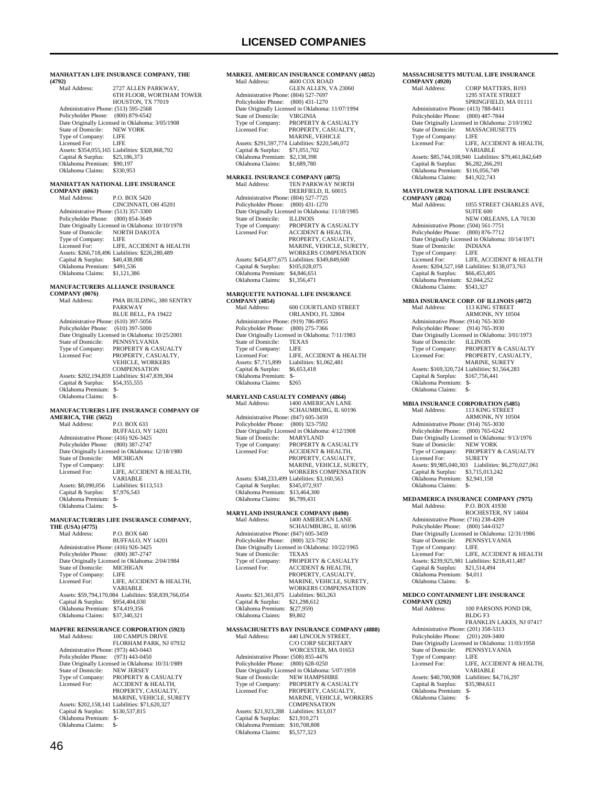#### **MANHATTAN LIFE INSURANCE COMPANY, THE (4792)**

| 147221 |                                      |                                                  |
|--------|--------------------------------------|--------------------------------------------------|
|        | Mail Address:                        | 2727 ALLEN PARKWAY,                              |
|        |                                      | <b>6TH FLOOR. WORTHAM TOWER</b>                  |
|        |                                      | HOUSTON, TX 77019                                |
|        | Administrative Phone: (513) 595-2568 |                                                  |
|        | Policyholder Phone: (800) 879-6542   |                                                  |
|        |                                      | Date Originally Licensed in Oklahoma: 3/05/1908  |
|        | State of Domicile:                   | <b>NEW YORK</b>                                  |
|        | Type of Company:                     | LIFE                                             |
|        | Licensed For:                        | LIFE                                             |
|        |                                      | Assets: \$354,055,165 Liabilities: \$328,868,792 |
|        | Capital & Surplus:                   | \$25,186,373                                     |
|        | Oklahoma Premium:                    | \$90,197                                         |
|        | Oklahoma Claims:                     | \$330,953                                        |
|        |                                      |                                                  |

## **MANHATTAN NATIONAL LIFE INSURANCE**

|  |  |  | <b>COMPANY (6063)</b> |
|--|--|--|-----------------------|
|  |  |  |                       |

| Mail Address:                        | P.O. BOX 5420                                    |
|--------------------------------------|--------------------------------------------------|
|                                      | CINCINNATI, OH 45201                             |
| Administrative Phone: (513) 357-3300 |                                                  |
| Policyholder Phone: (800) 854-3649   |                                                  |
|                                      | Date Originally Licensed in Oklahoma: 10/10/1978 |
| State of Domicile:                   | NORTH DAKOTA                                     |
| Type of Company:                     | LIFE                                             |
| Licensed For:                        | LIFE, ACCIDENT & HEALTH                          |
|                                      | Assets: \$266,718,496 Liabilities: \$226,280,489 |
| Capital & Surplus:                   | \$40,438,008                                     |
| Oklahoma Premium:                    | \$491.536                                        |
| Oklahoma Claims:                     | \$1,121,386                                      |
|                                      |                                                  |

#### **MANUFACTURERS ALLIANCE INSURANCE COMPANY (0076)**

| Mail Address:                        | PMA BUILDING, 380 SENTRY                         |
|--------------------------------------|--------------------------------------------------|
|                                      | PARKWAY                                          |
|                                      | <b>BLUE BELL, PA 19422</b>                       |
| Administrative Phone: (610) 397-5056 |                                                  |
| Policyholder Phone: (610) 397-5000   |                                                  |
|                                      | Date Originally Licensed in Oklahoma: 10/25/2001 |
| State of Domicile:                   | PENNSYLVANIA                                     |
| Type of Company:                     | <b>PROPERTY &amp; CASUALTY</b>                   |
| Licensed For:                        | PROPERTY, CASUALTY.                              |
|                                      | <b>VEHICLE, WORKERS</b>                          |
|                                      | <b>COMPENSATION</b>                              |
|                                      | Assets: \$202,194,859 Liabilities: \$147,839,304 |
| Capital & Surplus:                   | \$54,355,555                                     |
| Oklahoma Premium:                    | s-                                               |
| Oklahoma Claims:                     | $S-$                                             |
|                                      |                                                  |
|                                      | MANUFACTURERS LIFE INSURANCE COMPANY (           |

# **MANUFACTURERS LIFE INSURANCE COMPANY OF AMERICA, THE (5652)**

Mail Address: P.O. BOX 633 BUFFALO, NY 14201 Administrative Phone: (416) 926-3425 Policyholder Phone: (800) 387-2747 Date Originally Licensed in Oklahoma: 12/18/1980 State of Domicile: MICHIGAN Type of Company: LIFE<br>Licensed For: LIFE, LIFE, ACCIDENT & HEALTH, VARIABLE<br>
Assets: \$8,090,056 Liabilities: \$113,513 Capital & Surplus: \$7,976,543 Oklahoma Premium: \$- Oklahoma Claims:

### **MANUFACTURERS LIFE INSURANCE COMPANY,**

**THE (USA) (4775)**

| Mail Address:                        | P.O. BOX 640                                           |
|--------------------------------------|--------------------------------------------------------|
|                                      | BUFFALO, NY 14201                                      |
| Administrative Phone: (416) 926-3425 |                                                        |
| Policyholder Phone:                  | $(800)$ 387-2747                                       |
|                                      | Date Originally Licensed in Oklahoma: 2/04/1984        |
| State of Domicile:                   | <b>MICHIGAN</b>                                        |
| Type of Company:                     | LIFE                                                   |
| Licensed For:                        | LIFE. ACCIDENT & HEALTH.                               |
|                                      | <b>VARIABLE</b>                                        |
|                                      | Assets: \$59,794,170,084 Liabilities: \$58,839,766,054 |
| Capital & Surplus:                   | \$954,404,030                                          |
| Oklahoma Premium:                    | \$74,419,356                                           |
| Oklahoma Claims:                     | \$37,340,321                                           |
|                                      |                                                        |

## **MAPFRE REINSURANCE CORPORATION (5923)**

| Mail Address:                        | 100 CAMPUS DRIVE                                 |
|--------------------------------------|--------------------------------------------------|
|                                      | FLORHAM PARK, NJ 07932                           |
| Administrative Phone: (973) 443-0443 |                                                  |
| Policyholder Phone: (973) 443-0450   |                                                  |
|                                      | Date Originally Licensed in Oklahoma: 10/31/1989 |
| State of Domicile:                   | <b>NEW JERSEY</b>                                |
| Type of Company:                     | <b>PROPERTY &amp; CASUALTY</b>                   |
| Licensed For:                        | <b>ACCIDENT &amp; HEALTH,</b>                    |
|                                      | PROPERTY, CASUALTY,                              |
|                                      | <b>MARINE, VEHICLE, SURETY</b>                   |
|                                      | Assets: \$202,158,141 Liabilities: \$71,620,327  |
| Capital & Surplus:                   | \$130,537,815                                    |
| Oklahoma Premium:                    | S-                                               |
| Oklahoma Claims:                     | \$-                                              |
|                                      |                                                  |

## **MARKEL AMERICAN INSURANCE COMPANY (4852)**

| Mail Address:                        | 4600 COX ROAD                                    |
|--------------------------------------|--------------------------------------------------|
|                                      | GLEN ALLEN. VA 23060                             |
| Administrative Phone: (804) 527-7697 |                                                  |
| Policyholder Phone: (800) 431-1270   |                                                  |
|                                      | Date Originally Licensed in Oklahoma: 11/07/1994 |
| State of Domicile:                   | <b>VIRGINIA</b>                                  |
| Type of Company:                     | <b>PROPERTY &amp; CASUALTY</b>                   |
| Licensed For:                        | PROPERTY, CASUALTY,                              |
|                                      | <b>MARINE, VEHICLE</b>                           |
|                                      | Assets: \$291,597,774 Liabilities: \$220,546,072 |
| Capital & Surplus:                   | \$71,051,702                                     |
| Oklahoma Premium:                    | \$2,138,398                                      |
| Oklahoma Claims:                     | \$1,689,780                                      |

### **MARKEL INSURANCE COMPANY (4075)**

| Mail Address:                        | <b>TEN PARKWAY NORTH</b>                         |
|--------------------------------------|--------------------------------------------------|
|                                      | DEERFIELD, IL 60015                              |
| Administrative Phone: (804) 527-7725 |                                                  |
| Policyholder Phone:                  | $(800)$ 431-1270                                 |
|                                      | Date Originally Licensed in Oklahoma: 11/18/1985 |
| State of Domicile:                   | <b>ILLINOIS</b>                                  |
| Type of Company:                     | PROPERTY & CASUALTY                              |
| Licensed For:                        | <b>ACCIDENT &amp; HEALTH.</b>                    |
|                                      | PROPERTY, CASUALTY,                              |
|                                      | MARINE, VEHICLE, SURETY.                         |
|                                      | <b>WORKERS COMPENSATION</b>                      |
|                                      | Assets: \$454,877,675 Liabilities: \$349,849,600 |
| Capital & Surplus:                   | \$105,028,075                                    |
| Oklahoma Premium:                    | \$4,846,651                                      |
| Oklahoma Claims:                     | \$1,356,471                                      |

## **MARQUETTE NATIONAL LIFE INSURANCE**

| <b>COMPANY (4854)</b>                |                                                 |
|--------------------------------------|-------------------------------------------------|
| Mail Address:                        | <b>600 COURTLAND STREET</b>                     |
|                                      | ORLANDO, FL 32804                               |
| Administrative Phone: (919) 786-8955 |                                                 |
| Policyholder Phone: (800) 275-7366   |                                                 |
|                                      | Date Originally Licensed in Oklahoma: 7/11/1983 |
| State of Domicile:                   | <b>TEXAS</b>                                    |
| Type of Company:                     | LIFE                                            |
| Licensed For:                        | LIFE, ACCIDENT & HEALTH                         |
| Assets: \$7,715,899                  | Liabilities: \$1,062,481                        |
| Capital & Surplus:                   | \$6,653,418                                     |
| Oklahoma Premium:                    | \$-                                             |
| Oklahoma Claims:                     | 8265                                            |
|                                      |                                                 |

### **MARYLAND CASUALTY COMPANY (4864)**

| MARYLAND CASUALTY COMPANY (4864)     |                                                 |
|--------------------------------------|-------------------------------------------------|
| Mail Address:                        | 1400 AMERICAN LANE                              |
|                                      | SCHAUMBURG, IL 60196                            |
| Administrative Phone: (847) 605-3459 |                                                 |
| Policyholder Phone: (800) 323-7592   |                                                 |
|                                      | Date Originally Licensed in Oklahoma: 4/12/1908 |
| State of Domicile:                   | <b>MARYLAND</b>                                 |
| Type of Company:                     | <b>PROPERTY &amp; CASUALTY</b>                  |
| Licensed For:                        | <b>ACCIDENT &amp; HEALTH.</b>                   |
|                                      | PROPERTY, CASUALTY,                             |
|                                      | MARINE, VEHICLE, SURETY,                        |
|                                      | <b>WORKERS COMPENSATION</b>                     |
|                                      | Assets: \$348,233,499 Liabilities: \$3,160,563  |
| Capital & Surplus:                   | \$345,072,937                                   |
| Oklahoma Premium:                    | \$13,464,300                                    |
| Oklahoma Claims:                     | \$6,799,431                                     |

## **MARYLAND INSURANCE COMPANY (0490)**

| Mail Address:                        | 1400 AMERICAN LANE                               |
|--------------------------------------|--------------------------------------------------|
|                                      | SCHAUMBURG, IL 60196                             |
| Administrative Phone: (847) 605-3459 |                                                  |
| Policyholder Phone:                  | $(800)$ 323-7592                                 |
|                                      | Date Originally Licensed in Oklahoma: 10/22/1965 |
| State of Domicile:                   | <b>TEXAS</b>                                     |
| Type of Company:                     | <b>PROPERTY &amp; CASUALTY</b>                   |
| Licensed For:                        | <b>ACCIDENT &amp; HEALTH.</b>                    |
|                                      | PROPERTY, CASUALTY,                              |
|                                      | MARINE, VEHICLE, SURETY.                         |
|                                      | <b>WORKERS COMPENSATION</b>                      |
| Assets: \$21,361,875                 | Liabilities: \$63.263                            |
| Capital & Surplus:                   | \$21.298,612                                     |
| Oklahoma Premium:                    | \$(27.959)                                       |
| Oklahoma Claims:                     | \$9,802                                          |
|                                      |                                                  |

## **MASSACHUSETTS BAY INSURANCE COMPANY (4888)**

| Mail Address:                        | 440 LINCOLN STREET.                             |
|--------------------------------------|-------------------------------------------------|
|                                      | C/O CORP SECRETARY                              |
|                                      | WORCESTER, MA 01653                             |
| Administrative Phone: (508) 855-4476 |                                                 |
| Policyholder Phone: (800) 628-0250   |                                                 |
|                                      | Date Originally Licensed in Oklahoma: 5/07/1959 |
| State of Domicile:                   | <b>NEW HAMPSHIRE</b>                            |
| Type of Company:                     | PROPERTY & CASUALTY                             |
| Licensed For:                        | PROPERTY, CASUALTY,                             |
|                                      | <b>MARINE, VEHICLE, WORKERS</b>                 |
|                                      | <b>COMPENSATION</b>                             |
| Assets: \$21,923,288                 | Liabilities: \$13,017                           |
| Capital & Surplus:                   | \$21,910,271                                    |
| Oklahoma Premium:                    | \$10,708,808                                    |
| Oklahoma Claims:                     | \$5,577,323                                     |

### **MASSACHUSETTS MUTUAL LIFE INSURANCE COMPANY (4920)** CORP MATTERS, B193 1295 STATE STREET SPRINGFIELD, MA 01111 Administrative Phone: (413) 788-8411 Policyholder Phone: (800) 487-7844 Date Originally Licensed in Oklahoma: 2/10/1902<br>State of Domicile: MASSACHUSETTS MASSACHUSETTS<br>LIFE Type of Company:<br>Licensed For: LIFE, ACCIDENT & HEALTH, VARIABLE Assets: \$85,744,108,940 Liabilities: \$79,461,842,649 Capital & Surplus: \$6,282,266,291 Oklahoma Premium: \$116,056,749 Oklahoma Claims: \$41,922,743

# **MAYFLOWER NATIONAL LIFE INSURANCE COMPANY (4924)**

| <u>COMILANTI 1724</u>                |                                                  |
|--------------------------------------|--------------------------------------------------|
| Mail Address:                        | 1055 STREET CHARLES AVE.                         |
|                                      | <b>SUITE 600</b>                                 |
|                                      | NEW ORLEANS, LA 70130                            |
| Administrative Phone: (504) 561-7751 |                                                  |
| Policyholder Phone: (800) 876-7712   |                                                  |
|                                      | Date Originally Licensed in Oklahoma: 10/14/1971 |
| State of Domicile:                   | <b>INDIANA</b>                                   |
| Type of Company:                     | LIFE                                             |
| Licensed For:                        | LIFE. ACCIDENT & HEALTH                          |
|                                      | Assets: \$204,527,168 Liabilities: \$138,073,763 |
| Capital & Surplus:                   | \$66,453,405                                     |
| Oklahoma Premium:                    | \$2,044.252                                      |
| Oklahoma Claims:                     | \$543,327                                        |
|                                      |                                                  |

#### **MBIA INSURANCE CORP. OF ILLINOIS (4072)** Mail Address: 113 KING STREET ARMONK, NY 10504 Administrative Phone: (914) 765-3030 Policyholder Phone: (914) 765-3930 Date Originally Licensed in Oklahoma: 3/01/1973<br>State of Domicile: ILLINOIS State of Domicile:<br>Type of Company: Type of Company: PROPERTY & CASUALTY<br>Licensed For: PROPERTY. CASUALTY PROPERTY, CASUALTY, MARINE, SURETY Assets: \$169,320,724 Liabilities: \$1,564,283 Capital & Surplus: \$167,756,441 Oklahoma Premium: \$- Oklahoma Claims: \$-

## **MBIA INSURANCE CORPORATION (5485)**<br>Mail Address: 113 KING STREET Mail Address: 113 KING STREET ARMONK, NY 10504 Administrative Phone: (914) 765-3030 Policyholder Phone: (800) 765-6242 Date Originally Licensed in Oklahoma: 9/13/1976 State of Domicile: NEW YORK<br>Type of Company: PROPERTY & CASUALTY Type of Company: PROPERT<br>Licensed For: SURETY Assets: \$9,985,040,303 Liabilities: \$6,270,027,061

 Capital & Surplus: \$3,715,013,242 Oklahoma Premium: \$2,941,158 Oklahoma Claims: \$-

# **MEDAMERICA INSURANCE COMPANY (7975)**<br>Mail Address: P.O. BOX 41930

P.O. BOX 41930 ROCHESTER, NY 14604 Administrative Phone: (716) 238-4209 Policyholder Phone: (800) 544-0327 Date Originally Licensed in Oklahoma: 12/31/1986 State of Domicile: PENNSYLVANIA Type of Company: LIFE<br>Licensed For: LIFE LIFE, ACCIDENT & HEALTH Assets: \$239,925,981 Liabilities: \$218,411,487 Capital & Surplus: \$21,514,494 Oklahoma Premium: \$4,011 Oklahoma Claims: \$

## **MEDCO CONTAINMENT LIFE INSURANCE**

| <b>COMPANY (3292)</b>                |                                                  |
|--------------------------------------|--------------------------------------------------|
| Mail Address <sup>.</sup>            | 100 PARSONS POND DR.                             |
|                                      | BLDG <sub>F3</sub>                               |
|                                      | FRANKLIN LAKES, NJ 07417                         |
| Administrative Phone: (201) 358-5313 |                                                  |
| Policyholder Phone: (201) 269-3400   |                                                  |
|                                      | Date Originally Licensed in Oklahoma: 11/03/1958 |
| State of Domicile:                   | PENNSYLVANIA                                     |
| Type of Company:                     | LIFE                                             |
| Licensed For:                        | LIFE. ACCIDENT & HEALTH.                         |
|                                      | <b>VARIABLE</b>                                  |
| Assets: \$40,700,908                 | Liabilities: \$4,716,297                         |
| Capital & Surplus:                   | \$35,984,611                                     |
| Oklahoma Premium:                    | $S-$                                             |
| Oklahoma Claims:                     | \$-                                              |
|                                      |                                                  |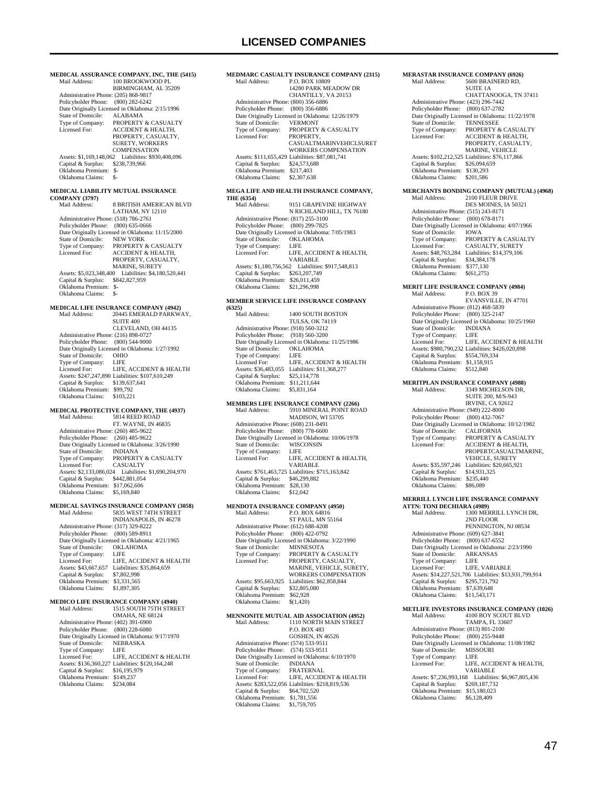## **LICENSED COMPANIES**

**MEDICAL ASSURANCE COMPANY, INC, THE (5415)**<br>Mail Address: 100 BROOKWOOD PL 100 BROOKWOOD PL BIRMINGHAM, AL 35209 Administrative Phone: (205) 868-9817 Policyholder Phone: (800) 282-6242 Date Originally Licensed in Oklahoma: 2/15/1996<br>State of Domicile: ALABAMA State of Domicile:<br>Type of Company: Type of Company: PROPERTY & CASUALTY<br>Licensed For: ACCIDENT & HEALTH **ACCIDENT & HEALTH** PROPERTY, CASUALTY, SURETY, WORKERS COMPENSATION Assets: \$1,169,148,062 Liabilities: \$930,408,096 Capital & Surplus: \$238,739,966 Oklahoma Premium: \$- Oklahoma Claims: \$- **MEDICAL LIABILITY MUTUAL INSURANCE COMPANY (3797)** 8 BRITISH AMERICAN BLVD LATHAM, NY 12110 Administrative Phone: (518) 786-2761 Policyholder Phone: (800) 635-0666 Date Originally Licensed in Oklahoma: 11/15/2000<br>State of Domicile: NEW YORK State of Domicile:<br>Type of Company: Type of Company: PROPERTY & CASUALTY Licensed For: ACCIDENT & HEALTH, PROPERTY, CASUALTY, MARINE, SURETY Assets: \$5,023,348,400 Liabilities: \$4,180,520,441 Capital & Surplus: \$842,827,959 Oklahoma Premium: \$- Oklahoma Claims: \$-**MEDICAL LIFE INSURANCE COMPANY (4942)**<br>Mail Address: 20445 EMERALD PARKW. 20445 EMERALD PARKWAY,  $S$ UITE  $400$  CLEVELAND, OH 44135 Administrative Phone: (216) 898-0727 Policyholder Phone: (800) 544-9000 Date Originally Licensed in Oklahoma: 1/27/1992 State of Domicile: OHIO<br>Type of Company: LIFE Type of Company: LIFE<br>
Licensed For: LIFE, ACCIDENT & HEALTH Licensed For: LIFE, ACCIDENT & HEALTH Assets: \$247,247,890 Liabilities: \$107,610,249 Capital & Surplus: \$139,637,641 Oklahoma Premium: \$99,792 Oklahoma Claims: \$103,221 **MEDICAL PROTECTIVE COMPANY, THE (4937)**<br>Mail Address: 5814 REED ROAD 5814 REED ROAD FT. WAYNE, IN 46835 Administrative Phone: (260) 485-9622 Policyholder Phone: (260) 485-9622 Date Originally Licensed in Oklahoma: 3/26/1990<br>State of Domicile: INDIANA State of Domicile:<br>Type of Company: PROPERTY & CASUALTY Licensed For: CASUALTY Assets: \$2,133,086,024 Liabilities: \$1,690,204,970 Capital & Surplus: \$442,881,054 Oklahoma Premium: \$17,062,606 Oklahoma Claims: \$5,169,840 **MEDICAL SAVINGS INSURANCE COMPANY (3058)**<br>Mail Address: 5835 WEST 74TH STREET Mail Address: 5835 WEST 74TH STREET INDIANAPOLIS, IN 46278 Administrative Phone: (317) 329-8222 Policyholder Phone: (800) 589-8911 Patter Originally Licensed in Oklahoma: 4/21/1965<br>State of Domicile: OKLAHOMA State of Domicile: OKLA<br>Type of Company: LIFE Type of Company:<br>Licensed For: LIFE, ACCIDENT & HEALTH Assets: \$43,667,657 Liabilities: \$35,864,659 Capital & Surplus: \$7,802,998 Oklahoma Premium: \$3,331,565<br>Oklahoma Claims: \$1,897,305 Oklahoma Claims: \$1,897,305 **MEDICO LIFE INSURANCE COMPANY (4940)**<br>Mail Address: 1515 SOUTH 75TH STRE 1515 SOUTH 75TH STREET OMAHA, NE 68124 Administrative Phone: (402) 391-6900 Policyholder Phone: (800) 228-6080 Date Originally Licensed in Oklahoma: 9/17/1970<br>State of Domicile: NEBRASKA State of Domicile: NEBI<br>Type of Company: LIFE Type of Company:<br>Licensed For: LIFE, ACCIDENT & HEALTH Assets: \$136,360,227 Liabilities: \$120,164,248

Capital & Surplus: \$16,195,979 Oklahoma Premium: \$149,237 Oklahoma Claims:

### **MEDMARC CASUALTY INSURANCE COMPANY (2315)**<br>Mail Address: P.O. BOX 10809 P.O. BOX 10809 14280 PARK MEADOW DR CHANTILLY, VA 20153 Administrative Phone: (800) 356-6886 Policyholder Phone: (800) 356-6886 Pate Originally Licensed in Oklahoma: 12/26/1979<br>State of Domicile: VERMONT State of Domicile:<br>Type of Company: Type of Company: PROPERTY & CASUALTY<br>Licensed For: PROPERTY. Licensed For: PROPERTY, CASUALTMARINVEHICLSURET WORKERS COMPENSATION Assets: \$111,655,429 Liabilities: \$87,081,741 Capital & Surplus: \$24,573,688 Oklahoma Premium: \$217,403 Oklahoma Claims: \$2,307,638

#### **MEGA LIFE AND HEALTH INSURANCE COMPANY, THE (6354)**

| Mail Address:                        | 9151 GRAPEVINE HIGHWAY                          |
|--------------------------------------|-------------------------------------------------|
|                                      | N RICHLAND HILL, TX 76180                       |
| Administrative Phone: (817) 255-3100 |                                                 |
| Policyholder Phone: (800) 299-7825   |                                                 |
|                                      | Date Originally Licensed in Oklahoma: 7/05/1983 |
| State of Domicile:                   | <b>OKLAHOMA</b>                                 |
| Type of Company:                     | LIFE                                            |
| Licensed For:                        | LIFE, ACCIDENT & HEALTH,                        |
|                                      | VARIABLE                                        |
| Assets: \$1,180,756,562              | Liabilities: \$917,548,813                      |
| Capital & Surplus:                   | \$263,207,749                                   |
| Oklahoma Premium:                    | \$26,011,459                                    |
| Oklahoma Claims:                     | \$21.296.998                                    |

#### **MEMBER SERVICE LIFE INSURANCE COMPANY (6325)**

| Mail Address:                        | <b>1400 SOUTH BOSTON</b>                         |
|--------------------------------------|--------------------------------------------------|
|                                      | <b>TULSA, OK 74119</b>                           |
| Administrative Phone: (918) 560-3212 |                                                  |
| Policyholder Phone: (918) 560-3200   |                                                  |
|                                      | Date Originally Licensed in Oklahoma: 11/25/1986 |
| State of Domicile:                   | <b>OKLAHOMA</b>                                  |
| Type of Company:                     | LIFE                                             |
| Licensed For:                        | LIFE. ACCIDENT & HEALTH                          |
| Assets: \$36,483,055                 | Liabilities: \$11,368,277                        |
| Capital & Surplus:                   | \$25,114,778                                     |
| Oklahoma Premium:                    | \$11.211.644                                     |
| Oklahoma Claims:                     | \$5,831,164                                      |
|                                      |                                                  |

# **MEMBERS LIFE INSURANCE COMPANY (2266)**<br>Mail Address: 5910 MINERAL POINT ROAD

| внан жинсээ.                         | $\beta$ and interests and experimentally         |
|--------------------------------------|--------------------------------------------------|
|                                      | MADISON, WI 53705                                |
| Administrative Phone: (608) 231-8491 |                                                  |
| Policyholder Phone: (800) 778-6600   |                                                  |
|                                      | Date Originally Licensed in Oklahoma: 10/06/1978 |
| State of Domicile:                   | <b>WISCONSIN</b>                                 |
| Type of Company:                     | LIFE                                             |
| Licensed For:                        | LIFE, ACCIDENT & HEALTH,                         |
|                                      | VARIABLE                                         |
|                                      | Assets: \$761,463,725 Liabilities: \$715,163,842 |
| Capital & Surplus:                   | \$46,299,882                                     |
| Oklahoma Premium:                    | \$28,130                                         |
| Oklahoma Claims:                     | \$12,042                                         |
|                                      |                                                  |

#### **MENDOTA INSURANCE COMPANY (4950)**<br>Mail Address: **BO BOX 64816** menere<br>Mail Address:

| 11.0111.71111.77                     | 1.11.11.11.11.11                                |
|--------------------------------------|-------------------------------------------------|
|                                      | <b>ST PAUL, MN 55164</b>                        |
| Administrative Phone: (612) 688-4208 |                                                 |
| Policyholder Phone: (800) 422-0792   |                                                 |
|                                      | Date Originally Licensed in Oklahoma: 3/22/1990 |
| State of Domicile:                   | <b>MINNESOTA</b>                                |
| Type of Company:                     | <b>PROPERTY &amp; CASUALTY</b>                  |
| Licensed For:                        | PROPERTY, CASUALTY,                             |
|                                      | MARINE, VEHICLE, SURETY,                        |
|                                      | <b>WORKERS COMPENSATION</b>                     |
| Assets: \$95,663,925                 | Liabilities: \$62,858,844                       |
| Capital & Surplus:                   | \$32,805,080                                    |
| Oklahoma Premium:                    | \$62,928                                        |
| Oklahoma Claims:                     | \$(1,420)                                       |
|                                      |                                                 |

### **MENNONITE MUTUAL AID ASSOCIATION (4952)**<br>Mail Address: 1110 NORTH MAIN STREET 1110 NORTH MAIN STREET P.O. BOX 483 GOSHEN, IN 46526 Administrative Phone: (574) 533-9511 Policyholder Phone: (574) 533-9511 Date Originally Licensed in Oklahoma: 6/10/1970<br>State of Domicile: INDIANA State of Domicile: Type of Company: FRATERNAL Licensed For: LIFE, ACCIDENT & HEALTH

|                  | <b>FRATERNAL</b>                                            |
|------------------|-------------------------------------------------------------|
| Licensed For:    | <b>LIFE. ACCIDENT &amp; HEA</b>                             |
|                  | Assets: \$283,522,056 Liabilities: \$218,819,536            |
|                  | \$64,702,520                                                |
|                  | \$1,781,556                                                 |
| Oklahoma Claims: | \$1,759,705                                                 |
|                  | Type of Company:<br>Capital & Surplus:<br>Oklahoma Premium: |

## **MERASTAR INSURANCE COMPANY (6926)**

| Mail Address:                        | 5600 BRAINERD RD.                                |
|--------------------------------------|--------------------------------------------------|
|                                      | SUITE 1A                                         |
|                                      | CHATTANOOGA, TN 37411                            |
| Administrative Phone: (423) 296-7442 |                                                  |
| Policyholder Phone:                  | $(800)$ 637-2782                                 |
|                                      | Date Originally Licensed in Oklahoma: 11/22/1978 |
| State of Domicile:                   | <b>TENNESSEE</b>                                 |
| Type of Company:                     | <b>PROPERTY &amp; CASUALTY</b>                   |
| Licensed For:                        | <b>ACCIDENT &amp; HEALTH,</b>                    |
|                                      | PROPERTY, CASUALTY,                              |
|                                      | <b>MARINE, VEHICLE</b>                           |
|                                      | Assets: \$102,212,525 Liabilities: \$76,117,866  |
| Capital & Surplus:                   | \$26,094,659                                     |
| Oklahoma Premium:                    | \$130,293                                        |
| Oklahoma Claims:                     | \$201.586                                        |
|                                      |                                                  |

# **MERCHANTS BONDING COMPANY (MUTUAL) (4968)**

2100 FLEUR DRIVE DES MOINES, IA 50321 Administrative Phone: (515) 243-8171 Policyholder Phone: (800) 678-8171 Date Originally Licensed in Oklahoma: 4/07/1966 State of Domicile:<br>Type of Company: IOWA<br>PROPERTY & CASUALTY Licensed For: CASUALTY, SURETY Assets: \$48,763,284 Liabilities: \$14,379,106 Capital & Surplus: \$34,384,178 Oklahoma Premium: \$377,130<br>Oklahoma Claims: \$(61.275) Oklahoma Claims:

## **MERIT LIFE INSURANCE COMPANY (4984)**

|                                    | Mail Address:                        | <b>P.O. BOX 39</b>                               |
|------------------------------------|--------------------------------------|--------------------------------------------------|
|                                    |                                      | <b>EVANSVILLE, IN 47701</b>                      |
|                                    | Administrative Phone: (812) 468-5839 |                                                  |
|                                    | Policyholder Phone: (800) 325-2147   |                                                  |
|                                    |                                      | Date Originally Licensed in Oklahoma: 10/25/1960 |
|                                    | State of Domicile:                   | <b>INDIANA</b>                                   |
|                                    | Type of Company:                     | LIFE                                             |
|                                    | Licensed For:                        | LIFE. ACCIDENT & HEALTH                          |
|                                    |                                      | Assets: \$980,790,232 Liabilities: \$426,020,898 |
|                                    | Capital & Surplus:                   | \$554,769,334                                    |
|                                    | Oklahoma Premium:                    | \$1.158.915                                      |
|                                    | Oklahoma Claims:                     | \$512,840                                        |
| MERITPLAN INSURANCE COMPANY (4988) |                                      |                                                  |
|                                    | Mail Address:                        | 3349 MICHELSON DR.                               |
|                                    |                                      | CITITIT AOO BIAO A12                             |

#### SUITE 200, M/S- IRVINE, CA 92612 Administrative Phone: (949) 222-8000 Policyholder Phone: (800) 432-7067 Date Originally Licensed in Oklahoma: 10/12/1982<br>State of Domicile: CALIFORNIA State of Domicile:<br>Type of Company: Type of Company: PROPERTY & CASUALTY<br>Licensed For: ACCIDENT & HEALTH. ACCIDENT & HEALTH, PROPERTCASUALTMARINE, VEHICLE, SURETY Assets: \$35,597,246 Liabilities: \$20,665,921<br>Capital & Surplus: \$14,931,325 Capital & Surplus: \$14,931,325 Oklahoma Premium: \$235,440 Oklahoma Claims: \$86,089

### **MERRILL LYNCH LIFE INSURANCE COMPANY**

**ATTN: TONI DECHIARA (4989)**<br>Mail Address: 1300 MER 1300 MERRILL LYNCH DR, 2ND FLOOR PENNINGTON, NJ 08534 Administrative Phone: (609) 627-3841 Policyholder Phone: (800) 637-6552 Date Originally Licensed in Oklahoma: 2/23/1990<br>State of Domicile: ARKANSAS State of Domicile: ARK.<br>Type of Company: LIFE Type of Company: Licensed For: LIFE, VARIABLE Assets: \$14,227,521,706 Liabilities: \$13,931,799,914 Capital & Surplus: \$295,721,792 Oklahoma Premium: \$7,639,648 Oklahoma Claims: \$11,543,171

# **METLIFE INVESTORS INSURANCE COMPANY (1026)**<br>Mail Address: 4100 BOY SCOUT BLVD

4100 BOY SCOUT BLVD TAMPA, FL 33607 Administrative Phone: (813) 801-2100 Policyholder Phone: (800) 255-9448 Date Originally Licensed in Oklahoma: 11/08/1982 State of Domicile: MISS<br>Type of Company: LIFE Type of Company:<br>Licensed For: LIFE, ACCIDENT & HEALTH, VARIABLE Assets: \$7,236,993,168 Liabilities: \$6,967,805,436 Capital & Surplus: \$269,187,732 Oklahoma Premium: \$15,180,023<br>Oklahoma Claims: \$6.128.409 Oklahoma Claims: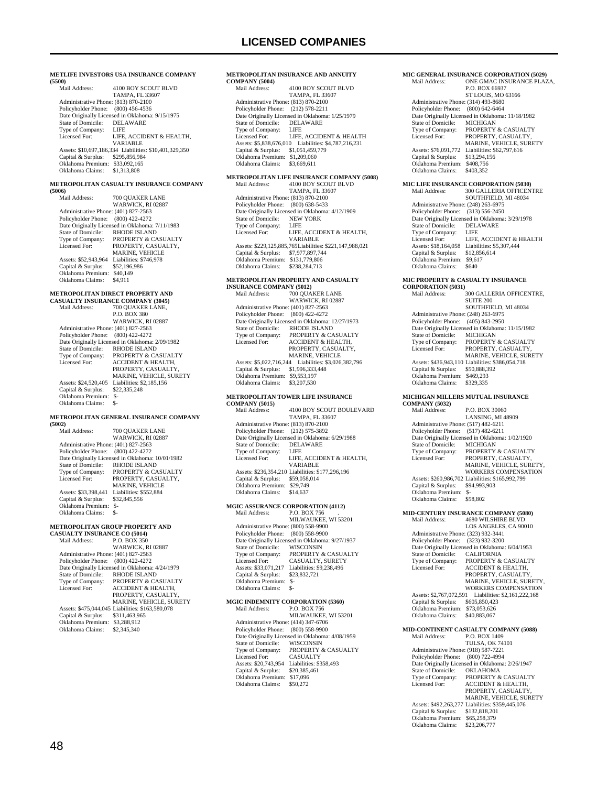**METLIFE INVESTORS USA INSURANCE COMPANY (5500)** 4100 BOY SCOUT BLVD TAMPA, FL 33607 Administrative Phone: (813) 870-2100 Policyholder Phone: (800) 456-4536 Date Originally Licensed in Oklahoma: 9/15/1975<br>State of Domicile: DELAWARE State of Domicile: DELA<br>Type of Company: LIFE Type of Company:<br>Licensed For: LIFE, ACCIDENT & HEALTH, VARIABLE Assets: \$10,697,186,334 Liabilities: \$10,401,329,350 Capital & Surplus: \$295,856,984 Oklahoma Premium: \$33,092,165 Oklahoma Claims: \$1,313,808 **METROPOLITAN CASUALTY INSURANCE COMPANY (5006)** 700 OUAKER LANE WARWICK, RI 02887 Administrative Phone: (401) 827-2563 Policyholder Phone: (800) 422-4272 Date Originally Licensed in Oklahoma: 7/11/1983<br>State of Domicile: RHODE ISLAND State of Domicile: RHODE ISLAND<br>Type of Company: PROPERTY & CA Type of Company: PROPERTY & CASUALTY<br>Licensed For: PROPERTY, CASUALTY, Licensed For: PROPERTY, CASUALTY, MARINE, VEHICLE Assets: \$52,943,964 Liabilities: \$746,978<br>Capital & Surplus: \$52,196,986 Capital & Surplus: \$52,196,986 Oklahoma Premium: \$40,149 Oklahoma Claims: \$4,911 **METROPOLITAN DIRECT PROPERTY AND CASUALTY INSURANCE COMPANY (3045)** Mail Address: 700 OUAKER LANE, P.O. BOX 380 WARWICK, RI 02887 Administrative Phone: (401) 827-2563 Policyholder Phone: (800) 422-4272 Date Originally Licensed in Oklahoma: 2/09/1982 State of Domicile: RHODE ISLAND<br>Type of Company: PROPERTY & CA PROPERTY & CASUALTY Licensed For: ACCIDENT & HEALTH, PROPERTY, CASUALTY MARINE, VEHICLE, SURETY<br>Assets: \$24,520,405 Liabilities: \$2,185,156 Capital & Surplus: \$22,335,248 Oklahoma Premium: \$- Oklahoma Claims: **METROPOLITAN GENERAL INSURANCE COMPANY (5002)** 700 OUAKER LANE WARWICK, RI 02887 Administrative Phone: (401) 827-2563 Policyholder Phone: (800) 422-4272 Date Originally Licensed in Oklahoma: 10/01/1982 State of Domicile: RHODE ISLAND<br>Type of Company: PROPERTY & CA Type of Company: PROPERTY & CASUALTY<br>Licensed For: PROPERTY, CASUALTY. PROPERTY, CASUALTY, MARINE, VEHICLE Assets: \$33,398,441 Liabilities: \$552,884 Capital & Surplus: \$32,845,556 Oklahoma Premium: \$- Oklahoma Claims: \$-**METROPOLITAN GROUP PROPERTY AND CASUALTY INSURANCE CO (5014)** Mail Address: P.O. BOX 350 WARWICK, RI 02887 Administrative Phone: (401) 827-2563 Policyholder Phone: (800) 422-4272 Date Originally Licensed in Oklahoma: 4/24/1979 State of Domicile: RHODE ISLAND<br>Type of Company: PROPERTY & CA Type of Company: PROPERTY & CASUALTY<br>Licensed For: ACCIDENT & HEALTH **ACCIDENT & HEALTH** PROPERTY, CASUALTY MARINE, VEHICLE, SURETY Assets: \$475,044,045 Liabilities: \$163,580,078 Capital & Surplus: \$311,463,965 Oklahoma Premium: \$3,288,912 Oklahoma Claims: \$2,345,340

## **COMPANY (5004)**<br>Mail Address: 4100 BOY SCOUT BLVD TAMPA, FL 33607 Administrative Phone: (813) 870-2100 Policyholder Phone: (212) 578-2211 Date Originally Licensed in Oklahoma: 1/25/1979 State of Domicile: DELAWARE<br>Type of Company: LIFE Type of Company: LIFE<br>Licensed For: LIFE, ACCIDENT & HEALTH Licensed For: LIFE, ACCIDENT & HEALTH Assets: \$5,838,676,010 Liabilities: \$4,787,216,231 Capital & Surplus: \$1,051,459,779 Oklahoma Premium: \$1,209,060 Oklahoma Claims: \$3,669,611 **METROPOLITAN LIFE INSURANCE COMPANY (5008)**<br>Mail Address: 4100 BOY SCOUT BLVD

**METROPOLITAN INSURANCE AND ANNUITY** 

4100 BOY SCOUT BLVD TAMPA, FL 33607 Administrative Phone: (813) 870-2100 Policyholder Phone: (800) 638-5433 Date Originally Licensed in Oklahoma: 4/12/1909 State of Domicile: NEW YORK Type of Company: LIFE<br>Licensed For: LIFE. LIFE, ACCIDENT & HEALTH, VARIABLE Assets: \$229,125,885,765 Liabilities: \$221,147,988,021 Capital & Surplus: \$7,977,897,744 Oklahoma Premium: \$131,779,806 Oklahoma Claims: \$238,284,713

## **METROPOLITAN PROPERTY AND CASUALTY**

**INSURANCE COMPANY (5012)**<br>Mail Address: 700 QUA 700 QUAKER LANE WARWICK, RI 02887 Administrative Phone: (401) 827-2563 Policyholder Phone: (800) 422-4272 Date Originally Licensed in Oklahoma: 12/27/1973<br>State of Domicile: RHODE ISLAND State of Domicile: RHODE ISLAND<br>Type of Company: PROPERTY & CA Type of Company: PROPERTY & CASUALTY<br>Licensed For: ACCIDENT & HEALTH. ACCIDENT & HEALTH PROPERTY, CASUALTY, MARINE, VEHICLE Assets: \$5,022,716,244 Liabilities: \$3,026,382,796 Capital & Surplus: \$1,996,333,448 Oklahoma Premium: \$9,553,197 Oklahoma Claims: \$3,207,530

#### **METROPOLITAN TOWER LIFE INSURANCE COMPANY (5015)**

| COMMAN (2012) |                    |                                                  |
|---------------|--------------------|--------------------------------------------------|
| Mail Address: |                    | <b>4100 BOY SCOUT BOULEVARD</b>                  |
|               |                    | <b>TAMPA, FL 33607</b>                           |
|               |                    | Administrative Phone: (813) 870-2100             |
|               |                    | Policyholder Phone: (212) 575-3892               |
|               |                    | Date Originally Licensed in Oklahoma: 6/29/1988  |
|               | State of Domicile: | <b>DELAWARE</b>                                  |
|               | Type of Company:   | LIFE                                             |
| Licensed For: |                    | LIFE. ACCIDENT & HEALTH.                         |
|               |                    | <b>VARIABLE</b>                                  |
|               |                    | Assets: \$236,354,210 Liabilities: \$177,296,196 |
|               | Capital & Surplus: | \$59,058,014                                     |
|               | Oklahoma Premium:  | \$29,749                                         |
|               | Oklahoma Claims:   | \$14,637                                         |
|               |                    |                                                  |

## **MGIC ASSURANCE CORPORATION (4112)**

| Mail Address:                        | <b>P.O. BOX 756</b>                             |
|--------------------------------------|-------------------------------------------------|
|                                      | MILWAUKEE, WI 53201                             |
| Administrative Phone: (800) 558-9900 |                                                 |
| Policyholder Phone: (800) 558-9900   |                                                 |
|                                      | Date Originally Licensed in Oklahoma: 9/27/1937 |
| State of Domicile:                   | <b>WISCONSIN</b>                                |
| Type of Company:                     | <b>PROPERTY &amp; CASUALTY</b>                  |
| Licensed For:                        | <b>CASUALTY, SURETY</b>                         |
| Assets: \$33,071,217                 | Liabilities: \$9,238,496                        |
| Capital & Surplus:                   | \$23,832,721                                    |
| Oklahoma Premium:                    | \$-                                             |
| Oklahoma Claims:                     | \$-                                             |
|                                      |                                                 |

### **MGIC INDEMNITY CORPORATION (5360)**<br>Mail Address: P.O. BOX 756 P.O. BOX 756 MILWAUKEE, WI 53201 Administrative Phone: (414) 347-6706 Policyholder Phone: (800) 558-9900 Date Originally Licensed in Oklahoma: 4/08/1959<br>State of Domicile: WISCONSIN State of Domicile:<br>Type of Company: Type of Company: PROPERTY & CASUALTY<br>Licensed For: CASUALTY Licensed For: CASUALTY Assets: \$20,743,954 Liabilities: \$358,493 Capital & Surplus: \$20,385,461

Oklahoma Premium: \$17,096 Oklahoma Claims: \$50,272

### Type of Company: PROPERTY & CASUALTY<br>Licensed For: PROPERTY, CASUALTY. PROPERTY, CASUALTY, MARINE, VEHICLE, SURETY<br>Assets: \$76,091,772 Liabilities: \$62,797,616 Capital & Surplus: \$13,294,156 Oklahoma Premium: \$408,756<br>Oklahoma Claims: \$403,352 Oklahoma Claims: **MIC LIFE INSURANCE CORPORATION (5030)**<br>Mail Address: 300 GALLERIA OFFICEN 300 GALLERIA OFFICENTRE SOUTHFIELD, MI 48034 Administrative Phone: (248) 263-6975 Policyholder Phone: (313) 556-2450 Date Originally Licensed in Oklahoma: 3/29/1978 State of Domicile: DELAWARE<br>Type of Company: LIFE Type of Company:<br>Licensed For: LIFE, ACCIDENT & HEALTH Assets: \$18,164,058 Liabilities: \$5,307,444 Capital & Surplus: \$12,856,614 Capital & Surplus: \$12,85<br>Oklahoma Premium: \$9,617<br>Oklahoma Claims: \$640 Oklahoma Claims: \$640 **MIC PROPERTY & CASUALTY INSURANCE CORPORATION (5031)** 300 GALLERIA OFFICENTRE, SUITE 200 SOUTHFIELD, MI 48034 Administrative Phone: (248) 263-6975 Policyholder Phone: (405) 843-2950 Date Originally Licensed in Oklahoma: 11/15/1982<br>State of Domicile: MICHIGAN State of Domicile:<br>Type of Company: Type of Company: PROPERTY & CASUALTY<br>Licensed For: PROPERTY, CASUALTY, PROPERTY, CASUALTY, MARINE, VEHICLE, SURETY Assets: \$436,943,110 Liabilities: \$386,054,718<br>Capital & Surplus: \$50,888,392 Capital & Surplus: Oklahoma Premium: \$469,293<br>Oklahoma Claims: \$329,335 Oklahoma Claims: **MICHIGAN MILLERS MUTUAL INSURANCE COMPANY (5032)**<br>Mail Address: P.O. BOX 30060 LANSING, MI 48909 Administrative Phone: (517) 482-6211 Policyholder Phone: (517) 482-6211 Date Originally Licensed in Oklahoma: 1/02/1920 State of Domicile: MICHIGAN<br>Type of Company: PROPERTY Type of Company: PROPERTY & CASUALTY<br>Licensed For: PROPERTY. CASUALTY PROPERTY, CASUALTY, MARINE, VEHICLE, SURETY, WORKERS COMPENSATION Assets: \$260,986,702 Liabilities: \$165,992,799<br>Capital & Surplus: \$94,993,903 Capital & Surplus: Oklahoma Premium: \$- Oklahoma Claims: \$58,802 **MID-CENTURY INSURANCE COMPANY (5080)** Mail Address: 4680 WILSHIRE BLVD LOS ANGELES, CA 90010 Administrative Phone: (323) 932-3441 Policyholder Phone: (323) 932-3200 Date Originally Licensed in Oklahoma: 6/04/1953<br>State of Domicile: CALIFORNIA State of Domicile:<br>Type of Company: Type of Company: PROPERTY & CASUALTY<br>Licensed For: ACCIDENT & HEALTH, Licensed For: ACCIDENT & HEALTH, PROPERTY, CASUALTY, MARINE, VEHICLE, SURETY, WORKERS COMPENSATION Assets: \$2,767,072,591 Liabilities: \$2,161,222,168 Capital & Surplus: \$605,850,423 Oklahoma Premium: \$73,053,626 Oklahoma Claims: \$40,883,067 **MID-CONTINENT CASUALTY COMPANY (5088)** P.O. BOX 1409 TULSA, OK 74101 Administrative Phone: (918) 587-7221 Policyholder Phone: (800) 722-4994 Date Originally Licensed in Oklahoma: 2/26/1947 State of Domicile: **OKLAHOMA**<br>Type of Company: **PROPERTY &**<br>Licensed For: **ACCIDENT &**  Type of Company: PROPERTY & CASUALTY Licensed For: ACCIDENT & HEALTH, PROPERTY, CASUALTY MARINE, VEHICLE, SURETY

Assets: \$492,263,277 Liabilities: \$359,445,076

 Capital & Surplus: \$132,818,201 Oklahoma Premium: \$65,258,379 Oklahoma Claims: \$23,206,777

**MIC GENERAL INSURANCE CORPORATION (5029)**<br>Mail Address: **ONE GMAC INSURANCE PLAZ** 

 Administrative Phone: (314) 493-8680 Policyholder Phone: (800) 642-6464 Partylished: 1 Holid: (600) 012 0101<br>Date Originally Licensed in Oklahoma: 11/18/1982<br>State of Domicile: MICHIGAN

State of Domicile:<br>Type of Company:

 P.O. BOX 66937 ST LOUIS, MO 63166

ONE GMAC INSURANCE PLAZA,

48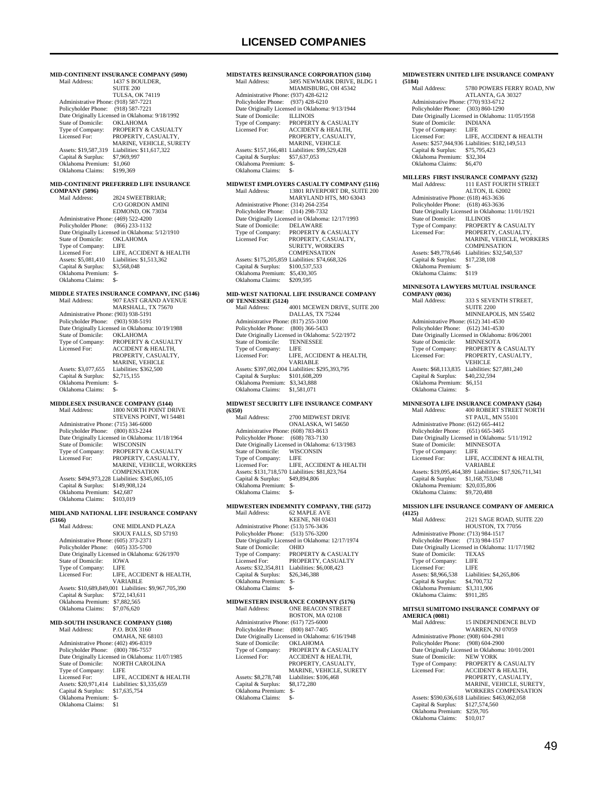**MID-CONTINENT INSURANCE COMPANY (5090)** 1437 S BOULDER, SUITE 200 TULSA, OK 74119 Administrative Phone: (918) 587-7221 Policyholder Phone: (918) 587-7221 Date Originally Licensed in Oklahoma: 9/18/1992 State of Domicile:<br>Type of Company: Type of Company: PROPERTY & CASUALTY<br>Licensed For: PROPERTY, CASUALTY PROPERTY, CASUALTY, MARINE, VEHICLE, SURETY<br>Assets: \$19,587,319 Liabilities: \$11,617,322 Capital & Surplus: \$7,969,997 Oklahoma Premium: \$1,060<br>Oklahoma Claims: \$199,369 Oklahoma Claims: **MID-CONTINENT PREFERRED LIFE INSURANCE COMPANY (5096)**  $2824$  SWEETBRIAR: C/O GORDON AMINI EDMOND, OK 73034 Administrative Phone: (469) 522-4200 Policyholder Phone: (866) 233-1132 Date Originally Licensed in Oklahoma: 5/12/1910<br>State of Domicile: OKLAHOMA State of Domicile: OKL<br>Type of Company: LIFE Type of Company:<br>Licensed For: Licensed For: LIFE, ACCIDENT & HEALTH<br>Assets: \$5,081,410 Liabilities: \$1,513,362 Liabilities: \$1,513,362<br>\$3,568,048 Capital & Surplus: \$3,568,048 Oklahoma Premium: \$- Oklahoma Claims: \$ **MIDDLE STATES INSURANCE COMPANY, INC (5146)** Mail Address: 907 EAST GRAND AVENUE MARSHALL, TX 75670 Administrative Phone: (903) 938-5191 Policyholder Phone: (903) 938-5191 Date Originally Licensed in Oklahoma: 10/19/1988 State of Domicile:<br>Type of Company: State of Domicile: OKLAHOMA<br>Type of Company: PROPERTY & CASUALTY<br>Licensed For: ACCIDENT & HEALTH, ACCIDENT & HEALTH, PROPERTY, CASUALTY MARINE, VEHICLE Assets: \$3,077,655 Liabilities: \$362,500<br>Capital & Surplus: \$2.715.155 Capital & Surplus: Oklahoma Premium: \$- Oklahoma Claims: \$-**MIDDLESEX INSURANCE COMPANY (5144)** Mail Address: 1800 NORTH POINT DRIVE STEVENS POINT, WI 54481 Administrative Phone: (715) 346-6000 Policyholder Phone: (800) 833-2244 Date Originally Licensed in Oklahoma: 11/18/1964<br>State of Domicile: WISCONSIN State of Domicile:<br>Type of Company: Type of Company: PROPERTY & CASUALTY<br>Licensed For: PROPERTY. CASUALTY PROPERTY, CASUALTY, MARINE, VEHICLE, WORKERS **COMPENSATION**  Assets: \$494,973,228 Liabilities: \$345,065,105 Capital & Surplus: \$149,908,124 Oklahoma Premium: \$42,687 Oklahoma Claims: \$103,019 **MIDLAND NATIONAL LIFE INSURANCE COMPANY (5166)** ONE MIDLAND PLAZA SIOUX FALLS, SD 57193 Administrative Phone: (605) 373-2371 Policyholder Phone: (605) 335-5700 Date Originally Licensed in Oklahoma: 6/26/1970<br>State of Domicile: IOWA State of Domicile: IOWA<br>Type of Company: LIFE Type of Company: Licensed For: LIFE, ACCIDENT & HEALTH, VARIABLE Assets: \$10,689,849,001 Liabilities: \$9,967,705,390 Capital & Surplus: \$722,143,611 Oklahoma Premium: \$7,882,565<br>Oklahoma Claims: \$7,076,620 Oklahoma Claims: **MID-SOUTH INSURANCE COMPANY (5108)**<br>Mail Address: P.O. BOX 3160 P.O. BOX 3160 OMAHA, NE 68103 Administrative Phone: (402) 496-8319 Policyholder Phone: (800) 786-7557 Date Originally Licensed in Oklahoma: 11/07/1985<br>State of Domicile: NORTH CAROLINA NORTH CAROLINA<br>LIFE Type of Company:<br>Licensed For: LIFE, ACCIDENT & HEALTH Assets: \$20,971,414 Liabilities: \$3,335,659<br>Capital & Surplus: \$17,635,754 Capital & Surplus: \$17,635,754 Oklahoma Premium: \$-

Oklahoma Claims: \$1

**MIDSTATES REINSURANCE CORPORATION (5104)**<br>Mail Address: 3495 NEWMARK DRIVE, BLDC MACE COM OMATION (STOP) MIAMISBURG, OH 45342 Administrative Phone: (937) 428-6212 Policyholder Phone: (937) 428-6210 Date Originally Licensed in Oklahoma: 9/13/1944<br>State of Domicile: ILLINOIS State of Domicile:<br>Type of Company: Type of Company: PROPERTY & CASUALTY<br>Licensed For: ACCIDENT & HEALTH ACCIDENT & HEALTH PROPERTY, CASUALTY, MARINE, VEHICLE Assets: \$157,166,481 Liabilities: \$99,529,428 Capital & Surplus: \$57,637,053

# **MIDWEST EMPLOYERS CASUALTY COMPANY (5116)**

 Oklahoma Premium: \$- Oklahoma Claims:

13801 RIVERPORT DR, SUITE 200 MARYLAND HTS, MO 63043 Administrative Phone: (314) 264-2354 Policyholder Phone: (314) 298-7332 Date Originally Licensed in Oklahoma: 12/17/1993 State of Domicile: DELAWARE<br>Type of Company: PROPERTY & Type of Company: PROPERTY & CASUALTY Licensed For: PROPERTY, CASUALTY, SURETY, WORKERS COMPENSATION Assets: \$175,205,859 Liabilities: \$74,668,326 Capital & Surplus: \$100,537,533 Oklahoma Premium: \$5,430,305 Oklahoma Claims: \$209,595

## **MID-WEST NATIONAL LIFE INSURANCE COMPANY**

| OF TENNESSEE (5124) |                                      |                                                  |
|---------------------|--------------------------------------|--------------------------------------------------|
|                     | Mail Address:                        | 4001 MCEWEN DRIVE, SUITE 200                     |
|                     |                                      | DALLAS, TX 75244                                 |
|                     | Administrative Phone: (817) 255-3100 |                                                  |
|                     | Policyholder Phone: (800) 366-5433   |                                                  |
|                     |                                      | Date Originally Licensed in Oklahoma: 5/22/1972  |
|                     | State of Domicile:                   | <b>TENNESSEE</b>                                 |
|                     | Type of Company:                     | LIFE                                             |
|                     | Licensed For:                        | LIFE. ACCIDENT & HEALTH.                         |
|                     |                                      | <b>VARIABLE</b>                                  |
|                     |                                      | Assets: \$397,002,004 Liabilities: \$295,393,795 |
|                     | Capital & Surplus:                   | \$101,608,209                                    |
|                     | Oklahoma Premium:                    | \$3,343,888                                      |
|                     | Oklahoma Claims:                     | \$1,581,071                                      |
|                     |                                      |                                                  |

## **MIDWEST SECURITY LIFE INSURANCE COMPANY**

**(6350)** 2700 MIDWEST DRIVE ONALASKA, WI 54650 Administrative Phone: (608) 783-8613 Policyholder Phone: (608) 783-7130 Date Originally Licensed in Oklahoma: 6/13/1983<br>State of Domicile: WISCONSIN State of Domicile: WISC<br>Type of Company: I JEE Type of Company: Licensed For: LIFE, ACCIDENT & HEALTH Assets: \$131,718,570 Liabilities: \$81,823,764<br>Capital & Surplus: \$49,894,806 Capital & Surplus: \$49,894,806 Oklahoma Premium: \$- Oklahoma Claims: \$-

#### **MIDWESTERN INDEMNITY COMPANY, THE (5172)**  $62$  MADLE AVE

|                                      | <b>KEENE, NH 03431</b>                           |
|--------------------------------------|--------------------------------------------------|
| Administrative Phone: (513) 576-3436 |                                                  |
| Policyholder Phone: (513) 576-3200   |                                                  |
|                                      | Date Originally Licensed in Oklahoma: 12/17/1974 |
| State of Domicile:                   | <b>OHIO</b>                                      |
| Type of Company:                     | <b>PROPERTY &amp; CASUALTY</b>                   |
| Licensed For:                        | PROPERTY, CASUALTY                               |
| Assets: \$32,354,811                 | Liabilities: \$6,008,423                         |
| Capital & Surplus:                   | \$26,346,388                                     |
| Oklahoma Premium:                    | $S-$                                             |
| Oklahoma Claims:                     | \$-                                              |

#### **MIDWESTERN INSURANCE COMPANY (5176)** ONE BEACON STREET BOSTON, MA 02108 Administrative Phone: (617) 725-6000<br>Policyholder Phone: (800) 847-7405 Policyholder Phone: Date Originally Licensed in Oklahoma: 6/16/1948<br>State of Domicile: OKLAHOMA State of Domicile:<br>Type of Company: Type of Company: PROPERTY & CASUALTY<br>Licensed For: ACCIDENT & HEALTH. ACCIDENT & HEALTH, PROPERTY, CASUALTY MARINE, VEHICLE, SURETY Assets: \$8,278,748 Liabilities: \$106,468<br>Capital & Surplus: \$8,172,280 Capital & Surplus: \$8<br>Oklahoma Premium: \$-Oklahoma Premium: \$<br>Oklahoma Claims: \$-Oklahoma Claims:

#### **MIDWESTERN UNITED LIFE INSURANCE COMPANY (5184)**

| 151041                                        |                                                  |  |
|-----------------------------------------------|--------------------------------------------------|--|
| Mail Address:                                 | 5780 POWERS FERRY ROAD, NW                       |  |
|                                               | ATLANTA, GA 30327                                |  |
| Administrative Phone: (770) 933-6712          |                                                  |  |
| Policyholder Phone: (303) 860-1290            |                                                  |  |
|                                               | Date Originally Licensed in Oklahoma: 11/05/1958 |  |
| State of Domicile:                            | <b>INDIANA</b>                                   |  |
| Type of Company:                              | <b>LIFE</b>                                      |  |
| Licensed For:                                 | LIFE, ACCIDENT & HEALTH                          |  |
|                                               | Assets: \$257,944,936 Liabilities: \$182,149,513 |  |
| Capital & Surplus: \$75,795,423               |                                                  |  |
| Oklahoma Premium: \$32,304                    |                                                  |  |
| Oklahoma Claims:                              | \$6,470                                          |  |
| <b>MILLERS FIRST INSURANCE COMPANY (5232)</b> |                                                  |  |
| Mail Address:                                 | <b>111 EAST FOURTH STREET</b>                    |  |
|                                               |                                                  |  |
|                                               | <b>ALTON, IL 62002</b>                           |  |
| Administrative Phone: (618) 463-3636          |                                                  |  |
| Policyholder Phone: (618) 463-3636            |                                                  |  |
|                                               | Date Originally Licensed in Oklahoma: 11/01/1921 |  |
| State of Domicile:                            | <b>ILLINOIS</b>                                  |  |
|                                               | Type of Company: PROPERTY & CASUALTY             |  |
| Licensed For:                                 | PROPERTY, CASUALTY.                              |  |
|                                               | MARINE, VEHICLE, WORKERS                         |  |
|                                               | <b>COMPENSATION</b>                              |  |
| Assets: \$49 778 646                          | Liabilities: \$32,540,537                        |  |

### **MINNESOTA LAWYERS MUTUAL INSURANCE**

 Capital & Surplus: \$17,238,108 Oklahoma Premium: \$-<br>Oklahoma Claims: \$119 Oklahoma Claims: \$119

| <b>COMPANY (0036)</b>                |                                                 |
|--------------------------------------|-------------------------------------------------|
| Mail Address:                        | 333 S SEVENTH STREET.                           |
|                                      | <b>SUITE 2200</b>                               |
|                                      | MINNEAPOLIS, MN 55402                           |
| Administrative Phone: (612) 341-4530 |                                                 |
| Policyholder Phone:                  | $(612)$ 341-4530                                |
|                                      | Date Originally Licensed in Oklahoma: 8/06/2001 |
| State of Domicile:                   | <b>MINNESOTA</b>                                |
| Type of Company:                     | <b>PROPERTY &amp; CASUALTY</b>                  |
| Licensed For:                        | PROPERTY. CASUALTY.                             |
|                                      | <b>VEHICLE</b>                                  |
| Assets: \$68,113,835                 | Liabilities: \$27,881,240                       |
| Capital & Surplus:                   | \$40,232,594                                    |
| Oklahoma Premium:                    | \$6.151                                         |
| Oklahoma Claims:                     | \$-                                             |
|                                      |                                                 |

#### **MINNESOTA LIFE INSURANCE COMPANY (5264) 400 ROBERT STREET NORTH**

ST PAUL, MN 55101 Administrative Phone: (612) 665-4412 Policyholder Phone: (651) 665-3465 Date Originally Licensed in Oklahoma: 5/11/1912<br>State of Domicile: MINNESOTA State of Domicile: MINN<br>Type of Company: LIFE Type of Company:<br>Licensed For: LIFE, ACCIDENT & HEALTH VARIABLE Assets: \$19,095,464,389 Liabilities: \$17,926,711,341 Capital & Surplus: \$1,168,753,048 Oklahoma Premium: \$20,035,806 Oklahoma Claims: \$9,720,488

## **MISSION LIFE INSURANCE COMPANY OF AMERICA**

**(4125)** 2121 SAGE ROAD, SUITE 220 HOUSTON, TX 77056 Administrative Phone: (713) 984-1517 Policyholder Phone: (713) 984-1517 Date Originally Licensed in Oklahoma: 11/17/1982<br>State of Domicile: TEXAS State of Domicile: TEX.<br>Type of Company: LIFE Type of Company: LIFE<br>Licensed For: LIFE Licensed For: LIFE<br>Assets: \$8,966,538 Liabilities: \$4,265,806 Assets: \$8,966,538 Liabilities:<br>Capital & Surplus: \$4,700,732 Capital & Surplus: Oklahoma Premium: \$3,311,906<br>Oklahoma Claims: \$911.285 Oklahoma Claims:

## **MITSUI SUMITOMO INSURANCE COMPANY OF AMERICA (0081)**<br>Mail Address:

15 INDEPENDENCE BLVD WARREN, NJ 07059 Administrative Phone: (908) 604-2981 Policyholder Phone: (908) 604-2900 Date Originally Licensed in Oklahoma: 10/01/2001<br>State of Domicile: NEW YORK State of Domicile:<br>Type of Company: Type of Company: PROPERTY & CASUALTY<br>Licensed For: ACCIDENT & HEALTH, ACCIDENT & HEALTH, PROPERTY, CASUALTY, MARINE, VEHICLE, SURETY, WORKERS COMPENSATION Assets: \$590,636,618 Liabilities: \$463,062,058<br>Capital & Surplus: \$127,574,560 Capital & Surplus: Oklahoma Premium: \$259,705 Oklahoma Claims: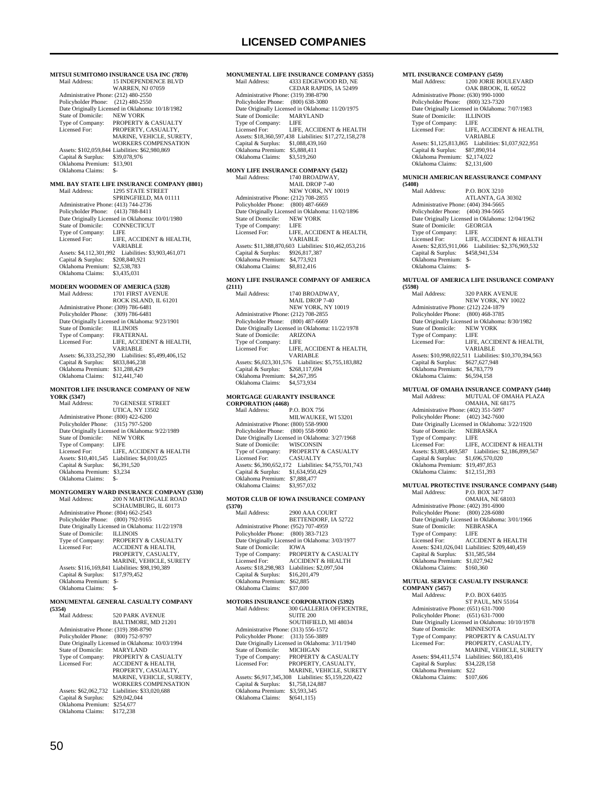## **LICENSED COMPANIES**

**MITSUI SUMITOMO INSURANCE USA INC (7870)**<br>Mail Address: 15 INDEPENDENCE BLVD 15 INDEPENDENCE BLVD WARREN, NJ 07059 Administrative Phone: (212) 480-2550 Policyholder Phone: (212) 480-2550 Date Originally Licensed in Oklahoma: 10/18/1982 State of Domicile: Type of Company: PROPERTY & CASUALTY<br>Licensed For: PROPERTY CASUALTY Licensed For: PROPERTY, CASUALTY, MARINE, VEHICLE, SURETY, WORKERS COMPENSATION Assets: \$102,059,844 Liabilities: \$62,980,869 Capital & Surplus: \$39,078,976 Oklahoma Premium: \$13,901 Oklahoma Claims: **MML BAY STATE LIFE INSURANCE COMPANY (8801)** 1295 STATE STREET SPRINGFIELD, MA 01111 Administrative Phone: (413) 744-2736 Policyholder Phone: (413) 788-8411 Poncyholder Fione. (413) 760-6411<br>Date Originally Licensed in Oklahoma: 10/01/1980<br>State of Domicile: CONNECTICUT State of Domicile: CONI<br>Type of Company: LIFE Type of Company:<br>Licensed For: LIFE, ACCIDENT & HEALTH, VARIABLE Assets: \$4,112,301,992 Liabilities: \$3,903,461,071 Capital & Surplus: \$208,840,921 Oklahoma Premium: \$2,538,783<br>Oklahoma Claims: \$3,435,031 Oklahoma Claims: **MODERN WOODMEN OF AMERICA (5328)** Mail Address: 1701 FIRST AVENUE ROCK ISLAND, IL 61201 Administrative Phone: (309) 786-6481 Policyholder Phone: (309) 786-6481 Date Originally Licensed in Oklahoma: 9/23/1901 State of Domicile: ILLINOIS<br>Type of Company: FRATERNAL Type of Company:<br>Licensed For LIFE, ACCIDENT & HEALTH, VARIABLE Assets: \$6,333,252,390 Liabilities: \$5,499,406,152 Capital & Surplus: \$833,846,238 Oklahoma Premium: \$31,288,429 Oklahoma Claims: \$12,441,740 **MONITOR LIFE INSURANCE COMPANY OF NEW YORK (5347)** 70 GENESEE STREET UTICA, NY 13502 Administrative Phone: (800) 422-6200 Policyholder Phone: (315) 797-5200 Date Originally Licensed in Oklahoma: 9/22/1989<br>State of Domicile: NEW YORK State of Domicile: NEW<br>Type of Company: LIFE Type of Company:<br>Licensed For: LIFE, ACCIDENT & HEALTH Assets: \$10,401,545 Liabilities: \$4,010,025 Capital & Surplus: \$6,391,520 Oklahoma Premium: \$3,234 Oklahoma Claims: \$-**MONTGOMERY WARD INSURANCE COMPANY (5330)** 200 N MARTINGALE ROAD SCHAUMBURG, IL 60173 Administrative Phone: (804) 662-2543 Policyholder Phone: (800) 792-9165 Date Originally Licensed in Oklahoma: 11/22/1978 State of Domicile: State of Domicile: ILLINOIS<br>Type of Company: PROPERTY & CASUALTY<br>Licensed For: ACCIDENT & HEALTH, ACCIDENT & HEALTH, PROPERTY, CASUALTY MARINE, VEHICLE, SURETY Assets: \$116,169,841 Liabilities: \$98,190,389

 Capital & Surplus: \$17,979,452 Oklahoma Premium: \$- Oklahoma Claims: \$-

## **MONUMENTAL GENERAL CASUALTY COMPANY (5354)**

520 PARK AVENUE BALTIMORE, MD 21201 Administrative Phone: (319) 398-8790 Policyholder Phone: (800) 752-9797 Date Originally Licensed in Oklahoma: 10/03/1994<br>State of Domicile: MARYLAND State of Domicile:<br>Type of Company: Type of Company: PROPERTY & CASUALTY Licensed For: ACCIDENT & HEALTH, PROPERTY, CASUALTY MARINE, VEHICLE, SURETY, WORKERS COMPENSATION Assets: \$62,062,732 Liabilities: \$33,020,688<br>Capital & Surplus: \$29,042,044 Capital  $&$  Surplus: Oklahoma Premium: \$254,677 Oklahoma Claims: \$172,238

### **MONUMENTAL LIFE INSURANCE COMPANY (5355)**<br>Mail Address: 4333 EDGEWOOD RD. NE 4333 EDGEWOOD RD, NE CEDAR RAPIDS, IA 52499 Administrative Phone: (319) 398-8790 Policyholder Phone: (800) 638-3080 Date Originally Licensed in Oklahoma: 11/20/1975<br>State of Domicile: MARYLAND State of Domicile: MARY<br>Type of Company: LIFE Type of Company:<br>Licensed For: LIFE, ACCIDENT & HEALTH Assets: \$18,360,597,438 Liabilities: \$17,272,158,278 Capital & Surplus: \$1,088,439,160 Oklahoma Premium: \$5,888,411 Oklahoma Claims: \$3,519,260 **MONY LIFE INSURANCE COMPANY (5432)**<br>Mail Address: 1740 BROADWAY. 1740 BROADWAY MAIL DROP 7-40 NEW YORK, NY 10019 Administrative Phone: (212) 708-2855 Policyholder Phone: (800) 487-6669 Date Originally Licensed in Oklahoma: 11/02/1896 State of Domicile: NEW YORK Type of Company: LIFE<br>Licensed For: LIFE. LIFE, ACCIDENT & HEALTH, VARIABLE Assets: \$11,388,870,603 Liabilities: \$10,462,053,216 Capital & Surplus: \$926,817,387 Oklahoma Premium: \$4,773,921

# **MONY LIFE INSURANCE COMPANY OF AMERICA**

Oklahoma Claims: \$8,812,416

#### **(2111)**

|                                                  | Mail Address:                        | 1740 BROADWAY.               |
|--------------------------------------------------|--------------------------------------|------------------------------|
|                                                  |                                      | MAIL DROP 7-40               |
|                                                  |                                      | NEW YORK, NY 10019           |
|                                                  | Administrative Phone: (212) 708-2855 |                              |
|                                                  | Policyholder Phone: (800) 487-6669   |                              |
| Date Originally Licensed in Oklahoma: 11/22/1978 |                                      |                              |
|                                                  | State of Domicile: ARIZONA           |                              |
|                                                  | Type of Company:                     | - LIFE                       |
|                                                  | Licensed For:                        | LIFE, ACCIDENT & HEALTH,     |
|                                                  |                                      | <b>VARIABLE</b>              |
|                                                  | Assets: \$6,023,301,576              | Liabilities: \$5,755,183,882 |
|                                                  | Capital & Surplus:                   | \$268,117,694                |
|                                                  | Oklahoma Premium:                    | \$4,267,395                  |
|                                                  | Oklahoma Claims:                     | \$4,573,934                  |
|                                                  |                                      |                              |

#### **MORTGAGE GUARANTY INSURANCE CORPORATION (4468)**

| UUNI UNATIUR (4400)                  |                                                      |
|--------------------------------------|------------------------------------------------------|
| Mail Address:                        | P.O. BOX 756                                         |
|                                      | MILWAUKEE, WI 53201                                  |
| Administrative Phone: (800) 558-9900 |                                                      |
| Policyholder Phone: (800) 558-9900   |                                                      |
|                                      | Date Originally Licensed in Oklahoma: 3/27/1968      |
| State of Domicile: WISCONSIN         |                                                      |
| Type of Company:                     | PROPERTY & CASUALTY                                  |
| Licensed For:                        | <b>CASUALTY</b>                                      |
|                                      | Assets: \$6,390,652,172 Liabilities: \$4,755,701,743 |
| Capital & Surplus:                   | \$1,634,950,429                                      |
| Oklahoma Premium:                    | \$7,888,477                                          |
| Oklahoma Claims:                     | \$3,957,032                                          |
|                                      |                                                      |

#### **MOTOR CLUB OF IOWA INSURANCE COMPANY (5370)**

| (5370)                               |                                                 |
|--------------------------------------|-------------------------------------------------|
| Mail Address:                        | 2900 AAA COURT                                  |
|                                      | BETTENDORF, IA 52722                            |
| Administrative Phone: (952) 707-4959 |                                                 |
| Policyholder Phone: (800) 383-7123   |                                                 |
|                                      | Date Originally Licensed in Oklahoma: 3/03/1977 |
| State of Domicile:                   | <b>IOWA</b>                                     |
| Type of Company:                     | <b>PROPERTY &amp; CASUALTY</b>                  |
| Licensed For:                        | <b>ACCIDENT &amp; HEALTH</b>                    |
| Assets: \$18,298,983                 | Liabilities: \$2,097,504                        |
| Capital & Surplus:                   | \$16,201,479                                    |
| Oklahoma Premium:                    | \$62,885                                        |
| Oklahoma Claims:                     | \$37,000                                        |
|                                      |                                                 |

| <b>MOTORS INSURANCE CORPORATION (5392)</b> |                                                 |  |  |
|--------------------------------------------|-------------------------------------------------|--|--|
| Mail Address:                              | 300 GALLERIA OFFICENTRE.                        |  |  |
|                                            | <b>SUITE 200</b>                                |  |  |
|                                            | SOUTHFIELD, MI 48034                            |  |  |
| Administrative Phone: (313) 556-1572       |                                                 |  |  |
| Policyholder Phone: (313) 556-3889         |                                                 |  |  |
|                                            | Date Originally Licensed in Oklahoma: 3/11/1940 |  |  |
| State of Domicile:                         | <b>MICHIGAN</b>                                 |  |  |
| Type of Company:                           | <b>PROPERTY &amp; CASUALTY</b>                  |  |  |
| Licensed For:                              | PROPERTY, CASUALTY,                             |  |  |
|                                            | MARINE, VEHICLE, SURETY                         |  |  |
| Assets: \$6,917,345,308                    | Liabilities: \$5,159,220,422                    |  |  |
| Capital & Surplus:                         | \$1,758,124,887                                 |  |  |
| Oklahoma Premium:                          | \$3,593,345                                     |  |  |
| Oklahoma Claims:                           | \$(641.115)                                     |  |  |

| <b>MTL INSURANCE COMPANY (5459)</b>  |                                                 |
|--------------------------------------|-------------------------------------------------|
| Mail Address:                        | <b>1200 JORIE BOULEVARD</b>                     |
|                                      | OAK BROOK. IL 60522                             |
| Administrative Phone: (630) 990-1000 |                                                 |
| Policyholder Phone: (800) 323-7320   |                                                 |
|                                      | Date Originally Licensed in Oklahoma: 7/07/1983 |
| State of Domicile: ILLINOIS          |                                                 |
| Type of Company:                     | - LIFE                                          |
| Licensed For:                        | LIFE. ACCIDENT & HEALTH.                        |
|                                      | <b>VARIABLE</b>                                 |
| Assets: \$1,125,813,865              | Liabilities: \$1,037,922,951                    |
| Capital & Surplus:                   | \$87,890,914                                    |
| Oklahoma Premium:                    | \$2,174,022                                     |
| Oklahoma Claims:                     | \$2,131,600                                     |

#### **MUNICH AMERICAN REASSURANCE COMPANY**

**(5408)** P.O. BOX 3210 ATLANTA, GA 30302 Administrative Phone: (404) 394-5665 Policyholder Phone: (404) 394-5665 Date Originally Licensed in Oklahoma: 12/04/1962 State of Domicile: GEORGIA Type of Company:<br>Licensed For: LIFE<br>LIFE, ACCIDENT & HEALTH Assets: \$2,835,911,066 Liabilities: \$2,376,969,532 Capital & Surplus: \$458,941,534 Oklahoma Premium: \$- Oklahoma Claims: \$-

### **MUTUAL OF AMERICA LIFE INSURANCE COMPANY**

| (5598)                                          |                                                        |
|-------------------------------------------------|--------------------------------------------------------|
| Mail Address:                                   | <b>320 PARK AVENUE</b>                                 |
|                                                 | NEW YORK, NY 10022                                     |
| Administrative Phone: (212) 224-1879            |                                                        |
| Policyholder Phone: (800) 468-3785              |                                                        |
| Date Originally Licensed in Oklahoma: 8/30/1982 |                                                        |
| State of Domicile:                              | NEW YORK                                               |
| Type of Company:                                | <b>LIFE</b>                                            |
| Licensed For:                                   | LIFE. ACCIDENT & HEALTH.                               |
|                                                 | <b>VARIARLE</b>                                        |
|                                                 | Assets: \$10,998,022,511 Liabilities: \$10,370,394,563 |
| Capital & Surplus:                              | \$627,627,948                                          |
| Oklahoma Premium:                               | \$4,783,779                                            |
| Oklahoma Claims:                                | \$6,594,158                                            |

# **MUTUAL OF OMAHA INSURANCE COMPANY (5440)**<br>Mail Address: MUTUAL OF OMAHA PLAZA

MUTUAL OF OMAHA PLAZA OMAHA, NE 68175 Administrative Phone: (402) 351-5097 Policyholder Phone: (402) 342-7600 Date Originally Licensed in Oklahoma: 3/22/1920<br>State of Domicile: NEBRASKA State of Domicile: NEBR<br>Type of Company: LIFE Type of Company: Licensed For: LIFE, ACCIDENT & HEALTH Assets: \$3,883,469,587 Liabilities: \$2,186,899,567 Capital & Surplus: \$1,696,570,020 Oklahoma Premium: \$19,497,853 Oklahoma Claims: \$12,151,393

# **MUTUAL PROTECTIVE INSURANCE COMPANY (5448)**<br>Mail Address: P.O. BOX 3477

P.O. BOX 3477 OMAHA, NE 68103 Administrative Phone: (402) 391-6900 Policyholder Phone: (800) 228-6080 Date Originally Licensed in Oklahoma: 3/01/1966<br>State of Domicile: NEBRASKA State of Domicile: NEBI<br>Type of Company: LIFE Type of Company: Licensed For: ACCIDENT & HEALTH Assets: \$241,026,041 Liabilities: \$209,440,459 Capital & Surplus: \$31,585,584 Oklahoma Premium: \$1,027,942 Oklahoma Claims: \$160,360

## **MUTUAL SERVICE CASUALTY INSURANCE**

| <b>COMPANY (5457)</b>                |                                                  |
|--------------------------------------|--------------------------------------------------|
| Mail Address:                        | P.O. BOX 64035                                   |
|                                      | <b>ST PAUL, MN 55164</b>                         |
| Administrative Phone: (651) 631-7000 |                                                  |
| Policyholder Phone:                  | $(651) 631 - 7000$                               |
|                                      | Date Originally Licensed in Oklahoma: 10/10/1978 |
| State of Domicile:                   | <b>MINNESOTA</b>                                 |
| Type of Company:                     | <b>PROPERTY &amp; CASUALTY</b>                   |
| Licensed For:                        | PROPERTY, CASUALTY,                              |
|                                      | <b>MARINE, VEHICLE, SURETY</b>                   |
| Assets: \$94,411,574                 | Liabilities: \$60,183,416                        |
| Capital & Surplus:                   | \$34,228,158                                     |
| Oklahoma Premium:                    | \$22                                             |
| Oklahoma Claims:                     | \$107,606                                        |
|                                      |                                                  |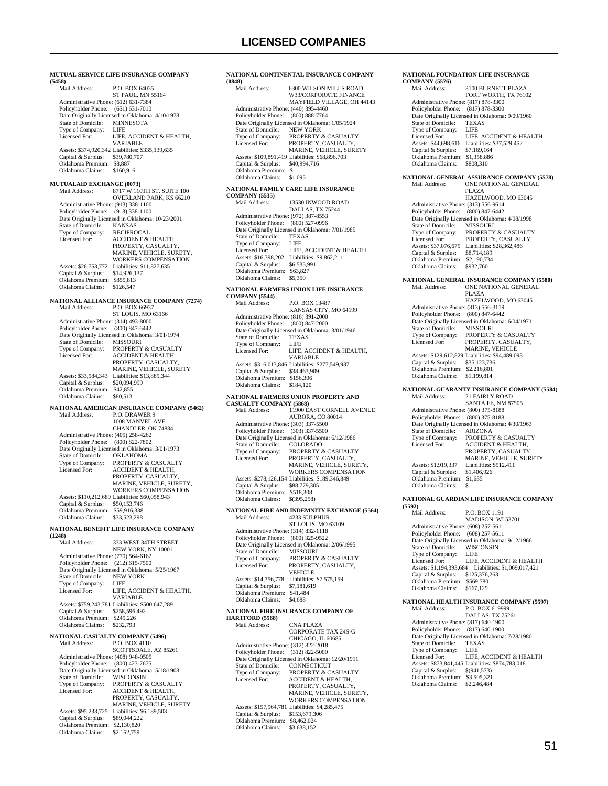|                                                                                                                                         | MUTUAL SERVICE LIFE INSURANCE COMPANY                                                                                                                                                                                                                            |
|-----------------------------------------------------------------------------------------------------------------------------------------|------------------------------------------------------------------------------------------------------------------------------------------------------------------------------------------------------------------------------------------------------------------|
| (5458)<br>Mail Address:                                                                                                                 | P.O. BOX 64035<br>ST PAUL, MN 55164                                                                                                                                                                                                                              |
| Administrative Phone: (612) 631-7384<br>Policyholder Phone:<br>State of Domicile:<br>Type of Company:<br>Licensed For:                  | $(651) 631 - 7010$<br>Date Originally Licensed in Oklahoma: 4/10/1978<br><b>MINNESOTA</b><br><b>LIFE</b><br>LIFE, ACCIDENT & HEALTH,                                                                                                                             |
| Capital & Surplus:<br>Oklahoma Premium:<br>Oklahoma Claims:                                                                             | <b>VARIABLE</b><br>Assets: \$374,920,342 Liabilities: \$335,139,635<br>\$39,780,707<br>\$8,887<br>\$160,916                                                                                                                                                      |
| <b>MUTUALAID EXCHANGE (0073)</b>                                                                                                        |                                                                                                                                                                                                                                                                  |
| Mail Address:<br>Administrative Phone: (913) 338-1100<br>Policyholder Phone:                                                            | 8717 W 110TH ST, SUITE 100<br>OVERLAND PARK, KS 66210<br>$(913)$ 338-1100<br>Date Originally Licensed in Oklahoma: 10/23/2001                                                                                                                                    |
| State of Domicile:<br>Type of Company:<br>Licensed For:                                                                                 | <b>KANSAS</b><br><b>RECIPROCAL</b><br><b>ACCIDENT &amp; HEALTH,</b><br>PROPERTY, CASUALTY,<br>MARINE, VEHICLE, SURETY,<br>WORKERS COMPENSATION                                                                                                                   |
| Assets: \$26,753,772<br>Capital & Surplus:<br>Oklahoma Premium:<br>Oklahoma Claims:                                                     | Liabilities: \$11,827,635<br>\$14,926,137<br>\$855,813<br>\$126,547                                                                                                                                                                                              |
| Mail Address:                                                                                                                           | NATIONAL ALLIANCE INSURANCE COMPANY (7274)<br>P.O. BOX 66937<br>ST LOUIS, MO 63166                                                                                                                                                                               |
| Administrative Phone: (314) 493-8000<br>Policyholder Phone:<br>State of Domicile:<br>Type of Company:<br>Licensed For:                  | $(800)$ 847-6442<br>Date Originally Licensed in Oklahoma: 3/01/1974<br><b>MISSOURI</b><br>PROPERTY & CASUALTY<br>ACCIDENT & HEALTH,<br>PROPERTY, CASUALTY,                                                                                                       |
| Assets: \$33,984,343<br>Capital & Surplus:<br>Oklahoma Premium:<br>Oklahoma Claims:                                                     | MARINE, VEHICLE, SURETY<br>Liabilities: \$13,889,344<br>\$20,094,999<br>\$42,855<br>\$80,513                                                                                                                                                                     |
| Mail Address:                                                                                                                           | NATIONAL AMERICAN INSURANCE COMPANY (5462)<br>P.O. DRAWER 9                                                                                                                                                                                                      |
| Administrative Phone: (405) 258-4262<br>Policyholder Phone:<br>State of Domicile:<br>Type of Company:<br>Licensed For:                  | 1008 MANVEL AVE<br>CHANDLER, OK 74834<br>(800) 822-7802<br>Date Originally Licensed in Oklahoma: 3/01/1973<br><b>OKLAHOMA</b><br>PROPERTY & CASUALTY<br><b>ACCIDENT &amp; HEALTH,</b><br>PROPERTY, CASUALTY,<br>MARINE, VEHICLE, SURETY,<br>WORKERS COMPENSATION |
| Capital & Surplus:<br>Oklahoma Premium:<br>Oklahoma Claims:                                                                             | Assets: \$110,212,689 Liabilities: \$60,058,943<br>\$50,153,746<br>\$59,916,338<br>\$33,523,298                                                                                                                                                                  |
| (1248)                                                                                                                                  | NATIONAL BENEFIT LIFE INSURANCE COMPANY                                                                                                                                                                                                                          |
| Mail Address:<br>Administrative Phone: (770) 564-6162<br>Policyholder Phone:<br>State of Domicile:<br>Type of Company:<br>Licensed For: | 333 WEST 34TH STREET<br>NEW YORK, NY 10001<br>$(212)$ 615-7500<br>Date Originally Licensed in Oklahoma: 5/25/1967<br><b>NEW YORK</b><br>LIFE<br>LIFE, ACCIDENT & HEALTH,                                                                                         |
| Capital & Surplus:<br>Oklahoma Premium: \$249,226<br>Oklahoma Claims:                                                                   | <b>VARIABLE</b><br>Assets: \$759,243,781 Liabilities: \$500,647,289<br>\$258,596,492<br>\$232,793                                                                                                                                                                |
| NATIONAL CASUALTY COMPANY (5496)<br>Mail Address:                                                                                       | P.O. BOX 4110                                                                                                                                                                                                                                                    |
| Administrative Phone: (408) 948-0505<br>Policyholder Phone:<br>State of Domicile:<br>Type of Company:                                   | SCOTTSDALE, AZ 85261<br>$(800)$ 423-7675<br>Date Originally Licensed in Oklahoma: 5/18/1908                                                                                                                                                                      |
| Licensed For:                                                                                                                           | WISCONSIN<br>PROPERTY & CASUALTY<br><b>ACCIDENT &amp; HEALTH,</b><br>PROPERTY, CASUALTY,<br>MARINE, VEHICLE, SURETY                                                                                                                                              |

### **NATIONAL CONTINENTAL INSURANCE COMPANY (0848)** 6300 WILSON MILLS ROAD, W33/CORPORATE FINANCE MAYFIELD VILLAGE, OH 44143 Administrative Phone: (440) 395-4460 Policyholder Phone: (800) 888-7764 Date Originally Licensed in Oklahoma: 1/05/1924 State of Domicile: NEW YORK<br>Type of Company: PROPERTY & Type of Company: PROPERTY & CASUALTY<br>Licensed For: PROPERTY, CASUALTY PROPERTY CASUALTY MARINE, VEHICLE, SURETY Assets: \$109,891,419 Liabilities: \$68,896,703 Capital & Surplus: \$40,994,716 Oklahoma Premium: \$- Oklahoma Claims: \$1,095 **NATIONAL FAMILY CARE LIFE INSURANCE COMPANY** (5535)<br>Mail Address: 13530 INWOOD ROAD DALLAS, TX 75244 Administrative Phone: (972) 387-8553 Policyholder Phone: (800) 527-0996 Date Originally Licensed in Oklahoma: 7/01/1985 State of Domicile: TEXAS Type of Company: LIFE Licensed For: LIFE, ACCIDENT & HEALTH Assets: \$16,398,202 Liabilities: \$9,862,211 Capital & Surplus: \$6,535,991 Oklahoma Premium: \$63,827 Oklahoma Claims: **NATIONAL FARMERS UNION LIFE INSURANCE COMPANY** (5544)<br>Mail Address: **P.O. BOX 13487**  KANSAS CITY, MO 64199 Administrative Phone: (816) 391-2000 Policyholder Phone: (800) 847-2000 Date Originally Licensed in Oklahoma: 3/01/1946<br>State of Domicile: TEXAS State of Domicile: TEXA<br>Type of Company: LIFE Type of Company:<br>Licensed For: LIFE, ACCIDENT & HEALTH, VARIABLE Assets: \$316,013,846 Liabilities: \$277,549,937 Capital & Surplus: \$38,463,909 Oklahoma Premium: \$156,306 Oklahoma Claims: \$184,120 **NATIONAL FARMERS UNION PROPERTY AND CASUALTY COMPANY (5868)** Mail Address: 11900 EAST CORNELL AVENUE AURORA, CO 80014 Administrative Phone: (303) 337-5500 Policyholder Phone: (303) 337-5500 Date Originally Licensed in Oklahoma: 6/12/1986 State of Domicile: COLORADO<br>Type of Company: PROPERTY & CASUALTY Licensed For: PROPERTY, CASUALTY, MARINE, VEHICLE, SURETY, WORKERS COMPENSATION Assets: \$278,126,154 Liabilities: \$189,346,849 Capital & Surplus: \$88,779,305 Oklahoma Premium: \$518,308 Oklahoma Claims: \$(395,258) **NATIONAL FIRE AND INDEMNITY EXCHANGE (5564)**<br>Mail Address: 4233 SULPHUR Mail Address: ST LOUIS, MO 63109 Administrative Phone: (314) 832-1118 Policyholder Phone: (800) 325-9522 Date Originally Licensed in Oklahoma: 2/06/1995<br>State of Domicile: MISSOURI State of Domicile:<br>Type of Company: Type of Company: PROPERTY & CASUALTY<br>
Licensed For: PROPERTY. CASUALTY PROPERTY, CASUALTY, **VEHICLE**  Assets: \$14,756,778 Liabilities: \$7,575,159 Capital & Surplus: \$7,181,619 Oklahoma Premium: \$41,484 Oklahoma Claims: \$4,688 **NATIONAL FIRE INSURANCE COMPANY OF HARTFORD (5568)** Mail Address: CNA PLAZA CORPORATE TAX 24S-G CHICAGO, IL 60685 Administrative Phone: (312) 822-2018 Policyholder Phone: (312) 822-5000 Date Originally Licensed in Oklahoma: 12/20/1911<br>State of Domicile: CONNECTICUT State of Domicile:<br>Type of Company: Type of Company: PROPERTY & CASUALTY<br>Licensed For: ACCIDENT & HEALTH. ACCIDENT & HEALTH, PROPERTY, CASUALTY MARINE, VEHICLE, SURETY, WORKERS COMPENSATION Assets: \$157,964,781 Liabilities: \$4,285,475 Capital & Surplus: \$153,679,306 Oklahoma Premium: \$8,462,024 Oklahoma Claims: \$3,638,152

#### **NATIONAL FOUNDATION LIFE INSURANCE**   $CO<sub>1</sub>$

| <b>COMPANY (5576)</b>                                       | NATIONAL FOUNDATION LIFE INSURANCE                                  |
|-------------------------------------------------------------|---------------------------------------------------------------------|
| Mail Address:                                               | 3100 BURNETT PLAZA                                                  |
|                                                             | FORT WORTH, TX 76102                                                |
| Administrative Phone: (817) 878-3300                        |                                                                     |
| Policyholder Phone:                                         | (817) 878-3300                                                      |
|                                                             | Date Originally Licensed in Oklahoma: 9/09/1960                     |
| State of Domicile:                                          | <b>TEXAS</b>                                                        |
| Type of Company:                                            | <b>LIFE</b>                                                         |
| Licensed For:                                               | LIFE, ACCIDENT & HEALTH                                             |
| Assets: \$44,698,616                                        | Liabilities: \$37,529,452                                           |
| Capital & Surplus:                                          | \$7,169,164                                                         |
| Oklahoma Premium:                                           | \$1,358,886                                                         |
| Oklahoma Claims:                                            | \$808,310                                                           |
|                                                             |                                                                     |
|                                                             | NATIONAL GENERAL ASSURANCE COMPANY (5578)                           |
| Mail Address:                                               | ONE NATIONAL GENERAL                                                |
|                                                             | <b>PLAZA</b>                                                        |
|                                                             | HAZELWOOD, MO 63045                                                 |
| Administrative Phone: (313) 556-9614                        |                                                                     |
| Policyholder Phone:                                         | $(800)$ 847-6442                                                    |
|                                                             | Date Originally Licensed in Oklahoma: 4/08/1998                     |
| State of Domicile:                                          | <b>MISSOURI</b>                                                     |
| Type of Company:                                            | PROPERTY & CASUALTY                                                 |
| Licensed For:                                               | PROPERTY, CASUALTY                                                  |
| Assets: \$37,076,675                                        | Liabilities: \$28,362,486                                           |
| Capital & Surplus:                                          | \$8,714,189                                                         |
| Oklahoma Premium:                                           | \$2,190,734                                                         |
| Oklahoma Claims:                                            | \$932,760                                                           |
|                                                             | NATIONAL GENERAL INSURANCE COMPANY (5580)                           |
| Mail Address:                                               | ONE NATIONAL GENERAL                                                |
|                                                             | <b>PLAZA</b>                                                        |
|                                                             | HAZELWOOD, MO 63045                                                 |
| Administrative Phone: (313) 556-3119                        |                                                                     |
| Policyholder Phone:                                         | $(800)$ 847-6442                                                    |
|                                                             | Date Originally Licensed in Oklahoma: 6/04/1971                     |
| State of Domicile:                                          | <b>MISSOURI</b>                                                     |
| Type of Company:                                            | PROPERTY & CASUALTY                                                 |
| Licensed For:                                               | PROPERTY, CASUALTY,                                                 |
|                                                             | MARINE, VEHICLE                                                     |
|                                                             | Assets: \$129,612,829 Liabilities: \$94,489,093                     |
| Capital & Surplus:                                          | \$35,123,736                                                        |
| Oklahoma Premium:                                           | \$2,216,801                                                         |
| Oklahoma Claims:                                            | \$1,199,814                                                         |
|                                                             |                                                                     |
| Mail Address:                                               | NATIONAL GUARANTY INSURANCE COMPANY (5584)<br><b>21 FAIRLY ROAD</b> |
|                                                             | SANTA FE, NM 87505                                                  |
|                                                             |                                                                     |
| Administrative Phone: (800) 375-8188<br>Policyholder Phone: | $(800)$ 375-8188                                                    |
|                                                             | Date Originally Licensed in Oklahoma: 4/30/1963                     |
| State of Domicile:                                          | <b>ARIZONA</b>                                                      |
| Type of Company:                                            | PROPERTY & CASUALTY                                                 |
| Licensed For:                                               | <b>ACCIDENT &amp; HEALTH,</b>                                       |
|                                                             | PROPERTY, CASUALTY,                                                 |
|                                                             | MARINE, VEHICLE, SURETY                                             |
|                                                             |                                                                     |

### **NATIONAL GUARDIAN LIFE INSURANCE COMPANY**

Assets: \$1,919,337 Liabilities: \$512,411<br>Capital & Surplus: \$1,406,926

Capital & Surplus: Oklahoma Premium: \$1,635 Oklahoma Claims: \$-

**(5592)** Mail Address: P.O. BOX 1191 MADISON, WI 53701 Administrative Phone: (608) 257-5611 Policyholder Phone: (608) 257-5611 Path Originally Licensed in Oklahoma: 9/12/1966<br>State of Domicile: WISCONSIN State of Domicile: WISC<br>Type of Company: LIFE Type of Company:<br>Licensed For: LIFE, ACCIDENT & HEALTH Assets: \$1,194,393,684 Liabilities: \$1,069,017,421 Capital & Surplus: \$125,376,263 Oklahoma Premium: \$569,780 Oklahoma Claims: \$167,129

# **NATIONAL HEALTH INSURANCE COMPANY (5597)**

P.O. BOX 619999 DALLAS, TX 75261 Administrative Phone: (817) 640-1900 Policyholder Phone: (817) 640-1900 Date Originally Licensed in Oklahoma: 7/28/1980 State of Domicile: TEXAS<br>Type of Company: LIFE Type of Company: LIFE<br>Licensed For: LIFE ACCIDENT & HEALTH Licensed For: LIFE, ACCIDENT & HEALTH Assets: \$873,841,445 Liabilities: \$874,783,018 Capital & Surplus: \$(941,573) Oklahoma Premium: \$3,505,321 Oklahoma Claims: \$2,246,484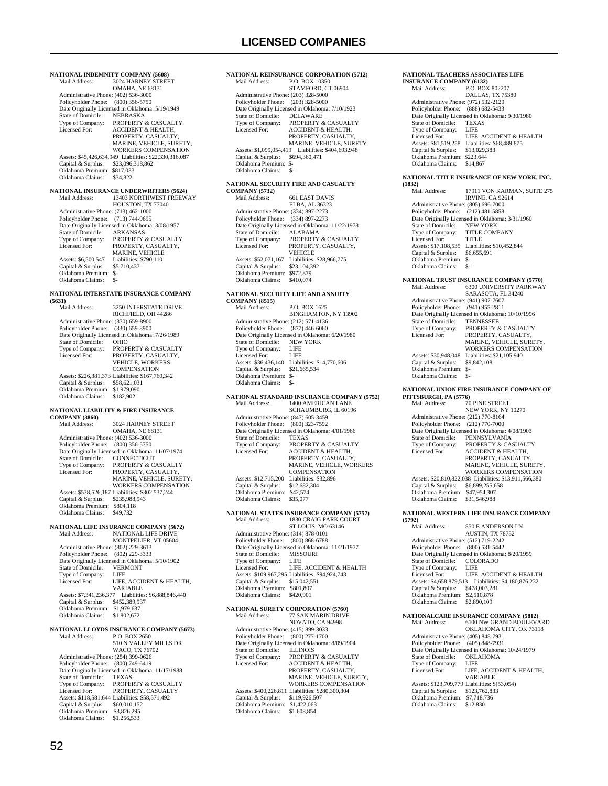**NATIONAL INDEMNITY COMPANY (5608)**<br>Mail Address: 3024 HARNEY STREE 3024 HARNEY STREET OMAHA, NE 68131 Administrative Phone: (402) 536-3000 Policyholder Phone: (800) 356-5750 Date Originally Licensed in Oklahoma: 5/19/1949<br>State of Domicile: NEBRASKA State of Domicile: Type of Company: PROPERTY & CASUALTY<br>Licensed For: ACCIDENT & HEALTH ACCIDENT & HEALTH. PROPERTY, CASUALTY MARINE, VEHICLE, SURETY, WORKERS COMPENSATION Assets: \$45,426,634,949 Liabilities: \$22,330,316,087 Capital & Surplus: \$23,096,318,862 Oklahoma Premium: \$817,033 Oklahoma Claims: \$34,822 **NATIONAL INSURANCE UNDERWRITERS (5624)** Mail Address: 13403 NORTHWEST FREEWAY HOUSTON, TX 77040 Administrative Phone: (713) 462-1000 Policyholder Phone: (713) 744-9695 Date Originally Licensed in Oklahoma: 3/08/1957<br>State of Domicile: ARKANSAS State of Domicile:<br>Type of Company: Type of Company: PROPERTY & CASUALTY<br>Licensed For: PROPERTY, CASUALTY, Licensed For: PROPERTY, CASUALTY, MARINE, VEHICLE Assets: \$6,500,547 Liabilities: \$790,110<br>Capital & Surplus: \$5,710,437 Capital & Surplus: Oklahoma Premium: \$- Oklahoma Claims: **NATIONAL INTERSTATE INSURANCE COMPANY (5631)** 3250 INTERSTATE DRIVE RICHFIELD, OH 44286 Administrative Phone: (330) 659-8900 Policyholder Phone: (330) 659-8900 Date Originally Licensed in Oklahoma: 7/26/1989 State of Domicile:<br>Type of Company: Type of Company: PROPERTY & CASUALTY<br>Licensed For: PROPERTY. CASUALTY PROPERTY, CASUALTY, VEHICLE, WORKERS **COMPENSATION**  Assets: \$226,381,373 Liabilities: \$167,760,342 Capital & Surplus: \$58,621,031 Oklahoma Premium: \$1,979,090 Oklahoma Claims: \$182,902 **NATIONAL LIABILITY & FIRE INSURANCE COMPANY (3860)**<br>Mail Address: 3024 HARNEY STREET OMAHA, NE 68131 Administrative Phone: (402) 536-3000 Policyholder Phone: (800) 356-5750 Date Originally Licensed in Oklahoma: 11/07/1974<br>State of Domicile: CONNECTICUT State of Domicile: Type of Company: PROPERTY & CASUALTY<br>Licensed For: PROPERTY, CASUALTY, PROPERTY, CASUALTY, MARINE, VEHICLE, SURETY, WORKERS COMPENSATION Assets: \$538,526,187 Liabilities: \$302,537,244 Capital & Surplus: \$235,988,943 Oklahoma Premium: \$804,118 Oklahoma Claims: \$49,732 **NATIONAL LIFE INSURANCE COMPANY (5672)** Mail Address: NATIONAL LIFE DRIVE MONTPELIER, VT 05604 Administrative Phone: (802) 229-3613 Policyholder Phone: (802) 229-3333 Date Originally Licensed in Oklahoma: 5/10/1902<br>State of Domicile: VERMONT State of Domicile: Type of Company: LIFE LIFE, ACCIDENT & HEALTH, VARIABLE Assets: \$7,341,236,377 Liabilities: \$6,888,846,440 Capital & Surplus: \$452,389,937 Oklahoma Premium: \$1,979,637 Oklahoma Claims: \$1,802,672 **NATIONAL LLOYDS INSURANCE COMPANY (5673)** P.O. BOX 2650 510 N VALLEY MILLS DR WACO, TX 76702 Administrative Phone: (254) 399-0626 Policyholder Phone: (800) 749-6419 Date Originally Licensed in Oklahoma: 11/17/1988<br>State of Domicile: TEXAS State of Domicile:<br>Type of Company: PROPERTY & CASUALTY Licensed For: PROPERTY, CASUALTY Assets: \$118,581,644 Liabilities: \$58,571,492 Capital & Surplus: \$60,010,152 Oklahoma Premium: \$3,826,295 Oklahoma Claims: \$1,256,533

### **NATIONAL REINSURANCE CORPORATION (5712)**<br>Mail Address: P.O. BOX 10350 P.O. BOX 10350 STAMFORD, CT 06904 Administrative Phone: (203) 328-5000 Policyholder Phone: (203) 328-5000 Date Originally Licensed in Oklahoma: 7/10/1923<br>State of Domicile: DELAWARE State of Domicile:<br>Type of Company: Type of Company: PROPERTY & CASUALTY<br>Licensed For: ACCIDENT & HEALTH Licensed For: ACCIDENT & HEALTH, PROPERTY, CASUALTY, MARINE, VEHICLE, SURETY<br>Assets: \$1,099,054,419 Liabilities: \$404,693,948 Capital & Surplus: \$694,360,471 Oklahoma Premium: \$- Oklahoma Claims: **NATIONAL SECURITY FIRE AND CASUALTY COMPANY (5732)**<br>Mail Address: 661 EAST DAVIS ELBA, AL 36323 Administrative Phone: (334) 897-2273 Policyholder Phone: (334) 897-2273

| $\Gamma$ UIL VHORICE FHORE. (334) 871-2213 |                                                  |
|--------------------------------------------|--------------------------------------------------|
|                                            | Date Originally Licensed in Oklahoma: 11/22/1978 |
| State of Domicile:                         | <b>ALABAMA</b>                                   |
| Type of Company:                           | PROPERTY & CASUALTY                              |
| Licensed For:                              | PROPERTY, CASUALTY.                              |
|                                            | <b>VEHICLE</b>                                   |
| Assets: \$52,071,167                       | Liabilities: \$28,966,775                        |
| Capital & Surplus:                         | \$23,104,392                                     |
| Oklahoma Premium:                          | \$972,879                                        |
| Oklahoma Claims:                           | \$410,074                                        |

### **NATIONAL SECURITY LIFE AND ANNUITY**

| <b>COMPANY (8515)</b>                |                                                 |
|--------------------------------------|-------------------------------------------------|
| Mail Address:                        | <b>P.O. BOX 1625</b>                            |
|                                      | BINGHAMTON, NY 13902                            |
| Administrative Phone: (212) 571-4136 |                                                 |
| Policyholder Phone: (877) 446-6060   |                                                 |
|                                      | Date Originally Licensed in Oklahoma: 6/20/1980 |
| State of Domicile:                   | <b>NEW YORK</b>                                 |
| Type of Company:                     | LIFE.                                           |
| Licensed For:                        | LIFE                                            |
| Assets: \$36,436,140                 | Liabilities: \$14,770,606                       |
| Capital & Surplus:                   | \$21,665,534                                    |
| Oklahoma Premium:                    | $S-$                                            |
| Oklahoma Claims:                     | \$-                                             |
|                                      |                                                 |

## **NATIONAL STANDARD INSURANCE COMPANY (5752)**

| Mail Address:                        | 1400 AMERICAN LANE                              |
|--------------------------------------|-------------------------------------------------|
|                                      | SCHAUMBURG, IL 60196                            |
| Administrative Phone: (847) 605-3459 |                                                 |
| Policyholder Phone:                  | (800) 323-7592                                  |
|                                      | Date Originally Licensed in Oklahoma: 4/01/1966 |
| State of Domicile:                   | <b>TEXAS</b>                                    |
| Type of Company:                     | <b>PROPERTY &amp; CASUALTY</b>                  |
| Licensed For:                        | <b>ACCIDENT &amp; HEALTH,</b>                   |
|                                      | PROPERTY, CASUALTY,                             |
|                                      | <b>MARINE, VEHICLE, WORKERS</b>                 |
|                                      | <b>COMPENSATION</b>                             |
| Assets: \$12,715,200                 | Liabilities: \$32,896                           |
| Capital & Surplus:                   | \$12,682,304                                    |
| Oklahoma Premium:                    | \$42,574                                        |
| Oklahoma Claims:                     | \$35,077                                        |
|                                      |                                                 |

## **NATIONAL STATES INSURANCE COMPANY (5757)**

| Mail Address:                        | 1830 CRAIG PARK COURT                            |
|--------------------------------------|--------------------------------------------------|
|                                      | ST LOUIS, MO 63146                               |
| Administrative Phone: (314) 878-0101 |                                                  |
| Policyholder Phone: (800) 868-6788   |                                                  |
|                                      | Date Originally Licensed in Oklahoma: 11/21/1977 |
| State of Domicile:                   | <b>MISSOURI</b>                                  |
| Type of Company:                     | LIFE                                             |
| Licensed For:                        | LIFE. ACCIDENT & HEALTH                          |
|                                      | Assets: \$109,967,295 Liabilities: \$94,924,743  |
| Capital & Surplus:                   | \$15,042,551                                     |
| Oklahoma Premium:                    | \$801.807                                        |
| Oklahoma Claims:                     | \$420,901                                        |
|                                      |                                                  |

#### **NATIONAL SURETY CORPORATION (5760)**<br>Mail Address: 77 SAN MARIN DRIVE 77 SAN MARIN DRIVE

 NOVATO, CA 94998 Administrative Phone: (415) 899-3033 Policyholder Phone: (800) 277-1700 Date Originally Licensed in Oklahoma: 8/09/1904<br>State of Domicile: ILLINOIS State of Domicile:<br>Type of Company: Type of Company: PROPERTY & CASUALTY<br>Licensed For: ACCIDENT & HEALTH, ACCIDENT & HEALTH, PROPERTY, CASUALTY MARINE, VEHICLE, SURETY, WORKERS COMPENSATION Assets: \$400,226,811 Liabilities: \$280,300,304 Capital & Surplus: \$119,926,507 Oklahoma Premium: \$1,422,063 Oklahoma Claims: \$1,608,854

#### **NATIONAL TEACHERS ASSOCIATES LIFE INSURANCE COMPANY (6132)**

| Mail Address:                        | P.O. BOX 802207                                 |
|--------------------------------------|-------------------------------------------------|
|                                      | DALLAS, TX 75380                                |
| Administrative Phone: (972) 532-2129 |                                                 |
| Policyholder Phone: (888) 682-5433   |                                                 |
|                                      | Date Originally Licensed in Oklahoma: 9/30/1980 |
| State of Domicile:                   | TEXAS                                           |
| Type of Company:                     | LIFE                                            |
| Licensed For:                        | LIFE. ACCIDENT & HEALTH                         |
| Assets: \$81,519,258                 | Liabilities: \$68,489,875                       |
| Capital & Surplus:                   | \$13,029,383                                    |
| Oklahoma Premium:                    | \$223.644                                       |
| Oklahoma Claims:                     | \$14,867                                        |
|                                      |                                                 |

#### **NATIONAL TITLE INSURANCE OF NEW YORK, INC. (1832)**

| Mail Address:                        | 17911 VON KARMAN, SUITE 275                      |
|--------------------------------------|--------------------------------------------------|
|                                      | <b>IRVINE, CA 92614</b>                          |
| Administrative Phone: (805) 696-7000 |                                                  |
| Policyholder Phone: (212) 481-5858   |                                                  |
|                                      | Date Originally Licensed in Oklahoma: 3/31/1960  |
| State of Domicile: NEW YORK          |                                                  |
| Type of Company: TITLE COMPANY       |                                                  |
| Licensed For:                        | <b>TITLE</b>                                     |
|                                      | Assets: \$17,108,535 Liabilities: \$10,452,844   |
| Capital & Surplus:                   | \$6,655,691                                      |
| Oklahoma Premium: \$-                |                                                  |
| Oklahoma Claims:                     | $S-$                                             |
|                                      | NATIONAL TRUST INSURANCE COMPANY (5770)          |
| Mail Address:                        | <b>6300 UNIVERSITY PARKWAY</b>                   |
|                                      | SARASOTA, FL 34240                               |
| Administrative Phone: (941) 907-7607 |                                                  |
| Policyholder Phone: (941) 955-2811   |                                                  |
|                                      | Date Originally Licensed in Oklahoma: 10/10/1996 |
| State of Domicile: TENNESSEE         |                                                  |
|                                      |                                                  |

| State of Domicile:   | TENNESSEE                   |
|----------------------|-----------------------------|
| Type of Company:     | PROPERTY & CASUALTY         |
| Licensed For:        | PROPERTY, CASUALTY.         |
|                      | MARINE, VEHICLE, SURETY,    |
|                      | <b>WORKERS COMPENSATION</b> |
| Assets: \$30,948,048 | Liabilities: \$21,105,940   |
| Capital & Surplus:   | \$9,842,108                 |
| Oklahoma Premium:    | $S-$                        |
| Oklahoma Claims:     |                             |

#### **NATIONAL UNION FIRE INSURANCE COMPANY OF PITTS**

| Mail Address:                        | <b>70 PINE STREET</b>                                  |
|--------------------------------------|--------------------------------------------------------|
|                                      | NEW YORK, NY 10270                                     |
| Administrative Phone: (212) 770-8164 |                                                        |
| Policyholder Phone: (212) 770-7000   |                                                        |
|                                      | Date Originally Licensed in Oklahoma: 4/08/1903        |
| State of Domicile:                   | PENNSYLVANIA                                           |
| Type of Company:                     | PROPERTY & CASUALTY                                    |
| Licensed For:                        | <b>ACCIDENT &amp; HEALTH.</b>                          |
|                                      | PROPERTY, CASUALTY.                                    |
|                                      | MARINE, VEHICLE, SURETY.                               |
|                                      | <b>WORKERS COMPENSATION</b>                            |
|                                      | Assets: \$20,810,822,038 Liabilities: \$13,911,566,380 |
| Capital & Surplus:                   | \$6,899,255,658                                        |
| Oklahoma Premium:                    | \$47,954,307                                           |
| Oklahoma Claims:                     | \$31,546,988                                           |
|                                      | ГП І І В ОК ОП, ГА (3/70)                              |

### **NATIONAL WESTERN LIFE INSURANCE COMPANY (5792)**

| 137341                               |                                                 |
|--------------------------------------|-------------------------------------------------|
| Mail Address:                        | 850 E ANDERSON LN                               |
|                                      | AUSTIN, TX 78752                                |
| Administrative Phone: (512) 719-2242 |                                                 |
| Policyholder Phone: (800) 531-5442   |                                                 |
|                                      | Date Originally Licensed in Oklahoma: 8/20/1959 |
| State of Domicile:                   | <b>COLORADO</b>                                 |
| Type of Company:                     | LIFE                                            |
| Licensed For:                        | LIFE. ACCIDENT & HEALTH                         |
| Assets: \$4,658,879,513              | Liabilities: \$4,180,876,232                    |
| Capital & Surplus:                   | \$478,003,281                                   |
| Oklahoma Premium:                    | \$2,510,878                                     |
| Oklahoma Claims:                     | \$2,890,109                                     |
|                                      |                                                 |

## **NATIONALCARE INSURANCE COMPANY (5812)**

| Mail Address:                                 | <b>6100 NW GRAND BOULEVARD</b>                   |
|-----------------------------------------------|--------------------------------------------------|
|                                               | OKLAHOMA CITY, OK 73118                          |
| Administrative Phone: (405) 848-7931          |                                                  |
| Policyholder Phone: (405) 848-7931            |                                                  |
|                                               | Date Originally Licensed in Oklahoma: 10/24/1979 |
| State of Domicile:                            | <b>OKLAHOMA</b>                                  |
| Type of Company:                              | LIFE                                             |
| Licensed For:                                 | LIFE, ACCIDENT & HEALTH,                         |
|                                               | <b>VARIARLE</b>                                  |
| Assets: \$123,709,779 Liabilities: \$(53,054) |                                                  |
| Capital & Surplus:                            | \$123,762,833                                    |
| Oklahoma Premium:                             | \$7,718,736                                      |
| Oklahoma Claims:                              | \$12,830                                         |
|                                               |                                                  |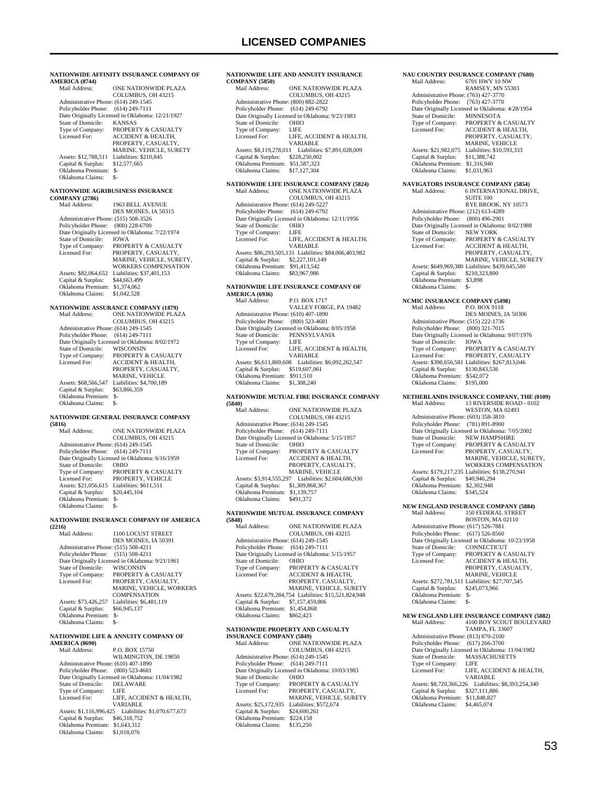**NATIONWIDE AFFINITY INSURANCE COMPANY OF**  AMERICA (8744)<br>Mail Address: ONE NATIONWIDE PLAZA COLUMBUS, OH 43215 Administrative Phone: (614) 249-1545 Policyholder Phone: (614) 249-7111 Date Originally Licensed in Oklahoma: 12/21/1927<br>State of Domicile: KANSAS State of Domicile:<br>Type of Company: Type of Company: PROPERTY & CASUALTY<br>Licensed For: ACCIDENT & HEALTH. ACCIDENT & HEALTH, PROPERTY, CASUALTY MARINE, VEHICLE, SURETY Assets: \$12,788,511 Liabilities: \$210,845<br>Capital & Surplus: \$12,577,665 Capital & Surplus: \$12,577,665 Oklahoma Premium: \$- Oklahoma Claims: \$- **NATIONWIDE AGRIBUSINESS INSURANCE COMPANY (2786)** 1963 BELL AVENUE DES MOINES, IA 50315 Administrative Phone: (515) 508-3526 Policyholder Phone: (800) 228-6700 Date Originally Licensed in Oklahoma: 7/22/1974<br>State of Domicile: IOWA State of Domicile:<br>Type of Company: Type of Company: PROPERTY & CASUALTY Licensed For: PROPERTY, CASUALTY, MARINE, VEHICLE, SURETY, WORKERS COMPENSATION MONNERS COMPENS<br>Assets: \$82,064,652 Liabilities: \$37,401,153<br>Capital & Surplus: \$44,663,499 Capital & Surplus: Oklahoma Premium: \$1,374,062 Oklahoma Claims: \$1,042,528 **NATIONWIDE ASSURANCE COMPANY (1879)** Mail Address: ONE NATIONWIDE PLAZA COLUMBUS, OH 43215 Administrative Phone: (614) 249-1545 Policyholder Phone: (614) 249-7111 Date Originally Licensed in Oklahoma: 8/02/1972<br>State of Domicile: WISCONSIN State of Domicile:<br>Type of Company: PROPERTY & CASUALTY Licensed For: ACCIDENT & HEALTH, PROPERTY, CASUALTY, MARINE, VEHICLE<br>Assets: \$68,566,547 Liabilities: \$4,700,189 Capital & Surplus: \$63,866,359 Oklahoma Premium: \$- Oklahoma Claims: **NATIONWIDE GENERAL INSURANCE COMPANY (5816)** ONE NATIONWIDE PLAZA COLUMBUS, OH 43215 Administrative Phone: (614) 249-1545 Policyholder Phone: (614) 249-7111 Date Originally Licensed in Oklahoma: 6/16/1959 State of Domicile: OHIO<br>Type of Company: PROPE PROPERTY & CASUALTY Licensed For: PROPERTY, VEHICLE Assets: \$21,056,615 Liabilities: \$611,511 Capital & Surplus: \$20,445,104 Oklahoma Premium: \$- Oklahoma Claims: \$- **NATIONWIDE INSURANCE COMPANY OF AMERICA (2216)** 1100 LOCUST STREET DES MOINES, IA 50391 Administrative Phone: (515) 508-4211 Policyholder Phone: (515) 508-4211 Date Originally Licensed in Oklahoma: 9/21/1961 State of Domicile: State of Domicile: WISCONSIN<br>Type of Company: PROPERTY & CASUALTY<br>Licensed For: PROPERTY, CASUALTY, Licensed For: PROPERTY, CASUALTY, MARINE, VEHICLE, WORKERS COMPENSATION Assets: \$73,426,257 Liabilities: \$6,481,119<br>Capital & Surplus: \$66,945,137 Capital & Surplus: Oklahoma Premium: \$- Oklahoma Claims: \$- **NATIONWIDE LIFE & ANNUITY COMPANY OF AMERICA (8690)** P.O. BOX 15750

WILMINGTON, DE 19850 Administrative Phone: (610) 407-1890 Policyholder Phone: (800) 523-4681 Date Originally Licensed in Oklahoma: 11/04/1982 State of Domicile: DELA<br>Type of Company: LIFE Type of Company:<br>Licensed For: LIFE, ACCIDENT & HEALTH, VARIABLE Assets: \$1,116,996,425 Liabilities: \$1,070,677,673 Capital & Surplus: \$46,318,752 Oklahoma Premium: \$1,643,312 Oklahoma Claims: \$1,018,076

### **NATIONWIDE LIFE AND ANNUITY INSURANCE COMPANY (5850)** ONE NATIONWIDE PLAZA COLUMBUS, OH 43215 Administrative Phone: (800) 882-2822 Policyholder Phone: (614) 249-6792 Date Originally Licensed in Oklahoma: 9/23/1983 State of Domicile: OHIO

| Type of Company:   | LIFE                                                 |
|--------------------|------------------------------------------------------|
| Licensed For:      | LIFE, ACCIDENT & HEALTH,                             |
|                    | <b>VARIARLE</b>                                      |
|                    | Assets: \$8,119,278,011 Liabilities: \$7,891,028,009 |
| Capital & Surplus: | \$228,250,002                                        |
| Oklahoma Premium:  | \$51,587,323                                         |
| Oklahoma Claims:   | \$17,127,304                                         |
|                    |                                                      |

## **NATIONWIDE LIFE INSURANCE COMPANY (5824)**

| Mail Address:                        | <b>ONE NATIONWIDE PLAZA</b>                            |
|--------------------------------------|--------------------------------------------------------|
|                                      | COLUMBUS, OH 43215                                     |
| Administrative Phone: (614) 249-5227 |                                                        |
| Policyholder Phone: (614) 249-6792   |                                                        |
|                                      | Date Originally Licensed in Oklahoma: 12/11/1956       |
| State of Domicile:                   | <b>OHIO</b>                                            |
| Type of Company:                     | LIFE                                                   |
| Licensed For:                        | LIFE, ACCIDENT & HEALTH.                               |
|                                      | <b>VARIABLE</b>                                        |
|                                      | Assets: \$86,293,505,131 Liabilities: \$84,066,403,982 |
| Capital & Surplus:                   | \$2,227,101,149                                        |
| Oklahoma Premium:                    | \$91.413.542                                           |
| Oklahoma Claims:                     | \$83,967,986                                           |

#### **NATIONWIDE LIFE INSURANCE COMPANY OF AMERICA (6936)**

| Mail Address:                        | <b>P.O. BOX 1717</b>                            |
|--------------------------------------|-------------------------------------------------|
|                                      | VALLEY FORGE, PA 19482                          |
| Administrative Phone: (610) 407-1890 |                                                 |
| Policyholder Phone: (800) 523-4681   |                                                 |
|                                      | Date Originally Licensed in Oklahoma: 8/05/1958 |
| State of Domicile:                   | PENNSYLVANIA                                    |
| Type of Company:                     | LIFE                                            |
| Licensed For:                        | LIFE, ACCIDENT & HEALTH,                        |
|                                      | <b>VARIABLE</b>                                 |
| Assets: \$6,611,869,608              | Liabilities: \$6,092,262,547                    |
| Capital & Surplus:                   | \$519,607,061                                   |
| Oklahoma Premium:                    | \$911.510                                       |
| Oklahoma Claims:                     | \$1,308,240                                     |
|                                      |                                                 |

# **NATIONWIDE MUTUAL FIRE INSURANCE COMPANY**

| (5840)                               |                                                 |
|--------------------------------------|-------------------------------------------------|
| Mail Address:                        | <b>ONE NATIONWIDE PLAZA</b>                     |
|                                      | COLUMBUS, OH 43215                              |
| Administrative Phone: (614) 249-1545 |                                                 |
| Policyholder Phone:                  | $(614)$ 249-7111                                |
|                                      | Date Originally Licensed in Oklahoma: 5/15/1957 |
| State of Domicile:                   | <b>OHIO</b>                                     |
| Type of Company:                     | PROPERTY & CASUALTY                             |
| Licensed For:                        | <b>ACCIDENT &amp; HEALTH,</b>                   |
|                                      | PROPERTY, CASUALTY,                             |
|                                      | MARINE. VEHICLE                                 |
| Assets: \$3,914,555,297              | Liabilities: \$2,604,686,930                    |
| Capital & Surplus:                   | \$1,309,868,367                                 |
| Oklahoma Premium:                    | \$1,139,757                                     |
| Oklahoma Claims:                     | \$491.372                                       |
|                                      |                                                 |

## **NATIONWIDE MUTUAL INSURANCE COMPANY**

| (5848)                               |                                                        |
|--------------------------------------|--------------------------------------------------------|
| Mail Address:                        | <b>ONE NATIONWIDE PLAZA</b>                            |
|                                      | <b>COLUMBUS, OH 43215</b>                              |
| Administrative Phone: (614) 249-1545 |                                                        |
| Policyholder Phone:                  | $(614)$ 249-7111                                       |
|                                      | Date Originally Licensed in Oklahoma: 5/15/1957        |
| State of Domicile:                   | <b>OHIO</b>                                            |
| Type of Company:                     | <b>PROPERTY &amp; CASUALTY</b>                         |
| Licensed For:                        | <b>ACCIDENT &amp; HEALTH.</b>                          |
|                                      | PROPERTY, CASUALTY,                                    |
|                                      | MARINE, VEHICLE, SURETY                                |
|                                      | Assets: \$22,679,284,754 Liabilities: \$15,521,824,948 |
| Capital & Surplus:                   | \$7,157,459,806                                        |
| Oklahoma Premium:                    | \$1,454,868                                            |
| Oklahoma Claims:                     | \$862,423                                              |
|                                      |                                                        |

## **NATIONWIDE PROPERTY AND CASUALTY**

| <b>INSURANCE COMPANY (5849)</b>                  |  |  |
|--------------------------------------------------|--|--|
| ONE NATIONWIDE PLAZA                             |  |  |
| COLUMBUS, OH 43215                               |  |  |
| Administrative Phone: (614) 249-1545             |  |  |
| $(614)$ 249-7111<br>Policyholder Phone:          |  |  |
| Date Originally Licensed in Oklahoma: 10/03/1983 |  |  |
| <b>OHIO</b>                                      |  |  |
| PROPERTY & CASUALTY                              |  |  |
| PROPERTY, CASUALTY,                              |  |  |
| <b>MARINE, VEHICLE, SURETY</b>                   |  |  |
| Liabilities: \$572,674                           |  |  |
| \$24,600,261                                     |  |  |
| \$224.158                                        |  |  |
| \$135,250                                        |  |  |
|                                                  |  |  |

### **NAU COUNTRY INSURANCE COMPANY (7680)**<br>Mail Address: 6701 HWY 10 NW 6701 HWY 10 NW RAMSEY, MN 55303 Administrative Phone: (763) 427-3770 Policyholder Phone: (763) 427-3770 Date Originally Licensed in Oklahoma: 4/28/1954<br>State of Domicile: MINNESOTA State of Domicile:<br>Type of Company: Type of Company: PROPERTY & CASUALTY<br>Licensed For: ACCIDENT & HEALTH ACCIDENT & HEALTH PROPERTY, CASUALTY, MARINE, VEHICLE<br>Assets: \$21,982,075 Liabilities: \$10,593,333 Capital & Surplus: \$11,388,742 Oklahoma Premium: \$1,316,940<br>Oklahoma Claims: \$1,031,963 Oklahoma Claims: **NAVIGATORS INSURANCE COMPANY (5854)** 6 INTERNATIONAL DRIVE, **SUITE 100**  RYE BROOK, NY 10573 Administrative Phone: (212) 613-4289 Policyholder Phone: (800) 496-2901 Date Originally Licensed in Oklahoma: 8/02/1988 State of Domicile:<br>Type of Company: State of Domicile: NEW YORK<br>Type of Company: PROPERTY & CASUALTY<br>Licensed For: ACCIDENT & HEALTH, Licensed For: ACCIDENT & HEALTH, PROPERTY, CASUALTY, MARINE, VEHICLE, SURETY Assets: \$649,969,380 Liabilities: \$439,645,580 Capital & Surplus: \$210,323,800 Capital & Surplus: \$210,32<br>Oklahoma Premium: \$3,898<br>Oklahoma Claims: \$ Oklahoma Claims: \$- **NCMIC INSURANCE COMPANY (5498)** Mail Address: P.O. BOX 9118 DES MOINES, IA 50306 Administrative Phone: (515) 222-1736 Policyholder Phone: (800) 321-7015 Date Originally Licensed in Oklahoma: 9/07/1976 State of Domicile: IOWA Type of Company: PROPERTY & CASUALTY<br>Licensed For: PROPERTY. CASUALTY PROPERTY, CASUALTY Assets: \$398,656,581 Liabilities: \$267,813,046 Capital & Surplus: \$130,843,536 Oklahoma Premium: \$542,072<br>Oklahoma Claims: \$195,000 Oklahoma Claims: **NETHERLANDS INSURANCE COMPANY, THE (0109)** Mail Address: 13 RIVERSIDE ROAD - 0102 13 RIVERSIDE ROAD - 0102 WESTON, MA 02493 Administrative Phone: (603) 358-3810 Policyholder Phone: (781) 891-8900 Date Originally Licensed in Oklahoma: 7/05/2002 State of Domicile: NEW HAMPSHIRE<br>Type of Company: PROPERTY & CASU Type of Company: PROPERTY & CASUALTY<br>Licensed For: PROPERTY, CASUALTY, PROPERTY, CASUALTY, MARINE, VEHICLE, SURETY, WORKERS COMPENSATION Assets: \$179,217,235 Liabilities: \$138,270,941 Capital & Surplus: \$40,946,294 Oklahoma Premium: \$2,302,948<br>Oklahoma Claims: \$345.524 Oklahoma Claims: \$345,524 **NEW ENGLAND INSURANCE COMPANY (5884)** Mail Address: 150 FEDERAL STREET BOSTON, MA 02110 Administrative Phone: (617) 526-7881 Policyholder Phone: (617) 526-8560 Date Originally Licensed in Oklahoma: 10/23/1958<br>State of Domicile: CONNECTICUT State of Domicile:<br>Type of Company: Type of Company: PROPERTY & CASUALTY<br>Licensed For: ACCIDENT & HEALTH, ACCIDENT & HEALTH, PROPERTY, CASUALTY, MARINE, VEHICLE Assets: \$272,781,511 Liabilities: \$27,707,545<br>Capital & Surplus: \$245,073,966

 Capital & Surplus: \$245,073,966 Oklahoma Premium: \$- Oklahoma Claims: \$-

 Administrative Phone: (813) 870-2100 Policyholder Phone: (617) 266-3700 Date Originally Licensed in Oklahoma: 11/04/1982 MASSACHUSETTS<br>LIFE

 Capital & Surplus: \$327,111,886 Oklahoma Premium: \$11,848,827 Oklahoma Claims: \$4,465,074

Type of Company:<br>Licensed For:

**NEW ENGLAND LIFE INSURANCE COMPANY (5882)**<br>Mail Address: 4100 BOY SCOUT BOULEVARD Mail Address: 4100 BOY SCOUT BOULEVARD TAMPA, FL 33607

VARIABLE Assets: \$8,720,366,226 Liabilities: \$8,393,254,340

LIFE, ACCIDENT & HEALTH,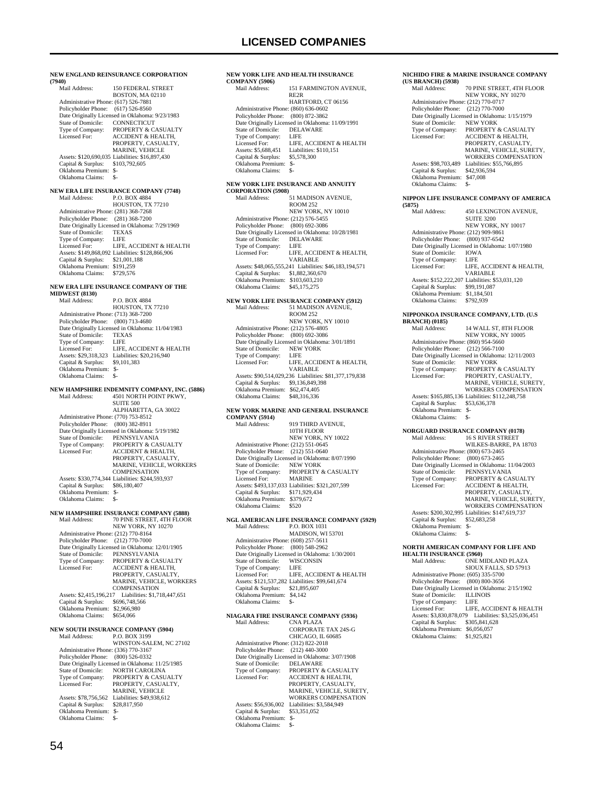**NEW ENGLAND REINSURANCE CORPORATION (7940)** 150 FEDERAL STREET BOSTON, MA 02110 Administrative Phone: (617) 526-7881 Policyholder Phone: (617) 526-8560 Date Originally Licensed in Oklahoma: 9/23/1983<br>State of Domicile: CONNECTICUT State of Domicile:<br>Type of Company: Type of Company: PROPERTY & CASUALTY<br>Licensed For: ACCIDENT & HEALTH. ACCIDENT & HEALTH, PROPERTY, CASUALTY MARINE, VEHICLE Assets: \$120,690,035 Liabilities: \$16,897,430 Capital & Surplus: \$103,792,605 Oklahoma Premium: \$- Oklahoma Claims: \$- **NEW ERA LIFE INSURANCE COMPANY (7748)**<br>Mail Address: P.O. BOX 4884 P.O. BOX 4884 HOUSTON, TX 77210 Administrative Phone: (281) 368-7268 Policyholder Phone: (281) 368-7200 Date Originally Licensed in Oklahoma: 7/29/1969<br>State of Domicile: TEXAS State of Domicile: TEXA<br>Type of Company: LIFE Type of Company:<br>Licensed For: LIFE, ACCIDENT  $\&$  HEALTH Assets: \$149,868,092 Liabilities: \$128,866,906 Capital & Surplus: \$21,001,188 Oklahoma Premium: \$191,259 Oklahoma Claims: \$729,576 **NEW ERA LIFE INSURANCE COMPANY OF THE MIDWEST (8130)** Mail Address: P.O. BOX 4884 HOUSTON, TX 77210 Administrative Phone: (713) 368-7200 Policyholder Phone: (800) 713-4680 Date Originally Licensed in Oklahoma: 11/04/1983<br>State of Domicile: TEXAS State of Domicile: TEXA<br>Type of Company: LIFE Type of Company:<br>Licensed For: LIFE, ACCIDENT & HEALTH Assets: \$29,318,323 Liabilities: \$20,216,940<br>Capital & Surplus: \$9,101,383 Capital & Surplus: Oklahoma Premium: \$- Oklahoma Claims: \$-**NEW HAMPSHIRE INDEMNITY COMPANY, INC. (5886)** Mail Address: 4501 NORTH POINT PKWY, SUITE 500 ALPHARETTA, GA 30022 Administrative Phone: (770) 753-8512 Policyholder Phone: (800) 382-8911 Date Originally Licensed in Oklahoma: 5/19/1982 State of Domicile: PENNSYLVANIA<br>Type of Company: PROPERTY & CAS Type of Company: PROPERTY & CASUALTY<br>Licensed For: ACCIDENT & HEALTH. ACCIDENT & HEALTH, PROPERTY, CASUALTY, MARINE, VEHICLE, WORKERS **COMPENSATION**  Assets: \$330,774,344 Liabilities: \$244,593,937 Capital & Surplus: Oklahoma Premium: \$- Oklahoma Claims: \$-**NEW HAMPSHIRE INSURANCE COMPANY (5888)** Mail Address: 70 PINE STREET, 4TH FLOOR NEW YORK, NY 10270 Administrative Phone: (212) 770-8164 Policyholder Phone: (212) 770-7000 Date Originally Licensed in Oklahoma: 12/01/1905<br>State of Domicile: PENNSYLVANIA State of Domicile: PENNSYLVANIA<br>Type of Company: PROPERTY & CA: Type of Company: PROPERTY & CASUALTY<br>Licensed For: ACCIDENT & HEALTH, Licensed For: ACCIDENT & HEALTH, PROPERTY, CASUALTY, MARINE, VEHICLE, WORKERS **COMPENSATION**  Assets: \$2,415,196,217 Liabilities: \$1,718,447,651 Capital & Surplus: \$696,748,566 Oklahoma Premium: \$2,966,980 Oklahoma Claims: \$654,066 **NEW SOUTH INSURANCE COMPANY (5904)**<br>Mail Address: P.O. BOX 3199 P.O. BOX 3199 WINSTON-SALEM, NC 27102 Administrative Phone: (336) 770-3167 Policyholder Phone: (800) 526-0332 Date Originally Licensed in Oklahoma: 11/25/1985 State of Domicile: NORTH CAROLINA<br>Type of Company: PROPERTY & CASU. Type of Company: PROPERTY & CASUALTY Licensed For: PROPERTY, CASUALTY, MARINE, VEHICLE Assets: \$78,756,562 Liabilities: \$49,938,612<br>Capital & Surplus: \$28,817,950 Capital & Surplus:

### **NEW YORK LIFE AND HEALTH INSURANCE COMPANY (5906)** 151 FARMINGTON AVENUE, RE2R HARTFORD, CT 06156 Administrative Phone: (860) 636-0602 Policyholder Phone: (800) 872-3862 Date Originally Licensed in Oklahoma: 11/09/1991<br>State of Domicile: DELAWARE State of Domicile: DEL<br>Type of Company: LIFE Type of Company:<br>Licensed For: Licensed For: LIFE, ACCIDENT & HEALTH<br>Assets: \$5,688,451 Liabilities: \$110,151 Liabilities: \$110,151<br>\$5,578,300 Capital & Surplus: Oklahoma Premium: \$- Oklahoma Claims: **NEW YORK LIFE INSURANCE AND ANNUITY CORPORATION (5908)**<br>Mail Address: 51 MADISON AVENUE ROOM 252 NEW YORK, NY 10010 Administrative Phone: (212) 576-5455 Policyholder Phone: (800) 692-3086 Date Originally Licensed in Oklahoma: 10/28/1981 State of Domicile: DELAWARE Type of Company: LIFE Licensed For: LIFE, ACCIDENT & HEALTH, VARIABLE Assets: \$48,065,555,241 Liabilities: \$46,183,194,571 Capital & Surplus: \$1,882,360,670 Oklahoma Premium: \$103,603,210 Oklahoma Claims: \$45,175,275 **NEW YORK LIFE INSURANCE COMPANY (5912)** Mail Address: 51 MADISON AVENUE, ROOM 252 NEW YORK, NY 10010 Administrative Phone: (212) 576-4805<br>Policyholder Phone: (800) 692-3086 Policyholder Phone: Date Originally Licensed in Oklahoma: 3/01/1891 State of Domicile: NEW<br>Type of Company: IEE Type of Company: Licensed For: LIFE, ACCIDENT & HEALTH, VARIABLE Assets: \$90,514,029,236 Liabilities: \$81,377,179,838 Capital & Surplus: \$9,136,849,398 Oklahoma Premium: \$62,474,405 Oklahoma Claims: \$48,316,336 **NEW YORK MARINE AND GENERAL INSURANCE COMPANY (5914)** 919 THIRD AVENUE 10TH FLOOR NEW YORK, NY 10022 Administrative Phone: (212) 551-0645 Policyholder Phone: (212) 551-0640 Date Originally Licensed in Oklahoma: 8/07/1990 State of Domicile: NEW YORK<br>Type of Company: PROPERTY PROPERTY & CASUALTY Licensed For: MARINE Assets: \$493,137,033 Liabilities: \$321,207,599 Capital & Surplus: \$171,929,434 Oklahoma Premium: \$379,672 Oklahoma Claims: \$520 **NGL AMERICAN LIFE INSURANCE COMPANY (5929)** P.O. BOX 1031 MADISON, WI 53701 Administrative Phone: (608) 257-5611 Policyholder Phone: (800) 548-2962 Date Originally Licensed in Oklahoma: 1/30/2001<br>State of Domicile: WISCONSIN State of Domicile: WISC<br>Type of Company: LIFE Type of Company: Licensed For: LIFE, ACCIDENT & HEALTH Assets: \$121,537,282 Liabilities: \$99,641,674 Capital & Surplus: \$21,895,607 Oklahoma Premium: \$4,142 Oklahoma Claims: \$-**NIAGARA FIRE INSURANCE COMPANY (5936)** Mail Address: CORPORATE TAX 24S-G CHICAGO, IL 60685 Administrative Phone: (312) 822-2018 Policyholder Phone: (212) 440-3000

## Date Originally Licensed in Oklahoma: 3/07/1908 State of Domicile: DELAWARE Type of Company: PROPERTY & CASUALTY<br>Licensed For: ACCIDENT & HEALTH, Licensed For: ACCIDENT & HEALTH, PROPERTY, CASUALTY, MARINE, VEHICLE, SURETY WORKERS COMPENSATION Assets: \$56,936,002 Liabilities: \$3,584,949<br>Capital & Surplus: \$53,351,052 Capital & Surplus: \$53,351,052 Oklahoma Premium: \$- Oklahoma Claims: \$-

#### **NICHIDO FIRE & MARINE INSURANCE COMPANY (US BRANCH) (5938)**

| Mail Address:                        |          | 70 PINE STREET, 4TH FLOOR                       |
|--------------------------------------|----------|-------------------------------------------------|
|                                      |          | NEW YORK, NY 10270                              |
| Administrative Phone: (212) 770-0717 |          |                                                 |
| Policyholder Phone: (212) 770-7000   |          |                                                 |
|                                      |          | Date Originally Licensed in Oklahoma: 1/15/1979 |
| State of Domicile:                   |          | <b>NEW YORK</b>                                 |
| Type of Company:                     |          | <b>PROPERTY &amp; CASUALTY</b>                  |
| Licensed For:                        |          | <b>ACCIDENT &amp; HEALTH,</b>                   |
|                                      |          | PROPERTY, CASUALTY,                             |
|                                      |          | MARINE, VEHICLE, SURETY.                        |
|                                      |          | <b>WORKERS COMPENSATION</b>                     |
| Assets: \$98,703.489                 |          | Liabilities: \$55,766,895                       |
| Capital & Surplus:                   |          | \$42,936,594                                    |
| Oklahoma Premium:                    | \$47,008 |                                                 |
| Oklahoma Claims:                     |          |                                                 |
|                                      |          |                                                 |

### **NIPPON LIFE INSURANCE COMPANY OF AMERICA**

| (5875)                               |                                                 |
|--------------------------------------|-------------------------------------------------|
| Mail Address:                        | 450 LEXINGTON AVENUE.                           |
|                                      | <b>SUITE 3200</b>                               |
|                                      | NEW YORK, NY 10017                              |
| Administrative Phone: (212) 909-9861 |                                                 |
| Policyholder Phone: (800) 937-6542   |                                                 |
|                                      | Date Originally Licensed in Oklahoma: 1/07/1980 |
| State of Domicile:                   | <b>IOWA</b>                                     |
| Type of Company:                     | - LIFE                                          |
| Licensed For:                        | LIFE. ACCIDENT & HEALTH.                        |
|                                      | <b>VARIABLE</b>                                 |
|                                      | Assets: \$152,222,207 Liabilities: \$53,031,120 |
| Capital & Surplus:                   | \$99,191,087                                    |
| Oklahoma Premium:                    | \$1.184.501                                     |
| Oklahoma Claims:                     | \$792.939                                       |
|                                      |                                                 |

## **NIPPONKOA INSURANCE COMPANY, LTD. (U.S**

| <b>BRANCH)</b> (0185)                |                                                  |
|--------------------------------------|--------------------------------------------------|
| Mail Address:                        | <b>14 WALL ST. 8TH FLOOR</b>                     |
|                                      | NEW YORK, NY 10005                               |
| Administrative Phone: (860) 954-5660 |                                                  |
| Policyholder Phone:                  | $(212) 566 - 7100$                               |
|                                      | Date Originally Licensed in Oklahoma: 12/11/2003 |
| State of Domicile:                   | <b>NEW YORK</b>                                  |
| Type of Company:                     | <b>PROPERTY &amp; CASUALTY</b>                   |
| Licensed For:                        | PROPERTY. CASUALTY.                              |
|                                      | MARINE, VEHICLE, SURETY.                         |
|                                      | <b>WORKERS COMPENSATION</b>                      |
|                                      | Assets: \$165,885,136 Liabilities: \$112,248,758 |
| Capital & Surplus:                   | \$53,636,378                                     |
| Oklahoma Premium:                    | $S-$                                             |
| Oklahoma Claims:                     | \$-                                              |
|                                      |                                                  |

### **NORGUARD INSURANCE COMPANY (0178)**

| Mail Address:                        | <b>16 S RIVER STREET</b>                         |
|--------------------------------------|--------------------------------------------------|
|                                      | WILKES-BARRE, PA 18703                           |
| Administrative Phone: (800) 673-2465 |                                                  |
| Policyholder Phone:                  | $(800)$ 673-2465                                 |
|                                      | Date Originally Licensed in Oklahoma: 11/04/2003 |
| State of Domicile:                   | PENNSYLVANIA                                     |
| Type of Company:                     | PROPERTY & CASUALTY                              |
| Licensed For:                        | <b>ACCIDENT &amp; HEALTH.</b>                    |
|                                      | PROPERTY, CASUALTY.                              |
|                                      | MARINE, VEHICLE, SURETY.                         |
|                                      | <b>WORKERS COMPENSATION</b>                      |
|                                      | Assets: \$200,302,995 Liabilities: \$147,619,737 |
| Capital & Surplus:                   | \$52,683,258                                     |
| Oklahoma Premium:                    | \$-                                              |
| Oklahoma Claims:                     | \$-                                              |
|                                      |                                                  |
|                                      | NORTH AMERICAN COMPANY FOR LIFE AND              |
|                                      |                                                  |

| <b>HEALTH INSURANCE (5960)</b>       |                                                 |
|--------------------------------------|-------------------------------------------------|
| Mail Address:                        | ONE MIDLAND PLAZA                               |
|                                      | SIOUX FALLS, SD 57913                           |
| Administrative Phone: (605) 335-5700 |                                                 |
| Policyholder Phone: (800) 800-3656   |                                                 |
|                                      | Date Originally Licensed in Oklahoma: 2/15/1902 |
| State of Domicile: ILLINOIS          |                                                 |
| Type of Company:                     | <b>LIFE</b>                                     |
| Licensed For:                        | LIFE. ACCIDENT & HEALTH                         |
| Assets: \$3,830,878,079              | Liabilities: \$3,525,036,451                    |
| Capital & Surplus:                   | \$305,841,628                                   |
| Oklahoma Premium:                    | \$6,056,057                                     |
| Oklahoma Claims:                     | \$1,925,821                                     |

 Oklahoma Premium: \$- Oklahoma Claims: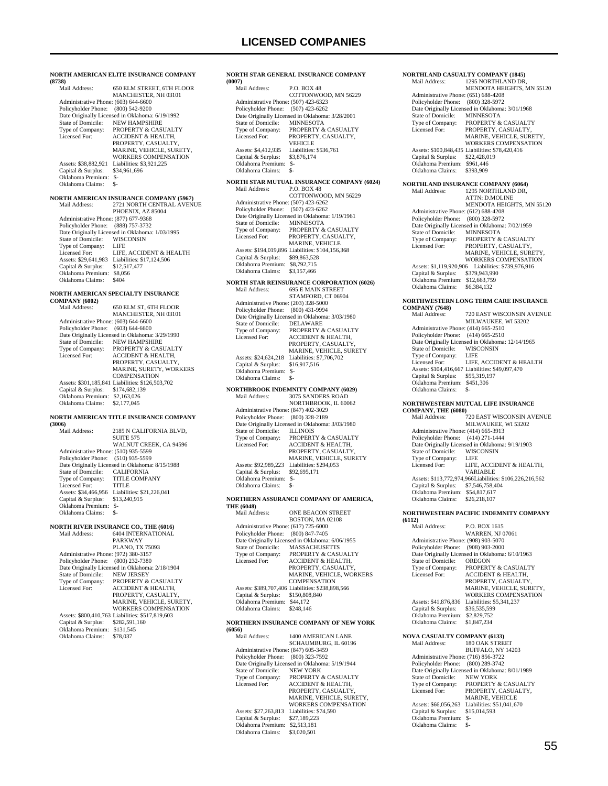## **LICENSED COMPANIES**

| (8738)                                                      | NORTH AMERICAN ELITE INSURANCE COMPANY                                                      |
|-------------------------------------------------------------|---------------------------------------------------------------------------------------------|
| Mail Address:                                               | 650 ELM STREET, 6TH FLOOR<br>MANCHESTER, NH 03101                                           |
| Administrative Phone: (603) 644-6600<br>Policyholder Phone: | $(800)$ 542-9200                                                                            |
| State of Domicile:                                          | Date Originally Licensed in Oklahoma: 6/19/1992<br><b>NEW HAMPSHIRE</b>                     |
| Type of Company:<br>Licensed For:                           | PROPERTY & CASUALTY<br><b>ACCIDENT &amp; HEALTH,</b>                                        |
|                                                             | PROPERTY, CASUALTY,<br>MARINE, VEHICLE, SURETY,                                             |
|                                                             | WORKERS COMPENSATION                                                                        |
| Assets: \$38,882,921<br>Capital & Surplus:                  | Liabilities: \$3,921,225<br>\$34,961,696                                                    |
| Oklahoma Premium:<br>Oklahoma Claims:                       | \$-<br>\$-                                                                                  |
|                                                             | <b>NORTH AMERICAN INSURANCE COMPANY (5967)</b>                                              |
| Mail Address:                                               | 2721 NORTH CENTRAL AVENUE<br>PHOENIX, AZ 85004                                              |
| Administrative Phone: (877) 677-9368<br>Policyholder Phone: | (888) 757-3732                                                                              |
| State of Domicile:                                          | Date Originally Licensed in Oklahoma: 1/03/1995<br>WISCONSIN                                |
| Type of Company:<br>Licensed For:                           | LIFE<br>LIFE, ACCIDENT & HEALTH                                                             |
| Assets: \$29,641,983                                        | Liabilities: \$17,124,506                                                                   |
| Capital & Surplus:<br>Oklahoma Premium:                     | \$12,517,477<br>\$8,056                                                                     |
| Oklahoma Claims:                                            | \$404                                                                                       |
| <b>COMPANY (6002)</b>                                       | NORTH AMERICAN SPECIALTY INSURANCE                                                          |
| Mail Address:                                               | 650 ELM ST, 6TH FLOOR<br>MANCHESTER, NH 03101                                               |
| Administrative Phone: (603) 644-6600<br>Policyholder Phone: | $(603) 644 - 6600$                                                                          |
| State of Domicile:                                          | Date Originally Licensed in Oklahoma: 3/29/1990<br><b>NEW HAMPSHIRE</b>                     |
| Type of Company:                                            | PROPERTY & CASUALTY                                                                         |
| Licensed For:                                               | ACCIDENT & HEALTH,<br>PROPERTY, CASUALTY,                                                   |
|                                                             | MARINE, SURETY, WORKERS<br><b>COMPENSATION</b>                                              |
| Capital & Surplus:                                          | Assets: \$301,185,841 Liabilities: \$126,503,702<br>\$174,682,139                           |
| Oklahoma Premium:<br>Oklahoma Claims:                       | \$2,163,026<br>\$2,177,045                                                                  |
| (3006)                                                      | NORTH AMERICAN TITLE INSURANCE COMPANY                                                      |
| Mail Address:                                               | 2185 N CALIFORNIA BLVD,<br><b>SUITE 575</b>                                                 |
| Administrative Phone: (510) 935-5599<br>Policyholder Phone: | WALNUT CREEK, CA 94596<br>$(510)$ 935-5599                                                  |
| State of Domicile:                                          | Date Originally Licensed in Oklahoma: 8/15/1988<br>CALIFORNIA                               |
| Type of Company:                                            | <b>TITLE COMPANY</b>                                                                        |
| Licensed For:<br>Assets: \$34,466,956                       | TITLE<br>Liabilities: \$21,226,041                                                          |
| Capital & Surplus:<br>Oklahoma Premium:                     | \$13,240,915<br>\$-                                                                         |
| Oklahoma Claims:                                            | \$-                                                                                         |
| Mail Address:                                               | <b>NORTH RIVER INSURANCE CO., THE (6016)</b><br><b>6404 INTERNATIONAL</b><br><b>PARKWAY</b> |
| Administrative Phone: (972) 380-3157                        | PLANO, TX 75093                                                                             |
| Policyholder Phone:                                         | $(800)$ 232-7380                                                                            |
| State of Domicile:                                          | Date Originally Licensed in Oklahoma: 2/18/1904<br><b>NEW JERSEY</b>                        |
| Type of Company:<br>Licensed For:                           | PROPERTY & CASUALTY<br>ACCIDENT & HEALTH,                                                   |
|                                                             | PROPERTY, CASUALTY,<br>MARINE, VEHICLE, SURETY,                                             |
|                                                             | WORKERS COMPENSATION                                                                        |
| Capital & Surplus:                                          | Assets: \$800,410,763 Liabilities: \$517,819,603<br>\$282,591,160                           |
| Oklahoma Premium:<br>Oklahoma Claims:                       | \$131,545<br>\$78,037                                                                       |
|                                                             |                                                                                             |

### **NORTH STAR GENERAL INSURANCE COMPANY (0007)** Mail Address: P.O. BOX 48 COTTONWOOD, MN 56229 Administrative Phone: (507) 423-6323 Policyholder Phone: (507) 423-6262 Patrick Prince Correlation Correlation<br>Date Originally Licensed in Oklahoma: 3/28/2001<br>State of Domicile: MINNESOTA State of Domicile:<br>Type of Company:<br>Licensed For: PROPERTY & CASUALTY PROPERTY, CASUALTY, VEHICLE Assets: \$4,412,935 Liabilities: \$536,761<br>Capital & Surplus: \$3,876,174 Capital & Surplus: Oklahoma Premium: \$- Oklahoma Claims: **NORTH STAR MUTUAL INSURANCE COMPANY (6024)** P.O. BOX 48 COTTONWOOD, MN 56229 Administrative Phone: (507) 423-6262 Policyholder Phone: (507) 423-6262 Date Originally Licensed in Oklahoma: 1/19/1961<br>State of Domicile: MINNESOTA State of Domicile:<br>Type of Company: PROPERTY & CASUALTY Licensed For: PROPERTY, CASUALTY, MARINE, VEHICLE Assets: \$194,019,896 Liabilities: \$104,156,368 Capital & Surplus: \$89,863,528 Oklahoma Premium: \$8,792,715 Oklahoma Claims: \$3,157,466 **NORTH STAR REINSURANCE CORPORATION (6026)**<br> **Mail Address:** 695 E MAIN STREET STAMFORD, CT 06904 Administrative Phone: (203) 328-5000 Policyholder Phone: (800) 431-9994 Date Originally Licensed in Oklahoma: 3/03/1980 State of Domicile: DELAWARE Type of Company: PROPERTY & CASUALTY<br>Licensed For: ACCIDENT & HEALTH. Licensed For: ACCIDENT & HEALTH, PROPERTY, CASUALTY, MARINE, VEHICLE, SURETY Assets: \$24,624,218 Liabilities: \$7,706,702 Capital & Surplus: \$16,917,516 Oklahoma Premium: \$- Oklahoma Claims: **NORTHBROOK INDEMNITY COMPANY (6029)**<br>Mail Address: 3075 SANDERS ROAD 3075 SANDERS ROAD NORTHBROOK, IL 60062 Administrative Phone: (847) 402-3029 Policyholder Phone: (800) 328-2189 Date Originally Licensed in Oklahoma: 3/03/1980<br>State of Domicile: **ILLINOIS** State of Domicile:<br>Type of Company: Type of Company: PROPERTY & CASUALTY<br>Licensed For: ACCIDENT & HEALTH. Licensed For: ACCIDENT & HEALTH, PROPERTY, CASUALTY, MARINE, VEHICLE, SURETY Assets: \$92,989,223 Liabilities: \$294,053 Capital & Surplus: \$92,695,171 Oklahoma Premium: \$- Oklahoma Claims: **NORTHERN ASSURANCE COMPANY OF AMERICA,**  THE (6048)<br>Mail Address: ONE BEACON STREET BOSTON, MA 02108 Administrative Phone: (617) 725-6000 Policyholder Phone: (800) 847-7405 Path Originally Licensed in Oklahoma: 6/06/1955<br>State of Domicile: MASSACHUSETTS State of Domicile: MASSACHUSETTS<br>Type of Company: PROPERTY & CASUALTY Type of Company: PROPERTY & CASUALT<br>Licensed For: ACCIDENT & HEALTH, PROPERTY, CASUALTY, MARINE, VEHICLE, WORKERS **COMPENSATION**  Assets: \$389,707,406 Liabilities: \$238,898,566 Capital & Surplus: \$150,808,840 Oklahoma Premium: \$44,172 Oklahoma Claims: \$248,146 **NORTHERN INSURANCE COMPANY OF NEW YORK (6056)** 1400 AMERICAN LANE

## SCHAUMBURG, IL 60196 Administrative Phone: (847) 605-3459 Policyholder Phone: (800) 323-7592 Date Originally Licensed in Oklahoma: 5/19/1944 State of Domicile: NEW YORK<br>Type of Company: PROPERTY &<br>Licensed For: ACCIDENT & Type of Company: PROPERTY & CASUALTY Licensed For: ACCIDENT & HEALTH, PROPERTY, CASUALTY, MARINE, VEHICLE, SURETY, WORKERS COMPENSATION Assets: \$27,263,813 Liabilities: \$74,590 Capital & Surplus: \$27,189,223 Oklahoma Premium: \$2,513,181

Oklahoma Claims: \$3,020,501

|                                       | <b>NORTHLAND CASUALTY COMPANY (1845)</b>                          |
|---------------------------------------|-------------------------------------------------------------------|
| Mail Address:                         | 1295 NORTHLAND DR,                                                |
|                                       | MENDOTA HEIGHTS, MN 55120                                         |
| Administrative Phone: (651) 688-4208  |                                                                   |
| Policyholder Phone:                   | $(800)$ 328-5972                                                  |
|                                       | Date Originally Licensed in Oklahoma: 3/01/1968                   |
| State of Domicile:                    | <b>MINNESOTA</b>                                                  |
| Type of Company:                      | PROPERTY & CASUALTY                                               |
| Licensed For:                         | PROPERTY, CASUALTY,                                               |
|                                       | MARINE, VEHICLE, SURETY,                                          |
|                                       | <b>WORKERS COMPENSATION</b>                                       |
|                                       | Assets: \$100,848,435 Liabilities: \$78,420,416                   |
| Capital & Surplus:                    | \$22,428,019                                                      |
| Oklahoma Premium:<br>Oklahoma Claims: | \$961,446                                                         |
|                                       | \$393,909                                                         |
|                                       | <b>NORTHLAND INSURANCE COMPANY (6064)</b>                         |
| Mail Address:                         | 1295 NORTHLAND DR,                                                |
|                                       | <b>ATTN: D.MOLINE</b>                                             |
|                                       | MENDOTA HEIGHTS, MN 55120                                         |
| Administrative Phone: (612) 688-4208  |                                                                   |
| Policyholder Phone:                   | $(800)$ 328-5972                                                  |
|                                       | Date Originally Licensed in Oklahoma: 7/02/1959                   |
| State of Domicile:                    | <b>MINNESOTA</b>                                                  |
| Type of Company:                      | PROPERTY & CASUALTY                                               |
| Licensed For:                         | PROPERTY, CASUALTY,                                               |
|                                       | MARINE, VEHICLE, SURETY,                                          |
|                                       | <b>WORKERS COMPENSATION</b>                                       |
| Assets: \$1,119,920,906               | Liabilities: \$739,976,916                                        |
| Capital & Surplus:                    | \$379,943,990                                                     |
| Oklahoma Premium:                     | \$12,663,759                                                      |
| Oklahoma Claims:                      | \$6,384,132                                                       |
|                                       |                                                                   |
|                                       | NORTHWESTERN LONG TERM CARE INSURANCE                             |
| <b>COMPANY (7648)</b>                 |                                                                   |
| Mail Address:                         | 720 EAST WISCONSIN AVENUE                                         |
|                                       | MILWAUKEE, WI 53202                                               |
| Administrative Phone: (414) 665-2510  |                                                                   |
| Policyholder Phone: (414) 665-2510    |                                                                   |
|                                       | Date Originally Licensed in Oklahoma: 12/14/1965                  |
| State of Domicile:                    | WISCONSIN                                                         |
| Type of Company:                      | LIFE                                                              |
| Licensed For:                         | LIFE, ACCIDENT & HEALTH                                           |
|                                       | Assets: \$104,416,667 Liabilities: \$49,097,470                   |
| Capital & Surplus:                    | \$55,319,197                                                      |
| Oklahoma Premium:                     | \$451,306                                                         |
|                                       | $S-$                                                              |
| Oklahoma Claims:                      |                                                                   |
|                                       |                                                                   |
|                                       | NORTHWESTERN MUTUAL LIFE INSURANCE                                |
| COMPANY, THE (6080)                   |                                                                   |
| Mail Address:                         | 720 EAST WISCONSIN AVENUE                                         |
|                                       | MILWAUKEE, WI 53202                                               |
| Administrative Phone: (414) 665-3913  |                                                                   |
| Policyholder Phone: (414) 271-1444    |                                                                   |
|                                       | Date Originally Licensed in Oklahoma: 9/19/1903                   |
| State of Domicile:                    | <b>WISCONSIN</b>                                                  |
| Type of Company:                      | LIFE                                                              |
| Licensed For:                         | LIFE, ACCIDENT & HEALTH,                                          |
|                                       | VARIABLE                                                          |
|                                       | Assets: \$113,772,974,966Liabilities: \$106,226,216,562           |
| Capital & Surplus:                    | \$7,546,758,404                                                   |
| Oklahoma Premium:                     | \$54,817,617                                                      |
| Oklahoma Claims:                      | \$26,218,107                                                      |
|                                       |                                                                   |
|                                       | NORTHWESTERN PACIFIC INDEMNITY COMPANY                            |
| (6112)                                |                                                                   |
| Mail Address:                         | P.O. BOX 1615                                                     |
|                                       | <b>WARREN, NJ 07061</b>                                           |
| Administrative Phone: (908) 903-5070  |                                                                   |
| Policyholder Phone:                   | $(908)$ 903-2000                                                  |
|                                       | Date Originally Licensed in Oklahoma: 6/10/1963                   |
| <b>State of Domicile:</b>             | <b>OREGON</b>                                                     |
| Type of Company:                      | PROPERTY & CASUALTY                                               |
| Licensed For:                         | <b>ACCIDENT &amp; HEALTH,</b>                                     |
|                                       | PROPERTY, CASUALTY,                                               |
|                                       | MARINE, VEHICLE, SURETY,                                          |
| Assets: \$41,876,836                  | WORKERS COMPENSATION<br>Liabilities: \$5,341,237                  |
| Capital & Surplus:                    | \$36,535,599                                                      |
| Oklahoma Premium:                     | \$2,829,752                                                       |
| Oklahoma Claims:                      | \$1,847,234                                                       |
|                                       |                                                                   |
| <b>NOVA CASUALTY COMPANY (6133)</b>   |                                                                   |
| Mail Address:                         | 180 OAK STREET                                                    |
|                                       | BUFFALO, NY 14203                                                 |
| Administrative Phone: (716) 856-3722  |                                                                   |
| Policyholder Phone:                   | (800) 289-3742                                                    |
|                                       | Date Originally Licensed in Oklahoma: 8/01/1989                   |
| State of Domicile:                    | <b>NEW YORK</b>                                                   |
| Type of Company:                      |                                                                   |
| Licensed For:                         | PROPERTY & CASUALTY PROPERTY, CASUALTY,                           |
|                                       | MARINE, VEHICLE<br>Assets: \$66,056,263 Liabilities: \$51,041,670 |

 Capital & Surplus: \$15,014,593 Oklahoma Premium: \$- Oklahoma Claims: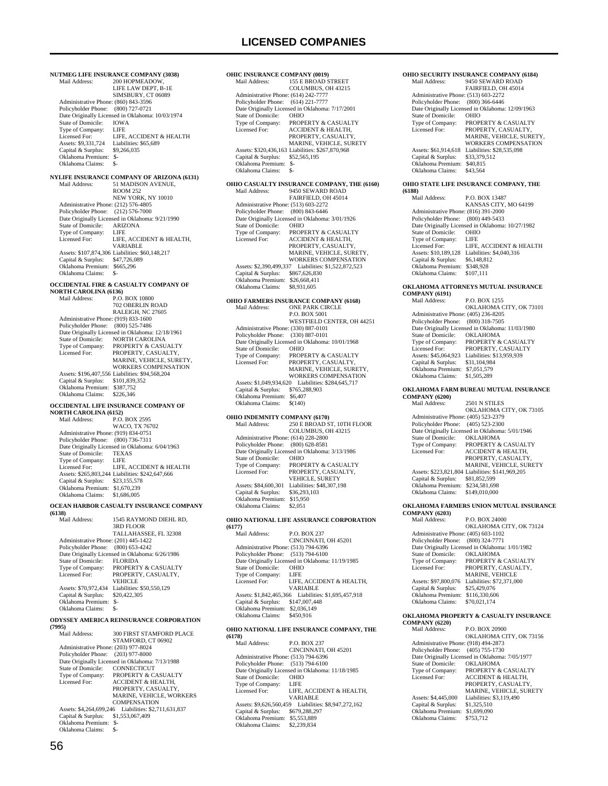**NUTMEG LIFE INSURANCE COMPANY (3038)**<br>Mail Address: 200 HOPMEADOW. 200 HOPMEADOW, LIFE LAW DEPT, B-1E SIMSBURY, CT 06089 Administrative Phone: (860) 843-3596 Policyholder Phone: (800) 727-0721 Date Originally Licensed in Oklahoma: 10/03/1974<br>State of Domicile: IOWA State of Domicile: IOWA<br>Type of Company: I JFE Type of Company:<br>Licensed For:<br>Assets: \$9.331.724 LIFE, ACCIDENT & HEALTH Liabilities: \$65,689<br>\$9,266,035  $Case 69, 391, 721$ <br>Capital & Surplus: Oklahoma Premium: \$-<br>Oklahoma Claims: \$- Oklahoma Claims: \$- **NYLIFE INSURANCE COMPANY OF ARIZONA (6131)**<br>Mail Address: 51 MADISON AVENUE. 51 MADISON AVENUE, ROOM 252 NEW YORK, NY 10010 Administrative Phone: (212) 576-4805 Policyholder Phone: (212) 576-7000 Date Originally Licensed in Oklahoma: 9/21/1990 State of Domicile: ARIZONA<br>Type of Company: LIFE Type of Company:<br>Licensed For: LIFE, ACCIDENT & HEALTH, VARIABLE Assets: \$107,874,306 Liabilities: \$60,148,217 Capital & Surplus: \$47,726,089 Oklahoma Premium: \$665,296 Oklahoma Claims: \$-**OCCIDENTAL FIRE & CASUALTY COMPANY OF NORTH CAROLINA (6136)**<br>Mail Address: P.O. P.O. BOX 10800 702 OBERLIN ROAD RALEIGH, NC 27605 Administrative Phone: (919) 833-1600 Policyholder Phone: (800) 525-7486 Date Originally Licensed in Oklahoma: 12/18/1961 State of Domicile: NORTH CAROLINA<br>Type of Company: PROPERTY & CASU. Type of Company: PROPERTY & CASUALTY<br>Licensed For: PROPERTY. CASUALTY Licensed For: PROPERTY, CASUALTY, MARINE, VEHICLE, SURETY, WORKERS COMPENSATION Assets: \$196,407,556 Liabilities: \$94,568,204 Capital & Surplus: \$101,839,352 Oklahoma Premium: \$387,752<br>Oklahoma Claims: \$226,346 Oklahoma Claims: **OCCIDENTAL LIFE INSURANCE COMPANY OF NORTH CAROLINA (6152)**<br>Mail Address: P.O. P.O. BOX 2595 WACO, TX 76702 Administrative Phone: (919) 834-0751 Policyholder Phone: (800) 736-7311 Date Originally Licensed in Oklahoma: 6/04/1963 State of Domicile: TEXAS Type of Company: LIFE<br>Licensed For: LIFE LIFE, ACCIDENT & HEALTH Assets: \$265,803,244 Liabilities: \$242,647,666 Capital & Surplus: \$23,155,578 Oklahoma Premium: \$1,670,239 Oklahoma Claims: \$1,686,005 **OCEAN HARBOR CASUALTY INSURANCE COMPANY (6138)** 1545 RAYMOND DIEHL RD, 3RD FLOOR TALLAHASSEE, FL 32308 Administrative Phone: (201) 445-1422 Policyholder Phone: (800) 653-4242 Date Originally Licensed in Oklahoma: 6/26/1986<br>State of Domicile: FLORIDA State of Domicile:<br>Type of Company: Type of Company: PROPERTY & CASUALTY Licensed For: PROPERTY, CASUALTY, VEHICLE Assets: \$70,972,434 Liabilities: \$50,550,129<br>Capital & Surplus: \$20,422,305 Capital & Surplus: Oklahoma Premium: \$- Oklahoma Claims: **ODYSSEY AMERICA REINSURANCE CORPORATION (7995)** 300 FIRST STAMFORD PLACE STAMFORD, CT 06902 Administrative Phone: (203) 977-8024<br>Policyholder Phone: (203) 977-8000 Policyholder Phone: Date Originally Licensed in Oklahoma: 7/13/1988<br>State of Domicile: CONNECTICUT State of Domicile:<br>Type of Company: Type of Company: PROPERTY & CASUALTY Licensed For: ACCIDENT & HEALTH, PROPERTY, CASUALTY, MARINE, VEHICLE, WORKERS COMPENSATION

 Assets: \$4,264,699,246 Liabilities: \$2,711,631,837 Capital & Surplus: \$1,553,067,409 Oklahoma Premium: \$- Oklahoma Claims: \$-

**OHIC INSURANCE COMPANY (0019)**<br>Mail Address: 155 E BROAD S 155 E BROAD STREET COLUMBUS, OH 43215 Administrative Phone: (614) 242-7777 Policyholder Phone: (614) 221-7777 Date Originally Licensed in Oklahoma: 7/17/2001<br>State of Domicile: OHIO State of Domicile:<br>Type of Company: Type of Company: PROPERTY & CASUALTY<br>Licensed For: ACCIDENT & HEALTH ACCIDENT & HEALTH, PROPERTY, CASUALTY MARINE, VEHICLE, SURETY<br>Assets: \$320,436,163 Liabilities: \$267,870,968 Capital & Surplus: \$52,565,195 Oklahoma Premium: \$- Oklahoma Claims: **OHIO CASUALTY INSURANCE COMPANY, THE (6160)** Mail Address: 9450 SEWARD ROAD Mail Address: 9450 SEWARD ROAD FAIRFIELD, OH 45014 Administrative Phone: (513) 603-2272 Policyholder Phone: (800) 843-6446 Date Originally Licensed in Oklahoma: 3/01/1926 State of Domicile: OHIO<br>Type of Company: PROPI Type of Company: PROPERTY & CASUALTY<br>Licensed For: ACCIDENT & HEALTH. ACCIDENT & HEALTH, PROPERTY, CASUALTY, MARINE, VEHICLE, SURETY, WORKERS COMPENSATION Assets: \$2,390,499,337 Liabilities: \$1,522,872,523 Capital & Surplus: \$867,626,830 Oklahoma Premium: \$26,668,411 Oklahoma Claims: \$8,931,605 **OHIO FARMERS INSURANCE COMPANY (6168)** Mail Address: ONE PARK CIRCLE P.O. BOX 5001 WESTFIELD CENTER, OH 44251 Administrative Phone: (330) 887-0101 Policyholder Phone: (330) 887-0101 Date Originally Licensed in Oklahoma: 10/01/1968<br>State of Domicile: OHIO State of Domicile: OHIO<br>
Type of Company: PROPERTY & CASUAL TY Type of Company: Licensed For: PROPERTY, CASUALTY, MARINE, VEHICLE, SURETY, WORKERS COMPENSATION Assets: \$1,049,934,620 Liabilities: \$284,645,717 Capital & Surplus: \$765,288,903 Oklahoma Premium: \$6,407<br>Oklahoma Claims: \$(140) Oklahoma Claims: **OHIO INDEMNITY COMPANY (6170)**<br>Mail Address: 250 E BROAD S  $250$  E BROAD ST, 10TH FLOOR COLUMBUS, OH 43215 Administrative Phone: (614) 228-2800 Policyholder Phone: (800) 628-8581 For the Originally Licensed in Oklahoma: 3/13/1986<br>State of Domicile: OHIO State of Domicile: Type of Company: PROPERTY & CASUALTY Licensed For: PROPERTY, CASUALTY, VEHICLE, SURETY Assets: \$84,600,301 Liabilities: \$48,307,198<br>Capital & Surplus: \$36,293,103 Capital & Surplus: Oklahoma Premium: \$15,950 Oklahoma Claims: **OHIO NATIONAL LIFE ASSURANCE CORPORATION (6177)** Mail Address: P.O. BOX 237 CINCINNATI, OH 45201 Administrative Phone: (513) 794-6396 Policyholder Phone: (513) 794-6100 Date Originally Licensed in Oklahoma: 11/19/1985<br>State of Domicile: OHIO State of Domicile: Type of Company: LIFE LIFE, ACCIDENT & HEALTH, VARIABLE Assets: \$1,842,465,366 Liabilities: \$1,695,457,918 Capital & Surplus: \$147,007,448 Oklahoma Premium: \$2,036,149 Oklahoma Claims: \$450,916 **OHIO NATIONAL LIFE INSURANCE COMPANY, THE (6178)** P.O. BOX 237 CINCINNATI, OH 45201 Administrative Phone: (513) 794-6396 Policyholder Phone: (513) 794-6100 Date Originally Licensed in Oklahoma: 11/18/1985<br>State of Domicile: OHIO State of Domicile: OHIO<br>Type of Company: LIFE Type of Company:<br>Licensed For:

LIFE, ACCIDENT & HEALTH,

VARIABLE Assets: \$9,626,560,459 Liabilities: \$8,947,272,162

 Capital & Surplus: \$679,288,297 Oklahoma Premium: \$5,553,889 Oklahoma Claims: \$2,239,834

### 9450 SEWARD ROAD FAIRFIELD, OH 45014 Administrative Phone: (513) 603-2272 Policyholder Phone: (800) 366-6446 Date Originally Licensed in Oklahoma: 12/09/1963<br>State of Domicile: OHIO State of Domicile:<br>Type of Company: Type of Company: PROPERTY & CASUALTY<br>Licensed For: PROPERTY CASUALTY Licensed For: PROPERTY, CASUALTY, MARINE, VEHICLE, SURETY, WORKERS COMPENSATION Assets: \$61,914,618 Liabilities: \$28,535,098<br>Capital & Surplus: \$33,379,512 Capital & Surplus: Oklahoma Premium: \$40,815<br>Oklahoma Claims: \$43,564 Oklahoma Claims: **OHIO STATE LIFE INSURANCE COMPANY, THE (6188)** P.O. BOX 13487 KANSAS CITY, MO 64199 Administrative Phone: (816) 391-2000 Policyholder Phone: (800) 449-5433 Date Originally Licensed in Oklahoma: 10/27/1982<br>State of Domicile: OHIO State of Domicile: OHIC<br>Type of Company: LIFE Type of Company: LIFE<br>
Licensed For: LIFE, ACCIDENT & HEALTH Licensed For: LIFE, ACCIDENT & HEALTH Assets: \$10,189,128 Liabilities: \$4,040,316 Capital & Surplus: \$6,148,812 Oklahoma Premium: \$348,928<br>Oklahoma Claims: \$107 111 Oklahoma Claims: **OKLAHOMA ATTORNEYS MUTUAL INSURANCE COMPANY (6191)** Mail Address: P.O. BOX 1255 OKLAHOMA CITY, OK 73101 Administrative Phone: (405) 236-8205 Policyholder Phone: (800) 318-7505 Date Originally Licensed in Oklahoma: 11/03/1980<br>State of Domicile: OKLAHOMA State of Domicile:<br>Type of Company: Type of Company: PROPERTY & CASUALTY<br>Licensed For: PROPERTY, CASUALTY PROPERTY, CASUALTY Assets: \$45,064,923 Liabilities: \$13,959,939<br>Capital & Surplus: \$31,104,984 Capital & Surplus: \$31,104,984 Oklahoma Premium: \$7,051,579 Oklahoma Claims: \$1,505,289 **OKLAHOMA FARM BUREAU MUTUAL INSURANCE COMPANY (6200)** 2501 N STILES OKLAHOMA CITY, OK 73105 Administrative Phone: (405) 523-2379 Policyholder Phone: (405) 523-2300 Date Originally Licensed in Oklahoma: 5/01/1946<br>State of Domicile: OKLAHOMA State of Domicile:<br>Type of Company: Type of Company: PROPERTY & CASUALTY<br>Licensed For: ACCIDENT & HEALTH. ACCIDENT & HEALTH, PROPERTY, CASUALTY, MARINE, VEHICLE, SURETY Assets: \$223,821,804 Liabilities: \$141,969,205 Capital & Surplus: \$81,852,599 Oklahoma Premium: \$234,581,698 Oklahoma Claims: \$149,010,000 **OKLAHOMA FARMERS UNION MUTUAL INSURANCE COMPANY (6203)** P.O. BOX 24000 OKLAHOMA CITY, OK 73124 Administrative Phone: (405) 603-1102 Policyholder Phone: (800) 324-7771 Date Originally Licensed in Oklahoma: 1/01/1982<br>State of Domicile: OKLAHOMA State of Domicile:<br>Type of Company: Type of Company: PROPERTY & CASUALTY<br>Licensed For: PROPERTY, CASUALTY, Licensed For: PROPERTY, CASUALTY, MARINE, VEHICLE Assets: \$97,800,076 Liabilities: \$72,371,000 Capital & Surplus: \$25,429,076 Oklahoma Premium: \$116,330,606 Oklahoma Claims: \$70,021,174 **OKLAHOMA PROPERTY & CASUALTY INSURANCE COMPANY (6220)** P.O. BOX 20900

**OHIO SECURITY INSURANCE COMPANY (6184)**<br>Mail Address: 9450 SEWARD ROAD

 OKLAHOMA CITY, OK 73156 Administrative Phone: (918) 494-2873 Policyholder Phone: (405) 755-1730 Date Originally Licensed in Oklahoma: 7/05/1977 State of Domicile: OKLAHOMA Type of Company: PROPERTY & CASUALTY<br>Licensed For: ACCIDENT & HEALTH, Licensed For: ACCIDENT & HEALTH, PROPERTY, CASUALTY, MARINE, VEHICLE, SURETY<br>Assets: \$4,445,000 Liabilities: \$3,119,490 Capital & Surplus: \$1,325,510 Oklahoma Premium: \$1,699,090<br>Oklahoma Claims: \$753,712 Oklahoma Claims: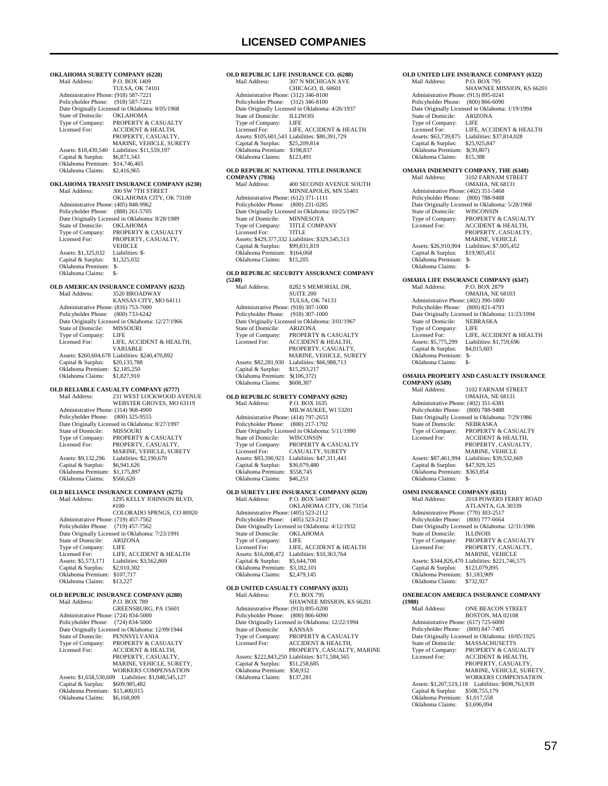**OKLAHOMA SURETY COMPANY (6228)**<br>Mail Address: P.O. BOX 1409 P.O. BOX 1409 TULSA, OK 74101 Administrative Phone: (918) 587-7221 Policyholder Phone: (918) 587-7221 Date Originally Licensed in Oklahoma: 8/05/1968 State of Domicile:<br>Type of Company: Type of Company: PROPERTY & CASUALTY<br>Licensed For: ACCIDENT & HEALTH ACCIDENT & HEALTH PROPERTY, CASUALTY, MARINE, VEHICLE, SURETY<br>Assets: \$18,430,540 Liabilities: \$11,559,197 Capital & Surplus: \$6,871,343 Oklahoma Premium: \$14,746,465 Oklahoma Claims: \$2,416,965 **OKLAHOMA TRANSIT INSURANCE COMPANY (6230)** 300 SW 7TH STREET OKLAHOMA CITY, OK 73109 Administrative Phone: (405) 848-9962 Policyholder Phone: (888) 261-5705 Pate Originally Licensed in Oklahoma: 8/28/1989<br>State of Domicile: OKLAHOMA State of Domicile:<br>Type of Company: Type of Company: PROPERTY & CASUALTY<br>Licensed For: PROPERTY, CASUALTY, PROPERTY, CASUALTY, **VEHICLE**<br>Liabilities: \$-Assets: \$1,325,032 Liabilities: \$1,325,032 Liabilities: \$1,325,032 Capital & Surplus: Oklahoma Premium: \$- Oklahoma Claims: \$- **OLD AMERICAN INSURANCE COMPANY (6232)** Mail Address: 3520 BROADWAY KANSAS CITY, MO 64111 Administrative Phone: (816) 753-7000 Policyholder Phone: (800) 733-6242 Date Originally Licensed in Oklahoma: 12/27/1966<br>State of Domicile: MISSOURI State of Domicile: MISS<br>Type of Company: LIFE Type of Company:<br>Licensed For: LIFE, ACCIDENT & HEALTH, VARIABLE Assets: \$260,604,678 Liabilities: \$240,470,892 Capital & Surplus: \$20,133,788 Oklahoma Premium: \$2,185,250 Oklahoma Claims: \$1,827,910 **OLD RELIABLE CASUALTY COMPANY (6777)** Mail Address: 231 WEST LOCKWOOD AVENUE WEBSTER GROVES, MO 63119 Administrative Phone: (314) 968-4900 Policyholder Phone: (800) 325-9555 Date Originally Licensed in Oklahoma: 8/27/1997<br>State of Domicile: MISSOURI State of Domicile:<br>Type of Company: Type of Company: PROPERTY & CASUALTY<br>Licensed For: PROPERTY CASUALTY PROPERTY, CASUALTY, MARINE, VEHICLE, SURETY Assets: \$9,132,296 Liabilities: \$2,190,670 Capital & Surplus: \$6,941,626 Oklahoma Premium: \$1,175,897 Oklahoma Claims: \$566,620 **OLD RELIANCE INSURANCE COMPANY (6275)**<br>Mail Address: 1295 KELLY JOHNSON BL 1295 KELLY JOHNSON BLVD, #100 COLORADO SPRNGS, CO 80920 Administrative Phone: (719) 457-7562 Policyholder Phone: (719) 457-7562 Date Originally Licensed in Oklahoma: 7/23/1991<br>State of Domicile: ARIZONA State of Domicile: ARIZ<br>Type of Company: LIFE Type of Company:<br>Licensed For: Licensed For: LIFE, ACCIDENT & HEALTH<br>Assets: \$5,573,171 Liabilities: \$3,562,869 Liabilities: \$3,562,869<br>\$2,010,302 Capital & Surplus: Oklahoma Premium: \$107,717 Oklahoma Claims: **OLD REPUBLIC INSURANCE COMPANY (6280)**<br>Mail Address: P.O. BOX 789 Mail Address: P.O. BOX 789 GREENSBURG, PA 15601 Administrative Phone: (724) 834-5000 Policyholder Phone: (724) 834-5000 Patte Originally Licensed in Oklahoma: 12/09/1944<br>State of Domicile: PENNSYLVANIA State of Domicile:<br>Type of Company: Type of Company: PROPERTY & CASUALTY<br>Licensed For: ACCIDENT & HEALTH, ACCIDENT & HEALTH, PROPERTY, CASUALTY MARINE, VEHICLE, SURETY, WORKERS COMPENSATION Assets: \$1,658,530,609 Liabilities: \$1,048,545,127 Capital & Surplus: \$609,985,482

```
Oklahoma Premium: $15,400,015<br>Oklahoma Claims: $6,168,009
Oklahoma Claims:
```
### **OLD REPUBLIC LIFE INSURANCE CO. (6288)**<br>Mail Address: 307 N MICHIGAN AVE 307 N MICHIGAN AVE CHICAGO, IL 60601 Administrative Phone: (312) 346-8100 Policyholder Phone: (312) 346-8100 Date Originally Licensed in Oklahoma: 4/26/1937<br>State of Domicile: ILLINOIS State of Domicile: Type of Company:<br>Licensed For: LIFE<br>LIFE, ACCIDENT & HEALTH Assets: \$105,601,543 Liabilities: \$80,391,729 Capital & Surplus: \$25,209,814 Oklahoma Premium: \$198,837 Oklahoma Claims: \$123,491 **OLD REPUBLIC NATIONAL TITLE INSURANCE COMPANY (7936) 400 SECOND AVENUE SOUTH** MINNEAPOLIS, MN 55401 Administrative Phone: (612) 371-1111 Policyholder Phone: (800) 231-0285 Date Originally Licensed in Oklahoma: 10/25/1967 State of Domicile: MINNESOTA Type of Company: TITLE COMPANY Licensed For: TITLE Assets: \$429,377,332 Liabilities: \$329,545,513 Capital & Surplus: \$99,831,819 Oklahoma Premium: \$164,068 Oklahoma Claims: \$15,205 **OLD REPUBLIC SECURITY ASSURANCE COMPANY (5248)** 8282 S MEMORIAL DR. SUITE 200 TULSA, OK 74133 Administrative Phone: (918) 307-1000 Policyholder Phone: (918) 307-1000 Date Originally Licensed in Oklahoma: 3/01/1967<br>State of Domicile: ARIZONA State of Domicile:<br>Type of Company: Type of Company: PROPERTY & CASUALTY<br>Licensed For: ACCIDENT & HEALTH. **ACCIDENT & HEALTH** PROPERTY, CASUALTY MARINE, VEHICLE, SURETY Assets: \$82,281,930 Liabilities: \$66,988,713<br>Capital & Surplus: \$15,293,217 Capital & Surplus: Oklahoma Premium: \$(106,372)<br>Oklahoma Claims: \$608,307 Oklahoma Claims: **OLD REPUBLIC SURETY COMPANY (6292)**<br>Mail Address: P.O. BOX 1635 P.O. BOX 1635 MILWAUKEE, WI 53201 Administrative Phone: (414) 797-2653 Policyholder Phone: (800) 217-1792 Date Originally Licensed in Oklahoma: 5/11/1990<br>State of Domicile: WISCONSIN State of Domicile:<br>Type of Company: Type of Company: PROPERTY & CASUALTY<br>Licensed For: CASUALTY, SURETY CASUALTY, SURETY Assets: \$83,390,923 Liabilities: \$47,311,443 Capital & Surplus: \$36,079,480 Oklahoma Premium: \$558,745

## **OLD SURETY LIFE INSURANCE COMPANY (6320)**

Oklahoma Claims: \$46,251

|                                      | OLD SURETT LIFE INSURANCE COMI ANT (0520)       |
|--------------------------------------|-------------------------------------------------|
| Mail Address:                        | P.O. BOX 54407                                  |
|                                      | OKLAHOMA CITY, OK 73154                         |
| Administrative Phone: (405) 523-2112 |                                                 |
| Policyholder Phone: (405) 523-2112   |                                                 |
|                                      | Date Originally Licensed in Oklahoma: 4/12/1932 |
| State of Domicile:                   | <b>OKLAHOMA</b>                                 |
| Type of Company:                     | LIFE                                            |
| Licensed For:                        | LIFE, ACCIDENT & HEALTH                         |
| Assets: \$16,008,472                 | Liabilities: \$10,363,764                       |
| Capital & Surplus:                   | \$5,644,708                                     |
| Oklahoma Premium:                    | \$3,182,101                                     |
| Oklahoma Claims:                     | \$2,479,145                                     |
|                                      |                                                 |

|                                      | OLD UNITED CASUALTY COMPANY (6321)               |
|--------------------------------------|--------------------------------------------------|
| Mail Address:                        | <b>P.O. BOX 795</b>                              |
|                                      | SHAWNEE MISSION, KS 66201                        |
| Administrative Phone: (913) 895-0200 |                                                  |
| Policyholder Phone: (800) 866-6090   |                                                  |
|                                      | Date Originally Licensed in Oklahoma: 12/22/1994 |
| State of Domicile:                   | <b>KANSAS</b>                                    |
| Type of Company:                     | <b>PROPERTY &amp; CASUALTY</b>                   |
| Licensed For:                        | <b>ACCIDENT &amp; HEALTH.</b>                    |
|                                      | PROPERTY, CASUALTY, MARINE                       |
|                                      | Assets: \$222,843,250 Liabilities: \$171,584,565 |
| Capital & Surplus:                   | \$51,258,685                                     |
| Oklahoma Premium:                    | \$58,932                                         |
| Oklahoma Claims:                     | \$137.281                                        |
|                                      |                                                  |

| OLD UNITED LIFE INSURANCE COMPANY (6322)                    |                                                                       |  |
|-------------------------------------------------------------|-----------------------------------------------------------------------|--|
| Mail Address:                                               | P.O. BOX 795<br>SHAWNEE MISSION, KS 66201                             |  |
| Administrative Phone: (913) 895-0241                        |                                                                       |  |
| Policyholder Phone:                                         | $(800) 866 - 6090$<br>Date Originally Licensed in Oklahoma: 1/19/1994 |  |
| State of Domicile:                                          | <b>ARIZONA</b>                                                        |  |
| Type of Company:                                            | LIFE                                                                  |  |
| Licensed For:<br>Assets: \$63,739,875                       | LIFE, ACCIDENT & HEALTH<br>Liabilities: \$37,814,028                  |  |
| Capital & Surplus:                                          | \$25,925,847                                                          |  |
| Oklahoma Premium:<br>Oklahoma Claims:                       | \$(39,807)<br>\$15,388                                                |  |
|                                                             | OMAHA INDEMNITY COMPANY, THE (6348)                                   |  |
| Mail Address:                                               | 3102 FARNAM STREET<br><b>OMAHA, NE 68131</b>                          |  |
| Administrative Phone: (402) 351-5468                        |                                                                       |  |
| Policyholder Phone:                                         | $(800)$ 788-9488<br>Date Originally Licensed in Oklahoma: 5/28/1968   |  |
| State of Domicile:                                          | WISCONSIN                                                             |  |
| Type of Company:<br>Licensed For:                           | PROPERTY & CASUALTY<br>ACCIDENT & HEALTH,                             |  |
|                                                             | PROPERTY, CASUALTY,                                                   |  |
| Assets: \$26,910,904                                        | MARINE, VEHICLE<br>Liabilities: \$7,005,452                           |  |
| Capital & Surplus:                                          | \$19,905,451                                                          |  |
| Oklahoma Premium:                                           | $S-$                                                                  |  |
| Oklahoma Claims:                                            | \$-                                                                   |  |
| Mail Address:                                               | <b>OMAHA LIFE INSURANCE COMPANY (6347)</b><br>P.O. BOX 2879           |  |
|                                                             | <b>OMAHA, NE 68103</b>                                                |  |
| Administrative Phone: (402) 390-1800<br>Policyholder Phone: | $(800) 821 - 4793$                                                    |  |
|                                                             | Date Originally Licensed in Oklahoma: 11/23/1994                      |  |
| State of Domicile:<br>Type of Company:                      | <b>NEBRASKA</b><br>LIFE                                               |  |
| Licensed For:                                               | LIFE, ACCIDENT & HEALTH                                               |  |
| Assets: \$5,775,299                                         | Liabilities: \$1,759,696                                              |  |
| Capital & Surplus:<br>Oklahoma Premium:                     | \$4,015,603<br>$\mathbb{S}$                                           |  |
| Oklahoma Claims:                                            | \$-                                                                   |  |
|                                                             |                                                                       |  |
|                                                             | OMAHA PROPERTY AND CASUALTY INSURANCE                                 |  |
| <b>COMPANY (6349)</b><br>Mail Address:                      | 3102 FARNAM STREET                                                    |  |
|                                                             | OMAHA, NE 68131                                                       |  |
| Administrative Phone: (402) 351-6381<br>Policyholder Phone: | $(800)$ 788-9488                                                      |  |
|                                                             | Date Originally Licensed in Oklahoma: 7/29/1986                       |  |
| State of Domicile:<br>Type of Company:                      | <b>NEBRASKA</b><br>PROPERTY & CASUALTY                                |  |
| Licensed For:                                               | <b>ACCIDENT &amp; HEALTH,</b>                                         |  |
|                                                             | PROPERTY, CASUALTY,                                                   |  |
| Assets: \$87,461,994                                        | MARINE, VEHICLE<br>Liabilities: \$39,532,669                          |  |
| Capital & Surplus:<br>Oklahoma Premium:                     | \$47,929,325                                                          |  |
| Oklahoma Claims:                                            | \$363,854<br>\$-                                                      |  |
| <b>OMNI INSURANCE COMPANY (6351)</b>                        |                                                                       |  |
| Mail Address:                                               | 2018 POWERS FERRY ROAD                                                |  |
| Administrative Phone: (770) 303-2517                        | ATLANTA, GA 30339                                                     |  |
| Policyholder Phone: (800) 777-6664                          |                                                                       |  |
| State of Domicile:                                          | Date Originally Licensed in Oklahoma: 12/31/1986<br><b>ILLINOIS</b>   |  |
| Type of Company:                                            | PROPERTY & CASUALTY                                                   |  |
| Licensed For:                                               | PROPERTY, CASUALTY,                                                   |  |
|                                                             | MARINE, VEHICLE<br>Assets: \$344,826,470 Liabilities: \$221,746,575   |  |
| Capital & Surplus:                                          | \$123,079,895                                                         |  |
| Oklahoma Premium:<br>Oklahoma Claims:                       | \$1,183,909<br>\$732,927                                              |  |
|                                                             | ONEBEACON AMERICA INSURANCE COMPANY                                   |  |
| (1988)<br>Mail Address:                                     | ONE BEACON STREET                                                     |  |
|                                                             | BOSTON, MA 02108                                                      |  |
| Administrative Phone: (617) 725-6000                        |                                                                       |  |
| Policyholder Phone:                                         | $(800)$ 847-7405<br>Date Originally Licensed in Oklahoma: 10/05/1925  |  |
| State of Domicile:                                          | MASSACHUSETTS                                                         |  |
| Type of Company:<br>Licensed For:                           | PROPERTY & CASUALTY<br>ACCIDENT & HEALTH,                             |  |

MARINE, VEHICLE, SURETY, WORKERS COMPENSATION

Assets: \$1,207,519,118 Liabilities: \$698,763,939

 Capital & Surplus: \$508,755,179 Oklahoma Premium: \$1,017,558 Oklahoma Claims: \$3,696,094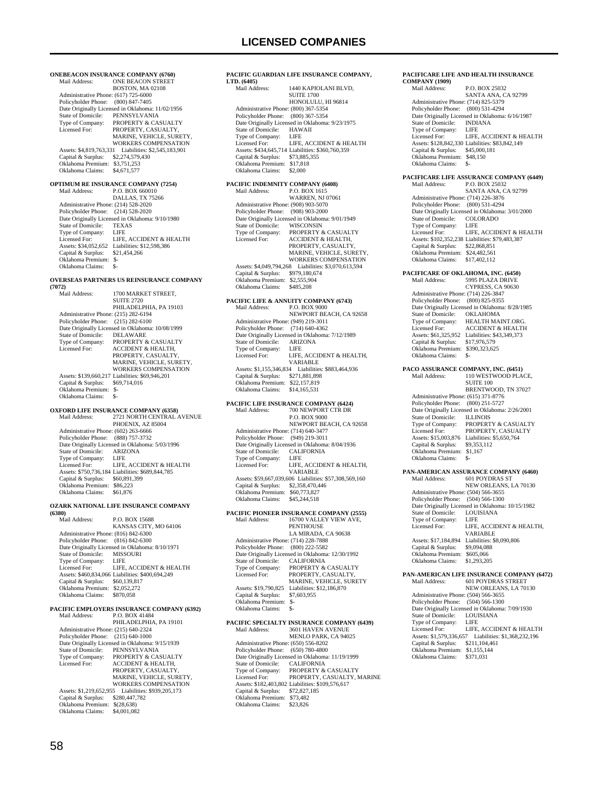**ONEBEACON INSURANCE COMPANY (6760)**<br>Mail Address: **ONE BEACON STREET** ONE BEACON STREET BOSTON, MA 02108 Administrative Phone: (617) 725-6000 Policyholder Phone: (800) 847-7405 Date Originally Licensed in Oklahoma: 11/02/1956<br>State of Domicile: PENNSYLVANIA State of Domicile: PENNSYLVANIA<br>Type of Company: PROPERTY & CAS Type of Company: PROPERTY & CASUALTY<br>Licensed For: PROPERTY CASUALTY PROPERTY, CASUALTY MARINE, VEHICLE, SURETY, WORKERS COMPENSATION Assets: \$4,819,763,331 Liabilities: \$2,545,183,901 Capital & Surplus: \$2,274,579,430 Oklahoma Premium: \$3,751,253 Oklahoma Claims: \$4,671,577 **OPTIMUM RE INSURANCE COMPANY (7254)**<br>Mail Address: P.O. BOX 660010 P.O. BOX 660010 DALLAS, TX 75266 Administrative Phone: (214) 528-2020 Policyholder Phone: (214) 528-2020 Patholic Philadel Philadel in Oklahoma: 9/10/1980<br>State of Domicile: TEXAS State of Domicile: TEXA<br>Type of Company: LIFE Type of Company:<br>Licensed For: LIFE, ACCIDENT & HEALTH Assets: \$34,052,652 Liabilities: \$12,598,386 Capital & Surplus: \$21,454,266 Oklahoma Premium: \$- Oklahoma Claims: \$- **OVERSEAS PARTNERS US REINSURANCE COMPANY (7072)** 1700 MARKET STREET, SUITE 2720 PHILADELPHIA, PA 19103 Administrative Phone: (215) 282-6194 Policyholder Phone: (215) 282-6100 Date Originally Licensed in Oklahoma: 10/08/1999 State of Domicile:<br>Type of Company: State of Domicile: DELAWARE<br>Type of Company: PROPERTY & CASUALTY<br>Licensed For: ACCIDENT & HEALTH. ACCIDENT & HEALTH, PROPERTY, CASUALTY, MARINE, VEHICLE, SURETY, WORKERS COMPENSATION Assets: \$139,660,217 Liabilities: \$69,946,201<br>Capital & Surplus: \$69,714,016 Capital & Surplus: \$69,714,016 Oklahoma Premium: \$- Oklahoma Claims: \$-**OXFORD LIFE INSURANCE COMPANY (6358)** 2721 NORTH CENTRAL AVENUE PHOENIX, AZ 85004 Administrative Phone: (602) 263-6666 Policyholder Phone: (888) 757-3732 Date Originally Licensed in Oklahoma: 5/03/1996<br>State of Domicile: ARIZONA State of Domicile: ARIZ<br>Type of Company: LIFE Type of Company: Licensed For: LIFE, ACCIDENT & HEALTH Assets: \$750,736,184 Liabilities: \$689,844,785 Capital & Surplus: \$60,891,399 Oklahoma Premium: \$86,223 Oklahoma Claims: \$61,876 **OZARK NATIONAL LIFE INSURANCE COMPANY (6380)** P.O. BOX 15688 KANSAS CITY, MO 64106 Administrative Phone: (816) 842-6300 Policyholder Phone: (816) 842-6300 Date Originally Licensed in Oklahoma: 8/10/1971<br>State of Domicile: MISSOURI State of Domicile: MISS<br>Type of Company: LIFE Type of Company: LIFE<br>Licensed For: LIFE, ACCIDENT & HEALTH Licensed For: LIFE, ACCIDENT & HEALTH Assets: \$460,834,066 Liabilities: \$400,694,249 Capital & Surplus: \$60,139,817 Oklahoma Premium: \$2,052,272 Oklahoma Claims: \$870,058 **PACIFIC EMPLOYERS INSURANCE COMPANY (6392)**<br>Mail Address: P.O. BOX 41484 Mail Address: P.O. BOX 41484 PHILADELPHIA, PA 19101 Administrative Phone: (215) 640-2324 Policyholder Phone: (215) 640-1000 Date Originally Licensed in Oklahoma: 9/15/1939 State of Domicile: PENNSYLVANIA<br>Type of Company: PROPERTY & CAS Type of Company: PROPERTY & CASUALTY Licensed For: ACCIDENT & HEALTH, PROPERTY, CASUALTY, MARINE, VEHICLE, SURETY, WORKERS COMPENSATION Assets: \$1,219,652,955 Liabilities: \$939,205,173 Capital & Surplus: \$280,447,782 Oklahoma Premium: \$(28,638) Oklahoma Claims: \$4,001,082

**PACIFIC GUARDIAN LIFE INSURANCE COMPANY, LTD.** (6405)<br>Mail Address: 1440 KAPIOLANI BLVD, SUITE 1700 HONOLULU, HI 96814 Administrative Phone: (800) 367-5354 Policyholder Phone: (800) 367-5354 Date Originally Licensed in Oklahoma: 9/23/1975<br>State of Domicile: HAWAII State of Domicile: HAW<br>Type of Company: LIFE Type of Company: LIFE<br>Licensed For: LIFE ACCIDENT & HEALTH Licensed For: LIFE, ACCIDENT & HEALTH Assets: \$434,645,714 Liabilities: \$360,760,359 Capital & Surplus: \$73,885,355 Oklahoma Premium: \$17,818 Oklahoma Claims: \$2,000 **PACIFIC INDEMNITY COMPANY (6408)**<br>Mail Address: P.O. BOX 1615 P.O. BOX 1615 WARREN, NJ 07061 Administrative Phone: (908) 903-5070 Policyholder Phone: (908) 903-2000 Date Originally Licensed in Oklahoma: 9/01/1949 State of Domicile: WISCONSIN<br>Type of Company: PROPERTY & Type of Company: PROPERTY & CASUALTY<br>Licensed For: ACCIDENT & HEALTH, PROPERTY, CASUALTY, MARINE, VEHICLE, SURETY, WORKERS COMPENSATION Assets: \$4,049,794,268 Liabilities: \$3,070,613,594 Capital & Surplus: \$979,180,674 Oklahoma Premium: \$2,555,904 Oklahoma Claims: \$485,208 **PACIFIC LIFE & ANNUITY COMPANY (6743)** Mail Address: P.O. BOX 9000 NEWPORT BEACH, CA 92658 Administrative Phone: (949) 219-3011 Policyholder Phone: (714) 640-4362 Date Originally Licensed in Oklahoma: 7/12/1989<br>State of Domicile: ARIZONA State of Domicile: ARIZO<br>Type of Company: LIFE Type of Company:<br>Licensed For: LIFE, ACCIDENT & HEALTH VARIABLE Assets: \$1,155,346,834 Liabilities: \$883,464,936 Capital & Surplus: \$271,881,898 Oklahoma Premium: \$22,157,819 Oklahoma Claims: \$14,165,531 **PACIFIC LIFE INSURANCE COMPANY (6424)** Mail Address: 700 NEWPORT CTR DR P.O. BOX 9000 NEWPORT BEACH, CA 92658 Administrative Phone: (714) 640-3477 Policyholder Phone: (949) 219-3011 Date Originally Licensed in Oklahoma: 8/04/1936<br>State of Domicile: CALIFORNIA State of Domicile: CALI<br>Type of Company: LIFE Type of Company: Licensed For: LIFE, ACCIDENT & HEALTH, VARIABLE Assets: \$59,667,039,606 Liabilities: \$57,308,569,160 Capital & Surplus: \$2,358,470,446 Oklahoma Premium: \$60,773,827 Oklahoma Claims: \$45,244,518 **PACIFIC PIONEER INSURANCE COMPANY (2555)** Mail Address: 16700 VALLEY VIEW AVE, **PENTHOUSE**  LA MIRADA, CA 90638 Administrative Phone: (714) 228-7888 Policyholder Phone: (800) 222-5582 Date Originally Licensed in Oklahoma: 12/30/1992 State of Domicile: CALIFORNIA<br>Type of Company: PROPERTY & PROPERTY & CASUALTY Licensed For: PROPERTY, CASUALTY, MARINE, VEHICLE, SURETY Assets: \$19,790,825 Liabilities: \$12,186,870<br>Capital & Surplus: \$7,603,955 Capital & Surplus: Oklahoma Premium: \$- Oklahoma Claims: **PACIFIC SPECIALTY INSURANCE COMPANY (6439)**<br>Mail Address: 3601 HAVEN AVENUE MOORKHOLD COMMIT MENLO PARK, CA 94025 Administrative Phone: (650) 556-8202 Policyholder Phone: (650) 780-4800 Date Originally Licensed in Oklahoma: 11/19/1999 State of Domicile: CALIFORNIA Type of Company: PROPERTY & CASUALTY<br>Type of Company: PROPERTY & CASUALTY, MARINE Licensed For: PROPERTY, CASUALTY, MARINE Assets: \$182,403,802 Liabilities: \$109,576,617 Capital & Surplus: \$72,827,185 Oklahoma Premium: \$73,482 Oklahoma Claims: \$23,826

## **PACIFICARE LIFE AND HEALTH INSURANCE COMPANY (1909)** P.O. BOX 25032 SANTA ANA, CA 92799 Administrative Phone: (714) 825-5379 Policyholder Phone: (800) 531-4294 Date Originally Licensed in Oklahoma: 6/16/1987<br>State of Domicile: INDIANA State of Domicile: INDI<br>Type of Company: I.IFF. Type of Company: LIFE<br>Licensed For: LIFE, ACCIDENT & HEALTH Licensed For: LIFE, ACCIDENT & HEALTH Assets: \$128,842,330 Liabilities: \$83,842,149 Capital & Surplus: \$45,000,181 Oklahoma Premium: \$48,150 Oklahoma Claims: \$- **PACIFICARE LIFE ASSURANCE COMPANY (6449)**<br>Mail Address: P.O. BOX 25032 P.O. BOX 25032 SANTA ANA, CA 92799 Administrative Phone: (714) 226-3876 Policyholder Phone: (800) 531-4294 Date Originally Licensed in Oklahoma: 3/01/2000 State of Domicile: COLORADO Type of Company: LIFE<br>Licensed For: LIFE, ACCIDENT & HEALTH Licensed For: LIFE, ACCIDENT & HEALTH Assets: \$102,352,238 Liabilities: \$79,483,387 Capital & Surplus: \$22,868,851 Oklahoma Premium: \$24,482,561 Oklahoma Claims: \$17,402,112 **PACIFICARE OF OKLAHOMA, INC. (6450)** Mail Address: 5995 PLAZA DRIVE CYPRESS, CA 90630 Administrative Phone: (714) 226-3847 Policyholder Phone: (800) 825-9355 Date Originally Licensed in Oklahoma: 8/28/1985 State of Domicile:<br>Type of Company: State of Domicile: OKLAHOMA<br>Type of Company: HEALTH MAINT.ORG.<br>Licensed For: ACCIDENT & HEALTH ACCIDENT & HEALTH Assets: \$61,325,952 Liabilities: \$43,349,373 Capital & Surplus: \$17,976,579 Oklahoma Premium: \$390,323,625 Oklahoma Claims: \$- **PACO ASSURANCE COMPANY, INC. (6451)**<br>Mail Address: 110 WESTWOOD PLACE, SUITE 100 BRENTWOOD, TN 37027 Administrative Phone: (615) 371-8776 Policyholder Phone: (800) 251-5727 Date Originally Licensed in Oklahoma: 2/26/2001 State of Domicile: ILLINOIS Type of Company: PROPERTY & CASUALTY Licensed For: PROPERTY, CASUALTY Assets: \$15,003,876 Liabilities: \$5,650,764 Capital & Surplus: \$9,353,112 Oklahoma Premium: \$1,167 Oklahoma Claims: \$-**PAN-AMERICAN ASSURANCE COMPANY (6460)** Mail Address: 601 POYDRAS ST NEW ORLEANS, LA 70130 Administrative Phone: (504) 566-3655 Policyholder Phone: (504) 566-1300 Date Originally Licensed in Oklahoma: 10/15/1982 State of Domicile: LOUISIANA<br>Type of Company: LIFE Type of Company:<br>Licensed For: LIFE, ACCIDENT & HEALTH, VARIABLE Assets: \$17,184,894 Liabilities: \$8,090,806 Capital & Surplus: \$9,094,088 Oklahoma Premium: \$605,066<br>Oklahoma Claims: \$1,293,205 Oklahoma Claims: **PAN-AMERICAN LIFE INSURANCE COMPANY (6472)**<br>Mail Address: 601 POYDRAS STREET 601 POYDRAS STREET NEW ORLEANS, LA 70130 Administrative Phone: (504) 566-3655 Policyholder Phone: (504) 566-1300 Date Originally Licensed in Oklahoma: 7/09/1930 State of Domicile: LOUI Type of Company:<br>Licensed For: LIFE, ACCIDENT & HEALTH Assets: \$1,579,336,657 Liabilities: \$1,368,232,196 Capital & Surplus: \$211,104,461 Oklahoma Premium: \$1,155,144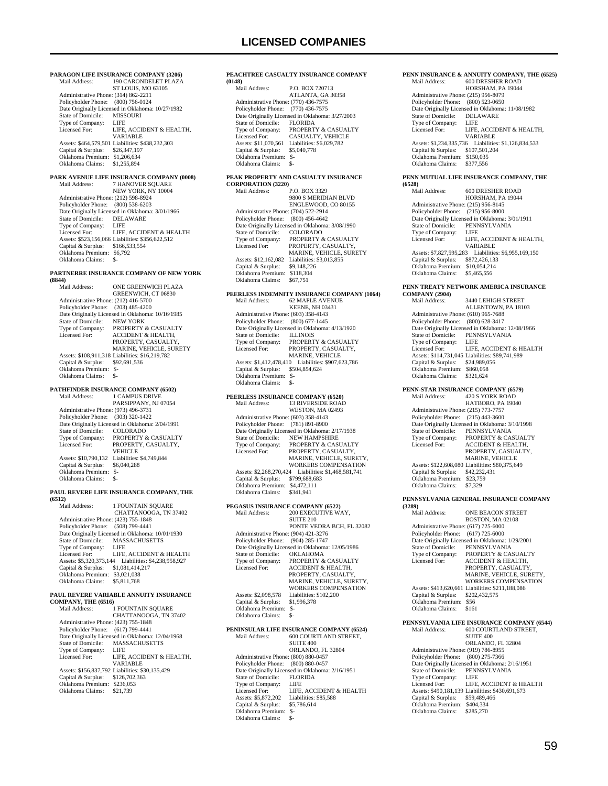**PARAGON LIFE INSURANCE COMPANY (3206)**<br>Mail Address: [90 CARONDELET PLAZA 190 CARONDELET PLAZA ST LOUIS, MO 63105 Administrative Phone: (314) 862-2211 Policyholder Phone: (800) 756-0124 Date Originally Licensed in Oklahoma: 10/27/1982<br>State of Domicile: MISSOURI State of Domicile: MISSO<br>Type of Company: LIFE Type of Company: LIFE<br>Licensed For: LIFE. ACCIDENT & HEALTH. Licensed For: LIFE, ACCIDENT & HEALTH, VARIABLE Assets: \$464,579,501 Liabilities: \$438,232,303 Capital & Surplus: \$26,347,197 Oklahoma Premium: \$1,206,634 Oklahoma Claims: \$1,255,894 **PARK AVENUE LIFE INSURANCE COMPANY (0008)**<br>Mail Address: 7 HANOVER SOUARE 7 HANOVER SQUARE NEW YORK, NY 10004 Administrative Phone: (212) 598-8924 Policyholder Phone: (800) 538-6203 Date Originally Licensed in Oklahoma: 3/01/1966 State of Domicile: DELAWARE Type of Company: LIFE<br>Licensed For: LIFE ACCIDENT & HEALTH Licensed For: LIFE, ACCIDENT & HEALTH Assets: \$523,156,066 Liabilities: \$356,622,512 Capital & Surplus: \$166,533,554 Oklahoma Premium: \$6,792 Oklahoma Claims: \$-**PARTNERRE INSURANCE COMPANY OF NEW YORK (8844)** ONE GREENWICH PLAZA GREENWICH, CT 06830 Administrative Phone: (212) 416-5700 Policyholder Phone: (203) 485-4200 Date Originally Licensed in Oklahoma: 10/16/1985<br>State of Domicile: NEW YORK State of Domicile:<br>Type of Company: Type of Company: PROPERTY & CASUALTY<br>Licensed For: ACCIDENT & HEALTH, ACCIDENT & HEALTH, PROPERTY, CASUALTY, MARINE, VEHICLE, SURETY Assets: \$108,911,318 Liabilities: \$16,219,782 Capital & Surplus: \$92,691,536 Oklahoma Premium: \$- Oklahoma Claims: \$-**PATHFINDER INSURANCE COMPANY (6502)** Mail Address: 1 CAMPUS DRIVE PARSIPPANY, NJ 07054 Administrative Phone: (973) 496-3731 Policyholder Phone: (303) 320-1422 Date Originally Licensed in Oklahoma: 2/04/1991<br>State of Domicile: COLORADO State of Domicile:<br>Type of Company: Type of Company: PROPERTY & CASUALTY<br>Licensed For: PROPERTY, CASUALTY. PROPERTY, CASUALTY, VEHICLE Assets: \$10,790,132 Liabilities: \$4,749,844 Capital & Surplus: \$6,040,288 Oklahoma Premium: \$- Oklahoma Claims: \$- **PAUL REVERE LIFE INSURANCE COMPANY, THE (6512)** 1 FOUNTAIN SQUARE CHATTANOOGA, TN 37402 Administrative Phone: (423) 755-1848 Policyholder Phone: (508) 799-4441 Date Originally Licensed in Oklahoma: 10/01/1930<br>State of Domicile: MASSACHUSETTS MASSACHUSETTS<br>LIFE Type of Company:<br>Licensed For: LIFE, ACCIDENT & HEALTH Assets: \$5,320,373,144 Liabilities: \$4,238,958,927 Capital & Surplus: \$1,081,414,217 Oklahoma Premium: \$3,021,038 Oklahoma Claims: \$5,811,768 **PAUL REVERE VARIABLE ANNUITY INSURANCE COMPANY, THE (6516)**<br>Mail Address: 1  $1$  FOUNTAIN SQUARE CHATTANOOGA, TN 37402 Administrative Phone: (423) 755-1848

Policyholder Phone: (617) 799-4441 Date Originally Licensed in Oklahoma: 12/04/1968<br>State of Domicile: MASSACHUSETTS MASSACHUSETTS<br>LIFE Type of Company:<br>Licensed For: LIFE, ACCIDENT & HEALTH, VARIABLE Assets: \$156,837,792 Liabilities: \$30,135,429 Capital & Surplus: \$126,702,363 Oklahoma Premium: \$236,053 Oklahoma Claims: \$21,739

#### **PEACHTREE CASUALTY INSURANCE COMPANY (0148)** P.O. BOX 720713 ATLANTA, GA 30358 Administrative Phone: (770) 436-7575

 Policyholder Phone: (770) 436-7575 Date Originally Licensed in Oklahoma: 3/27/2003 State of Domicile:<br>Type of Company: THE COMMAN SERVICES<br>THE PROPERTY & CASUALTY<br>CASUALTY, VEHICLE Licensed For: CASUALTY, VEHICLE Assets: \$11,070,561 Liabilities: \$6,029,782 Capital & Surplus: \$5,040,778 Oklahoma Premium: \$- Oklahoma Claims: \$-

## **PEAK PROPERTY AND CASUALTY INSURANCE CORPORATION (3220)**

P.O. BOX 3329 9800 S MERIDIAN BLVD ENGLEWOOD, CO 80155 Administrative Phone: (704) 522-2914 Policyholder Phone: (800) 456-4642 Date Originally Licensed in Oklahoma: 3/08/1990<br>State of Domicile: COLORADO State of Domicile:<br>Type of Company: The of Company: PROPERTY & CASUALTY<br>
censed For: PROPERTY, CASUALTY, Licensed For: PROPERTY, CASUALTY, MARINE, VEHICLE, SURETY Assets: \$12,162,082 Liabilities: \$3,013,855<br>Capital & Surplus: \$9,148,226 Capital & Surplus: \$9,148,226 Oklahoma Premium: \$118,304 Oklahoma Claims: \$67,751

## **PEERLESS INDEMNITY INSURANCE COMPANY (1064)**<br>Mail Address: 62 MAPLE AVENUE Mail Address: 62 MAPLE AVENUE KEENE, NH 03431 Administrative Phone: (603) 358-4143 Policyholder Phone: (800) 677-1445 Date Originally Licensed in Oklahoma: 4/13/1920 State of Domicile:<br>Type of Company:<br>Licensed For: THE COMPANY & CASUALTY

PROPERTY, CASUALTY, MARINE, VEHICLE Assets: \$1,412,478,410 Liabilities: \$907,623,786 Capital & Surplus: \$504,854,624 Oklahoma Premium: \$- Oklahoma Claims: \$-

## **PEERLESS INSURANCE COMPANY (6520)**

| PEERLESS INSURANCE COMPANY (6520)    |                                                 |
|--------------------------------------|-------------------------------------------------|
| Mail Address:                        | <b>13 RIVERSIDE ROAD</b>                        |
|                                      | <b>WESTON, MA 02493</b>                         |
| Administrative Phone: (603) 358-4143 |                                                 |
| Policyholder Phone: (781) 891-8900   |                                                 |
|                                      | Date Originally Licensed in Oklahoma: 2/17/1938 |
| State of Domicile:                   | <b>NEW HAMPSHIRE</b>                            |
| Type of Company:                     | <b>PROPERTY &amp; CASUALTY</b>                  |
| Licensed For:                        | PROPERTY, CASUALTY,                             |
|                                      | MARINE, VEHICLE, SURETY,                        |
|                                      | WORKERS COMPENSATION                            |
| Assets: \$2,268,270,424              | Liabilities: \$1,468,581,741                    |
| Capital & Surplus:                   | \$799,688,683                                   |
| Oklahoma Premium:                    | \$4,472,111                                     |
| Oklahoma Claims:                     | \$341.941                                       |

# **PEGASUS INSURANCE COMPANY (6522)**<br>Mail Address: 200 EXECUTIVE W.

 Mail Address: 200 EXECUTIVE WAY, SUITE 210 PONTE VEDRA BCH, FL 32082 Administrative Phone: (904) 421-3276 Policyholder Phone: (904) 285-1747 Date Originally Licensed in Oklahoma: 12/05/1986 State of Domicile: OKLAHOMA Type of Company: PROPERTY & CASUALTY<br>Licensed For: ACCIDENT & HEALTH, Licensed For: ACCIDENT & HEALTH, PROPERTY, CASUALTY, MARINE, VEHICLE, SURETY, WORKERS COMPENSATION Assets: \$2,098,578 Liabilities: \$102,200<br>Capital & Surplus: \$1,996,378 Capital & Surplus: Oklahoma Premium: \$- Oklahoma Claims:

### **PENINSULAR LIFE INSURANCE COMPANY (6524)**<br>Mail Address: 600 COURTLAND STREET, 600 COURTLAND STREET,

 SUITE 400 ORLANDO, FL 32804 Administrative Phone: (800) 880-0457 Policyholder Phone: (800) 880-0457 Date Originally Licensed in Oklahoma: 2/16/1951<br>State of Domicile: FLORIDA State of Domicile: FLOR<br>Type of Company: LIFE Type of Company:<br>Licensed For: LIFE, ACCIDENT & HEALTH<br>Liabilities: \$85,588 Assets: \$5,872,202 Liabilities: \$95,872,202 Liabilities: \$95,872,202 Capital  $&$  Surplus: Oklahoma Premium: \$- Oklahoma Claims:

#### **PENN INSURANCE & ANNUITY COMPANY, THE (6525)** Mail Address: 600 DRESHER ROAD

|                                      | ,,,,,,,,,,,,,,,,,,,,,,,,,,,                          |
|--------------------------------------|------------------------------------------------------|
|                                      | HORSHAM, PA 19044                                    |
| Administrative Phone: (215) 956-8079 |                                                      |
| Policyholder Phone: (800) 523-0650   |                                                      |
|                                      | Date Originally Licensed in Oklahoma: 11/08/1982     |
| State of Domicile:                   | <b>DELAWARE</b>                                      |
| Type of Company:                     | <b>LIFE</b>                                          |
| Licensed For:                        | LIFE, ACCIDENT & HEALTH.                             |
|                                      | <b>VARIABLE</b>                                      |
|                                      | Assets: \$1.234.335.736 Liabilities: \$1.126.834.533 |
| Capital & Surplus:                   | \$107,501,204                                        |
| Oklahoma Premium: \$150,035          |                                                      |
| Oklahoma Claims:                     | \$377,556                                            |

## **PENN MUTUAL LIFE INSURANCE COMPANY, THE**

**(6528)** 600 DRESHER ROAD HORSHAM, PA 19044 Administrative Phone: (215) 956-8145 Policyholder Phone: (215) 956-8000 Date Originally Licensed in Oklahoma: 3/01/1911 State of Domicile: PENNSYLVANIA<br>Type of Company: LIFE Type of Company:<br>Licensed For: LIFE, ACCIDENT & HEALTH, VARIABLE Assets: \$7,827,595,283 Liabilities: \$6,955,169,150 Capital & Surplus: \$872,426,133 Oklahoma Premium: \$10,054,214 Oklahoma Claims: \$5,465,556

## **PENN TREATY NETWORK AMERICA INSURANCE**

**COMPANY (2904)** Mail Address: 3440 LEHIGH STREET ALLENTOWN, PA 18103 Administrative Phone: (610) 965-7688 Policyholder Phone: (800) 628-3417 Date Originally Licensed in Oklahoma: 12/08/1966<br>State of Domicile: PENNSYLVANIA PENNSYLVANIA<br>LIFE Type of Company: LIFE<br>Licensed For: LIFE, ACCIDENT & HEALTH Licensed For: LIFE, ACCIDENT & HEALTH Assets: \$114,731,045 Liabilities: \$89,741,989 Capital & Surplus: \$24,989,056 Oklahoma Premium: \$860,058 Oklahoma Claims: \$321,624

# **PENN-STAR INSURANCE COMPANY (6579)**<br>Mail Address: 420 S YORK ROAD

420 S YORK ROAD HATBORO, PA 19040 Administrative Phone: (215) 773-7757 Policyholder Phone: (215) 443-3600 Date Originally Licensed in Oklahoma: 3/10/1998<br>State of Domicile: PENNSYLVANIA State of Domicile: PENNSYLVANIA<br>Type of Company: PROPERTY & CA Type of Company: PROPERTY & CASUALTY<br>Licensed For: ACCIDENT & HEALTH. ACCIDENT & HEALTH, PROPERTY, CASUALTY, MARINE, VEHICLE Assets: \$122,608,080 Liabilities: \$80,375,649 Capital & Surplus: \$42,232,431 Oklahoma Premium: \$23,759 Oklahoma Claims: \$25,75<br>Oklahoma Claims: \$7,329

### **PENNSYLVANIA GENERAL INSURANCE COMPANY**

| (3289)                               |                                                  |
|--------------------------------------|--------------------------------------------------|
| Mail Address:                        | <b>ONE BEACON STREET</b>                         |
|                                      | <b>BOSTON, MA 02108</b>                          |
| Administrative Phone: (617) 725-6000 |                                                  |
| Policyholder Phone: (617) 725-6000   |                                                  |
|                                      | Date Originally Licensed in Oklahoma: 1/29/2001  |
| State of Domicile:                   | PENNSYLVANIA                                     |
| Type of Company:                     | PROPERTY & CASUALTY                              |
| Licensed For:                        | <b>ACCIDENT &amp; HEALTH.</b>                    |
|                                      | PROPERTY, CASUALTY.                              |
|                                      | MARINE, VEHICLE, SURETY.                         |
|                                      | <b>WORKERS COMPENSATION</b>                      |
|                                      | Assets: \$413,620,661 Liabilities: \$211,188,086 |
| Capital & Surplus:                   | \$202,432,575                                    |
| Oklahoma Premium:                    | \$56                                             |
| Oklahoma Claims:                     | \$161                                            |
|                                      |                                                  |
|                                      |                                                  |

# **PENNSYLVANIA LIFE INSURANCE COMPANY (6544)**<br>Mail Address: 600 COURTLAND STREET.

600 COURTLAND STREET, SUITE 400 ORLANDO, FL 32804 Administrative Phone: (919) 786-8955 Policyholder Phone: (800) 275-7366 Date Originally Licensed in Oklahoma: 2/16/1951 State of Domicile: PENNSYLVANIA Type of Company: LIFE Licensed For: LIFE, ACCIDENT & HEALTH Assets: \$490,181,139 Liabilities: \$430,691,673 Capital & Surplus: \$59,489,466 Oklahoma Premium: \$404,334 Oklahoma Claims: \$285,270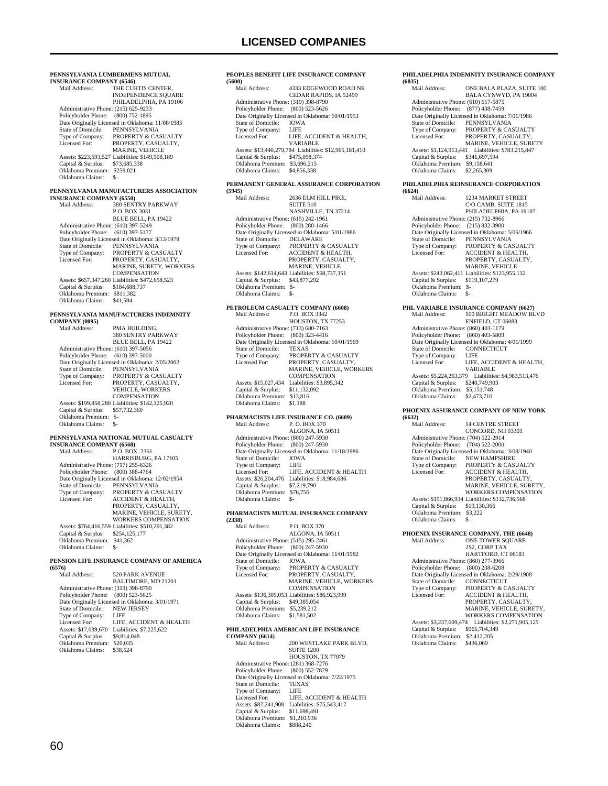| PENNSYLVANIA LUMBERMENS MUTUAL<br><b>INSURANCE COMPANY (6546)</b> |                                                                     |
|-------------------------------------------------------------------|---------------------------------------------------------------------|
| Mail Address:                                                     | THE CURTIS CENTER,                                                  |
|                                                                   | <b>INDEPENDENCE SQUARE</b><br>PHILADELPHIA, PA 19106                |
| Administrative Phone: (215) 625-9233                              |                                                                     |
| Policyholder Phone: (800) 752-1895                                | Date Originally Licensed in Oklahoma: 11/08/1985                    |
| State of Domicile:                                                | PENNSYLVANIA                                                        |
| Type of Company:<br>Licensed For:                                 | PROPERTY & CASUALTY<br>PROPERTY, CASUALTY,                          |
|                                                                   | MARINE, VEHICLE                                                     |
| Capital & Surplus:                                                | Assets: \$223,593,527 Liabilities: \$149,908,189<br>\$73,685,338    |
| Oklahoma Premium: \$259,021                                       |                                                                     |
| Oklahoma Claims:                                                  | \$-                                                                 |
| <b>INSURANCE COMPANY (6550)</b>                                   | PENNSYLVANIA MANUFACTURERS ASSOCIATION                              |
| Mail Address:                                                     | 380 SENTRY PARKWAY                                                  |
|                                                                   | P.O. BOX 3031<br>BLUE BELL, PA 19422                                |
| Administrative Phone: (610) 397-5249                              |                                                                     |
| Policyholder Phone: (610) 397-5177                                | Date Originally Licensed in Oklahoma: 3/13/1979                     |
| State of Domicile:                                                | PENNSYLVANIA                                                        |
| Type of Company:<br>Licensed For:                                 | PROPERTY & CASUALTY<br>PROPERTY, CASUALTY,                          |
|                                                                   | MARINE, SURETY, WORKERS                                             |
|                                                                   | COMPENSATION<br>Assets: \$657,347,260 Liabilities: \$472,658,523    |
| Capital & Surplus:                                                | \$184,688,737                                                       |
| Oklahoma Premium: \$811,382<br>Oklahoma Claims:                   | \$41,504                                                            |
|                                                                   |                                                                     |
| <b>COMPANY (0095)</b>                                             | PENNSYLVANIA MANUFACTURERS INDEMNITY                                |
| Mail Address:                                                     | PMA BUILDING,                                                       |
|                                                                   | 380 SENTRY PARKWAY<br>BLUE BELL, PA 19422                           |
| Administrative Phone: (610) 397-5056                              |                                                                     |
| Policyholder Phone:                                               | $(610)$ 397-5000<br>Date Originally Licensed in Oklahoma: 2/05/2002 |
| <b>State of Domicile:</b>                                         | PENNSYLVANIA                                                        |
| Type of Company:<br>Licensed For:                                 | PROPERTY & CASUALTY<br>PROPERTY, CASUALTY,                          |
|                                                                   | <b>VEHICLE, WORKERS</b>                                             |
|                                                                   | COMPENSATION<br>Assets: \$199,858,280 Liabilities: \$142,125,920    |
| Capital & Surplus: \$57,732,360                                   |                                                                     |
| Oklahoma Premium: \$-<br>Oklahoma Claims:                         | \$-                                                                 |
|                                                                   | PENNSYLVANIA NATIONAL MUTUAL CASUALTY                               |
| <b>INSURANCE COMPANY (6568)</b>                                   |                                                                     |
| Mail Address:                                                     | P.O. BOX 2361<br>HARRISBURG, PA 17105                               |
| Administrative Phone: (717) 255-6326                              |                                                                     |
| Policyholder Phone: (800) 388-4764                                | Date Originally Licensed in Oklahoma: 12/02/1954                    |
| State of Domicile:                                                | PENNSYLVANIA                                                        |
| Type of Company:<br>Licensed For:                                 | PROPERTY & CASUALTY<br>ACCIDENT & HEALTH,                           |
|                                                                   | PROPERTY, CASUALTY,                                                 |
|                                                                   | MARINE, VEHICLE, SURETY,<br>WORKERS COMPENSATION                    |
|                                                                   | Assets: \$764,416,559 Liabilities: \$510,291,382                    |
| Capital & Surplus:<br>Oklahoma Premium: \$41,362                  | \$254,125,177                                                       |
| Oklahoma Claims:                                                  | \$-                                                                 |
|                                                                   | PENSION LIFE INSURANCE COMPANY OF AMERICA                           |
| (6576)<br>Mail Address:                                           | <b>520 PARK AVENUE</b>                                              |
|                                                                   | BALTIMORE, MD 21201                                                 |
| Administrative Phone: (319) 398-8790<br>Policyholder Phone:       | $(800)$ 523-5625                                                    |
|                                                                   | Date Originally Licensed in Oklahoma: 3/01/1971                     |
| State of Domicile:<br>Type of Company:                            | <b>NEW JERSEY</b><br>LIFE                                           |
| Licensed For:                                                     | LIFE, ACCIDENT & HEALTH                                             |
| Assets: \$17,039,670<br>Capital & Surplus:                        | Liabilities: \$7,225,622<br>\$9,814,048                             |
| Oklahoma Premium: \$20,035                                        |                                                                     |
| Oklahoma Claims:                                                  | \$38,524                                                            |

#### **PEOPLES BENEFIT LIFE INSURANCE COMPANY (5600)**

| 1.2000 I                             |                                                        |
|--------------------------------------|--------------------------------------------------------|
| Mail Address:                        | 4333 EDGEWOOD ROAD NE                                  |
|                                      | CEDAR RAPIDS, IA 52499                                 |
| Administrative Phone: (319) 398-8790 |                                                        |
| Policyholder Phone:                  | $(800)$ 523-5626                                       |
|                                      | Date Originally Licensed in Oklahoma: 10/01/1953       |
| State of Domicile:                   | <b>IOWA</b>                                            |
| Type of Company:                     | LIFE                                                   |
| Licensed For:                        | LIFE, ACCIDENT & HEALTH.                               |
|                                      | <b>VARIARLE</b>                                        |
|                                      | Assets: \$13,440,279,784 Liabilities: \$12,965,181,410 |
| Capital & Surplus:                   | \$475,098,374                                          |
| Oklahoma Premium:                    | \$3,696.215                                            |
| Oklahoma Claims:                     | \$4,856,338                                            |
|                                      |                                                        |

### **PERMANENT GENERAL ASSURANCE CORPORATION (5945)**

| (5945)                               |                                                 |
|--------------------------------------|-------------------------------------------------|
| Mail Address:                        | 2636 ELM HILL PIKE.                             |
|                                      | <b>SUITE 510</b>                                |
|                                      | <b>NASHVILLE, TN 37214</b>                      |
| Administrative Phone: (615) 242-1961 |                                                 |
| Policyholder Phone: (800) 280-1466   |                                                 |
|                                      | Date Originally Licensed in Oklahoma: 5/01/1986 |
| State of Domicile:                   | <b>DELAWARE</b>                                 |
| Type of Company:                     | PROPERTY & CASUALTY                             |
| Licensed For:                        | <b>ACCIDENT &amp; HEALTH.</b>                   |
|                                      | PROPERTY, CASUALTY,                             |
|                                      | <b>MARINE, VEHICLE</b>                          |
|                                      | Assets: \$142,614,643 Liabilities: \$98,737,351 |
| Capital & Surplus:                   | \$43,877,292                                    |
| Oklahoma Premium:                    | $S-$                                            |
| Oklahoma Claims:                     |                                                 |
|                                      |                                                 |

## **PETROLEUM CASUALTY COMPANY (6608)**<br>Mail Address: P.O. BOX 3342 Mail Address: P.O. BOX 3342 HOUSTON, TX 77253

| Administrative Phone: (713) 680-7163 |                                                  |
|--------------------------------------|--------------------------------------------------|
| Policyholder Phone: (800) 323-4416   |                                                  |
|                                      | Date Originally Licensed in Oklahoma: 10/01/1969 |
| State of Domicile:                   | <b>TEXAS</b>                                     |
| Type of Company:                     | <b>PROPERTY &amp; CASUALTY</b>                   |
| Licensed For:                        | PROPERTY, CASUALTY,                              |
|                                      | <b>MARINE, VEHICLE, WORKERS</b>                  |
|                                      | <b>COMPENSATION</b>                              |
| Assets: \$15,027,434                 | Liabilities: \$3,895,342                         |
| Capital & Surplus:                   | \$11.132.092                                     |
| Oklahoma Premium:                    | \$13,816                                         |
| Oklahoma Claims:                     | \$1.188                                          |

#### **PHARMACISTS LIFE INSURANCE CO. (6609)**<br>Mail Address: P O BOX 370 Mail Addr

| внан жишсээ.                         | <b>E. U. DUA</b> 370                             |
|--------------------------------------|--------------------------------------------------|
|                                      | ALGONA, IA 50511                                 |
| Administrative Phone: (800) 247-5930 |                                                  |
| Policyholder Phone: (800) 247-5930   |                                                  |
|                                      | Date Originally Licensed in Oklahoma: 11/18/1986 |
| State of Domicile:                   | <b>IOWA</b>                                      |
| Type of Company:                     | LIFE                                             |
| Licensed For:                        | LIFE. ACCIDENT & HEALTH                          |
| Assets: \$26,204,476                 | Liabilities: \$18,984,686                        |
| Capital & Surplus:                   | \$7,219,790                                      |
| Oklahoma Premium:                    | \$76,756                                         |
| Oklahoma Claims:                     |                                                  |
|                                      |                                                  |

#### **PHARMACISTS MUTUAL INSURANCE COMPANY (2338)**

| Mail Address:                        | <b>P.O. BOX 370</b>                              |
|--------------------------------------|--------------------------------------------------|
|                                      | ALGONA, IA 50511                                 |
| Administrative Phone: (515) 295-2461 |                                                  |
| Policyholder Phone:                  | $(800)$ 247-5930                                 |
|                                      | Date Originally Licensed in Oklahoma: 11/01/1982 |
| State of Domicile:                   | <b>IOWA</b>                                      |
| Type of Company:                     | <b>PROPERTY &amp; CASUALTY</b>                   |
| Licensed For:                        | PROPERTY, CASUALTY,                              |
|                                      | MARINE, VEHICLE, WORKERS                         |
|                                      | <b>COMPENSATION</b>                              |
|                                      | Assets: \$136,309,053 Liabilities: \$86,923,999  |
| Capital & Surplus:                   | \$49,385,054                                     |
| Oklahoma Premium:                    | \$5,239,212                                      |
| Oklahoma Claims:                     | \$1,581,502                                      |
|                                      |                                                  |
|                                      |                                                  |

## **PHILADELPHIA AMERICAN LIFE INSURANCE**

**COMPANY (6614)**  $200$  WESTLAKE PARK BLVD, SUITE 1200 HOUSTON, TX 77079 Administrative Phone: (281) 368-7276 Policyholder Phone: (800) 552-7879 Date Originally Licensed in Oklahoma: 7/22/1975 State of Domicile: TEXAS Type of Company: LIFE<br>Licensed For: LIFE, LIFE, ACCIDENT & HEALTH Assets: \$87,241,908 Liabilities: \$75,543,417 Capital & Surplus: \$11,698,491 Oklahoma Premium: \$1,210,936 Oklahoma Claims: \$888,240

### **PHILADELPHIA INDEMNITY INSURANCE COMPANY (6835)**

| Mail Address:                        | ONE BALA PLAZA, SUITE 100                       |
|--------------------------------------|-------------------------------------------------|
|                                      | BALA CYNWYD, PA 19004                           |
| Administrative Phone: (610) 617-5875 |                                                 |
| Policyholder Phone:                  | $(877)$ 438-7459                                |
|                                      | Date Originally Licensed in Oklahoma: 7/01/1986 |
| State of Domicile:                   | PENNSYLVANIA                                    |
| Type of Company:                     | PROPERTY & CASUALTY                             |
| Licensed For:                        | PROPERTY, CASUALTY,                             |
|                                      | <b>MARINE, VEHICLE, SURETY</b>                  |
| Assets: \$1,124,913,441              | Liabilities: \$783,215,847                      |
| Capital & Surplus:                   | \$341,697,594                                   |
| Oklahoma Premium:                    | \$9,158,641                                     |
| Oklahoma Claims:                     | \$2,265,309                                     |
|                                      |                                                 |

### **PHILADELPHIA REINSURANCE CORPORATION (6624)**

| Mail Address:                        | <b>1234 MARKET STREET</b>                        |
|--------------------------------------|--------------------------------------------------|
|                                      | C/O CAMB, SUITE 1815                             |
|                                      | PHILADELPHIA, PA 19107                           |
| Administrative Phone: (215) 732-8966 |                                                  |
| Policyholder Phone:                  | $(215) 832 - 3900$                               |
|                                      | Date Originally Licensed in Oklahoma: 5/06/1966  |
| State of Domicile:                   | PENNSYLVANIA                                     |
| Type of Company:                     | PROPERTY & CASUALTY                              |
| Licensed For:                        | <b>ACCIDENT &amp; HEALTH.</b>                    |
|                                      | PROPERTY, CASUALTY.                              |
|                                      | <b>MARINE, VEHICLE</b>                           |
|                                      | Assets: \$243,062,411 Liabilities: \$123,955,132 |
| Capital & Surplus:                   | \$119,107,279                                    |
| Oklahoma Premium:                    | \$-                                              |
| Oklahoma Claims:                     | \$-                                              |
|                                      |                                                  |

**PHL VARIABLE INSURANCE COMPANY (6627)** 100 BRIGHT MEADOW BLVD ENFIELD, CT 06083 Administrative Phone: (860) 403-1179 Policyholder Phone: (860) 403-5809 Date Originally Licensed in Oklahoma: 4/01/1999 State of Domicile: CONNECTICUT Type of Company: LIFE<br>Licensed For: LIFE. LIFE, ACCIDENT & HEALTH, VARIABLE Assets: \$5,224,263,379 Liabilities: \$4,983,513,476 Capital & Surplus: \$240,749,903 Oklahoma Premium: \$5,151,748 Oklahoma Claims: \$2,473,710

### **PHOENIX ASSURANCE COMPANY OF NEW YORK (6632)**

| 100 <i>341</i>                       |                                                  |
|--------------------------------------|--------------------------------------------------|
| Mail Address:                        | <b>14 CENTRE STREET</b>                          |
|                                      | CONCORD, NH 03301                                |
| Administrative Phone: (704) 522-2914 |                                                  |
| Policyholder Phone:                  | $(704)$ 522-2000                                 |
|                                      | Date Originally Licensed in Oklahoma: 3/08/1940  |
| State of Domicile:                   | <b>NEW HAMPSHIRE</b>                             |
| Type of Company:                     | PROPERTY & CASUALTY                              |
| Licensed For:                        | <b>ACCIDENT &amp; HEALTH,</b>                    |
|                                      | PROPERTY, CASUALTY.                              |
|                                      | MARINE, VEHICLE, SURETY.                         |
|                                      | <b>WORKERS COMPENSATION</b>                      |
|                                      | Assets: \$151,866,934 Liabilities: \$132,736,568 |
| Capital & Surplus:                   | \$19,130,366                                     |
| Oklahoma Premium:                    | \$3.222                                          |
| Oklahoma Claims:                     | \$-                                              |
|                                      |                                                  |

## **PHOENIX INSURANCE COMPANY, THE (6648)**

| Mail Address:                        | ONE TOWER SOUARE                                |
|--------------------------------------|-------------------------------------------------|
|                                      | 2S2. CORP TAX                                   |
|                                      | HARTFORD, CT 06183                              |
| Administrative Phone: (860) 277-3966 |                                                 |
| Policyholder Phone: (800) 238-6208   |                                                 |
|                                      | Date Originally Licensed in Oklahoma: 2/29/1908 |
| State of Domicile:                   | <b>CONNECTICUT</b>                              |
| Type of Company:                     | PROPERTY & CASUALTY                             |
| Licensed For:                        | <b>ACCIDENT &amp; HEALTH.</b>                   |
|                                      | PROPERTY, CASUALTY,                             |
|                                      | MARINE, VEHICLE, SURETY.                        |
|                                      | <b>WORKERS COMPENSATION</b>                     |
| Assets: \$3,237,609,474              | Liabilities: \$2,271,905,125                    |
| Capital & Surplus:                   | \$965,704,349                                   |
| Oklahoma Premium:                    | \$2,412,205                                     |
| Oklahoma Claims:                     | \$436,069                                       |
|                                      |                                                 |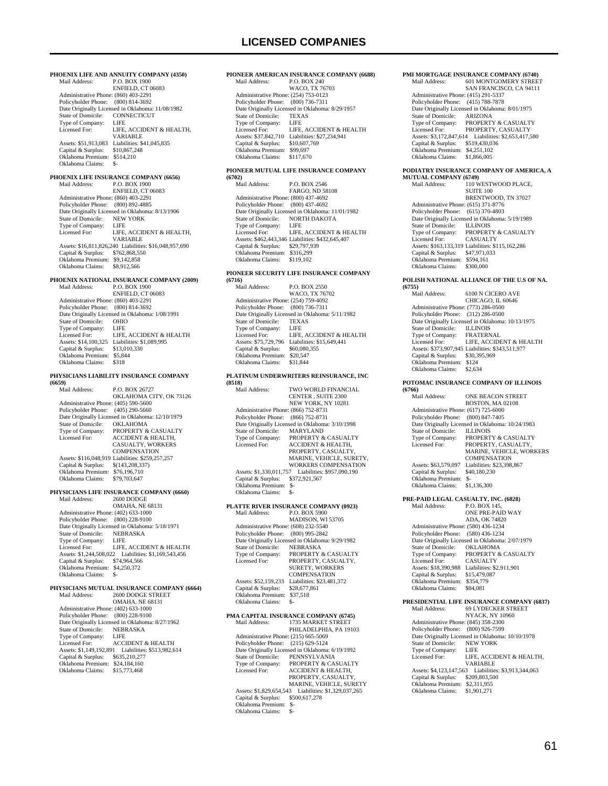**PIONEER AMERICAN INSURANCE COMPANY (6688)** P.O. BOX 240 WACO, TX 76703

Administrative Phone: (254) 753-0123

**PHOENIX LIFE AND ANNUITY COMPANY (4350)**<br>Mail Address: P.O. BOX 1900 P.O. BOX 1900 ENFIELD, CT 06083 Administrative Phone: (860) 403-2291 Policyholder Phone: (800) 814-3692 Date Originally Licensed in Oklahoma: 11/08/1982 State of Domicile: CONI<br>Type of Company: LIFE Type of Company:<br>Licensed For: LIFE, ACCIDENT & HEALTH VARIABLE Assets: \$51,913,083 Liabilities: \$41,045,835 Capital & Surplus: \$10,867,248 Oklahoma Premium: \$514,210 Oklahoma Claims: \$- **PHOENIX LIFE INSURANCE COMPANY (6656)** Mail Address: P.O. BOX 1900 ENFIELD, CT 06083 Administrative Phone: (860) 403-2291 Policyholder Phone: (800) 892-4885 Date Originally Licensed in Oklahoma: 8/13/1906 State of Domicile: NEW YORK Type of Company: LIFE<br>Licensed For: LIFE LIFE, ACCIDENT & HEALTH, VARIABLE Assets: \$16,811,826,240 Liabilities: \$16,048,957,690 Capital & Surplus: \$762,868,550 Oklahoma Premium: \$9,142,858 Oklahoma Claims: \$8,912,566 **PHOENIX NATIONAL INSURANCE COMPANY (2009)**<br>Mail Address: P.O. BOX 1900 P.O. BOX 1900 ENFIELD, CT 06083 Administrative Phone: (860) 403-2291 Policyholder Phone: (800) 814-3692 Date Originally Licensed in Oklahoma: 1/08/1991<br>State of Domicile: OHIO State of Domicile: OHIC<br>Type of Company: LIFE Type of Company: LIFE<br>
Licensed For: LIFE, ACCIDENT & HEALTH<br>
Assets: \$14,100,325 Liabilities: \$1,089,995<br>
Capital & Surplus: \$13,010,330<br>
Oklahoma Premium: \$5,844 Oklahoma Claims: \$318 **PHYSICIANS LIABILITY INSURANCE COMPANY (6659)**  $P$  O. BOX 26727 OKLAHOMA CITY, OK 73126 Administrative Phone: (405) 590-5600 Policyholder Phone: (405) 290-5660 Date Originally Licensed in Oklahoma: 12/10/1979 State of Domicile: OKLAHOMA<br>Type of Company: PROPERTY &<br>Licensed For: ACCIDENT & **PROPERTY & CASUALTY** ACCIDENT & HEALTH, CASUALTY, WORKERS **COMPENSATION**  Assets: \$116,048,919 Liabilities: \$259,257,257 Capital & Surplus: \$(143,208,337) Oklahoma Premium: \$76,196,710 Oklahoma Claims: \$79,703,647 **PHYSICIANS LIFE INSURANCE COMPANY (6660)**<br>Mail Address: 2600 DODGE Mail Address: OMAHA, NE 68131 Administrative Phone: (402) 633-1000 Policyholder Phone: (800) 228-9100 Date Originally Licensed in Oklahoma: 5/18/1971 State of Domicile: NEBRASKA<br>Type of Company: LIFE Type of Company: Licensed For: LIFE, ACCIDENT & HEALTH Assets: \$1,244,508,022 Liabilities: \$1,169,543,456 Capital & Surplus: \$74,964,566 Oklahoma Premium: \$4,250,372 Oklahoma Claims: \$-**PHYSICIANS MUTUAL INSURANCE COMPANY (6664)** 2600 DODGE STREET OMAHA, NE 68131 Administrative Phone: (402) 633-1000 Policyholder Phone: (800) 228-9100 Date Originally Licensed in Oklahoma: 8/27/1962<br>State of Domicile: NEBRASKA State of Domicile: NEBR<br>Type of Company: LIFE Type of Company: LIFE<br>Licensed For: ACCIDENT & HEALTH

Licensed For: ACCIDENT & HEALTH<br>
Assets: \$1,149,192,891 Liabilities: \$513,982,614<br>
Capital & Surplus: \$635,210,277<br>
Oklahoma Premium: \$24,184,160

Oklahoma Claims: \$15,773,468

- Policyholder Phone: (800) 736-7311 Date Originally Licensed in Oklahoma: 8/29/1957<br>State of Domicile: TEXAS State of Domicile: Type of Company:<br>Licensed For: LIFE<br>LIFE, ACCIDENT & HEALTH Assets: \$37,842,710 Liabilities: \$27,234,941 Capital & Surplus: \$10,607,769 Oklahoma Premium: \$99,697 Oklahoma Claims: \$117,670 **PIONEER MUTUAL LIFE INSURANCE COMPANY**
- **(6702)** Mail Address: P.O. BOX 2546 FARGO, ND 58108 Administrative Phone: (800) 437-4692 Policyholder Phone: (800) 437-4692 Date Originally Licensed in Oklahoma: 11/01/1982 State of Domicile: NORTH DAKOTA Type of Company: LIFE<br>Licensed For: LIFE ACCIDENT & HEALTH Licensed For: LIFE, ACCIDENT & HEALTH Assets: \$462,443,346 Liabilities: \$432,645,407 Capital & Surplus: \$29,797,939 Oklahoma Premium: \$316,299 Oklahoma Claims: \$119,102

## **PIONEER SECURITY LIFE INSURANCE COMPANY**

**(6716)** Mail Address: P.O. BOX 2550 WACO, TX 76702 Administrative Phone: (254) 759-4092 Policyholder Phone: (800) 736-7311 Date Originally Licensed in Oklahoma: 5/11/1982<br>State of Domicile: TEXAS State of Domicile: TEXA<br>Type of Company: LIFE Type of Company: LIFE<br>
Licensed For: LIFE, ACCIDENT & HEALTH<br>
Assets: \$75,729,796 Liabilities: \$15,649,441<br>
Capital & Surplus: \$60,080,355<br>
Oklahoma Premium: \$20,547 Oklahoma Claims: \$31,844

## **PLATINUM UNDERWRITERS REINSURANCE, INC**

| (8518)                               |                                                 |
|--------------------------------------|-------------------------------------------------|
| Mail Address:                        | TWO WORLD FINANCIAL                             |
|                                      | <b>CENTER . SUITE 2300</b>                      |
|                                      | NEW YORK, NY 10281                              |
| Administrative Phone: (866) 752-8731 |                                                 |
| Policyholder Phone:                  | $(866)$ 752-8731                                |
|                                      | Date Originally Licensed in Oklahoma: 3/10/1998 |
| State of Domicile:                   | <b>MARYLAND</b>                                 |
| Type of Company:                     | <b>PROPERTY &amp; CASUALTY</b>                  |
| Licensed For:                        | <b>ACCIDENT &amp; HEALTH.</b>                   |
|                                      | PROPERTY, CASUALTY,                             |
|                                      | MARINE, VEHICLE, SURETY,                        |
|                                      | <b>WORKERS COMPENSATION</b>                     |
| Assets: \$1,330,011,757              | Liabilities: \$957,090,190                      |
| Capital & Surplus:                   | \$372,921,567                                   |
| Oklahoma Premium:                    | \$-                                             |
| Oklahoma Claims:                     | \$-                                             |

## **PLATTE RIVER INSURANCE COMPANY (0923)**

| Mail Address:                        | P.O. BOX 5900                                   |
|--------------------------------------|-------------------------------------------------|
|                                      | MADISON, WI 53705                               |
| Administrative Phone: (608) 232-5540 |                                                 |
| Policyholder Phone: (800) 995-2842   |                                                 |
|                                      | Date Originally Licensed in Oklahoma: 9/29/1982 |
| State of Domicile:                   | <b>NEBRASKA</b>                                 |
| Type of Company:                     | <b>PROPERTY &amp; CASUALTY</b>                  |
| Licensed For:                        | PROPERTY, CASUALTY,                             |
|                                      | <b>SURETY, WORKERS</b>                          |
|                                      | <b>COMPENSATION</b>                             |
| Assets: \$52,159,233                 | Liabilities: \$23.481.372                       |
| Capital & Surplus:                   | \$28,677,861                                    |
| Oklahoma Premium:                    | \$37.518                                        |
| Oklahoma Claims:                     | \$-                                             |
|                                      |                                                 |

### **PMA CAPITAL INSURANCE COMPANY (6745)**<br>Mail Address: 1735 MARKET STREET 1735 MARKET STREET PHILADELPHIA, PA 19103 Administrative Phone: (215) 665-5069

| Policyholder Phone:     | $(215)$ 629-5124                                |
|-------------------------|-------------------------------------------------|
|                         | Date Originally Licensed in Oklahoma: 6/19/1992 |
| State of Domicile:      | PENNSYLVANIA                                    |
| Type of Company:        | PROPERTY & CASUALTY                             |
| Licensed For:           | <b>ACCIDENT &amp; HEALTH.</b>                   |
|                         | PROPERTY, CASUALTY,                             |
|                         | MARINE, VEHICLE, SURETY                         |
| Assets: \$1,829,654,543 | Liabilities: \$1,329,037,265                    |
| Capital & Surplus:      | \$500,617,278                                   |
| Oklahoma Premium:       | \$-                                             |
| Oklahoma Claims:        | \$-                                             |
|                         |                                                 |

## Policyholder Phone: (415) 788-7878 Date Originally Licensed in Oklahoma: 8/01/1975<br>State of Domicile: ARIZONA State of Domicile:<br>Type of Company: Type of Company: PROPERTY & CASUALTY<br>Licensed For: PROPERTY CASUALTY Licensed For: PROPERTY, CASUALTY Assets: \$3,172,847,614 Liabilities: \$2,653,417,580 Capital & Surplus: \$519,430,036 Oklahoma Premium: \$4,251,102 Oklahoma Claims: \$1,866,005 **PODIATRY INSURANCE COMPANY OF AMERICA, A MUTUAL COMPANY (6749)** Mail Address: 110 WESTWOOD PLACE, SUITE 100 BRENTWOOD, TN 37027 Administrative Phone: (615) 371-8776 Policyholder Phone: (615) 370-4803 Date Originally Licensed in Oklahoma: 5/19/1989 State of Domicile: ILLINOIS<br>Type of Company: PROPERT Type of Company: PROPERTY & CASUALTY<br>Licensed For: CASUALTY Licensed For: CASUALTY Assets: \$163,133,319 Liabilities: \$115,162,286 Capital & Surplus: \$47,971,033 Capital & Surplus: \$47,971,0<br>Oklahoma Premium: \$594,161 Oklahoma Claims: \$300,000 **POLISH NATIONAL ALLIANCE OF THE U.S OF NA. (6755)** 6100 N CICERO AVE CHICAGO, IL 60646 Administrative Phone: (773) 286-0500

**PMI MORTGAGE INSURANCE COMPANY (6740)**<br>Mail Address: 601 MONTGOMERY STREE

Administrative Phone: (415) 291-5337

601 MONTGOMERY STREET SAN FRANCISCO, CA 94111

|                                      | CHICAUO. IL 00040                                |
|--------------------------------------|--------------------------------------------------|
| Administrative Phone: (773) 286-0500 |                                                  |
| Policyholder Phone: (312) 286-0500   |                                                  |
|                                      | Date Originally Licensed in Oklahoma: 10/13/1975 |
| State of Domicile:                   | <b>ILLINOIS</b>                                  |
| Type of Company:                     | <b>FRATERNAL</b>                                 |
| Licensed For:                        | LIFE, ACCIDENT & HEALTH                          |
|                                      | Assets: \$373,907,945 Liabilities: \$343,511,977 |
| Capital & Surplus:                   | \$30,395,969                                     |
| Oklahoma Premium: \$124              |                                                  |
| Oklahoma Claims:                     | \$2.634                                          |

#### **POTOMAC INSURANCE COMPANY OF ILLINOIS (6766)**

| .                                    |                                                  |
|--------------------------------------|--------------------------------------------------|
| Mail Address:                        | <b>ONE BEACON STREET</b>                         |
|                                      | <b>BOSTON, MA 02108</b>                          |
| Administrative Phone: (617) 725-6000 |                                                  |
| Policyholder Phone:                  | $(800)$ 847-7405                                 |
|                                      | Date Originally Licensed in Oklahoma: 10/24/1983 |
| State of Domicile:                   | <b>ILLINOIS</b>                                  |
| Type of Company:                     | PROPERTY & CASUALTY                              |
| Licensed For:                        | PROPERTY, CASUALTY,                              |
|                                      | MARINE, VEHICLE, WORKERS                         |
|                                      | <b>COMPENSATION</b>                              |
| Assets: \$63,579.097                 | Liabilities: \$23,398,867                        |
| Capital & Surplus:                   | \$40,180,230                                     |
| Oklahoma Premium:                    | $S-$                                             |
| Oklahoma Claims:                     | \$1,136,300                                      |
|                                      |                                                  |

# **PRE-PAID LEGAL CASUALTY, INC. (6828)**

P.O. BOX 145, ONE PRE-PAID WAY ADA, OK 74820 Administrative Phone: (580) 436-1234 Policyholder Phone: (580) 436-1234 Pate Originally Licensed in Oklahoma: 2/07/1979<br>State of Domicile: OKLAHOMA State of Domicile:<br>Type of Company: PROPERTY & CASUALTY<br>CASUALTY Licensed For: Assets: \$18,390,988 Liabilities: \$2,911,901<br>Capital & Surplus: \$15,479,087 Capital & Surplus: \$15,479,087 Oklahoma Premium: \$354,779 Oklahoma Claims: \$84,081

### **PRESIDENTIAL LIFE INSURANCE COMPANY (6837)**

| Mail Address:                        | 69 LYDECKER STREET                               |
|--------------------------------------|--------------------------------------------------|
|                                      | <b>NYACK, NY 10960</b>                           |
| Administrative Phone: (845) 358-2300 |                                                  |
| Policyholder Phone:                  | $(800)$ 926-7599                                 |
|                                      | Date Originally Licensed in Oklahoma: 10/10/1978 |
| State of Domicile:                   | <b>NEW YORK</b>                                  |
| Type of Company:                     | LIFE                                             |
| Licensed For:                        | LIFE. ACCIDENT & HEALTH.                         |
|                                      | VARIABLE                                         |
| Assets: \$4,123,147,563              | Liabilities: \$3,913,344,063                     |
| Capital & Surplus:                   | \$209,803,500                                    |
| Oklahoma Premium:                    | \$2,311,955                                      |
| Oklahoma Claims:                     | \$1,901,271                                      |
|                                      |                                                  |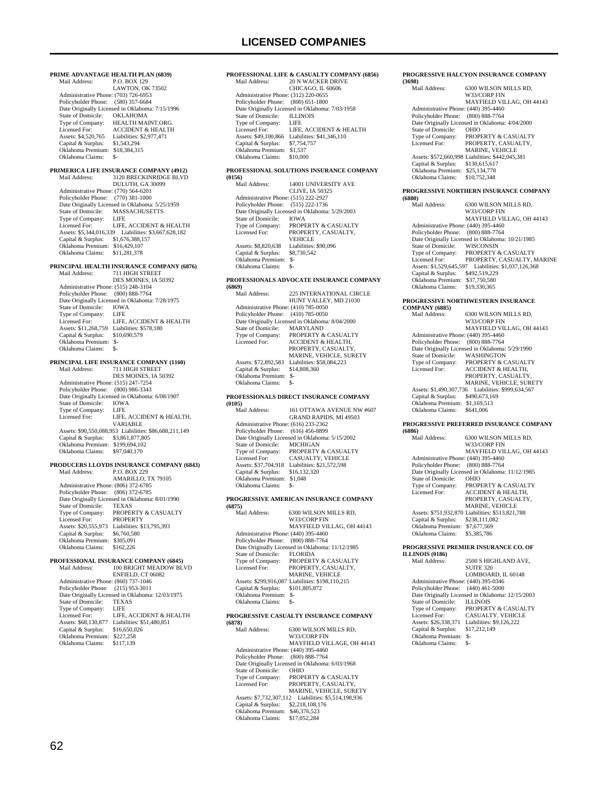## **LICENSED COMPANIES**

**PRIME ADVANTAGE HEALTH PLAN (6839)**<br>Mail Address: P.O. BOX 129 P.O. BOX 129 LAWTON, OK 73502 Administrative Phone: (703) 726-6953 Policyholder Phone: (580) 357-6684 Date Originally Licensed in Oklahoma: 7/15/1996<br>State of Domicile: OKLAHOMA State of Domicile:<br>Type of Company: Type of Company: HEALTH MAINT.ORG.<br>Licensed For: ACCIDENT & HEALTH Licensed For: ACCIDENT & HEALTH<br>Assets: \$4,520,765 Liabilities: \$2,977,471 Liabilities: \$2,977,471 Capital & Surplus: \$1,543,294 Oklahoma Premium: \$18,384,315 Oklahoma Claims: \$-**PRIMERICA LIFE INSURANCE COMPANY (4912)**<br>Mail Address: 3120 BRECKINRIDGE BLVD 3120 BRECKINRIDGE BLVD DULUTH, GA 30099 Administrative Phone: (770) 564-6201 Policyholder Phone: (770) 381-1000 Date Originally Licensed in Oklahoma: 5/25/1959 State of Domicile: MASSACHUSETTS<br>Type of Company: LIFE Type of Company:<br>Licensed For: LIFE, ACCIDENT & HEALTH Assets: \$5,344,016,339 Liabilities: \$3,667,628,182 Capital & Surplus: \$1,676,388,157 Oklahoma Premium: \$16,429,107 Oklahoma Claims: \$11,281,378 **PRINCIPAL HEALTH INSURANCE COMPANY (6876)**<br>
Mail Address: 711 HIGH STREET DES MOINES, IA 50392 Administrative Phone: (515) 248-3104 Policyholder Phone: (800) 888-7764 Date Originally Licensed in Oklahoma: 7/28/1975 State of Domicile: IOWA<br>Type of Company: LIFE Type of Company:<br>Licensed For: LILE<br>LIFE, ACCIDENT & HEALTH Assets: \$11,268,759 Liabilities: \$578,180<br>Capital & Surplus: \$10,690,579 Capital & Surplus: Oklahoma Premium: \$- Oklahoma Claims: **PRINCIPAL LIFE INSURANCE COMPANY (1160)**<br>Mail Address: 711 HIGH STREET 711 HIGH STREET DES MOINES, IA 50392 Administrative Phone: (515) 247-7254 Policyholder Phone: (800) 986-3343 Date Originally Licensed in Oklahoma: 6/08/1907<br>State of Domicile: IOWA State of Domicile: IOWA<br>Type of Company: IFFE Type of Company:<br>Licensed For: LIFE, ACCIDENT & HEALTH, VARIABLE Assets: \$90,550,088,953 Liabilities: \$86,688,211,149 Capital & Surplus: \$3,861,877,805 Oklahoma Premium: \$199,694,102 Oklahoma Claims: \$97,040,170 **PRODUCERS LLOYDS INSURANCE COMPANY (6843)** Mail Address: P.O. BOX 229 AMARILLO, TX 79105 Administrative Phone: (806) 372-6785 Policyholder Phone: (806) 372-6785 Date Originally Licensed in Oklahoma: 8/01/1990<br>State of Domicile: TEXAS State of Domicile:<br>Type of Company: PROPERTY & CASUALTY<br>PROPERTY Licensed For: PROPERTY Assets: \$20,555,973 Liabilities: \$13,795,393 Capital & Surplus: \$6,760,580 Oklahoma Premium: \$305,091 Oklahoma Claims: \$162,226 **PROFESSIONAL INSURANCE COMPANY (6845)** 100 BRIGHT MEADOW BLVD ENFIELD, CT 06082 Administrative Phone: (860) 737-1046 Policyholder Phone: (215) 953-3011 Patrick Christian Christian Christian Christian Christian Christian Christian Christian Christian Christian Christian Christian Christian Christian Christian Christian Christian Christian Christian Christian Christian Chri State of Domicile: TEXA<br>Type of Company: LIFE Type of Company:<br>Licensed For: LIFE, ACCIDENT & HEALTH Assets: \$68,130,877 Liabilities: \$51,480,851<br>Capital & Surplus: \$16,650,026 Capital & Surplus: \$16,650,0<br>Oklahoma Premium: \$227,258 Oklahoma Premium: \$227,258<br>Oklahoma Claims: \$117.139 Oklahoma Claims:

### **PROFESSIONAL LIFE & CASUALTY COMPANY (6856)** 20 N WACKER DRIVE CHICAGO, IL 60606 Administrative Phone: (312) 220-0655 Policyholder Phone: (800) 651-1800 Date Originally Licensed in Oklahoma: 7/03/1958<br>State of Domicile: ILLINOIS State of Domicile: ILLIN<br>Type of Company: LIFE Type of Company:<br>Licensed For: LIFE, ACCIDENT & HEALTH Assets: \$49,100,866 Liabilities: \$41,346,110<br>Capital & Surplus: \$7,754,757 Capital & Surplus: \$7,754,757 Oklahoma Premium: \$1,537 Oklahoma Claims: \$10,000 **PROFESSIONAL SOLUTIONS INSURANCE COMPANY (0156)** 14001 UNIVERSITY AVE CLIVE, IA 50325 Administrative Phone: (515) 222-2927 Policyholder Phone: (515) 222-1736 Date Originally Licensed in Oklahoma: 5/29/2003<br>State of Domicile: IOWA State of Domicile:<br>Type of Company: Type of Company: PROPERTY & CASUALTY<br>Licensed For: PROPERTY, CASUALTY. PROPERTY, CASUALTY, VEHICLE<br>Liabilities: \$90,096 Assets: \$8,820,638 Liabilities:<br>Capital & Surplus: \$8.730.542 Capital & Surplus: Oklahoma Premium: \$- Oklahoma Claims: **PROFESSIONALS ADVOCATE INSURANCE COMPANY (6869)** Mail Address: 225 INTERNATIONAL CIRCLE HUNT VALLEY, MD 21030 Administrative Phone: (410) 785-0050 Policyholder Phone: (410) 785-0050 Date Originally Licensed in Oklahoma: 8/04/2000 State of Domicile:<br>Type of Company: Type of Company: PROPERTY & CASUALTY<br>Licensed For: ACCIDENT & HEALTH, PROPERTY, CASUALTY MARINE, VEHICLE, SURETY Assets: \$72,892,583 Liabilities: \$58,084,223<br>Capital & Surplus: \$14,808,360 Capital & Surplus: \$1<br>Oklahoma Premium: \$- Oklahoma Premium: \$- Oklahoma Claims: **PROFESSIONALS DIRECT INSURANCE COMPANY (0105)** 161 OTTAWA AVENUE NW #607 GRAND RAPIDS, MI 49503 Administrative Phone: (616) 233-2362 Policyholder Phone: (616) 456-8899 Date Originally Licensed in Oklahoma: 5/15/2002<br>State of Domicile: MICHIGAN State of Domicile:<br>Type of Company: Type of Company: PROPERTY & CASUALTY<br>Licensed For: CASUALTY, VEHICLE CASUALTY, VEHICLE Assets: \$37,704,918 Liabilities: \$21,572,598<br>Capital & Surplus: \$16,132,320 Capital & Surplus: Oklahoma Premium: \$1,048 Oklahoma Claims: \$-**PROGRESSIVE AMERICAN INSURANCE COMPANY (6875)** 6300 WILSON MILLS RD, W33/CORP FIN MAYFIELD VILLAG, OH 44143 Administrative Phone: (440) 395-4460 Policyholder Phone: (800) 888-7764 Date Originally Licensed in Oklahoma: 11/12/1985<br>State of Domicile: FLORIDA State of Domicile:<br>Type of Company: Type of Company: PROPERTY & CASUALTY<br>Licensed For: PROPERTY, CASUALTY, PROPERTY, CASUALTY, MARINE, VEHICLE Assets: \$299,916,087 Liabilities: \$198,110,215<br>Capital & Surplus: \$101,805,872 Capital & Surplus: \$101,805,872 Oklahoma Premium: \$- Oklahoma Claims: \$-**PROGRESSIVE CASUALTY INSURANCE COMPANY (6878)** 6300 WILSON MILLS RD. W33/CORP FIN MAYFIELD VILLAGE, OH 44143 Administrative Phone: (440) 395-4460 Policyholder Phone: (800) 888-7764 Patrick Prince Corpus Corpus Corpus Corpus Corpus Corpus Corpus Corpus State of Domicile: OHIO State of Domicile:<br>Type of Company: Type of Company: PROPERTY & CASUALTY<br>Licensed For: PROPERTY, CASUALTY, PROPERTY, CASUALTY, MARINE, VEHICLE, SURETY Assets: \$7,732,307,112 Liabilities: \$5,514,198,936 Capital & Surplus: \$2,218,108,176 Oklahoma Premium: \$46,376,523<br>Oklahoma Claims: \$17,052,284 Oklahoma Claims:

#### **PROGRESSIVE HALCYON INSURANCE COMPANY (3698)**

| Mail Address:                        | 6300 WILSON MILLS RD,                            |
|--------------------------------------|--------------------------------------------------|
|                                      | W33/CORP FIN                                     |
|                                      | MAYFIELD VILLAG, OH 44143                        |
| Administrative Phone: (440) 395-4460 |                                                  |
| Policyholder Phone: (800) 888-7764   |                                                  |
|                                      | Date Originally Licensed in Oklahoma: 4/04/2000  |
| State of Domicile:                   | <b>OHIO</b>                                      |
| Type of Company:                     | <b>PROPERTY &amp; CASUALTY</b>                   |
| Licensed For:                        | PROPERTY, CASUALTY,                              |
|                                      | <b>MARINE, VEHICLE</b>                           |
|                                      | Assets: \$572,660,998 Liabilities: \$442,045,381 |
| Capital & Surplus:                   | \$130,615,617                                    |
| Oklahoma Premium:                    | \$25,134,778                                     |
| Oklahoma Claims:                     | \$10,752,348                                     |
|                                      |                                                  |

#### **PROGRESSIVE NORTHERN INSURANCE COMPANY (6880)**

| woov z                               |                                                  |
|--------------------------------------|--------------------------------------------------|
| Mail Address:                        | 6300 WILSON MILLS RD.                            |
|                                      | W33/CORP FIN                                     |
|                                      | MAYFIELD VILLAG, OH 44143                        |
| Administrative Phone: (440) 395-4460 |                                                  |
| Policyholder Phone:                  | $(800) 888 - 7764$                               |
|                                      | Date Originally Licensed in Oklahoma: 10/21/1985 |
| State of Domicile:                   | <b>WISCONSIN</b>                                 |
| Type of Company:                     | <b>PROPERTY &amp; CASUALTY</b>                   |
| Licensed For:                        | PROPERTY, CASUALTY, MARINE                       |
| Assets: \$1,529,645,597              | Liabilities: \$1,037,126,368                     |
| Capital & Surplus:                   | \$492,519,229                                    |
| Oklahoma Premium:                    | \$37,750,580                                     |
| Oklahoma Claims:                     | \$19,330,365                                     |
|                                      |                                                  |

#### **PROGRESSIVE NORTHWESTERN INSURANCE COMPANY (6885)**

| COMPANY (6885)                       |                                                 |
|--------------------------------------|-------------------------------------------------|
| Mail Address:                        | 6300 WILSON MILLS RD.                           |
|                                      | W33/CORP FIN                                    |
|                                      | MAYFIELD VILLAG. OH 44143                       |
| Administrative Phone: (440) 395-4460 |                                                 |
| Policyholder Phone: (800) 888-7764   |                                                 |
|                                      | Date Originally Licensed in Oklahoma: 5/29/1990 |
| State of Domicile:                   | <b>WASHINGTON</b>                               |
| Type of Company:                     | <b>PROPERTY &amp; CASUALTY</b>                  |
| Licensed For:                        | <b>ACCIDENT &amp; HEALTH.</b>                   |
|                                      | PROPERTY, CASUALTY.                             |
|                                      | <b>MARINE, VEHICLE, SURETY</b>                  |
| Assets: \$1,490,307,736              | Liabilities: \$999,634,567                      |
| Capital & Surplus:                   | \$490,673,169                                   |
| Oklahoma Premium:                    | \$1.169.513                                     |
| Oklahoma Claims:                     | \$641,006                                       |
|                                      |                                                 |

## **PROGRESSIVE PREFERRED INSURANCE COMPANY**

| (6886)                               |                                                  |
|--------------------------------------|--------------------------------------------------|
| Mail Address:                        | 6300 WILSON MILLS RD.                            |
|                                      | W33/CORP FIN                                     |
|                                      | MAYFIELD VILLAG. OH 44143                        |
| Administrative Phone: (440) 395-4460 |                                                  |
| Policyholder Phone:                  | $(800) 888 - 7764$                               |
|                                      | Date Originally Licensed in Oklahoma: 11/12/1985 |
| State of Domicile:                   | <b>OHIO</b>                                      |
| Type of Company:                     | <b>PROPERTY &amp; CASUALTY</b>                   |
| Licensed For:                        | <b>ACCIDENT &amp; HEALTH,</b>                    |
|                                      | PROPERTY, CASUALTY,                              |
|                                      | <b>MARINE, VEHICLE</b>                           |
|                                      | Assets: \$751,932,870 Liabilities: \$513,821,788 |
| Capital & Surplus:                   | \$238,111,082                                    |
| Oklahoma Premium:                    | \$7,677,569                                      |
| Oklahoma Claims:                     | \$5,385,786                                      |
|                                      |                                                  |
|                                      |                                                  |

#### **PROGRESSIVE PREMIER INSURANCE CO. OF ILLINOIS (0186)**

| Mail Address:        | 2500 S HIGHLAND AVE,                                                       |
|----------------------|----------------------------------------------------------------------------|
|                      | <b>SUITE 320</b>                                                           |
|                      | LOMBOARD, IL 60148                                                         |
|                      |                                                                            |
|                      |                                                                            |
|                      | Date Originally Licensed in Oklahoma: 12/15/2003                           |
| State of Domicile:   | <b>ILLINOIS</b>                                                            |
| Type of Company:     | PROPERTY & CASUALTY                                                        |
| Licensed For:        | CASUALTY, VEHICLE                                                          |
| Assets: \$26,338,371 | Liabilities: \$9,126,222                                                   |
| Capital & Surplus:   | \$17.212.149                                                               |
| Oklahoma Premium:    | \$-                                                                        |
| Oklahoma Claims:     | \$-                                                                        |
|                      | Administrative Phone: (440) 395-0346<br>Policyholder Phone: (440) 461-5000 |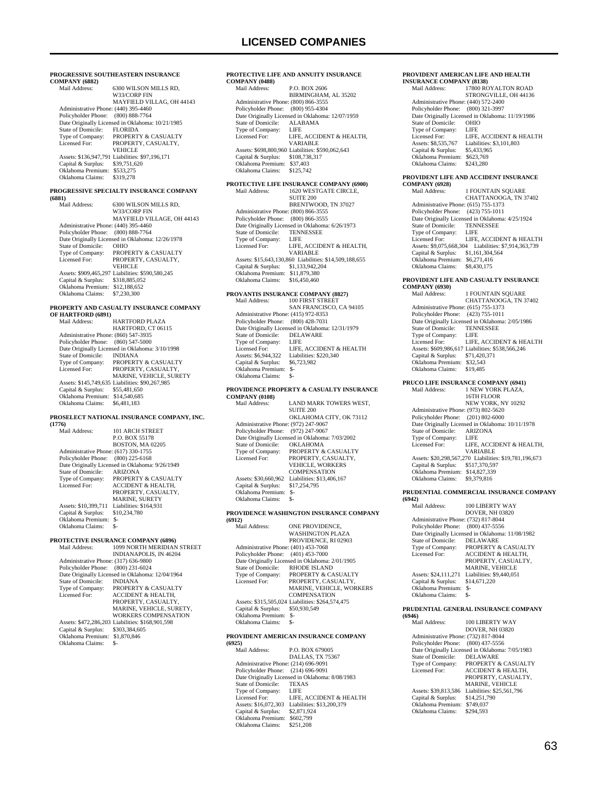| PROGRESSIVE SOUTHEASTERN INSURANCE<br><b>COMPANY (6882)</b> |                                                                            |                                                                            |
|-------------------------------------------------------------|----------------------------------------------------------------------------|----------------------------------------------------------------------------|
|                                                             | Mail Address:                                                              | 6300 WILSON MILLS RD,<br>W33/CORP FIN                                      |
|                                                             | Administrative Phone: (440) 395-4460                                       | MAYFIELD VILLAG, OH 44143                                                  |
|                                                             | Policyholder Phone:                                                        | $(800) 888 - 7764$<br>Date Originally Licensed in Oklahoma: 10/21/1985     |
|                                                             | State of Domicile:                                                         | <b>FLORIDA</b>                                                             |
|                                                             | Type of Company:<br>Licensed For:                                          | PROPERTY & CASUALTY<br>PROPERTY, CASUALTY,<br><b>VEHICLE</b>               |
|                                                             | Capital & Surplus:                                                         | Assets: \$136,947,791 Liabilities: \$97,196,171<br>\$39,751,620            |
|                                                             | Oklahoma Premium: \$533,275<br>Oklahoma Claims:                            | \$319,278                                                                  |
|                                                             | (6881)                                                                     | PROGRESSIVE SPECIALTY INSURANCE COMPANY                                    |
|                                                             | Mail Address:                                                              | 6300 WILSON MILLS RD.<br>W33/CORP FIN                                      |
|                                                             | Administrative Phone: (440) 395-4460                                       | MAYFIELD VILLAGE, OH 44143                                                 |
|                                                             | Policyholder Phone: (800) 888-7764                                         |                                                                            |
|                                                             | State of Domicile:                                                         | Date Originally Licensed in Oklahoma: 12/26/1978<br>OHIO                   |
|                                                             | Type of Company:                                                           | PROPERTY & CASUALTY                                                        |
|                                                             | Licensed For:                                                              | PROPERTY, CASUALTY,<br><b>VEHICLE</b>                                      |
|                                                             | Capital & Surplus: \$318,885,052                                           | Assets: \$909,465,297 Liabilities: \$590,580,245                           |
|                                                             | Oklahoma Premium: \$12,188,652                                             |                                                                            |
|                                                             | Oklahoma Claims:                                                           | \$7,230,300                                                                |
|                                                             | OF HARTFORD (6891)                                                         | PROPERTY AND CASUALTY INSURANCE COMPANY                                    |
|                                                             | Mail Address:                                                              | <b>HARTFORD PLAZA</b><br>HARTFORD, CT 06115                                |
|                                                             | Administrative Phone: (860) 547-3935                                       |                                                                            |
|                                                             | Policyholder Phone: (860) 547-5000                                         |                                                                            |
|                                                             | <b>State of Domicile:</b>                                                  | Date Originally Licensed in Oklahoma: 3/10/1998<br><b>INDIANA</b>          |
|                                                             | Type of Company:                                                           | PROPERTY & CASUALTY                                                        |
|                                                             | Licensed For:                                                              | PROPERTY, CASUALTY,                                                        |
|                                                             |                                                                            | MARINE, VEHICLE, SURETY<br>Assets: \$145,749,635 Liabilities: \$90,267,985 |
|                                                             | Capital & Surplus:                                                         | \$55,481,650                                                               |
|                                                             | Oklahoma Premium: \$14,540,685<br>Oklahoma Claims:                         | \$6,481,183                                                                |
|                                                             |                                                                            | PROSELECT NATIONAL INSURANCE COMPANY, INC.                                 |
|                                                             | (1776)<br>Mail Address:                                                    | 101 ARCH STREET                                                            |
|                                                             |                                                                            | P.O. BOX 55178                                                             |
|                                                             | Administrative Phone: (617) 330-1755                                       | BOSTON, MA 02205                                                           |
|                                                             | Policyholder Phone:                                                        | $(800)$ 225-6168                                                           |
|                                                             |                                                                            | Date Originally Licensed in Oklahoma: 9/26/1949                            |
|                                                             | State of Domicile:<br>Type of Company:                                     | <b>ARIZONA</b><br>PROPERTY & CASUALTY                                      |
|                                                             | Licensed For:                                                              | ACCIDENT & HEALTH,                                                         |
|                                                             |                                                                            | PROPERTY, CASUALTY,                                                        |
|                                                             | Assets: \$10,399,711                                                       | MARINE, SURETY<br>Liabilities: \$164,931                                   |
|                                                             | Capital & Surplus:                                                         | \$10,234,780                                                               |
|                                                             | Oklahoma Premium: \$-<br>Oklahoma Claims:                                  | $S-$                                                                       |
|                                                             |                                                                            | PROTECTIVE INSURANCE COMPANY (6896)                                        |
|                                                             | Mail Address:                                                              | 1099 NORTH MERIDIAN STREET<br>INDIANAPOLIS, IN 46204                       |
|                                                             | Administrative Phone: (317) 636-9800<br>Policyholder Phone: (800) 231-6024 |                                                                            |
|                                                             |                                                                            | Date Originally Licensed in Oklahoma: 12/04/1964                           |
|                                                             | <b>State of Domicile:</b>                                                  | INDIANA                                                                    |
|                                                             | Type of Company:<br>Licensed For:                                          | PROPERTY & CASUALTY<br>ACCIDENT & HEALTH,                                  |
|                                                             |                                                                            | PROPERTY, CASUALTY,                                                        |
|                                                             |                                                                            | MARINE, VEHICLE, SURETY,                                                   |
|                                                             |                                                                            | WORKERS COMPENSATION<br>Assets: \$472,286,203 Liabilities: \$168,901,598   |
|                                                             | Capital & Surplus:                                                         | \$303,384,605                                                              |
|                                                             | Oklahoma Premium: \$1,870,846<br>Oklahoma Claims:                          | - S                                                                        |
|                                                             |                                                                            |                                                                            |
|                                                             |                                                                            |                                                                            |

### **PROTECTIVE LIFE AND ANNUITY INSURANCE COMPANY (0488)** P.O. BOX 2606 BIRMINGHAM, AL 35202 Administrative Phone: (800) 866-3555 Policyholder Phone: (800) 955-4304 Date Originally Licensed in Oklahoma: 12/07/1959 State of Domicile: ALAE<br>Type of Company: LIFE Type of Company:<br>Licensed For: LIFE, ACCIDENT & HEALTH, VARIABLE Assets: \$698,800,960 Liabilities: \$590,062,643 Capital & Surplus: \$108,738,317 Oklahoma Premium: \$37,403 Oklahoma Claims: \$125,742 **PROTECTIVE LIFE INSURANCE COMPANY (6900)** 1620 WESTGATE CIRCLE, SUITE 200 BRENTWOOD, TN 37027 Administrative Phone: (800) 866-3555 Policyholder Phone: (800) 866-3555 Date Originally Licensed in Oklahoma: 6/26/1973<br>State of Domicile: TENNESSEE State of Domicile: TENN<br>Type of Company: LIFE Type of Company:<br>Licensed For: LIFE, ACCIDENT & HEALTH, VARIABLE Assets: \$15,643,130,860 Liabilities: \$14,509,188,655 Capital & Surplus: \$1,133,942,204 Oklahoma Premium: \$11,879,380 Oklahoma Claims: \$16,450,460 **PROVANTIS INSURANCE COMPANY (8827)** 100 FIRST STREET SAN FRANCISCO, CA 94105 Administrative Phone: (415) 972-8353 Policyholder Phone: (800) 428-7031 Date Originally Licensed in Oklahoma: 12/31/1979<br>State of Domicile: DELAWARE State of Domicile: DELA<br>Type of Company: LIFE Type of Company: LIFE, ACCIDENT & HEALTH Licensed For: LIFE, ACCI<br>
Assets: \$6,944,322 Liabilities: \$2<br>
Capital & Surplus: \$6,723,982 Capital & Surplus: Oklahoma Premium: \$- Oklahoma Claims: \$- **PROVIDENCE PROPERTY & CASUALTY INSURANCE COMPANY (0108)** LAND MARK TOWERS WEST, SUITE 200 OKLAHOMA CITY, OK 73112 Administrative Phone: (972) 247-9067 Policyholder Phone: (972) 247-9067 Date Originally Licensed in Oklahoma: 7/03/2002<br>State of Domicile: OKLAHOMA State of Domicile:<br>Type of Company: Type of Company: PROPERTY & CASUALTY<br>Licensed For: PROPERTY. CASUALTY PROPERTY, CASUALTY, VEHICLE, WORKERS **COMPENSATION** Assets: \$30,660,962 Liabilities: \$13,406,167<br>Capital & Surplus: \$17,254,795 Capital & Surplus: Oklahoma Premium: \$- Oklahoma Claims: \$-**PROVIDENCE WASHINGTON INSURANCE COMPANY (6912)** ONE PROVIDENCE WASHINGTON PLAZA PROVIDENCE, RI 02903

 Administrative Phone: (401) 453-7068 Policyholder Phone: (401) 453-7000 Date Originally Licensed in Oklahoma: 2/01/1905<br>State of Domicile: RHODE ISLAND State of Domicile: Type of Company: PROPERTY & CASUALTY<br>Licensed For: PROPERTY, CASUALTY, Licensed For: PROPERTY, CASUALTY, MARINE, VEHICLE, WORKERS COMPENSATION Assets: \$315,505,024 Liabilities: \$264,574,475<br>Capital & Surplus: \$50,930,549 Capital & Surplus: \$50,930,549 Oklahoma Premium: \$- Oklahoma Claims: \$-

## **PROVIDENT AMERICAN INSURANCE COMPANY**

**(6925)** P.O. BOX 679005 DALLAS, TX 75367 Administrative Phone: (214) 696-9091 Policyholder Phone: (214) 696-9091 Date Originally Licensed in Oklahoma: 8/08/1983 State of Domicile: TEXAS Type of Company: LIFE<br>Licensed For: LIFE. LIFE, ACCIDENT & HEALTH Assets: \$16,072,303 Liabilities: \$13,200,379 Capital & Surplus: \$2,871,924 Oklahoma Premium: \$602,799 Oklahoma Claims: \$251,208

## **PROVIDENT AMERICAN LIFE AND HEALTH**

| <b>INSURANCE COMPANY (8138)</b>      |                                                  |  |
|--------------------------------------|--------------------------------------------------|--|
| Mail Address:                        | 17800 ROYALTON ROAD                              |  |
|                                      | STRONGVILLE, OH 44136                            |  |
| Administrative Phone: (440) 572-2400 |                                                  |  |
| Policyholder Phone: (800) 321-3997   |                                                  |  |
|                                      | Date Originally Licensed in Oklahoma: 11/19/1986 |  |
| State of Domicile:                   | <b>OHIO</b>                                      |  |
| Type of Company:                     | LIFE                                             |  |
| Licensed For:                        | LIFE, ACCIDENT & HEALTH                          |  |
| Assets: \$8,535,767                  | Liabilities: \$3,101,803                         |  |
| Capital & Surplus:                   | \$5,433,965                                      |  |
| Oklahoma Premium:                    | \$623,769                                        |  |
| Oklahoma Claims:                     | \$243.280                                        |  |
|                                      |                                                  |  |

## **PROVIDENT LIFE AND ACCIDENT INSURANCE**

**COMPANY (6928)** 1 FOUNTAIN SQUARE CHATTANOOGA, TN 37402 Administrative Phone: (615) 755-1373 Policyholder Phone: (423) 755-1011 Date Originally Licensed in Oklahoma: 4/25/1924 State of Domicile: TENNESSEE<br>Type of Company: LIFE Type of Company:<br>Licensed For: LIFE, ACCIDENT & HEALTH Assets: \$9,075,668,304 Liabilities: \$7,914,363,739 Capital & Surplus: \$1,161,304,564 Oklahoma Premium: \$6,271,416 Oklahoma Claims: \$8,430,175

#### **PROVIDENT LIFE AND CASUALTY INSURANCE**   $CO$

| COMITAIN 1 (0950)                    |                                                  |
|--------------------------------------|--------------------------------------------------|
| Mail Address:                        | <b>1 FOUNTAIN SOUARE</b>                         |
|                                      | CHATTANOOGA, TN 37402                            |
| Administrative Phone: (615) 755-1373 |                                                  |
| Policyholder Phone:                  | $(423)$ 755-1011                                 |
|                                      | Date Originally Licensed in Oklahoma: 2/05/1986  |
| State of Domicile:                   | <b>TENNESSEE</b>                                 |
| Type of Company:                     | LIFE                                             |
| Licensed For:                        | LIFE. ACCIDENT & HEALTH                          |
|                                      | Assets: \$609,986,617 Liabilities: \$538,566,246 |
| Capital & Surplus:                   | \$71,420,371                                     |
| Oklahoma Premium:                    | \$32.543                                         |
| Oklahoma Claims:                     | \$19,485                                         |
|                                      | PRUCO LIFE INSURANCE COMPANY (6941)              |
| Mail Address:                        | 1 NEW YORK PLAZA.                                |
|                                      | 17TH ELOOD                                       |

#### 16TH FLOOR NEW YORK, NY 10292 Administrative Phone: (973) 802-5620 Policyholder Phone: (201) 802-6000 Date Originally Licensed in Oklahoma: 10/11/1978<br>State of Domicile: ARIZONA State of Domicile: ARIZO<br>Type of Company: LIFE Type of Company:<br>Licensed For: LIFE, ACCIDENT & HEALTH, VARIABLE Assets: \$20,298,567,270 Liabilities: \$19,781,196,673 Capital & Surplus: \$517,370,597 Oklahoma Premium: \$14,827,339 Oklahoma Claims: \$9,379,816

## **PRUDENTIAL COMMERCIAL INSURANCE COMPANY**

**(6942)** 100 LIBERTY WAY DOVER, NH 03820 Administrative Phone: (732) 817-8044<br>Policyholder Phone: (800) 437-5556 Policyholder Phone: Date Originally Licensed in Oklahoma: 11/08/1982 State of Domicile: DELAWARE Type of Company: PROPERTY & CASUALTY<br>Licensed For: ACCIDENT & HEALTH. ACCIDENT & HEALTH, PROPERTY, CASUALTY, MARINE, VEHICLE Assets: \$24,111,271 Liabilities: \$9,440,051<br>Capital & Surplus: \$14,671,220 Capital & Surplus: Oklahoma Premium: \$-

## Oklahoma Claims: **PRUDENTIAL GENERAL INSURANCE COMPANY**

**(6946)** 100 LIBERTY WAY DOVER, NH 03820 Administrative Phone: (732) 817-8044 Policyholder Phone: (800) 437-5556 Pate Originally Licensed in Oklahoma: 7/05/1983<br>State of Domicile: DELAWARE State of Domicile:<br>Type of Company: Type of Company: PROPERTY & CASUALTY<br>Licensed For: ACCIDENT & HEALTH, ACCIDENT & HEALTH, PROPERTY, CASUALTY, MARINE, VEHICLE Assets: \$39,813,586 Liabilities: \$25,561,796<br>Capital & Surplus: \$14,251,790 Capital & Surplus: Oklahoma Premium: \$749,037 Oklahoma Claims: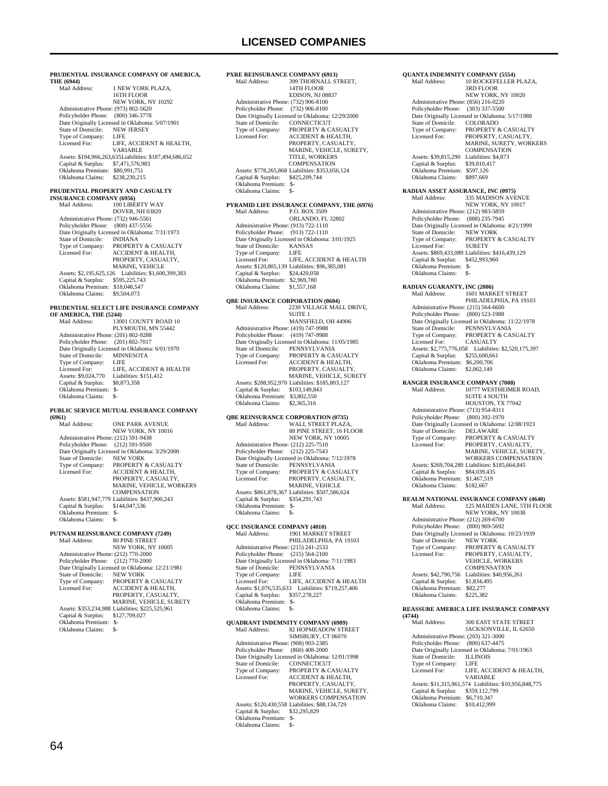399 THORNALL STREET, 14TH FLOOR EDISON, NJ 08837

**PXRE REINSURANCE COMPANY (6913)**<br>Mail Address: 399 THORNALL ST

Administrative Phone: (732) 906-8100

#### **PRUDENTIAL INSURANCE COMPANY OF AMERICA, THE (6944)**

| Mail Address:                        | 1 NEW YORK PLAZA.                                       |
|--------------------------------------|---------------------------------------------------------|
|                                      | 16TH FLOOR                                              |
|                                      | <b>NEW YORK, NY 10292</b>                               |
| Administrative Phone: (973) 802-5620 |                                                         |
| Policyholder Phone: (800) 346-3778   |                                                         |
|                                      | Date Originally Licensed in Oklahoma: 5/07/1901         |
| State of Domicile:                   | <b>NEW JERSEY</b>                                       |
| Type of Company:                     | LIFE                                                    |
| Licensed For:                        | LIFE. ACCIDENT & HEALTH.                                |
|                                      | VARIABLE                                                |
|                                      | Assets: \$194,966,263,635Liabilities: \$187,494,686,652 |
| Capital & Surplus:                   | \$7,471,576,983                                         |
| Oklahoma Premium:                    | \$80,991,751                                            |
| Oklahoma Claims:                     | \$238,230,215                                           |
|                                      |                                                         |

## **PRUDENTIAL PROPERTY AND CASUALTY**

| <b>INSURANCE COMPANY (6956)</b>      |                                                 |
|--------------------------------------|-------------------------------------------------|
| Mail Address:                        | 100 LIBERTY WAY                                 |
|                                      | <b>DOVER, NH 03820</b>                          |
| Administrative Phone: (732) 946-5561 |                                                 |
| Policyholder Phone: (800) 437-5556   |                                                 |
|                                      | Date Originally Licensed in Oklahoma: 7/31/1973 |
| State of Domicile:                   | <b>INDIANA</b>                                  |
| Type of Company:                     | PROPERTY & CASUALTY                             |
| Licensed For:                        | <b>ACCIDENT &amp; HEALTH.</b>                   |
|                                      | PROPERTY, CASUALTY,                             |
|                                      | <b>MARINE, VEHICLE</b>                          |
| Assets: \$2,195,625.126              | Liabilities: \$1,600,399,383                    |
| Capital & Surplus:                   | \$595,225,743                                   |
| Oklahoma Premium:                    | \$18,048,547                                    |
| Oklahoma Claims:                     | \$9,504,073                                     |

## **PRUDENTIAL SELECT LIFE INSURANCE COMPANY**

**OF AMERICA, THE (5244)** Mail Address: 13001 COUNTY ROAD 10 PLYMOUTH, MN 55442 Administrative Phone: (201) 802-9288 Policyholder Phone: (201) 802-7017 Poneyholder Phone: (201) 002 7017<br>Date Originally Licensed in Oklahoma: 6/01/1970<br>State of Domicile: MINNESOTA State of Domicile: MINN<br>Type of Company: LIFE Type of Company:<br>Licensed For:<br>Assets: \$9.024.770 LIFE, ACCIDENT & HEALTH Liabilities: \$151,412<br>\$8,873,358 Capital & Surplus: Oklahoma Premium: \$- Oklahoma Claims: \$-

## **PUBLIC SERVICE MUTUAL INSURANCE COMPANY**

| (6961)                               |                                                  |
|--------------------------------------|--------------------------------------------------|
| Mail Address:                        | <b>ONE PARK AVENUE</b>                           |
|                                      | NEW YORK, NY 10016                               |
| Administrative Phone: (212) 591-9438 |                                                  |
| Policyholder Phone: (212) 591-9500   |                                                  |
|                                      | Date Originally Licensed in Oklahoma: 3/29/2000  |
| State of Domicile:                   | <b>NEW YORK</b>                                  |
| Type of Company:                     | <b>PROPERTY &amp; CASUALTY</b>                   |
| Licensed For:                        | <b>ACCIDENT &amp; HEALTH.</b>                    |
|                                      | PROPERTY, CASUALTY.                              |
|                                      | <b>MARINE, VEHICLE, WORKERS</b>                  |
|                                      | <b>COMPENSATION</b>                              |
|                                      | Assets: \$581,947,779 Liabilities: \$437,900,243 |
| Capital & Surplus:                   | \$144,047,536                                    |
| Oklahoma Premium:                    | $S-$                                             |
| Oklahoma Claims:                     | \$-                                              |
|                                      |                                                  |

## **PUTNAM REINSURANCE COMPANY (7249)**

| Mail Address:                        | <b>80 PINE STREET</b>                            |
|--------------------------------------|--------------------------------------------------|
|                                      | NEW YORK, NY 10005                               |
| Administrative Phone: (212) 770-2000 |                                                  |
| Policyholder Phone: (212) 770-2000   |                                                  |
|                                      | Date Originally Licensed in Oklahoma: 12/21/1981 |
| State of Domicile:                   | <b>NEW YORK</b>                                  |
| Type of Company:                     | <b>PROPERTY &amp; CASUALTY</b>                   |
| Licensed For:                        | <b>ACCIDENT &amp; HEALTH,</b>                    |
|                                      | PROPERTY, CASUALTY,                              |
|                                      | <b>MARINE, VEHICLE, SURETY</b>                   |
|                                      | Assets: \$353,234,988 Liabilities: \$225,525,961 |
| Capital & Surplus:                   | \$127,709,027                                    |
| Oklahoma Premium:                    | S-                                               |
| Oklahoma Claims:                     | \$-                                              |
|                                      |                                                  |

| Policyholder Phone:                     | $(732)$ 906-8100                                                            |
|-----------------------------------------|-----------------------------------------------------------------------------|
|                                         | Date Originally Licensed in Oklahoma: 12/29/2000                            |
| <b>State of Domicile:</b>               | <b>CONNECTICUT</b>                                                          |
| Type of Company:                        | PROPERTY & CASUALTY                                                         |
| Licensed For:                           | ACCIDENT & HEALTH,                                                          |
|                                         | PROPERTY, CASUALTY,<br>MARINE, VEHICLE, SURETY,                             |
|                                         | TITLE, WORKERS                                                              |
|                                         | COMPENSATION                                                                |
|                                         | Assets: \$778,265,868 Liabilities: \$353,056,124                            |
| Capital & Surplus:                      | \$425,209,744                                                               |
| Oklahoma Premium:                       | $S-$                                                                        |
| Oklahoma Claims:                        | \$-                                                                         |
|                                         |                                                                             |
|                                         | PYRAMID LIFE INSURANCE COMPANY, THE (6976)                                  |
| Mail Address:                           | P.O. BOX 3509                                                               |
|                                         | ORLANDO, FL 32802                                                           |
| Administrative Phone: (913) 722-1110    |                                                                             |
| Policyholder Phone:                     | $(913) 722 - 1110$                                                          |
|                                         | Date Originally Licensed in Oklahoma: 3/01/1925                             |
| State of Domicile:                      | <b>KANSAS</b>                                                               |
| Type of Company:                        | LIFE                                                                        |
| Licensed For:                           | LIFE, ACCIDENT & HEALTH                                                     |
|                                         | Assets: \$120,805,139 Liabilities: \$96,385,081                             |
| Capital & Surplus:                      | \$24,420,058                                                                |
| Oklahoma Premium:                       | \$2,969,780                                                                 |
| Oklahoma Claims:                        | \$1,557,168                                                                 |
|                                         |                                                                             |
| <b>OBE INSURANCE CORPORATION (8604)</b> | 2230 VILLAGE MALL DRIVE,                                                    |
| Mail Address:                           | <b>SUITE 1</b>                                                              |
|                                         | MANSFIELD, OH 44906                                                         |
| Administrative Phone: (419) 747-9988    |                                                                             |
| Policyholder Phone: (419) 747-9988      |                                                                             |
|                                         | Date Originally Licensed in Oklahoma: 11/05/1985                            |
| State of Domicile:                      | PENNSYLVANIA                                                                |
| Type of Company:                        | PROPERTY & CASUALTY                                                         |
| Licensed For:                           | ACCIDENT & HEALTH,                                                          |
|                                         | PROPERTY, CASUALTY,                                                         |
|                                         |                                                                             |
|                                         | MARINE, VEHICLE, SURETY<br>Assets: \$288,952,970 Liabilities: \$185,803,127 |
| Capital & Surplus:                      | \$103,149,843                                                               |
| Oklahoma Premium:                       | \$3,802,550                                                                 |
| Oklahoma Claims:                        | \$2,365,316                                                                 |
|                                         |                                                                             |
|                                         | <b>QBE REINSURANCE CORPORATION (0735)</b>                                   |
| Mail Address:                           | WALL STREET PLAZA,                                                          |
|                                         | 88 PINE STREET, 16 FLOOR                                                    |
|                                         | NEW YORK, NY 10005                                                          |
| Administrative Phone: (212) 225-7510    | $(212)$ 225-7543                                                            |
| Policyholder Phone:                     | Date Originally Licensed in Oklahoma: 7/12/1978                             |
| State of Domicile:                      | PENNSYLVANIA                                                                |
| Type of Company:                        | PROPERTY & CASUALTY                                                         |
| Licensed For:                           | PROPERTY, CASUALTY,                                                         |
|                                         | <b>MARINE, VEHICLE</b>                                                      |
|                                         | Assets: \$861,878,367 Liabilities: \$507,586,624                            |
| Capital & Surplus:                      | \$354,291,743                                                               |
| Oklahoma Premium:                       | \$-                                                                         |
| Oklahoma Claims:                        | \$-                                                                         |
|                                         |                                                                             |
| <b>QCC INSURANCE COMPANY (4010)</b>     |                                                                             |
| Mail Address:                           | 1901 MARKET STREET                                                          |
|                                         | PHILADELPHIA, PA 19103                                                      |
| Administrative Phone: (215) 241-2533    |                                                                             |
| Policyholder Phone: (215) 564-2100      |                                                                             |
|                                         | Date Originally Licensed in Oklahoma: 7/11/1983                             |
| State of Domicile:<br>Type of Company:  | PENNSYLVANIA<br>LIFE                                                        |
| Licensed For:                           | LIFE, ACCIDENT & HEALTH                                                     |
|                                         | Assets: \$1,076,535,633 Liabilities: \$719,257,406                          |
| Capital & Surplus:                      | \$357,278,227                                                               |
| Oklahoma Premium: \$-                   |                                                                             |
| Oklahoma Claims:                        | \$-                                                                         |
|                                         |                                                                             |
|                                         | QUADRANT INDEMNITY COMPANY (6989)                                           |
| Mail Address:                           | 82 HOPMEADOW STREET                                                         |
|                                         | SIMSBURY, CT 06070                                                          |
| Administrative Phone: (908) 903-2385    |                                                                             |
| Policyholder Phone:                     | $(860)$ 408-2000                                                            |
|                                         | Date Originally Licensed in Oklahoma: 12/01/1998                            |
| State of Domicile:                      | CONNECTICUT                                                                 |
| Type of Company:                        | PROPERTY & CASUALTY                                                         |
| Licensed For:                           | ACCIDENT & HEALTH,                                                          |
|                                         | PROPERTY, CASUALTY,                                                         |
|                                         | MARINE, VEHICLE, SURETY,<br>WORKERS COMPENSATION                            |
|                                         | Assets: \$120,430,558 Liabilities: \$88,134,729                             |
| Capital & Surplus:                      | \$32,295,829                                                                |
| Oklahoma Premium:                       | \$-                                                                         |
| Oklahoma Claims:                        | \$-                                                                         |
|                                         |                                                                             |
|                                         |                                                                             |

### **QUANTA INDEMNITY COMPANY (5554)**<br>Mail Address: 10 ROCKEFELLER 10 ROCKEFELLER PLAZA, 3RD FLOOR NEW YORK, NY 10020 Administrative Phone: (856) 216-0220 Policyholder Phone: (303) 337-5500 Pate Originally Licensed in Oklahoma: 5/17/1988<br>State of Domicile: COLORADO State of Domicile:<br>Type of Company: Type of Company: PROPERTY & CASUALTY<br>Licensed For: PROPERTY, CASUALTY, PROPERTY, CASUALTY, MARINE, SURETY, WORKERS COMPENSATION Assets: \$39,815,290 Liabilities: \$4,873 Capital & Surplus: \$39,810,417 Oklahoma Premium: \$597,126 Oklahoma Claims: \$897,669 **RADIAN ASSET ASSURANCE, INC (0975)**<br>Mail Address: 335 MADISON AVE 335 MADISON AVENUE NEW YORK, NY 10017 Administrative Phone: (212) 983-5859 Policyholder Phone: (888) 235-7945 Date Originally Licensed in Oklahoma: 4/21/1999<br>State of Domicile: NEW YORK State of Domicile:<br>Type of Company: PROPERTY & CASUALTY Licensed For: SURETY Assets: \$869,433,089 Liabilities: \$416,439,129 Capital & Surplus: \$452,993,960 Oklahoma Premium: \$- Oklahoma Claims: **RADIAN GUARANTY, INC (2006)** Mail Address: 1601 MARKET STREET PHILADELPHIA, PA 19103 Administrative Phone: (215) 564-6600 Policyholder Phone: (800) 523-1988 Date Originally Licensed in Oklahoma: 11/22/1978<br>State of Domicile: PENNSYLVANIA State of Domicile: PENNSYLVANIA<br>Type of Company: PROPERTY & CA PROPERTY & CASUALTY Licensed For: CASUALTY Assets: \$2,775,776,058 Liabilities: \$2,520,175,397 Capital & Surplus: \$255,600,661 Oklahoma Premium: \$6,200,706 Oklahoma Claims: \$2,062,149 **RANGER INSURANCE COMPANY (7008)** 10777 WESTHEIMER ROAD, SUITE 4 SOUTH HOUSTON, TX 77042 Administrative Phone: (713) 954-8311 Policyholder Phone: (800) 392-1970 Date Originally Licensed in Oklahoma: 12/08/1923<br>State of Domicile: DELAWARE State of Domicile:<br>Type of Company: Type of Company: PROPERTY & CASUALTY<br>Licensed For: PROPERTY, CASUALTY. PROPERTY, CASUALTY, MARINE, VEHICLE, SURETY, WORKERS COMPENSATION Assets: \$269,704,280 Liabilities: \$185,664,845<br>
Capital & Surplus: \$84,039,435<br>
Oklahoma Premium: \$1,467,519<br>
Oklahoma Claims: \$182,667 **REALM NATIONAL INSURANCE COMPANY (4640)** 125 MAIDEN LANE, 5TH FLOOR NEW YORK, NY 10038 Administrative Phone: (212) 269-6700 Policyholder Phone: (800) 969-5692 Date Originally Licensed in Oklahoma: 10/23/1939 State of Domicile: NEW YORK Type of Company: PROPERTY & CASUALTY Licensed For: PROPERTY, CASUALTY, VEHICLE, WORKERS **COMPENSATION**  Assets: \$42,790,756 Liabilities: \$40,956,261 Capital & Surplus: \$1,834,495 Oklahoma Premium: \$82,277 Oklahoma Claims: \$225,382 **REASSURE AMERICA LIFE INSURANCE COMPANY (4744)** 300 EAST STATE STREET JACKSONVILLE, IL 62650 Administrative Phone: (203) 321-3000 Policyholder Phone: (800) 637-4475 Date Originally Licensed in Oklahoma: 7/01/1963<br>State of Domicile: ILLINOIS State of Domicile: ILLIN<br>Type of Company: LIFE Type of Company:<br>Licensed For: LIFE, ACCIDENT & HEALTH, VARIABLE Assets: \$11,315,961,574 Liabilities: \$10,956,848,775 Capital & Surplus: \$359,112,799 Oklahoma Premium: \$6,710,347

Oklahoma Claims: \$10,412,999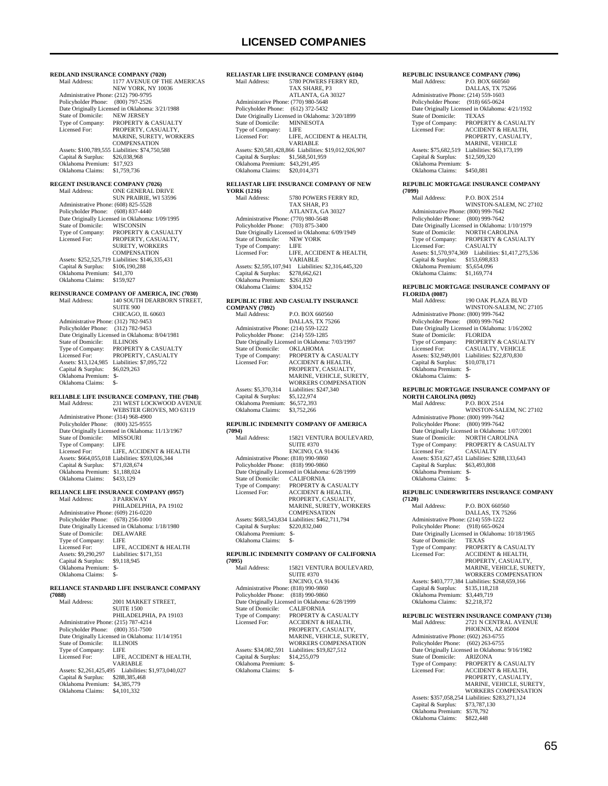## **LICENSED COMPANIES**

5780 POWERS FERRY RD, TAX SHARE, P3

**RELIASTAR LIFE INSURANCE COMPANY (6104)**<br>Mail Address: 5780 POWERS FERRY RD,

**REDLAND INSURANCE COMPANY (7020)**<br>Mail Address: 1177 AVENUE OF TH 1177 AVENUE OF THE AMERICAS NEW YORK, NY 10036 Administrative Phone: (212) 790-9795 Policyholder Phone: (800) 797-2526 Date Originally Licensed in Oklahoma: 3/21/1988<br>State of Domicile: NEW JERSEY State of Domicile:<br>Type of Company: Type of Company: PROPERTY & CASUALTY<br>Licensed For: PROPERTY CASUALTY PROPERTY, CASUALTY MARINE, SURETY, WORKERS **COMPENSATION**  Assets: \$100,789,555 Liabilities: \$74,750,588 Capital & Surplus: \$26,038,968 Oklahoma Premium: \$17,923 Oklahoma Claims: \$1,759,736 **REGENT INSURANCE COMPANY (7026)**<br>Mail Address: ONE GENERAL DF ONE GENERAL DRIVE SUN PRAIRIE, WI 53596 Administrative Phone: (608) 825-5528 Policyholder Phone: (608) 837-4440 Patte Originally Licensed in Oklahoma: 1/09/1995<br>State of Domicile: WISCONSIN State of Domicile:<br>Type of Company: Type of Company: PROPERTY & CASUALTY Licensed For: PROPERTY, CASUALTY, SURETY, WORKERS COMPENSATION Assets: \$252,525,719 Liabilities: \$146,335,431 Capital & Surplus: \$106,190,288 Oklahoma Premium: \$41,370 Oklahoma Claims: \$159,927 **REINSURANCE COMPANY OF AMERICA, INC (7030)** Mail Address: 140 SOUTH DEARBORN STREET, SUITE 900 CHICAGO, IL 60603 Administrative Phone: (312) 782-9453 Policyholder Phone: (312) 782-9453 Date Originally Licensed in Oklahoma: 8/04/1981<br>State of Domicile: ILLINOIS State of Domicile:<br>Type of Company: Type of Company: PROPERTY & CASUALTY<br>Licensed For: PROPERTY. CASUALTY PROPERTY, CASUALTY Assets: \$13,124,985 Liabilities: \$7,095,722<br>Capital & Surplus: \$6,029,263 Capital & Surplus: Oklahoma Premium: \$- Oklahoma Claims: **RELIABLE LIFE INSURANCE COMPANY, THE (7048)** 231 WEST LOCKWOOD AVENUE WEBSTER GROVES, MO 63119 Administrative Phone: (314) 968-4900 Policyholder Phone: (800) 325-9555 Date Originally Licensed in Oklahoma: 11/13/1967 State of Domicile: MISSO<br>Type of Company: LIFE Type of Company:<br>Licensed For: LIFE, ACCIDENT & HEALTH Assets: \$664,055,018 Liabilities: \$593,026,344 Capital & Surplus: \$71,028,674 Oklahoma Premium: \$1,188,024 Oklahoma Claims: \$433,129 **RELIANCE LIFE INSURANCE COMPANY (0957)**<br>Mail Address: 3 PARKWAY Mail Address: 3 PARKWAY PHILADELPHIA, PA 19102 Administrative Phone: (609) 216-0220 Policyholder Phone: (678) 256-1000 Date Originally Licensed in Oklahoma: 1/18/1980 State of Domicile: DELAWARE<br>Type of Company: LIFE Type of Company: LIFE, ACCIDENT & HEALTH<br>Liabilities: \$171.351 LIFE, ACC<br>
Licensed For: LIFE, ACC<br>
Assets: \$9,290,297 Liabilities: \;<br>
Capital & Surplus: \$9,118,945 Capital & Surplus: Oklahoma Premium: \$- Oklahoma Claims: \$-**RELIANCE STANDARD LIFE INSURANCE COMPANY (7088)** 2001 MARKET STREET, SUITE 1500 PHILADELPHIA, PA 19103 Administrative Phone: (215) 787-4214 Policyholder Phone: (800) 351-7500 Date Originally Licensed in Oklahoma: 11/14/1951<br>State of Domicile: **ILLINOIS** State of Domicile: ILLIN<br>Type of Company: LIFE Type of Company:<br>Licensed For: LIFE, ACCIDENT & HEALTH,

VARIABLE Assets: \$2,261,425,495 Liabilities: \$1,973,040,027 Capital & Surplus: \$288,385,468 Oklahoma Premium: \$4,385,779

Oklahoma Claims: \$4,101,332

### ATLANTA, GA 30327 Administrative Phone: (770) 980-5648 Policyholder Phone: (612) 372-5432 Date Originally Licensed in Oklahoma: 3/20/1899<br>State of Domicile: MINNESOTA State of Domicile: MINN<br>Type of Company: LIFE Type of Company:<br>Licensed For: LIFE, ACCIDENT & HEALTH, VARIABLE Assets: \$20,581,428,866 Liabilities: \$19,012,926,907 Capital & Surplus: \$1,568,501,959 Oklahoma Premium: \$43,291,495 Oklahoma Claims: \$20,014,371 **RELIASTAR LIFE INSURANCE COMPANY OF NEW YORK (1216)** 5780 POWERS FERRY RD TAX SHAR, P3 ATLANTA, GA 30327 Administrative Phone: (770) 980-5648 Policyholder Phone: (703) 875-3400 Date Originally Licensed in Oklahoma: 6/09/1949<br>State of Domicile: NEW YORK State of Domicile: NEW<br>Type of Company: LIFE Type of Company: Licensed For: LIFE, ACCIDENT & HEALTH, VARIABLE

## Assets: \$2,595,107,941 Liabilities: \$2,316,445,320 Capital & Surplus: \$278,662,621 Oklahoma Premium: \$261,820 Oklahoma Claims: \$304,152 **REPUBLIC FIRE AND CASUALTY INSURANCE COMPANY (7092)**

| Mail Address:                        | P.O. BOX 660560                                 |
|--------------------------------------|-------------------------------------------------|
|                                      | DALLAS, TX 75266                                |
| Administrative Phone: (214) 559-1222 |                                                 |
| Policyholder Phone: (214) 559-1285   |                                                 |
|                                      | Date Originally Licensed in Oklahoma: 7/03/1997 |
| State of Domicile:                   | <b>OKLAHOMA</b>                                 |
| Type of Company:                     | <b>PROPERTY &amp; CASUALTY</b>                  |
| Licensed For:                        | ACCIDENT & HEALTH.                              |
|                                      | PROPERTY, CASUALTY,                             |
|                                      | MARINE, VEHICLE, SURETY,                        |
|                                      | <b>WORKERS COMPENSATION</b>                     |
| Assets: \$5,370,314                  | Liabilities: \$247.340                          |
| Capital & Surplus:                   | \$5,122,974                                     |
| Oklahoma Premium:                    | \$6,572,393                                     |
| Oklahoma Claims:                     | \$3,752,266                                     |

## **REPUBLIC INDEMNITY COMPANY OF AMERICA**

| (7094)                               |                                                  |
|--------------------------------------|--------------------------------------------------|
| Mail Address:                        | 15821 VENTURA BOULEVARD.                         |
|                                      | <b>SUITE #370</b>                                |
|                                      | <b>ENCINO, CA 91436</b>                          |
| Administrative Phone: (818) 990-9860 |                                                  |
| Policyholder Phone:                  | $(818)$ 990-9860                                 |
|                                      | Date Originally Licensed in Oklahoma: 6/28/1999  |
| State of Domicile:                   | <b>CALIFORNIA</b>                                |
| Type of Company:                     | <b>PROPERTY &amp; CASUALTY</b>                   |
| Licensed For:                        | <b>ACCIDENT &amp; HEALTH.</b>                    |
|                                      | PROPERTY, CASUALTY,                              |
|                                      | MARINE, SURETY, WORKERS                          |
|                                      | <b>COMPENSATION</b>                              |
|                                      | Assets: \$683,543,834 Liabilities: \$462,711,794 |
| Capital & Surplus:                   | \$220,832,040                                    |
| Oklahoma Premium:                    | \$-                                              |
| Oklahoma Claims:                     | \$-                                              |

#### **REPUBLIC INDEMNITY COMPANY OF CALIFORNIA (7095)**

| 17VZJ                                |                                                 |
|--------------------------------------|-------------------------------------------------|
| Mail Address:                        | 15821 VENTURA BOULEVARD.                        |
|                                      | <b>SUITE #370</b>                               |
|                                      | <b>ENCINO, CA 91436</b>                         |
| Administrative Phone: (818) 990-9860 |                                                 |
| Policyholder Phone:                  | $(818)$ 990-9860                                |
|                                      | Date Originally Licensed in Oklahoma: 6/28/1999 |
| State of Domicile:                   | <b>CALIFORNIA</b>                               |
| Type of Company:                     | <b>PROPERTY &amp; CASUALTY</b>                  |
| Licensed For:                        | <b>ACCIDENT &amp; HEALTH.</b>                   |
|                                      | PROPERTY, CASUALTY.                             |
|                                      | MARINE, VEHICLE, SURETY.                        |
|                                      | <b>WORKERS COMPENSATION</b>                     |
| Assets: \$34,082,591                 | Liabilities: \$19,827,512                       |
| Capital & Surplus:                   | \$14,255,079                                    |
| Oklahoma Premium:                    | $S-$                                            |
| Oklahoma Claims:                     | \$-                                             |
|                                      |                                                 |

### **REPUBLIC INSURANCE COMPANY (7096)**

| Mail Address:                        | P.O. BOX 660560                                 |
|--------------------------------------|-------------------------------------------------|
|                                      | DALLAS, TX 75266                                |
| Administrative Phone: (214) 559-1603 |                                                 |
| Policyholder Phone: (918) 665-0624   |                                                 |
|                                      | Date Originally Licensed in Oklahoma: 4/21/1932 |
| State of Domicile:                   | <b>TEXAS</b>                                    |
| Type of Company:                     | <b>PROPERTY &amp; CASUALTY</b>                  |
| Licensed For:                        | <b>ACCIDENT &amp; HEALTH.</b>                   |
|                                      | PROPERTY, CASUALTY,                             |
|                                      | <b>MARINE, VEHICLE</b>                          |
| Assets: \$75,682,519                 | Liabilities: \$63,173,199                       |
| Capital & Surplus:                   | \$12,509,320                                    |
| Oklahoma Premium:                    | $S-$                                            |
| Oklahoma Claims:                     | \$450.881                                       |
|                                      |                                                 |

#### **REPUBLIC MORTGAGE INSURANCE COMPANY (7099)**

| Mail Address:                        | <b>P.O. BOX 2514</b>                            |
|--------------------------------------|-------------------------------------------------|
|                                      | WINSTON-SALEM, NC 27102                         |
| Administrative Phone: (800) 999-7642 |                                                 |
| Policyholder Phone: (800) 999-7642   |                                                 |
|                                      | Date Originally Licensed in Oklahoma: 1/10/1979 |
| State of Domicile:                   | NORTH CAROLINA                                  |
| Type of Company:                     | <b>PROPERTY &amp; CASUALTY</b>                  |
| Licensed For:                        | <b>CASUALTY</b>                                 |
| Assets: \$1,570,974,369              | Liabilities: \$1,417,275,536                    |
| Capital & Surplus:                   | \$153,698,833                                   |
| Oklahoma Premium:                    | \$5,654,096                                     |
| Oklahoma Claims:                     | \$1,169,774                                     |

#### **REPUBLIC MORTGAGE INSURANCE COMPANY OF FLORIDA (0087)**

| Mail Address:                        | 190 OAK PLAZA BLVD                              |
|--------------------------------------|-------------------------------------------------|
|                                      | WINSTON-SALEM, NC 27105                         |
| Administrative Phone: (800) 999-7642 |                                                 |
| Policyholder Phone: (800) 999-7642   |                                                 |
|                                      | Date Originally Licensed in Oklahoma: 1/16/2002 |
| State of Domicile:                   | <b>FLORIDA</b>                                  |
| Type of Company:                     | <b>PROPERTY &amp; CASUALTY</b>                  |
| Licensed For:                        | <b>CASUALTY, VEHICLE</b>                        |
| Assets: \$32,949,001                 | Liabilities: \$22,870,830                       |
| Capital & Surplus:                   | \$10,078,171                                    |
| Oklahoma Premium:                    | $S-$                                            |
| Oklahoma Claims:                     | \$-                                             |
|                                      |                                                 |

## **REPUBLIC MORTGAGE INSURANCE COMPANY OF NORTH CAROLINA (0092)**

P.O. BOX 2514 WINSTON-SALEM, NC 27102 Administrative Phone: (800) 999-7642 Policyholder Phone: (800) 999-7642 Date Originally Licensed in Oklahoma: 1/07/2001 State of Domicile: NORTH CAROLINA Type of Company: PROPERTY & CASUALTY<br>Licensed For: CASUALTY Licensed For: CASUALTY Assets: \$351,627,451 Liabilities: \$288,133,643 Capital & Surplus: \$63,493,808 Oklahoma Premium: \$- Oklahoma Claims: \$-

### **REPUBLIC UNDERWRITERS INSURANCE COMPANY**

# **(7120)** Mail Address: P.O. BOX 660560

| Mail Address:                        | P.O. BOX 660560                                  |
|--------------------------------------|--------------------------------------------------|
|                                      | DALLAS, TX 75266                                 |
| Administrative Phone: (214) 559-1222 |                                                  |
| Policyholder Phone: (918) 665-0624   |                                                  |
|                                      | Date Originally Licensed in Oklahoma: 10/18/1965 |
| State of Domicile:                   | <b>TEXAS</b>                                     |
| Type of Company:                     | <b>PROPERTY &amp; CASUALTY</b>                   |
| Licensed For:                        | <b>ACCIDENT &amp; HEALTH,</b>                    |
|                                      | PROPERTY, CASUALTY,                              |
|                                      | MARINE, VEHICLE, SURETY.                         |
|                                      | <b>WORKERS COMPENSATION</b>                      |
|                                      | Assets: \$403,777,384 Liabilities: \$268,659,166 |
| Capital & Surplus:                   | \$135,118,218                                    |
| Oklahoma Premium:                    | \$3,449,719                                      |
| Oklahoma Claims:                     | \$2,218,372                                      |
|                                      |                                                  |

#### **REPUBLIC WESTERN INSURANCE COMPANY (7130)**<br>Mail Address: 2721 N CENTRAL AVENITE Mail Address

| Mali Address:                        | ZIZI N UEN IKAL A VENUE                          |
|--------------------------------------|--------------------------------------------------|
|                                      | PHOENIX, AZ 85004                                |
| Administrative Phone: (602) 263-6755 |                                                  |
| Policyholder Phone:                  | $(602)$ 263-6755                                 |
|                                      | Date Originally Licensed in Oklahoma: 9/16/1982  |
| State of Domicile:                   | <b>ARIZONA</b>                                   |
| Type of Company:                     | <b>PROPERTY &amp; CASUALTY</b>                   |
| Licensed For:                        | <b>ACCIDENT &amp; HEALTH.</b>                    |
|                                      | PROPERTY, CASUALTY,                              |
|                                      | MARINE, VEHICLE, SURETY.                         |
|                                      | <b>WORKERS COMPENSATION</b>                      |
|                                      | Assets: \$357,058,254 Liabilities: \$283,271,124 |
| Capital & Surplus:                   | \$73,787,130                                     |
| Oklahoma Premium:                    | \$578,792                                        |
| Oklahoma Claims:                     | \$822.448                                        |
|                                      |                                                  |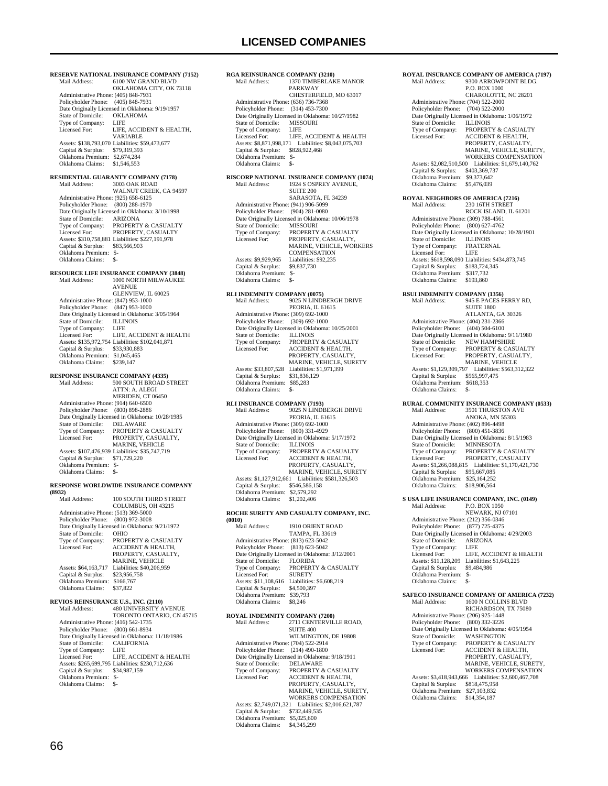PARKWAY

Type of Company: LIFE<br>Licensed For: LIFE, ACCIDENT & HEALTH Licensed For: LIFE, ACCIDENT & HEALTH Assets: \$8,871,998,171 Liabilities: \$8,043,075,703 Capital & Surplus: \$828,922,468

1370 TIMBERLAKE MANOR

CHESTERFIELD, MO 63017

**RGA REINSURANCE COMPANY (3210)**

 Administrative Phone: (636) 736-7368 Policyholder Phone: (314) 453-7300 Date Originally Licensed in Oklahoma: 10/27/1982<br>State of Domicile: MISSOURI

State of Domicile: MISS<br>Type of Company: LIFE

 Oklahoma Premium: \$- Oklahoma Claims: \$-

**RESERVE NATIONAL INSURANCE COMPANY (7152)**<br>Mail Address: 6100 NW GRAND BLVD 6100 NW GRAND BLVD OKLAHOMA CITY, OK 73118 Administrative Phone: (405) 848-7931 Policyholder Phone: (405) 848-7931 Date Originally Licensed in Oklahoma: 9/19/1957<br>State of Domicile: OKLAHOMA State of Domicile: OKLA<br>Type of Company: LIFE Type of Company:<br>Licensed For: LIFE, ACCIDENT & HEALTH, VARIABLE Assets: \$138,793,070 Liabilities: \$59,473,677 Capital & Surplus: \$79,319,393 Oklahoma Premium: \$2,674,284 Oklahoma Claims: \$1,546,553 **RESIDENTIAL GUARANTY COMPANY (7178)** Mail Address: 3003 OAK ROAD WALNUT CREEK, CA 94597 Administrative Phone: (925) 658-6125 Policyholder Phone: (800) 288-1970 Date Originally Licensed in Oklahoma: 3/10/1998 State of Domicile: ARIZONA Type of Company: PROPERTY & CASUALTY Licensed For: PROPERTY, CASUALTY Assets: \$310,758,881 Liabilities: \$227,191,978 Capital & Surplus: \$83,566,903 Oklahoma Premium: \$- Oklahoma Claims: \$-**RESOURCE LIFE INSURANCE COMPANY (3848)** Mail Address: 1000 NORTH MILWAUKEE AVENUE GLENVIEW, IL 60025 Administrative Phone: (847) 953-1000 Policyholder Phone: (847) 953-1000 Date Originally Licensed in Oklahoma: 3/05/1964<br>State of Domicile: II J INOIS State of Domicile: ILLIN<br>Type of Company: LIFE Type of Company: LIFE<br>
Licensed For: LIFE, ACCIDENT & HEALTH<br>
Assets: \$135,972,754 Liabilities: \$102,041,871<br>
Capital & Surplus: \$33,930,883<br>
Oklahoma Premium: \$1,045,465 Oklahoma Claims: \$239,147 **RESPONSE INSURANCE COMPANY (4335)**<br>Mail Address: 500 SOUTH BROAD S 500 SOUTH BROAD STREET ATTN: A. ALEGI MERIDEN, CT 06450 Administrative Phone: (914) 640-6500 Policyholder Phone: (800) 898-2886 Date Originally Licensed in Oklahoma: 10/28/1985 State of Domicile: DELAWARE<br>Type of Company: PROPERTY &<br>Licensed For: PROPERTY, C PROPERTY & CASUALTY PROPERTY, CASUALTY, MARINE, VEHICLE Assets: \$107,476,939 Liabilities: \$35,747,719 Capital & Surplus: \$71,729,220 Oklahoma Premium: \$- Oklahoma Claims: **RESPONSE WORLDWIDE INSURANCE COMPANY (8932)** 100 SOUTH THIRD STREET COLUMBUS, OH 43215 Administrative Phone: (513) 369-5000 Policyholder Phone: (800) 972-3008 Date Originally Licensed in Oklahoma: 9/21/1972<br>State of Domicile: OHIO State of Domicile: Type of Company: PROPERTY & CASUALTY<br>Licensed For: ACCIDENT & HEALTH, ACCIDENT & HEALTH, PROPERTY, CASUALTY, MARINE, VEHICLE Assets: \$64,163,717 Liabilities: \$40,206,959 Capital & Surplus: \$23,956,758 Oklahoma Premium: \$166,767<br>Oklahoma Claims: \$37,822 Oklahoma Claims: **REVIOS REINSURANCE U.S., INC. (2110)**<br>Mail Address: 480 UNIVERSITY A 480 UNIVERSITY AVENUE TORONTO ONTARIO, CN 45715 Administrative Phone: (416) 542-1735 Policyholder Phone: (800) 661-8934

Date Originally Licensed in Oklahoma: 11/18/1986<br>State of Domicile: CALIFORNIA

Type of Company: LIFE<br>Licensed For: LIFE. ACCIDENT & HEALTH Licensed For: LIFE, ACCIDENT & HEALTH Assets: \$265,699,795 Liabilities: \$230,712,636

State of Domicile: CALI<br>Type of Company: LIFE

Capital & Surplus: \$34,987,159 Oklahoma Premium: \$- Oklahoma Claims: \$-

**RISCORP NATIONAL INSURANCE COMPANY (1074) MAGELIANCE COMMANY**  SUITE 200 SARASOTA, FL 34239 Administrative Phone: (941) 906-5099 Policyholder Phone: (904) 281-0080 Date Originally Licensed in Oklahoma: 10/06/1978 State of Domicile: MISSOURI<br>Type of Company: PROPERTY Type of Company: PROPERTY & CASUALTY<br>Licensed For: PROPERTY, CASUALTY, PROPERTY, CASUALTY, MARINE, VEHICLE, WORKERS COMPENSATION Assets: \$9,929,965 Liabilities: \$92,235<br>Capital & Surplus: \$9,837,730 Capital & Surplus: Oklahoma Premium: \$- Oklahoma Claims: **RLI INDEMNITY COMPANY (0075)**<br>Mail Address: 9025 N LINDE Mail Address: 9025 N LINDBERGH DRIVE PEORIA, IL 61615 Administrative Phone: (309) 692-1000 Policyholder Phone: (309) 692-1000 Date Originally Licensed in Oklahoma: 10/25/2001 State of Domicile:<br>Type of Company: State of Domicile: ILLINOIS<br>Type of Company: PROPERTY & CASUALTY<br>Licensed For: ACCIDENT & HEALTH, ACCIDENT & HEALTH, PROPERTY, CASUALTY MARINE, VEHICLE, SURETY Assets: \$33,807,528 Liabilities: \$1,971,399<br>Capital & Surplus: \$31,836,129 Capital & Surplus: \$31,836,129 Oklahoma Premium: \$85,283 Oklahoma Claims: \$- **RLI INSURANCE COMPANY (7193)**<br>Mail Address: 9025 N LINDJ 9025 N LINDBERGH DRIVE PEORIA, IL 61615 Administrative Phone: (309) 692-1000 Policyholder Phone: (800) 331-4929 Date Originally Licensed in Oklahoma: 5/17/1972<br>State of Domicile: ILLINOIS State of Domicile:<br>Type of Company: Type of Company: PROPERTY & CASUALTY<br>Licensed For: ACCIDENT & HEALTH, ACCIDENT & HEALTH, PROPERTY, CASUALTY, MARINE, VEHICLE, SURETY Assets: \$1,127,912,661 Liabilities: \$581,326,503 Capital & Surplus: \$546,586,158 Oklahoma Premium: \$2,579,292 Oklahoma Claims: \$1,202,406 **ROCHE SURETY AND CASUALTY COMPANY, INC. (0010)** 1910 ORIENT ROAD TAMPA, FL 33619 Administrative Phone: (813) 623-5042 Policyholder Phone: (813) 623-5042 Date Originally Licensed in Oklahoma: 3/12/2001<br>State of Domicile: FLORIDA State of Domicile:<br>Type of Company: PROPERTY & CASUALTY Licensed For: SURETY Assets: \$11,108,616 Liabilities: \$6,608,219<br>Capital & Surplus: \$4,500,397 Capital & Surplus: \$4,500,397 Oklahoma Premium: \$39,793 Oklahoma Claims: \$8,246 **ROYAL INDEMNITY COMPANY (7200)** 2711 CENTERVILLE ROAD, SUITE 400 WILMINGTON, DE 19808 Administrative Phone: (704) 522-2914 Policyholder Phone: (214) 490-1800 Date Originally Licensed in Oklahoma: 9/18/1911 State of Domicile: DELAWARE Type of Company: PROPERTY & CASUALTY<br>Licensed For: ACCIDENT & HEALTH. Licensed For: ACCIDENT & HEALTH, PROPERTY, CASUALTY, MARINE, VEHICLE, SURETY WORKERS COMPENSATION Assets: \$2,749,071,321 Liabilities: \$2,016,621,787 Capital & Surplus: \$732,449,535 Oklahoma Premium: \$5,025,600 Oklahoma Claims: \$4,345,299

**ROYAL INSURANCE COMPANY OF AMERICA (7197)**<br>Mail Address: 9300 ARROWPOINT BLDG. 9300 ARROWPOINT BLDG. P.O. BOX 1000 CHAROLOTTE, NC 28201 Administrative Phone: (704) 522-2000 Policyholder Phone: (704) 522-2000 Date Originally Licensed in Oklahoma: 1/06/1972 State of Domicile:<br>Type of Company: State of Domicile: ILLINOIS<br>Type of Company: PROPERTY & CASUALTY<br>Licensed For: ACCIDENT & HEALTH. ACCIDENT & HEALTH, PROPERTY, CASUALTY MARINE, VEHICLE, SURETY, WORKERS COMPENSATION Assets: \$2,082,510,500 Liabilities: \$1,679,140,762 Capital & Surplus: \$403,369,737 Oklahoma Premium: \$9,373,642<br>Oklahoma Claims: \$5,476,039 Oklahoma Claims: **ROYAL NEIGHBORS OF AMERICA (7216)**<br>Mail Address: 230 16TH STREET 230 16TH STREET ROCK ISLAND, IL 61201 Administrative Phone: (309) 788-4561 Policyholder Phone: (800) 627-4762 Date Originally Licensed in Oklahoma: 10/28/1901 State of Domicile: ILLINOIS Type of Company: FRATERNAL<br>Licensed For: LIFE Licensed For: Assets: \$618,598,090 Liabilities: \$434,873,745 Capital & Surplus: \$183,724,345 Oklahoma Premium: \$317,732 Oklahoma Claims: \$193,860 **RSUI INDEMNITY COMPANY (1356)**<br>Mail Address: 945 E PACES F Mail Address: 945 E PACES FERRY RD, SUITE 1800 ATLANTA, GA 30326 Administrative Phone: (404) 231-2366 Policyholder Phone: (404) 504-6100 Date Originally Licensed in Oklahoma: 9/11/1980 State of Domicile: NEW HAMPSHIRE Type of Company: PROPERTY & CASUALTY<br>Licensed For: PROPERTY CASUALTY PROPERTY, CASUALTY, MARINE, VEHICLE Assets: \$1,129,309,797 Liabilities: \$563,312,322 Capital & Surplus: \$565,997,475 Oklahoma Premium: \$618,353 Oklahoma Claims: \$- **RURAL COMMUNITY INSURANCE COMPANY (0533)**<br>Mail Address: 3501 THURSTON AVE 3501 THURSTON AVE ANOKA, MN 55303 Administrative Phone: (402) 896-4498 Policyholder Phone: (800) 451-3836 Date Originally Licensed in Oklahoma: 8/15/1983<br>State of Domicile: MINNESOTA State of Domicile: MINNESOTA<br>Type of Company: PROPERTY & CASUALTY Licensed For: PROPERTY, CASUALTY Assets: \$1,266,088,815 Liabilities: \$1,170,421,730 Capital & Surplus: \$95,667,085 Oklahoma Premium: \$25,164,252 Oklahoma Claims: \$18,906,564 **S USA LIFE INSURANCE COMPANY, INC. (0149)** P.O. BOX 1050 NEWARK, NJ 07101 Administrative Phone: (212) 356-0346 Policyholder Phone: (877) 725-4375 Date Originally Licensed in Oklahoma: 4/29/2003<br>State of Domicile: ARIZONA State of Domicile: ARIZ<br>Type of Company: LIFE Type of Company:<br>Licensed For: LIFE, ACCIDENT & HEALTH Assets: \$11,128,209 Liabilities: \$1,643,225<br>Capital & Surplus: \$9,484,986 Capital & Surplus: Oklahoma Premium: \$- Oklahoma Claims: **SAFECO INSURANCE COMPANY OF AMERICA (7232)**<br>Mail Address: 1600 N COLLINS BLVD  $1600$ N COLLINS BLVD RICHARDSON, TX 75080 Administrative Phone: (206) 925-1448 Policyholder Phone: (800) 332-3226 Pate Originally Licensed in Oklahoma: 4/05/1954<br>State of Domicile: WASHINGTON State of Domicile:<br>Type of Company: Type of Company: PROPERTY & CASUALTY<br>Licensed For: ACCIDENT & HEALTH. Licensed For: ACCIDENT & HEALTH, PROPERTY, CASUALTY, MARINE, VEHICLE, SURETY, WORKERS COMPENSATION Assets: \$3,418,943,666 Liabilities: \$2,600,467,708<br>Capital & Surplus: \$818,475,958 Capital & Surplus: Oklahoma Premium: \$27,103,832<br>Oklahoma Claims: \$14,354,187 Oklahoma Claims: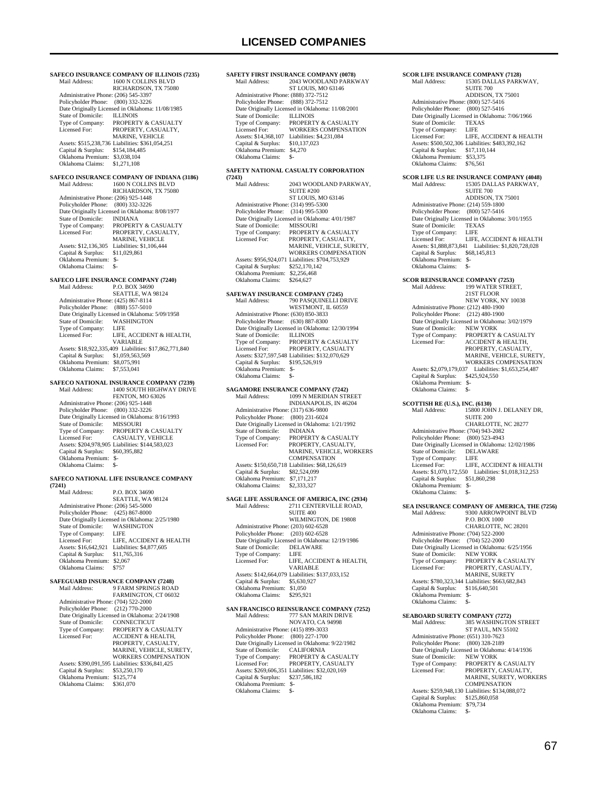## **LICENSED COMPANIES**

**SAFECO INSURANCE COMPANY OF ILLINOIS (7235)**<br>Mail Address: 1600 N COLLINS BLVD 1600 N COLLINS BLVD RICHARDSON, TX 75080 Administrative Phone: (206) 545-3397 Policyholder Phone: (800) 332-3226 Date Originally Licensed in Oklahoma: 11/08/1985 State of Domicile:<br>Type of Company: Type of Company: PROPERTY & CASUALTY<br>Licensed For: PROPERTY CASUALTY PROPERTY, CASUALTY MARINE, VEHICLE Assets: \$515,238,736 Liabilities: \$361,054,251 Capital & Surplus: \$154,184,485 Oklahoma Premium: \$3,038,104 Oklahoma Claims: \$1,271,108 **SAFECO INSURANCE COMPANY OF INDIANA (3186)**<br>Mail Address: 1600 N COLLINS BLVD 1600 N COLLINS BLVD RICHARDSON, TX 75080 Administrative Phone: (206) 925-1448 Policyholder Phone: (800) 332-3226 Date Originally Licensed in Oklahoma: 8/08/1977<br>State of Domicile: INDIANA State of Domicile:<br>Type of Company: Type of Company: PROPERTY & CASUALTY<br>Licensed For: PROPERTY CASUALTY Licensed For: PROPERTY, CASUALTY, MARINE, VEHICLE Assets: \$12,136,305 Liabilities: \$1,106,444 Capital & Surplus: \$11,029,861 Oklahoma Premium: \$- Oklahoma Claims: \$- **SAFECO LIFE INSURANCE COMPANY (7240)**<br>Mail Address: P.O. BOX 34690 P.O. BOX 34690 SEATTLE, WA 98124 Administrative Phone: (425) 867-8114 Policyholder Phone: (888) 557-5010 Date Originally Licensed in Oklahoma: 5/09/1958<br>State of Domicile: WA SHINGTON State of Domicile: WASI<br>Type of Company: LIFE Type of Company:<br>Licensed For: LIFE, ACCIDENT & HEALTH, VARIABLE Assets: \$18,922,335,409 Liabilities: \$17,862,771,840 Capital & Surplus: \$1,059,563,569 Oklahoma Premium: \$8,075,991 Oklahoma Claims: \$7,553,041 **SAFECO NATIONAL INSURANCE COMPANY (7239)** Mail Address: 1400 SOUTH HIGHWAY DRIVE FENTON, MO 63026 Administrative Phone: (206) 925-1448 Policyholder Phone: (800) 332-3226 Date Originally Licensed in Oklahoma: 8/16/1993 State of Domicile: MISSOURI<br>Type of Company: PROPERTY & CASUALTY Type of Company: PROPERTY & CASUALTY Licensed For: CASUALTY, VEHICLE Assets: \$204,978,905 Liabilities: \$144,583,023 Capital & Surplus: \$60,395,882 Oklahoma Premium: \$- Oklahoma Claims: \$-**SAFECO NATIONAL LIFE INSURANCE COMPANY (7241)** P.O. BOX 34690 SEATTLE, WA 98124 Administrative Phone: (206) 545-5000 Policyholder Phone: (425) 867-8000 Pate Originally Licensed in Oklahoma: 2/25/1980<br>State of Domicile: WASHINGTON State of Domicile: WASH<br>Type of Company: LIFE Type of Company: LIFE<br>Licensed For: LIFE, ACCIDENT & HEALTH Licensed For: LIFE, ACCIDENT & HEALTH Assets: \$16,642,921 Liabilities: \$4,877,605 Capital & Surplus: \$11,765,316 Capital & Surplus: \$11,76<br>Oklahoma Premium: \$2,067 Oklahoma Claims: \$757 **SAFEGUARD INSURANCE COMPANY (7248)**<br>Mail Address: 9 FARM SPRINGS ROAL 9 FARM SPRINGS ROAD FARMINGTON, CT 06032 Administrative Phone: (704) 522-2000 Policyholder Phone: (212) 770-2000 Date Originally Licensed in Oklahoma: 2/24/1908<br>State of Domicile: CONNECTICUT State of Domicile: CONNECTICUT<br>Type of Company: PROPERTY & CA Type of Company: PROPERTY & CASUALTY<br>Licensed For: ACCIDENT & HEALTH, ACCIDENT  $\&$  HEALTH, PROPERTY, CASUALTY MARINE, VEHICLE, SURETY, WORKERS COMPENSATION Assets: \$390,091,595 Liabilities: \$336,841,425 Capital & Surplus: \$53,250,170

Oklahoma Premium: \$125,774<br>Oklahoma Claims: \$361,070 Oklahoma Claims:

**SAFETY FIRST INSURANCE COMPANY (0078)**<br>Mail Address: 2043 WOODLAND PARK 2043 WOODLAND PARKWAY ST LOUIS, MO 63146 Administrative Phone: (888) 372-7512 Policyholder Phone: (888) 372-7512 Date Originally Licensed in Oklahoma: 11/08/2001 State of Domicile:<br>Type of Company: Type of Company: PROPERTY & CASUALTY<br>Licensed For: WORKERS COMPENSATION WORKERS COMPENSATION Assets: \$14,368,107 Liabilities: \$4,231,084<br>Capital & Surplus: \$10,137,023 Capital & Surplus: \$10,137,023 Oklahoma Premium: \$4,270 Oklahoma Claims: \$-**SAFETY NATIONAL CASUALTY CORPORATION (7243)** 2043 WOODLAND PARKWAY, SUITE #200 ST LOUIS, MO 63146 Administrative Phone: (314) 995-5300 Policyholder Phone: (314) 995-5300 Date Originally Licensed in Oklahoma: 4/01/1987 State of Domicile: MISSOURI<br>Type of Company: PROPERTY Type of Company: PROPERTY & CASUALTY<br>Licensed For: PROPERTY, CASUALTY, PROPERTY, CASUALTY, MARINE, VEHICLE, SURETY, WORKERS COMPENSATION Assets: \$956,924,071 Liabilities: \$704,753,929 Capital & Surplus: \$252,170,142 Oklahoma Premium: \$2,256,468 Oklahoma Claims: \$264,627 **SAFEWAY INSURANCE COMPANY (7245)**<br>Mail Address: 790 PASQUINELLI DI Mail Address: 790 PASQUINELLI DRIVE WESTMONT, IL 60559 Administrative Phone: (630) 850-3833 Policyholder Phone: (630) 887-8300 Date Originally Licensed in Oklahoma: 12/30/1994<br>State of Domicile: ILLINOIS<br>Type of Company: PROPERTY & CASUALTY State of Domicile:<br>Type of Company: Type of Company: PROPERTY & CASUALTY Licensed For: PROPERTY, CASUALTY Assets: \$327,597,548 Liabilities: \$132,070,629 Capital & Surplus: \$195,526,919 Oklahoma Premium: \$- Oklahoma Claims: \$- **SAGAMORE INSURANCE COMPANY (7242)**<br>
Mail Address: 1099 N MERIDIAN STREET INDIANAPOLIS, IN 46204 Administrative Phone: (317) 636-9800 Policyholder Phone: (800) 231-6024 Date Originally Licensed in Oklahoma: 1/21/1992<br>State of Domicile: INDIANA State of Domicile:<br>Type of Company: Type of Company: PROPERTY & CASUALTY<br>Licensed For: PROPERTY, CASUALTY. Licensed For: PROPERTY, CASUALTY, MARINE, VEHICLE, WORKERS **COMPENSATION**  Assets: \$150,650,718 Liabilities: \$68,126,619 Capital & Surplus: \$82,524,099 Oklahoma Premium: \$7,171,217 Oklahoma Claims: \$2,333,327 **SAGE LIFE ASSURANCE OF AMERICA, INC (2934)** 2711 CENTERVILLE ROAD, SUITE 400 WILMINGTON, DE 19808 Administrative Phone: (203) 602-6528 Policyholder Phone: (203) 602-6528 Policyholder Fione. (2007) 002 002<br>Date Originally Licensed in Oklahoma: 12/19/1986<br>State of Domicile: DELAWARE State of Domicile: DELA<br>Type of Company: LIFE Type of Company:<br>Licensed For: LIFE, ACCIDENT & HEALTH, VARIABLE Assets: \$142,664,079 Liabilities: \$137,033,152 Capital & Surplus: \$5,630,927 Oklahoma Premium: \$1,050 Oklahoma Claims: \$295,921 **SAN FRANCISCO REINSURANCE COMPANY (7252)** MODELLINGE COMMUNITY NOVATO, CA 94998 Administrative Phone: (415) 899-3033 Policyholder Phone: (800) 227-1700 Date Originally Licensed in Oklahoma: 9/22/1982<br>State of Domicile: CALIFORNIA State of Domicile:<br>Type of Company: Type of Company: PROPERTY & CASUALTY Licensed For: PROPERTY, CASUALTY Assets: \$269,606,351 Liabilities: \$32,020,169 Capital & Surplus: \$237,586,182 Oklahoma Premium: \$- Oklahoma Claims: \$-

**SCOR LIFE INSURANCE COMPANY (7128)**<br>Mail Address: 15305 DALLAS PARK 15305 DALLAS PARKWAY, SUITE 700 ADDISON, TX 75001 Administrative Phone: (800) 527-5416 Policyholder Phone: (800) 527-5416 Patrick Date Originally Licensed in Oklahoma: 7/06/1966<br>State of Domicile: TEXAS State of Domicile: TEXA<br>Type of Company: LIFE Type of Company: LIFE<br>Licensed For: LIFE, ACCIDENT & HEALTH Licensed For: LIFE, ACCIDENT & HEALTH Assets: \$500,502,306 Liabilities: \$483,392,162 Capital & Surplus: \$17,110,144 Oklahoma Premium: \$53,375 Oklahoma Claims: \$76,561 **SCOR LIFE U.S RE INSURANCE COMPANY (4048)**<br>Mail Address: 15305 DALLAS PARKWAY. 15305 DALLAS PARKWAY, SUITE 700 ADDISON, TX 75001 Administrative Phone: (214) 559-1800 Policyholder Phone: (800) 527-5416 Date Originally Licensed in Oklahoma: 3/01/1955 State of Domicile: TEXAS<br>Type of Company: LIFE Type of Company:<br>Licensed For: LIFE, ACCIDENT & HEALTH Assets: \$1,888,873,841 Liabilities: \$1,820,728,028 Capital & Surplus: \$68,145,813 Oklahoma Premium: \$- Oklahoma Claims: \$- **SCOR REINSURANCE COMPANY (7253)**<br>Mail Address: 199 WATER STREE 199 WATER STREET. 21ST FLOOR NEW YORK, NY 10038 Administrative Phone: (212) 480-1900 Policyholder Phone: (212) 480-1900 Date Originally Licensed in Oklahoma: 3/02/1979<br>State of Domicile: NEW YORK State of Domicile:<br>Type of Company: Type of Company: PROPERTY & CASUALTY<br>Licensed For: ACCIDENT & HEALTH, PROPERTY, CASUALTY, MARINE, VEHICLE, SURETY WORKERS COMPENSATION Assets: \$2,079,179,037 Liabilities: \$1,653,254,487 Capital & Surplus: \$425,924,550 Oklahoma Premium: \$- Oklahoma Claims: \$- **SCOTTISH RE (U.S.), INC. (6130)** Mail Address: 15800 JOHN J. DELANEY DR, SUITE 200 CHARLOTTE, NC 28277 Administrative Phone: (704) 943-2082 Policyholder Phone: (800) 523-4943 Date Originally Licensed in Oklahoma: 12/02/1986<br>State of Domicile: DELAWARE State of Domicile: DELA<br>Type of Company: LIFE Type of Company: Licensed For: LIFE, ACCIDENT & HEALTH Assets: \$1,070,172,550 Liabilities: \$1,018,312,253 Capital & Surplus: \$51,860,298 Oklahoma Premium: \$- Oklahoma Claims: \$-**SEA INSURANCE COMPANY OF AMERICA, THE (7256)** Mail Address: 9300 ARROWPOINT BLVD Mail Address: 9300 ARROWPOINT BLVD P.O. BOX 1000 CHARLOTTE, NC 28201 Administrative Phone: (704) 522-2000 Policyholder Phone: (704) 522-2000 Date Originally Licensed in Oklahoma: 6/25/1956 State of Domicile: NEW YORK Type of Company: PROPERTY & CASUALTY<br>Licensed For: PROPERTY, CASUALTY, Licensed For: PROPERTY, CASUALTY, MARINE, SURETY Assets: \$780,323,344 Liabilities: \$663,682,843<br>Capital & Surplus: \$116,640,501 Capital & Surplus: \$116,640,501 Oklahoma Premium: \$- Oklahoma Claims: \$-**SEABOARD SURETY COMPANY (7272)**<br>Mail Address: 385 WASHINGTO **MAIL AND ADDRESS WASHINGTON STREET**  ST PAUL, MN 55102 Administrative Phone: (651) 310-7623 Policyholder Phone: (800) 328-2189 Date Originally Licensed in Oklahoma: 4/14/1936<br>State of Domicile: NEW YORK State of Domicile:<br>Type of Company: Type of Company: PROPERTY & CASUALTY<br>Licensed For: PROPERTY, CASUALTY PROPERTY, CASUALTY, MARINE, SURETY, WORKERS COMPENSATION Assets: \$259,948,130 Liabilities: \$134,088,072 Capital & Surplus: \$125,860,058 Oklahoma Premium: \$79,734

Oklahoma Claims: \$-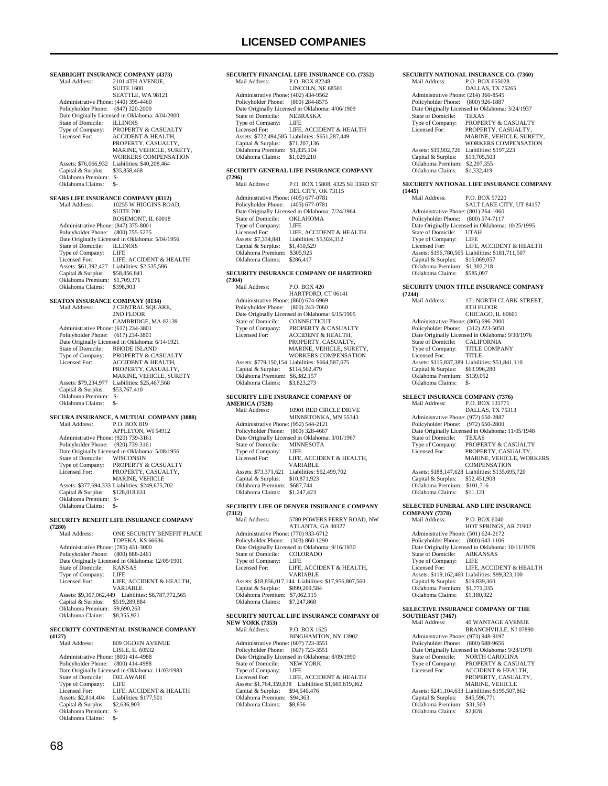**SEABRIGHT INSURANCE COMPANY (4373)**<br>Mail Address: 2101 4TH AVENUE. 2101 4TH AVENUE, SUITE 1600 SEATTLE, WA 98121 Administrative Phone: (440) 395-4460 Policyholder Phone: (847) 320-2000 Point Originally Licensed in Oklahoma: 4/04/2000<br>State of Domicile: ILLINOIS State of Domicile:<br>Type of Company: Type of Company: PROPERTY & CASUALTY<br>Licensed For: ACCIDENT & HEALTH. ACCIDENT & HEALTH, PROPERTY, CASUALTY, MARINE, VEHICLE, SURETY, WORKERS COMPENSATION Assets: \$76,066,932 Liabilities: \$40,208,464<br>Capital & Surplus: \$35,858,468 Capital & Surplus: Oklahoma Premium: \$- Oklahoma Claims: \$- **SEARS LIFE INSURANCE COMPANY (8312)**<br>Mail Address: 10255 W HIGGINS ROAD, **SUITE 700**  ROSEMONT, IL 60018 Administrative Phone: (847) 375-8001 Policyholder Phone: (800) 755-5275 Date Originally Licensed in Oklahoma: 5/04/1956 State of Domicile: ILLINOIS<br>Type of Company: LIFE Type of Company:<br>Licensed For: LIFE, ACCIDENT & HEALTH Assets: \$61,392,427 Liabilities: \$2,535,586 Capital & Surplus: \$58,856,841 Oklahoma Premium: \$1,709,371 Oklahoma Claims: \$398,903 **SEATON INSURANCE COMPANY (8134)** Mail Address: 2 CENTRAL SOUARE, 2ND FLOOR CAMBRIDGE, MA 02139 Administrative Phone: (617) 234-3801 Policyholder Phone: (617) 234-3801 Date Originally Licensed in Oklahoma: 6/14/1921<br>State of Domicile: RHODE ISLAND State of Domicile: RHODE ISLAND<br>Type of Company: PROPERTY & CA PROPERTY & CASUALTY Licensed For: ACCIDENT & HEALTH, PROPERTY, CASUALTY MARINE, VEHICLE, SURETY<br>Assets: \$79,234,977 Liabilities: \$25,467,568 Capital & Surplus: \$53,767,410 Oklahoma Premium: \$- Oklahoma Claims: **SECURA INSURANCE, A MUTUAL COMPANY (3888)**<br>Mail Address: P.O. BOX 819 P.O. BOX 819 APPLETON, WI 54912 Administrative Phone: (920) 739-3161 Policyholder Phone: (920) 739-3161 Date Originally Licensed in Oklahoma: 5/08/1956 State of Domicile: WISCONSIN Type of Company: PROPERTY & CASUALTY Licensed For: PROPERTY, CASUALTY, MARINE, VEHICLE Assets: \$377,694,333 Liabilities: \$249,675,702 Capital & Surplus: \$128,018,631 Oklahoma Premium: \$- Oklahoma Claims: **SECURITY BENEFIT LIFE INSURANCE COMPANY (7280)** ONE SECURITY BENEFIT PLACE TOPEKA, KS 66636 Administrative Phone: (785) 431-3000 Policyholder Phone: (800) 888-2461 Date Originally Licensed in Oklahoma: 12/05/1901

State of Domicile: KANS<br>Type of Company: LIFE Type of Company:<br>Licensed For: LIFE, ACCIDENT & HEALTH, VARIABLE Assets: \$9,307,062,449 Liabilities: \$8,787,772,565 Capital & Surplus: \$519,289,884 Oklahoma Premium: \$9,690,263 Oklahoma Claims: \$8,355,921

### **SECURITY CONTINENTAL INSURANCE COMPANY**

**(4127)** 809 OGDEN AVENUE LISLE, IL 60532 Administrative Phone: (800) 414-4988 Policyholder Phone: (800) 414-4988 Date Originally Licensed in Oklahoma: 11/03/1983<br>State of Domicile: DELAWARE State of Domicile: DELA<br>Type of Company: LIFE Type of Company:<br>Licensed For: LIFE, ACCIDENT & HEALTH<br>Liabilities: \$177.501 Assets: \$2,814,404 Liabilities: \$2,614,404 Liabilities: \$2,636,903 Capital & Surplus: Oklahoma Premium: \$- Oklahoma Claims:

| Mail Address:                                                      | SECURITY FINANCIAL LIFE INSURANCE CO. (7352)                            |
|--------------------------------------------------------------------|-------------------------------------------------------------------------|
|                                                                    | P.O. BOX 82248<br>LINCOLN, NE 68501                                     |
| Administrative Phone: (402) 434-9562                               |                                                                         |
| Policyholder Phone: (800) 284-8575                                 |                                                                         |
|                                                                    | Date Originally Licensed in Oklahoma: 4/06/1909                         |
| State of Domicile:                                                 | NEBRASKA                                                                |
| Type of Company:<br>Licensed For:                                  | LIFE<br>LIFE, ACCIDENT & HEALTH                                         |
|                                                                    | Assets: \$722,494,585 Liabilities: \$651,287,449                        |
| Capital & Surplus: \$71,207,136                                    |                                                                         |
| Oklahoma Premium: \$1,835,104                                      |                                                                         |
| Oklahoma Claims:                                                   | \$1,029,210                                                             |
|                                                                    | SECURITY GENERAL LIFE INSURANCE COMPANY                                 |
| (7296)                                                             |                                                                         |
| Mail Address:                                                      | P.O. BOX 15808, 4325 SE 33RD ST                                         |
|                                                                    | DEL CITY, OK 73115                                                      |
| Administrative Phone: (405) 677-0781<br>Policyholder Phone:        | $(405)$ 677-0781                                                        |
|                                                                    | Date Originally Licensed in Oklahoma: 7/24/1964                         |
| State of Domicile:                                                 | OKLAHOMA                                                                |
| Type of Company:                                                   | LIFE                                                                    |
| Licensed For:                                                      | LIFE, ACCIDENT & HEALTH                                                 |
| Assets: \$7,334,841 Liabilities:<br>Capital & Surplus: \$1,410,529 | Liabilities: \$5,924,312                                                |
| Oklahoma Premium: \$305,925                                        |                                                                         |
| Oklahoma Claims:                                                   | \$286,417                                                               |
|                                                                    |                                                                         |
| (7304)                                                             | SECURITY INSURANCE COMPANY OF HARTFORD                                  |
| Mail Address:                                                      | P.O. BOX 420                                                            |
|                                                                    | HARTFORD, CT 06141                                                      |
| Administrative Phone: (860) 674-6969                               |                                                                         |
| Policyholder Phone:                                                | $(800)$ 243-7060                                                        |
| State of Domicile:                                                 | Date Originally Licensed in Oklahoma: 6/15/1905<br>CONNECTICUT          |
| Type of Company:                                                   | PROPERTY & CASUALTY                                                     |
| Licensed For:                                                      | <b>ACCIDENT &amp; HEALTH,</b>                                           |
|                                                                    | PROPERTY, CASUALTY,                                                     |
|                                                                    | MARINE, VEHICLE, SURETY,<br>WORKERS COMPENSATION                        |
|                                                                    | Assets: \$779,150,154 Liabilities: \$664,587,675                        |
| Capital & Surplus:                                                 | \$114,562,479                                                           |
| Oklahoma Premium: \$6,382,157                                      |                                                                         |
| Oklahoma Claims:                                                   | \$3,823,273                                                             |
|                                                                    | SECURITY LIFE INSURANCE COMPANY OF                                      |
| <b>AMERICA (7328)</b>                                              |                                                                         |
|                                                                    |                                                                         |
| Mail Address:                                                      | 10901 RED CIRCLE DRIVE                                                  |
|                                                                    | MINNETONKA, MN 55343                                                    |
| Administrative Phone: (952) 544-2121                               |                                                                         |
| Policyholder Phone: (800) 328-4667                                 | Date Originally Licensed in Oklahoma: 3/01/1967                         |
| State of Domicile:                                                 | <b>MINNESOTA</b>                                                        |
| Type of Company:                                                   | LIFE                                                                    |
| Licensed For:                                                      | LIFE, ACCIDENT & HEALTH,                                                |
|                                                                    | <b>VARIABLE</b>                                                         |
| Assets: \$73,371,621<br>Capital & Surplus:                         | Liabilities: \$62,499,702<br>\$10,871,923                               |
| Oklahoma Premium: \$687,744                                        |                                                                         |
| Oklahoma Claims:                                                   | \$1,247,423                                                             |
|                                                                    |                                                                         |
|                                                                    | SECURITY LIFE OF DENVER INSURANCE COMPANY                               |
| (7312)<br>Mail Address:                                            | 5780 POWERS FERRY ROAD, NW                                              |
|                                                                    | ATLANTA, GA 30327                                                       |
| Administrative Phone: (770) 933-6712                               |                                                                         |
| Policyholder Phone:                                                | $(303) 860 - 1290$                                                      |
| State of Domicile:                                                 | Date Originally Licensed in Oklahoma: 9/16/1930<br>COLORADO             |
| Type of Company:                                                   | LIFE                                                                    |
| Licensed For:                                                      | LIFE, ACCIDENT & HEALTH,                                                |
|                                                                    | VARIABLE                                                                |
| Capital & Surplus:                                                 | Assets: \$18,856,017,144 Liabilities: \$17,956,807,560<br>\$899,209,584 |
| Oklahoma Premium: \$7,062,115                                      |                                                                         |
| Oklahoma Claims:                                                   | \$7,247,868                                                             |
|                                                                    |                                                                         |
|                                                                    | SECURITY MUTUAL LIFE INSURANCE COMPANY OF                               |
| <b>NEW YORK (7353)</b><br>Mail Address:                            | P.O. BOX 1625                                                           |
|                                                                    | BINGHAMTON, NY 13902                                                    |
| Administrative Phone: (607) 723-3551                               |                                                                         |
| Policyholder Phone: (607) 723-3551                                 | Date Originally Licensed in Oklahoma: 8/09/1990                         |

State of Domicile: NEW<br>Type of Company: LIFE Type of Company:

 Capital & Surplus: \$94,540,476 Oklahoma Premium: \$94,363 Oklahoma Claims: \$8,856

Licensed For: LIFE, ACCIDENT & HEALTH Assets: \$1,764,359,838 Liabilities: \$1,669,819,362

### **SECURITY NATIONAL INSURANCE CO. (7360)**<br>Mail Address: P.O. BOX 655028 P.O. BOX 655028 DALLAS, TX 75265 Administrative Phone: (214) 360-8545 Policyholder Phone: (800) 926-1887 Date Originally Licensed in Oklahoma: 3/24/1937<br>State of Domicile: TEXAS State of Domicile: Type of Company: PROPERTY & CASUALTY<br>Licensed For: PROPERTY CASUALTY Licensed For: PROPERTY, CASUALTY, MARINE, VEHICLE, SURETY, WORKERS COMPENSATION Assets: \$19,902,726 Liabilities: \$197,223 Capital & Surplus: \$19,705,503 Oklahoma Premium: \$2,207,355 Oklahoma Claims: \$1,332,419

## **SECURITY NATIONAL LIFE INSURANCE COMPANY**

| (1445)                               |                                                  |
|--------------------------------------|--------------------------------------------------|
| Mail Address:                        | P.O. BOX 57220                                   |
|                                      | SALT LAKE CITY, UT 84157                         |
| Administrative Phone: (801) 264-1060 |                                                  |
| Policyholder Phone: (800) 574-7117   |                                                  |
|                                      | Date Originally Licensed in Oklahoma: 10/25/1995 |
| State of Domicile:                   | <b>UTAH</b>                                      |
| Type of Company:                     | LIFE                                             |
| Licensed For:                        | LIFE. ACCIDENT & HEALTH                          |
|                                      | Assets: \$196,780,565 Liabilities: \$181,711,507 |
| Capital & Surplus:                   | \$15,069,057                                     |
| Oklahoma Premium:                    | \$1,302,218                                      |
| Oklahoma Claims:                     | \$585,097                                        |

### **SECURITY UNION TITLE INSURANCE COMPANY**

| (7244)                               |                                                 |
|--------------------------------------|-------------------------------------------------|
| Mail Address:                        | 171 NORTH CLARK STREET.                         |
|                                      | 8TH FLOOR                                       |
|                                      | CHICAGO, IL 60601                               |
| Administrative Phone: (805) 696-7000 |                                                 |
| Policyholder Phone: (312) 223-5050   |                                                 |
|                                      | Date Originally Licensed in Oklahoma: 9/30/1976 |
| State of Domicile:                   | <b>CALIFORNIA</b>                               |
| Type of Company:                     | <b>TITLE COMPANY</b>                            |
| Licensed For:                        | <b>TITLE</b>                                    |
|                                      | Assets: \$115,837,389 Liabilities: \$51,841,110 |
| Capital & Surplus:                   | \$63,996,280                                    |
| Oklahoma Premium:                    | \$139,052                                       |
| Oklahoma Claims:                     |                                                 |

**SELECT INSURANCE COMPANY (7376)**<br>Mail Address: P.O. BOX 131771 P.O. BOX 131771 DALLAS, TX 75313 Administrative Phone: (972) 650-2887 Policyholder Phone: (972) 650-2800 Date Originally Licensed in Oklahoma: 11/05/1948 State of Domicile: TEXAS Type of Company: PROPERTY & CASUALTY Licensed For: PROPERTY, CASUALTY, MARINE, VEHICLE, WORKERS COMPENSATION Assets: \$188,147,628 Liabilities: \$135,695,720 Capital & Surplus: \$52,451,908 Oklahoma Premium: \$101,716 Oklahoma Claims: \$11,121

#### **SELECTED FUNERAL AND LIFE INSURANCE COMPANY (7378)**

Mail Address: P.O. BOX 6040 HOT SPRINGS, AR 71902 Administrative Phone: (501) 624-2172 Policyholder Phone: (800) 643-1106 Date Originally Licensed in Oklahoma: 10/11/1978<br>State of Domicile: ARKANSAS State of Domicile: ARK.<br>Type of Company: LIFE Type of Company: LIFE<br>Licensed For: LIFE, ACCIDENT & HEALTH Licensed For: LIFE, ACCIDENT & HEALTH Assets: \$119,162,460 Liabilities: \$99,323,100 Capital & Surplus: \$19,839,360 Oklahoma Premium: \$1,771,335 Oklahoma Claims: \$1,180,922

## **SELECTIVE INSURANCE COMPANY OF THE**

**SOUTHEAST (7467)**<br>Mail Address: 40 WANTAGE AVENUE BRANCHVILLE, NJ 07890 Administrative Phone: (973) 948-9197 Policyholder Phone: (800) 688-9656 Date Originally Licensed in Oklahoma: 9/28/1978 State of Domicile: NORTH CAROLINA<br>Type of Company: PROPERTY & CASU Type of Company: PROPERTY & CASUALTY<br>Licensed For: ACCIDENT & HEALTH, ACCIDENT & HEALTH, PROPERTY, CASUALTY, MARINE, VEHICLE Assets: \$241,104,633 Liabilities: \$195,507,862 Capital & Surplus: \$45,596,771 Oklahoma Premium: \$31,503 Oklahoma Claims: \$2,828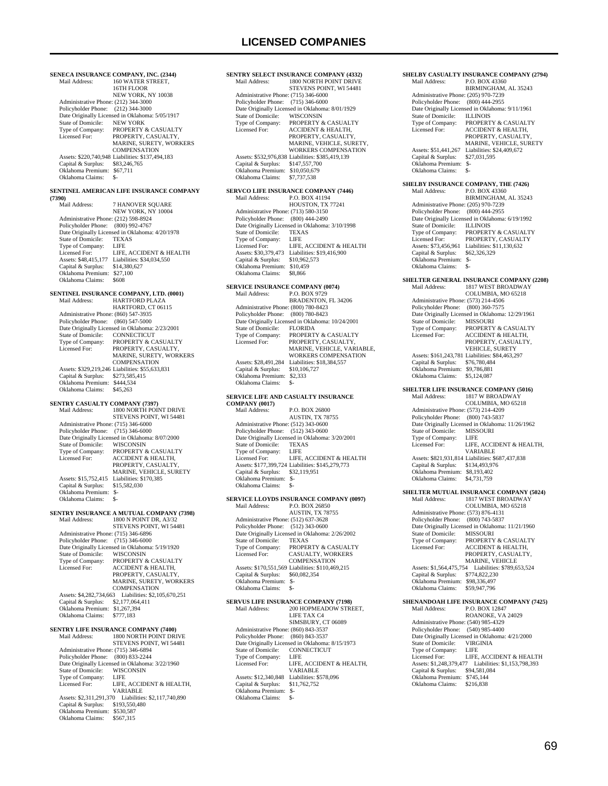1800 NORTH POINT DRIVE

**SENTRY SELECT INSURANCE COMPANY (4332)**<br>Mail Address: 1800 NORTH POINT DRIVE

**SENECA INSURANCE COMPANY, INC. (2344)**<br>Mail Address: 160 WATER STREET. 160 WATER STREET, 16TH FLOOR NEW YORK, NY 10038 Administrative Phone: (212) 344-3000 Policyholder Phone: (212) 344-3000 Patte Originally Licensed in Oklahoma: 5/05/1917<br>State of Domicile: NEW YORK State of Domicile:<br>Type of Company: Type of Company: PROPERTY & CASUALTY<br>Licensed For: PROPERTY, CASUALTY PROPERTY, CASUALTY, MARINE, SURETY, WORKERS COMPENSATION Assets: \$220,740,948 Liabilities: \$137,494,183 Capital & Surplus: \$83,246,765 Oklahoma Premium: \$67,711 Oklahoma Claims: \$- **SENTINEL AMERICAN LIFE INSURANCE COMPANY (7390)** 7 HANOVER SQUARE NEW YORK, NY 10004 Administrative Phone: (212) 598-8924 Policyholder Phone: (800) 992-4767 Date Originally Licensed in Oklahoma: 4/20/1978<br>State of Domicile: TEXAS State of Domicile: TEXA<br>Type of Company: LIFE Type of Company:<br>Licensed For: Licensed For: LIFE, ACCIDENT & HEALTH<br>Assets: \$48,415,177 Liabilities: \$34,034,550 Liabilities: \$34,034,550<br>\$14,380,627 Capital & Surplus: \$14,380,627 Oklahoma Premium: \$27,100 Oklahoma Claims: \$608 **SENTINEL INSURANCE COMPANY, LTD. (0001)** Mail Address: HARTFORD PLAZA Mail Address: HARTFORD PLAZA HARTFORD, CT 06115 Administrative Phone: (860) 547-3935 Policyholder Phone: (860) 547-5000 Date Originally Licensed in Oklahoma: 2/23/2001<br>State of Domicile: CONNECTICUT State of Domicile: CONNECTICUT<br>
Type of Company: PROPERTY & CASUALTY<br>
Licensed For: PROPERTY, CASUALTY, MARINE, SURETY, WORKERS COMPENSATION Assets: \$329,219,246 Liabilities: \$55,633,831 Capital & Surplus: \$273,585,415 Oklahoma Premium: \$444,534 Oklahoma Claims: \$45,263 **SENTRY CASUALTY COMPANY (7397)** Mail Address: 1800 NORTH POINT DRIVE STEVENS POINT, WI 54481 Administrative Phone: (715) 346-6000 Policyholder Phone: (715) 346-6000 Date Originally Licensed in Oklahoma: 8/07/2000<br>State of Domicile: WISCONSIN State of Domicile:<br>Type of Company: Type of Company: PROPERTY & CASUALTY<br>Licensed For: ACCIDENT & HEALTH. ACCIDENT & HEALTH, PROPERTY, CASUALTY MARINE, VEHICLE, SURETY Assets: \$15,752,415 Liabilities: \$170,385<br>Capital & Surplus: \$15,582,030 Capital & Surplus: Oklahoma Premium: \$- Oklahoma Claims: \$-**SENTRY INSURANCE A MUTUAL COMPANY (7398)** Mail Address: 1800 N POINT DR, A3/32 STEVENS POINT, WI 54481 Administrative Phone: (715) 346-6896 Policyholder Phone: (715) 346-6000 Date Originally Licensed in Oklahoma: 5/19/1920<br>State of Domicile: WISCONSIN State of Domicile:<br>Type of Company: Type of Company: PROPERTY & CASUALTY<br>Licensed For: ACCIDENT & HEALTH, Licensed For: ACCIDENT & HEALTH, PROPERTY, CASUALTY, MARINE, SURETY, WORKERS **COMPENSATION**  Assets: \$4,282,734,663 Liabilities: \$2,105,670,251 Capital & Surplus: \$2,177,064,411 Oklahoma Premium: \$1,267,394 Oklahoma Claims: \$777,183 **SENTRY LIFE INSURANCE COMPANY (7400)**<br>Mail Address: 1800 NORTH POINT DRI 1800 NORTH POINT DRIVE STEVENS POINT, WI 54481 Administrative Phone: (715) 346-6894 Policyholder Phone: (800) 833-2244 Date Originally Licensed in Oklahoma: 3/22/1960 State of Domicile: WISCONSIN<br>Type of Company: LIFE Type of Company:<br>Licensed For: LIFE, ACCIDENT & HEALTH, VARIABLE Assets: \$2,311,291,370 Liabilities: \$2,117,740,890 Capital & Surplus: \$193,550,480

Oklahoma Premium: \$530,587 Oklahoma Claims: \$567,315

### STEVENS POINT, WI 54481 Administrative Phone: (715) 346-6000 Policyholder Phone: (715) 346-6000 Date Originally Licensed in Oklahoma: 8/01/1929<br>State of Domicile: WISCONSIN State of Domicile:<br>Type of Company: Type of Company: PROPERTY & CASUALTY<br>Licensed For: ACCIDENT & HEALTH ACCIDENT & HEALTH PROPERTY, CASUALTY MARINE, VEHICLE, SURETY, WORKERS COMPENSATION Assets: \$532,976,838 Liabilities: \$385,419,139 Capital & Surplus: \$147,557,700 Oklahoma Premium: \$10,050,679 Oklahoma Claims: \$7,737,538 **SERVCO LIFE INSURANCE COMPANY (7446)**<br>Mail Address: PO BOX 41194 Mail Address: P.O. BOX 41194 HOUSTON, TX 77241 Administrative Phone: (713) 580-3150 Policyholder Phone: (800) 444-2490 Date Originally Licensed in Oklahoma: 3/10/1998<br>State of Domicile: TEXAS State of Domicile: TEXA<br>Type of Company: LIFE Type of Company: Licensed For: LIFE, ACCIDENT & HEALTH Assets: \$30,379,473 Liabilities: \$19,416,900 Capital & Surplus: \$10,962,573 Oklahoma Premium: \$10,459<br>Oklahoma Claims: \$8,866 Oklahoma Claims: **SERVICE INSURANCE COMPANY (0074)** Mail Address: P.O. BOX 9729 BRADENTON, FL 34206 Administrative Phone: (800) 780-8423 Policyholder Phone: (800) 780-8423 Date Originally Licensed in Oklahoma: 10/24/2001 State of Domicile:<br>Type of Company: Type of Company: PROPERTY & CASUALTY<br>Licensed For: PROPERTY, CASUALTY. PROPERTY CASUALTY MARINE, VEHICLE, VARIABLE, WORKERS COMPENSATION Assets: \$28,491,284 Liabilities: \$18,384,557<br>Capital & Surplus: \$10,106,727 Capital & Surplus: Oklahoma Premium: \$2,333 Oklahoma Claims: **SERVICE LIFE AND CASUALTY INSURANCE COMPANY** (0017)<br>Mail Address: P.O. BOX 26800 AUSTIN, TX 78755 Administrative Phone: (512) 343-0600 Policyholder Phone: (512) 343-0600 Date Originally Licensed in Oklahoma: 3/20/2001 State of Domicile: TEXAS<br>Type of Company: LIFE Type of Company: LIFE<br>Licensed For: LIFE, ACCIDENT & HEALTH Licensed For: LIFE, ACCIDENT & HEALTH Assets: \$177,399,724 Liabilities: \$145,279,773 Capital & Surplus: \$32,119,951 Oklahoma Premium: \$- Oklahoma Claims: **SERVICE LLOYDS INSURANCE COMPANY (0097)**<br>Mail Address: P.O. BOX 26850 P.O. BOX 26850 AUSTIN, TX 78755 Administrative Phone: (512) 637-3628 Policyholder Phone: (512) 343-0600 Date Originally Licensed in Oklahoma: 2/26/2002<br>State of Domicile: TEXAS State of Domicile:<br>Type of Company: Type of Company: PROPERTY & CASUALTY<br>Licensed For: CASUALTY. WORKERS CASUALTY, WORKERS **COMPENSATION**  Assets: \$170,551,569 Liabilities: \$110,469,215 Capital & Surplus: \$60,082,354 Oklahoma Premium: \$- Oklahoma Claims: \$- **SERVUS LIFE INSURANCE COMPANY (7198)**<br>Mail Address: 200 HOPMEADOW STRI 200 HOPMEADOW STREET, LIFE TAX C4 SIMSBURY, CT 06089 Administrative Phone: (860) 843-3537 Policyholder Phone: (860) 843-3537 Date Originally Licensed in Oklahoma: 8/15/1973<br>State of Domicile: CONNECTICUT State of Domicile: CONN<br>Type of Company: LIFE Type of Company:<br>Licensed For: LIFE, ACCIDENT & HEALTH, VARIABLE Assets: \$12,340,848 Liabilities: \$578,096<br>Capital & Surplus: \$11,762,752 Capital & Surplus: Oklahoma Premium: \$- Oklahoma Claims:

| SHELBY CASUALTY INSURANCE COMPANY (2794)                    |                                                                      |  |  |
|-------------------------------------------------------------|----------------------------------------------------------------------|--|--|
| Mail Address:                                               | P.O. BOX 43360<br>BIRMINGHAM, AL 35243                               |  |  |
| Administrative Phone: (205) 970-7239                        |                                                                      |  |  |
| Policyholder Phone:                                         | $(800)$ 444-2955                                                     |  |  |
|                                                             | Date Originally Licensed in Oklahoma: 9/11/1961                      |  |  |
| State of Domicile:                                          | <b>ILLINOIS</b>                                                      |  |  |
| Type of Company:                                            | PROPERTY & CASUALTY                                                  |  |  |
| Licensed For:                                               | ACCIDENT & HEALTH,<br>PROPERTY, CASUALTY,                            |  |  |
|                                                             | MARINE, VEHICLE, SURETY                                              |  |  |
| Assets: \$51,441,267                                        | Liabilities: \$24,409,672                                            |  |  |
| Capital & Surplus:                                          | \$27,031,595                                                         |  |  |
| Oklahoma Premium: \$-<br>Oklahoma Claims:                   | \$-                                                                  |  |  |
|                                                             |                                                                      |  |  |
|                                                             | SHELBY INSURANCE COMPANY, THE (7426)                                 |  |  |
| Mail Address:                                               | P.O. BOX 43360                                                       |  |  |
|                                                             | BIRMINGHAM, AL 35243                                                 |  |  |
| Administrative Phone: (205) 970-7239<br>Policyholder Phone: | $(800)$ 444-2955                                                     |  |  |
|                                                             | Date Originally Licensed in Oklahoma: 6/19/1992                      |  |  |
| State of Domicile:                                          | ILLINOIS                                                             |  |  |
| Type of Company:                                            | PROPERTY & CASUALTY                                                  |  |  |
| Licensed For:                                               | PROPERTY, CASUALTY<br>Assets: \$73,456,961 Liabilities: \$11,130,632 |  |  |
| Capital & Surplus:                                          | \$62,326,329                                                         |  |  |
| Oklahoma Premium: \$-                                       |                                                                      |  |  |
| Oklahoma Claims:                                            | $S-$                                                                 |  |  |
|                                                             | <b>SHELTER GENERAL INSURANCE COMPANY (2208)</b>                      |  |  |
| Mail Address:                                               | 1817 WEST BROADWAY                                                   |  |  |
|                                                             | COLUMBIA, MO 65218                                                   |  |  |
| Administrative Phone: (573) 214-4506                        |                                                                      |  |  |
| Policyholder Phone: (800) 360-7575                          |                                                                      |  |  |
| State of Domicile:                                          | Date Originally Licensed in Oklahoma: 12/29/1961<br><b>MISSOURI</b>  |  |  |
| Type of Company:                                            | PROPERTY & CASUALTY                                                  |  |  |
| Licensed For:                                               | ACCIDENT & HEALTH,                                                   |  |  |
|                                                             | PROPERTY, CASUALTY,                                                  |  |  |
|                                                             | VEHICLE, SURETY<br>Assets: \$161,243,781 Liabilities: \$84,463,297   |  |  |
| Capital & Surplus:                                          | \$76,780,484                                                         |  |  |
| Oklahoma Premium: \$9,786,881                               |                                                                      |  |  |
| Oklahoma Claims:                                            | \$5,124,087                                                          |  |  |
|                                                             |                                                                      |  |  |
|                                                             |                                                                      |  |  |
|                                                             | <b>SHELTER LIFE INSURANCE COMPANY (5016)</b>                         |  |  |
| Mail Address:                                               | 1817 W BROADWAY<br>COLUMBIA, MO 65218                                |  |  |
| Administrative Phone: (573) 214-4209                        |                                                                      |  |  |
| Policyholder Phone: (800) 743-5837                          |                                                                      |  |  |
|                                                             | Date Originally Licensed in Oklahoma: 11/26/1962                     |  |  |
| State of Domicile:                                          | MISSOURI<br>LIFE                                                     |  |  |
| Type of Company:<br>Licensed For:                           | LIFE, ACCIDENT & HEALTH,                                             |  |  |
|                                                             | VARIABLE                                                             |  |  |
|                                                             | Assets: \$821,931,814 Liabilities: \$687,437,838                     |  |  |
| Capital & Surplus: \$134,493,976<br>Oklahoma Premium:       |                                                                      |  |  |
| Oklahoma Claims:                                            | \$8,193,402<br>\$4,731,759                                           |  |  |
|                                                             |                                                                      |  |  |
|                                                             | SHELTER MUTUAL INSURANCE COMPANY (5024)                              |  |  |
| Mail Address:                                               | 1817 WEST BROADWAY<br>COLUMBIA, MO 65218                             |  |  |
| Administrative Phone: (573) 876-4131                        |                                                                      |  |  |
| Policyholder Phone:                                         | (800) 743-5837                                                       |  |  |
|                                                             | Date Originally Licensed in Oklahoma: 11/21/1960                     |  |  |
| State of Domicile:                                          | <b>MISSOURI</b>                                                      |  |  |
| Type of Company:<br>Licensed For:                           | PROPERTY & CASUALTY<br>ACCIDENT & HEALTH,                            |  |  |
|                                                             | PROPERTY, CASUALTY,                                                  |  |  |
|                                                             | MARINE, VEHICLE                                                      |  |  |
| Assets: \$1,564,475,754                                     | Liabilities: \$789,653,524                                           |  |  |
| Capital & Surplus:<br>Oklahoma Premium: \$98,336,497        | \$774,822,230                                                        |  |  |
| Oklahoma Claims:                                            | \$59,947,796                                                         |  |  |
|                                                             |                                                                      |  |  |
| Mail Address:                                               | SHENANDOAH LIFE INSURANCE COMPANY (7425)<br>P.O. BOX 12847           |  |  |
|                                                             | ROANOKE, VA 24029                                                    |  |  |
| Administrative Phone: (540) 985-4329                        |                                                                      |  |  |
| Policyholder Phone:                                         | $(540)$ 985-4400                                                     |  |  |
| State of Domicile:                                          | Date Originally Licensed in Oklahoma: 4/21/2000<br><b>VIRGINIA</b>   |  |  |
| Type of Company:                                            | <b>LIFE</b>                                                          |  |  |
| Licensed For:                                               | LIFE, ACCIDENT & HEALTH                                              |  |  |
| Assets: \$1,248,379,477                                     | Liabilities: \$1,153,798,393                                         |  |  |
| Capital & Surplus:<br>Oklahoma Premium:                     | \$94,581,084<br>\$745,144                                            |  |  |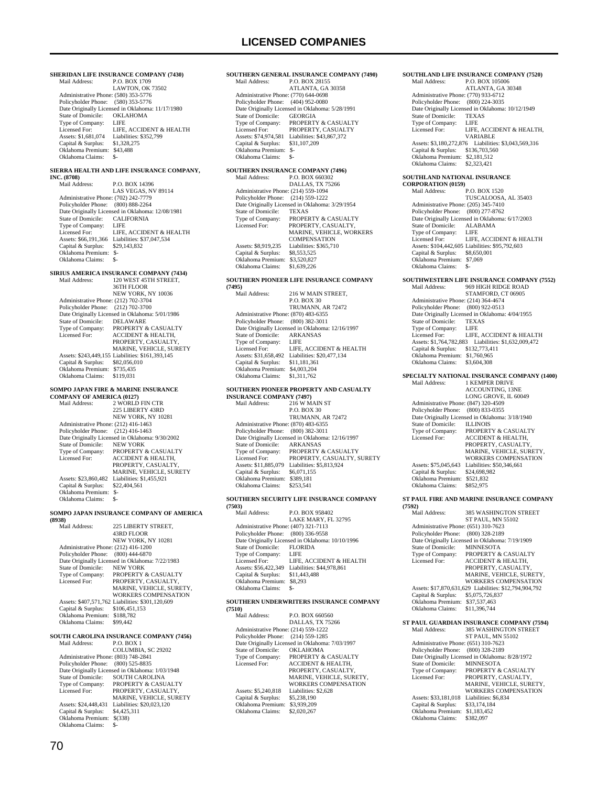**SHERIDAN LIFE INSURANCE COMPANY (7430)**<br>Mail Address: P.O. BOX 1709 P.O. BOX 1709 LAWTON, OK 73502 Administrative Phone: (580) 353-5776 Policyholder Phone: (580) 353-5776 Date Originally Licensed in Oklahoma: 11/17/1980<br>State of Domicile: OKLAHOMA State of Domicile: OKLA<br>Type of Company: LIFE Type of Company:<br>Licensed For: Licensed For: LIFE, ACCIDENT & HEALTH<br>Assets: \$1,681,074 Liabilities: \$352,799 EXECTED EXECTED LINES<br>Liabilities: \$352,799<br>\$1,328,275 Capital & Surplus: \$1,328,275 Oklahoma Premium: \$43,488 Oklahoma Claims: \$-**SIERRA HEALTH AND LIFE INSURANCE COMPANY, INC. (8708)** P.O. BOX 14396 LAS VEGAS, NV 89114 Administrative Phone: (702) 242-7779 Policyholder Phone: (800) 888-2264 Date Originally Licensed in Oklahoma: 12/08/1981 State of Domicile: CALIFORNIA Type of Company: LIFE LIFE, ACCIDENT & HEALTH Assets: \$66,191,366 Liabilities: \$37,047,534<br>Capital & Surplus: \$29,143,832 Capital & Surplus: \$29,143,832 Oklahoma Premium: \$- Oklahoma Claims: \$-**SIRIUS AMERICA INSURANCE COMPANY (7434)** 120 WEST 45TH STREET, 36TH FLOOR NEW YORK, NY 10036 Administrative Phone: (212) 702-3704 Policyholder Phone: (212) 702-3700 Date Originally Licensed in Oklahoma: 5/01/1986<br>State of Domicile: DELAWARE State of Domicile:<br>Type of Company: Type of Company: PROPERTY & CASUALTY<br>Licensed For: ACCIDENT & HEALTH, ACCIDENT & HEALTH, PROPERTY, CASUALTY, MARINE, VEHICLE, SURETY Assets: \$243,449,155 Liabilities: \$161,393,145 Capital & Surplus: \$82,056,010 Oklahoma Premium: \$735,435 Oklahoma Claims: \$119,031 **SOMPO JAPAN FIRE & MARINE INSURANCE COMPANY OF AMERICA (0127)**<br>Mail Address: 2 WORLD 2 WORLD FIN CTR 225 LIBERTY 43RD NEW YORK, NY 10281 Administrative Phone: (212) 416-1463 Policyholder Phone: (212) 416-1463 Date Originally Licensed in Oklahoma: 9/30/2002<br>State of Domicile: NEW YORK State of Domicile:<br>Type of Company: Type of Company: PROPERTY & CASUALTY<br>Licensed For: ACCIDENT & HEALTH, ACCIDENT & HEALTH, PROPERTY, CASUALTY MARINE, VEHICLE, SURETY Assets: \$23,860,482 Liabilities: \$1,455,921<br>Capital & Surplus: \$22,404.561 Capital & Surplus: Oklahoma Premium: \$- Oklahoma Claims: \$-**SOMPO JAPAN INSURANCE COMPANY OF AMERICA (8938)** 225 LIBERTY STREET, 43RD FLOOR NEW YORK, NY 10281 Administrative Phone: (212) 416-1200 Policyholder Phone: (800) 444-6870 Date Originally Licensed in Oklahoma: 7/22/1983 State of Domicile: State of Domicile: NEW YORK<br>Type of Company: PROPERTY & CASUALTY<br>Licensed For: PROPERTY. CASUALTY. PROPERTY, CASUALTY MARINE, VEHICLE, SURETY, WORKERS COMPENSATION Assets: \$407,571,762 Liabilities: \$301,120,609 Capital & Surplus: \$106,451,153 Oklahoma Premium: \$188,782

# **SOUTH CAROLINA INSURANCE COMPANY (7456)**<br>Mail Address: P.O. BOX 1

Oklahoma Claims: \$99,442

Mail Address: COLUMBIA, SC 29202 Administrative Phone: (803) 748-2841 Policyholder Phone: (800) 525-8835 Date Originally Licensed in Oklahoma: 1/03/1948<br>State of Domicile: SOUTH CAROLINA State of Domicile: SOUTH CAROLINA<br>Type of Company: PROPERTY & CASU Type of Company: PROPERTY & CASUALTY<br>Licensed For: PROPERTY, CASUALTY. PROPERTY, CASUALTY, MARINE, VEHICLE, SURETY Assets: \$24,448,431 Liabilities: \$20,023,120 Capital & Surplus: \$4,425,311 Oklahoma Premium: \$(338) Oklahoma Claims: \$-

#### **SOUTHERN GENERAL INSURANCE COMPANY (7490)** Mail Address: P.O. BOX 28155

| <b>NEALL AGRICAS.</b>                | P.U. DUA 20133                                  |
|--------------------------------------|-------------------------------------------------|
|                                      | ATLANTA, GA 30358                               |
| Administrative Phone: (770) 644-0698 |                                                 |
| Policyholder Phone: (404) 952-0080   |                                                 |
|                                      | Date Originally Licensed in Oklahoma: 5/28/1991 |
| State of Domicile:                   | <b>GEORGIA</b>                                  |
| Type of Company:                     | <b>PROPERTY &amp; CASUALTY</b>                  |
| Licensed For:                        | PROPERTY, CASUALTY                              |
| Assets: \$74,974,581                 | Liabilities: \$43,867,372                       |
| Capital & Surplus:                   | \$31,107,209                                    |
| Oklahoma Premium:                    | $S-$                                            |
| Oklahoma Claims:                     | \$-                                             |

#### **SOUTHERN INSURANCE COMPANY (7496)**<br>Mail Address: P.O. BOX 660302 P.O. BOX 660302 DALLAS, TX 75266 Administrative Phone: (214) 559-1094

| Policyholder Phone: (214) 559-1222 |                                                 |
|------------------------------------|-------------------------------------------------|
|                                    | Date Originally Licensed in Oklahoma: 3/29/1954 |
| State of Domicile:                 | <b>TEXAS</b>                                    |
| Type of Company:                   | <b>PROPERTY &amp; CASUALTY</b>                  |
| Licensed For:                      | PROPERTY, CASUALTY,                             |
|                                    | <b>MARINE, VEHICLE, WORKERS</b>                 |
|                                    | <b>COMPENSATION</b>                             |
| Assets: \$8,919,235                | Liabilities: \$365,710                          |
| Capital & Surplus:                 | \$8,553,525                                     |
| Oklahoma Premium:                  | \$3,520,827                                     |
| Oklahoma Claims:                   | \$1,639,226                                     |

#### **SOUTHERN PIONEER LIFE INSURANCE COMPANY (7495)**

| 17731                                |                                                  |
|--------------------------------------|--------------------------------------------------|
| Mail Address:                        | 216 W MAIN STREET,                               |
|                                      | <b>P.O. BOX 30</b>                               |
|                                      | TRUMANN, AR 72472                                |
| Administrative Phone: (870) 483-6355 |                                                  |
| Policyholder Phone: (800) 382-3011   |                                                  |
|                                      | Date Originally Licensed in Oklahoma: 12/16/1997 |
| State of Domicile:                   | ARKANSAS                                         |
| Type of Company:                     | LIFE                                             |
| Licensed For:                        | LIFE. ACCIDENT & HEALTH                          |
| Assets: \$31,658,492                 | Liabilities: \$20,477,134                        |
| Capital & Surplus:                   | \$11,181,361                                     |
| Oklahoma Premium:                    | \$4,003,204                                      |
| Oklahoma Claims:                     | \$1,311,762                                      |
|                                      |                                                  |

### **SOUTHERN PIONEER PROPERTY AND CASUALTY**

| <b>INSURANCE COMPANY (7497)</b>      |                                                  |  |
|--------------------------------------|--------------------------------------------------|--|
| Mail Address:                        | 216 W MAIN ST                                    |  |
|                                      | <b>P.O. BOX 30</b>                               |  |
|                                      | TRUMANN, AR 72472                                |  |
| Administrative Phone: (870) 483-6355 |                                                  |  |
| Policyholder Phone: (800) 382-3011   |                                                  |  |
|                                      | Date Originally Licensed in Oklahoma: 12/16/1997 |  |
| State of Domicile:                   | ARKANSAS                                         |  |
| Type of Company:                     | <b>PROPERTY &amp; CASUALTY</b>                   |  |
| Licensed For:                        | PROPERTY, CASUALTY, SURETY                       |  |
| Assets: \$11,885,079                 | Liabilities: \$5,813,924                         |  |
| Capital & Surplus:                   | \$6,071,155                                      |  |
| Oklahoma Premium:                    | \$389.181                                        |  |
| Oklahoma Claims:                     | \$253.541                                        |  |
|                                      |                                                  |  |

#### **SOUTHERN SECURITY LIFE INSURANCE COMPANY (7503)**

| 17 JUJ 1                             |                                                  |
|--------------------------------------|--------------------------------------------------|
| Mail Address:                        | P.O. BOX 958402                                  |
|                                      | LAKE MARY, FL 32795                              |
| Administrative Phone: (407) 321-7113 |                                                  |
| Policyholder Phone: (800) 336-9558   |                                                  |
|                                      | Date Originally Licensed in Oklahoma: 10/10/1996 |
| State of Domicile:                   | <b>FLORIDA</b>                                   |
| Type of Company:                     | LIFE                                             |
| Licensed For:                        | LIFE. ACCIDENT & HEALTH                          |
| Assets: \$56,422,349                 | Liabilities: \$44,978,861                        |
| Capital & Surplus:                   | \$11,443,488                                     |
| Oklahoma Premium:                    | \$8.293                                          |
| Oklahoma Claims:                     | \$-                                              |
|                                      |                                                  |

#### **SOUTHERN UNDERWRITERS INSURANCE COMPANY (7510)**

| 1721VI                               |                                                 |
|--------------------------------------|-------------------------------------------------|
| Mail Address:                        | P.O. BOX 660560                                 |
|                                      | DALLAS, TX 75266                                |
| Administrative Phone: (214) 559-1222 |                                                 |
| Policyholder Phone: (214) 559-1285   |                                                 |
|                                      | Date Originally Licensed in Oklahoma: 7/03/1997 |
| State of Domicile:                   | <b>OKLAHOMA</b>                                 |
| Type of Company:                     | <b>PROPERTY &amp; CASUALTY</b>                  |
| Licensed For:                        | <b>ACCIDENT &amp; HEALTH,</b>                   |
|                                      | PROPERTY, CASUALTY,                             |
|                                      | MARINE, VEHICLE, SURETY,                        |
|                                      | <b>WORKERS COMPENSATION</b>                     |
| Assets: \$5,240,818                  | Liabilities: \$2,628                            |
| Capital & Surplus:                   | \$5,238,190                                     |
| Oklahoma Premium:                    | \$3,939,209                                     |
| Oklahoma Claims:                     | \$2,020,267                                     |
|                                      |                                                 |

### **SOUTHLAND LIFE INSURANCE COMPANY (7520)**<br>Mail Address: P.O. BOX 105006 P.O. BOX 105006 ATLANTA, GA 30348 Administrative Phone: (770) 933-6712 Policyholder Phone: (800) 224-3035 Date Originally Licensed in Oklahoma: 10/12/1949<br>State of Domicile: TEXAS State of Domicile: TEXA<br>Type of Company: LIFE Type of Company:<br>Licensed For: LIFE, ACCIDENT & HEALTH, VARIABLE Assets: \$3,180,272,876 Liabilities: \$3,043,569,316 Capital & Surplus: \$136,703,560 Oklahoma Premium: \$2,181,512 Oklahoma Claims: \$2,323,421 **SOUTHLAND NATIONAL INSURANCE CORPORATION (0159)** P.O. BOX 1520 TUSCALOOSA, AL 35403 Administrative Phone: (205) 345-7410 Policyholder Phone: (800) 277-8762 Date Originally Licensed in Oklahoma: 6/17/2003 State of Domicile: ALABAMA<br>Type of Company: LIFE Type of Company:<br>Licensed For: LIFE, ACCIDENT & HEALTH Assets: \$104,442,605 Liabilities: \$95,792,603 Capital & Surplus: \$8,650,001 Oklahoma Premium: \$7,069 Oklahoma Claims: \$-**SOUTHWESTERN LIFE INSURANCE COMPANY (7552)**<br>Mail Address: 969 HIGH RIDGE ROAD 969 HIGH RIDGE ROAD STAMFORD, CT 06905 Administrative Phone: (214) 364-4674 Policyholder Phone: (800) 922-0513 Date Originally Licensed in Oklahoma: 4/04/1955<br>State of Domicile: TEXAS State of Domicile: TEXA<br>Type of Company: LIFE Type of Company: LIFE<br>
Licensed For: LIFE, ACCIDENT & HEALTH Licensed For: LIFE, ACCIDENT & HEALTH Assets: \$1,764,782,883 Liabilities: \$1,632,009,472 Capital & Surplus: \$132,773,411 Oklahoma Premium: \$1,760,965 Oklahoma Claims: \$3,604,308 **SPECIALTY NATIONAL INSURANCE COMPANY (1400)**<br>Mail Address: 1 KEMPER DRIVE 1 KEMPER DRIVE ACCOUNTING, 13NE LONG GROVE, IL 60049 Administrative Phone: (847) 320-4509 Policyholder Phone: (800) 833-0355 Pate Originally Licensed in Oklahoma: 3/18/1940<br>State of Domicile: ILLINOIS State of Domicile: Type of Company: PROPERTY & CASUALTY<br>Licensed For: ACCIDENT & HEALTH, ACCIDENT & HEALTH, PROPERTY, CASUALTY, MARINE, VEHICLE, SURETY, WORKERS COMPENSATION Assets: \$75,045,643 Liabilities: \$50,346,661<br>Capital & Surplus: \$24,698,982 Capital & Surplus: Oklahoma Premium: \$521,832 Oklahoma Claims: **ST PAUL FIRE AND MARINE INSURANCE COMPANY**

| (7592)                               |                                                        |
|--------------------------------------|--------------------------------------------------------|
| Mail Address:                        | <b>385 WASHINGTON STREET</b>                           |
|                                      | <b>ST PAUL, MN 55102</b>                               |
| Administrative Phone: (651) 310-7623 |                                                        |
| Policyholder Phone:                  | $(800)$ 328-2189                                       |
|                                      | Date Originally Licensed in Oklahoma: 7/19/1909        |
| <b>State of Domicile:</b>            | <b>MINNESOTA</b>                                       |
| Type of Company:                     | PROPERTY & CASUALTY                                    |
| Licensed For:                        | <b>ACCIDENT &amp; HEALTH.</b>                          |
|                                      | PROPERTY, CASUALTY,                                    |
|                                      | MARINE, VEHICLE, SURETY,                               |
|                                      | <b>WORKERS COMPENSATION</b>                            |
|                                      | Assets: \$17,870,631,629 Liabilities: \$12,794,904,792 |
| Capital & Surplus:                   | \$5,075,726,837                                        |
| Oklahoma Premium:                    | \$37,537,463                                           |
| Oklahoma Claims:                     | \$11,396,744                                           |
|                                      | ST PAUL GUARDIAN INSURANCE COMPANY (7594)              |
| Mail Address:                        | <b>385 WASHINGTON STREET</b>                           |
|                                      | <b>ST PAUL, MN 55102</b>                               |
| Administrative Phone: (651) 310-7623 |                                                        |
| Policyholder Phone:                  | $(800)$ 328-2189                                       |
|                                      | Date Originally Licensed in Oklahoma: 8/28/1972        |
| State of Domicile:                   | <b>MINNESOTA</b>                                       |
| Type of Company:                     | PROPERTY & CASUALTY                                    |
| Licensed For:                        |                                                        |
|                                      | PROPERTY, CASUALTY,                                    |
|                                      | MARINE, VEHICLE, SURETY,                               |
|                                      | <b>WORKERS COMPENSATION</b>                            |
| Assets: \$33,181,018                 | Liabilities: \$6,834                                   |
| Capital & Surplus:                   | \$33,174,184                                           |
| Oklahoma Premium:                    | \$1,183,452                                            |
| Oklahoma Claims:                     | \$382,097                                              |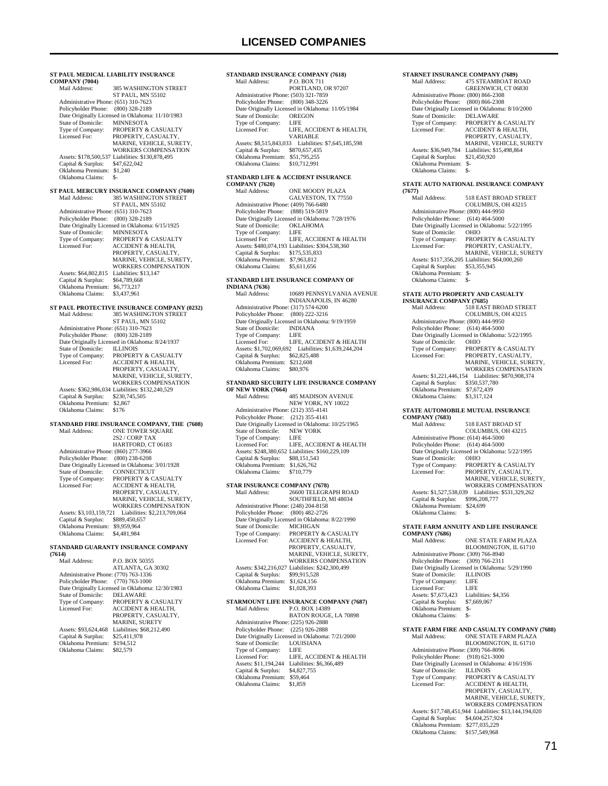**ST PAUL MEDICAL LIABILITY INSURANCE COMPANY (7004)** 385 WASHINGTON STREET ST PAUL, MN 55102 Administrative Phone: (651) 310-7623 Policyholder Phone: (800) 328-2189 Pate Originally Licensed in Oklahoma: 11/10/1983<br>State of Domicile: MINNESOTA State of Domicile:<br>Type of Company: Type of Company: PROPERTY & CASUALTY<br>Licensed For: PROPERTY, CASUALTY. PROPERTY, CASUALTY, MARINE, VEHICLE, SURETY, WORKERS COMPENSATION Assets: \$178,500,537 Liabilities: \$130,878,495 Capital & Surplus: \$47,622,042 Oklahoma Premium: \$1,240 Oklahoma Claims: \$-**ST PAUL MERCURY INSURANCE COMPANY (7600)** Mail Address: 385 WASHINGTON STREET ST PAUL, MN 55102 Administrative Phone: (651) 310-7623 Policyholder Phone: (800) 328-2189 Date Originally Licensed in Oklahoma: 6/15/1925<br>State of Domicile: MINNESOTA State of Domicile:<br>Type of Company: Type of Company: PROPERTY & CASUALTY<br>Licensed For: ACCIDENT & HEALTH, Licensed For: ACCIDENT & HEALTH, PROPERTY, CASUALTY, MARINE, VEHICLE, SURETY, WORKERS COMPENSATION Assets: \$64,802,815 Liabilities: \$13,147<br>Capital & Surplus: \$64,789,668 Capital & Surplus: Oklahoma Premium: \$6,773,217 Oklahoma Claims: \$3,437,961 **ST PAUL PROTECTIVE INSURANCE COMPANY (0232)**<br>Mail Address: 385 WASHINGTON STREET 385 WASHINGTON STREET ST PAUL, MN 55102 Administrative Phone: (651) 310-7623 Policyholder Phone: (800) 328-2189 Date Originally Licensed in Oklahoma: 8/24/1937 State of Domicile:<br>Type of Company: Type of Company: PROPERTY & CASUALTY<br>Licensed For: ACCIDENT & HEALTH, ACCIDENT & HEALTH, PROPERTY, CASUALTY MARINE, VEHICLE, SURETY WORKERS COMPENSATION Assets: \$362,986,034 Liabilities: \$132,240,529 Capital & Surplus: \$230,745,505 Oklahoma Premium: \$2,867 Oklahoma Claims: \$176 **STANDARD FIRE INSURANCE COMPANY, THE (7608)** Mail Address: ONE TOWER SQUARE<br>  $2S2 / CORP TAX$  HARTFORD, CT 06183 Administrative Phone: (860) 277-3966 Policyholder Phone: (800) 238-6208 Date Originally Licensed in Oklahoma: 3/01/1928<br>State of Domicile: CONNECTICUT State of Domicile:<br>Type of Company: Type of Company: PROPERTY & CASUALTY<br>Licensed For: ACCIDENT & HEALTH, PROPERTY, CASUALTY, MARINE, VEHICLE, SURETY, WORKERS COMPENSATION Assets: \$3,103,159,721 Liabilities: \$2,213,709,064 Capital & Surplus: \$889,450,657 Oklahoma Premium: \$9,959,964 Oklahoma Claims: \$4,481,984 **STANDARD GUARANTY INSURANCE COMPANY (7614)** P.O. BOX 50355 ATLANTA, GA 30302 Administrative Phone: (770) 763-1336 Policyholder Phone: (770) 763-1000 Date Originally Licensed in Oklahoma: 12/30/1983<br>State of Domicile: DELAWARE State of Domicile:<br>Type of Company: Type of Company: PROPERTY & CASUALTY<br>Licensed For: ACCIDENT & HEALTH, ACCIDENT & HEALTH, PROPERTY, CASUALTY, MARINE, SURETY

 Assets: \$93,624,468 Liabilities: \$68,212,490 Capital & Surplus: \$25,411,978 Oklahoma Premium: \$194,512 Oklahoma Claims: \$82,579

### **STANDARD INSURANCE COMPANY (7618)**<br>Mail Address: P.O. BOX 711 P.O. BOX 711 PORTLAND, OR 97207 Administrative Phone: (503) 321-7859 Policyholder Phone: (800) 348-3226 Date Originally Licensed in Oklahoma: 11/05/1984<br>State of Domicile: OREGON State of Domicile: OREC<br>Type of Company: LIFE Type of Company:<br>Licensed For: LIFE, ACCIDENT & HEALTH VARIABLE Assets: \$8,515,843,033 Liabilities: \$7,645,185,598 Capital & Surplus: \$870,657,435 Oklahoma Premium: \$51,795,255 Oklahoma Claims: \$10,712,991

# **STANDARD LIFE & ACCIDENT INSURANCE**

**COMPANY (7620)** ONE MOODY PLAZA GALVESTON, TX 77550 Administrative Phone: (409) 766-6480 Policyholder Phone: (888) 519-5819 Date Originally Licensed in Oklahoma: 7/28/1976 State of Domicile: OKLAHOMA<br>Type of Company: LIFE Type of Company:<br>Licensed For: LIFE, ACCIDENT & HEALTH Assets: \$480,074,193 Liabilities: \$304,538,360 Capital & Surplus: \$175,535,833 Oklahoma Premium: \$7,963,812 Oklahoma Claims: \$5,611,656

## **STANDARD LIFE INSURANCE COMPANY OF**

**INDIANA (7636)** 10689 PENNSYLVANIA AVENUE INDIANAPOLIS, IN 46280 Administrative Phone: (317) 574-6200 Policyholder Phone: (800) 222-3216 Date Originally Licensed in Oklahoma: 9/19/1959 State of Domicile: INDIA<br>Type of Company: LIFE Type of Company:<br>Licensed For: LIFE, ACCIDENT & HEALTH Assets: \$1,702,069,692 Liabilities: \$1,639,244,204 Capital & Surplus: \$62,825,488 Oklahoma Premium: \$212,608 Oklahoma Claims: \$80,976

### **STANDARD SECURITY LIFE INSURANCE COMPANY OF NEW YORK (7664)**

| Mail Address:                        | <b>485 MADISON AVENUE</b>                        |
|--------------------------------------|--------------------------------------------------|
|                                      | NEW YORK, NY 10022                               |
| Administrative Phone: (212) 355-4141 |                                                  |
| Policyholder Phone: (212) 355-4141   |                                                  |
|                                      | Date Originally Licensed in Oklahoma: 10/25/1965 |
| State of Domicile:                   | <b>NEW YORK</b>                                  |
| Type of Company:                     | LIFE                                             |
| Licensed For:                        | LIFE. ACCIDENT & HEALTH                          |
|                                      | Assets: \$248,380,652 Liabilities: \$160,229,109 |
| Capital & Surplus:                   | \$88,151,543                                     |
| Oklahoma Premium:                    | \$1,626,762                                      |
| Oklahoma Claims:                     | \$710,779                                        |

## **STAR INSURANCE COMPANY (7678)**

| Mail Address:                        | 26600 TELEGRAPH ROAD                             |
|--------------------------------------|--------------------------------------------------|
|                                      | SOUTHFIELD, MI 48034                             |
| Administrative Phone: (248) 204-8158 |                                                  |
| Policyholder Phone:                  | $(800)$ 482-2726                                 |
|                                      | Date Originally Licensed in Oklahoma: 8/22/1990  |
| State of Domicile:                   | <b>MICHIGAN</b>                                  |
| Type of Company:                     | PROPERTY & CASUALTY                              |
| Licensed For:                        | <b>ACCIDENT &amp; HEALTH,</b>                    |
|                                      | PROPERTY, CASUALTY,                              |
|                                      | MARINE, VEHICLE, SURETY.                         |
|                                      | <b>WORKERS COMPENSATION</b>                      |
|                                      | Assets: \$342.216.027 Liabilities: \$242.300.499 |
| Capital & Surplus:                   | \$99,915,528                                     |
| Oklahoma Premium:                    | \$1,624,156                                      |
| Oklahoma Claims:                     | \$1.028.393                                      |
|                                      |                                                  |

### **STARMOUNT LIFE INSURANCE COMPANY (7687)** P.O. BOX 14389 BATON ROUGE, LA 70898 Administrative Phone: (225) 926-2888 Policyholder Phone: (225) 926-2888 Date Originally Licensed in Oklahoma: 7/21/2000

| State of Domicile:   | <b>LOUISIANA</b>         |
|----------------------|--------------------------|
| Type of Company:     | LIFE                     |
| Licensed For:        | LIFE. ACCIDENT & HEALTH  |
| Assets: \$11.194.244 | Liabilities: \$6,366,489 |
| Capital & Surplus:   | \$4,827,755              |
| Oklahoma Premium:    | \$59,464                 |
| Oklahoma Claims:     | \$1,859                  |

## **STARNET INSURANCE COMPANY (7689)**

| Mail Address:                        | <b>475 STEAMBOAT ROAD</b>                       |
|--------------------------------------|-------------------------------------------------|
|                                      | GREENWICH, CT 06830                             |
| Administrative Phone: (800) 866-2308 |                                                 |
| Policyholder Phone:                  | $(800) 866 - 2308$                              |
|                                      | Date Originally Licensed in Oklahoma: 8/10/2000 |
| State of Domicile:                   | <b>DELAWARE</b>                                 |
| Type of Company:                     | <b>PROPERTY &amp; CASUALTY</b>                  |
| Licensed For:                        | <b>ACCIDENT &amp; HEALTH.</b>                   |
|                                      | PROPERTY, CASUALTY,                             |
|                                      | MARINE, VEHICLE, SURETY                         |
| Assets: \$36,949,784                 | Liabilities: \$15,498,864                       |
| Capital & Surplus:                   | \$21,450,920                                    |
| Oklahoma Premium:                    | \$-                                             |
| Oklahoma Claims:                     | \$-                                             |
|                                      |                                                 |

## **STATE AUTO NATIONAL INSURANCE COMPANY**

| (7677)                               |                                                 |
|--------------------------------------|-------------------------------------------------|
| Mail Address:                        | <b>518 EAST BROAD STREET</b>                    |
|                                      | <b>COLUMBUS, OH 43215</b>                       |
| Administrative Phone: (800) 444-9950 |                                                 |
| Policyholder Phone:                  | $(614)$ 464-5000                                |
|                                      | Date Originally Licensed in Oklahoma: 5/22/1995 |
| State of Domicile:                   | <b>OHIO</b>                                     |
| Type of Company:                     | <b>PROPERTY &amp; CASUALTY</b>                  |
| Licensed For:                        | PROPERTY, CASUALTY,                             |
|                                      | <b>MARINE, VEHICLE, SURETY</b>                  |
|                                      | Assets: \$117,356,205 Liabilities: \$64,000,260 |
| Capital & Surplus:                   | \$53,355,945                                    |
| Oklahoma Premium:                    | \$-                                             |
| Oklahoma Claims:                     | \$-                                             |

## **STATE AUTO PROPERTY AND CASUALTY**

| <b>INSURANCE COMPANY (7685)</b>      |                                                 |  |
|--------------------------------------|-------------------------------------------------|--|
| Mail Address:                        | <b>518 EAST BROAD STREET</b>                    |  |
|                                      | COLUMBUS, OH 43215                              |  |
| Administrative Phone: (800) 444-9950 |                                                 |  |
| Policyholder Phone: (614) 464-5000   |                                                 |  |
|                                      | Date Originally Licensed in Oklahoma: 5/22/1995 |  |
| State of Domicile:                   | <b>OHIO</b>                                     |  |
| Type of Company:                     | <b>PROPERTY &amp; CASUALTY</b>                  |  |
| Licensed For:                        | PROPERTY, CASUALTY,                             |  |
|                                      | MARINE, VEHICLE, SURETY.                        |  |
|                                      | <b>WORKERS COMPENSATION</b>                     |  |
| Assets: \$1,221,446,154              | Liabilities: \$870,908,374                      |  |
| Capital & Surplus:                   | \$350,537,780                                   |  |
| Oklahoma Premium:                    | \$7,672,439                                     |  |
| Oklahoma Claims:                     | \$3,317,124                                     |  |
|                                      |                                                 |  |

## **STATE AUTOMOBILE MUTUAL INSURANCE**

| <b>COMPANY (7683)</b>                |                                                 |
|--------------------------------------|-------------------------------------------------|
| Mail Address:                        | 518 EAST BROAD ST                               |
|                                      | COLUMBUS, OH 43215                              |
| Administrative Phone: (614) 464-5000 |                                                 |
| Policyholder Phone: (614) 464-5000   |                                                 |
|                                      | Date Originally Licensed in Oklahoma: 5/22/1995 |
| State of Domicile:                   | <b>OHIO</b>                                     |
| Type of Company:                     | <b>PROPERTY &amp; CASUALTY</b>                  |
| Licensed For:                        | PROPERTY. CASUALTY.                             |
|                                      | MARINE, VEHICLE, SURETY.                        |
|                                      | WORKERS COMPENSATION                            |
| Assets: \$1,527,538,039              | Liabilities: \$531,329,262                      |
| Capital & Surplus:                   | \$996,208,777                                   |
| Oklahoma Premium:                    | \$24,699                                        |
| Oklahoma Claims:                     |                                                 |

#### **STATE FARM ANNUITY AND LIFE INSURANCE COMPANY (7686)**

| Mail Address:                                                                                          | ONE STATE FARM PLAZA                            |
|--------------------------------------------------------------------------------------------------------|-------------------------------------------------|
|                                                                                                        | BLOOMINGTON, IL 61710                           |
| Administrative Phone: (309) 766-8940                                                                   |                                                 |
| Policyholder Phone: (309) 766-2311                                                                     |                                                 |
|                                                                                                        | Date Originally Licensed in Oklahoma: 5/29/1990 |
| State of Domicile:                                                                                     | <b>ILLINOIS</b>                                 |
| Type of Company:                                                                                       | - LIFE                                          |
| Licensed For:                                                                                          | LIFE                                            |
| Assets: \$7,673,423                                                                                    | Liabilities: \$4,356                            |
| Capital & Surplus:                                                                                     | \$7,669,067                                     |
| Oklahoma Premium:                                                                                      | $S-$                                            |
| Oklahoma Claims:                                                                                       | \$-                                             |
|                                                                                                        |                                                 |
|                                                                                                        | STATE FARM FIRE AND CASUALTY COMPANY (7688)     |
| $\mathbf{M}$ , $\mathbf{M}$ , $\mathbf{M}$ , $\mathbf{M}$ , $\mathbf{M}$ , $\mathbf{M}$ , $\mathbf{M}$ |                                                 |

# Mail Address: ONE STATE FARM PLAZA BLOOMINGTON, IL 61710

|                                      | BLOOMINGTON, IL 01/10                                  |
|--------------------------------------|--------------------------------------------------------|
| Administrative Phone: (309) 766-8096 |                                                        |
| Policyholder Phone: (918) 621-3000   |                                                        |
|                                      | Date Originally Licensed in Oklahoma: 4/16/1936        |
| State of Domicile:                   | <b>ILLINOIS</b>                                        |
| Type of Company:                     | <b>PROPERTY &amp; CASUALTY</b>                         |
| Licensed For:                        | <b>ACCIDENT &amp; HEALTH.</b>                          |
|                                      | PROPERTY, CASUALTY,                                    |
|                                      | MARINE, VEHICLE, SURETY.                               |
|                                      | <b>WORKERS COMPENSATION</b>                            |
|                                      | Assets: \$17.748.451.944 Liabilities: \$13.144.194.020 |
| Capital & Surplus:                   | \$4,604,257,924                                        |
| Oklahoma Premium:                    | \$277,035,229                                          |
| Oklahoma Claims:                     | \$157 549 968                                          |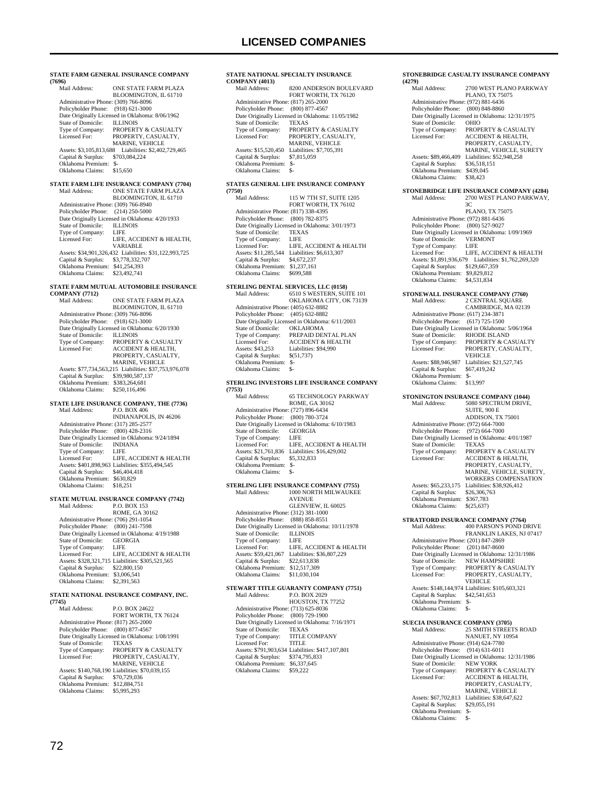**STATE FARM GENERAL INSURANCE COMPANY (7696)** ONE STATE FARM PLAZA BLOOMINGTON, IL 61710 Administrative Phone: (309) 766-8096 Policyholder Phone: (918) 621-3000 Date Originally Licensed in Oklahoma: 8/06/1962 State of Domicile:<br>Type of Company: Date Grigmany Extension of Company:<br>
State of Domicile: ILLINOIS<br>
Type of Company: PROPERTY & CASUALTY<br>
Licensed For: PROPERTY, CASUALTY, PROPERTY, CASUALTY, MARINE, VEHICLE Assets: \$3,105,813,688 Liabilities: \$2,402,729,465 Capital & Surplus: \$703,084,224 Oklahoma Premium: \$- Oklahoma Claims: \$15,650 **STATE FARM LIFE INSURANCE COMPANY (7704)** ONE STATE FARM PLAZA BLOOMINGTON, IL 61710 Administrative Phone: (309) 766-8940 Policyholder Phone: (214) 250-5000 Date Originally Licensed in Oklahoma:  $4/20/1933$ <br>State of Domicile: ILLINOIS State of Domicile: ILLIN<br>Type of Company: I IFE Type of Company:<br>Licensed For: LIFE, ACCIDENT & HEALTH, VARIABLE Assets: \$34,901,326,432 Liabilities: \$31,122,993,725 Capital & Surplus: \$3,778,332,707 Oklahoma Premium: \$41,254,393 Oklahoma Claims: \$23,492,741 **STATE FARM MUTUAL AUTOMOBILE INSURANCE COMPANY (7712)** ONE STATE FARM PLAZA BLOOMINGTON, IL 61710 Administrative Phone: (309) 766-8096 Policyholder Phone: (918) 621-3000 Date Originally Licensed in Oklahoma: 6/20/1930 State of Domicile:<br>Type of Company: State of Domicile: ILLINOIS<br>Type of Company: PROPERTY & CASUALTY<br>Licensed For: ACCIDENT & HEALTH. ACCIDENT & HEALTH, PROPERTY, CASUALTY, MARINE, VEHICLE Assets: \$77,734,563,215 Liabilities: \$37,753,976,078 Capital & Surplus: \$39,980,587,137 Oklahoma Premium: \$383,264,681 Oklahoma Claims: \$250,116,496 **STATE LIFE INSURANCE COMPANY, THE (7736)** Mail Address: P.O. BOX 406 INDIANAPOLIS, IN 46206 Administrative Phone: (317) 285-2577 Policyholder Phone: (800) 428-2316 Date Originally Licensed in Oklahoma: 9/24/1894 State of Domicile: INDIANA<br>Type of Company: LIFE Type of Company:<br>Licensed For: LIFE, ACCIDENT & HEALTH Assets: \$401,898,963 Liabilities: \$355,494,545 Capital & Surplus: \$46,404,418 Oklahoma Premium: \$630,829 Oklahoma Claims: \$18,251 **STATE MUTUAL INSURANCE COMPANY (7742)** P.O. BOX 153 ROME, GA 30162 Administrative Phone: (706) 291-1054 Policyholder Phone: (800) 241-7598 Date Originally Licensed in Oklahoma: 4/19/1988 State of Domicile: GEORGIA Type of Company: LIFE<br>Licensed For: LIFE. LIFE, ACCIDENT & HEALTH Assets: \$328,321,715 Liabilities: \$305,521,565 Capital & Surplus: \$22,800,150 Oklahoma Premium: \$3,006,541 Oklahoma Claims: \$2,391,563 **STATE NATIONAL INSURANCE COMPANY, INC. (7745)** P.O. BOX 24622 FORT WORTH, TX 76124 Administrative Phone: (817) 265-2000 Policyholder Phone: (800) 877-4567 Date Originally Licensed in Oklahoma: 1/08/1991<br>State of Domicile: TEXAS State of Domicile:<br>Type of Company: Type of Company: PROPERTY & CASUALTY<br>Licensed For: PROPERTY, CASUALTY, Licensed For: PROPERTY, CASUALTY, MARINE, VEHICLE Assets: \$140,768,190 Liabilities: \$70,039,155 Capital & Surplus: \$70,729,036 Oklahoma Premium: \$12,884,751 Oklahoma Claims: \$5,995,293

## **STATE NATIONAL SPECIALTY INSURANCE**

| <b>COMPANY (4013)</b> |     |                                                  |
|-----------------------|-----|--------------------------------------------------|
| Mail Address:         |     | 8200 ANDERSON BOULEVARD                          |
|                       |     | FORT WORTH, TX 76120                             |
|                       |     | Administrative Phone: (817) 265-2000             |
| Policyholder Phone:   |     | $(800)$ 877-4567                                 |
|                       |     | Date Originally Licensed in Oklahoma: 11/05/1982 |
| State of Domicile:    |     | <b>TEXAS</b>                                     |
| Type of Company:      |     | <b>PROPERTY &amp; CASUALTY</b>                   |
| Licensed For:         |     | PROPERTY, CASUALTY,                              |
|                       |     | <b>MARINE, VEHICLE</b>                           |
| Assets: \$15,520,450  |     | Liabilities: \$7,705,391                         |
| Capital & Surplus:    |     | \$7,815,059                                      |
| Oklahoma Premium:     | \$- |                                                  |
| Oklahoma Claims:      | \$- |                                                  |
|                       |     |                                                  |

## **STATES GENERAL LIFE INSURANCE COMPANY**

| (7750)               |                                                 |
|----------------------|-------------------------------------------------|
| Mail Address:        | 115 W 7TH ST, SUITE 1205                        |
|                      | FORT WORTH, TX 76102                            |
|                      | Administrative Phone: (817) 338-4395            |
|                      | Policyholder Phone: (800) 782-8375              |
|                      | Date Originally Licensed in Oklahoma: 3/01/1973 |
| State of Domicile:   | <b>TEXAS</b>                                    |
| Type of Company:     | LIFE                                            |
| Licensed For:        | LIFE, ACCIDENT & HEALTH                         |
| Assets: \$11.285.544 | Liabilities: \$6,613,307                        |
| Capital & Surplus:   | \$4,672,237                                     |
| Oklahoma Premium:    | \$1,237,161                                     |
| Oklahoma Claims:     | \$699,588                                       |
|                      |                                                 |

### **STERLING DENTAL SERVICES, LLC (0158)**

| Mail Address:                        | 6510 S WESTERN, SUITE 101                       |
|--------------------------------------|-------------------------------------------------|
|                                      | OKLAHOMA CITY, OK 73139                         |
| Administrative Phone: (405) 632-8882 |                                                 |
| Policyholder Phone: (405) 632-8882   |                                                 |
|                                      | Date Originally Licensed in Oklahoma: 6/11/2003 |
| State of Domicile:                   | <b>OKLAHOMA</b>                                 |
| Type of Company:                     | PREPAID DENTAL PLAN                             |
| Licensed For:                        | <b>ACCIDENT &amp; HEALTH</b>                    |
| Assets: \$43.253                     | Liabilities: \$94,990                           |
| Capital & Surplus:                   | \$(51,737)                                      |
| Oklahoma Premium:                    | \$-                                             |
| Oklahoma Claims:                     | \$-                                             |
|                                      |                                                 |

#### **STERLING INVESTORS LIFE INSURANCE COMPANY (7753)**

| Mail Address:                        | <b>65 TECHNOLOGY PARKWAY</b>                    |
|--------------------------------------|-------------------------------------------------|
|                                      | ROME, GA 30162                                  |
| Administrative Phone: (727) 896-6434 |                                                 |
| Policyholder Phone:                  | (800) 780-3724                                  |
|                                      |                                                 |
|                                      | Date Originally Licensed in Oklahoma: 6/10/1983 |
| State of Domicile:                   | <b>GEORGIA</b>                                  |
| Type of Company:                     | LIFE                                            |
| Licensed For:                        | LIFE. ACCIDENT & HEALTH                         |
| Assets: \$21,761,836                 | Liabilities: \$16,429,002                       |
| Capital & Surplus:                   | \$5,332,833                                     |
| Oklahoma Premium:                    | \$-                                             |
| Oklahoma Claims:                     | \$-                                             |

## **STERLING LIFE INSURANCE COMPANY (7755)**

| Mail Address:                        | 1000 NORTH MILWAUKEE                             |
|--------------------------------------|--------------------------------------------------|
|                                      | <b>AVENUE</b>                                    |
|                                      | GLENVIEW, IL 60025                               |
| Administrative Phone: (312) 381-1000 |                                                  |
| Policyholder Phone: (888) 858-8551   |                                                  |
|                                      | Date Originally Licensed in Oklahoma: 10/11/1978 |
| State of Domicile:                   | <b>ILLINOIS</b>                                  |
| Type of Company:                     | LIFE                                             |
| Licensed For:                        | LIFE. ACCIDENT & HEALTH                          |
| Assets: \$59,421,067                 | Liabilities: \$36,807,229                        |
| Capital & Surplus:                   | \$22,613,838                                     |
| Oklahoma Premium:                    | \$12,517,309                                     |
| Oklahoma Claims:                     | \$11,030,104                                     |
|                                      |                                                  |

### **STEWART TITLE GUARANTY COMPANY (7751)** Mail Address: P.O. BOX 2029

| <b>NEALL AGGLESS:</b>                | P.U. BUA 2029                                    |
|--------------------------------------|--------------------------------------------------|
|                                      | HOUSTON, TX 77252                                |
| Administrative Phone: (713) 625-8036 |                                                  |
| Policyholder Phone: (800) 729-1900   |                                                  |
|                                      | Date Originally Licensed in Oklahoma: 7/16/1971  |
| State of Domicile:                   | <b>TEXAS</b>                                     |
| Type of Company:                     | <b>TITLE COMPANY</b>                             |
| Licensed For:                        | <b>TITLE</b>                                     |
|                                      | Assets: \$791,903,634 Liabilities: \$417,107,801 |
| Capital & Surplus:                   | \$374,795,833                                    |
| Oklahoma Premium:                    | \$6,337,645                                      |
| Oklahoma Claims:                     | \$59,222                                         |
|                                      |                                                  |

#### **STONEBRIDGE CASUALTY INSURANCE COMPANY (4279)**

| Mail Address:                        | 2700 WEST PLANO PARKWAY                          |
|--------------------------------------|--------------------------------------------------|
|                                      | <b>PLANO, TX 75075</b>                           |
| Administrative Phone: (972) 881-6436 |                                                  |
| Policyholder Phone:                  | $(800)$ 848-8860                                 |
|                                      | Date Originally Licensed in Oklahoma: 12/31/1975 |
| State of Domicile:                   | <b>OHIO</b>                                      |
| Type of Company:                     | <b>PROPERTY &amp; CASUALTY</b>                   |
| Licensed For:                        | <b>ACCIDENT &amp; HEALTH,</b>                    |
|                                      | PROPERTY, CASUALTY,                              |
|                                      | <b>MARINE, VEHICLE, SURETY</b>                   |
| Assets: \$89,466,409                 | Liabilities: \$52,948,258                        |
| Capital & Surplus:                   | \$36,518,151                                     |
| Oklahoma Premium:                    | \$439,045                                        |
| Oklahoma Claims:                     | \$38,423                                         |
|                                      |                                                  |

# **STONEBRIDGE LIFE INSURANCE COMPANY (4284)**

2700 WEST PLANO PARKWAY,  $\overline{3}\overline{C}$  PLANO, TX 75075 Administrative Phone: (972) 881-6436 Policyholder Phone: (800) 527-9027 Date Originally Licensed in Oklahoma: 1/09/1969 State of Domicile: VERMONT Type of Company: LIFE Licensed For: LIFE, ACCIDENT & HEALTH Assets: \$1,891,936,679 Liabilities: \$1,762,269,320 Capital & Surplus: \$129,667,359 Oklahoma Premium: \$9,829,812 Oklahoma Claims: \$4,531,834

#### **STONEWALL INSURANCE COMPANY (7760)**<br>Mail Address: 2 CENTRAL SQUARE Mail Address: 2 CENTRAL SQUARE CAMBRIDGE, MA 02139 Administrative Phone: (617) 234-3871 Policyholder Phone: (617) 725-1500 Date Originally Licensed in Oklahoma: 5/06/1964<br>State of Domicile: RHODE ISLAND State of Domicile: RHODE ISLAND<br>Type of Company: PROPERTY & CA<br>Licensed For: PROPERTY, CAS PROPERTY & CASUALTY PROPERTY, CASUALTY, VEHICLE Assets: \$88,946,987 Liabilities: \$21,527,745<br>Capital & Surplus: \$67,419,242 Capital & Surplus: Oklahoma Premium: \$- Oklahoma Claims:

## **STONINGTON INSURANCE COMPANY (1044)**

|                                      | STONINGTON INSURANCE COMPANT (1044)             |
|--------------------------------------|-------------------------------------------------|
| Mail Address:                        | 5080 SPECTRUM DRIVE.                            |
|                                      | SUITE, 900 E                                    |
|                                      | ADDISON, TX 75001                               |
| Administrative Phone: (972) 664-7000 |                                                 |
| Policyholder Phone: (972) 664-7000   |                                                 |
|                                      | Date Originally Licensed in Oklahoma: 4/01/1987 |
| State of Domicile:                   | <b>TEXAS</b>                                    |
| Type of Company:                     | PROPERTY & CASUALTY                             |
| Licensed For:                        | <b>ACCIDENT &amp; HEALTH.</b>                   |
|                                      | PROPERTY, CASUALTY,                             |
|                                      | MARINE, VEHICLE, SURETY.                        |
|                                      | <b>WORKERS COMPENSATION</b>                     |
| Assets: \$65,233,175                 | Liabilities: \$38,926,412                       |
| Capital & Surplus:                   | \$26,306,763                                    |
| Oklahoma Premium:                    | \$367,783                                       |
| Oklahoma Claims:                     | \$(25,637)                                      |
|                                      |                                                 |

# **STRATFORD INSURANCE COMPANY (7764)**<br>Mail Address: 400 PARSON'S POND DI

 Mail Address: 400 PARSON'S POND DRIVE FRANKLIN LAKES, NJ 07417 Administrative Phone: (201) 847-2869 Policyholder Phone: (201) 847-8600 Date Originally Licensed in Oklahoma: 12/31/1986<br>State of Domicile: NEW HAMPSHIRE State of Domicile: NEW HAMPSHIRE<br>Type of Company: PROPERTY & CAS Type of Company: PROPERTY & CASUALTY Licensed For: PROPERTY, CASUALTY, VEHICLE Assets: \$148,144,974 Liabilities: \$105,603,321 Capital & Surplus: \$42,541,653 Oklahoma Premium: \$- Oklahoma Claims:

**SUECIA INSURANCE COMPANY (3705)** Mail Address: 25 SMITH STREETS ROAD NANUET, NY 10954 Administrative Phone: (914) 624-7780 Policyholder Phone: (914) 631-6011 Date Originally Licensed in Oklahoma: 12/31/1986 State of Domicile: NEW YORK Type of Company: PROPERTY & CASUALTY<br>Licensed For: ACCIDENT & HEALTH, Licensed For: ACCIDENT & HEALTH, PROPERTY, CASUALTY, MARINE, VEHICLE Assets: \$67,702,813 Liabilities: \$38,647,622<br>Capital & Surplus: \$29,055,191 Capital & Surplus: Oklahoma Premium: \$- Oklahoma Claims: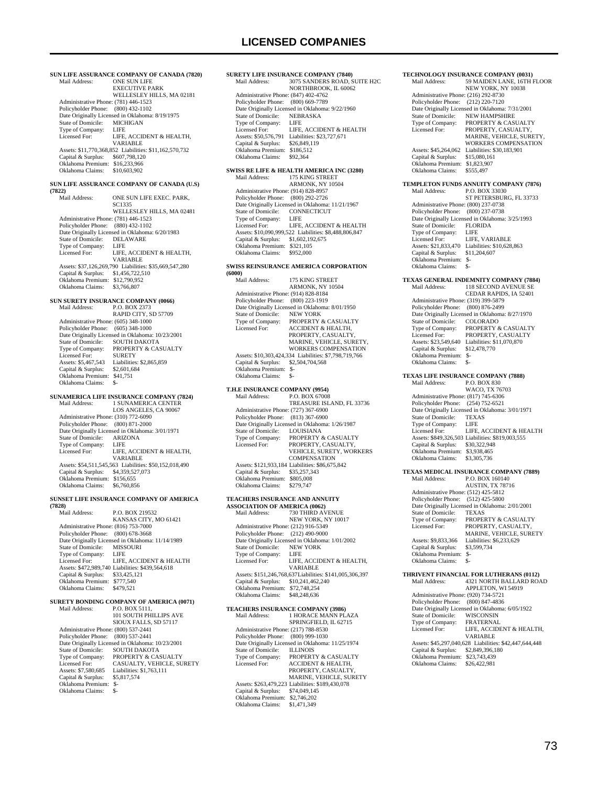3075 SANDERS ROAD, SUITE H2C NORTHBROOK, IL 60062

| Mail Address:                        | SUN LIFE ASSURANCE COMPANY OF CANADA (7820)<br><b>ONE SUN LIFE</b> | Mail Address:                                               | <b>SURETY LIFE INSURANCE COMPANY (7840)</b><br>3075 SANDERS ROAD, SUITE |
|--------------------------------------|--------------------------------------------------------------------|-------------------------------------------------------------|-------------------------------------------------------------------------|
|                                      | <b>EXECUTIVE PARK</b><br>WELLESLEY HILLS, MA 02181                 | Administrative Phone: (847) 402-4762                        | NORTHBROOK, IL 60062                                                    |
| Administrative Phone: (781) 446-1523 |                                                                    | Policyholder Phone: (800) 669-7789                          |                                                                         |
| Policyholder Phone: (800) 432-1102   |                                                                    |                                                             | Date Originally Licensed in Oklahoma: 9/22/1960                         |
|                                      | Date Originally Licensed in Oklahoma: 8/19/1975                    | State of Domicile:                                          | <b>NEBRASKA</b>                                                         |
| State of Domicile:                   | <b>MICHIGAN</b>                                                    | Type of Company:                                            | LIFE                                                                    |
| Type of Company:                     | LIFE                                                               | Licensed For:                                               | LIFE, ACCIDENT & HEALTH                                                 |
| Licensed For:                        | LIFE, ACCIDENT & HEALTH,                                           |                                                             | Assets: \$50,576,791 Liabilities: \$23,727,671                          |
|                                      | VARIABLE                                                           | Capital & Surplus:                                          | \$26,849,119                                                            |
|                                      | Assets: \$11,770,368,852 Liabilities: \$11,162,570,732             | Oklahoma Premium: \$186,512                                 |                                                                         |
| Capital & Surplus:                   | \$607,798,120                                                      | Oklahoma Claims:                                            | \$92,364                                                                |
| Oklahoma Premium: \$16,233,966       |                                                                    |                                                             |                                                                         |
| Oklahoma Claims:                     | \$10,603,902                                                       |                                                             | SWISS RE LIFE & HEALTH AMERICA INC (3280)                               |
|                                      |                                                                    | Mail Address:                                               | 175 KING STREET                                                         |
|                                      | SUN LIFE ASSURANCE COMPANY OF CANADA (U.S)                         |                                                             | ARMONK, NY 10504                                                        |
| (7822)                               |                                                                    | Administrative Phone: (914) 828-8957                        |                                                                         |
| Mail Address:                        | ONE SUN LIFE EXEC. PARK,                                           | Policyholder Phone: (800) 292-2726                          |                                                                         |
|                                      | SC1335                                                             |                                                             | Date Originally Licensed in Oklahoma: 11/21/1967                        |
|                                      | WELLESLEY HILLS, MA 02481                                          | State of Domicile:                                          | CONNECTICUT                                                             |
| Administrative Phone: (781) 446-1523 |                                                                    | Type of Company:                                            | LIFE                                                                    |
| Policyholder Phone: (880) 432-1102   |                                                                    | Licensed For:                                               | LIFE, ACCIDENT & HEALTH                                                 |
|                                      | Date Originally Licensed in Oklahoma: 6/20/1983                    |                                                             | Assets: \$10,090,999,522 Liabilities: \$8,488,806,847                   |
| State of Domicile:                   | DELAWARE                                                           | Capital & Surplus:                                          | \$1,602,192,675                                                         |
| Type of Company:                     | LIFE                                                               | Oklahoma Premium: \$321,105                                 |                                                                         |
| Licensed For:                        | LIFE, ACCIDENT & HEALTH,                                           | Oklahoma Claims:                                            | \$952,000                                                               |
|                                      | VARIABLE                                                           |                                                             |                                                                         |
|                                      | Assets: \$37,126,269,790 Liabilities: \$35,669,547,280             |                                                             | <b>SWISS REINSURANCE AMERICA CORPORATION</b>                            |
| Capital & Surplus:                   | \$1,456,722,510                                                    | (6000)                                                      |                                                                         |
| Oklahoma Premium: \$12,790,952       |                                                                    | Mail Address:                                               | 175 KING STREET<br>ARMONK, NY 10504                                     |
| Oklahoma Claims:                     | \$3,766,807                                                        |                                                             |                                                                         |
|                                      | SUN SURETY INSURANCE COMPANY (0066)                                | Administrative Phone: (914) 828-8184<br>Policyholder Phone: |                                                                         |
| Mail Address:                        | P.O. BOX 2373                                                      |                                                             | $(800)$ 223-1919<br>Date Originally Licensed in Oklahoma: 8/01/1950     |
|                                      | RAPID CITY, SD 57709                                               | State of Domicile:                                          | <b>NEW YORK</b>                                                         |
| Administrative Phone: (605) 348-1000 |                                                                    | Type of Company:                                            | PROPERTY & CASUALTY                                                     |
| Policyholder Phone: (605) 348-1000   |                                                                    | Licensed For:                                               | <b>ACCIDENT &amp; HEALTH,</b>                                           |
|                                      | Date Originally Licensed in Oklahoma: 10/23/2001                   |                                                             | PROPERTY, CASUALTY,                                                     |
| State of Domicile:                   | <b>SOUTH DAKOTA</b>                                                |                                                             | MARINE, VEHICLE, SURETY.                                                |
| Type of Company:                     | PROPERTY & CASUALTY                                                |                                                             | <b>WORKERS COMPENSATION</b>                                             |
| Licensed For:                        | <b>SURETY</b>                                                      |                                                             | Assets: \$10,303,424,334 Liabilities: \$7,798,719,766                   |
| Assets: \$5,467,543                  | Liabilities: \$2,865,859                                           | Capital & Surplus:                                          | \$2,504,704,568                                                         |
| Capital & Surplus:                   | \$2,601,684                                                        | Oklahoma Premium: \$-                                       |                                                                         |
| Oklahoma Premium: \$41,751           |                                                                    | Oklahoma Claims:                                            | \$-                                                                     |
| Oklahoma Claims:                     | \$-                                                                |                                                             |                                                                         |
|                                      |                                                                    | T.H.E INSURANCE COMPANY (9954)                              |                                                                         |
|                                      | SUNAMERICA LIFE INSURANCE COMPANY (7824)                           | Mail Address:                                               | P.O. BOX 67008                                                          |
| Mail Address:                        | 1 SUNAMERICA CENTER                                                |                                                             | TREASURE ISLAND, FL 3373                                                |
|                                      | LOS ANGELES, CA 90067                                              | Administrative Phone: (727) 367-6900                        |                                                                         |
| Administrative Phone: (310) 772-6090 |                                                                    | Policyholder Phone: (813) 367-6900                          |                                                                         |
| Policyholder Phone: (800) 871-2000   |                                                                    |                                                             | Date Originally Licensed in Oklahoma: 1/26/1987                         |
|                                      | Date Originally Licensed in Oklahoma: 3/01/1971                    | State of Domicile:                                          | LOUISIANA                                                               |
| State of Domicile:                   | ARIZONA                                                            | Type of Company:                                            | PROPERTY & CASUALTY                                                     |
| Type of Company:                     | LIFE                                                               | Licensed For:                                               | PROPERTY, CASUALTY,                                                     |
| Licensed For:                        | LIFE, ACCIDENT & HEALTH,                                           |                                                             | VEHICLE, SURETY, WORKER                                                 |
|                                      | VARIABLE                                                           |                                                             | <b>COMPENSATION</b>                                                     |
|                                      | Assets: \$54,511,545,563 Liabilities: \$50,152,018,490             |                                                             | Assets: \$121,933,184 Liabilities: \$86,675,842                         |
| Capital & Surplus:                   | \$4,359,527,073                                                    | Capital & Surplus:                                          | \$35,257,343                                                            |
| Oklahoma Premium: \$156,655          |                                                                    | Oklahoma Premium: \$805,008<br>Oklahoma Claims:             |                                                                         |
| Oklahoma Claims:                     | \$6,760,856                                                        |                                                             | \$279,747                                                               |
|                                      | SUNSET LIFE INSURANCE COMPANY OF AMERICA                           | TEACHERS INSURANCE AND ANNUITY                              |                                                                         |
| (7828)                               |                                                                    | <b>ASSOCIATION OF AMERICA (0062)</b>                        |                                                                         |
| Mail Address:                        | P.O. BOX 219532                                                    | Mail Address:                                               | 730 THIRD AVENUE                                                        |
|                                      | KANSAS CITY, MO 61421                                              |                                                             | NEW YORK, NY 10017                                                      |
| Administrative Phone: (816) 753-7000 |                                                                    | Administrative Phone: (212) 916-5349                        |                                                                         |
| Policyholder Phone:                  | $(800)$ 678-3668                                                   | Policyholder Phone:                                         | $(212)$ 490-9000                                                        |
|                                      | Date Originally Licensed in Oklahoma: 11/14/1989                   |                                                             | Date Originally Licensed in Oklahoma: 1/01/2002                         |
| State of Domicile:                   | <b>MISSOURI</b>                                                    | State of Domicile:                                          | <b>NEW YORK</b>                                                         |
| Type of Company:                     | <b>LIFE</b>                                                        | Type of Company:                                            | LIFE                                                                    |
| Licensed For:                        | LIFE, ACCIDENT & HEALTH                                            | Licensed For:                                               | LIFE, ACCIDENT & HEALTH,                                                |
|                                      | Assets: \$472,989,740 Liabilities: \$439,564,618                   |                                                             | <b>VARIABLE</b>                                                         |
| Capital & Surplus:                   | \$33,425,121                                                       |                                                             | Assets: \$151,246,768,637Liabilities: \$141,005,306,397                 |
| Oklahoma Premium: \$777,540          |                                                                    | Capital & Surplus:                                          | \$10,241,462,240                                                        |
| Oklahoma Claims:                     | \$479,521                                                          | Oklahoma Premium: \$72,748,254                              |                                                                         |
|                                      |                                                                    | Oklahoma Claims:                                            | \$48,248,636                                                            |
|                                      | SURETY BONDING COMPANY OF AMERICA (0071)                           |                                                             |                                                                         |
| Mail Address:                        | P.O. BOX 5111,                                                     | TEACHERS INSURANCE COMPANY (3986)                           |                                                                         |
|                                      | 101 SOUTH PHILLIPS AVE                                             | Mail Address:                                               | 1 HORACE MANN PLAZA                                                     |
|                                      | SIOUX FALLS, SD 57117                                              |                                                             | SPRINGFIELD, IL 62715                                                   |
| Administrative Phone: (800) 537-2441 |                                                                    | Administrative Phone: (217) 788-8530                        |                                                                         |
| Policyholder Phone:                  | $(800)$ 537-2441                                                   | Policyholder Phone:                                         | $(800)$ 999-1030                                                        |
|                                      | Date Originally Licensed in Oklahoma: 10/23/2001                   |                                                             | Date Originally Licensed in Oklahoma: 11/25/1974                        |
| State of Domicile:                   | <b>SOUTH DAKOTA</b>                                                | State of Domicile:                                          | <b>ILLINOIS</b>                                                         |
| Type of Company:                     | PROPERTY & CASUALTY                                                | Type of Company:                                            | PROPERTY & CASUALTY                                                     |
| Licensed For:                        | CASUALTY, VEHICLE, SURETY                                          | Licensed For:                                               | <b>ACCIDENT &amp; HEALTH.</b>                                           |

Licensed For: CASUALTY, VEHICLE, SURETY<br>Assets: \$7,580,685 Liabilities: \$1,763,111 Liabilities: \$1,763,111<br>\$5,817,574

Capital & Surplus: Oklahoma Premium: \$- Oklahoma Claims:

Type of Company: PROPERTY & CASUALTY<br>Licensed For: ACCIDENT & HEALTH, ACCIDENT & HEALTH, PROPERTY, CASUALTY, MARINE, VEHICLE, SURETY, WORKERS COMPENSATION Assets: \$10,303,424,334 Liabilities: \$7,798,719,766 Capital & Surplus: \$2,504,704,568 Oklahoma Premium: \$- Oklahoma Claims: \$- **T.H.E INSURANCE COMPANY (9954)**<br>Mail Address: P.O. BOX 67008 P.O. BOX 67008 TREASURE ISLAND, FL 33736 Administrative Phone: (727) 367-6900 Policyholder Phone: (813) 367-6900 Date Originally Licensed in Oklahoma: 1/26/1987<br>State of Domicile: **I.OUISIANA** State of Domicile:<br>Type of Company: Type of Company: PROPERTY & CASUALTY<br>Licensed For: PROPERTY, CASUALTY. PROPERTY, CASUALTY, VEHICLE, SURETY, WORKERS **COMPENSATION**  Assets: \$121,933,184 Liabilities: \$86,675,842 Capital & Surplus: \$35,257,343 Oklahoma Premium: \$805,008 Oklahoma Claims: \$279,747 **TEACHERS INSURANCE AND ANNUITY ASSOCIATION OF AMERICA (0062)**<br>Mail Address: 730 THIRD AV Mail Address: 730 THIRD AVENUE NEW YORK, NY 10017 Administrative Phone: (212) 916-5349 Policyholder Phone: (212) 490-9000 Patter Originally Licensed in Oklahoma: 1/01/2002<br>State of Domicile: NEW YORK State of Domicile: NEW<br>Type of Company: LIFE Type of Company:<br>Licensed For: LIFE, ACCIDENT & HEALTH, VARIABLE Assets: \$151,246,768,637 Liabilities: \$141,005,306,397 Capital & Surplus: \$10,241,462,240 Oklahoma Premium: \$72,748,254 Oklahoma Claims: \$48,248,636 **TEACHERS INSURANCE COMPANY (3986)** 1 HORACE MANN PLAZA SPRINGFIELD, IL 62715 Administrative Phone: (217) 788-8530 Policyholder Phone: (800) 999-1030 Date Originally Licensed in Oklahoma: 11/25/1974 State of Domicile:<br>Type of Company: Exact of Domicle: LLINOIS<br>
State of Domicle: LLINOIS<br>
Type of Company: PROPERTY & CASUALTY<br>
Licensed For: ACCIDENT & HEALTH. ACCIDENT & HEALTH, PROPERTY, CASUALTY MARINE, VEHICLE, SURETY Assets: \$263,479,223 Liabilities: \$189,430,078 Capital & Surplus: \$74,049,145 Oklahoma Premium: \$2,746,202 Oklahoma Claims: \$1,471,349

### **TECHNOLOGY INSURANCE COMPANY (0031)**<br>Mail Address: 59 MAIDEN LANE, 16TH I 59 MAIDEN LANE, 16TH FLOOR NEW YORK, NY 10038 Administrative Phone: (216) 292-8730 Policyholder Phone: (212) 220-7120 Date Originally Licensed in Oklahoma: 7/31/2001<br>State of Domicile: NEW HAMPSHIRE State of Domicile: NEW HAMPSHIRE<br>Type of Company: PROPERTY & CAS Type of Company: PROPERTY & CASUALTY<br>Licensed For: PROPERTY CASUALTY PROPERTY, CASUALTY MARINE, VEHICLE, SURETY, WORKERS COMPENSATION Assets: \$45,264,062 Liabilities: \$30,183,901<br>Capital & Surplus: \$15,080,161 Capital & Surplus: Oklahoma Premium: \$1,823,907<br>Oklahoma Claims: \$555,497 Oklahoma Claims: **TEMPLETON FUNDS ANNUITY COMPANY (7876)**<br>Mail Address: P.O. BOX 33030 P.O. BOX 33030 ST PETERSBURG, FL 33733 Administrative Phone: (800) 237-0738 Policyholder Phone: (800) 237-0738 Date Originally Licensed in Oklahoma: 3/25/1993 State of Domicile: FLORIDA<br>Type of Company: LIFE Type of Company: LIFE<br>Licensed For: LIFE, VARIABLE Licensed For: LIFE, VARIABLE Assets: \$21,833,470 Liabilities: \$10,628,863 Capital & Surplus: \$11,204,607 Oklahoma Premium: \$- Oklahoma Claims: \$- **TEXAS GENERAL INDEMNITY COMPANY (7884)**<br>Mail Address: 118 SECOND AVENUE SE 118 SECOND AVENUE SE CEDAR RAPIDS, IA 52401 Administrative Phone: (319) 399-5879 Policyholder Phone: (800) 876-2499 Date Originally Licensed in Oklahoma: 8/27/1970<br>State of Domicile: COLORADO State of Domicile:<br>Type of Company: PROPERTY & CASUALTY<br>PROPERTY, CASUALTY Licensed For: PROPERTY, CASUALTY Assets: \$23,549,640 Liabilities: \$11,070,870 Capital & Surplus: \$12,478,770 Oklahoma Premium: \$- Oklahoma Claims: \$-**TEXAS LIFE INSURANCE COMPANY (7888)** P.O. BOX 830 WACO, TX 76703 Administrative Phone: (817) 745-6306 Policyholder Phone: (254) 752-6521 Date Originally Licensed in Oklahoma: 3/01/1971 State of Domicile: TEXAS Type of Company: LIFE<br>Licensed For: LIFE, ACCIDENT & HEALTH Licensed For: LIFE, ACCIDENT & HEALTH Assets: \$849,326,503 Liabilities: \$819,003,555 Capital & Surplus: \$30,322,948 Oklahoma Premium: \$3,938,465 Oklahoma Claims: \$3,305,736 **TEXAS MEDICAL INSURANCE COMPANY (7889)**<br>Mail Address: P.O. BOX 160140 Mail Address: P.O. BOX 160140 AUSTIN, TX 78716 Administrative Phone: (512) 425-5812 Policyholder Phone: (512) 425-5800 Date Originally Licensed in Oklahoma: 2/01/2001<br>State of Domicile: TEXAS State of Domicile: Type of Company: PROPERTY & CASUALTY<br>Licensed For: PROPERTY, CASUALTY, PROPERTY, CASUALTY, MARINE, VEHICLE, SURETY<br>Liabilities: \$6,233,629 Assets: \$9,833,366 Liabilities:<br>Capital & Surplus: \$3,599,734 Capital & Surplus: Oklahoma Premium: \$- Oklahoma Claims: **THRIVENT FINANCIAL FOR LUTHERANS (0112)** 4321 NORTH BALLARD ROAD APPLETON, WI 54919 Administrative Phone: (920) 734-5721 Policyholder Phone: (800) 847-4836 Date Originally Licensed in Oklahoma: 6/05/1922<br>State of Domicile: WISCONSIN State of Domicile: WISCONSIN<br>Type of Company: FRATERNAL Type of Company:<br>Licensed For: LIFE, ACCIDENT & HEALTH, VARIABLE Assets: \$45,297,040,628 Liabilities: \$42,447,644,448 Capital & Surplus: \$2,849,396,180 Oklahoma Premium: \$23,743,439

Oklahoma Claims: \$26,422,981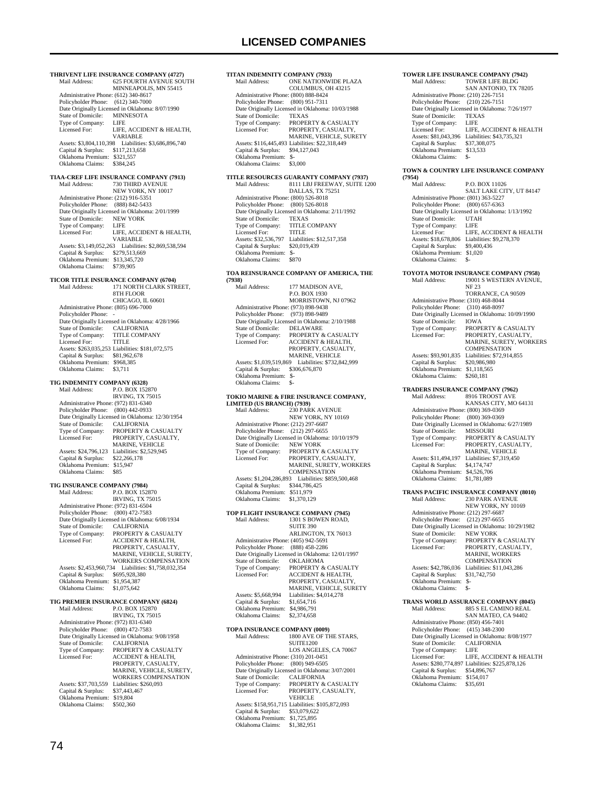**THRIVENT LIFE INSURANCE COMPANY (4727)**<br>Mail Address: 625 FOURTH AVENUE SOU 625 FOURTH AVENUE SOUTH MINNEAPOLIS, MN 55415 Administrative Phone: (612) 340-8617 Policyholder Phone: (612) 340-7000 Date Originally Licensed in Oklahoma: 8/07/1990<br>State of Domicile: MINNESOTA State of Domicile: MINN<br>Type of Company: LIFE Type of Company:<br>Licensed For: LIFE, ACCIDENT & HEALTH VARIABLE Assets: \$3,804,110,398 Liabilities: \$3,686,896,740 Capital & Surplus: \$117,213,658 Oklahoma Premium: \$321,557 Oklahoma Claims: \$384,245 **TIAA-CREF LIFE INSURANCE COMPANY (7913)** 730 THIRD AVENUE NEW YORK, NY 10017 Administrative Phone: (212) 916-5351 Policyholder Phone: (888) 842-5433 Date Originally Licensed in Oklahoma: 2/01/1999<br>State of Domicile: NEW YORK State of Domicile: NEW<br>Type of Company: LIFE Type of Company:<br>Licensed For: LIFE, ACCIDENT & HEALTH, VARIABLE Assets: \$3,149,052,263 Liabilities: \$2,869,538,594 Capital & Surplus: \$279,513,669 Oklahoma Premium: \$13,345,720 Oklahoma Claims: \$739,905 **TICOR TITLE INSURANCE COMPANY (6704)**<br>Mail Address: [71 NORTH CLARK STE 171 NORTH CLARK STREET. 8TH FLOOR CHICAGO, IL 60601 Administrative Phone: (805) 696-7000 Policyholder Phone: -Date Originally Licensed in Oklahoma: 4/28/1966<br>State of Domicile: CALIFORNIA State of Domicile:<br>Type of Company: Type of Company: TITLE COMPANY<br>Licensed For: TITLE Licensed For: TITLE Assets: \$263,035,253 Liabilities: \$181,072,575 Capital & Surplus: \$81,962,678 Oklahoma Premium: \$968,385 Oklahoma Claims: \$3,711 **TIG INDEMNITY COMPANY (6328)** Mail Address: P.O. BOX 152870 IRVING, TX 75015 Administrative Phone: (972) 831-6340 Policyholder Phone: (800) 442-0933 Date Originally Licensed in Oklahoma: 12/30/1954 State of Domicile: CALIFORNIA<br>Type of Company: PROPERTY &<br>Licensed For: PROPERTY, C. PROPERTY & CASUALTY PROPERTY, CASUALTY, MARINE, VEHICLE Assets: \$24,796,123 Liabilities: \$2,529,945<br>Capital & Surplus: \$22,266,178 Capital & Surplus: Oklahoma Premium: \$15,947 Oklahoma Claims: \$85 **TIG INSURANCE COMPANY (7984)** P.O. BOX 152870 IRVING, TX 75015 Administrative Phone: (972) 831-6504 Policyholder Phone: (800) 472-7583 Pate Originally Licensed in Oklahoma: 6/08/1934<br>State of Domicile: CALIFORNIA State of Domicile:<br>Type of Company: Type of Company: PROPERTY & CASUALTY<br>Licensed For: ACCIDENT & HEALTH, ACCIDENT & HEALTH, PROPERTY, CASUALTY, MARINE, VEHICLE, SURETY, WORKERS COMPENSATION Assets: \$2,453,960,734 Liabilities: \$1,758,032,354 Capital & Surplus: \$695,928,380 Oklahoma Premium: \$1,954,387 Oklahoma Claims: \$1,075,642 **TIG PREMIER INSURANCE COMPANY (6824)** P.O. BOX 152870 IRVING, TX 75015 Administrative Phone: (972) 831-6340 Policyholder Phone: (800) 472-7583 Date Originally Licensed in Oklahoma: 9/08/1958<br>State of Domicile: CALIFORNIA State of Domicile:<br>Type of Company: Type of Company: PROPERTY & CASUALTY<br>Licensed For: ACCIDENT & HEALTH Licensed For: ACCIDENT & HEALTH, PROPERTY, CASUALTY, MARINE, VEHICLE, SURETY, WORKERS COMPENSATION Assets: \$37,703,559 Liabilities: \$260,093<br>Capital & Surplus: \$37,443,467 Capital & Surplus: \$37,443,467 Oklahoma Premium: \$19,804 Oklahoma Claims: \$502,360

**TITAN INDEMNITY COMPANY (7933)**<br>Mail Address: **ONE NATIONW** ONE NATIONWIDE PLAZA COLUMBUS, OH 43215 Administrative Phone: (800) 888-8424 Policyholder Phone: (800) 951-7311 Date Originally Licensed in Oklahoma: 10/03/1988 State of Domicile:<br>Type of Company: Type of Company: PROPERTY & CASUALTY<br>Licensed For: PROPERTY CASUALTY PROPERTY CASUALTY MARINE, VEHICLE, SURETY Assets: \$116,445,493 Liabilities: \$22,318,449 Capital & Surplus: \$94,127,043 Oklahoma Premium: \$- Oklahoma Claims: \$3,000 **TITLE RESOURCES GUARANTY COMPANY (7937)** Mail Address: 8111 LBJ FREEWAY, SUITE 1200 DALLAS, TX 75251 Administrative Phone: (800) 526-8018 Policyholder Phone: (800) 526-8018 Date Originally Licensed in Oklahoma: 2/11/1992<br>State of Domicile: TEXAS State of Domicile:<br>Type of Company: TITLE COMPANY<br>TITLE Licensed For:<br>Assets: \$32,536,797 11122<br>Liabilities: \$12,517,358<br>\$20.019.439 Capital & Surplus: \$20,019,439 Oklahoma Premium: \$- Oklahoma Claims: \$870 **TOA REINSURANCE COMPANY OF AMERICA, THE (7938)** 177 MADISON AVE, P.O. BOX 1930 MORRISTOWN, NJ 07962 Administrative Phone: (973) 898-9438 Policyholder Phone: (973) 898-9489 Date Originally Licensed in Oklahoma: 2/10/1988 State of Domicile:<br>Type of Company: Type of Company: PROPERTY & CASUALTY<br>Licensed For: ACCIDENT & HEALTH, PROPERTY, CASUALTY, MARINE, VEHICLE Assets: \$1,039,519,869 Liabilities: \$732,842,999 Capital & Surplus: \$306,676,870 Oklahoma Premium: \$- Oklahoma Claims: **TOKIO MARINE & FIRE INSURANCE COMPANY, LIMITED (US BRANCH) (7939)** Mail Address: 230 PARK AVENUE NEW YORK, NY 10169 Administrative Phone: (212) 297-6687 Policyholder Phone: (212) 297-6655 Date Originally Licensed in Oklahoma: 10/10/1979<br>State of Domicile: NEW YORK State of Domicile:<br>Type of Company: Type of Company: PROPERTY & CASUALTY<br>Licensed For: PROPERTY. CASUALTY PROPERTY, CASUALTY, MARINE, SURETY, WORKERS **COMPENSATION**  Assets: \$1,204,286,893 Liabilities: \$859,500,468 Capital & Surplus: \$344,786,425 Oklahoma Premium: \$511,979 Oklahoma Claims: \$1,370,129 **TOP FLIGHT INSURANCE COMPANY (7945)** Mail Address: 1301 S BOWEN ROAD, **SUITE 390**  ARLINGTON, TX 76013 Administrative Phone: (405) 942-5691 Policyholder Phone: (888) 458-2286 Date Originally Licensed in Oklahoma: 12/01/1997<br>State of Domicile: OKLAHOMA State of Domicile:<br>Type of Company: Type of Company: PROPERTY & CASUALTY Licensed For: ACCIDENT & HEALTH, PROPERTY, CASUALTY MARINE, VEHICLE, SURETY<br>Assets: \$5,668,994 Liabilities: \$4,014,278 Capital & Surplus: \$1,654,716 Oklahoma Premium: \$4,986,791 Oklahoma Claims: \$2,374,658 **TOPA INSURANCE COMPANY (0009)**<br>Mail Address: 1800 AVE OF TH 1800 AVE OF THE STARS, SUITE1200 LOS ANGELES, CA 70067 Administrative Phone: (310) 201-0451 Policyholder Phone: (800) 949-6505 Date Originally Licensed in Oklahoma: 3/07/2001<br>State of Domicile: CALIFORNIA State of Domicile:<br>Type of Company: Type of Company: PROPERTY & CASUALTY<br>Licensed For: PROPERTY. CASUALTY. PROPERTY, CASUALTY, VEHICLE

Assets: \$158,951,715 Liabilities: \$105,872,093

 Capital & Surplus: \$53,079,622 Oklahoma Premium: \$1,725,895 Oklahoma Claims: \$1,382,951

### **TOWER LIFE INSURANCE COMPANY (7942)**<br>Mail Address: **TOWER LIFE BLDG** TOWER LIFE BLDG SAN ANTONIO, TX 78205 Administrative Phone: (210) 226-7151 Policyholder Phone: (210) 226-7151 Date Originally Licensed in Oklahoma: 7/26/1977<br>State of Domicile: TEXAS State of Domicile: Type of Company:<br>Licensed For: LIFE<br>LIFE, ACCIDENT & HEALTH Assets: \$81,043,396 Liabilities: \$43,735,321<br>Capital & Surplus: \$37,308,075 Capital & Surplus: \$37,308,075 Oklahoma Premium: \$13,533 Oklahoma Claims: \$ **TOWN & COUNTRY LIFE INSURANCE COMPANY (7954)** P.O. BOX 11026 SALT LAKE CITY, UT 84147 Administrative Phone: (801) 363-5227 Policyholder Phone: (800) 657-6363 Date Originally Licensed in Oklahoma: 1/13/1992 State of Domicile: UTAH Type of Company: LIFE LIFE, ACCIDENT & HEALTH ERENSER 161.<br>
Assets: \$18,678,806 Liabilities: \$9,278,370<br>
Capital & Surplus: \$9,400,436 Capital & Surplus: \$9,400,436 Oklahoma Premium: \$1,020 Oklahoma Claims: \$-**TOYOTA MOTOR INSURANCE COMPANY (7958)** 19001 S WESTERN AVENUE, NF 23 TORRANCE, CA 90509 Administrative Phone: (310) 468-8044 Policyholder Phone: (310) 468-8097 Date Originally Licensed in Oklahoma: 10/09/1990<br>State of Domicile: IOWA State of Domicile:<br>Type of Company: Type of Company: PROPERTY & CASUALTY<br>Licensed For: PROPERTY, CASUALTY, Licensed For: PROPERTY, CASUALTY, MARINE, SURETY, WORKERS COMPENSATION Assets: \$93,901,835 Liabilities: \$72,914,855<br>Capital & Surplus: \$20,986,980 Capital & Surplus: Oklahoma Premium: \$1,118,565<br>Oklahoma Claims: \$260,181 Oklahoma Claims: **TRADERS INSURANCE COMPANY (7962)** Mail Address: 8916 TROOST AVE KANSAS CITY, MO 64131 Administrative Phone: (800) 369-0369 Policyholder Phone: (800) 369-0369 Date Originally Licensed in Oklahoma: 6/27/1989<br>State of Domicile: MISSOURI State of Domicile:<br>Type of Company: Type of Company: PROPERTY & CASUALTY<br>Licensed For: PROPERTY, CASUALTY. PROPERTY, CASUALTY, MARINE, VEHICLE Assets: \$11,494,197 Liabilities: \$7,319,450 Capital & Surplus: \$4,174,747 Oklahoma Premium: \$4,526,706 Oklahoma Claims: \$1,781,089 **TRANS PACIFIC INSURANCE COMPANY (8010)**<br>Mail Address: 230 PARK AVENUE 230 PARK AVENUE NEW YORK, NY 10169 Administrative Phone: (212) 297-6687 Policyholder Phone: (212) 297-6655 Date Originally Licensed in Oklahoma: 10/29/1982 State of Domicile: State of Domicile: NEW YORK<br>Type of Company: PROPERTY & CASUALTY<br>Licensed For: PROPERTY, CASUALTY, Licensed For: PROPERTY, CASUALTY, MARINE, WORKERS **COMPENSATION**  Assets: \$42,786,036 Liabilities: \$11,043,286 Capital & Surplus: \$31,742,750 Capital & Surplus:<br>Oklahoma Premium: Oklahoma Claims: \$- **TRANS WORLD ASSURANCE COMPANY (8045)** 885 S EL CAMINO REAL SAN MATEO, CA 94402 Administrative Phone: (850) 456-7401 Policyholder Phone: (415) 348-2300 Date Originally Licensed in Oklahoma: 8/08/1977<br>State of Domicile: CALIFORNIA State of Domicile: CALI<br>Type of Company: LIFE Type of Company:<br>Licensed For: LIFE, ACCIDENT & HEALTH Assets: \$280,774,897 Liabilities: \$225,878,126 Capital & Surplus: \$54,896,767 Oklahoma Premium: \$154,017 Oklahoma Claims: \$35,691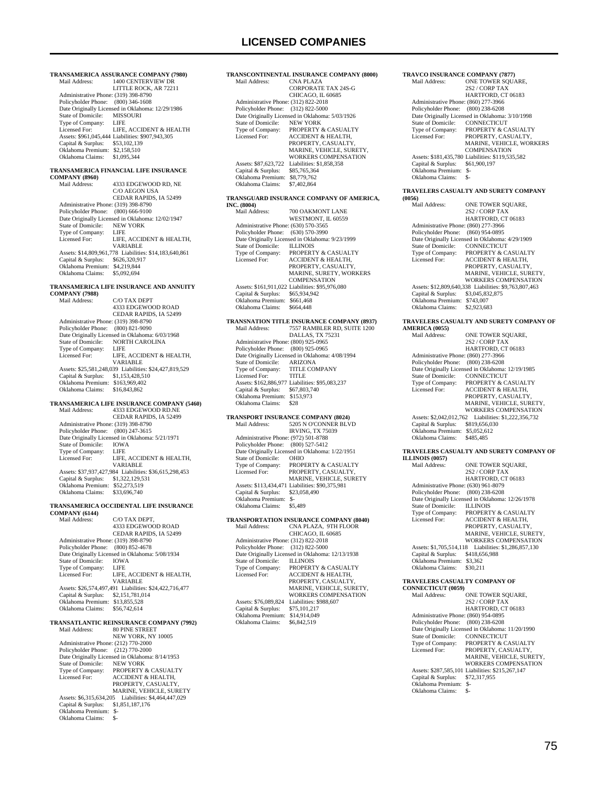| Mail Address:                                                              | TRANSAMERICA ASSURANCE COMPANY (7980)<br>1400 CENTERVIEW DR        |
|----------------------------------------------------------------------------|--------------------------------------------------------------------|
|                                                                            | LITTLE ROCK, AR 72211                                              |
| Administrative Phone: (319) 398-8790<br>Policyholder Phone: (800) 346-1608 |                                                                    |
|                                                                            | Date Originally Licensed in Oklahoma: 12/29/1986                   |
| State of Domicile:<br>Type of Company:                                     | MISSOURI<br>LIFE                                                   |
| Licensed For:                                                              | LIFE, ACCIDENT & HEALTH                                            |
|                                                                            | Assets: \$961,045,444 Liabilities: \$907,943,305                   |
| Capital & Surplus: \$53,102,139<br>Oklahoma Premium: \$2,158,510           |                                                                    |
| Oklahoma Claims: \$1,095,344                                               |                                                                    |
|                                                                            | TRANSAMERICA FINANCIAL LIFE INSURANCE                              |
| <b>COMPANY (8960)</b>                                                      |                                                                    |
| Mail Address:                                                              | 4333 EDGEWOOD RD. NE<br>C/O AEGON USA                              |
|                                                                            | CEDAR RAPIDS, IA 52499                                             |
| Administrative Phone: (319) 398-8790<br>Policyholder Phone: (800) 666-9100 |                                                                    |
|                                                                            | Date Originally Licensed in Oklahoma: 12/02/1947                   |
| State of Domicile:                                                         | <b>NEW YORK</b>                                                    |
| Type of Company:<br>Licensed For:                                          | LIFE<br>LIFE, ACCIDENT & HEALTH,                                   |
|                                                                            | VARIABLE                                                           |
| Capital & Surplus: \$626,320,917                                           | Assets: \$14,809,961,778 Liabilities: \$14,183,640,861             |
| Oklahoma Premium: \$4,219,844                                              |                                                                    |
| Oklahoma Claims:                                                           | \$5,092,694                                                        |
|                                                                            | TRANSAMERICA LIFE INSURANCE AND ANNUITY                            |
| <b>COMPANY (7988)</b>                                                      |                                                                    |
| Mail Address:                                                              | C/O TAX DEPT<br>4333 EDGEWOOD ROAD                                 |
|                                                                            | CEDAR RAPIDS, IA 52499                                             |
| Administrative Phone: (319) 398-8790<br>Policyholder Phone: (800) 821-9090 |                                                                    |
|                                                                            | Date Originally Licensed in Oklahoma: 6/03/1968                    |
| State of Domicile:<br>Type of Company:                                     | NORTH CAROLINA<br><b>LIFE</b>                                      |
| Licensed For:                                                              | LIFE, ACCIDENT & HEALTH,                                           |
|                                                                            | VARIABLE                                                           |
| Capital & Surplus: \$1,153,428,510                                         | Assets: \$25,581,248,039 Liabilities: \$24,427,819,529             |
| Oklahoma Premium: \$163,969,402                                            |                                                                    |
| Oklahoma Claims:                                                           | \$16,843,862                                                       |
|                                                                            |                                                                    |
|                                                                            | TRANSAMERICA LIFE INSURANCE COMPANY (5460)                         |
| Mail Address:                                                              | 4333 EDGEWOOD RD.NE                                                |
| Administrative Phone: (319) 398-8790                                       | CEDAR RAPIDS, IA 52499                                             |
| Policyholder Phone: (800) 247-3615                                         |                                                                    |
|                                                                            | Date Originally Licensed in Oklahoma: 5/21/1971                    |
| State of Domicile:<br>Type of Company:                                     | <b>IOWA</b><br>LIFE                                                |
| Licensed For:                                                              | LIFE, ACCIDENT & HEALTH,                                           |
|                                                                            | VARIABLE<br>Assets: \$37,937,427,984 Liabilities: \$36,615,298,453 |
| Capital & Surplus: \$1,322,129,531                                         |                                                                    |
| Oklahoma Premium: \$52,273,519<br>Oklahoma Claims:                         | \$33,696,740                                                       |
|                                                                            |                                                                    |
| <b>COMPANY (6144)</b>                                                      | TRANSAMERICA OCCIDENTAL LIFE INSURANCE                             |
| Mail Address:                                                              | C/O TAX DEPT,                                                      |
|                                                                            | 4333 EDGEWOOD ROAD<br>CEDAR RAPIDS, IA 52499                       |
| Administrative Phone: (319) 398-8790                                       |                                                                    |
| Policyholder Phone:                                                        | $(800)$ 852-4678                                                   |
| State of Domicile:                                                         | Date Originally Licensed in Oklahoma: 5/08/1934<br><b>IOWA</b>     |
| Type of Company:                                                           | <b>LIFE</b>                                                        |
| Licensed For:                                                              | LIFE, ACCIDENT & HEALTH,<br><b>VARIABLE</b>                        |
|                                                                            | Assets: \$26,574,497,491 Liabilities: \$24,422,716,477             |
| Capital & Surplus:<br>Oklahoma Premium: \$13,855,528                       | \$2,151,781,014                                                    |
| Oklahoma Claims:                                                           | \$56,742,614                                                       |
|                                                                            |                                                                    |
| Mail Address:                                                              | TRANSATLANTIC REINSURANCE COMPANY (7992)<br><b>80 PINE STREET</b>  |
|                                                                            | NEW YORK, NY 10005                                                 |
| Administrative Phone: (212) 770-2000<br>Policyholder Phone:                | $(212)$ 770-2000                                                   |
|                                                                            | Date Originally Licensed in Oklahoma: 8/14/1953                    |
| State of Domicile:<br>Type of Company:                                     | <b>NEW YORK</b><br>PROPERTY & CASUALTY                             |
| Licensed For:                                                              | ACCIDENT & HEALTH,                                                 |
|                                                                            | PROPERTY, CASUALTY,<br>MARINE, VEHICLE, SURETY                     |
| Assets: \$6,315,634,205                                                    | Liabilities: \$4,464,447,029                                       |
| Capital & Surplus:<br>Oklahoma Premium: \$-                                | \$1,851,187,176                                                    |

### **TRANSCONTINENTAL INSURANCE COMPANY (8000)** CNA PLAZA CORPORATE TAX 24S-G CHICAGO, IL 60685 Administrative Phone: (312) 822-2018 Policyholder Phone: (312) 822-5000 Date Originally Licensed in Oklahoma: 5/03/1926 State of Domicile: NEW YORK<br>Type of Company: PROPERTY &<br>Licensed For: ACCIDENT & Type of Company: PROPERTY & CASUALTY<br>Licensed For: ACCIDENT & HEALTH, PROPERTY, CASUALTY, MARINE, VEHICLE, SURETY, WORKERS COMPENSATION Assets: \$87,623,722 Liabilities: \$1,858,358 Capital & Surplus: \$85,765,364 Oklahoma Premium: \$8,779,762 Oklahoma Claims: \$7,402,864

#### **TRANSGUARD INSURANCE COMPANY OF AMERICA, INC. (8004)**

| INC. (8004)                          |                                                 |
|--------------------------------------|-------------------------------------------------|
| Mail Address:                        | 700 OAKMONT LANE                                |
|                                      | WESTMONT. IL 60559                              |
| Administrative Phone: (630) 570-3565 |                                                 |
| Policyholder Phone:                  | $(630)$ 570-3990                                |
|                                      | Date Originally Licensed in Oklahoma: 9/23/1999 |
| State of Domicile:                   | <b>ILLINOIS</b>                                 |
| Type of Company:                     | <b>PROPERTY &amp; CASUALTY</b>                  |
| Licensed For:                        | <b>ACCIDENT &amp; HEALTH,</b>                   |
|                                      | PROPERTY, CASUALTY,                             |
|                                      | <b>MARINE, SURETY, WORKERS</b>                  |
|                                      | <b>COMPENSATION</b>                             |
|                                      | Assets: \$161.911.022 Liabilities: \$95.976.080 |
| Capital & Surplus:                   | \$65,934,942                                    |
| Oklahoma Premium:                    | \$661.468                                       |
| Oklahoma Claims:                     | \$664,448                                       |

## **TRANSNATION TITLE INSURANCE COMPANY (8937)** Mail Address: 7557 RAMBLER RD, SUITE 1200

| Mali Address:                        | 7337 KAMBLEK KD. SUITE 1200                     |
|--------------------------------------|-------------------------------------------------|
|                                      | DALLAS, TX 75231                                |
| Administrative Phone: (800) 925-0965 |                                                 |
| Policyholder Phone: (800) 925-0965   |                                                 |
|                                      | Date Originally Licensed in Oklahoma: 4/08/1994 |
| State of Domicile:                   | <b>ARIZONA</b>                                  |
| Type of Company:                     | <b>TITLE COMPANY</b>                            |
| Licensed For:                        | <b>TITLE</b>                                    |
|                                      | Assets: \$162,886,977 Liabilities: \$95,083,237 |
| Capital & Surplus:                   | \$67,803,740                                    |
| Oklahoma Premium:                    | \$153,973                                       |
| Oklahoma Claims:                     | \$28                                            |
|                                      |                                                 |

### **TRANSPORT INSURANCE COMPANY (8024)**

| Mail Address:                        | 5205 N O'CONNER BLVD                            |
|--------------------------------------|-------------------------------------------------|
|                                      | <b>IRVING, TX 75039</b>                         |
| Administrative Phone: (972) 501-8788 |                                                 |
| Policyholder Phone: (800) 527-5412   |                                                 |
|                                      | Date Originally Licensed in Oklahoma: 1/22/1951 |
| State of Domicile:                   | <b>OHIO</b>                                     |
| Type of Company:                     | <b>PROPERTY &amp; CASUALTY</b>                  |
| Licensed For:                        | PROPERTY, CASUALTY,                             |
|                                      | <b>MARINE, VEHICLE, SURETY</b>                  |
|                                      | Assets: \$113,434,471 Liabilities: \$90,375,981 |
| Capital & Surplus:                   | \$23,058,490                                    |
| Oklahoma Premium:                    | \$-                                             |
| Oklahoma Claims:                     | \$5.489                                         |
|                                      |                                                 |

### **TRANSPORTATION INSURANCE COMPANY (8040)**

| Mail Address:                        | CNA PLAZA. 9TH FLOOR                             |
|--------------------------------------|--------------------------------------------------|
|                                      | CHICAGO, IL 60685                                |
| Administrative Phone: (312) 822-2018 |                                                  |
| Policyholder Phone: (312) 822-5000   |                                                  |
|                                      | Date Originally Licensed in Oklahoma: 12/13/1938 |
| State of Domicile:                   | <b>ILLINOIS</b>                                  |
| Type of Company:                     | PROPERTY & CASUALTY                              |
| Licensed For:                        | <b>ACCIDENT &amp; HEALTH.</b>                    |
|                                      | PROPERTY, CASUALTY,                              |
|                                      | MARINE, VEHICLE, SURETY.                         |
|                                      | <b>WORKERS COMPENSATION</b>                      |
| Assets: \$76,089.824                 | Liabilities: \$988,607                           |
| Capital & Surplus:                   | \$75,101,217                                     |
| Oklahoma Premium:                    | \$14,914,049                                     |
| Oklahoma Claims:                     | \$6,842,519                                      |
|                                      |                                                  |

### **TRAVCO INSURANCE COMPANY (7877)**<br>Mail Address: ONE TOWER SQUA ONE TOWER SQUARE, 2S2 / CORP TAX HARTFORD, CT 06183 Administrative Phone: (860) 277-3966 Policyholder Phone: (800) 238-6208 Date Originally Licensed in Oklahoma: 3/10/1998 State of Domicile: CONNECTICUT<br>Type of Company: PROPERTY & CA<br>Licensed For: PROPERTY, CAS Type of Company: PROPERTY & CASUALTY Licensed For: PROPERTY, CASUALTY, MARINE, VEHICLE, WORKERS COMPENSATION Assets: \$181,435,780 Liabilities: \$119,535,582

### **TRAVELERS CASUALTY AND SURETY COMPANY**

 Capital & Surplus: \$61,900,197 Oklahoma Premium: \$- Oklahoma Claims: \$-

| (0056)                               |                                                       |
|--------------------------------------|-------------------------------------------------------|
| Mail Address:                        | ONE TOWER SOUARE.                                     |
|                                      | 2S2 / CORP TAX                                        |
|                                      | HARTFORD, CT 06183                                    |
| Administrative Phone: (860) 277-3966 |                                                       |
| Policyholder Phone:                  | $(860)$ 954-0895                                      |
|                                      | Date Originally Licensed in Oklahoma: 4/29/1909       |
| State of Domicile:                   | <b>CONNECTICUT</b>                                    |
| Type of Company:                     | <b>PROPERTY &amp; CASUALTY</b>                        |
| Licensed For:                        | <b>ACCIDENT &amp; HEALTH.</b>                         |
|                                      | PROPERTY, CASUALTY,                                   |
|                                      | MARINE, VEHICLE, SURETY.                              |
|                                      | <b>WORKERS COMPENSATION</b>                           |
|                                      | Assets: \$12,809,640,338 Liabilities: \$9,763,807,463 |
| Capital & Surplus:                   | \$3,045,832,875                                       |
| Oklahoma Premium:                    | \$743,007                                             |
| Oklahoma Claims:                     | \$2,923,683                                           |
|                                      |                                                       |

## **TRAVELERS CASUALTY AND SURETY COMPANY OF AMERICA (0055)**

| <b>ARLENTCA (0000)</b>               |                                                  |
|--------------------------------------|--------------------------------------------------|
| Mail Address:                        | ONE TOWER SOUARE.                                |
|                                      | 2S2 / CORP TAX                                   |
|                                      | HARTFORD, CT 06183                               |
| Administrative Phone: (860) 277-3966 |                                                  |
| Policyholder Phone:                  | $(800)$ 238-6208                                 |
|                                      | Date Originally Licensed in Oklahoma: 12/19/1985 |
| State of Domicile:                   | <b>CONNECTICUT</b>                               |
| Type of Company:                     | PROPERTY & CASUALTY                              |
| Licensed For:                        | <b>ACCIDENT &amp; HEALTH.</b>                    |
|                                      | PROPERTY, CASUALTY.                              |
|                                      | MARINE, VEHICLE, SURETY.                         |
|                                      | <b>WORKERS COMPENSATION</b>                      |
| Assets: \$2,042,012,762              | Liabilities: \$1,222,356,732                     |
| Capital & Surplus:                   | \$819,656,030                                    |
| Oklahoma Premium:                    | \$5,052,612                                      |
| Oklahoma Claims:                     | \$485.485                                        |
|                                      |                                                  |

## **TRAVELERS CASUALTY AND SURETY COMPANY OF**

| <b>ILLINOIS (0057)</b>               |                                                  |
|--------------------------------------|--------------------------------------------------|
| Mail Address:                        | ONE TOWER SOUARE.                                |
|                                      | 2S2 / CORP TAX                                   |
|                                      | HARTFORD, CT 06183                               |
| Administrative Phone: (630) 961-8079 |                                                  |
| Policyholder Phone:                  | $(800)$ 238-6208                                 |
|                                      | Date Originally Licensed in Oklahoma: 12/26/1978 |
| State of Domicile:                   | <b>ILLINOIS</b>                                  |
| Type of Company:                     | PROPERTY & CASUALTY                              |
| Licensed For:                        | <b>ACCIDENT &amp; HEALTH.</b>                    |
|                                      | PROPERTY, CASUALTY.                              |
|                                      | MARINE, VEHICLE, SURETY.                         |
|                                      | <b>WORKERS COMPENSATION</b>                      |
| Assets: \$1,705,514,118              | Liabilities: \$1,286,857,130                     |
| Capital & Surplus:                   | \$418,656,988                                    |
| Oklahoma Premium:                    | \$3,362                                          |
| Oklahoma Claims:                     | \$30.211                                         |

## **TRAVELERS CASUALTY COMPANY OF**

| <b>CONNECTICUT (0059)</b>            |                                                  |
|--------------------------------------|--------------------------------------------------|
| Mail Address <sup>-</sup>            | ONE TOWER SOUARE.                                |
|                                      | 2S2 / CORP TAX                                   |
|                                      | HARTFORD, CT 06183                               |
| Administrative Phone: (860) 954-0895 |                                                  |
| Policyholder Phone:                  | $(800)$ 238-6208                                 |
|                                      | Date Originally Licensed in Oklahoma: 11/20/1990 |
| State of Domicile:                   | <b>CONNECTICUT</b>                               |
| Type of Company:                     | PROPERTY & CASUALTY                              |
| Licensed For:                        | PROPERTY, CASUALTY,                              |
|                                      | MARINE, VEHICLE, SURETY.                         |
|                                      | <b>WORKERS COMPENSATION</b>                      |
|                                      | Assets: \$287,585,101 Liabilities: \$215,267,147 |
| Capital & Surplus:                   | \$72,317,955                                     |
| Oklahoma Premium:                    | $S-$                                             |
| Oklahoma Claims:                     | \$-                                              |
|                                      |                                                  |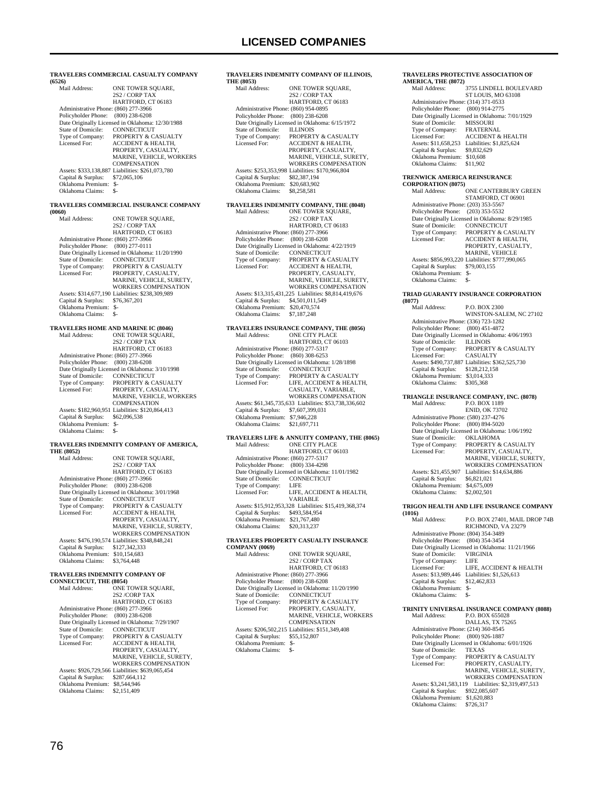| (6526)                                                      | TRAVELERS COMMERCIAL CASUALTY COMPANY                                   |
|-------------------------------------------------------------|-------------------------------------------------------------------------|
| Mail Address:                                               | ONE TOWER SQUARE,<br>2S2 / CORP TAX                                     |
| Administrative Phone: (860) 277-3966<br>Policyholder Phone: | HARTFORD, CT 06183<br>$(800)$ 238-6208                                  |
|                                                             | Date Originally Licensed in Oklahoma: 12/30/1988                        |
| State of Domicile:                                          | CONNECTICUT                                                             |
| Type of Company:<br>Licensed For:                           | PROPERTY & CASUALTY<br>ACCIDENT & HEALTH,                               |
|                                                             | PROPERTY, CASUALTY,                                                     |
|                                                             | MARINE, VEHICLE, WORKERS<br><b>COMPENSATION</b>                         |
|                                                             | Assets: \$333,138,887 Liabilities: \$261,073,780                        |
| Capital & Surplus:<br>Oklahoma Premium: \$-                 | \$72,065,106                                                            |
| Oklahoma Claims:                                            | $S-$                                                                    |
|                                                             | TRAVELERS COMMERCIAL INSURANCE COMPANY                                  |
| (0060)<br>Mail Address:                                     | ONE TOWER SQUARE,                                                       |
|                                                             | 2S2 / CORP TAX                                                          |
| Administrative Phone: (860) 277-3966                        | HARTFORD, CT 06183                                                      |
| Policyholder Phone: (800) 277-0111                          |                                                                         |
|                                                             | Date Originally Licensed in Oklahoma: 11/20/1990                        |
| State of Domicile:<br>Type of Company:                      | CONNECTICUT<br>PROPERTY & CASUALTY                                      |
| Licensed For:                                               | PROPERTY, CASUALTY,                                                     |
|                                                             | MARINE, VEHICLE, SURETY,<br>WORKERS COMPENSATION                        |
|                                                             | Assets: \$314,677,190 Liabilities: \$238,309,989                        |
| Capital & Surplus:<br>Oklahoma Premium: \$-                 | \$76,367,201                                                            |
| Oklahoma Claims:                                            | - S                                                                     |
| TRAVELERS HOME AND MARINE IC (8046)                         |                                                                         |
| Mail Address:                                               | ONE TOWER SOUARE,<br>2S2 / CORP TAX                                     |
|                                                             | HARTFORD, CT 06183                                                      |
| Administrative Phone: (860) 277-3966                        |                                                                         |
| Policyholder Phone: (800) 238-6208                          | Date Originally Licensed in Oklahoma: 3/10/1998                         |
| State of Domicile:                                          | CONNECTICUT                                                             |
| Type of Company:<br>Licensed For:                           | PROPERTY & CASUALTY<br>PROPERTY, CASUALTY,                              |
|                                                             | MARINE, VEHICLE, WORKERS                                                |
|                                                             | <b>COMPENSATION</b><br>Assets: \$182,960,951 Liabilities: \$120,864,413 |
| Capital & Surplus:                                          | \$62,096,538                                                            |
| Oklahoma Premium: \$-<br>Oklahoma Claims:                   | \$-                                                                     |
|                                                             | TRAVELERS INDEMNITY COMPANY OF AMERICA,                                 |
| THE (8052)<br>Mail Address:                                 | ONE TOWER SQUARE,                                                       |
|                                                             | 2S2 / CORP TAX                                                          |
| Administrative Phone: (860) 277-3966                        | HARTFORD, CT 06183                                                      |
| Policyholder Phone: (800) 238-6208                          |                                                                         |
| State of Domicile:                                          | Date Originally Licensed in Oklahoma: 3/01/1968<br>CONNECTICUT          |
| Type of Company:                                            | PROPERTY & CASUALTY                                                     |
| Licensed For:                                               | ACCIDENT & HEALTH,                                                      |
|                                                             | PROPERTY, CASUALTY,<br>MARINE, VEHICLE, SURETY,                         |
|                                                             | WORKERS COMPENSATION                                                    |
| Capital & Surplus:                                          | Assets: \$476,190,574 Liabilities: \$348,848,241<br>\$127,342,333       |
| Oklahoma Premium: \$10,154,683                              |                                                                         |
| Oklahoma Claims:                                            | \$3,764,448                                                             |
| TRAVELERS INDEMNITY COMPANY OF<br>CONNECTICUT, THE (8054)   |                                                                         |
| Mail Address:                                               | ONE TOWER SOUARE,                                                       |
|                                                             | 2S2/CORP TAX<br>HARTFORD, CT 06183                                      |
| Administrative Phone: (860) 277-3966                        |                                                                         |
| Policyholder Phone:                                         | $(800)$ 238-6208<br>Date Originally Licensed in Oklahoma: 7/29/1907     |
| State of Domicile:                                          | CONNECTICUT                                                             |
| Type of Company:<br>Licensed For:                           | PROPERTY & CASUALTY<br>ACCIDENT & HEALTH,                               |
|                                                             | PROPERTY, CASUALTY,                                                     |
|                                                             | MARINE, VEHICLE, SURETY,<br>WORKERS COMPENSATION                        |
|                                                             | Assets: \$926,729,566 Liabilities: \$639,065,454                        |
| Capital & Surplus:                                          | \$287,664,112                                                           |
| Oklahoma Premium: \$8,544,946<br>Oklahoma Claims:           | \$2,151,409                                                             |

| THE (8053)                                                                 | TRAVELERS INDEMNITY COMPANY OF ILLINOIS,                                                        |
|----------------------------------------------------------------------------|-------------------------------------------------------------------------------------------------|
| Mail Address:                                                              | ONE TOWER SQUARE,<br>2S2 / CORP TAX                                                             |
| Administrative Phone: (860) 954-0895<br>Policyholder Phone:                | HARTFORD, CT 06183<br>$(800)$ 238-6208                                                          |
| State of Domicile:                                                         | Date Originally Licensed in Oklahoma: 6/15/1972<br><b>ILLINOIS</b>                              |
| Type of Company:<br>Licensed For:                                          | PROPERTY & CASUALTY<br>ACCIDENT & HEALTH,<br>PROPERTY, CASUALTY,<br>MARINE, VEHICLE, SURETY,    |
|                                                                            | WORKERS COMPENSATION                                                                            |
| Capital & Surplus:<br>Oklahoma Premium:<br>Oklahoma Claims:                | Assets: \$253,353,998 Liabilities: \$170,966,804<br>\$82,387,194<br>\$20,683,902<br>\$8,258,581 |
|                                                                            |                                                                                                 |
| Mail Address:                                                              | TRAVELERS INDEMNITY COMPANY, THE (8048)<br>ONE TOWER SOUARE,                                    |
|                                                                            | 2S2 / CORP TAX<br>HARTFORD, CT 06183                                                            |
| Administrative Phone: (860) 277-3966                                       |                                                                                                 |
| Policyholder Phone: (800) 238-6208                                         |                                                                                                 |
| State of Domicile:                                                         | Date Originally Licensed in Oklahoma: 4/22/1919<br>CONNECTICUT                                  |
| Type of Company:                                                           | PROPERTY & CASUALTY                                                                             |
| Licensed For:                                                              | <b>ACCIDENT &amp; HEALTH,</b>                                                                   |
|                                                                            | PROPERTY, CASUALTY,<br>MARINE, VEHICLE, SURETY,                                                 |
|                                                                            | <b>WORKERS COMPENSATION</b>                                                                     |
| Capital & Surplus:                                                         | Assets: \$13,315,431,225 Liabilities: \$8,814,419,676<br>\$4,501,011,549                        |
| Oklahoma Premium: \$20,470,574                                             |                                                                                                 |
| Oklahoma Claims:                                                           | \$7,187,248                                                                                     |
| Mail Address:                                                              | TRAVELERS INSURANCE COMPANY, THE (8056)<br>ONE CITY PLACE                                       |
|                                                                            | HARTFORD, CT 06103                                                                              |
| Administrative Phone: (860) 277-5317                                       |                                                                                                 |
| Policyholder Phone: (860) 308-6253                                         | Date Originally Licensed in Oklahoma: 1/28/1898                                                 |
| State of Domicile:                                                         | CONNECTICUT                                                                                     |
| Type of Company:<br>Licensed For:                                          | PROPERTY & CASUALTY<br>LIFE, ACCIDENT & HEALTH,                                                 |
|                                                                            | CASUALTY, VARIABLE,<br>WORKERS COMPENSATION                                                     |
| Capital & Surplus:                                                         | Assets: \$61,345,735,633 Liabilities: \$53,738,336,602<br>\$7,607,399,031                       |
| Oklahoma Premium: \$7,946,228                                              |                                                                                                 |
| Oklahoma Claims:                                                           | \$21,697,711                                                                                    |
| Mail Address:                                                              | TRAVELERS LIFE & ANNUITY COMPANY, THE (8065)<br>ONE CITY PLACE                                  |
| Administrative Phone: (860) 277-5317                                       | HARTFORD, CT 06103                                                                              |
| Policyholder Phone: (800) 334-4298                                         |                                                                                                 |
|                                                                            | Date Originally Licensed in Oklahoma: 11/01/1982                                                |
| State of Domicile:<br>Type of Company:                                     | CONNECTICUT<br>LIFE                                                                             |
| Licensed For:                                                              | LIFE, ACCIDENT & HEALTH,                                                                        |
|                                                                            | VARIABLE<br>Assets: \$15,912,953,328 Liabilities: \$15,419,368,374                              |
| Capital & Surplus: \$493,584,954                                           |                                                                                                 |
| Oklahoma Premium: \$21,767,480<br>Oklahoma Claims:                         | \$20,313,237                                                                                    |
|                                                                            | TRAVELERS PROPERTY CASUALTY INSURANCE                                                           |
| <b>COMPANY (0069)</b><br>Mail Address:                                     | ONE TOWER SQUARE,                                                                               |
|                                                                            | 2S2 / CORP TAX                                                                                  |
|                                                                            | HARTFORD, CT 06183                                                                              |
| Administrative Phone: (860) 277-3966<br>Policyholder Phone: (800) 238-6208 |                                                                                                 |
|                                                                            | Date Originally Licensed in Oklahoma: 11/20/1990                                                |
| State of Domicile:                                                         | CONNECTICUT                                                                                     |
| Type of Company:<br>Licensed For:                                          | PROPERTY & CASUALTY<br>PROPERTY, CASUALTY,                                                      |
|                                                                            | MARINE, VEHICLE, WORKERS                                                                        |
|                                                                            | COMPENSATION<br>Assets: \$206,502,215 Liabilities: \$151,349,408                                |
| Capital & Surplus:                                                         | \$55,152,807                                                                                    |
| Oklahoma Premium: \$-                                                      |                                                                                                 |
| Oklahoma Claims:                                                           | -\$                                                                                             |

#### **TRAVELERS PROTECTIVE ASSOCIATION OF AMERICA, THE (8072)**

| Mail Address:                        | 3755 LINDELL BOULEVARD                          |
|--------------------------------------|-------------------------------------------------|
|                                      | ST LOUIS, MO 63108                              |
| Administrative Phone: (314) 371-0533 |                                                 |
| Policyholder Phone: (800) 914-2775   |                                                 |
|                                      | Date Originally Licensed in Oklahoma: 7/01/1929 |
| State of Domicile:                   | <b>MISSOURI</b>                                 |
| Type of Company:                     | <b>FRATERNAL</b>                                |
| Licensed For:                        | <b>ACCIDENT &amp; HEALTH</b>                    |
| Assets: \$11,658,253                 | Liabilities: \$1,825,624                        |
| Capital & Surplus:                   | \$9,832,629                                     |
| Oklahoma Premium:                    | \$10,608                                        |
| Oklahoma Claims:                     | \$11.902                                        |

#### **TRENWICK AMERICA REINSURANCE**   $cc$

| <b>CORPORATION (8075)</b>            |                                                  |
|--------------------------------------|--------------------------------------------------|
| Mail Address:                        | <b>ONE CANTERBURY GREEN</b>                      |
|                                      | STAMFORD, CT 06901                               |
| Administrative Phone: (203) 353-5567 |                                                  |
| Policyholder Phone: (203) 353-5532   |                                                  |
|                                      | Date Originally Licensed in Oklahoma: 8/29/1985  |
| State of Domicile:                   | <b>CONNECTICUT</b>                               |
| Type of Company:                     | PROPERTY & CASUALTY                              |
| Licensed For:                        | <b>ACCIDENT &amp; HEALTH.</b>                    |
|                                      | PROPERTY, CASUALTY,                              |
|                                      | <b>MARINE, VEHICLE</b>                           |
|                                      | Assets: \$856,993,220 Liabilities: \$777,990,065 |
| Capital & Surplus:                   | \$79,003,155                                     |
| Oklahoma Premium:                    | \$-                                              |
| Oklahoma Claims:                     | $S-$                                             |
|                                      |                                                  |
|                                      | TRIAD GUARANTY INSURANCE CORPORATION             |
| (8077)                               |                                                  |
| Mail Address:                        | <b>P.O. BOX 2300</b>                             |

| тепи сминала.                        | 1.11.11177.7.7111                                |
|--------------------------------------|--------------------------------------------------|
|                                      | WINSTON-SALEM, NC 27102                          |
| Administrative Phone: (336) 723-1282 |                                                  |
| Policyholder Phone: (800) 451-4872   |                                                  |
|                                      | Date Originally Licensed in Oklahoma: 4/06/1993  |
| State of Domicile:                   | <b>ILLINOIS</b>                                  |
| Type of Company:                     | PROPERTY & CASUALTY                              |
| Licensed For:                        | <b>CASUALTY</b>                                  |
|                                      | Assets: \$490,737,887 Liabilities: \$362,525,730 |
| Capital & Surplus:                   | \$128,212,158                                    |
| Oklahoma Premium:                    | \$3,014,333                                      |
| Oklahoma Claims:                     | \$305,368                                        |

### **TRIANGLE INSURANCE COMPANY, INC. (8078)**

|                                      | I KIANGLE INSUKANCE COMPANT, INC. (6076)        |
|--------------------------------------|-------------------------------------------------|
| Mail Address:                        | P.O. BOX 1189                                   |
|                                      | <b>ENID. OK 73702</b>                           |
| Administrative Phone: (580) 237-4276 |                                                 |
| Policyholder Phone: (800) 894-5020   |                                                 |
|                                      | Date Originally Licensed in Oklahoma: 1/06/1992 |
| State of Domicile:                   | <b>OKLAHOMA</b>                                 |
| Type of Company:                     | <b>PROPERTY &amp; CASUALTY</b>                  |
| Licensed For:                        | PROPERTY. CASUALTY.                             |
|                                      | MARINE, VEHICLE, SURETY,                        |
|                                      | <b>WORKERS COMPENSATION</b>                     |
| Assets: \$21,455,907                 | Liabilities: \$14,634,886                       |
| Capital & Surplus:                   | \$6,821,021                                     |
| Oklahoma Premium:                    | \$4,675,009                                     |
| Oklahoma Claims:                     | \$2,002,501                                     |
|                                      |                                                 |

### **TRIGON HEALTH AND LIFE INSURANCE COMPANY**

| (1016)                               |                                                  |
|--------------------------------------|--------------------------------------------------|
| Mail Address:                        | P.O. BOX 27401, MAIL DROP 74B                    |
|                                      | RICHMOND, VA 23279                               |
| Administrative Phone: (804) 354-3489 |                                                  |
| Policyholder Phone: (804) 354-3454   |                                                  |
|                                      | Date Originally Licensed in Oklahoma: 11/21/1966 |
| State of Domicile:                   | VIRGINIA                                         |
| Type of Company:                     | <b>LIFE</b>                                      |
| Licensed For:                        | LIFE. ACCIDENT & HEALTH                          |
| Assets: \$13,989,446                 | Liabilities: \$1,526,613                         |
| Capital & Surplus:                   | \$12,462,833                                     |
| Oklahoma Premium:                    | $S-$                                             |
| Oklahoma Claims:                     | $S-$                                             |
|                                      |                                                  |
|                                      | $\Omega$ and a $\mathbf{W}$ (0000)               |

### **TRINITY UNIVERSAL INSURANCE COMPANY (8088)**

 Mail Address: P.O. BOX 655028 DALLAS, TX 75265 Administrative Phone: (214) 360-8545 Policyholder Phone: (800) 926-1887<br>
Date Originally Licensed in Oklahoma: 6/01/1926<br>
State of Domicile: TEXAS<br>
Type of Company: PROPERTY & CASUALTY<br>
Licensed For: PROPERTY, CASUALTY, MARINE, VEHICLE, SURETY,<br>
WORKERS COMPENSATION<br>
Capital & Surplus: \$922,085,607<br>
Oklahoma Premium: \$1,620,883<br>
Oklahoma Premium: \$1,620,883<br>
Oklahoma Claims: \$726,317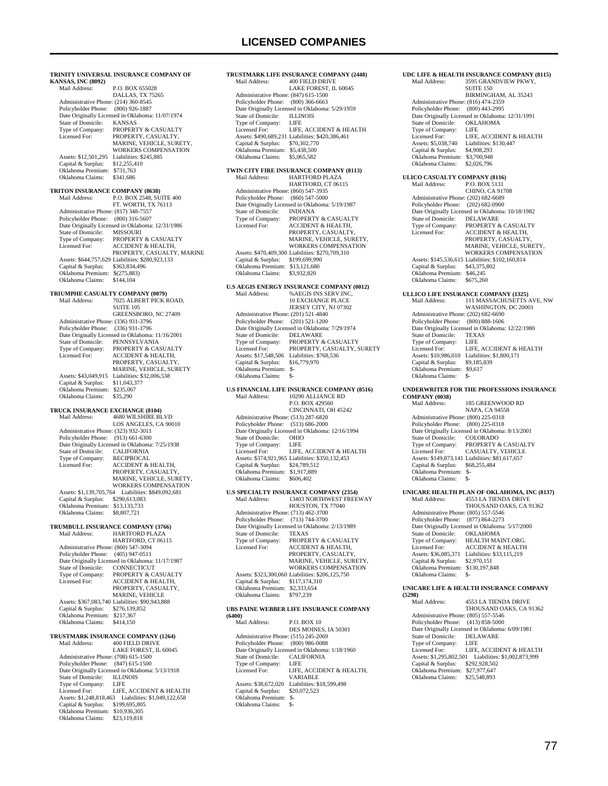### **LICENSED COMPANIES**

**TRINITY UNIVERSAL INSURANCE COMPANY OF KANSAS, INC (8092)** P.O. BOX 655028 DALLAS, TX 75265 Administrative Phone: (214) 360-8545 Policyholder Phone: (800) 926-1887 Date Originally Licensed in Oklahoma: 11/07/1974<br>State of Domicile: KANSAS State of Domicile:<br>Type of Company: Type of Company: PROPERTY & CASUALTY<br>Licensed For: PROPERTY, CASUALTY PROPERTY, CASUALTY, MARINE, VEHICLE, SURETY WORKERS COMPENSATION Assets: \$12,501,295 Liabilities: \$245,885<br>Capital & Surplus: \$12.255.410 Capital & Surplus: \$12,255,410 Oklahoma Premium: \$731,763 Oklahoma Claims: \$341,686 **TRITON INSURANCE COMPANY (8638)**<br>Mail Address: PO BOX 2548 SU Mail Address: P.O. BOX 2548, SUITE 400 FT. WORTH, TX 76113 Administrative Phone: (817) 348-7557 Policyholder Phone: (800) 316-5607 Date Originally Licensed in Oklahoma: 12/31/1986<br>State of Domicile: MISSOURI State of Domicile:<br>Type of Company: Type of Company: PROPERTY & CASUALTY<br>
Licensed For: ACCIDENT & HEALTH, Licensed For: ACCIDENT & HEALTH, PROPERTY, CASUALTY, MARINE Assets: \$644,757,629 Liabilities: \$280,923,133 Capital & Surplus: \$363,834,496 Oklahoma Premium: \$(275,883) Oklahoma Claims: \$144,104 **TRIUMPHE CASUALTY COMPANY (0079)**<br>Mail Address: 7025 ALBERT PICK I Mail Address: 7025 ALBERT PICK ROAD, SUITE 105 GREENSBORO, NC 27409 Administrative Phone: (336) 931-3796 Policyholder Phone: (336) 931-3796 Date Originally Licensed in Oklahoma: 11/16/2001 State of Domicile: PENNSYLVANIA Type of Company: FEBRITY & CASUALTY<br>Type of Company: PROPERTY & CASUALTY  $ACCIDENT & HEAI TH$ PROPERTY, CASUALTY, MARINE, VEHICLE, SURETY Assets: \$43,049,915 Liabilities: \$32,006,538<br>Capital & Surplus: \$11,043,377 Capital & Surplus: \$11,043,377 Oklahoma Premium: \$235,067 Oklahoma Claims: \$35,290 **TRUCK INSURANCE EXCHANGE (8104)**<br>Mail Address: 4680 WILSHIRE BI Mail Address: 4680 WILSHIRE BLVD LOS ANGELES, CA 90010 Administrative Phone: (323) 932-3011 Policyholder Phone: (913) 661-6300 Date Originally Licensed in Oklahoma: 7/25/1938<br>State of Domicile: CALIFORNIA State of Domicile: CALIFORNIA<br>Type of Company: RECIPROCAL Type of Company: Licensed For: ACCIDENT & HEALTH, PROPERTY, CASUALTY, MARINE, VEHICLE, SURETY, WARTHE, VEHICLE, SORETT Assets: \$1,139,705,764 Liabilities: \$849,092,681 Capital & Surplus: \$290,613,083 Oklahoma Premium: \$13,133,733 Oklahoma Claims: \$8,807,721 **TRUMBULL INSURANCE COMPANY (3766)**<br>Mail Address: **HARTFORD PLAZA**  Mail Address: HARTFORD PLAZA HARTFORD, CT 06115 Administrative Phone: (860) 547-3094 Policyholder Phone: (405) 947-0511 Date Originally Licensed in Oklahoma: 11/17/1987<br>State of Domicile: CONNECTICUT State of Domicile: Type of Company: PROPERTY & CASUALTY<br>Licensed For: ACCIDENT & HEALTH, ACCIDENT & HEALTH, PROPERTY, CASUALTY MARINE, VEHICLE Assets: \$367,083,740 Liabilities: \$90,943,888 Capital & Surplus: \$276,139,852 Oklahoma Premium: \$217,367 Oklahoma Claims: \$414,150 **TRUSTMARK INSURANCE COMPANY (1264)** Mail Address: 400 FIELD DRIVE LAKE FOREST, IL 60045 Administrative Phone: (708) 615-1500 Policyholder Phone: (847) 615-1500 Date Originally Licensed in Oklahoma: 5/13/1918<br>State of Domicile: **ILLINOIS** State of Domicile: ILLIN<br>Type of Company: LIFE Type of Company:<br>Licensed For: LIFE, ACCIDENT & HEALTH Assets: \$1,248,818,463 Liabilities: \$1,049,122,658 Capital & Surplus: \$199,695,805 Oklahoma Premium: \$10,936,305 Oklahoma Claims: \$23,119,818

**TRUSTMARK LIFE INSURANCE COMPANY (2448)**<br>Mail Address: 400 FIELD DRIVE 400 FIELD DRIVE LAKE FOREST, IL 60045 Administrative Phone: (847) 615-1500 Policyholder Phone: (800) 366-6663 Date Originally Licensed in Oklahoma: 5/29/1959<br>State of Domicile: ILLINOIS State of Domicile: Type of Company:<br>Licensed For: LIFE<br>LIFE, ACCIDENT & HEALTH Assets: \$490,689,231 Liabilities: \$420,386,461 Capital & Surplus: \$70,302,770 Oklahoma Premium: \$5,438,500 Oklahoma Claims: \$5,065,582 **TWIN CITY FIRE INSURANCE COMPANY (8113)**<br>Mail Address: **HARTFORD PLAZA**  Mail Address: HARTFORD PLAZA HARTFORD, CT 06115 Administrative Phone: (860) 547-3935 Policyholder Phone: (860) 547-5000 Date Originally Licensed in Oklahoma: 5/19/1987 State of Domicile: INDIANA<br>Type of Company: PROPERTY Type of Company: PROPERTY & CASUALTY<br>
Licensed For: ACCIDENT & HEALTH, ACCIDENT & HEALTH, PROPERTY, CASUALTY, MARINE, VEHICLE, SURETY, WORKERS COMPENSATION Assets: \$470,409,300 Liabilities: \$270,709,310 Capital & Surplus: \$199,699,990 Oklahoma Premium: \$13,121,680<br>Oklahoma Claims: \$3,932,820 Oklahoma Claims: **U.S AEGIS ENERGY INSURANCE COMPANY (0012)** Mail Address: %AEGIS INS SERV.INC, 10 EXCHANGE PLACE JERSEY CITY, NJ 07302 Administrative Phone: (201) 521-4840 Policyholder Phone: (201) 521-1200 Date Originally Licensed in Oklahoma: 7/29/1974 State of Domicile:<br>Type of Company:  $\begin{array}{lcl} \texttt{DELAWARE} \\ \texttt{PROPERTIES} \end{array} \begin{array}{lcl} \texttt{CELAWARE} \\ \texttt{PROPERTIES} \end{array}$  Licensed For: PROPERTY, CASUALTY, SURETY Assets: \$17,548,506 Liabilities: \$768,536 Capital & Surplus: \$16,779,970 Oklahoma Premium: \$- Oklahoma Claims: \$- **U.S FINANCIAL LIFE INSURANCE COMPANY (8516)** 10290 ALLIANCE RD P.O. BOX 429560 CINCINNATI, OH 45242 Administrative Phone: (513) 287-6820 Policyholder Phone: (513) 686-2000 Date Originally Licensed in Oklahoma: 12/16/1994<br>State of Domicile: OHIO State of Domicile: OHIC<br>Type of Company: LIFE Type of Company:<br>Licensed For: LIFE, ACCIDENT & HEALTH Assets: \$374,921,965 Liabilities: \$350,132,453 Capital & Surplus: \$24,789,512 Oklahoma Premium: \$1,917,889 Oklahoma Claims: \$606,402 **U.S SPECIALTY INSURANCE COMPANY (2354)** 13403 NORTHWEST FREEWAY HOUSTON, TX 77040 Administrative Phone: (713) 462-3700 Policyholder Phone: (713) 744-3700 Date Originally Licensed in Oklahoma: 2/13/1989<br>State of Domicile: TEXAS State of Domicile: Type of Company: PROPERTY & CASUALTY<br>Licensed For: ACCIDENT & HEALTH. Licensed For: ACCIDENT & HEALTH, PROPERTY, CASUALTY, MARINE, VEHICLE, SURETY, WORKERS COMPENSATION Assets: \$323,300,060 Liabilities: \$206,125,750 Capital & Surplus: \$117,174,310 Oklahoma Premium: \$2,333,654 Oklahoma Claims: \$797,239 **UBS PAINE WEBBER LIFE INSURANCE COMPANY (6400)** Mail Address: P.O. BOX 10 DES MOINES, IA 50301 Administrative Phone: (515) 245-2069 Policyholder Phone: (800) 986-0088 Date Originally Licensed in Oklahoma: 1/18/1960<br>State of Domicile: CALIFORNIA

State of Domicile: CALI<br>Type of Company: LIFE Type of Company:<br>Licensed For:

LIFE, ACCIDENT & HEALTH,

VARIABLE Assets: \$38,672,020 Liabilities: \$18,599,498<br>Capital & Surplus: \$20,072,523 Capital & Surplus: \$20,072,523 Oklahoma Premium: \$- Oklahoma Claims: \$-

### **SUITE 150** BIRMINGHAM, AL 35243 Administrative Phone: (816) 474-2359 Policyholder Phone: (800) 443-2995 Pate Originally Licensed in Oklahoma: 12/31/1991<br>State of Domicile: OKLAHOMA State of Domicile: OKL<br>Type of Company: LIFE Type of Company:<br>Licensed For:<br>Assets: \$5.038.740 LIFE, ACCIDENT & HEALTH Liabilities: \$130,447<br>\$4,908,293 Capital & Surplus: \$4,908,293<br>Oklahoma Premium: \$3,700,948 Oklahoma Premium: \$3,700,948<br>Oklahoma Claims: \$2,026,796 Oklahoma Claims: **ULICO CASUALTY COMPANY (8116)**<br>Mail Address: P.O. BOX 5131 P.O. BOX 5131 CHINO, CA 91708 Administrative Phone: (202) 682-6689 Policyholder Phone: (202) 682-0900 Date Originally Licensed in Oklahoma: 10/18/1982 State of Domicile: DELAWARE Type of Company: PROPERTY & CASUALTY<br>Licensed For: ACCIDENT & HEALTH. ACCIDENT & HEALTH, PROPERTY, CASUALTY, MARINE, VEHICLE, SURETY, WORKERS COMPENSATION Assets: \$145,536,615 Liabilities: \$102,160,814 Capital & Surplus: \$43,375,802 Oklahoma Premium: \$46,245 Oklahoma Claims: \$675,260 **ULLICO LIFE INSURANCE COMPANY (1325)**<br>Mail Address: 111 MASSACHUSETTS Mail Address: 111 MASSACHUSETTS AVE, NW WASHINGTON, DC 20001 Administrative Phone: (202) 682-6690 Policyholder Phone: (800) 888-1606 Date Originally Licensed in Oklahoma: 12/22/1980<br>State of Domicile: TEXAS State of Domicile: TEXA<br>Type of Company: LIFE Type of Company: LIFE<br>Licensed For: LIFE, ACCIDENT & HEALTH Licensed For: LIFE, ACCIDENT & HEALTH Assets: \$10,986,010 Liabilities: \$1,800,171 Capital & Surplus: \$9,185,839 Oklahoma Premium: \$9,617 Oklahoma Claims: \$- **UNDERWRITER FOR THE PROFESSIONS INSURANCE COMPANY (0038)** 185 GREENWOOD RD NAPA, CA 94558 Administrative Phone: (800) 225-0318 Policyholder Phone: (800) 225-0318 Date Originally Licensed in Oklahoma: 8/13/2001 State of Domicile:<br>Type of Company: Type of Company: PROPERTY & CASUALTY<br>Licensed For: CASUALTY, VEHICLE CASUALTY, VEHICLE Assets: \$149,873,141 Liabilities: \$81,617,657 Capital & Surplus: \$68,255,484 Oklahoma Premium: \$- Oklahoma Claims: \$- **UNICARE HEALTH PLAN OF OKLAHOMA, INC (8137)** 4553 LA TIENDA DRIVE THOUSAND OAKS, CA 91362 Administrative Phone: (805) 557-5546 Policyholder Phone: (877) 864-2273 Date Originally Licensed in Oklahoma: 5/17/2000 State of Domicile:<br>Type of Company: OKLAHOMA<br>HEALTH MAINT.ORG. Licensed For: ACCIDENT & HEALTH Assets: \$36,085,371 Liabilities: \$33,115,219 Capital & Surplus: \$2,970,151 Oklahoma Premium: \$130,197,848 Oklahoma Claims: **UNICARE LIFE & HEALTH INSURANCE COMPANY (5298)** 4553 LA TIENDA DRIVE THOUSAND OAKS, CA 91362 Administrative Phone: (805) 557-5546 Policyholder Phone: (413) 858-5000 Date Originally Licensed in Oklahoma: 6/09/1981<br>State of Domicile: DELAWARE State of Domicile: DELA<br>Type of Company: LIFE Type of Company: LIFE<br>
Licensed For: LIFE, ACCIDENT & HEALTH<br>
Assets: \$1,295,802,501 Liabilities: \$1,002,873,999<br>
Capital & Surplus: \$292,928,502<br>
Oklahoma Premium: \$27,977,647 Oklahoma Claims: \$25,548,893

**UDC LIFE & HEALTH INSURANCE COMPANY (8115)**<br>Mail Address: 3595 GRANDVIEW PKWY.

3595 GRANDVIEW PKWY,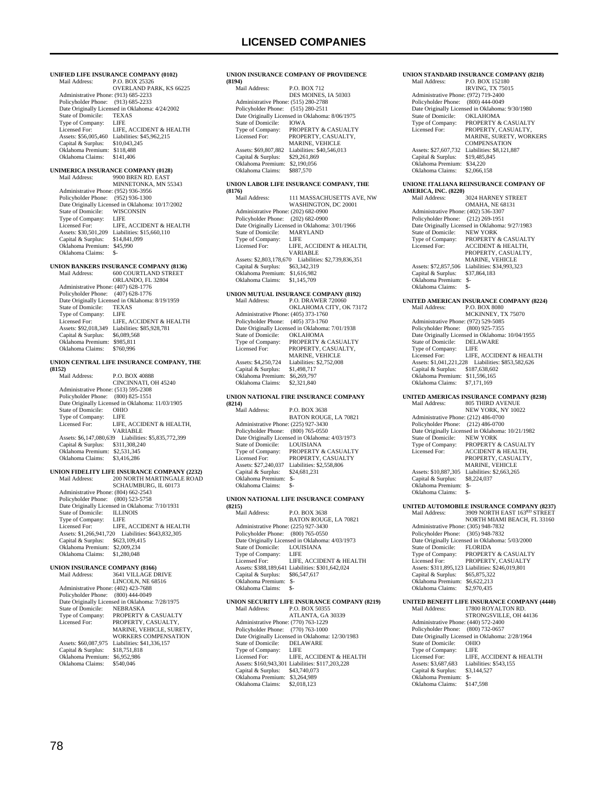**UNIFIED LIFE INSURANCE COMPANY (0102)**<br>Mail Address: P.O. BOX 25326 P.O. BOX 25326 OVERLAND PARK, KS 66225 Administrative Phone: (913) 685-2233 Policyholder Phone: (913) 685-2233 Date Originally Licensed in Oklahoma: 4/24/2002 State of Domicile: TEXA<br>Type of Company: LIFE Type of Company:<br>Licensed For LIFE, ACCIDENT & HEALTH Assets: \$56,005,460 Liabilities: \$45,962,215<br>Capital & Surplus: \$10,043,245 Capital & Surplus: \$10,043,245 Oklahoma Premium: \$118,488 Oklahoma Claims: \$141,406 **UNIMERICA INSURANCE COMPANY (0128)**<br>Mail Address: 9900 BREN RD. EAST 9900 BREN RD. EAST MINNETONKA, MN 55343 Administrative Phone: (952) 936-3956 Policyholder Phone: (952) 936-1300 Date Originally Licensed in Oklahoma: 10/17/2002 State of Domicile: WISCONSIN<br>Type of Company: LIFE Type of Company: LIFE<br>
Licensed For: LIFE, ACCIDENT & HEALTH<br>
Assets: \$30,501,209 Liabilities: \$15,660,110<br>
Capital & Surplus: \$14,841,099<br>
Oklahoma Premium: \$45,990 Oklahoma Claims: \$-**UNION BANKERS INSURANCE COMPANY (8136)** Mail Address: 600 COURTLAND STREET ORLANDO, FL 32804 Administrative Phone: (407) 628-1776 Policyholder Phone: (407) 628-1776 Date Originally Licensed in Oklahoma: 8/19/1959 State of Domicile: TEXAS<br>Type of Company: LIFE Type of Company:<br>Licensed For: LIFE, ACCIDENT & HEALTH Assets: \$92,018,349 Liabilities: \$85,928,781<br>Capital & Surplus: \$6,089,568 Capital & Surplus: Oklahoma Premium: \$985,811<br>Oklahoma Claims: \$760,996 Oklahoma Claims: **UNION CENTRAL LIFE INSURANCE COMPANY, THE (8152) P.O. BOX 40888**  CINCINNATI, OH 45240 Administrative Phone: (513) 595-2308 Policyholder Phone: (800) 825-1551 Date Originally Licensed in Oklahoma: 11/03/1905<br>State of Domicile: OHIO State of Domicile: OHIC<br>Type of Company: LIFE Type of Company:<br>Licensed For: LIFE, ACCIDENT & HEALTH, VARIABLE Assets: \$6,147,080,639 Liabilities: \$5,835,772,399 Capital & Surplus: \$311,308,240 Oklahoma Premium: \$2,531,345 Oklahoma Claims: \$3,416,286 **UNION FIDELITY LIFE INSURANCE COMPANY (2232)** Mail Address: 200 NORTH MARTINGALE ROAD SCHAUMBURG, IL 60173 Administrative Phone: (804) 662-2543 Policyholder Phone: (800) 523-5758 Date Originally Licensed in Oklahoma: 7/10/1931<br>State of Domicile: ILLINOIS State of Domicile: ILLIN<br>Type of Company: LIFE Type of Company:<br>Licensed For: LIFE, ACCIDENT & HEALTH Assets: \$1,266,941,720 Liabilities: \$643,832,305 Capital & Surplus: \$623,109,415 Oklahoma Premium: \$2,009,234 Oklahoma Claims: \$1,280,048 **UNION INSURANCE COMPANY (8166)** Mail Address: 3641 VILLAGE DRIVE LINCOLN, NE 68516 Administrative Phone: (402) 423-7688 Policyholder Phone: (800) 444-0049 Date Originally Licensed in Oklahoma: 7/28/1975<br>State of Domicile: NEBRASKA State of Domicile:<br>Type of Company: Type of Company: PROPERTY & CASUALTY<br>Licensed For: PROPERTY, CASUALTY PROPERTY, CASUALTY, MARINE, VEHICLE, SURETY, WORKERS COMPENSATION Assets: \$60,087,975 Liabilities: \$41,336,157<br>Capital & Surplus: \$18,751,818 Capital & Surplus: Oklahoma Premium: \$6,952,986<br>Oklahoma Claims: \$540.046 Oklahoma Claims:

### **UNION INSURANCE COMPANY OF PROVIDENCE (8194)** P.O. BOX 712 DES MOINES, IA 50303 Administrative Phone: (515) 280-2788 Policyholder Phone: (515) 280-2511 Date Originally Licensed in Oklahoma: 8/06/1975 State of Domicile: IOWA<br>Type of Company: PROPE Type of Company: PROPERTY & CASUALTY<br>Licensed For: PROPERTY, CASUALTY PROPERTY, CASUALTY, MARINE, VEHICLE Assets: \$69,807,882 Liabilities: \$40,546,013 Capital & Surplus: \$29,261,869 Oklahoma Premium: \$2,190,056<br>Oklahoma Claims: \$887,570 Oklahoma Claims: **UNION LABOR LIFE INSURANCE COMPANY, THE (8176)** 111 MASSACHUSETTS AVE, NW WASHINGTON, DC 20001 Administrative Phone: (202) 682-0900 Policyholder Phone: (202) 682-0900 Date Originally Licensed in Oklahoma: 3/01/1966<br>State of Domicile: MARYLAND State of Domicile: MARY<br>Type of Company: LIFE Type of Company:<br>Licensed For: LIFE, ACCIDENT & HEALTH, VARIABLE Assets: \$2,803,178,670 Liabilities: \$2,739,836,351 Capital & Surplus: \$63,342,319 Oklahoma Premium: \$1,616,982 Oklahoma Claims: \$1,145,709 **UNION MUTUAL INSURANCE COMPANY (8192)** Mail Address: P.O. DRAWER 720060 OKLAHOMA CITY, OK 73172 Administrative Phone: (405) 373-1760 Policyholder Phone: (405) 373-1760 Date Originally Licensed in Oklahoma: 7/01/1938 State of Domicile:<br>Type of Company: The Symbols Company: The Company: PROPERTY & CASUALTY<br>Type of Company: PROPERTY & CASUALTY<br>Licensed For: PROPERTY. CASUALTY. PROPERTY, CASUALTY, MARINE, VEHICLE Assets: \$4,250,724 Liabilities: \$2,752,008<br>Capital & Surplus: \$1,498,717 Capital & Surplus: \$1,498,717<br>Oklahoma Premium: \$6,269,797 Oklahoma Premium: \$6,269,797<br>Oklahoma Claims: \$2,321,840 Oklahoma Claims: **UNION NATIONAL FIRE INSURANCE COMPANY (8214) P.O. BOX 3638**  BATON ROUGE, LA 70821 Administrative Phone: (225) 927-3430 Policyholder Phone: (800) 765-0550 Date Originally Licensed in Oklahoma: 4/03/1973<br>State of Domicile: I OUISIANA State of Domicile:<br>Type of Company: Type of Company: PROPERTY & CASUALTY<br>Licensed For: PROPERTY, CASUALTY PROPERTY, CASUALTY Assets: \$27,240,037 Liabilities: \$2,558,806<br>Capital & Surplus: \$24,681,231 Capital & Surplus: Oklahoma Premium: \$- Oklahoma Claims: \$- **UNION NATIONAL LIFE INSURANCE COMPANY (8215)** Mail Address: P.O. BOX 3638 BATON ROUGE, LA 70821 Administrative Phone: (225) 927-3430 Policyholder Phone: (800) 765-0550 Patte Originally Licensed in Oklahoma: 4/03/1973<br>State of Domicile: LOUISIANA State of Domicile: LOUIS<br>Type of Company: LIFE Type of Company:<br>Licensed For: LIFE, ACCIDENT & HEALTH Assets: \$388,189,641 Liabilities: \$301,642,024 Capital & Surplus: \$86,547,617 Oklahoma Premium: \$- Oklahoma Claims: \$- **UNION SECURITY LIFE INSURANCE COMPANY (8219)** P.O. BOX 50355 ATLANTA, GA 30339 Administrative Phone: (770) 763-1229 Policyholder Phone: (770) 763-1000 Date Originally Licensed in Oklahoma: 12/30/1983<br>State of Domicile: DELAWARE State of Domicile: DELA<br>Type of Company: LIFE Type of Company: LIFE<br>Licensed For: LIFE, ACCIDENT & HEALTH Licensed For: LIFE, ACCIDENT & HEALTH Assets: \$160,943,301 Liabilities: \$117,203,228 Capital & Surplus: \$43,740,073 Oklahoma Premium: \$3,264,989 Oklahoma Claims: \$2,018,123

#### Policyholder Phone: (800) 444-0049 Date Originally Licensed in Oklahoma: 9/30/1980<br>State of Domicile: OKLAHOMA State of Domicile:<br>Type of Company: Type of Company: PROPERTY & CASUALTY<br>Licensed For: PROPERTY CASUALTY PROPERTY, CASUALTY MARINE, SURETY, WORKERS **COMPENSATION** Assets: \$27,607,732 Liabilities: \$8,121,887<br>Capital & Surplus: \$19,485,845 Capital & Surplus: Oklahoma Premium: \$34,220<br>Oklahoma Claims: \$2,066,158 Oklahoma Claims: **UNIONE ITALIANA REINSURANCE COMPANY OF AMERICA, INC. (8220)** 3024 HARNEY STREET OMAHA, NE 68131 Administrative Phone: (402) 536-3307 Policyholder Phone: (212) 269-1951 Date Originally Licensed in Oklahoma: 9/27/1983 State of Domicile:<br>Type of Company: State of Domicile: NEW YORK<br>Type of Company: PROPERTY & CASUALTY<br>Licensed For: ACCIDENT & HEALTH, Licensed For: ACCIDENT & HEALTH, PROPERTY, CASUALTY, MARINE, VEHICLE Assets: \$72,857,506 Liabilities: \$34,993,323 Capital & Surplus: \$37,864,183 Oklahoma Premium: \$- Oklahoma Claims: \$- **UNITED AMERICAN INSURANCE COMPANY (8224)** Mail Address: P.O. BOX 8080 MCKINNEY, TX 75070 Administrative Phone: (972) 529-5085 Policyholder Phone: (800) 925-7355 Date Originally Licensed in Oklahoma: 10/04/1955 State of Domicile: DELAWARE Type of Company: LIFE<br>Licensed For: LIFE LIFE, ACCIDENT & HEALTH Assets: \$1,041,221,228 Liabilities: \$853,582,626 Capital & Surplus: \$187,638,602 Oklahoma Premium: \$11,596,165 Oklahoma Claims: \$7,171,169 **UNITED AMERICAS INSURANCE COMPANY (8238)** MODELLINGE COMMAND NEW YORK, NY 10022 Administrative Phone: (212) 486-0700 Policyholder Phone: (212) 486-0700 Date Originally Licensed in Oklahoma: 10/21/1982 State of Domicile:<br>Type of Company: Type of Company: PROPERTY & CASUALTY<br>Licensed For: ACCIDENT & HEALTH, ACCIDENT & HEALTH, PROPERTY, CASUALTY, MARINE, VEHICLE Assets: \$10,887,305 Liabilities: \$2,663,265<br>Capital & Surplus: \$8,224,037 Capital & Surplus: \$8,224,037 Oklahoma Premium: \$- Oklahoma Claims: \$-**UNITED AUTOMOBILE INSURANCE COMPANY (8237)** Mail Address: 3909 NORTH EAST 163<sup>RD</sup> STREET<br>NORTH MIAMI BEACH, FL 33160 Administrative Phone: (305) 948-7832 Policyholder Phone: (305) 948-7832 Date Originally Licensed in Oklahoma: 5/03/2000 State of Domicile:<br>Type of Company: The State of Domicile: FLORIDA<br>Type of Company: PROPERTY & CASUALTY<br>Licensed For: PROPERTY CASUALTY PROPERTY, CASUALTY Assets: \$311,895,123 Liabilities: \$246,019,801

**UNION STANDARD INSURANCE COMPANY (8218)**<br>Mail Address: P.O. BOX 152180 P.O. BOX 152180 IRVING, TX 75015

Administrative Phone: (972) 719-2400

**UNITED BENEFIT LIFE INSURANCE COMPANY (4440)**

 Capital & Surplus: \$65,875,322 Oklahoma Premium: \$6,622,213 Oklahoma Claims: \$2,970,435

17800 ROYALTON RD. STRONGSVILLE, OH 44136 Administrative Phone: (440) 572-2400<br>Policyholder Phone: (800) 732-0657 Policyholder Phone: Date Originally Licensed in Oklahoma: 2/28/1964<br>State of Domicile: OHIO State of Domicile: OHIC<br>Type of Company: LIFE Type of Company:<br>Licensed For: LIFE, ACCIDENT & HEALTH<br>Liabilities: \$543,155 Assets: \$3,687,683 Liabilities:<br>Capital & Surplus: \$3,144,527 Capital & Surplus: Oklahoma Premium: \$- Oklahoma Claims: \$147,598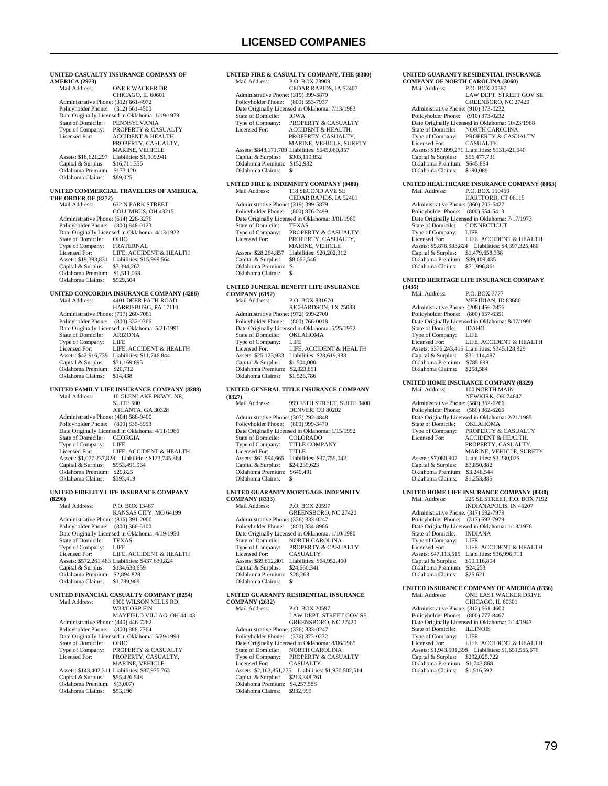| <b>AMERICA (2973)</b><br>ONE E WACKER DR<br>Mail Address:<br>CHICAGO, IL 60601<br>Administrative Phone: (312) 661-4972<br>Policyholder Phone: (312) 661-4500<br>Date Originally Licensed in Oklahoma: 1/19/1979<br>State of Domicile:<br>PENNSYLVANIA<br>Type of Company:<br>PROPERTY & CASUALTY<br>Licensed For:<br><b>ACCIDENT &amp; HEALTH,</b><br>PROPERTY, CASUALTY,<br><b>MARINE, VEHICLE</b><br>Liabilities: \$1,909,941<br>Assets: \$18,621,297<br>Capital & Surplus:<br>\$16,711,356<br>Oklahoma Premium: \$173,120<br>Oklahoma Claims:<br>\$69,025<br>UNITED COMMERCIAL TRAVELERS OF AMERICA,<br>THE ORDER OF (8272)<br>Mail Address:<br><b>632 N PARK STREET</b><br>COLUMBUS, OH 43215<br>Administrative Phone: (614) 228-3276<br>Policyholder Phone:<br>$(800)$ 848-0123<br>Date Originally Licensed in Oklahoma: 4/13/1922<br>State of Domicile:<br>OHIO<br>Type of Company:<br><b>FRATERNAL</b><br>LIFE, ACCIDENT & HEALTH<br>Licensed For:<br>Assets: \$19,393,831 Liabilities: \$15,999,564<br>Capital & Surplus: \$3,394,267<br>Oklahoma Premium: \$1,511,068<br>Oklahoma Claims:<br>\$929,504<br>UNITED CONCORDIA INSURANCE COMPANY (4286)<br>Mail Address:<br>4401 DEER PATH ROAD<br>HARRISBURG, PA 17110<br>Administrative Phone: (717) 260-7081<br>$(800)$ 332-0366<br>Policyholder Phone:<br>Date Originally Licensed in Oklahoma: 5/21/1991<br>State of Domicile:<br>ARIZONA<br>State of Community:<br>Type of Company:<br>LIFE<br>LIFE, ACCIDENT & HEALTH<br>Licensed For:<br>Assets: \$42,916,739 Liabilities: \$11,746,844<br>Capital & Surplus: \$31,169,895<br>Oklahoma Premium: \$20,712<br>Oklahoma Claims:<br>\$14,438<br>UNITED FAMILY LIFE INSURANCE COMPANY (8288)<br>Mail Address:<br>10 GLENLAKE PKWY. NE,<br><b>SUITE 500</b><br>ATLANTA, GA 30328<br>Administrative Phone: (404) 588-9400<br>Policyholder Phone: (800) 835-8953<br>Date Originally Licensed in Oklahoma: 4/11/1966<br>State of Domicile:<br><b>GEORGIA</b><br>Type of Company:<br>LIFE<br>Licensed For:<br>LIFE, ACCIDENT & HEALTH<br>Assets: \$1,077,237,828 Liabilities: \$123,745,864<br>Capital & Surplus: \$953,491,964<br>Oklahoma Premium: \$29,825<br>Oklahoma Claims:<br>\$393,419<br>UNITED FIDELITY LIFE INSURANCE COMPANY<br>(8296)<br>P.O. BOX 13487<br>Mail Address:<br>KANSAS CITY, MO 64199<br>Administrative Phone: (816) 391-2000<br>Policyholder Phone:<br>$(800)$ 366-6100<br>Date Originally Licensed in Oklahoma: 4/19/1950<br>State of Domicile:<br><b>TEXAS</b><br>Type of Company:<br>LIFE<br>LIFE, ACCIDENT & HEALTH<br>Licensed For:<br>Assets: \$572,261,483 Liabilities: \$437,630,824<br>Capital & Surplus:<br>\$134,630,659<br>Oklahoma Premium: \$2,894,828<br>Oklahoma Claims:<br>\$1,789,969<br>UNITED FINANCIAL CASUALTY COMPANY (8254)<br>Mail Address:<br>6300 WILSON MILLS RD,<br>W33/CORP FIN<br>MAYFIELD VILLAG, OH 44143<br>Administrative Phone: (440) 446-7262<br>Policyholder Phone:<br>$(800) 888 - 7764$<br>Date Originally Licensed in Oklahoma: 5/29/1990 |                    | UNITED CASUALTY INSURANCE COMPANY OF |
|-----------------------------------------------------------------------------------------------------------------------------------------------------------------------------------------------------------------------------------------------------------------------------------------------------------------------------------------------------------------------------------------------------------------------------------------------------------------------------------------------------------------------------------------------------------------------------------------------------------------------------------------------------------------------------------------------------------------------------------------------------------------------------------------------------------------------------------------------------------------------------------------------------------------------------------------------------------------------------------------------------------------------------------------------------------------------------------------------------------------------------------------------------------------------------------------------------------------------------------------------------------------------------------------------------------------------------------------------------------------------------------------------------------------------------------------------------------------------------------------------------------------------------------------------------------------------------------------------------------------------------------------------------------------------------------------------------------------------------------------------------------------------------------------------------------------------------------------------------------------------------------------------------------------------------------------------------------------------------------------------------------------------------------------------------------------------------------------------------------------------------------------------------------------------------------------------------------------------------------------------------------------------------------------------------------------------------------------------------------------------------------------------------------------------------------------------------------------------------------------------------------------------------------------------------------------------------------------------------------------------------------------------------------------------------------------------------------------------------------------------------------------------------------------------------------------------------------------------------------------------------------------------------------------------------------------------------------------------------------------------------------------|--------------------|--------------------------------------|
|                                                                                                                                                                                                                                                                                                                                                                                                                                                                                                                                                                                                                                                                                                                                                                                                                                                                                                                                                                                                                                                                                                                                                                                                                                                                                                                                                                                                                                                                                                                                                                                                                                                                                                                                                                                                                                                                                                                                                                                                                                                                                                                                                                                                                                                                                                                                                                                                                                                                                                                                                                                                                                                                                                                                                                                                                                                                                                                                                                                                                 |                    |                                      |
|                                                                                                                                                                                                                                                                                                                                                                                                                                                                                                                                                                                                                                                                                                                                                                                                                                                                                                                                                                                                                                                                                                                                                                                                                                                                                                                                                                                                                                                                                                                                                                                                                                                                                                                                                                                                                                                                                                                                                                                                                                                                                                                                                                                                                                                                                                                                                                                                                                                                                                                                                                                                                                                                                                                                                                                                                                                                                                                                                                                                                 |                    |                                      |
|                                                                                                                                                                                                                                                                                                                                                                                                                                                                                                                                                                                                                                                                                                                                                                                                                                                                                                                                                                                                                                                                                                                                                                                                                                                                                                                                                                                                                                                                                                                                                                                                                                                                                                                                                                                                                                                                                                                                                                                                                                                                                                                                                                                                                                                                                                                                                                                                                                                                                                                                                                                                                                                                                                                                                                                                                                                                                                                                                                                                                 |                    |                                      |
|                                                                                                                                                                                                                                                                                                                                                                                                                                                                                                                                                                                                                                                                                                                                                                                                                                                                                                                                                                                                                                                                                                                                                                                                                                                                                                                                                                                                                                                                                                                                                                                                                                                                                                                                                                                                                                                                                                                                                                                                                                                                                                                                                                                                                                                                                                                                                                                                                                                                                                                                                                                                                                                                                                                                                                                                                                                                                                                                                                                                                 |                    |                                      |
|                                                                                                                                                                                                                                                                                                                                                                                                                                                                                                                                                                                                                                                                                                                                                                                                                                                                                                                                                                                                                                                                                                                                                                                                                                                                                                                                                                                                                                                                                                                                                                                                                                                                                                                                                                                                                                                                                                                                                                                                                                                                                                                                                                                                                                                                                                                                                                                                                                                                                                                                                                                                                                                                                                                                                                                                                                                                                                                                                                                                                 |                    |                                      |
|                                                                                                                                                                                                                                                                                                                                                                                                                                                                                                                                                                                                                                                                                                                                                                                                                                                                                                                                                                                                                                                                                                                                                                                                                                                                                                                                                                                                                                                                                                                                                                                                                                                                                                                                                                                                                                                                                                                                                                                                                                                                                                                                                                                                                                                                                                                                                                                                                                                                                                                                                                                                                                                                                                                                                                                                                                                                                                                                                                                                                 |                    |                                      |
|                                                                                                                                                                                                                                                                                                                                                                                                                                                                                                                                                                                                                                                                                                                                                                                                                                                                                                                                                                                                                                                                                                                                                                                                                                                                                                                                                                                                                                                                                                                                                                                                                                                                                                                                                                                                                                                                                                                                                                                                                                                                                                                                                                                                                                                                                                                                                                                                                                                                                                                                                                                                                                                                                                                                                                                                                                                                                                                                                                                                                 |                    |                                      |
|                                                                                                                                                                                                                                                                                                                                                                                                                                                                                                                                                                                                                                                                                                                                                                                                                                                                                                                                                                                                                                                                                                                                                                                                                                                                                                                                                                                                                                                                                                                                                                                                                                                                                                                                                                                                                                                                                                                                                                                                                                                                                                                                                                                                                                                                                                                                                                                                                                                                                                                                                                                                                                                                                                                                                                                                                                                                                                                                                                                                                 |                    |                                      |
|                                                                                                                                                                                                                                                                                                                                                                                                                                                                                                                                                                                                                                                                                                                                                                                                                                                                                                                                                                                                                                                                                                                                                                                                                                                                                                                                                                                                                                                                                                                                                                                                                                                                                                                                                                                                                                                                                                                                                                                                                                                                                                                                                                                                                                                                                                                                                                                                                                                                                                                                                                                                                                                                                                                                                                                                                                                                                                                                                                                                                 |                    |                                      |
|                                                                                                                                                                                                                                                                                                                                                                                                                                                                                                                                                                                                                                                                                                                                                                                                                                                                                                                                                                                                                                                                                                                                                                                                                                                                                                                                                                                                                                                                                                                                                                                                                                                                                                                                                                                                                                                                                                                                                                                                                                                                                                                                                                                                                                                                                                                                                                                                                                                                                                                                                                                                                                                                                                                                                                                                                                                                                                                                                                                                                 |                    |                                      |
|                                                                                                                                                                                                                                                                                                                                                                                                                                                                                                                                                                                                                                                                                                                                                                                                                                                                                                                                                                                                                                                                                                                                                                                                                                                                                                                                                                                                                                                                                                                                                                                                                                                                                                                                                                                                                                                                                                                                                                                                                                                                                                                                                                                                                                                                                                                                                                                                                                                                                                                                                                                                                                                                                                                                                                                                                                                                                                                                                                                                                 |                    |                                      |
|                                                                                                                                                                                                                                                                                                                                                                                                                                                                                                                                                                                                                                                                                                                                                                                                                                                                                                                                                                                                                                                                                                                                                                                                                                                                                                                                                                                                                                                                                                                                                                                                                                                                                                                                                                                                                                                                                                                                                                                                                                                                                                                                                                                                                                                                                                                                                                                                                                                                                                                                                                                                                                                                                                                                                                                                                                                                                                                                                                                                                 |                    |                                      |
|                                                                                                                                                                                                                                                                                                                                                                                                                                                                                                                                                                                                                                                                                                                                                                                                                                                                                                                                                                                                                                                                                                                                                                                                                                                                                                                                                                                                                                                                                                                                                                                                                                                                                                                                                                                                                                                                                                                                                                                                                                                                                                                                                                                                                                                                                                                                                                                                                                                                                                                                                                                                                                                                                                                                                                                                                                                                                                                                                                                                                 |                    |                                      |
|                                                                                                                                                                                                                                                                                                                                                                                                                                                                                                                                                                                                                                                                                                                                                                                                                                                                                                                                                                                                                                                                                                                                                                                                                                                                                                                                                                                                                                                                                                                                                                                                                                                                                                                                                                                                                                                                                                                                                                                                                                                                                                                                                                                                                                                                                                                                                                                                                                                                                                                                                                                                                                                                                                                                                                                                                                                                                                                                                                                                                 |                    |                                      |
|                                                                                                                                                                                                                                                                                                                                                                                                                                                                                                                                                                                                                                                                                                                                                                                                                                                                                                                                                                                                                                                                                                                                                                                                                                                                                                                                                                                                                                                                                                                                                                                                                                                                                                                                                                                                                                                                                                                                                                                                                                                                                                                                                                                                                                                                                                                                                                                                                                                                                                                                                                                                                                                                                                                                                                                                                                                                                                                                                                                                                 |                    |                                      |
|                                                                                                                                                                                                                                                                                                                                                                                                                                                                                                                                                                                                                                                                                                                                                                                                                                                                                                                                                                                                                                                                                                                                                                                                                                                                                                                                                                                                                                                                                                                                                                                                                                                                                                                                                                                                                                                                                                                                                                                                                                                                                                                                                                                                                                                                                                                                                                                                                                                                                                                                                                                                                                                                                                                                                                                                                                                                                                                                                                                                                 |                    |                                      |
|                                                                                                                                                                                                                                                                                                                                                                                                                                                                                                                                                                                                                                                                                                                                                                                                                                                                                                                                                                                                                                                                                                                                                                                                                                                                                                                                                                                                                                                                                                                                                                                                                                                                                                                                                                                                                                                                                                                                                                                                                                                                                                                                                                                                                                                                                                                                                                                                                                                                                                                                                                                                                                                                                                                                                                                                                                                                                                                                                                                                                 |                    |                                      |
|                                                                                                                                                                                                                                                                                                                                                                                                                                                                                                                                                                                                                                                                                                                                                                                                                                                                                                                                                                                                                                                                                                                                                                                                                                                                                                                                                                                                                                                                                                                                                                                                                                                                                                                                                                                                                                                                                                                                                                                                                                                                                                                                                                                                                                                                                                                                                                                                                                                                                                                                                                                                                                                                                                                                                                                                                                                                                                                                                                                                                 |                    |                                      |
|                                                                                                                                                                                                                                                                                                                                                                                                                                                                                                                                                                                                                                                                                                                                                                                                                                                                                                                                                                                                                                                                                                                                                                                                                                                                                                                                                                                                                                                                                                                                                                                                                                                                                                                                                                                                                                                                                                                                                                                                                                                                                                                                                                                                                                                                                                                                                                                                                                                                                                                                                                                                                                                                                                                                                                                                                                                                                                                                                                                                                 |                    |                                      |
|                                                                                                                                                                                                                                                                                                                                                                                                                                                                                                                                                                                                                                                                                                                                                                                                                                                                                                                                                                                                                                                                                                                                                                                                                                                                                                                                                                                                                                                                                                                                                                                                                                                                                                                                                                                                                                                                                                                                                                                                                                                                                                                                                                                                                                                                                                                                                                                                                                                                                                                                                                                                                                                                                                                                                                                                                                                                                                                                                                                                                 |                    |                                      |
|                                                                                                                                                                                                                                                                                                                                                                                                                                                                                                                                                                                                                                                                                                                                                                                                                                                                                                                                                                                                                                                                                                                                                                                                                                                                                                                                                                                                                                                                                                                                                                                                                                                                                                                                                                                                                                                                                                                                                                                                                                                                                                                                                                                                                                                                                                                                                                                                                                                                                                                                                                                                                                                                                                                                                                                                                                                                                                                                                                                                                 |                    |                                      |
|                                                                                                                                                                                                                                                                                                                                                                                                                                                                                                                                                                                                                                                                                                                                                                                                                                                                                                                                                                                                                                                                                                                                                                                                                                                                                                                                                                                                                                                                                                                                                                                                                                                                                                                                                                                                                                                                                                                                                                                                                                                                                                                                                                                                                                                                                                                                                                                                                                                                                                                                                                                                                                                                                                                                                                                                                                                                                                                                                                                                                 |                    |                                      |
|                                                                                                                                                                                                                                                                                                                                                                                                                                                                                                                                                                                                                                                                                                                                                                                                                                                                                                                                                                                                                                                                                                                                                                                                                                                                                                                                                                                                                                                                                                                                                                                                                                                                                                                                                                                                                                                                                                                                                                                                                                                                                                                                                                                                                                                                                                                                                                                                                                                                                                                                                                                                                                                                                                                                                                                                                                                                                                                                                                                                                 |                    |                                      |
|                                                                                                                                                                                                                                                                                                                                                                                                                                                                                                                                                                                                                                                                                                                                                                                                                                                                                                                                                                                                                                                                                                                                                                                                                                                                                                                                                                                                                                                                                                                                                                                                                                                                                                                                                                                                                                                                                                                                                                                                                                                                                                                                                                                                                                                                                                                                                                                                                                                                                                                                                                                                                                                                                                                                                                                                                                                                                                                                                                                                                 |                    |                                      |
|                                                                                                                                                                                                                                                                                                                                                                                                                                                                                                                                                                                                                                                                                                                                                                                                                                                                                                                                                                                                                                                                                                                                                                                                                                                                                                                                                                                                                                                                                                                                                                                                                                                                                                                                                                                                                                                                                                                                                                                                                                                                                                                                                                                                                                                                                                                                                                                                                                                                                                                                                                                                                                                                                                                                                                                                                                                                                                                                                                                                                 |                    |                                      |
|                                                                                                                                                                                                                                                                                                                                                                                                                                                                                                                                                                                                                                                                                                                                                                                                                                                                                                                                                                                                                                                                                                                                                                                                                                                                                                                                                                                                                                                                                                                                                                                                                                                                                                                                                                                                                                                                                                                                                                                                                                                                                                                                                                                                                                                                                                                                                                                                                                                                                                                                                                                                                                                                                                                                                                                                                                                                                                                                                                                                                 |                    |                                      |
|                                                                                                                                                                                                                                                                                                                                                                                                                                                                                                                                                                                                                                                                                                                                                                                                                                                                                                                                                                                                                                                                                                                                                                                                                                                                                                                                                                                                                                                                                                                                                                                                                                                                                                                                                                                                                                                                                                                                                                                                                                                                                                                                                                                                                                                                                                                                                                                                                                                                                                                                                                                                                                                                                                                                                                                                                                                                                                                                                                                                                 |                    |                                      |
|                                                                                                                                                                                                                                                                                                                                                                                                                                                                                                                                                                                                                                                                                                                                                                                                                                                                                                                                                                                                                                                                                                                                                                                                                                                                                                                                                                                                                                                                                                                                                                                                                                                                                                                                                                                                                                                                                                                                                                                                                                                                                                                                                                                                                                                                                                                                                                                                                                                                                                                                                                                                                                                                                                                                                                                                                                                                                                                                                                                                                 |                    |                                      |
|                                                                                                                                                                                                                                                                                                                                                                                                                                                                                                                                                                                                                                                                                                                                                                                                                                                                                                                                                                                                                                                                                                                                                                                                                                                                                                                                                                                                                                                                                                                                                                                                                                                                                                                                                                                                                                                                                                                                                                                                                                                                                                                                                                                                                                                                                                                                                                                                                                                                                                                                                                                                                                                                                                                                                                                                                                                                                                                                                                                                                 |                    |                                      |
|                                                                                                                                                                                                                                                                                                                                                                                                                                                                                                                                                                                                                                                                                                                                                                                                                                                                                                                                                                                                                                                                                                                                                                                                                                                                                                                                                                                                                                                                                                                                                                                                                                                                                                                                                                                                                                                                                                                                                                                                                                                                                                                                                                                                                                                                                                                                                                                                                                                                                                                                                                                                                                                                                                                                                                                                                                                                                                                                                                                                                 |                    |                                      |
|                                                                                                                                                                                                                                                                                                                                                                                                                                                                                                                                                                                                                                                                                                                                                                                                                                                                                                                                                                                                                                                                                                                                                                                                                                                                                                                                                                                                                                                                                                                                                                                                                                                                                                                                                                                                                                                                                                                                                                                                                                                                                                                                                                                                                                                                                                                                                                                                                                                                                                                                                                                                                                                                                                                                                                                                                                                                                                                                                                                                                 |                    |                                      |
|                                                                                                                                                                                                                                                                                                                                                                                                                                                                                                                                                                                                                                                                                                                                                                                                                                                                                                                                                                                                                                                                                                                                                                                                                                                                                                                                                                                                                                                                                                                                                                                                                                                                                                                                                                                                                                                                                                                                                                                                                                                                                                                                                                                                                                                                                                                                                                                                                                                                                                                                                                                                                                                                                                                                                                                                                                                                                                                                                                                                                 |                    |                                      |
|                                                                                                                                                                                                                                                                                                                                                                                                                                                                                                                                                                                                                                                                                                                                                                                                                                                                                                                                                                                                                                                                                                                                                                                                                                                                                                                                                                                                                                                                                                                                                                                                                                                                                                                                                                                                                                                                                                                                                                                                                                                                                                                                                                                                                                                                                                                                                                                                                                                                                                                                                                                                                                                                                                                                                                                                                                                                                                                                                                                                                 |                    |                                      |
|                                                                                                                                                                                                                                                                                                                                                                                                                                                                                                                                                                                                                                                                                                                                                                                                                                                                                                                                                                                                                                                                                                                                                                                                                                                                                                                                                                                                                                                                                                                                                                                                                                                                                                                                                                                                                                                                                                                                                                                                                                                                                                                                                                                                                                                                                                                                                                                                                                                                                                                                                                                                                                                                                                                                                                                                                                                                                                                                                                                                                 |                    |                                      |
|                                                                                                                                                                                                                                                                                                                                                                                                                                                                                                                                                                                                                                                                                                                                                                                                                                                                                                                                                                                                                                                                                                                                                                                                                                                                                                                                                                                                                                                                                                                                                                                                                                                                                                                                                                                                                                                                                                                                                                                                                                                                                                                                                                                                                                                                                                                                                                                                                                                                                                                                                                                                                                                                                                                                                                                                                                                                                                                                                                                                                 |                    |                                      |
|                                                                                                                                                                                                                                                                                                                                                                                                                                                                                                                                                                                                                                                                                                                                                                                                                                                                                                                                                                                                                                                                                                                                                                                                                                                                                                                                                                                                                                                                                                                                                                                                                                                                                                                                                                                                                                                                                                                                                                                                                                                                                                                                                                                                                                                                                                                                                                                                                                                                                                                                                                                                                                                                                                                                                                                                                                                                                                                                                                                                                 |                    |                                      |
|                                                                                                                                                                                                                                                                                                                                                                                                                                                                                                                                                                                                                                                                                                                                                                                                                                                                                                                                                                                                                                                                                                                                                                                                                                                                                                                                                                                                                                                                                                                                                                                                                                                                                                                                                                                                                                                                                                                                                                                                                                                                                                                                                                                                                                                                                                                                                                                                                                                                                                                                                                                                                                                                                                                                                                                                                                                                                                                                                                                                                 |                    |                                      |
|                                                                                                                                                                                                                                                                                                                                                                                                                                                                                                                                                                                                                                                                                                                                                                                                                                                                                                                                                                                                                                                                                                                                                                                                                                                                                                                                                                                                                                                                                                                                                                                                                                                                                                                                                                                                                                                                                                                                                                                                                                                                                                                                                                                                                                                                                                                                                                                                                                                                                                                                                                                                                                                                                                                                                                                                                                                                                                                                                                                                                 |                    |                                      |
|                                                                                                                                                                                                                                                                                                                                                                                                                                                                                                                                                                                                                                                                                                                                                                                                                                                                                                                                                                                                                                                                                                                                                                                                                                                                                                                                                                                                                                                                                                                                                                                                                                                                                                                                                                                                                                                                                                                                                                                                                                                                                                                                                                                                                                                                                                                                                                                                                                                                                                                                                                                                                                                                                                                                                                                                                                                                                                                                                                                                                 |                    |                                      |
|                                                                                                                                                                                                                                                                                                                                                                                                                                                                                                                                                                                                                                                                                                                                                                                                                                                                                                                                                                                                                                                                                                                                                                                                                                                                                                                                                                                                                                                                                                                                                                                                                                                                                                                                                                                                                                                                                                                                                                                                                                                                                                                                                                                                                                                                                                                                                                                                                                                                                                                                                                                                                                                                                                                                                                                                                                                                                                                                                                                                                 |                    |                                      |
|                                                                                                                                                                                                                                                                                                                                                                                                                                                                                                                                                                                                                                                                                                                                                                                                                                                                                                                                                                                                                                                                                                                                                                                                                                                                                                                                                                                                                                                                                                                                                                                                                                                                                                                                                                                                                                                                                                                                                                                                                                                                                                                                                                                                                                                                                                                                                                                                                                                                                                                                                                                                                                                                                                                                                                                                                                                                                                                                                                                                                 |                    |                                      |
|                                                                                                                                                                                                                                                                                                                                                                                                                                                                                                                                                                                                                                                                                                                                                                                                                                                                                                                                                                                                                                                                                                                                                                                                                                                                                                                                                                                                                                                                                                                                                                                                                                                                                                                                                                                                                                                                                                                                                                                                                                                                                                                                                                                                                                                                                                                                                                                                                                                                                                                                                                                                                                                                                                                                                                                                                                                                                                                                                                                                                 |                    |                                      |
|                                                                                                                                                                                                                                                                                                                                                                                                                                                                                                                                                                                                                                                                                                                                                                                                                                                                                                                                                                                                                                                                                                                                                                                                                                                                                                                                                                                                                                                                                                                                                                                                                                                                                                                                                                                                                                                                                                                                                                                                                                                                                                                                                                                                                                                                                                                                                                                                                                                                                                                                                                                                                                                                                                                                                                                                                                                                                                                                                                                                                 |                    |                                      |
|                                                                                                                                                                                                                                                                                                                                                                                                                                                                                                                                                                                                                                                                                                                                                                                                                                                                                                                                                                                                                                                                                                                                                                                                                                                                                                                                                                                                                                                                                                                                                                                                                                                                                                                                                                                                                                                                                                                                                                                                                                                                                                                                                                                                                                                                                                                                                                                                                                                                                                                                                                                                                                                                                                                                                                                                                                                                                                                                                                                                                 |                    |                                      |
|                                                                                                                                                                                                                                                                                                                                                                                                                                                                                                                                                                                                                                                                                                                                                                                                                                                                                                                                                                                                                                                                                                                                                                                                                                                                                                                                                                                                                                                                                                                                                                                                                                                                                                                                                                                                                                                                                                                                                                                                                                                                                                                                                                                                                                                                                                                                                                                                                                                                                                                                                                                                                                                                                                                                                                                                                                                                                                                                                                                                                 |                    |                                      |
|                                                                                                                                                                                                                                                                                                                                                                                                                                                                                                                                                                                                                                                                                                                                                                                                                                                                                                                                                                                                                                                                                                                                                                                                                                                                                                                                                                                                                                                                                                                                                                                                                                                                                                                                                                                                                                                                                                                                                                                                                                                                                                                                                                                                                                                                                                                                                                                                                                                                                                                                                                                                                                                                                                                                                                                                                                                                                                                                                                                                                 |                    |                                      |
|                                                                                                                                                                                                                                                                                                                                                                                                                                                                                                                                                                                                                                                                                                                                                                                                                                                                                                                                                                                                                                                                                                                                                                                                                                                                                                                                                                                                                                                                                                                                                                                                                                                                                                                                                                                                                                                                                                                                                                                                                                                                                                                                                                                                                                                                                                                                                                                                                                                                                                                                                                                                                                                                                                                                                                                                                                                                                                                                                                                                                 |                    |                                      |
|                                                                                                                                                                                                                                                                                                                                                                                                                                                                                                                                                                                                                                                                                                                                                                                                                                                                                                                                                                                                                                                                                                                                                                                                                                                                                                                                                                                                                                                                                                                                                                                                                                                                                                                                                                                                                                                                                                                                                                                                                                                                                                                                                                                                                                                                                                                                                                                                                                                                                                                                                                                                                                                                                                                                                                                                                                                                                                                                                                                                                 |                    |                                      |
|                                                                                                                                                                                                                                                                                                                                                                                                                                                                                                                                                                                                                                                                                                                                                                                                                                                                                                                                                                                                                                                                                                                                                                                                                                                                                                                                                                                                                                                                                                                                                                                                                                                                                                                                                                                                                                                                                                                                                                                                                                                                                                                                                                                                                                                                                                                                                                                                                                                                                                                                                                                                                                                                                                                                                                                                                                                                                                                                                                                                                 |                    |                                      |
|                                                                                                                                                                                                                                                                                                                                                                                                                                                                                                                                                                                                                                                                                                                                                                                                                                                                                                                                                                                                                                                                                                                                                                                                                                                                                                                                                                                                                                                                                                                                                                                                                                                                                                                                                                                                                                                                                                                                                                                                                                                                                                                                                                                                                                                                                                                                                                                                                                                                                                                                                                                                                                                                                                                                                                                                                                                                                                                                                                                                                 |                    |                                      |
| PROPERTY & CASUALTY<br>Type of Company:                                                                                                                                                                                                                                                                                                                                                                                                                                                                                                                                                                                                                                                                                                                                                                                                                                                                                                                                                                                                                                                                                                                                                                                                                                                                                                                                                                                                                                                                                                                                                                                                                                                                                                                                                                                                                                                                                                                                                                                                                                                                                                                                                                                                                                                                                                                                                                                                                                                                                                                                                                                                                                                                                                                                                                                                                                                                                                                                                                         | State of Domicile: | OHIO                                 |
| MARINE, VEHICLE                                                                                                                                                                                                                                                                                                                                                                                                                                                                                                                                                                                                                                                                                                                                                                                                                                                                                                                                                                                                                                                                                                                                                                                                                                                                                                                                                                                                                                                                                                                                                                                                                                                                                                                                                                                                                                                                                                                                                                                                                                                                                                                                                                                                                                                                                                                                                                                                                                                                                                                                                                                                                                                                                                                                                                                                                                                                                                                                                                                                 |                    |                                      |
|                                                                                                                                                                                                                                                                                                                                                                                                                                                                                                                                                                                                                                                                                                                                                                                                                                                                                                                                                                                                                                                                                                                                                                                                                                                                                                                                                                                                                                                                                                                                                                                                                                                                                                                                                                                                                                                                                                                                                                                                                                                                                                                                                                                                                                                                                                                                                                                                                                                                                                                                                                                                                                                                                                                                                                                                                                                                                                                                                                                                                 | Licensed For:      | PROPERTY, CASUALTY,                  |
| Assets: \$143,402,311 Liabilities: \$87,975,763<br>Capital & Surplus:<br>\$55,426,548                                                                                                                                                                                                                                                                                                                                                                                                                                                                                                                                                                                                                                                                                                                                                                                                                                                                                                                                                                                                                                                                                                                                                                                                                                                                                                                                                                                                                                                                                                                                                                                                                                                                                                                                                                                                                                                                                                                                                                                                                                                                                                                                                                                                                                                                                                                                                                                                                                                                                                                                                                                                                                                                                                                                                                                                                                                                                                                           |                    |                                      |
|                                                                                                                                                                                                                                                                                                                                                                                                                                                                                                                                                                                                                                                                                                                                                                                                                                                                                                                                                                                                                                                                                                                                                                                                                                                                                                                                                                                                                                                                                                                                                                                                                                                                                                                                                                                                                                                                                                                                                                                                                                                                                                                                                                                                                                                                                                                                                                                                                                                                                                                                                                                                                                                                                                                                                                                                                                                                                                                                                                                                                 |                    |                                      |
| Oklahoma Premium: \$(3,007)<br>Oklahoma Claims:<br>\$53,196                                                                                                                                                                                                                                                                                                                                                                                                                                                                                                                                                                                                                                                                                                                                                                                                                                                                                                                                                                                                                                                                                                                                                                                                                                                                                                                                                                                                                                                                                                                                                                                                                                                                                                                                                                                                                                                                                                                                                                                                                                                                                                                                                                                                                                                                                                                                                                                                                                                                                                                                                                                                                                                                                                                                                                                                                                                                                                                                                     |                    |                                      |

|                                      | UNITED FIRE & CASUALTY COMPANY, THE (8300)       |
|--------------------------------------|--------------------------------------------------|
| Mail Address:                        | P.O. BOX 73909                                   |
|                                      | <b>CEDAR RAPIDS, IA 52407</b>                    |
| Administrative Phone: (319) 399-5879 |                                                  |
| Policyholder Phone: (800) 553-7937   |                                                  |
|                                      | Date Originally Licensed in Oklahoma: 7/13/1983  |
| State of Domicile:                   | <b>IOWA</b>                                      |
| Type of Company:                     | <b>PROPERTY &amp; CASUALTY</b>                   |
| Licensed For:                        | <b>ACCIDENT &amp; HEALTH,</b>                    |
|                                      | PROPERTY, CASUALTY,                              |
|                                      | <b>MARINE, VEHICLE, SURETY</b>                   |
|                                      | Assets: \$848,171,709 Liabilities: \$545,060,857 |
| Capital & Surplus:                   | \$303,110,852                                    |
| Oklahoma Premium:                    | \$152.982                                        |
| Oklahoma Claims:                     | \$-                                              |
|                                      |                                                  |
|                                      |                                                  |

## **UNITED FIRE & INDEMNITY COMPANY (0480)** Mail Address: 118 SECOND AVE SE

|                                      | CEDAR RAPIDS, IA 52401                          |
|--------------------------------------|-------------------------------------------------|
| Administrative Phone: (319) 399-5879 |                                                 |
| Policyholder Phone: (800) 876-2499   |                                                 |
|                                      | Date Originally Licensed in Oklahoma: 3/01/1969 |
| State of Domicile:                   | <b>TEXAS</b>                                    |
| Type of Company:                     | <b>PROPERTY &amp; CASUALTY</b>                  |
| Licensed For:                        | PROPERTY, CASUALTY,                             |
|                                      | MARINE. VEHICLE                                 |
| Assets: \$28,264,857                 | Liabilities: \$20,202,312                       |
| Capital & Surplus:                   | \$8,062,546                                     |
| Oklahoma Premium:                    | $S-$                                            |
| Oklahoma Claims:                     | \$-                                             |

## **UNITED FUNERAL BENEFIT LIFE INSURANCE COMPANY (6192)**

| Mail Address:                        | P.O. BOX 831670                                 |
|--------------------------------------|-------------------------------------------------|
|                                      | RICHARDSON, TX 75083                            |
| Administrative Phone: (972) 699-2700 |                                                 |
| Policyholder Phone: (800) 766-0018   |                                                 |
|                                      | Date Originally Licensed in Oklahoma: 5/25/1972 |
| State of Domicile:                   | <b>OKLAHOMA</b>                                 |
| Type of Company:                     | LIFE                                            |
| Licensed For:                        | LIFE. ACCIDENT & HEALTH                         |
| Assets: \$25,123,933                 | Liabilities: \$23,619,933                       |
| Capital & Surplus:                   | \$1,504,000                                     |
| Oklahoma Premium:                    | \$2,323,851                                     |
| Oklahoma Claims:                     | \$1,526,786                                     |
|                                      |                                                 |

## **UNITED GENERAL TITLE INSURANCE COMPANY (8327)**

| ,,,,,,,                              |                                                 |
|--------------------------------------|-------------------------------------------------|
| Mail Address:                        | 999 18TH STREET, SUITE 3400                     |
|                                      | <b>DENVER, CO 80202</b>                         |
| Administrative Phone: (303) 292-4848 |                                                 |
| Policyholder Phone: (800) 999-3470   |                                                 |
|                                      | Date Originally Licensed in Oklahoma: 1/15/1992 |
| State of Domicile:                   | <b>COLORADO</b>                                 |
| Type of Company:                     | <b>TITLE COMPANY</b>                            |
| Licensed For:                        | <b>TITLE</b>                                    |
| Assets: \$61,994,665                 | Liabilities: \$37,755,042                       |
| Capital & Surplus:                   | \$24,239,623                                    |
| Oklahoma Premium:                    | \$649,491                                       |
| Oklahoma Claims:                     |                                                 |
|                                      |                                                 |

#### **UNITED GUARANTY MORTGAGE INDEMNITY COMPANY (8333)**

| Mail Address:                        | P.O. BOX 20597                                  |
|--------------------------------------|-------------------------------------------------|
|                                      | <b>GREENSBORO, NC 27420</b>                     |
| Administrative Phone: (336) 333-0247 |                                                 |
| Policyholder Phone: (800) 334-8966   |                                                 |
|                                      | Date Originally Licensed in Oklahoma: 1/10/1980 |
| State of Domicile:                   | NORTH CAROLINA                                  |
| Type of Company:                     | PROPERTY & CASUALTY                             |
| Licensed For:                        | <b>CASUALTY</b>                                 |
| Assets: \$89,612,801                 | Liabilities: \$64,952,460                       |
| Capital & Surplus:                   | \$24,660,341                                    |
| Oklahoma Premium:                    | \$28,263                                        |
| Oklahoma Claims:                     | \$-                                             |
|                                      |                                                 |

### **UNITED GUARANTY RESIDENTIAL INSURANCE COMPANY (2632)**

| Mail Address:                        | P.O. BOX 20597                                  |
|--------------------------------------|-------------------------------------------------|
|                                      | LAW DEPT. STREET GOV SE                         |
|                                      | <b>GREENSBORO, NC 27420</b>                     |
| Administrative Phone: (336) 333-0247 |                                                 |
| Policyholder Phone: (336) 373-0232   |                                                 |
|                                      | Date Originally Licensed in Oklahoma: 8/06/1965 |
| State of Domicile:                   | NORTH CAROLINA                                  |
| Type of Company:                     | PROPERTY & CASUALTY                             |
| Licensed For:                        | <b>CASUALTY</b>                                 |
| Assets: \$2,163,851,275              | Liabilities: \$1,950,502,514                    |
| Capital & Surplus:                   | \$213,348,761                                   |
| Oklahoma Premium:                    | \$4,257,588                                     |
| Oklahoma Claims:                     | \$932,999                                       |
|                                      |                                                 |

### **UNITED GUARANTY RESIDENTIAL INSURANCE COMPANY OF NORTH CAROLINA (3060)**

| Mail Address:                                                              | P.O. BOX 20597                                                              |
|----------------------------------------------------------------------------|-----------------------------------------------------------------------------|
|                                                                            | LAW DEPT, STREET GOV SE                                                     |
| Administrative Phone: (910) 373-0232                                       | GREENBORO, NC 27420                                                         |
| Policyholder Phone:                                                        | (910) 373-0232                                                              |
|                                                                            | Date Originally Licensed in Oklahoma: 10/23/1968                            |
| State of Domicile:                                                         | NORTH CAROLINA                                                              |
| Type of Company:                                                           | PROPERTY & CASUALTY                                                         |
| Licensed For:                                                              | <b>CASUALTY</b><br>Assets: \$187,899,271 Liabilities: \$131,421,540         |
| Capital & Surplus:                                                         | \$56,477,731                                                                |
| Oklahoma Premium: \$645,864                                                |                                                                             |
| Oklahoma Claims:                                                           | \$190,089                                                                   |
|                                                                            |                                                                             |
| Mail Address:                                                              | UNITED HEALTHCARE INSURANCE COMPANY (8063)<br>P.O. BOX 150450               |
|                                                                            | HARTFORD, CT 06115                                                          |
| Administrative Phone: (860) 702-5427                                       |                                                                             |
| Policyholder Phone:                                                        | $(800)$ 554-5413                                                            |
| State of Domicile:                                                         | Date Originally Licensed in Oklahoma: 7/17/1973<br>CONNECTICUT              |
| Type of Company:                                                           | LIFE                                                                        |
| Licensed For:                                                              | LIFE, ACCIDENT & HEALTH                                                     |
|                                                                            | Assets: \$5,876,983,824 Liabilities: \$4,397,325,486                        |
| Capital & Surplus:                                                         | \$1,479,658,338                                                             |
| Oklahoma Premium: \$89,109,435<br>Oklahoma Claims:                         |                                                                             |
|                                                                            | \$71,996,861                                                                |
|                                                                            | UNITED HERITAGE LIFE INSURANCE COMPANY                                      |
| (3435)                                                                     |                                                                             |
| Mail Address:                                                              | P.O. BOX 7777                                                               |
|                                                                            | MERIDIAN, ID 83680                                                          |
| Administrative Phone: (208) 466-7856<br>Policyholder Phone: (800) 657-6351 |                                                                             |
|                                                                            | Date Originally Licensed in Oklahoma: 8/07/1990                             |
| State of Domicile:                                                         | <b>IDAHO</b>                                                                |
| Type of Company:                                                           | LIFE                                                                        |
| Licensed For:                                                              | LIFE, ACCIDENT & HEALTH<br>Assets: \$376,243,416 Liabilities: \$345,128,929 |
| Capital & Surplus:                                                         | \$31,114,487                                                                |
| Oklahoma Premium: \$785,699                                                |                                                                             |
| Oklahoma Claims:                                                           | \$258,584                                                                   |
|                                                                            |                                                                             |
| Mail Address:                                                              | UNITED HOME INSURANCE COMPANY (8329)<br>100 NORTH MAIN                      |
|                                                                            | NEWKIRK, OK 74647                                                           |
| Administrative Phone: (580) 362-6266                                       |                                                                             |
| Policyholder Phone: (580) 362-6266                                         |                                                                             |
|                                                                            | Date Originally Licensed in Oklahoma: 2/21/1985                             |
| State of Domicile:<br>Type of Company:                                     | <b>OKLAHOMA</b><br>PROPERTY & CASUALTY                                      |
| Licensed For:                                                              | ACCIDENT & HEALTH,                                                          |
|                                                                            | PROPERTY, CASUALTY,                                                         |
|                                                                            | MARINE, VEHICLE, SURETY                                                     |
| Assets: \$7,080,907<br>Capital & Surplus:                                  | Liabilities: \$3,230,025<br>\$3,850,882                                     |
| Oklahoma Premium:                                                          | \$3,248,544                                                                 |
| Oklahoma Claims:                                                           | \$1,253,885                                                                 |
|                                                                            |                                                                             |
|                                                                            | UNITED HOME LIFE INSURANCE COMPANY (8330)                                   |
| Mail Address:                                                              | 225 SE STREET, P.O. BOX 7192<br>INDIANAPOLIS, IN 46207                      |
| Administrative Phone: (317) 692-7979                                       |                                                                             |
| Policyholder Phone:                                                        | $(317) 692 - 7979$                                                          |
|                                                                            | Date Originally Licensed in Oklahoma: 1/13/1976                             |
| State of Domicile:                                                         | <b>INDIANA</b>                                                              |
| Type of Company:<br>Licensed For:                                          | LIFE<br>LIFE, ACCIDENT & HEALTH                                             |
| Assets: \$47,113,515                                                       | Liabilities: \$36,996,711                                                   |
| Capital & Surplus:                                                         | \$10,116,804                                                                |
| Oklahoma Premium:                                                          | \$24,253                                                                    |
| Oklahoma Claims:                                                           | \$25,621                                                                    |
|                                                                            | UNITED INSURANCE COMPANY OF AMERICA (8336)                                  |
| Mail Address:                                                              | ONE EAST WACKER DRIVE                                                       |
|                                                                            | CHICAGO, IL 60601                                                           |
| Administrative Phone: (312) 661-4600                                       |                                                                             |
| Policyholder Phone:                                                        | $(800)$ 777-8467<br>Date Originally Licensed in Oklahoma: 1/14/1947         |
| State of Domicile:                                                         | <b>ILLINOIS</b>                                                             |
| Type of Company:                                                           | LIFE                                                                        |
| Licensed For:                                                              | LIFE, ACCIDENT & HEALTH                                                     |
| Assets: \$1,943,591,398                                                    |                                                                             |
|                                                                            | Liabilities: \$1,651,565,676                                                |
| Capital & Surplus:                                                         | \$292,025,722                                                               |
| Oklahoma Premium: \$1,743,868<br>Oklahoma Claims:                          | \$1,516,592                                                                 |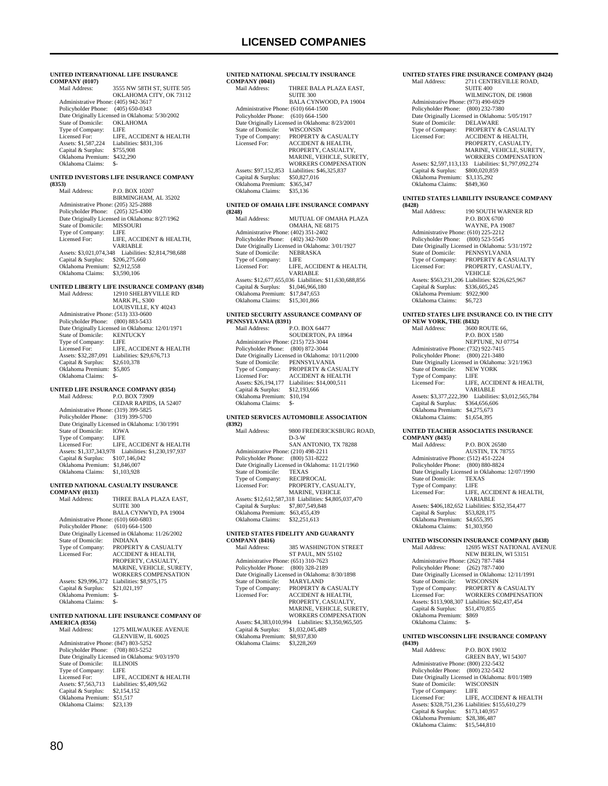#### **UNITED INTERNATIONAL LIFE INSURANCE COMPANY (0107)**

| COMIL ARE (0107)                     |                                                 |
|--------------------------------------|-------------------------------------------------|
| Mail Address:                        | 3555 NW 58TH ST, SUITE 505                      |
|                                      | OKLAHOMA CITY, OK 73112                         |
| Administrative Phone: (405) 942-3617 |                                                 |
| Policyholder Phone:                  | $(405)$ 650-0343                                |
|                                      | Date Originally Licensed in Oklahoma: 5/30/2002 |
| State of Domicile:                   | <b>OKLAHOMA</b>                                 |
| Type of Company:                     | LIFE                                            |
| Licensed For:                        | LIFE, ACCIDENT & HEALTH                         |
| Assets: \$1,587,224                  | Liabilities: \$831.316                          |
| Capital & Surplus:                   | \$755,908                                       |
| Oklahoma Premium:                    | \$432,290                                       |
| Oklahoma Claims:                     | \$-                                             |
|                                      |                                                 |

#### **UNITED INVESTORS LIFE INSURANCE COMPANY (8353)**

| Mail Address:                        | P.O. BOX 10207                                  |
|--------------------------------------|-------------------------------------------------|
|                                      | BIRMINGHAM, AL 35202                            |
| Administrative Phone: (205) 325-2888 |                                                 |
| Policyholder Phone: (205) 325-4300   |                                                 |
|                                      | Date Originally Licensed in Oklahoma: 8/27/1962 |
| State of Domicile:                   | <b>MISSOURI</b>                                 |
| Type of Company:                     | <b>LIFE</b>                                     |
| Licensed For:                        | LIFE. ACCIDENT & HEALTH.                        |
|                                      | VARIABLE                                        |
| Assets: \$3,021,074,348              | Liabilities: \$2,814,798,688                    |
| Capital & Surplus:                   | \$206,275,660                                   |
| Oklahoma Premium:                    | \$2,912,558                                     |
| Oklahoma Claims:                     | \$3,590,106                                     |
|                                      |                                                 |

## **UNITED LIBERTY LIFE INSURANCE COMPANY (8348)** Mail Address: 12910 SHELBYVILLE RD

| іман жипелл.                         | 1471V.311B13D1-VII.1.15IND                       |
|--------------------------------------|--------------------------------------------------|
|                                      | MARK PL, S300                                    |
|                                      | <b>LOUISVILLE, KY 40243</b>                      |
| Administrative Phone: (513) 333-0600 |                                                  |
| Policyholder Phone: (800) 883-5433   |                                                  |
|                                      | Date Originally Licensed in Oklahoma: 12/01/1971 |
| State of Domicile:                   | <b>KENTUCKY</b>                                  |
| Type of Company:                     | LIFE                                             |
| Licensed For:                        | LIFE. ACCIDENT & HEALTH                          |
| Assets: \$32,287,091                 | Liabilities: \$29,676,713                        |
| Capital & Surplus:                   | \$2,610,378                                      |
| Oklahoma Premium:                    | \$5,805                                          |
| Oklahoma Claims:                     |                                                  |
|                                      |                                                  |

### **UNITED LIFE INSURANCE COMPANY (8354)**

| Mail Address:                        | P.O. BOX 73909                                  |
|--------------------------------------|-------------------------------------------------|
|                                      | CEDAR RAPIDS, IA 52407                          |
| Administrative Phone: (319) 399-5825 |                                                 |
| Policyholder Phone: (319) 399-5700   |                                                 |
|                                      | Date Originally Licensed in Oklahoma: 1/30/1991 |
| State of Domicile:                   | <b>IOWA</b>                                     |
| Type of Company:                     | <b>LIFE</b>                                     |
| Licensed For:                        | LIFE, ACCIDENT & HEALTH                         |
| Assets: \$1,337,343,978              | Liabilities: \$1,230,197,937                    |
| Capital & Surplus:                   | \$107,146,042                                   |
| Oklahoma Premium:                    | \$1,846,007                                     |
| Oklahoma Claims:                     | \$1,103,928                                     |
|                                      |                                                 |

### **UNITED NATIONAL CASUALTY INSURANCE**

**COMPANY (0133)** THREE BALA PLAZA EAST, SUITE 300 BALA CYNWYD, PA 19004

| Administrative Phone: (610) 660-6803 |                                                  |
|--------------------------------------|--------------------------------------------------|
| Policyholder Phone: (610) 664-1500   |                                                  |
|                                      | Date Originally Licensed in Oklahoma: 11/26/2002 |
| State of Domicile:                   | <b>INDIANA</b>                                   |
| Type of Company:                     | <b>PROPERTY &amp; CASUALTY</b>                   |
| Licensed For:                        | <b>ACCIDENT &amp; HEALTH.</b>                    |
|                                      | PROPERTY, CASUALTY.                              |
|                                      | MARINE, VEHICLE, SURETY,                         |
|                                      | WORKERS COMPENSATION                             |
| Assets: \$29,996,372                 | Liabilities: \$8,975,175                         |
| Capital & Surplus:                   | \$21,021,197                                     |
| Oklahoma Premium:                    | $S-$                                             |
| Oklahoma Claims:                     | \$-                                              |
|                                      |                                                  |

### **UNITED NATIONAL LIFE INSURANCE COMPANY OF**

**AMERICA (8356)** 1275 MILWAUKEE AVENUE GLENVIEW, IL 60025 Administrative Phone: (847) 803-5252 Policyholder Phone: (708) 803-5252 Date Originally Licensed in Oklahoma: 9/03/1970 State of Domicile: ILLINOIS Type of Company: LIFE<br>
Licensed For: LIFE, ACCIDENT & HEALTH Licensed For: LIFE, ACCIDENT & HEALTH Assets: \$7,563,713 Liabilities: \$5,409,562 Capital & Surplus: \$2,154,152 Oklahoma Premium: \$51,517 Oklahoma Claims: \$23,139

#### **UNITED NATIONAL SPECIALTY INSURANCE**   $CO<sub>1</sub>$

| <b>COMPANY (0041)</b>                |                                                 |
|--------------------------------------|-------------------------------------------------|
| Mail Address <sup>.</sup>            | THREE BALA PLAZA EAST.                          |
|                                      | <b>SUITE 300</b>                                |
|                                      | BALA CYNWOOD, PA 19004                          |
| Administrative Phone: (610) 664-1500 |                                                 |
| Policyholder Phone: (610) 664-1500   |                                                 |
|                                      | Date Originally Licensed in Oklahoma: 8/23/2001 |
| State of Domicile:                   | WISCONSIN                                       |
| Type of Company:                     | PROPERTY & CASUALTY                             |
| Licensed For:                        | <b>ACCIDENT &amp; HEALTH.</b>                   |
|                                      | PROPERTY, CASUALTY,                             |
|                                      | MARINE, VEHICLE, SURETY.                        |
|                                      | WORKERS COMPENSATION                            |
| Assets: \$97,152,853                 | Liabilities: \$46,325,837                       |
| Capital & Surplus:                   | \$50,827,016                                    |
| Oklahoma Premium:                    | \$365,347                                       |
| Oklahoma Claims:                     | \$35,136                                        |
|                                      |                                                 |

#### **UNITED OF OMAHA LIFE INSURANCE COMPANY (8248)**

| (8248)                               |                                                        |
|--------------------------------------|--------------------------------------------------------|
| Mail Address:                        | MUTUAL OF OMAHA PLAZA                                  |
|                                      | <b>OMAHA, NE 68175</b>                                 |
| Administrative Phone: (402) 351-2402 |                                                        |
| Policyholder Phone: (402) 342-7600   |                                                        |
|                                      | Date Originally Licensed in Oklahoma: 3/01/1927        |
| State of Domicile:                   | <b>NEBRASKA</b>                                        |
| Type of Company:                     | LIFE                                                   |
| Licensed For:                        | LIFE, ACCIDENT & HEALTH.                               |
|                                      | VARIABLE                                               |
|                                      | Assets: \$12,677,655,036 Liabilities: \$11,630,688,856 |
| Capital & Surplus:                   | \$1,046,966,180                                        |
| Oklahoma Premium:                    | \$17,847,653                                           |
| Oklahoma Claims:                     | \$15,301,866                                           |
|                                      |                                                        |

#### **UNITED SECURITY ASSURANCE COMPANY OF PENNSYLVANIA (8391)**

| Mail Address:                        | P.O. BOX 64477                                   |  |
|--------------------------------------|--------------------------------------------------|--|
|                                      | SOUDERTON, PA 18964                              |  |
| Administrative Phone: (215) 723-3044 |                                                  |  |
| Policyholder Phone: (800) 872-3044   |                                                  |  |
|                                      | Date Originally Licensed in Oklahoma: 10/11/2000 |  |
| State of Domicile:                   | PENNSYLVANIA                                     |  |
| Type of Company:                     | <b>PROPERTY &amp; CASUALTY</b>                   |  |
| Licensed For:                        | <b>ACCIDENT &amp; HEALTH</b>                     |  |
| Assets: \$26,194,177                 | Liabilities: \$14,000,511                        |  |
| Capital & Surplus:                   | \$12,193,666                                     |  |
| Oklahoma Premium:                    | \$10.194                                         |  |
| Oklahoma Claims:                     |                                                  |  |
|                                      |                                                  |  |

#### **UNITED SERVICES AUTOMOBILE ASSOCIATION (8392)**

| (0374)                               |                                                       |
|--------------------------------------|-------------------------------------------------------|
| Mail Address:                        | 9800 FREDERICKSBURG ROAD.                             |
|                                      | $D-3-W$                                               |
|                                      | SAN ANTONIO, TX 78288                                 |
| Administrative Phone: (210) 498-2211 |                                                       |
| Policyholder Phone: (800) 531-8222   |                                                       |
|                                      | Date Originally Licensed in Oklahoma: 11/21/1960      |
| State of Domicile:                   | <b>TEXAS</b>                                          |
| Type of Company:                     | RECIPROCAL                                            |
| Licensed For:                        | PROPERTY, CASUALTY,                                   |
|                                      | <b>MARINE, VEHICLE</b>                                |
|                                      | Assets: \$12,612,587,318 Liabilities: \$4,805,037,470 |
| Capital & Surplus:                   | \$7,807,549,848                                       |
| Oklahoma Premium:                    | \$63,455,439                                          |
| Oklahoma Claims:                     | \$32,251,613                                          |
|                                      |                                                       |

#### **UNITED STATES FIDELITY AND GUARANTY COMPANY (8416)**

| Mail Address:                        | <b>385 WASHINGTON STREET</b>                    |
|--------------------------------------|-------------------------------------------------|
|                                      | <b>ST PAUL, MN 55102</b>                        |
| Administrative Phone: (651) 310-7623 |                                                 |
| Policyholder Phone:                  | $(800)$ 328-2189                                |
|                                      | Date Originally Licensed in Oklahoma: 8/30/1898 |
| State of Domicile:                   | <b>MARYLAND</b>                                 |
| Type of Company:                     | PROPERTY & CASUALTY                             |
| Licensed For:                        | <b>ACCIDENT &amp; HEALTH.</b>                   |
|                                      | PROPERTY, CASUALTY,                             |
|                                      | MARINE, VEHICLE, SURETY.                        |
|                                      | <b>WORKERS COMPENSATION</b>                     |
| Assets: \$4,383,010,994              | Liabilities: \$3,350,965,505                    |
| Capital & Surplus:                   | \$1,032,045,489                                 |
| Oklahoma Premium:                    | \$8,937,830                                     |
| Oklahoma Claims:                     | \$3,228,269                                     |
|                                      |                                                 |

#### **UNITED STATES FIRE INSURANCE COMPANY (8424)** 2711 CENTREVILLE ROAD,

|                                      | <b>SUITE 400</b>                                |
|--------------------------------------|-------------------------------------------------|
|                                      | WILMINGTON, DE 19808                            |
| Administrative Phone: (973) 490-6929 |                                                 |
| Policyholder Phone: (800) 232-7380   |                                                 |
|                                      | Date Originally Licensed in Oklahoma: 5/05/1917 |
| State of Domicile:                   | <b>DELAWARE</b>                                 |
| Type of Company:                     | PROPERTY & CASUALTY                             |
| Licensed For:                        | <b>ACCIDENT &amp; HEALTH.</b>                   |
|                                      | PROPERTY, CASUALTY.                             |
|                                      | MARINE, VEHICLE, SURETY.                        |
|                                      | <b>WORKERS COMPENSATION</b>                     |
| Assets: \$2,597,113,133              | Liabilities: \$1,797,092.274                    |
| Capital & Surplus:                   | \$800,020,859                                   |
| Oklahoma Premium:                    | \$3.135.292                                     |
| Oklahoma Claims:                     | \$849,360                                       |
|                                      |                                                 |

#### **UNITED STATES LIABILITY INSURANCE COMPANY (8428)**

| (8428)                               |                                                  |
|--------------------------------------|--------------------------------------------------|
| Mail Address:                        | 190 SOUTH WARNER RD                              |
|                                      | P.O. BOX 6700                                    |
|                                      | <b>WAYNE, PA 19087</b>                           |
| Administrative Phone: (610) 225-2212 |                                                  |
| Policyholder Phone: (800) 523-5545   |                                                  |
|                                      | Date Originally Licensed in Oklahoma: 5/31/1972  |
| State of Domicile:                   | PENNSYLVANIA                                     |
| Type of Company:                     | <b>PROPERTY &amp; CASUALTY</b>                   |
| Licensed For:                        | PROPERTY, CASUALTY,                              |
|                                      | <b>VEHICLE</b>                                   |
|                                      | Assets: \$563.231.206 Liabilities: \$226.625.967 |
| Capital & Surplus:                   | \$336,605,245                                    |
| Oklahoma Premium:                    | \$922,900                                        |
| Oklahoma Claims:                     | \$6,723                                          |
|                                      |                                                  |

## **UNITED STATES LIFE INSURANCE CO. IN THE CITY**

| OF NEW YORK, THE (8432)              |                                                 |
|--------------------------------------|-------------------------------------------------|
| Mail Address:                        | 3600 ROUTE 66.                                  |
|                                      | <b>P.O. BOX 1580</b>                            |
|                                      | NEPTUNE, NJ 07754                               |
| Administrative Phone: (732) 922-7415 |                                                 |
| Policyholder Phone: (800) 221-3480   |                                                 |
|                                      | Date Originally Licensed in Oklahoma: 3/21/1963 |
| State of Domicile:                   | <b>NEW YORK</b>                                 |
| Type of Company:                     | <b>LIFE</b>                                     |
| Licensed For:                        | LIFE. ACCIDENT & HEALTH.                        |
|                                      | VARIARI F                                       |
| Assets: \$3,377,222,390              | Liabilities: \$3,012,565,784                    |
| Capital & Surplus:                   | \$364,656,606                                   |
| Oklahoma Premium:                    | \$4,275,673                                     |
| Oklahoma Claims:                     | \$1,654,395                                     |
|                                      |                                                 |

#### **UNITED TEACHER ASSOCIATES INSURANCE COMPANY (8435)**

| Mail Address:                        | P.O. BOX 26580                                   |
|--------------------------------------|--------------------------------------------------|
|                                      | AUSTIN, TX 78755                                 |
| Administrative Phone: (512) 451-2224 |                                                  |
| Policyholder Phone: (800) 880-8824   |                                                  |
|                                      | Date Originally Licensed in Oklahoma: 12/07/1990 |
| State of Domicile:                   | <b>TEXAS</b>                                     |
| Type of Company:                     | <b>LIFE</b>                                      |
| Licensed For:                        | LIFE. ACCIDENT & HEALTH.                         |
|                                      | VARIABLE                                         |
|                                      | Assets: \$406,182,652 Liabilities: \$352,354,477 |
| Capital & Surplus:                   | \$53,828,175                                     |
| Oklahoma Premium:                    | \$4,655,395                                      |
| Oklahoma Claims:                     | \$1,303,950                                      |
|                                      |                                                  |

### **UNITED WISCONSIN INSURANCE COMPANY (8438)** Mail Address: 12695 WEST NATIONAL AVENUE NEW BERLIN, WI 53151

|                                      | NEW BERLIN, WI 33131                             |
|--------------------------------------|--------------------------------------------------|
| Administrative Phone: (262) 787-7484 |                                                  |
| Policyholder Phone: (262) 787-7400   |                                                  |
|                                      | Date Originally Licensed in Oklahoma: 12/11/1991 |
| State of Domicile:                   | <b>WISCONSIN</b>                                 |
| Type of Company:                     | PROPERTY & CASUALTY                              |
| Licensed For:                        | <b>WORKERS COMPENSATION</b>                      |
|                                      | Assets: \$113,908,307 Liabilities: \$62,437,454  |
| Capital & Surplus:                   | \$51,470,855                                     |
| Oklahoma Premium:                    | \$869                                            |
| Oklahoma Claims:                     |                                                  |
|                                      |                                                  |

#### **UNITED WISCONSIN LIFE INSURANCE COMPANY (8439)**

| (8439)                               |                                                  |
|--------------------------------------|--------------------------------------------------|
| Mail Address:                        | P.O. BOX 19032                                   |
|                                      | GREEN BAY, WI 54307                              |
| Administrative Phone: (800) 232-5432 |                                                  |
| Policyholder Phone: (800) 232-5432   |                                                  |
|                                      | Date Originally Licensed in Oklahoma: 8/01/1989  |
| State of Domicile:                   | <b>WISCONSIN</b>                                 |
| Type of Company:                     | LIFE                                             |
| Licensed For:                        | LIFE. ACCIDENT & HEALTH                          |
|                                      | Assets: \$328,751,236 Liabilities: \$155,610,279 |
| Capital & Surplus:                   | \$173,140,957                                    |
| Oklahoma Premium:                    | \$28,386,487                                     |
| Oklahoma Claims:                     | \$15,544,810                                     |
|                                      |                                                  |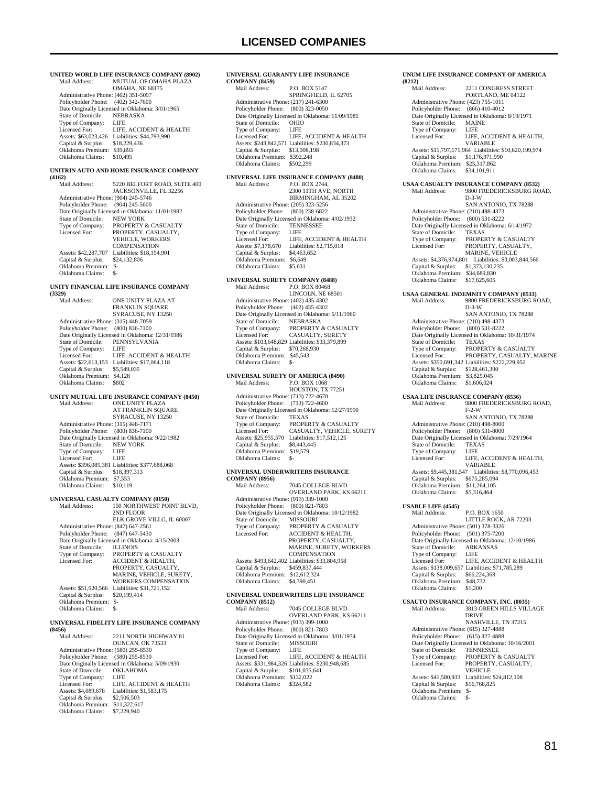**UNITED WORLD LIFE INSURANCE COMPANY (8902)**<br>Mail Address: MUTUAL OF OMAHA PLAZA MUTUAL OF OMAHA PLAZA OMAHA, NE 68175 Administrative Phone: (402) 351-5097 Policyholder Phone: (402) 342-7600 Date Originally Licensed in Oklahoma: 3/01/1965<br>State of Domicile: NEBRASKA State of Domicile: NEBI<br>Type of Company: LIFE Type of Company:<br>Licensed For: LIFE, ACCIDENT & HEALTH Assets: \$63,023,426 Liabilities: \$44,793,990<br>Capital & Surplus: \$18,229,436 Capital & Surplus: \$18,229,436 Oklahoma Premium: \$39,893 Oklahoma Claims: \$10,495 **UNITRIN AUTO AND HOME INSURANCE COMPANY (4162)** 5220 BELFORT ROAD, SUITE 400 JACKSONVILLE, FL 32256 Administrative Phone: (904) 245-5746 Policyholder Phone: (904) 245-5600 Date Originally Licensed in Oklahoma: 11/01/1982 State of Domicile: NEW YORK Type of Company: PROPERTY & CASUALTY<br>Licensed For: PROPERTY CASUALTY PROPERTY, CASUALTY, VEHICLE, WORKERS COMPENSATION<br>Liabilities: \$18,154,901 Assets: \$42,287,707 Liabilities: \$1<br>Capital & Surplus: \$24,132,806 Capital & Surplus: Oklahoma Premium: \$- Oklahoma Claims: **UNITY FINANCIAL LIFE INSURANCE COMPANY (3329)** ONE UNITY PLAZA AT FRANKLIN SOUARE SYRACUSE, NY 13250 Administrative Phone: (315) 448-7059 Policyholder Phone: (800) 836-7100 Date Originally Licensed in Oklahoma: 12/31/1986 State of Domicile: PENNSYLVANIA Type of Company: LIFE<br>Licensed For: LIFE LIFE, ACCIDENT & HEALTH Assets: \$22,613,153 Liabilities: \$17,064,118<br>Capital & Surplus: \$5,549,035 Capital & Surplus: Oklahoma Premium: \$4,128 Oklahoma Claims: \$802 **UNITY MUTUAL LIFE INSURANCE COMPANY (8450)** Mail Address: ONE UNITY PLAZA AT FRANKLIN SQUARE SYRACUSE, NY 13250 Administrative Phone: (315) 448-7171 Policyholder Phone: (800) 836-7100 Date Originally Licensed in Oklahoma: 9/22/1982<br>State of Domicile: NEW YORK State of Domicile: NEW<br>Type of Company: LIFE Type of Company: LIFE<br>Licensed For: LIFE Licensed For: Assets: \$396,085,381 Liabilities: \$377,688,068<br>Capital & Surplus: \$18,397,313 Capital & Surplus: \$18,397,313 Oklahoma Premium: \$7,553 Oklahoma Claims: \$10,119 **UNIVERSAL CASUALTY COMPANY (0150)**<br>Mail Address: 150 NORTHWEST POI 150 NORTHWEST POINT BLVD, 2ND FLOOR ELK GROVE VILLG, IL 60007 Administrative Phone: (847) 647-2561 Policyholder Phone: (847) 647-5430 Date Originally Licensed in Oklahoma: 4/15/2003 State of Domicile:<br>Type of Company: State of Domicile: LLINOIS<br>Type of Company: PROPERTY & CASUALTY<br>Licensed For: ACCIDENT & HEALTH. ACCIDENT & HEALTH, PROPERTY, CASUALTY, MARINE, VEHICLE, SURETY, WORKERS COMPENSATION Assets: \$51,920,566 Liabilities: \$31,721,152<br>Capital & Surplus: \$20,199,414 Capital & Surplus: Oklahoma Premium: \$- Oklahoma Claims: **UNIVERSAL FIDELITY LIFE INSURANCE COMPANY (8456)** 2211 NORTH HIGHWAY 81

### DUNCAN, OK 73533 Administrative Phone: (580) 255-8530 Policyholder Phone: (580) 255-8530 Pate Originally Licensed in Oklahoma: 5/09/1930<br>State of Domicile: OKLAHOMA State of Domicile: OKLA<br>Type of Company: LIFE Type of Company:<br>Licensed For: Licensed For: LIFE, ACCIDENT & HEALTH<br>Assets: \$4.089.678 Liabilities: \$1.583.175 Liabilities: \$1,583,175<br>\$2,506,503 Capital  $\&$  Surplus: Oklahoma Premium: \$11,322,617

Oklahoma Claims: \$7,229,940

### **UNIVERSAL GUARANTY LIFE INSURANCE COMPANY (8459)** Mail Address: P.O. BOX 5147 SPRINGFIELD, IL 62705 Administrative Phone: (217) 241-6300 Policyholder Phone: (800) 323-0050 Poneyhorder Phone: (600) 525 6656<br>Date Originally Licensed in Oklahoma: 11/09/1981<br>State of Domicile: OHIO State of Domicile: OHIC<br>Type of Company: LIFE Type of Company: LIFE<br>Licensed For: LIFE, ACCIDENT & HEALTH Licensed For: LIFE, ACCIDENT & HEALTH Assets: \$243,842,571 Liabilities: \$230,834,373 Capital & Surplus: \$13,008,198 Oklahoma Premium: \$392,248 Oklahoma Claims: **UNIVERSAL LIFE INSURANCE COMPANY (8480)**<br>Mail Address: P.O. BOX 2744. P.O. BOX 2744. 2300 11TH AVE, NORTH BIRMINGHAM, AL 35202 Administrative Phone: (205) 323-5256 Policyholder Phone: (800) 238-6822 Date Originally Licensed in Oklahoma: 4/02/1932 State of Domicile: TENNESSEE<br>Type of Company: LIFE Type of Company:<br>Licensed For: Exposition. The LIFE, ACCIDENT & HEALTH<br>
Assets: \$7.178.670 Liabilities: \$2.715.018 Liabilities: \$2,715,018<br>\$4,463,652 Capital & Surplus: Oklahoma Premium: \$6,649<br>Oklahoma Claims: \$5,631 Oklahoma Claims: **UNIVERSAL SURETY COMPANY (8488)** P.O. BOX 80468 LINCOLN, NE 68501 Administrative Phone: (402) 435-4302 Policyholder Phone: (402) 435-4302 Date Originally Licensed in Oklahoma: 5/11/1960<br>State of Domicile: NEBRASKA State of Domicile:<br>Type of Company: PROPERTY & CASUALTY Licensed For: CASUALTY, SURETY Assets: \$103,648,829 Liabilities: \$33,379,899 Capital & Surplus: \$70,268,930 Oklahoma Premium: \$45,543 Oklahoma Claims: \$- **UNIVERSAL SURETY OF AMERICA (8490)** P.O. BOX 1068 HOUSTON, TX 77251 Administrative Phone: (713) 722-4670 Policyholder Phone: (713) 722-4600 Date Originally Licensed in Oklahoma: 12/27/1990 State of Domicile: TEXAS Type of Company: PROPERTY & CASUALTY Licensed For: CASUALTY, VEHICLE, SURETY Assets: \$25,955,570 Liabilities: \$17,512,125 Capital & Surplus: \$8,443,445 Oklahoma Premium: \$19,579 Oklahoma Claims: \$- **UNIVERSAL UNDERWRITERS INSURANCE COMPANY (8956)** 7045 COLLEGE BLVD OVERLAND PARK, KS 66211 Administrative Phone: (913) 339-1000 Policyholder Phone: (800) 821-7803 Date Originally Licensed in Oklahoma: 10/12/1982 State of Domicile: MISSOURI Type of Company: PROPERTY & CASUALTY Licensed For: ACCIDENT & HEALTH, PROPERTY, CASUALTY, MARINE, SURETY, WORKERS

#### **COMPENSATION**  Assets: \$493,642,402 Liabilities: \$33,804,958 Capital & Surplus: \$459,837,444 Oklahoma Premium: \$12,612,324 Oklahoma Claims: **UNIVERSAL UNDERWRITERS LIFE INSURANCE**

**COMPANY (8512)** 7045 COLLEGE BLVD OVERLAND PARK, KS 66211 Administrative Phone: (913) 399-1000 Policyholder Phone: (800) 821-7803 Date Originally Licensed in Oklahoma: 3/01/1974<br>State of Domicile: MISSOURI State of Domicile: MISS<br>Type of Company: LIFE Type of Company:<br>Licensed For: LIFE, ACCIDENT & HEALTH Assets: \$331,984,326 Liabilities: \$230,948,685 Capital & Surplus: \$101,035,641 Oklahoma Premium: \$132,022 Oklahoma Claims: \$324,582

### **UNUM LIFE INSURANCE COMPANY OF AMERICA (8212)** 2211 CONGRESS STREET PORTLAND, ME 04122 Administrative Phone: (423) 755-1011 Policyholder Phone: (866) 410-4012 Date Originally Licensed in Oklahoma: 8/19/1971 State of Domicile: MAIN<br>Type of Company: LIFE Type of Company:<br>Licensed For: LIFE, ACCIDENT & HEALTH, VARIABLE Assets: \$11,797,171,964 Liabilities: \$10,620,199,974<br>Capital & Surplus: \$1,176,971,990 Capital & Surplus: Oklahoma Premium: \$25,317,862 Oklahoma Claims: **USAA CASUALTY INSURANCE COMPANY (8532)** 9800 FREDERICKSBURG ROAD, D-3-W SAN ANTONIO, TX 78288 Administrative Phone: (210) 498-4373 Policyholder Phone: (800) 531-8222 Date Originally Licensed in Oklahoma: 6/14/1972<br>State of Domicile: TEXAS State of Domicile:<br>Type of Company: Type of Company: PROPERTY & CASUALTY<br>Licensed For: PROPERTY, CASUALTY, Licensed For: PROPERTY, CASUALTY, MARINE, VEHICLE Assets: \$4,376,974,801 Liabilities: \$3,003,844,566 Capital & Surplus: \$1,373,130,235 Oklahoma Premium: \$34,689,830 Oklahoma Claims: \$17,625,605 **USAA GENERAL INDEMNITY COMPANY (8533)** Mail Address: 9800 FREDERICKSBURG ROAD, D-3-W SAN ANTONIO, TX 78288 Administrative Phone: (210) 498-4373 Policyholder Phone: (800) 531-8222 Date Originally Licensed in Oklahoma: 10/31/1974 State of Domicile: TEXAS Type of Company: PROPERTY & CASUALTY Licensed For: PROPERTY, CASUALTY, MARINE Assets: \$350,691,342 Liabilities: \$222,229,952 Capital & Surplus: \$128,461,390 Oklahoma Premium: \$3,825,045<br>Oklahoma Claims: \$1,606,024 Oklahoma Claims: **USAA LIFE INSURANCE COMPANY (8536)**<br>Mail Address: 9800 FREDERICKSBU 9800 FREDERICKSBURG ROAD, F-2-W SAN ANTONIO, TX 78288 Administrative Phone: (210) 498-8000 Policyholder Phone: (800) 531-8000 Date Originally Licensed in Oklahoma: 7/29/1964<br>State of Domicile: TEXAS State of Domicile: TEXA<br>Type of Company: LIFE Type of Company:<br>Licensed For: LIFE, ACCIDENT & HEALTH VARIABLE Assets: \$9,445,381,547 Liabilities: \$8,770,096,453 Capital & Surplus: \$675,285,094 Oklahoma Premium: \$11,264,105 Oklahoma Claims: \$5,316,464 **USABLE LIFE (4545)** Mail Address: P.O. BOX 1650 LITTLE ROCK, AR 72203 Administrative Phone: (501) 378-3326 Policyholder Phone: (501) 375-7200 Pate Originally Licensed in Oklahoma: 12/10/1986<br>State of Domicile: ARKANSAS State of Domicile: ARKA<br>Type of Company: LIFE Type of Company:<br>Licensed For: LIFE, ACCIDENT & HEALTH Assets: \$138,009,657 Liabilities: \$71,785,289 Capital & Surplus: \$66,224,368 Capital & Surplus: \$66,224,<br>Oklahoma Premium: \$48,732<br>Oklahoma Claims: \$1,200 Oklahoma Claims: **USAUTO INSURANCE COMPANY, INC. (0035)** Mail Address: 3813 GREEN HILLS VILLAGE DRIVE NASHVILLE, TN 37215 Administrative Phone: (615) 327-4888 Policyholder Phone: (615) 327-4888 Date Originally Licensed in Oklahoma: 10/16/2001 State of Domicile:<br>Type of Company:<br>Licensed For: Type of Company: PROPERTY & CASUALTY Licensed For: PROPERTY, CASUALTY,

**VEHICLE** Assets: \$41,580,933 Liabilities: \$24,812,108<br>Capital & Surplus: \$16,768,825

Capital & Surplus: \$1<br>Oklahoma Premium: \$-Oklahoma Premium: \$-<br>Oklahoma Claims: \$-Oklahoma Claims: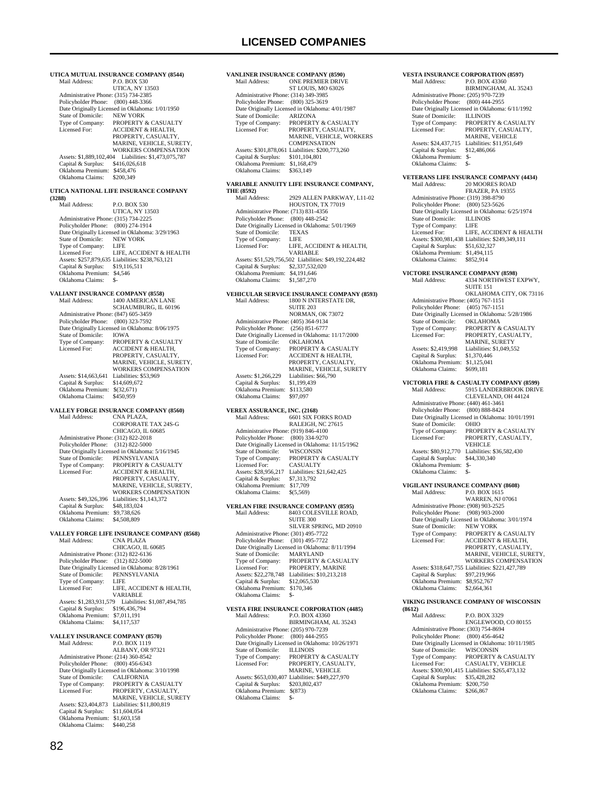**UTICA MUTUAL INSURANCE COMPANY (8544)**<br>Mail Address: P.O. BOX 530 P.O. BOX 530 UTICA, NY 13503 Administrative Phone: (315) 734-2385 Policyholder Phone: (800) 448-3366 Date Originally Licensed in Oklahoma: 1/01/1950<br>State of Domicile: NEW YORK State of Domicile: Type of Company: PROPERTY & CASUALTY<br>Licensed For: ACCIDENT & HEALTH **ACCIDENT & HEALTH** PROPERTY, CASUALTY, MARINE, VEHICLE, SURETY, WORKERS COMPENSATION Assets: \$1,889,102,404 Liabilities: \$1,473,075,787 Capital & Surplus: \$416,026,618 Oklahoma Premium: \$458,476 Oklahoma Claims: \$200,349 **UTICA NATIONAL LIFE INSURANCE COMPANY (3288)** P.O. BOX 530 UTICA, NY 13503<br>Administrative Phone: (315) 734-2225 Policyholder Phone: (800) 274-1914 Date Originally Licensed in Oklahoma: 3/29/1963 State of Domicile: NEW YORK Type of Company: LIFE<br>Licensed For: LIFE LIFE, ACCIDENT & HEALTH Assets: \$257,879,635 Liabilities: \$238,763,121 Capital & Surplus: \$19,116,511 Oklahoma Premium: \$4,546 Oklahoma Claims: \$-**VALIANT INSURANCE COMPANY (8558)** Mail Address: 1400 AMERICAN LANE SCHAUMBURG, IL 60196 Administrative Phone: (847) 605-3459 Policyholder Phone: (800) 323-7592 Date Originally Licensed in Oklahoma: 8/06/1975 State of Domicile:<br>Type of Company: State of Domicile: <br>Type of Company: PROPERTY & CASUALTY<br>Licensed For: ACCIDENT & HEALTH. ACCIDENT & HEALTH, PROPERTY, CASUALTY, MARINE, VEHICLE, SURETY, WORKERS COMPENSATION Assets: \$14,663,641 Liabilities: \$53,969<br>Capital & Surplus: \$14,609,672 Capital & Surplus: Oklahoma Premium: \$(32,671) Oklahoma Claims: \$450,959 **VALLEY FORGE INSURANCE COMPANY (8560)** Mail Address: CNA PLAZA, CORPORATE TAX 24S-G CHICAGO, IL 60685 Administrative Phone: (312) 822-2018 Policyholder Phone: (312) 822-5000 Date Originally Licensed in Oklahoma: 5/16/1945<br>State of Domicile: PENNSYLVANIA PENNSYLVANIA Type of Company: PROPERTY & CASUALTY<br>Licensed For: ACCIDENT & HEALTH, ACCIDENT & HEALTH, PROPERTY, CASUALTY MARINE, VEHICLE, SURETY, WORKERS COMPENSATION Assets: \$49,326,396 Liabilities: \$1,143,372<br>Capital & Surplus: \$48,183,024 Capital & Surplus: Oklahoma Premium: \$9,738,626<br>Oklahoma Claims: \$4,508,809 Oklahoma Claims: **VALLEY FORGE LIFE INSURANCE COMPANY (8568)** Mail Address: CNA PLAZA CHICAGO, IL 60685 Administrative Phone: (312) 822-6136 Policyholder Phone: (312) 822-5000 Date Originally Licensed in Oklahoma: 8/28/1961 State of Domicile: PENNSYLVANIA Type of Company: LIFE<br>Licensed For: LIFE LIFE, ACCIDENT & HEALTH, VARIABLE Assets: \$1,283,931,579 Liabilities: \$1,087,494,785 Capital & Surplus: \$196,436,794 Oklahoma Premium: \$7,011,191 Oklahoma Claims: \$4,117,537 **VALLEY INSURANCE COMPANY (8570)**<br>Mail Address: P.O. BOX 1119 Mail Address: ALBANY, OR 97321 Administrative Phone: (214) 360-8542 Policyholder Phone: (800) 456-6343 Date Originally Licensed in Oklahoma: 3/10/1998<br>State of Domicile: CALIFORNIA State of Domicile:<br>Type of Company: Type of Company: PROPERTY & CASUALTY<br>Licensed For: PROPERTY, CASUALTY PROPERTY, CASUALTY, MARINE, VEHICLE, SURETY Assets: \$23,404,873 Liabilities: \$11,800,819 Capital & Surplus: \$11,604,054 Oklahoma Premium: \$1,603,158

### **VANLINER INSURANCE COMPANY (8590)**<br>Mail Address: **ONE PREMIER DRIV** ONE PREMIER DRIVE ST LOUIS, MO 63026 Administrative Phone: (314) 349-3985 Policyholder Phone: (800) 325-3619 Date Originally Licensed in Oklahoma: 4/01/1987<br>State of Domicile: ARIZONA State of Domicile:<br>Type of Company: Type of Company: PROPERTY & CASUALTY<br>Licensed For: PROPERTY CASUALTY PROPERTY, CASUALTY, MARINE, VEHICLE, WORKERS **COMPENSATION**  Assets: \$301,878,061 Liabilities: \$200,773,260 Capital & Surplus: \$101,104,801 Oklahoma Premium: \$1,168,479 Oklahoma Claims: \$363,149 **VARIABLE ANNUITY LIFE INSURANCE COMPANY, THE (8592)** Mail Address: 2929 ALLEN PARKWAY, L11-02 HOUSTON, TX 77019 Administrative Phone: (713) 831-4356 Policyholder Phone: (800) 448-2542 Date Originally Licensed in Oklahoma: 5/01/1969<br>State of Domicile: TEXAS State of Domicile: TEXA<br>Type of Company: LIFE Type of Company:<br>Licensed For: Licensed For: LIFE, ACCIDENT & HEALTH, VARIABLE Assets: \$51,529,756,502 Liabilities: \$49,192,224,482 Capital & Surplus: \$2,337,532,020 Oklahoma Premium: \$4,191,646 Oklahoma Claims: \$1,587,270 **VEHICULAR SERVICE INSURANCE COMPANY (8593)** Mail Address: 1800 N INTERSTATE DR, SUITE 203 NORMAN, OK 73072 Administrative Phone: (405) 364-9134 Policyholder Phone: (256) 851-6777 Date Originally Licensed in Oklahoma: 11/17/2000 State of Domicile: OKLAHOMA Type of Company: PROPERTY & CASUALTY<br>Licensed For: ACCIDENT & HEALTH. ACCIDENT & HEALTH. PROPERTY, CASUALTY, MARINE, VEHICLE, SURETY Assets: \$1,266,229 Liabilities: \$66,790<br>Capital & Surplus: \$1,199,439 Capital & Surplus: Oklahoma Premium: \$113,580 Oklahoma Claims: \$97,097 **VEREX ASSURANCE, INC. (2168)**<br>Mail Address: 6601 SIX F 6601 SIX FORKS ROAD RALEIGH, NC 27615 Administrative Phone: (919) 846-4100 Policyholder Phone: (800) 334-9270 Date Originally Licensed in Oklahoma: 11/15/1962<br>State of Domicile: WISCONSIN State of Domicile:<br>Type of Company: **PROPERTY & CASUALTY**  Licensed For: CASUALTY Assets: \$28,956,217 Liabilities: \$21,642,425 Capital & Surplus: \$7,313,792 Oklahoma Premium: \$17,709 Oklahoma Claims: \$(5,569) **VERLAN FIRE INSURANCE COMPANY (8595)** Mail Address: 8403 COLESVILLE ROAD, SUITE 300 SILVER SPRING, MD 20910 Administrative Phone: (301) 495-7722 Policyholder Phone: (301) 495-7722 Date Originally Licensed in Oklahoma: 8/11/1994<br>State of Domicile: MARYLAND State of Domicile:<br>Type of Company: PROPERTY & CASUALTY<br>PROPERTY, MARINE Licensed For: PROPERTY, MARINE Assets: \$22,278,748 Liabilities: \$10,213,218 Capital & Surplus: \$12,065,530 Oklahoma Premium: \$170,346 Oklahoma Claims: **VESTA FIRE INSURANCE CORPORATION (4485)**<br>Mail Address: P.O. BOX 43360 P.O. BOX 43360 BIRMINGHAM, AL 35243 Administrative Phone: (205) 970-7239

 Policyholder Phone: (800) 444-2955 Date Originally Licensed in Oklahoma: 10/26/1971 State of Domicile:<br>Type of Company: Exact of Domicile: ILLINOIS<br>Type of Company: PROPERTY & CASUALTY<br>Licensed For: PROPERTY, CASUALTY PROPERTY, CASUALTY, MARINE, VEHICLE Assets: \$653,030,407 Liabilities: \$449,227,970 Capital & Surplus: \$203,802,437 Oklahoma Premium: \$(873) Oklahoma Claims:

### **VESTA INSURANCE CORPORATION (8597)**<br>Mail Address: P.O. BOX 43360 P.O. BOX 43360 BIRMINGHAM, AL 35243 Administrative Phone: (205) 970-7239 Policyholder Phone: (800) 444-2955 Date Originally Licensed in Oklahoma: 6/11/1992<br>State of Domicile: ILLINOIS State of Domicile:<br>Type of Company: Type of Company: PROPERTY & CASUALTY<br>Licensed For: PROPERTY CASUALTY PROPERTY, CASUALTY MARINE, VEHICLE Assets: \$24,437,715 Liabilities: \$11,951,649<br>Capital & Surplus: \$12,486,066 Capital & Surplus: Oklahoma Premium: \$<br>Oklahoma Claims: \$ Oklahoma Claims: \$- **VETERANS LIFE INSURANCE COMPANY (4434)**<br>
Mail Address: 20 MOORES ROAD FRAZER, PA 19355 Administrative Phone: (319) 398-8790 Policyholder Phone: (800) 523-5626 Date Originally Licensed in Oklahoma: 6/25/1974 State of Domicile: ILLINOIS Type of Company: LIFE LIFE, ACCIDENT & HEALTH Assets: \$300,981,438 Liabilities: \$249,349,111 Capital & Surplus: \$51,632,327 Oklahoma Premium: \$1,494,115 Oklahoma Claims: \$852,914 **VICTORE INSURANCE COMPANY (8598)** 4334 NORTHWEST EXPWY, SUITE 151 OKLAHOMA CITY, OK 73116 Administrative Phone: (405) 767-1151 Policyholder Phone: (405) 767-1151 Date Originally Licensed in Oklahoma: 5/28/1986<br>State of Domicile: OKI AHOMA State of Domicile:<br>Type of Company: Type of Company: PROPERTY & CASUALTY<br>Licensed For: PROPERTY, CASUALTY, PROPERTY, CASUALTY, MARINE, SURETY Assets: \$2,419,998 Liabilities: \$1,049,552<br>Capital & Surplus: \$1,370,446 Capital & Surplus: Oklahoma Premium: \$1,125,041 Oklahoma Claims: **VICTORIA FIRE & CASUALTY COMPANY (8599)** 5915 LANDERBROOK DRIVE CLEVELAND, OH 44124 Administrative Phone: (440) 461-3461 Policyholder Phone: (800) 888-8424 Pate Originally Licensed in Oklahoma: 10/01/1991<br>State of Domicile: OHIO State of Domicile:<br>Type of Company:<br>Licensed For: PROPERTY & CASUALTY PROPERTY, CASUALTY, **VEHICLE** Assets: \$80,912,770 Liabilities: \$36,582,430<br>Capital & Surplus: \$44.330.340 Capital & Surplus: Oklahoma Premium: \$- Oklahoma Claims: **VIGILANT INSURANCE COMPANY (8608)** P.O. BOX 1615 WARREN, NJ 07061 Administrative Phone: (908) 903-2525 Policyholder Phone: (908) 903-2000 Date Originally Licensed in Oklahoma: 3/01/1974<br>State of Domicile: NEW YORK State of Domicile:<br>Type of Company: Type of Company: PROPERTY & CASUALTY Licensed For: ACCIDENT & HEALTH, PROPERTY, CASUALTY, MARINE, VEHICLE, SURETY, WORKERS COMPENSATION Assets: \$318,647,755 Liabilities: \$221,427,789 Capital & Surplus: \$97,219,966 Oklahoma Premium: \$8,952,767 Oklahoma Claims: \$2,664,361 **VIKING INSURANCE COMPANY OF WISCONSIN (8612)** Mail Address: P.O. BOX 3329 ENGLEWOOD, CO 80155 Administrative Phone: (303) 754-8694

|                                      | .                                                |
|--------------------------------------|--------------------------------------------------|
|                                      | ENGLEWOOD, CO 80155                              |
| Administrative Phone: (303) 754-8694 |                                                  |
| Policyholder Phone: (800) 456-4642   |                                                  |
|                                      | Date Originally Licensed in Oklahoma: 10/11/1985 |
| State of Domicile:                   | <b>WISCONSIN</b>                                 |
| Type of Company:                     | PROPERTY & CASUALTY                              |
| Licensed For:                        | CASUALTY, VEHICLE                                |
|                                      | Assets: \$300,901,415 Liabilities: \$265,473,132 |
| Capital & Surplus:                   | \$35,428,282                                     |
| Oklahoma Premium:                    | \$200,750                                        |
| Oklahoma Claims:                     | \$266,867                                        |

Oklahoma Claims: \$440,258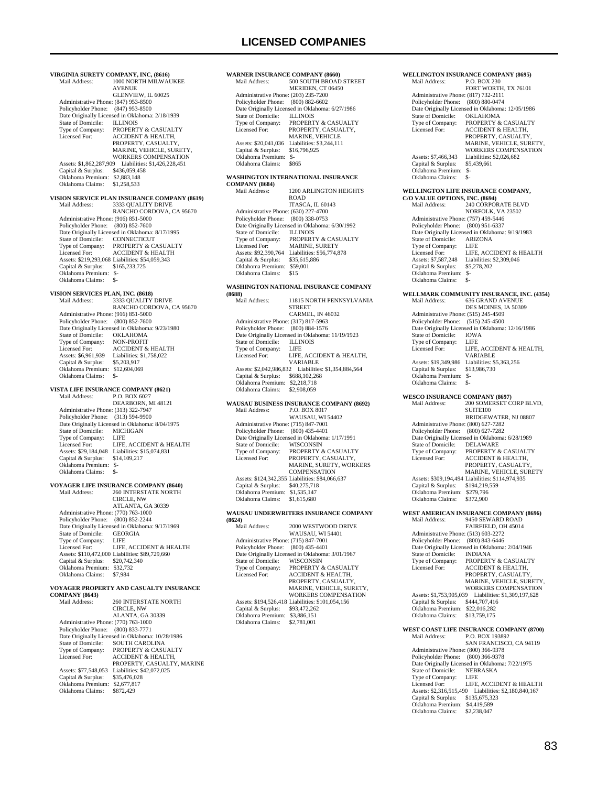### **LICENSED COMPANIES**

**VIRGINIA SURETY COMPANY, INC, (8616)** MAIN AND SOLUTION **AVENUE** GLENVIEW, IL 60025 Administrative Phone: (847) 953-8500 Policyholder Phone: (847) 953-8500 Date Originally Licensed in Oklahoma: 2/18/1939 State of Domicile:<br>Type of Company: State of Domicile: ILLINOIS<br>Type of Company: PROPERTY & CASUALTY<br>Licensed For: ACCIDENT & HEALTH. ACCIDENT & HEALTH, PROPERTY, CASUALTY MARINE, VEHICLE, SURETY, WORKERS COMPENSATION Assets: \$1,862,287,909 Liabilities: \$1,426,228,451 Capital & Surplus: Oklahoma Premium: \$2,883,148<br>Oklahoma Claims: \$1,258,533 Oklahoma Claims: **VISION SERVICE PLAN INSURANCE COMPANY (8619)** 3333 QUALITY DRIVE RANCHO CORDOVA, CA 95670 Administrative Phone: (916) 851-5000 Policyholder Phone: (800) 852-7600 Date Originally Licensed in Oklahoma: 8/17/1995<br>State of Domicile: CONNECTICUT State of Domicile:<br>
Type of Company: Type of Company: PROPERTY & CASUALTY Licensed For: ACCIDENT & HEALTH Assets: \$219,293,068 Liabilities: \$54,059,343 Capital & Surplus: \$165,233,725 Oklahoma Premium: \$- Oklahoma Claims: \$-**VISION SERVICES PLAN, INC. (8618)**<br>Mail Address: 3333 QUALITY 3333 QUALITY DRIVE RANCHO CORDOVA, CA 95670 Administrative Phone: (916) 851-5000 Policyholder Phone: (800) 852-7600 Date Originally Licensed in Oklahoma: 9/23/1980<br>State of Domicile: OKLAHOMA State of Domicile: OKLAHOMA<br>Type of Company: NON-PROFIT Type of Company:<br>Licensed For: Licensed For: ACCIDENT & HEALTH<br>Assets: \$6,961,939 Liabilities: \$1,758,022 Liabilities: \$1,758,022<br>\$5,203,917 Capital & Surplus: Oklahoma Premium: \$12,604,069 Oklahoma Claims: \$-**VISTA LIFE INSURANCE COMPANY (8621)**<br>Mail Address: P.O. BOX 6027 P.O. BOX 6027 DEARBORN, MI 48121 Administrative Phone: (313) 322-7947 Policyholder Phone: (313) 594-9900 Date Originally Licensed in Oklahoma: 8/04/1975<br>State of Domicile: MICHIGAN State of Domicile: MICH<br>Type of Company: LIFE Type of Company:<br>Licensed For: LIFE, ACCIDENT & HEALTH Assets: \$29,184,048 Liabilities: \$15,074,831<br>Capital & Surplus: \$14,109.217 Capital & Surplus: Oklahoma Premium: \$- Oklahoma Claims: **VOYAGER LIFE INSURANCE COMPANY (8640)** 260 INTERSTATE NORTH CIRCLE, NW ATLANTA, GA 30339 Administrative Phone: (770) 763-1000 Policyholder Phone: (800) 852-2244 Date Originally Licensed in Oklahoma: 9/17/1969 State of Domicile: GEORGIA<br>Type of Company: LIFE Type of Company: LIFE<br>Licensed For: LIFE, ACCIDENT & HEALTH Licensed For: LIFE, ACCIDENT & HEALTH Assets: \$110,472,000 Liabilities: \$89,729,660 Capital & Surplus: \$20,742,340 Oklahoma Premium: \$32,732 Oklahoma Claims: \$7,984 **VOYAGER PROPERTY AND CASUALTY INSURANCE COMPANY (8643)** 260 INTERSTATE NORTH CIRCLE, NW ALANTA, GA 30339 Administrative Phone: (770) 763-1000 Policyholder Phone: (800) 833-7771 Date Originally Licensed in Oklahoma: 10/28/1986<br>State of Domicile: SOUTH CAROLINA

State of Domicile: SOUTH CAROLINA<br>Type of Company: PROPERTY & CASU Type of Company: PROPERTY & CASUALTY<br>Licensed For: ACCIDENT & HEALTH.

Assets: \$77,548,053 Liabilities: \$42,072,025<br>Capital & Surplus: \$35,476,028 Capital & Surplus: \$35,476,028 Oklahoma Premium: \$2,677,817 Oklahoma Claims: \$872,429

ACCIDENT & HEALTH, PROPERTY, CASUALTY, MARINE **WARNER INSURANCE COMPANY (8660)**<br>Mail Address: 500 SOUTH BROAT 500 SOUTH BROAD STREET MERIDEN, CT 06450 Administrative Phone: (203) 235-7200 Policyholder Phone: (800) 882-6602 Date Originally Licensed in Oklahoma: 6/27/1986<br>State of Domicile: ILLINOIS State of Domicile:<br>Type of Company: Type of Company: PROPERTY & CASUALTY<br>Licensed For: PROPERTY CASUALTY PROPERTY CASUALTY MARINE, VEHICLE Assets: \$20,041,036 Liabilities: \$3,244,111<br>Capital & Surplus: \$16.796.925 Capital & Surplus: Oklahoma Premium: \$-

## **WASHINGTON INTERNATIONAL INSURANCE**

Oklahoma Claims: \$865

**COMPANY (8684)** 1200 ARLINGTON HEIGHTS ROAD ITASCA, IL 60143 Administrative Phone: (630) 227-4700 Policyholder Phone: (800) 338-0753 Date Originally Licensed in Oklahoma: 6/30/1992<br>State of Domicile<br>ILLINOIS State of Domicile:<br>Type of Company: PROPERTY & CASUALTY Licensed For: MARINE, SURETY Assets: \$92,390,764 Liabilities: \$56,774,878 Capital & Surplus: \$35,615,886 Oklahoma Premium: \$59,001 Oklahoma Claims: \$15

### **WASHINGTON NATIONAL INSURANCE COMPANY**

| (8688)                               |                                                  |
|--------------------------------------|--------------------------------------------------|
| Mail Address:                        | 11815 NORTH PENNSYLVANIA                         |
|                                      | <b>STREET</b>                                    |
|                                      | CARMEL, IN 46032                                 |
| Administrative Phone: (317) 817-5963 |                                                  |
| Policyholder Phone:                  | (800) 884-1576                                   |
|                                      | Date Originally Licensed in Oklahoma: 11/19/1923 |
| State of Domicile:                   | <b>ILLINOIS</b>                                  |
| Type of Company:                     | LIFE.                                            |
| Licensed For:                        | LIFE. ACCIDENT & HEALTH.                         |
|                                      | <b>VARIABLE</b>                                  |
| Assets: \$2,042,986,832              | Liabilities: \$1.354,884,564                     |
| Capital & Surplus:                   | \$688,102,268                                    |
| Oklahoma Premium:                    | \$2,218,718                                      |
| Oklahoma Claims:                     | \$2,908,059                                      |
|                                      |                                                  |

#### **WAUSAU BUSINESS INSURANCE COMPANY (8692) P.O. BOX 8017**

|                                      | <b>WAUSAU, WI 54402</b>                         |
|--------------------------------------|-------------------------------------------------|
| Administrative Phone: (715) 847-7001 |                                                 |
| Policyholder Phone: (800) 435-4401   |                                                 |
|                                      | Date Originally Licensed in Oklahoma: 1/17/1991 |
| State of Domicile:                   | <b>WISCONSIN</b>                                |
| Type of Company:                     | <b>PROPERTY &amp; CASUALTY</b>                  |
| Licensed For:                        | PROPERTY, CASUALTY,                             |
|                                      | MARINE, SURETY, WORKERS                         |
|                                      | <b>COMPENSATION</b>                             |
|                                      | Assets: \$124,342,355 Liabilities: \$84,066,637 |
| Capital & Surplus:                   | \$40,275,718                                    |
| Oklahoma Premium:                    | \$1,535,147                                     |
| Oklahoma Claims:                     | \$1,615,680                                     |
|                                      |                                                 |

#### **WAUSAU UNDERWRITERS INSURANCE COMPANY (8624)**

| Mail Address:                        | 2000 WESTWOOD DRIVE                              |
|--------------------------------------|--------------------------------------------------|
|                                      | <b>WAUSAU, WI 54401</b>                          |
| Administrative Phone: (715) 847-7001 |                                                  |
| Policyholder Phone:                  | $(800)$ 435-4401                                 |
|                                      | Date Originally Licensed in Oklahoma: 3/01/1967  |
| State of Domicile:                   | <b>WISCONSIN</b>                                 |
| Type of Company:                     | <b>PROPERTY &amp; CASUALTY</b>                   |
| Licensed For:                        | <b>ACCIDENT &amp; HEALTH.</b>                    |
|                                      | PROPERTY, CASUALTY,                              |
|                                      | MARINE, VEHICLE, SURETY.                         |
|                                      | <b>WORKERS COMPENSATION</b>                      |
|                                      | Assets: \$194,526,418 Liabilities: \$101,054,156 |
| Capital & Surplus:                   | \$93,472,262                                     |
| Oklahoma Premium:                    | \$3,886,151                                      |
| Oklahoma Claims:                     | \$2,781,001                                      |
|                                      |                                                  |

#### **WELLINGTON INSURANCE COMPANY (8695)**<br>Mail Address: P.O. BOX 230 P.O. BOX 230 FORT WORTH, TX 76101 Administrative Phone: (817) 732-2111 Policyholder Phone: (800) 880-0474 Date Originally Licensed in Oklahoma: 12/05/1986<br>State of Domicile: OKLAHOMA State of Domicile:<br>Type of Company: Type of Company: PROPERTY & CASUALTY<br>Licensed For: ACCIDENT & HEALTH **ACCIDENT & HEALTH** PROPERTY, CASUALTY, MARINE, VEHICLE, SURETY, WORKERS COMPENSATION Assets: \$7,466,343 Liabilities: \$2,026,682<br>Capital & Surplus: \$5,439,661 Capital & Surplus: Oklahoma Premium: \$- Oklahoma Claims: \$-

### **WELLINGTON LIFE INSURANCE COMPANY,**

| C/O VALUE OPTIONS, INC. (8694)       |                                                 |  |
|--------------------------------------|-------------------------------------------------|--|
| Mail Address:                        | <b>240 CORPORATE BLVD</b>                       |  |
|                                      | NORFOLK, VA 23502                               |  |
| Administrative Phone: (757) 459-5446 |                                                 |  |
| Policyholder Phone: (800) 951-6337   |                                                 |  |
|                                      | Date Originally Licensed in Oklahoma: 9/19/1983 |  |
| State of Domicile:                   | <b>ARIZONA</b>                                  |  |
| Type of Company:                     | <b>LIFE</b>                                     |  |
| Licensed For:                        | LIFE. ACCIDENT & HEALTH                         |  |
| Assets: \$7,587,248                  | Liabilities: \$2,309,046                        |  |
| Capital & Surplus:                   | \$5,278,202                                     |  |
| Oklahoma Premium:                    | $S-$                                            |  |
| Oklahoma Claims:                     | \$-                                             |  |
|                                      |                                                 |  |

**WELLMARK COMMUNITY INSURANCE, INC. (4354)**<br>Mail Address: 636 GRAND AVENUE Mail Address: 636 GRAND AVENUE DES MOINES, IA 50309 Administrative Phone: (515) 245-4509 Policyholder Phone: (515) 245-4500 Date Originally Licensed in Oklahoma: 12/16/1986<br>State of Domicile: IOWA State of Domicile: IOWA<br>Type of Company: LIFE Type of Company:<br>Licensed For: LIFE, ACCIDENT & HEALTH, VARIABLE Assets: \$19,349,986 Liabilities: \$5,363,256<br>Capital & Surplus: \$13,986,730 Capital & Surplus: \$1<br>Oklahoma Premium: \$- Oklahoma Premium: \$- Oklahoma Claims: \$-

#### **WESCO INSURANCE COMPANY (8697)**<br>Mail Address: 200 SOMERSET C 200 SOMERSET CORP BLVD, SUITE100 BRIDGEWATER, NJ 08807 Administrative Phone: (800) 627-7282 Policyholder Phone: (800) 627-7282 Date Originally Licensed in Oklahoma: 6/28/1989<br>State of Domicile: DELAWARE State of Domicile:<br>Type of Company: Type of Company: PROPERTY & CASUALTY<br>Licensed For: ACCIDENT & HEALTH. ACCIDENT & HEALTH, PROPERTY, CASUALTY, MARINE, VEHICLE, SURETY Assets: \$309,194,494 Liabilities: \$114,974,935 Capital & Surplus: \$194,219,559 Oklahoma Premium: \$279,796 Oklahoma Claims: \$372,900

**WEST AMERICAN INSURANCE COMPANY (8696)** Mail Address: 9450 SEWARD ROAD FAIRFIELD, OH 45014 Administrative Phone: (513) 603-2272 Policyholder Phone: (800) 843-6446 Date Originally Licensed in Oklahoma: 2/04/1946<br>State of Domicile: INDIANA State of Domicile:<br>Type of Company: Type of Company: PROPERTY & CASUALTY<br>Licensed For: ACCIDENT & HEALTH, Licensed For: ACCIDENT & HEALTH, PROPERTY, CASUALTY, MARINE, VEHICLE, SURETY, WORKERS COMPENSATION Assets: \$1,753,905,039 Liabilities: \$1,309,197,628 Capital & Surplus: \$444,707,416 Oklahoma Premium: \$22,016,282 Oklahoma Claims: \$13,759,175 **WEST COAST LIFE INSURANCE COMPANY (8700)**<br>Mail Address: P.O. BOX 193892 Mail Address: P.O. BOX 193892 SAN FRANCISCO, CA 94119

 Administrative Phone: (800) 366-9378 Policyholder Phone: (800) 366-9378 Date Originally Licensed in Oklahoma: 7/22/1975 State of Domicile: NEBRASKA<br>Type of Company: LIFE Type of Company:<br>Licensed For: LIFE, ACCIDENT & HEALTH Assets: \$2,316,515,490 Liabilities: \$2,180,840,167 Capital & Surplus: \$135,675,323 Oklahoma Premium: \$4,419,589 Oklahoma Claims: \$2,238,047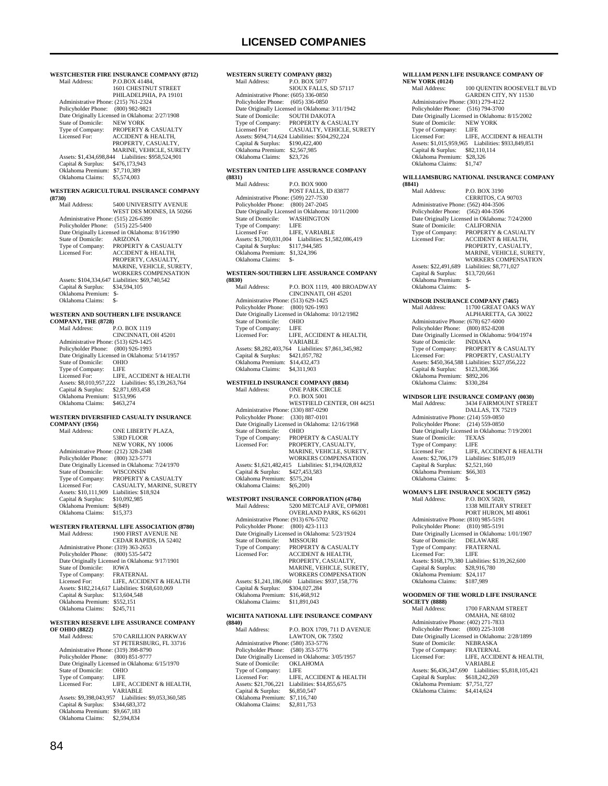**WESTCHESTER FIRE INSURANCE COMPANY (8712)**<br>Mail Address: P.O.BOX 41484. P.O.BOX 41484, 1601 CHESTNUT STREET PHILADELPHIA, PA 19101 Administrative Phone: (215) 761-2324 Policyholder Phone: (800) 982-9821 Date Originally Licensed in Oklahoma: 2/27/1908<br>State of Domicile: NEW YORK State of Domicile:<br>Type of Company: Type of Company: PROPERTY & CASUALTY<br>Licensed For: ACCIDENT & HEALTH. ACCIDENT & HEALTH, PROPERTY, CASUALTY MARINE, VEHICLE, SURETY Assets: \$1,434,698,844 Liabilities: \$958,524,901 Capital & Surplus: \$476,173,943 Oklahoma Premium: \$7,710,389 Oklahoma Claims: \$5,574,003 **WESTERN AGRICULTURAL INSURANCE COMPANY (8730)** 5400 UNIVERSITY AVENUE WEST DES MOINES, IA 50266 Administrative Phone: (515) 226-6399 Policyholder Phone: (515) 225-5400 Date Originally Licensed in Oklahoma: 8/16/1990<br>State of Domicile: ARIZONA State of Domicile:<br>Type of Company: Type of Company: PROPERTY & CASUALTY Licensed For: ACCIDENT & HEALTH, PROPERTY, CASUALTY, MARINE, VEHICLE, SURETY, WORKERS COMPENSATION Assets: \$104,334,647 Liabilities: \$69,740,542 Capital & Surplus: \$34,594,105 Oklahoma Premium: \$- Oklahoma Claims: \$- **WESTERN AND SOUTHERN LIFE INSURANCE COMPANY, THE (8728)** Mail Address: P.O. BOX 1119 CINCINNATI, OH 45201 Administrative Phone: (513) 629-1425 Policyholder Phone: (800) 926-1993 Date Originally Licensed in Oklahoma: 5/14/1957 State of Domicile: OHIO<br>Type of Company: LIFE Type of Company: LIFE<br>Licensed For: LIFE. ACCIDENT & HEALTH Licensed For: LIFE, ACCIDENT & HEALTH Assets: \$8,010,957,222 Liabilities: \$5,139,263,764 Capital & Surplus: \$2,871,693,458 Oklahoma Premium: \$153,996 Oklahoma Claims: **WESTERN DIVERSIFIED CASUALTY INSURANCE COMPANY (1956)**<br>Mail Address: ONE LIBERTY PLAZA. 53RD FLOOR NEW YORK, NY 10006 Administrative Phone: (212) 328-2348 Policyholder Phone: (800) 323-5771 Date Originally Licensed in Oklahoma: 7/24/1970<br>State of Domicile: WISCONSIN State of Domicile:<br>Type of Company: Type of Company: PROPERTY & CASUALTY Licensed For: CASUALTY, MARINE, SURETY Assets: \$10,111,909 Liabilities: \$18,924 Capital & Surplus: \$10,092,985 Oklahoma Premium: \$(849) Oklahoma Claims: \$15,373 **WESTERN FRATERNAL LIFE ASSOCIATION (8780)**<br>Mail Address: 1900 FIRST AVENUE NE 1900 FIRST AVENUE NE CEDAR RAPIDS, IA 52402 Administrative Phone: (319) 363-2653 Policyholder Phone: (800) 535-5472 Date Originally Licensed in Oklahoma: 9/17/1901<br>State of Domicile: IOWA<br>Type of Company: FRATERNAL State of Domicile: Type of Company: FRATERNAL<br>Licensed For: LIFE, ACCIDENT & HEALTH Licensed For: LIFE, ACCIDENT & HEALTH Assets: \$182,214,617 Liabilities: \$168,610,069 Capital & Surplus: \$13,604,548 Oklahoma Premium: \$552,151<br>Oklahoma Claims: \$245,711 Oklahoma Claims: **WESTERN RESERVE LIFE ASSURANCE COMPANY OF OHIO (8822)** 570 CARILLION PARKWAY ST PETERSBURG, FL 33716 Administrative Phone: (319) 398-8790 Policyholder Phone: (800) 851-9777 Date Originally Licensed in Oklahoma: 6/15/1970 State of Domicile: OHIO<br>Type of Company: LIFE Type of Company:<br>Licensed For: LIFE, ACCIDENT & HEALTH, VARIABLE Assets: \$9,398,043,957 Liabilities: \$9,053,360,585 Capital & Surplus: \$344,683,372 Oklahoma Premium: \$9,667,183 Oklahoma Claims:

### **WESTERN SURETY COMPANY (8832)**<br>Mail Address: P.O. BOX 5077 P.O. BOX 5077 SIOUX FALLS, SD 57117 Administrative Phone: (605) 336-0850 Policyholder Phone: (605) 336-0850 Date Originally Licensed in Oklahoma: 3/11/1942<br>State of Domicile: SOUTH DAKOTA State of Domicile: SOUTH DAKOTA<br>Type of Company: PROPERTY & CA: Type of Company: PROPERTY & CASUALTY Licensed For: CASUALTY, VEHICLE, SURETY Assets: \$694,714,624 Liabilities: \$504,292,224 Capital & Surplus: \$190,422,400 Oklahoma Premium: \$2,567,985 Oklahoma Claims: \$23,726 **WESTERN UNITED LIFE ASSURANCE COMPANY (8831)** P.O. BOX 9000 POST FALLS, ID 83877 Administrative Phone: (509) 227-7530 Policyholder Phone: (800) 247-2045 Date Originally Licensed in Oklahoma: 10/11/2000 State of Domicile: WASHINGTON Type of Company: LIFE Licensed For: LIFE, VARIABLE Assets: \$1,700,031,004 Liabilities: \$1,582,086,419 Capital & Surplus: \$117,944,585 Oklahoma Premium: \$1,324,396 Oklahoma Claims: \$-**WESTERN-SOUTHERN LIFE ASSURANCE COMPANY (8830)** P.O. BOX 1119, 400 BROADWAY CINCINNATI, OH 45201 Administrative Phone: (513) 629-1425 Policyholder Phone: (800) 926-1993 Date Originally Licensed in Oklahoma: 10/12/1982 State of Domicile: OHIC<br>Type of Company: LIFE Type of Company:<br>Licensed For: LIFE, ACCIDENT & HEALTH, VARIABLE Assets: \$8,282,403,764 Liabilities: \$7,861,345,982 Capital & Surplus: \$421,057,782 Oklahoma Premium: \$14,432,473<br>Oklahoma Claims: \$4,311,903 Oklahoma Claims: **WESTFIELD INSURANCE COMPANY (8834)** Mail Address: **ONE PARK CIRCLE**  P.O. BOX 5001 WESTFIELD CENTER, OH 44251 Administrative Phone: (330) 887-0290 Policyholder Phone: (330) 887-0101 Date Originally Licensed in Oklahoma: 12/16/1968 State of Domicile: OHIO<br>Type of Company: PROPE Type of Company: PROPERTY & CASUALTY<br>Licensed For: PROPERTY, CASUALTY. Licensed For: PROPERTY, CASUALTY, MARINE, VEHICLE, SURETY, WORKERS COMPENSATION Assets: \$1,621,482,415 Liabilities: \$1,194,028,832 Capital & Surplus: \$427,453,583 Oklahoma Premium: \$575,204 Oklahoma Claims: \$(6,200) **WESTPORT INSURANCE CORPORATION (4784)**<br>Mail Address: 5200 METCALF AVE, OPM 5200 METCALF AVE, OPM081 OVERLAND PARK, KS 66201 Administrative Phone: (913) 676-5702 Policyholder Phone: (800) 423-1113 Date Originally Licensed in Oklahoma: 5/23/1924 State of Domicile: MISSOURI Type of Company: PROPERTY & CASUALTY Licensed For: ACCIDENT & HEALTH, PROPERTY, CASUALTY, MARINE, VEHICLE, SURETY, WORKERS COMPENSATION Assets: \$1,241,186,060 Liabilities: \$937,158,776 Capital & Surplus: \$304,027,284 Oklahoma Premium: \$16,468,912 Oklahoma Claims: \$11,891,043 **WICHITA NATIONAL LIFE INSURANCE COMPANY (8840)** P.O. BOX 1709, 711 D AVENUE

|                                      | LAWTON, OK 73502                                |
|--------------------------------------|-------------------------------------------------|
| Administrative Phone: (580) 353-5776 |                                                 |
| Policyholder Phone: (580) 353-5776   |                                                 |
|                                      | Date Originally Licensed in Oklahoma: 3/05/1957 |
| State of Domicile:                   | <b>OKLAHOMA</b>                                 |
| Type of Company:                     | LIFE                                            |
| Licensed For:                        | LIFE. ACCIDENT & HEALTH                         |
| Assets: \$21,706.221                 | Liabilities: \$14,855,675                       |
| Capital & Surplus:                   | \$6,850,547                                     |
| Oklahoma Premium:                    | \$7,116,740                                     |
| Oklahoma Claims:                     | \$2,811,753                                     |
|                                      |                                                 |

#### **WILLIAM PENN LIFE INSURANCE COMPANY OF NEW YORK (0124)**

| Mail Address:                        | 100 QUENTIN ROOSEVELT BLVD                         |
|--------------------------------------|----------------------------------------------------|
|                                      | GARDEN CITY, NY 11530                              |
| Administrative Phone: (301) 279-4122 |                                                    |
| Policyholder Phone: (516) 794-3700   |                                                    |
|                                      | Date Originally Licensed in Oklahoma: 8/15/2002    |
| State of Domicile:                   | NEW YORK                                           |
| Type of Company: LIFE                |                                                    |
| Licensed For:                        | LIFE. ACCIDENT & HEALTH                            |
|                                      | Assets: \$1,015,959,965 Liabilities: \$933,849,851 |
| Capital & Surplus:                   | \$82,110,114                                       |
| Oklahoma Premium:                    | \$28,326                                           |
| Oklahoma Claims:                     | \$1,747                                            |
|                                      |                                                    |

#### **WILLIAMSBURG NATIONAL INSURANCE COMPANY (8841)**

|                                              | (8841)                                          |                                                  |  |  |
|----------------------------------------------|-------------------------------------------------|--------------------------------------------------|--|--|
|                                              | Mail Address:                                   | P.O. BOX 3190                                    |  |  |
|                                              |                                                 | CERRITOS, CA 90703                               |  |  |
|                                              | Administrative Phone: (562) 404-3506            |                                                  |  |  |
|                                              | Policyholder Phone:                             | $(562)$ 404-3506                                 |  |  |
|                                              | Date Originally Licensed in Oklahoma: 7/24/2000 |                                                  |  |  |
|                                              | <b>State of Domicile:</b>                       | <b>CALIFORNIA</b>                                |  |  |
|                                              | Type of Company:                                | PROPERTY & CASUALTY                              |  |  |
|                                              | Licensed For:                                   | <b>ACCIDENT &amp; HEALTH.</b>                    |  |  |
|                                              |                                                 | PROPERTY, CASUALTY,                              |  |  |
|                                              |                                                 | MARINE, VEHICLE, SURETY,                         |  |  |
|                                              |                                                 | <b>WORKERS COMPENSATION</b>                      |  |  |
|                                              | Assets: \$22,491,689                            | Liabilities: \$8,771,027                         |  |  |
|                                              | Capital & Surplus:                              | \$13,720,661                                     |  |  |
|                                              | Oklahoma Premium:                               | $S-$                                             |  |  |
|                                              | Oklahoma Claims:                                | $S-$                                             |  |  |
| <b>WINDSOR INSURANCE COMPANY (7465)</b>      |                                                 |                                                  |  |  |
|                                              | Mail Address:                                   | 11700 GREAT OAKS WAY                             |  |  |
|                                              |                                                 | ALPHARETTA, GA 30022                             |  |  |
|                                              | Administrative Phone: (678) 627-6000            |                                                  |  |  |
|                                              | Policyholder Phone:                             | $(800) 852 - 8208$                               |  |  |
|                                              |                                                 | Date Originally Licensed in Oklahoma: 9/04/1974  |  |  |
|                                              | State of Domicile:                              | <b>INDIANA</b>                                   |  |  |
|                                              | Type of Company:                                | PROPERTY & CASUALTY                              |  |  |
|                                              | Licensed For:                                   | PROPERTY, CASUALTY                               |  |  |
|                                              |                                                 | Assets: \$450,364,588 Liabilities: \$327,056,222 |  |  |
|                                              | Capital & Surplus:                              | \$123,308,366                                    |  |  |
|                                              | Oklahoma Premium:                               | \$892,206                                        |  |  |
|                                              | Oklahoma Claims:                                | \$330,284                                        |  |  |
| <b>WINDSOR LIFE INSURANCE COMPANY (0030)</b> |                                                 |                                                  |  |  |
|                                              | Mail Address:                                   | <b>3434 FAIRMOUNT STREET</b>                     |  |  |
|                                              |                                                 | DALLAS, TX 75219                                 |  |  |
|                                              | Administrative Phone: (214) 559-0850            |                                                  |  |  |
|                                              | Policyholder Phone:                             | $(214) 559 - 0850$                               |  |  |
|                                              | Date Originally Licensed in Oklahoma: 7/19/2001 |                                                  |  |  |
|                                              | State of Domicile:                              | <b>TEXAS</b>                                     |  |  |
|                                              |                                                 |                                                  |  |  |

#### Type of Company: LIFE Experiment LIFE, ACCIDENT & HEALTH<br>
Assets: \$2.706.179 Liabilities: \$185.019 Liabilities: \$185,019 Capital & Surplus: \$2,521,160 Oklahoma Premium: \$66,303<br>Oklahoma Claims: \$- Oklahoma Claims: \$- **WOMAN'S LIFE INSURANCE SOCIETY (5952)**<br>Mail Address: P.O. BOX 5020. Mail Address: 1338 MILITARY STREET PORT HURON, MI 48061

 Administrative Phone: (810) 985-5191 Policyholder Phone: (810) 985-5191 Date Originally Licensed in Oklahoma: 1/01/1907 State of Domicile: DELAWARE Type of Company: FRATERNAL<br>Licensed For: LIFE Licensed For: Assets: \$168,179,380 Liabilities: \$139,262,600 Capital & Surplus: \$28,916,780 Oklahoma Premium: \$24,117 Oklahoma Claims: \$187,989

### **WOODMEN OF THE WORLD LIFE INSURANCE SOCIETY (8888)**

1700 FARNAM STREET OMAHA, NE 68102 Administrative Phone: (402) 271-7833 Policyholder Phone: (800) 225-3108 Date Originally Licensed in Oklahoma: 2/28/1899<br>State of Domicile: NEBRASKA State of Domicile: NEBRASKA<br>Type of Company: FRATERNAL Type of Company:<br>Licensed For: LIFE, ACCIDENT & HEALTH, VARIABLE Assets: \$6,436,347,690 Liabilities: \$5,818,105,421 Capital & Surplus: \$618,242,269 Oklahoma Premium: \$7,751,727 Oklahoma Claims: \$4,414,624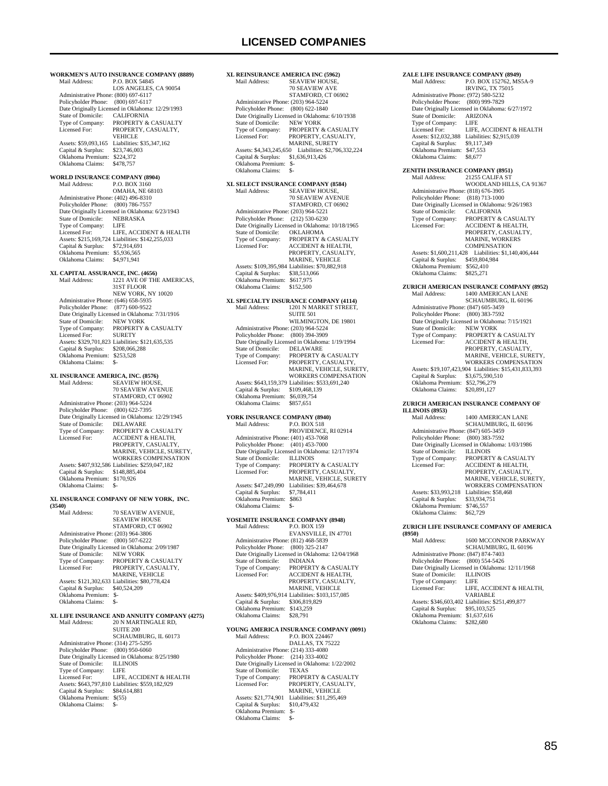**WORKMEN'S AUTO INSURANCE COMPANY (8889)** P.O. BOX 54845 LOS ANGELES, CA 90054 Administrative Phone: (800) 697-6117 Policyholder Phone: (800) 697-6117 Date Originally Licensed in Oklahoma: 12/29/1993<br>State of Domicile: CALIFORNIA State of Domicile:<br>Type of Company: Type of Company: PROPERTY & CASUALTY<br>Licensed For: PROPERTY CASUALTY PROPERTY, CASUALTY, VEHICLE Assets: \$59,093,165 Liabilities: \$35,347,162<br>Capital & Surplus: \$23,746,003 Capital & Surplus: Oklahoma Premium: \$224,372<br>Oklahoma Claims: \$478.757 Oklahoma Claims: **WORLD INSURANCE COMPANY (8904)**<br>Mail Address: P.O. BOX 3160 P.O. BOX 3160 OMAHA, NE 68103 Administrative Phone: (402) 496-8310 Policyholder Phone: (800) 786-7557 Date Originally Licensed in Oklahoma: 6/23/1943<br>State of Domicile: NEBRASKA State of Domicile: NEBI<br>Type of Company: LIFE Type of Company: LIFE<br>Licensed For: LIFE ACCIDENT & HEALTH Licensed For: LIFE, ACCIDENT & HEALTH Assets: \$215,169,724 Liabilities: \$142,255,033 Capital & Surplus: \$72,914,691 Oklahoma Premium: \$5,936,565 Oklahoma Claims: \$4,971,941 **XL CAPITAL ASSURANCE, INC. (4656)** 1221 AVE OF THE AMERICAS, 31ST FLOOR NEW YORK, NY 10020 Administrative Phone: (646) 658-5935 Policyholder Phone: (877) 600-9522 Date Originally Licensed in Oklahoma: 7/31/1916<br>State of Domicile: NEW YORK State of Domicile:<br>Type of Company: PROPERTY & CASUALTY Licensed For: SURETY Assets: \$329,701,823 Liabilities: \$121,635,535 Capital & Surplus: \$208,066,288 Oklahoma Premium: \$253,528 Oklahoma Claims: \$-**XL INSURANCE AMERICA, INC. (8576)** SEAVIEW HOUSE, 70 SEAVIEW AVENUE STAMFORD, CT 06902 Administrative Phone: (203) 964-5224 Policyholder Phone: (800) 622-7395 Date Originally Licensed in Oklahoma: 12/29/1945 State of Domicile: DELAWARE<br>Type of Company: PROPERTY &<br>Licensed For: ACCIDENT & PROPERTY & CASUALTY ACCIDENT & HEALTH, PROPERTY, CASUALTY, MARINE, VEHICLE, SURETY, WORKERS COMPENSATION Assets: \$407,932,586 Liabilities: \$259,047,182 Capital & Surplus: \$148,885,404 Oklahoma Premium: \$170,926 Oklahoma Claims: **XL INSURANCE COMPANY OF NEW YORK, INC. (3540)** Mail Address: 70 SEAVIEW AVENUE, SEAVIEW HOUSE STAMFORD, CT 06902 Administrative Phone: (203) 964-3806 Policyholder Phone: (800) 507-6222 Date Originally Licensed in Oklahoma: 2/09/1987 State of Domicile: NEW YORK Type of Company: PROPERTY & CASUALTY<br>Licensed For: PROPERTY, CASUALTY, Licensed For: PROPERTY, CASUALTY, MARINE, VEHICLE Assets: \$121,302,633 Liabilities: \$80,778,424<br>Capital & Surplus: \$40,524,209 Capital & Surplus: \$40,524,209 Oklahoma Premium: \$- Oklahoma Claims: \$-**XL LIFE INSURANCE AND ANNUITY COMPANY (4275)** 20 N MARTINGALE RD, SUITE 200 SCHAUMBURG, IL 60173 Administrative Phone: (314) 275-5295 Policyholder Phone: (800) 950-6060 Date Originally Licensed in Oklahoma: 8/25/1980 State of Domicile: ILLIN<br>Type of Company: LIFE Type of Company: LIFE<br>Licensed For: LIFE, ACCIDENT & HEALTH Licensed For: LIFE, ACCIDENT & HEALTH Assets: \$643,797,810 Liabilities: \$559,182,929 Capital & Surplus: \$84,614,881 Oklahoma Premium: \$(55) Oklahoma Claims: \$-

### **XL REINSURANCE AMERICA INC (5962)** SEAVIEW HOUSE, 70 SEAVIEW AVE STAMFORD, CT 06902 Administrative Phone: (203) 964-5224 Policyholder Phone: (800) 622-1840 Pate Originally Licensed in Oklahoma: 6/10/1938<br>State of Domicile: NEW YORK State of Domicile:<br>Type of Company: Type of Company: PROPERTY & CASUALTY<br>Licensed For: PROPERTY, CASUALTY PROPERTY, CASUALTY, MARINE, SURETY Assets: \$4,343,245,650 Liabilities: \$2,706,332,224 Capital & Surplus: \$1,636,913,426 Oklahoma Premium: \$- Oklahoma Claims: **XL SELECT INSURANCE COMPANY (8584)** SEAVIEW HOUSE, 70 SEAVIEW AVENUE STAMFORD, CT 06902 Administrative Phone: (203) 964-5221 Policyholder Phone: (212) 530-6230 Date Originally Licensed in Oklahoma: 10/18/1965<br>State of Domicile: OKLAHOMA State of Domicile:<br>Type of Company: Type of Company: PROPERTY & CASUALTY<br>Licensed For: ACCIDENT & HEALTH, Licensed For: ACCIDENT & HEALTH, PROPERTY, CASUALTY, MARINE, VEHICLE Assets: \$109,395,984 Liabilities: \$70,882,918 Capital & Surplus: \$38,513,066 Oklahoma Premium: \$617,975 Oklahoma Claims: \$152,500 **XL SPECIALTY INSURANCE COMPANY (4114)** Mail Address: 1201 N MARKET STREET, SUITE 501 WILMINGTON, DE 19801 Administrative Phone: (203) 964-5224<br>Policyholder Phone: (800) 394-3909 Policyholder Phone: Date Originally Licensed in Oklahoma: 1/19/1994<br>State of Domicile: DELAWARE State of Domicile:<br>Type of Company: PROPERTY & CASUALTY Licensed For: PROPERTY, CASUALTY, MARINE, VEHICLE, SURETY, WORKERS COMPENSATION Assets: \$643,159,379 Liabilities: \$533,691,240<br>Capital & Surplus: \$109,468,139 Capital & Surplus: Oklahoma Premium: \$6,039,754<br>Oklahoma Claims: \$857,651 Oklahoma Claims: **YORK INSURANCE COMPANY (8940)**<br>Mail Address: P.O. BOX 518 Mail Address: P.O. BOX 518 PROVIDENCE, RI 02914 Administrative Phone: (401) 453-7068 Policyholder Phone: (401) 453-7000 Function Institute originally Licensed in Oklahoma: 12/17/1974<br>State of Domicile: ILLINOIS State of Domicile: Type of Company: PROPERTY & CASUALTY<br>Licensed For: PROPERTY, CASUALTY, Licensed For: PROPERTY, CASUALTY, MARINE, VEHICLE, SURETY Assets: \$47,249,090 Liabilities: \$39,464,678 Capital & Surplus: \$7,784,411 Oklahoma Premium: \$863 Oklahoma Claims: \$- **YOSEMITE INSURANCE COMPANY (8948)**<br>Mail Address: P.O. BOX 159 P.O. BOX 159 EVANSVILLE, IN 47701 Administrative Phone: (812) 468-5839 Policyholder Phone: (800) 325-2147 Date Originally Licensed in Oklahoma: 12/04/1968<br>State of Domicile: INDIANA State of Domicile:<br>Type of Company: Type of Company: PROPERTY & CASUALTY Licensed For: ACCIDENT & HEALTH, PROPERTY, CASUALTY, MARINE, VEHICLE Assets: \$409,976,914 Liabilities: \$103,157,085 Capital & Surplus: \$306,819,829 Oklahoma Premium: \$143,259 Oklahoma Claims: \$28,791 **YOUNG AMERICA INSURANCE COMPANY (0091)**<br>Mail Address: P.O. BOX 224467 P.O. BOX 224467 DALLAS, TX 75222 Administrative Phone: (214) 333-4080 Policyholder Phone: (214) 333-4002 Date Originally Licensed in Oklahoma: 1/22/2002 State of Domicile: TEXAS<br>Type of Company: PROPER Type of Company: PROPERTY & CASUALTY<br>Licensed For: PROPERTY, CASUALTY, PROPERTY, CASUALTY, MARINE, VEHICLE Assets: \$21,774,901 Liabilities: \$11,295,469<br>Capital & Surplus: \$10,479,432 Capital & Surplus:

 Oklahoma Premium: \$- Oklahoma Claims: \$-

### **ZALE LIFE INSURANCE COMPANY (8949)**<br>Mail Address: P.O. BOX 152762, MS P.O. BOX 152762, MS5A-9 IRVING, TX 75015 Administrative Phone: (972) 580-5232 Policyholder Phone: (800) 999-7829 Date Originally Licensed in Oklahoma: 6/27/1972<br>State of Domicile: ARIZONA State of Domicile: Type of Company:<br>Licensed For: LIFE<br>LIFE, ACCIDENT & HEALTH Assets: \$12,032,388 Liabilities: \$2,915,039<br>Capital & Surplus: \$9,117,349 Capital & Surplus: \$9,117,349 Oklahoma Premium: \$47,553 Oklahoma Claims: \$8,677 **ZENITH INSURANCE COMPANY (8951)**<br>Mail Address: 21255 CALIFA ST Mail Address: 21255 CALIFA ST WOODLAND HILLS, CA 91367 Administrative Phone: (818) 676-3905 Policyholder Phone: (818) 713-1000 Date Originally Licensed in Oklahoma: 9/26/1983 State of Domicile: CALIFORNIA<br>Type of Company: PROPERTY & CASUALTY Licensed For: ACCIDENT & HEALTH, PROPERTY, CASUALTY, MARINE, WORKERS **COMPENSATION**  Assets: \$1,600,211,428 Liabilities: \$1,140,406,444 Capital & Surplus: \$459,804,984 Oklahoma Premium: \$562,410<br>Oklahoma Claims: \$825,271 Oklahoma Claims: **ZURICH AMERICAN INSURANCE COMPANY (8952)** Mail Address: 1400 AMERICAN LANE SCHAUMBURG, IL 60196 Administrative Phone: (847) 605-3459 Policyholder Phone: (800) 383-7592 Date Originally Licensed in Oklahoma: 7/15/1921<br>State of Domicile: NEW YORK State of Domicile:<br>Type of Company: Type of Company: PROPERTY & CASUALTY<br>Licensed For: ACCIDENT & HEALTH. **ACCIDENT & HEALTH** PROPERTY, CASUALTY, MARINE, VEHICLE, SURETY WORKERS COMPENSATION Assets: \$19,107,423,904 Liabilities: \$15,431,833,393 Capital & Surplus: \$3,675,590,510 Oklahoma Premium: \$52,796,279 Oklahoma Claims: \$20,891,127 **ZURICH AMERICAN INSURANCE COMPANY OF ILLINOIS (8953)** 1400 AMERICAN LANE SCHAUMBURG, IL 60196 Administrative Phone: (847) 605-3459 Policyholder Phone: (800) 383-7592 Date Originally Licensed in Oklahoma: 1/03/1986<br>State of Domicile: ILLINOIS State of Domicile:<br>Type of Company: PROPERTY & CASUALTY Licensed For: ACCIDENT & HEALTH, PROPERTY, CASUALTY, MARINE, VEHICLE, SURETY, WORKERS COMPENSATION Assets: \$33,993,218 Liabilities: \$58,468 Capital & Surplus: \$33,934,751 Oklahoma Premium: \$746,557 Oklahoma Claims: \$62,729 **ZURICH LIFE INSURANCE COMPANY OF AMERICA (8950)** 1600 MCCONNOR PARKWAY SCHAUMBURG, IL 60196 Administrative Phone: (847) 874-7403<br>Policyholder Phone: (800) 554-5426 Policyholder Phone: Date Originally Licensed in Oklahoma: 12/11/1968<br>State of Domicile: ILLINOIS State of Domicile: ILLIN<br>Type of Company: LIFE Type of Company:<br>Licensed For: LIFE, ACCIDENT & HEALTH, VARIABLE Assets: \$346,603,402 Liabilities: \$251,499,877<br>Capital & Surplus: \$95,103,525 Capital & Surplus: \$95,103,525 Oklahoma Premium: \$1,637,616 Oklahoma Claims: \$282,680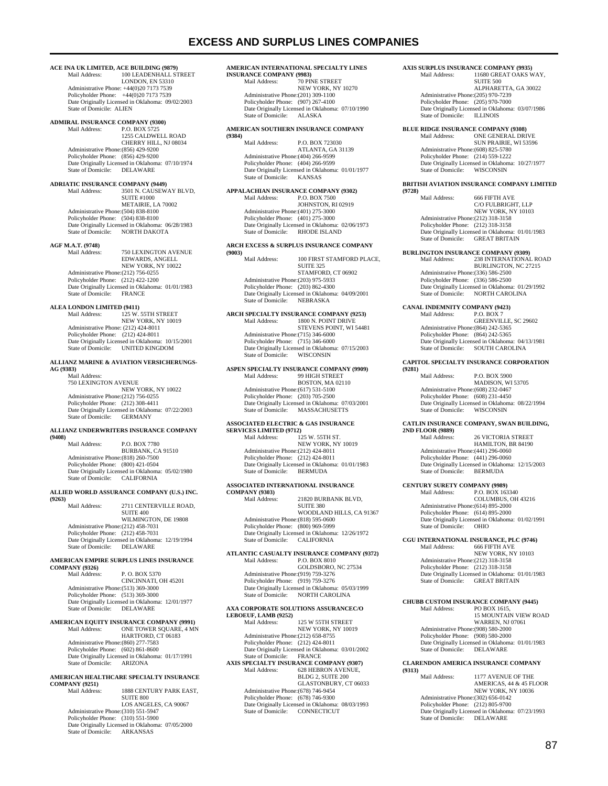### **EXCESS AND SURPLUS LINES COMPANIES**

## **ACE INA UK LIMITED, ACE BUILDING (9879)**

100 LEADENHALL STREET LONDON, EN 53310 Administrative Phone: +44(0)20 7173 7539 Policyholder Phone: +44(0)20 7173 7539 Date Originally Licensed in Oklahoma: 09/02/2003 State of Domicile: ALIEN

## **ADMIRAL INSURANCE COMPANY (9300)**

P.O. BOX 5725 1255 CALDWELL ROAD CHERRY HILL, NJ 08034 Administrative Phone:(856) 429-9200 Policyholder Phone: (856) 429-9200 Date Originally Licensed in Oklahoma: 07/10/1974 State of Domicile: DELAWARE

## **ADRIATIC INSURANCE COMPANY (9449)**<br>Mail Address: 3501 N. CAUSEW.

Mail Address: 3501 N. CAUSEWAY BLVD, SUITE #1000 METAIRIE, LA 70002 Administrative Phone:(504) 838-8100 Policyholder Phone: (504) 838-8100 Date Originally Licensed in Oklahoma: 06/28/1983 State of Domicile: NORTH DAKOTA

### **AGF M.A.T. (9748)**

Mail Address: 750 LEXINGTON AVENUE EDWARDS, ANGELL NEW YORK, NY 10022 Administrative Phone:(212) 756-0255 Policyholder Phone: (212) 422-1200 Date Originally Licensed in Oklahoma: 01/01/1983<br>State of Domicile: FRANCE State of Domicile:

## **ALEA LONDON LIMITED (9411)**<br>Mail Address: 125 W.

State of Domicile:

Mail Address: 125 W. 55TH STREET NEW YORK, NY 10019 Administrative Phone: (212) 424-8011 Policyholder Phone: (212) 424-8011 Date Originally Licensed in Oklahoma: 10/15/2001 State of Domicile: UNITED KINGDOM

#### **ALLIANZ MARINE & AVIATION VERSICHERUNGS-AG (9383)**

 Mail Address: 750 LEXINGTON AVENUE NEW YORK, NY 10022 Administrative Phone:(212) 756-0255 Policyholder Phone: (212) 308-4411 Date Originally Licensed in Oklahoma: 07/22/2003<br>State of Domicile: GERMANY

### **ALLIANZ UNDERWRITERS INSURANCE COMPANY**

**(9408)**  P.O. BOX 7780 BURBANK, CA 91510 Administrative Phone:(818) 260-7500 Policyholder Phone: (800) 421-0504 Date Originally Licensed in Oklahoma: 05/02/1980 State of Domicile: CALIFORNIA

### **ALLIED WORLD ASSURANCE COMPANY (U.S.) INC.**

**(9263)**  2711 CENTERVILLE ROAD, SUITE 400 WILMINGTON, DE 19808 Administrative Phone:(212) 458-7031 Policyholder Phone: (212) 458-7031 Date Originally Licensed in Oklahoma: 12/19/1994 State of Domicile: DELAWARE

#### **AMERICAN EMPIRE SURPLUS LINES INSURANCE COMPANY (9326)**

Mail Address: P. O. BOX 5370 CINCINNATI, OH 45201 Administrative Phone:(513) 369-3000 Policyholder Phone: (513) 369-3000 Date Originally Licensed in Oklahoma: 12/01/1977 State of Domicile: DELAWARE

#### **AMERICAN EQUITY INSURANCE COMPANY (9991)**<br>Mail Address: ONE TOWER SQUARE, 4 MI ONE TOWER SQUARE, 4 MN HARTFORD, CT 06183 Administrative Phone:(860) 277-7583 Policyholder Phone: (602) 861-8600 Date Originally Licensed in Oklahoma: 01/17/1991 State of Domicile: ARIZONA

### **AMERICAN HEALTHCARE SPECIALTY INSURANCE COMPANY (9251)**

1888 CENTURY PARK EAST, SUITE 800 LOS ANGELES, CA 90067 Administrative Phone:(310) 551-5947 Policyholder Phone: (310) 551-5900 Date Originally Licensed in Oklahoma: 07/05/2000 State of Domicile: ARKANSAS

### **AMERICAN INTERNATIONAL SPECIALTY LINES**

**INSURANCE COMPANY (9983)**<br>Mail Address: 70 PIN 70 PINE STREET NEW YORK, NY 10270 Administrative Phone:(201) 309-1100 Policyholder Phone: (907) 267-4100 Date Originally Licensed in Oklahoma: 07/10/1990<br>State of Domicile: ALASKA State of Domicile:

### **AMERICAN SOUTHERN INSURANCE COMPANY**

**(9384)**  P.O. BOX 723030 ATLANTA, GA 31139 Administrative Phone:(404) 266-9599 Policyholder Phone: (404) 266-9599 Date Originally Licensed in Oklahoma: 01/01/1977 State of Domicile: KANSAS

### **APPALACHIAN INSURANCE COMPANY (9302)**

Mail Address: P.O. BOX 7500 JOHNSTON, RI 02919 Administrative Phone:(401) 275-3000 Policyholder Phone: (401) 275-3000 Date Originally Licensed in Oklahoma: 02/06/1973<br>State of Domicile: RHODE ISLAND RHODE ISLAND

### **ARCH EXCESS & SURPLUS INSURANCE COMPANY**

**(9003)**  100 FIRST STAMFORD PLACE, SUITE 325 STAMFORD, CT 06902 Administrative Phone:(203) 975-5933 Policyholder Phone: (203) 862-4300 Forty Justice Originally Licensed in Oklahoma: 04/09/2001<br>State of Domicile: NEBRASKA  $State$  of Domicile:

## **ARCH SPECIALTY INSURANCE COMPANY (9253)**<br>Mail Address: [800 N] POINT DRIVE

1800 N. POINT DRIVE STEVENS POINT, WI 54481 Administrative Phone:(715) 346-6000 Policyholder Phone: (715) 346-6000 Date Originally Licensed in Oklahoma: 07/15/2003<br>State of Domicile: WISCONSIN State of Domicile:

## **ASPEN SPECIALTY INSURANCE COMPANY (9909)**<br>Mail Address: 99 HIGH STREET

99 HIGH STREET BOSTON, MA 02110 Administrative Phone:(617) 531-5100 Policyholder Phone: (203) 705-2500 Date Originally Licensed in Oklahoma: 07/03/2001 State of Domicile: MASSACHUSETTS

### **ASSOCIATED ELECTRIC & GAS INSURANCE**

**SERVICES LIMITED (9712)**<br>Mail Address: 12  $\frac{27}{125}$  W. 55TH ST. NEW YORK, NY 10019 Administrative Phone:(212) 424-8011 Policyholder Phone: (212) 424-8011 Date Originally Licensed in Oklahoma: 01/01/1983 State of Domicile: BERMUDA

### **ASSOCIATED INTERNATIONAL INSURANCE**

**COMPANY (9303)**  Mail Address: 21820 BURBANK BLVD, **SUITE 380**  WOODLAND HILLS, CA 91367 Administrative Phone:(818) 595-0600 Policyholder Phone: (800) 969-5999 Date Originally Licensed in Oklahoma: 12/26/1972<br>State of Domicile: CALIFORNIA State of Domicile: CALIFORNIA

## **ATLANTIC CASUALTY INSURANCE COMPANY (9372)**<br>Mail Address: P.O. BOX 8010

P.O. BOX 8010 GOLDSBORO, NC 27534 Administrative Phone:(919) 759-3276 Policyholder Phone: (919) 759-3276 Date Originally Licensed in Oklahoma: 05/03/1999<br>State of Domicile: NORTH CAROLINA NORTH CAROLINA

#### **AXA CORPORATE SOLUTIONS ASSURANCEC/O LEBOEUF, LAMB (9252)**<br>Mail Address: 125 W 55TH STREET

 NEW YORK, NY 10019 Administrative Phone:(212) 658-8755 Policyholder Phone: (212) 424-8011 Date Originally Licensed in Oklahoma: 03/01/2002 State of Domicile: FRANCE<br> **AXIS SPECIALTY INSURANCE COMPANY (9307)** Mail Address: 628 HEBRON AVENUE, BLDG 2, SUITE 200 GLASTONBURY, CT 06033 Administrative Phone:(678) 746-9454 Policyholder Phone: (678) 746-9300 Date Originally Licensed in Oklahoma: 08/03/1993 State of Domicile: CONNECTICUT

#### **AXIS SURPLUS INSURANCE COMPANY (9935)**  11680 GREAT OAKS WAY

**SUITE 500**  ALPHARETTA, GA 30022 Administrative Phone:(205) 970-7239 Policyholder Phone: (205) 970-7000 Date Originally Licensed in Oklahoma: 03/07/1986<br>State of Domicile: ILLINOIS State of Domicile:

## **BLUE RIDGE INSURANCE COMPANY (9308)**

ONE GENERAL DRIVE SUN PRAIRIE, WI 53596 Administrative Phone:(608) 825-5780 Policyholder Phone: (214) 559-1222 Date Originally Licensed in Oklahoma: 10/27/1977 State of Domicile: WISCONSIN

#### **BRITISH AVIATION INSURANCE COMPANY LIMITED**

**(9728)**  666 FIFTH AVE C/O FULBRIGHT, LLP NEW YORK, NY 10103 Administrative Phone:(212) 318-3158 Policyholder Phone: (212) 318-3158 Date Originally Licensed in Oklahoma: 01/01/1983 State of Domicile: GREAT BRITAIN

### **BURLINGTON INSURANCE COMPANY (9309)**<br>Mail Address: 238 INTERNATIONAL Mail Address: 238 INTERNATIONAL ROAD BURLINGTON, NC 27215 Administrative Phone:(336) 586-2500 Policyholder Phone: (336) 586-2500 Date Originally Licensed in Oklahoma: 01/29/1992

State of Domicile: NORTH CAROLINA **CANAL INDEMNITY COMPANY (9423)**  P.O. BOX 7 GREENVILLE, SC 29602 Administrative Phone:(864) 242-5365 Policyholder Phone: (864) 242-5365 Date Originally Licensed in Oklahoma: 04/13/1981<br>State of Domicile: SOUTH CAROLINA SOUTH CAROLINA

### **CAPITOL SPECIALTY INSURANCE CORPORATION**

**(9281)**  P.O. BOX 5900 MADISON, WI 53705 Administrative Phone:(608) 232-0467 Policyholder Phone: (608) 231-4450 Date Originally Licensed in Oklahoma: 08/22/1994<br>State of Domicile: WISCONSIN State of Domicile:

### **CATLIN INSURANCE COMPANY, SWAN BUILDING,**

**2ND FLOOR (9889)**  26 VICTORIA STREET HAMILTON, BR 84190 Administrative Phone:(441) 296-0060 Policyholder Phone: (441) 296-0060 Date Originally Licensed in Oklahoma: 12/15/2003 State of Domicile: BERMUDA

# **CENTURY SURETY COMPANY (9989)**<br>Mail Address: P.O. BOX 163

Mail Address: P.O. BOX 163340 COLUMBUS, OH 43216 Administrative Phone:(614) 895-2000 Policyholder Phone: (614) 895-2000 Date Originally Licensed in Oklahoma: 01/02/1991 State of Domicile:

# **CGU INTERNATIONAL INSURANCE, PLC (9746)**

Mail Address: 666 FIFTH AVE NEW YORK, NY 10103 Administrative Phone:(212) 318-3158 Policyholder Phone: (212) 318-3158 Date Originally Licensed in Oklahoma: 01/01/1983 State of Domicile: GREAT BRITAIN

# **CHUBB CUSTOM INSURANCE COMPANY (9445)**<br>Mail Address: PO BOX 1615,

PO BOX 1615, 15 MOUNTAIN VIEW ROAD WARREN, NJ 07061 Administrative Phone:(908) 580-2000 Policyholder Phone: (908) 580-2000 Pate Originally Licensed in Oklahoma: 01/01/1983<br>State of Domicile: DELAWARE State of Domicile:

### **CLARENDON AMERICA INSURANCE COMPANY**

**(9313)**  1177 AVENUE OF THE AMERICAS, 44 & 45 FLOOR NEW YORK, NY 10036 Administrative Phone:(302) 656-0142 Policyholder Phone: (212) 805-9700 Date Originally Licensed in Oklahoma: 07/23/1993 State of Domicile: DELAWARE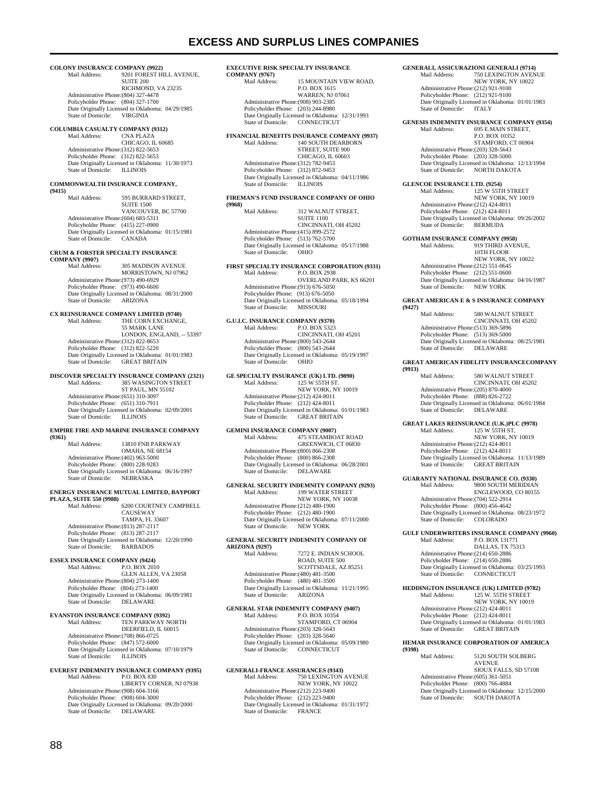## **COLONY INSURANCE COMPANY (9922)**<br>Mail Address: 9201 FOREST HI

9201 FOREST HILL AVENUE. SUITE 200 RICHMOND, VA 23235 Administrative Phone:(804) 327-4478 Policyholder Phone: (804) 327-1700 Date Originally Licensed in Oklahoma: 04/29/1985<br>State of Domicile: VIRGINIA State of Domicile:

## **COLUMBIA CASUALTY COMPANY (9312)**

CNA PLAZA CHICAGO, IL 60685 Administrative Phone:(312) 822-5653 Policyholder Phone: (312) 822-5653 Date Originally Licensed in Oklahoma: 11/30/1973 State of Domicile: ILLINOIS

### **COMMONWEALTH INSURANCE COMPANY,**

**(9415)**  595 BURRARD STREET, SUITE 1500 VANCOUVER, BC 57700 Administrative Phone:(604) 683-5311 Policyholder Phone: (415) 227-0900 Date Originally Licensed in Oklahoma: 01/15/1981 State of Domicile: CANADA

### **CRUM & FORSTER SPECIALTY INSURANCE**

**COMPANY (9907)**<br>Mail Address: 305 MADISON AVENUE MORRISTOWN, NJ 07962 Administrative Phone:(973) 490-6929 Policyholder Phone: (973) 490-6600 Date Originally Licensed in Oklahoma: 08/31/2000 State of Domicile:

## **CX REINSURANCE COMPANY LIMITED (9740)**

THE CORN EXCHANGE 55 MARK LANE LONDON, ENGLAND, -- 53397 Administrative Phone:(312) 822-8653 Policyholder Phone: (312) 822-5220 Date Originally Licensed in Oklahoma: 01/01/1983 GREAT BRITAIN

#### **DISCOVER SPECIALTY INSURANCE COMPANY (2321)**  385 WASINGTON STREET ST PAUL, MN 55102 Administrative Phone:(651) 310-3097 Policyholder Phone: (651) 310-7911

Date Originally Licensed in Oklahoma: 02/09/2001 State of Domicile: ILLINOIS

### **EMPIRE FIRE AND MARINE INSURANCE COMPANY**

**(9361)**  13810 FNB PARKWAY OMAHA, NE 68154 Administrative Phone:(402) 963-5000 Policyholder Phone: (800) 228-9283 Date Originally Licensed in Oklahoma: 06/16/1997 State of Domicile: NEBRASKA

### **ENERGY INSURANCE MUTUAL LIMITED, BAYPORT**

**PLAZA, SUITE 550 (9988)**  6200 COURTNEY CAMPBELL CAUSEWAY TAMPA, FL 33607 Administrative Phone:(813) 287-2117 Policyholder Phone: (813) 287-2117 Date Originally Licensed in Oklahoma: 12/20/1990 State of Domicile: BARBADOS

## **ESSEX INSURANCE COMPANY (9424)**<br>Mail Address: PO BOX 2010

Mail Address: GLEN ALLEN, VA 23058 Administrative Phone:(804) 273-1400 Policyholder Phone: (804) 273-1400 Date Originally Licensed in Oklahoma: 06/09/1981<br>State of Domicile: DELAWARE State of Domicile:

#### **EVANSTON INSURANCE COMPANY (9392)**<br>Mail Address: **TEN PARKWAY N** TEN PARKWAY NORTH

DEERFIELD, IL 60015 Administrative Phone:(708) 866-0725 Policyholder Phone: (847) 572-6000 Date Originally Licensed in Oklahoma: 07/10/1979<br>State of Domicile: ILLINOIS State of Domicile:

#### **EVEREST INDEMNITY INSURANCE COMPANY (9395)**  Mail Address: P.O. BOX 830 LIBERTY CORNER, NJ 07938 Administrative Phone:(908) 604-3166 Policyholder Phone: (908) 604-3000 Date Originally Licensed in Oklahoma: 09/20/2000 State of Domicile: DELAWARE

#### **EXECUTIVE RISK SPECIALTY INSURANCE**   $CO<sub>2</sub>$

| <b>COMPANY (9767)</b>                |                                                  |
|--------------------------------------|--------------------------------------------------|
| Mail Address:                        | 15 MOUNTAIN VIEW ROAD,                           |
|                                      | P.O. BOX 1615                                    |
|                                      | <b>WARREN, NJ 07061</b>                          |
| Administrative Phone: (908) 903-2385 |                                                  |
| Policyholder Phone: (203) 244-8980   |                                                  |
|                                      | Date Originally Licensed in Oklahoma: 12/31/1993 |
| State of Domicile: CONNECTICUT       |                                                  |
|                                      |                                                  |

## **FINANCIAL BENEFITS INSURANCE COMPANY (9937)**

140 SOUTH DEARBORN STREET, SUITE 900 CHICAGO, IL 60603 Administrative Phone:(312) 782-9453 Policyholder Phone: (312) 872-9453 Date Originally Licensed in Oklahoma: 04/11/1986<br>State of Domicile: ILLINOIS State of Domicile:

### **FIREMAN'S FUND INSURANCE COMPANY OF OHIO**

**(9968)**  312 WALNUT STREET **SUITE 1100**  CINCINNATI, OH 45202 Administrative Phone:(415) 899-2572 Policyholder Phone: (513) 762-5700 Date Originally Licensed in Oklahoma: 05/17/1988 State of Domicile: OHIO

#### **FIRST SPECIALTY INSURANCE CORPORATION (9331)**  Mail Address: P.O. BOX 2938

 OVERLAND PARK, KS 66201 Administrative Phone:(913) 676-5050 Policyholder Phone: (913) 676-5050 Date Originally Licensed in Oklahoma: 05/18/1994 State of Domicile: MISSOURI

#### **G.U.I.C. INSURANCE COMPANY (9370)**<br>Mail Address: P.O. BOX 5323 P.O. BOX 5323 CINCINNATI, OH 45201

 Administrative Phone:(800) 543-2644 Policyholder Phone: (800) 543-2644 Date Originally Licensed in Oklahoma: 05/19/1997<br>State of Domicile: OHIO State of Domicile:

#### **GE SPECIALTY INSURANCE (UK) LTD. (9890)**<br>Mail Address: 125 W 55TH ST. 125 W 55TH ST.

 NEW YORK, NY 10019 Administrative Phone:(212) 424-8011 Policyholder Phone: (212) 424-8011 Date Originally Licensed in Oklahoma: 01/01/1983 State of Domicile: GREAT BRITAIN

### **GEMINI INSURANCE COMPANY (9007)**<br>Mail Address: 475 STEAMBO 475 STEAMBOAT ROAD GREENWICH, CT 06830 Administrative Phone:(800) 866-2308 Policyholder Phone: (800) 866-2308 Date Originally Licensed in Oklahoma: 06/28/2001 State of Domicile: DELAWARE

## **GENERAL SECURITY INDEMNITY COMPANY (9293)**<br>Mail Address: 199 WATER STREET

Mail Address: 199 WATER STREET NEW YORK, NY 10038 Administrative Phone:(212) 480-1900 Policyholder Phone: (212) 480-1900 Date Originally Licensed in Oklahoma: 07/11/2000 State of Domicile: NEW YORK

### **GENERAL SECURITY INDEMNITY COMPANY OF ARIZONA (9297)**

7272 E. INDIAN SCHOOL ROAD, SUITE 500 SCOTTSDALE, AZ 85251 Administrative Phone:(480) 481-3500 Policyholder Phone: (480) 481-3500 Date Originally Licensed in Oklahoma: 11/21/1995 State of Domicile: ARIZONA

## **GENERAL STAR INDEMNITY COMPANY (9407)**<br>Mail Address: P.O. BOX 10354

P.O. BOX 10354 STAMFORD, CT 06904 Administrative Phone:(203) 328-5643 Policyholder Phone: (203) 328-5640 Date Originally Licensed in Oklahoma: 05/09/1980 State of Domicile: CONNECTICUT

#### **GENERALI-FRANCE ASSURANCES (9343)**

MALI-FRANCE ASSORANCES (5545)<br>Mail Address: 750 LEXINGTON AVENUE NEW YORK, NY 10022 Administrative Phone:(212) 223-9400 Policyholder Phone: (212) 223-9400 Date Originally Licensed in Oklahoma: 01/31/1972 State of Domicile: FRANCE

## **GENERALI, ASSICURAZIONI GENERALI (9714)**<br>Mail Address: 750 LEXINGTON AVEN

**750 LEXINGTON AVENUE**  NEW YORK, NY 10022 Administrative Phone:(212) 921-9100 Policyholder Phone: (212) 921-9100 Date Originally Licensed in Oklahoma: 01/01/1983<br>State of Domicile: ITALY State of Domicile:

## **GENESIS INDEMNITY INSURANCE COMPANY (9354)**<br>Mail Address: 695 E.MAIN STREET.

695 E.MAIN STREET, P.O. BOX 10352 STAMFORD, CT 06904 Administrative Phone:(203) 328-5643 Policyholder Phone: (203) 328-5000 Date Originally Licensed in Oklahoma: 12/13/1994 State of Domicile: NORTH DAKOTA

## **GLENCOE INSURANCE LTD. (9254)**<br>Mail Address: 125 W 55TI

Mail Address: 125 W 55TH STREET NEW YORK, NY 10019 Administrative Phone:(212) 424-8011 Policyholder Phone: (212) 424-8011 Date Originally Licensed in Oklahoma: 09/26/2002 State of Domicile: BERMUDA

## **GOTHAM INSURANCE COMPANY (9958)**<br>Mail Address: 919 THIRD AVEI

919 THIRD AVENUE, 10TH FLOOR NEW YORK, NY 10022 Administrative Phone:(212) 551-0645 Policyholder Phone: (212) 551-0600 Date Originally Licensed in Oklahoma: 04/16/1987 State of Domicile: NEW YORK

### **GREAT AMERICAN E & S INSURANCE COMPANY**

**(9427)**  580 WALNUT STREET CINCINNATI, OH 45202 Administrative Phone:(513) 369-5896 Policyholder Phone: (513) 369-5000 Date Originally Licensed in Oklahoma: 08/25/1981 State of Domicile: DELAWARE

#### **GREAT AMERICAN FIDELITY INSURANCECOMPANY**

**(9913)**  580 WALNUT STREET CINCINNATI, OH 45202 Administrative Phone:(205) 870-4000 Policyholder Phone: (888) 826-2722 Date Originally Licensed in Oklahoma: 06/01/1984 State of Domicile: DELAWARE

### **GREAT LAKES REINSURANCE (U.K.)PLC (9978)**

Mail Address: 125 W 55TH ST, NEW YORK, NY 10019 Administrative Phone:(212) 424-8011 Policyholder Phone: (212) 424-8011 Date Originally Licensed in Oklahoma: 11/13/1989 State of Domicile: GREAT BRITAIN

### **GUARANTY NATIONAL INSURANCE CO. (9330)**

Mail Address: 9800 SOUTH MERIDIAN ENGLEWOOD, CO 80155 Administrative Phone:(704) 522-2914 Policyholder Phone: (800) 456-4642 Date Originally Licensed in Oklahoma: 08/23/1972<br>State of Domicile: COLORADO State of Domicile:

#### **GULF UNDERWRITERS INSURANCE COMPANY (9960)**  P.O. BOX 131771 DALLAS, TX 75313

 Administrative Phone:(214) 650-2886 Policyholder Phone: (214) 650-2886 Date Originally Licensed in Oklahoma: 03/25/1993<br>State of Domicile: CONNECTICUT CONNECTICUT

#### **HEDDINGTON INSURANCE (UK) LIMITED (9782)**  125 W. 55TH STREET

 NEW YORK, NY 10019 Administrative Phone:(212) 424-8011 Policyholder Phone: (212) 424-8011 Date Originally Licensed in Oklahoma: 01/01/1983 State of Domicile: GREAT BRITAIN

### **HEMAR INSURANCE CORPORATION OF AMERICA (9398)**

5120 SOUTH SOLBERG AVENUE SIOUX FALLS, SD 57108

Administrative Phone:(605) 361-5051

Policyholder Phone: (800) 766-4884 Date Originally Licensed in Oklahoma: 12/15/2000<br>State of Domicile: SOUTH DAKOTA SOUTH DAKOTA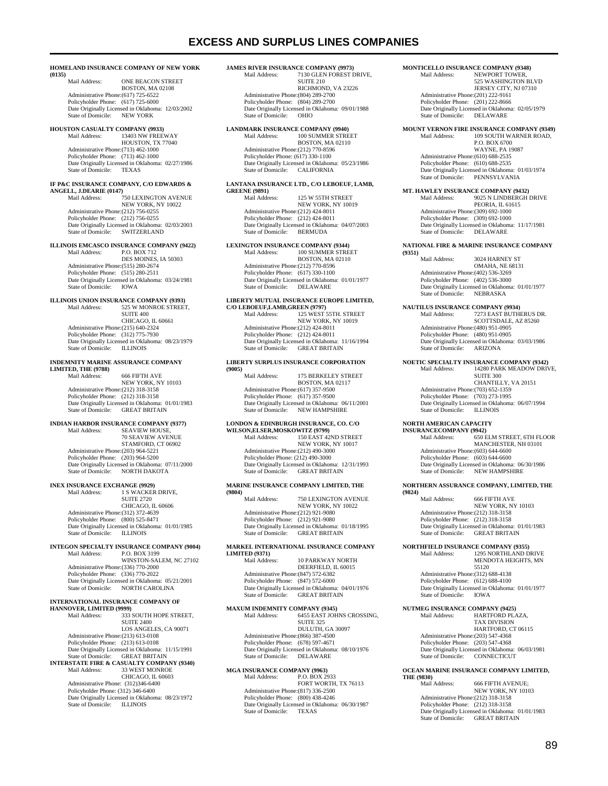### **EXCESS AND SURPLUS LINES COMPANIES**

#### **HOMELAND INSURANCE COMPANY OF NEW YORK**

**(0135)**  ONE BEACON STREET BOSTON, MA 02108 Administrative Phone:(617) 725-6522 Policyholder Phone: (617) 725-6000 Date Originally Licensed in Oklahoma: 12/03/2002<br>State of Domicile: NEW YORK State of Domicile:

### **HOUSTON CASUALTY COMPANY (9933)**  13403 NW FREEWAY HOUSTON, TX 77040 Administrative Phone:(713) 462-1000 Policyholder Phone: (713) 462-1000 Date Originally Licensed in Oklahoma: 02/27/1986 State of Domicile: TEXAS

### **IF P&C INSURANCE COMPANY, C/O EDWARDS &**

**ANGELL, J.DEARIE (0147)**  750 LEXINGTON AVENUE NEW YORK, NY 10022 Administrative Phone:(212) 756-0255 Policyholder Phone: (212) 756-0255 Date Originally Licensed in Oklahoma: 02/03/2003 State of Domicile: SWITZERLAND

### **ILLINOIS EMCASCO INSURANCE COMPANY (9422)**

Mail Address: P.O. BOX 712 DES MOINES, IA 50303 Administrative Phone:(515) 280-2674 Policyholder Phone: (515) 280-2511 Date Originally Licensed in Oklahoma: 03/24/1981<br>State of Domicile: IOWA State of Domicile:

### **ILLINOIS UNION INSURANCE COMPANY (9393)**

Mail Address: 525 W MONROE STREET, SUITE 400 CHICAGO, IL 60661 Administrative Phone:(215) 640-2324 Policyholder Phone: (312) 775-7930 Date Originally Licensed in Oklahoma: 08/23/1979<br>State of Domicile: ILLINOIS State of Domicile:

## **INDEMNITY MARINE ASSURANCE COMPANY**

**LIMITED, THE (9788)**  666 FIFTH AVE NEW YORK, NY 10103 Administrative Phone:(212) 318-3158 Policyholder Phone: (212) 318-3158 Date Originally Licensed in Oklahoma: 01/01/1983 State of Domicile: GREAT BRITAIN

## **INDIAN HARBOR INSURANCE COMPANY (9377)**<br>
Mail Address: SEAVIEW HOUSE,

 70 SEAVIEW AVENUE STAMFORD, CT 06902 Administrative Phone:(203) 964-5221 Policyholder Phone: (203) 964-5200 Date Originally Licensed in Oklahoma: 07/11/2000 State of Domicile: NORTH DAKOTA

## **INEX INSURANCE EXCHANGE (9929)**<br>Mail Address: 1 S WACKER

Mail Address: 1 S WACKER DRIVE, SUITE 2720 CHICAGO, IL 60606 Administrative Phone:(312) 372-4639 Policyholder Phone: (800) 525-8471 Date Originally Licensed in Oklahoma: 01/01/1985 State of Domicile: **ILLINOIS** 

#### **INTEGON SPECIALTY INSURANCE COMPANY (9004)**<br>Mail Address: P.O. BOX 3199 P.O. BOX 3199

 WINSTON-SALEM, NC 27102 Administrative Phone:(336) 770-2000 Policyholder Phone: (336) 770-2022 Date Originally Licensed in Oklahoma: 05/21/2001 State of Domicile: NORTH CAROLINA

### **INTERNATIONAL INSURANCE COMPANY OF**

**HANNOVER, LIMITED (9999)**<br>Mail Address: 333 333 SOUTH HOPE STREET, SUITE 2400 LOS ANGELES, CA 90071 Administrative Phone:(213) 613-0108 Policyholder Phone: (213) 613-0108 Date Originally Licensed in Oklahoma: 11/15/1991 State of Domicile: GREAT BRITAIN<br>**INTERSTATE FIRE & CASUALTY COMPANY (9340)** Mail Address: 33 WEST MONROE CHICAGO, IL 60603 Administrative Phone: (312)346-6400 Policyholder Phone: (312) 346-6400 Date Originally Licensed in Oklahoma: 08/23/1972 State of Domicile: ILLINOIS

#### **JAMES RIVER INSURANCE COMPANY (9973)**<br>Mail Address: 7130 GLEN FOREST I **7130 GLEN FOREST DRIVE**

SUITE 210 RICHMOND, VA 23226 Administrative Phone:(804) 289-2700 Policyholder Phone: (804) 289-2700 Date Originally Licensed in Oklahoma: 09/01/1988<br>State of Domicile: OHIO State of Domicile:

#### **LANDMARK INSURANCE COMPANY (9940)**<br>Mail Address: 100 SUMMER STRE 100 SUMMER STREET BOSTON, MA 02110 Administrative Phone:(212) 770-8596 Policyholder Phone: (617) 330-1100 Date Originally Licensed in Oklahoma: 05/23/1986 State of Domicile: CALIFORNIA

### **LANTANA INSURANCE LTD., C/O LEBOEUF, LAMB,**

**GREENE (9891)**<br>Mail Address 125 W 55TH STREET NEW YORK, NY 10019 Administrative Phone:(212) 424-8011 Policyholder Phone: (212) 424-8011 Date Originally Licensed in Oklahoma: 04/07/2003<br>State of Domicile: BERMUDA State of Domicile:

#### **LEXINGTON INSURANCE COMPANY (9344)**  Mail Address: 100 SUMMER STREET

 BOSTON, MA 02110 Administrative Phone:(212) 770-8596 Policyholder Phone: (617) 330-1100 Date Originally Licensed in Oklahoma: 01/01/1977 State of Domicile: DELAWARE

## **LIBERTY MUTUAL INSURANCE EUROPE LIMITED, C/O LEBOEUF,LAMB,GREEN (9797)**

Mail Address: 125 WEST 55TH. STREET NEW YORK, NY 10019 Administrative Phone: (212) 424-8011 Policyholder Phone: (212) 424-8011 Patter Originally Licensed in Oklahoma: 11/16/1994<br>State of Domicile: GREAT BRITAIN GREAT BRITAIN

### **LIBERTY SURPLUS INSURANCE CORPORATION**

**(9005)**  175 BERKELEY STREET BOSTON, MA 02117 Administrative Phone:(617) 357-9500 Policyholder Phone: (617) 357-9500 Date Originally Licensed in Oklahoma: 06/11/2001 State of Domicile: NEW HAMPSHIRE

### **LONDON & EDINBURGH INSURANCE, CO. C/O**

WILSON, ELSER, MOSKOWITZ (9799)<br>Mail Address: 150 EAST 421 150 EAST 42ND STREET NEW YORK, NY 10017 Administrative Phone:(212) 490-3000 Policyholder Phone: (212) 490-3000 Date Originally Licensed in Oklahoma: 12/31/1993 State of Domicile: GREAT BRITAIN

### **MARINE INSURANCE COMPANY LIMITED, THE**

**(9804)**  750 LEXINGTON AVENUE NEW YORK, NY 10022 Administrative Phone:(212) 921-9080 Policyholder Phone: (212) 921-9080 Date Originally Licensed in Oklahoma: 01/18/1995 State of Domicile: **GREAT BRITAIN** 

### **MARKEL INTERNATIONAL INSURANCE COMPANY LIMITED (9371)**

10 PARKWAY NORTH DEERFIELD, IL 60015 Administrative Phone:(847) 572-6382 Policyholder Phone: (847) 572-6000 Date Originally Licensed in Oklahoma: 04/01/1976<br>State of Domicile: GREAT BRITAIN GREAT BRITAIN

## **MAXUM INDEMNITY COMPANY (9345)**<br>Mail Address: 6455 EAST JOH

6455 EAST JOHNS CROSSING, SUITE 325 DULUTH, GA 30097 Administrative Phone:(866) 387-4500 Policyholder Phone: (678) 597-4671 Date Originally Licensed in Oklahoma: 08/10/1976<br>State of Domicile: DELAWARE State of Domicile:

#### **MGA INSURANCE COMPANY (9963)**  Mail Address: P.O. BOX 2933

FORT WORTH, TX 76113 Administrative Phone:(817) 336-2500 Policyholder Phone: (800) 438-4246 Date Originally Licensed in Oklahoma: 06/30/1987 State of Domicile: TEXAS

## **MONTICELLO INSURANCE COMPANY (9348)**<br>Mail Address: **NEWPORT TOWER**

NEWPORT TOWER 525 WASHINGTON BLVD JERSEY CITY, NJ 07310 Administrative Phone:(201) 222-9161 Policyholder Phone: (201) 222-8666 Date Originally Licensed in Oklahoma: 02/05/1979<br>State of Domicile: DELAWARE State of Domicile:

## **MOUNT VERNON FIRE INSURANCE COMPANY (9349)**

109 SOUTH WARNER ROAD, P.O. BOX 6700 WAYNE, PA 19087 Administrative Phone:(610) 688-2535 Policyholder Phone: (610) 688-2535 Date Originally Licensed in Oklahoma: 01/03/1974 State of Domicile: PENNSYLVANIA

## **MT. HAWLEY INSURANCE COMPANY (9432)**<br>Mail Address: 9025 N LINDBERGH DRIVE

PEORIA, IL 61615 Administrative Phone:(309) 692-1000 Policyholder Phone: (309) 692-1000 Date Originally Licensed in Oklahoma: 11/17/1981 State of Domicile: DELAWARE

### **NATIONAL FIRE & MARINE INSURANCE COMPANY**

**(9351)**  3024 HARNEY ST OMAHA, NE 68131 Administrative Phone:(402) 536-3269 Policyholder Phone: (402) 536-3000 Date Originally Licensed in Oklahoma: 01/01/1977 State of Domicile: NEBRASKA

**NAUTILUS INSURANCE COMPANY (9934)**<br>Mail Address: 7273 EAST BUTHI **7273 EAST BUTHERUS DR.**  SCOTTSDALE, AZ 85260 Administrative Phone:(480) 951-0905 Policyholder Phone: (480) 951-0905 Date Originally Licensed in Oklahoma: 03/03/1986<br>State of Domicile: ARIZONA Extra Digman June

#### **NOETIC SPECIALTY INSURANCE COMPANY (9342)**  14280 PARK MEADOW DRIVE.

**SUITE 300**  CHANTILLY, VA 20151 Administrative Phone:(703) 652-1359 Policyholder Phone: (703) 273-1995 Date Originally Licensed in Oklahoma: 06/07/1994 State of Domicile: ILLINOIS

### **NORTH AMERICAN CAPACITY**

**INSURANCECOMPANY (9942)**<br>Mail Address: 650 E Mail Address: 650 ELM STREET, 6TH FLOOR MANCHESTER, NH 03101 Administrative Phone:(603) 644-6600 Policyholder Phone: (603) 644-6600 Date Originally Licensed in Oklahoma: 06/30/1986 State of Domicile: NEW HAMPSHIRE

### **NORTHERN ASSURANCE COMPANY, LIMITED, THE**

**(9824)**  666 FIFTH AVE NEW YORK, NY 10103 Administrative Phone:(212) 318-3158 Policyholder Phone: (212) 318-3158 Date Originally Licensed in Oklahoma: 01/01/1983<br>State of Domicile: GREAT BRITAIN **GREAT BRITAIN** 

### **NORTHFIELD INSURANCE COMPANY (9355)**  Mail Address: 1295 NORTHLAND DRIVE MENDOTA HEIGHTS, MN 55120 Administrative Phone:(312) 688-4138 Policyholder Phone: (612) 688-4100 Date Originally Licensed in Oklahoma: 01/01/1977<br>State of Domicile: IOWA

State of Domicile:

#### **NUTMEG INSURANCE COMPANY (9425)**  Mail Address: HARTFORD PLAZA,

 TAX DIVISION HARTFORD, CT 06115 Administrative Phone:(203) 547-4368 Policyholder Phone: (203) 547-4368 Date Originally Licensed in Oklahoma: 06/03/1981 State of Domicile: CONNECTICUT

### **OCEAN MARINE INSURANCE COMPANY LIMITED,**

**THE (9830)**  666 FIFTH AVENUE; NEW YORK, NY 10103 Administrative Phone:(212) 318-3158 Policyholder Phone: (212) 318-3158 Date Originally Licensed in Oklahoma: 01/01/1983 State of Domicile: GREAT BRITAIN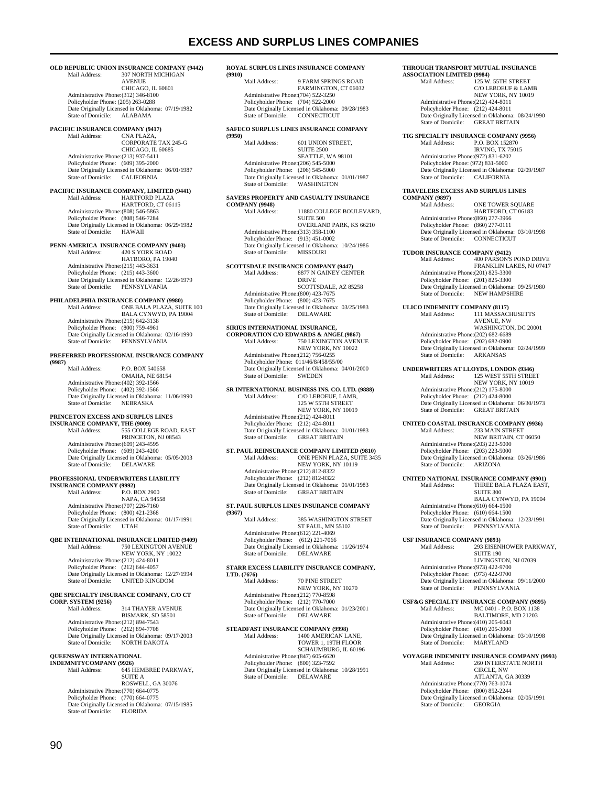### **EXCESS AND SURPLUS LINES COMPANIES**

#### **OLD REPUBLIC UNION INSURANCE COMPANY (9442)**<br>Mail Address: 307 NORTH MICHIGAN 307 NORTH MICHIGAN

**AVENUE**  CHICAGO, IL 60601 Administrative Phone:(312) 346-8100 Policyholder Phone: (205) 263-0288 Date Originally Licensed in Oklahoma: 07/19/1982<br>State of Domicile: ALABAMA State of Domicile:

## **PACIFIC INSURANCE COMPANY (9417)**<br>Mail Address: CNA PLAZA,

CNA PLAZA, CORPORATE TAX 245-G CHICAGO, IL 60685 Administrative Phone:(213) 937-5411 Policyholder Phone: (609) 395-2000 Date Originally Licensed in Oklahoma: 06/01/1987 State of Domicile: CALIFORNIA

## **PACIFIC INSURANCE COMPANY, LIMITED (9441)**<br>
Mail Address: HARTFORD PLAZA

HARTFORD, CT 06115 Administrative Phone:(808) 546-5863 Policyholder Phone: (808) 546-7284 Date Originally Licensed in Oklahoma: 06/29/1982<br>State of Domicile: HAWAII State of Domicile:

### **PENN-AMERICA INSURANCE COMPANY (9403)**

Mail Address: 420 S YORK ROAD HATBORO, PA 19040 Administrative Phone:(215) 443-3631 Policyholder Phone: (215) 443-3600 Date Originally Licensed in Oklahoma: 12/26/1979 State of Domicile: PENNSYLVANIA

### **PHILADELPHIA INSURANCE COMPANY (9980)**

Mail Address: ONE BALA PLAZA, SUITE 100 BALA CYNWYD, PA 19004 Administrative Phone:(215) 642-3138 Policyholder Phone: (800) 759-4961 Date Originally Licensed in Oklahoma: 02/16/1990 State of Domicile: PENNSYLVANIA

#### **PREFERRED PROFESSIONAL INSURANCE COMPANY**

**(9987) P.O. BOX 540658**  OMAHA, NE 68154 Administrative Phone:(402) 392-1566 Policyholder Phone: (402) 392-1566 Date Originally Licensed in Oklahoma: 11/06/1990 State of Domicile: NEBRASKA

### **PRINCETON EXCESS AND SURPLUS LINES**

**INSURANCE COMPANY, THE (9009)**<br>
Mail Address: 555 COLLEGE ROAD, EAST PRINCETON, NJ 08543 Administrative Phone:(609) 243-4595 Policyholder Phone: (609) 243-4200 Date Originally Licensed in Oklahoma: 05/05/2003 State of Domicile: DELAWARE

#### **PROFESSIONAL UNDERWRITERS LIABILITY**

**INSURANCE COMPANY (9992)**<br>Mail Address: P.O. E P.O. BOX 2900 NAPA, CA 94558 Administrative Phone:(707) 226-7160 Policyholder Phone: (800) 421-2368 Date Originally Licensed in Oklahoma: 01/17/1991<br>State of Domicile: UTAH State of Domicile:

#### **QBE INTERNATIONAL INSURANCE LIMITED (9409)**  750 LEXINGTON AVENUE

 NEW YORK, NY 10022 Administrative Phone:(212) 424-8011 Policyholder Phone: (212) 644-4057 Date Originally Licensed in Oklahoma: 12/27/1994 State of Domicile: UNITED KINGDOM

### **QBE SPECIALTY INSURANCE COMPANY, C/O CT CORP. SYSTEM (9256)**

314 THAYER AVENUE BISMARK, SD 58501 Administrative Phone:(212) 894-7543 Policyholder Phone: (212) 894-7708 Date Originally Licensed in Oklahoma: 09/17/2003 State of Domicile: NORTH DAKOTA

### **QUEENSWAY INTERNATIONAL**

**INDEMNITYCOMPANY (9926)**<br>Mail Address: 645 H 645 HEMBREE PARKWAY, SUITE A ROSWELL, GA 30076 Administrative Phone:(770) 664-0775 Policyholder Phone: (770) 664-0775 Date Originally Licensed in Oklahoma: 07/15/1985 State of Domicile: FLORIDA

#### **ROYAL SURPLUS LINES INSURANCE COMPANY**

**(9910)**  9 FARM SPRINGS ROAD FARMINGTON, CT 06032 Administrative Phone:(704) 522-3250 Policyholder Phone: (704) 522-2000 Date Originally Licensed in Oklahoma: 09/28/1983<br>State of Domicile: CONNECTICUT CONNECTICUT

### **SAFECO SURPLUS LINES INSURANCE COMPANY**

**(9950)**  601 UNION STREET SUITE 2500 SEATTLE, WA 98101 Administrative Phone:(206) 545-5000 Policyholder Phone: (206) 545-5000 Date Originally Licensed in Oklahoma: 01/01/1987<br>State of Domicile: WASHINGTON State of Domicile:

### **SAVERS PROPERTY AND CASUALTY INSURANCE**

**COMPANY (9948)**<br>Mail Address 11880 COLLEGE BOULEVARD, SUITE 500 OVERLAND PARK, KS 66210 Administrative Phone:(313) 358-1100 Policyholder Phone: (913) 451-0002 Date Originally Licensed in Oklahoma: 10/24/1986 State of Domicile: MISSOURI

### **SCOTTSDALE INSURANCE COMPANY (9447)**

Mail Address: 8877 N GAINEY CENTER DRIVE SCOTTSDALE, AZ 85258 Administrative Phone:(800) 423-7675 Policyholder Phone: (800) 423-7675 Date Originally Licensed in Oklahoma: 03/25/1983 State of Domicile: DELAWARE

## **SIRIUS INTERNATIONAL INSURANCE,**

**CORPORATION C/O EDWARDS & ANGEL(9867) 750 LEXINGTON AVENUE**  NEW YORK, NY 10022 Administrative Phone:(212) 756-0255 Policyholder Phone: 011/46/8/458/55/00 Date Originally Licensed in Oklahoma: 04/01/2000 State of Domicile: SWEDEN

#### **SR INTERNATIONAL BUSINESS INS. CO. LTD. (9888)**  C/O LEBOEUF, LAMB, 125 W 55TH STREET NEW YORK, NY 10019

 Administrative Phone:(212) 424-8011 Policyholder Phone: (212) 424-8011 Date Originally Licensed in Oklahoma: 01/01/1983 State of Domicile: GREAT BRITAIN

## **ST. PAUL REINSURANCE COMPANY LIMITED (9810)**

Mail Address: ONE PENN PLAZA, SUITE 3435 NEW YORK, NY 10119 Administrative Phone:(212) 812-8322 Policyholder Phone: (212) 812-8322 POIL FRIEND LICENSED VALUE 2012<br>Date Originally Licensed in Oklahoma: 01/01/1983<br>State of Domicile: GREAT BRITAIN **GREAT BRITAIN** 

### **ST. PAUL SURPLUS LINES INSURANCE COMPANY**

**(9367)**  385 WASHINGTON STREET ST PAUL, MN 55102 Administrative Phone:(612) 221-4069 Policyholder Phone: (612) 221-7066 Date Originally Licensed in Oklahoma: 11/26/1974 State of Domicile: DELAWARE

### **STARR EXCESS LIABILITY INSURANCE COMPANY, LTD.** (7676)<br>
Mail Address

70 PINE STREET NEW YORK, NY 10270 Administrative Phone: (212) 770-8598 Policyholder Phone: (212) 770-7000 Date Originally Licensed in Oklahoma: 01/23/2001 State of Domicile: DELAWARE

## **STEADFAST INSURANCE COMPANY (9998)**<br>Mail Address: 1400 AMERICAN L.

Mail Address: 1400 AMERICAN LANE, TOWER 1, 19TH FLOOR SCHAUMBURG, IL 60196 Administrative Phone:(847) 605-6620 Policyholder Phone: (800) 323-7592 Date Originally Licensed in Oklahoma: 10/28/1991<br>State of Domicile: DELAWARE State of Domicile:

### **THROUGH TRANSPORT MUTUAL INSURANCE**

**ASSOCIATION LIMITED (9984)**<br>Mail Address: 125 W 125 W. 55TH STREET C/O LEBOEUF & LAMB NEW YORK, NY 10019 Administrative Phone:(212) 424-8011 Policyholder Phone: (212) 424-8011 Date Originally Licensed in Oklahoma: 08/24/1990 State of Domicile: GREAT BRITAIN

## **TIG SPECIALTY INSURANCE COMPANY (9956)**<br>Mail Address: P.O. BOX 152870

Mail Address: P.O. BOX 152870 IRVING, TX 75015 Administrative Phone:(972) 831-6202 Policyholder Phone: (972) 831-5000 Date Originally Licensed in Oklahoma: 02/09/1987 State of Domicile: CALIFORNIA

### **TRAVELERS EXCESS AND SURPLUS LINES**

**COMPANY (9897)**  ONE TOWER SQUARE HARTFORD, CT 06183 Administrative Phone:(860) 277-3966 Policyholder Phone: (860) 277-0111 Date Originally Licensed in Oklahoma: 03/10/1998 State of Domicile: CONNECTICUT

## **TUDOR INSURANCE COMPANY (9412)**

Mail Address: 400 PARSON'S POND DRIVE FRANKLIN LAKES, NJ 07417 Administrative Phone:(201) 825-3300 Policyholder Phone: (201) 825-3300 Pate Originally Licensed in Oklahoma: 09/25/1980<br>State of Domicile: NEW HAMPSHIRE NEW HAMPSHIRE

**ULICO INDEMNITY COMPANY (8117)**<br>Mail Address: 111 MASSAC

111 MASSACHUSETTS AVENUE, NW WASHINGTON, DC 20001 Administrative Phone:(202) 682-6689 Policyholder Phone: (202) 682-0900 Date Originally Licensed in Oklahoma: 02/24/1999 State of Domicile:

## **UNDERWRITERS AT LLOYDS, LONDON (9346)**

125 WEST 55TH STREET NEW YORK, NY 10019 Administrative Phone:(212) 175-8000 Policyholder Phone: (212) 424-8000 Date Originally Licensed in Oklahoma: 06/30/1973 State of Domicile: GREAT BRITAIN

### **UNITED COASTAL INSURANCE COMPANY (9936)**

Mail Address: 233 MAIN STREET NEW BRITAIN, CT 06050 Administrative Phone:(203) 223-5000 Policyholder Phone: (203) 223-5000 Date Originally Licensed in Oklahoma: 03/26/1986 State of Domicile: ARIZONA

### **UNITED NATIONAL INSURANCE COMPANY (9901)**

Mail Address: THREE BALA PLAZA EAST, SUITE 300 BALA CYNWYD, PA 19004 Administrative Phone:(610) 664-1500 Policyholder Phone: (610) 664-1500 Date Originally Licensed in Oklahoma: 12/23/1991 State of Domicile: PENNSYLVANIA

# **USF INSURANCE COMPANY (9893)**<br>Mail Address: 293 EISEN

293 EISENHOWER PARKWAY, SUITE 190 LIVINGSTON, NJ 07039 Administrative Phone:(973) 422-9700 Policyholder Phone: (973) 422-9700 Date Originally Licensed in Oklahoma: 09/11/2000<br>State of Domicile: PENNSYLVANIA PENNSYLVANIA

**USF&G SPECIALTY INSURANCE COMPANY (9895)**  Mail Address: MC 0401 - P.O. BOX 1138 BALTIMORE, MD 21203 Administrative Phone:(410) 205-6043 Policyholder Phone: (410) 205-3000 Date Originally Licensed in Oklahoma: 03/10/1998<br>State of Domicile: MARYLAND State of Domicile:

## **VOYAGER INDEMNITY INSURANCE COMPANY (9993)**

260 INTERSTATE NORTH CIRCLE, NW ATLANTA, GA 30339 Administrative Phone:(770) 763-1074 Policyholder Phone: (800) 852-2244 Date Originally Licensed in Oklahoma: 02/05/1991 State of Domicile: GEORGIA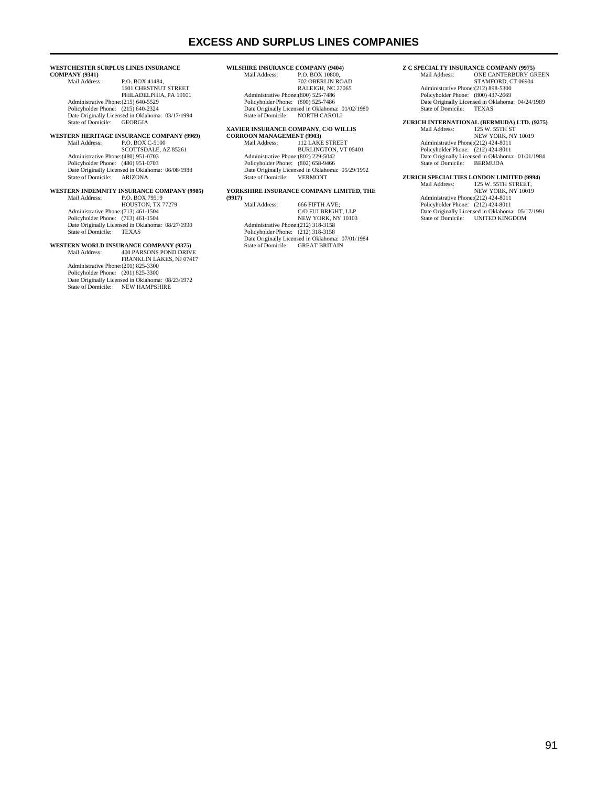#### **WESTCHESTER SURPLUS LINES INSURANCE**

**COMPANY (9341)**  P.O. BOX 41484, 1601 CHESTNUT STREET PHILADELPHIA, PA 19101 Administrative Phone:(215) 640-5529 Policyholder Phone: (215) 640-2324 Date Originally Licensed in Oklahoma: 03/17/1994 State of Domicile: GEORGIA

## **WESTERN HERITAGE INSURANCE COMPANY (9969)**<br>Mail Address: P.O. BOX C-5100

Mail Address: P.O. BOX C-5100 SCOTTSDALE, AZ 85261 Administrative Phone:(480) 951-0703 Policyholder Phone: (480) 951-0703 Date Originally Licensed in Oklahoma: 06/08/1988 State of Domicile: ARIZONA

#### **WESTERN INDEMNITY INSURANCE COMPANY (9985)**<br>Mail Address: P.O. BOX 79519 P.O. BOX 79519

HOUSTON, TX 77279 Administrative Phone:(713) 461-1504 Policyholder Phone: (713) 461-1504 Date Originally Licensed in Oklahoma: 08/27/1990<br>State of Domicile: TEXAS State of Domicile:

### **WESTERN WORLD INSURANCE COMPANY (9375)**

Mail Address: 400 PARSONS POND DRIVE FRANKLIN LAKES, NJ 07417 Administrative Phone:(201) 825-3300 Policyholder Phone: (201) 825-3300 Date Originally Licensed in Oklahoma: 08/23/1972 State of Domicile: NEW HAMPSHIRE

## **WILSHIRE INSURANCE COMPANY (9404)**<br>Mail Address: PO BOX 10800

P.O. BOX 10800 702 OBERLIN ROAD RALEIGH, NC 27065 Administrative Phone: (800) 525-7486 Policyholder Phone: (800) 525-7486 Date Originally Licensed in Oklahoma: 01/02/1980 State of Domicile: NORTH CAROLI

### **XAVIER INSURANCE COMPANY, C/O WILLIS**

**CORROON MANAGEMENT (9903)**  Mail Address: 112 LAKE STREET BURLINGTON, VT 05401 Administrative Phone:(802) 229-5042 Policyholder Phone: (802) 658-9466 Date Originally Licensed in Oklahoma: 05/29/1992 State of Domicile: VERMONT

### **YORKSHIRE INSURANCE COMPANY LIMITED, THE**

**(9917)**  666 FIFTH AVE; C/O FULBRIGHT, LLP NEW YORK, NY 10103 Administrative Phone:(212) 318-3158 Policyholder Phone: (212) 318-3158 Date Originally Licensed in Oklahoma: 07/01/1984 State of Domicile: GREAT BRITAIN

## **Z C SPECIALTY INSURANCE COMPANY (9975)**

ONE CANTERBURY GREEN STAMFORD, CT 06904 Administrative Phone:(212) 898-5300 Policyholder Phone: (800) 437-2669 Date Originally Licensed in Oklahoma: 04/24/1989 State of Domicile: TEXAS

## **ZURICH INTERNATIONAL (BERMUDA) LTD. (9275)**

125 W. 55TH ST NEW YORK, NY 10019 Administrative Phone:(212) 424-8011 Policyholder Phone: (212) 424-8011 Date Originally Licensed in Oklahoma: 01/01/1984 State of Domicile: BERMUDA

## **ZURICH SPECIALTIES LONDON LIMITED (9994)**

Mail Address: 125 W. 55TH STREET, NEW YORK, NY 10019 Administrative Phone:(212) 424-8011 Policyholder Phone: (212) 424-8011 Date Originally Licensed in Oklahoma: 05/17/1991 State of Domicile: UNITED KINGDOM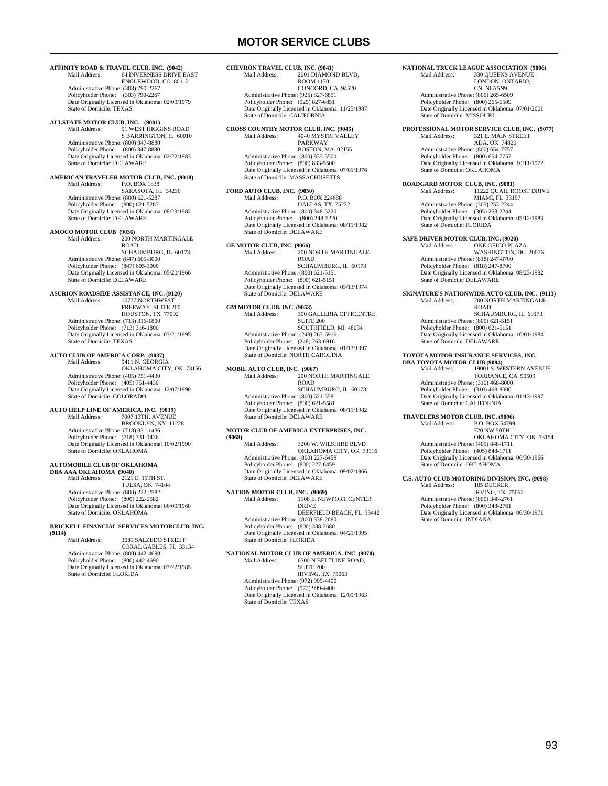**AFFINITY ROAD & TRAVEL CLUB, INC. (9042)**<br>Mail Address: 64 INVERNESS DRIVE F 64 INVERNESS DRIVE EAST

 ENGLEWOOD, CO 80112 Administrative Phone: (303) 790-2267 Policyholder Phone: (303) 790-2267 Date Originally Licensed in Oklahoma: 02/09/1979 State of Domicile: TEXAS

## **ALLSTATE MOTOR CLUB, INC. (9001)**<br>Mail Address: 51 WEST HIGGINS ROAD

S BARRINGTON, IL 60010 Administrative Phone: (800) 347-8880 Policyholder Phone: (800) 347-8880 Date Originally Licensed in Oklahoma: 02/22/1983 **State of Domicile: DELAWARE** 

#### **AMERICAN TRAVELER MOTOR CLUB, INC. (9018)** Mail Address: P.O. BOX 1838

 SARASOTA, FL 34230 Administrative Phone: (800) 621-5287 Policyholder Phone: (800) 621-5287 Date Originally Licensed in Oklahoma: 08/23/1982 State of Domicile: DELAWARE

**AMOCO MOTOR CLUB (9036)** Mail Address: 200 NORTH MARTINGALE ROAD, SCHAUMBURG, IL 60173 Administrative Phone: (847) 605-3000 Policyholder Phone: (847) 605-3000 Date Originally Licensed in Oklahoma: 05/20/1966 State of Domicile: DELAWARE

## **ASURION ROADSIDE ASSISTANCE, INC. (9120)**

10777 NORTHWEST FREEWAY, SUITE 200 HOUSTON, TX 77092 Administrative Phone: (713) 316-1800 Policyholder Phone: (713) 316-1800 Date Originally Licensed in Oklahoma: 03/21/1995 State of Domicile: TEXAS

### **AUTO CLUB OF AMERICA CORP. (9037)**

Mail Address: 9411 N. GEORGIA OKLAHOMA CITY, OK 73156 Administrative Phone: (405) 751-4430 Policyholder Phone: (405) 751-4430 Date Originally Licensed in Oklahoma: 12/07/1990 State of Domicile: COLORADO

#### **AUTO HELP LINE OF AMERICA, INC. (9039)** 7007 13TH. AVENUE

 BROOKLYN, NY 11228 Administrative Phone: (718) 331-1436 Policyholder Phone: (718) 331-1436 Date Originally Licensed in Oklahoma: 10/02/1990 State of Domicile: OKLAHOMA

### **AUTOMOBILE CLUB OF OKLAHOMA**

**DBA AAA OKLAHOMA** (9040)<br>Mail Address: 2121  $2121$  E. 15TH ST. TULSA, OK 74104 Administrative Phone: (800) 222-2582 Policyholder Phone: (800) 222-2582 Date Originally Licensed in Oklahoma: 06/09/1960 State of Domicile: OKLAHOMA

#### **BRICKELL FINANCIAL SERVICES MOTORCLUB, INC. (9114)**

 Mail Address: 3081 SALZEDO STREET CORAL GABLES, FL 33134 Administrative Phone: (800) 442-4690 Policyholder Phone: (800) 442-4690 Date Originally Licensed in Oklahoma: 07/22/1985 State of Domicile: FLORIDA

#### **CHEVRON TRAVEL CLUB, INC. (9041)**<br>Mail Address: 2001 DIAMON 2001 DIAMOND BLVD

 ROOM 1170 CONCORD, CA 94520 Administrative Phone: (925) 827-6851 Policyholder Phone: (925) 827-6851 Date Originally Licensed in Oklahoma: 11/25/1987 State of Domicile: CALIFORNIA

#### **CROSS COUNTRY MOTOR CLUB, INC. (9045)** 4040 MYSTIC VALLEY

PARKWAY BOSTON, MA 02155 Administrative Phone: (800) 833-5500 Policyholder Phone: (800) 833-5500 Date Originally Licensed in Oklahoma: 07/01/1976 State of Domicile: MASSACHUSETTS

**FORD AUTO CLUB, INC. (9050)**<br>Mail Address: P.O. BOX 224688 DALLAS, TX 75222 Administrative Phone: (800) 348-5220 Policyholder Phone: (800) 348-5220 Date Originally Licensed in Oklahoma: 08/11/1982 State of Domicile: DELAWARE

**GE MOTOR CLUB, INC. (9066)** Mail Address: 200 NORTH MARTINGALE ROAD SCHAUMBURG, IL. 60173 Administrative Phone: (800) 621-5151 Policyholder Phone: (800) 621-5151 Date Originally Licensed in Oklahoma: 03/13/1974 State of Domicile: DELAWARE

## **GM MOTOR CLUB, INC. (9053)**<br>Mail Address: 300 G

300 GALLERIA OFFICENTRE, SUITE 200 SOUTHFIELD, MI 48034 Administrative Phone: (248) 263-6916 Policyholder Phone: (248) 263-6916 Date Originally Licensed in Oklahoma: 01/13/1997 State of Domicile: NORTH CAROLINA

**MOBIL AUTO CLUB, INC. (9067)** Mail Address: 200 NORTH MARTINGALE ROAD SCHAUMBURG, IL. 60173 Administrative Phone: (800) 621-5581 Policyholder Phone: (800) 621-5581 Date Originally Licensed in Oklahoma: 08/11/1982 State of Domicile: DELAWARE

#### **MOTOR CLUB OF AMERICA ENTERPRISES, INC. (9068)**

 Mail Address: 3200 W. WILSHIRE BLVD OKLAHOMA CITY, OK 73116 Administrative Phone: (800) 227-6459 Policyholder Phone: (800) 227-6459 Date Originally Licensed in Oklahoma: 09/02/1966 State of Domicile: DELAWARE

### **NATION MOTOR CLUB, INC. (9069)**<br>Mail Address: 1108 E. NEWPORT CENTER DRIVE DEERFIELD BEACH, FL 33442 Administrative Phone: (800) 338-2680

 Policyholder Phone: (800) 338-2680 Date Originally Licensed in Oklahoma: 04/21/1995 State of Domicile: FLORIDA

#### **NATIONAL MOTOR CLUB OF AMERICA, INC. (9070)** 6500 N BELTLINE ROAD, SUITE 200

 IRVING, TX 75063 Administrative Phone: (972) 999-4400 Policyholder Phone: (972) 999-4400 Date Originally Licensed in Oklahoma: 12/09/1963 State of Domicile: TEXAS

## **NATIONAL TRUCK LEAGUE ASSOCIATION (9006)**<br>Mail Address: 330 OUEENS AVENUE

330 OUEENS AVENUE LONDON, ONTARIO, CN N6A5N9 Administrative Phone: (800) 265-6509 Policyholder Phone: (800) 265-6509 Date Originally Licensed in Oklahoma: 07/01/2001 State of Domicile: MISSOURI

## **PROFESSIONAL MOTOR SERVICE CLUB, INC. (9077)**

 Mail Address: 321 E. MAIN STREET ADA, OK 74820 Administrative Phone: (800) 654-7757 Policyholder Phone: (800) 654-7757 Date Originally Licensed in Oklahoma: 10/11/1972 State of Domicile: OKLAHOMA

## **ROADGARD MOTOR CLUB, INC. (9081)**

 Mail Address: 11222 QUAIL ROOST DRIVE MIAMI, FL 33157 Administrative Phone: (305) 253-2244 Policyholder Phone: (305) 253-2244 Date Originally Licensed in Oklahoma: 05/12/1983 State of Domicile: FLORIDA

**SAFE DRIVER MOTOR CLUB, INC. (9020)**<br>Mail Address: ONE GEICO PLA

 Mail Address: ONE GEICO PLAZA WASHINGTON, DC 20076 Administrative Phone: (818) 247-8700 Policyholder Phone: (818) 247-8700 Date Originally Licensed in Oklahoma: 08/23/1982 State of Domicile: DELAWARE

## **SIGNATURE'S NATIONWIDE AUTO CLUB, INC. (9113)**<br>Mail Address: 200 NORTH MARTINGALE

200 NORTH MARTINGALE ROAD SCHAUMBURG, IL 60173 Administrative Phone: (800) 621-5151 Policyholder Phone: (800) 621-5151 Date Originally Licensed in Oklahoma: 10/01/1984 State of Domicile: DELAWARE

**TOYOTA MOTOR INSURANCE SERVICES, INC. DBA TOYOTA MOTOR CLUB (9094)** Mail Address: 19001 S. WESTERN AVENUE TORRANCE, CA 90509 Administrative Phone: (310) 468-8000 Policyholder Phone: (310) 468-8000 Date Originally Licensed in Oklahoma: 01/13/1997 State of Domicile: CALIFORNIA

#### **TRAVELERS MOTOR CLUB, INC. (9096)**<br>Mail Address: P.O. BOX 54799 P.O. BOX 54799 720 NW 50TH

 OKLAHOMA CITY, OK 73154 Administrative Phone: (405) 848-1711 Policyholder Phone: (405) 848-1711 Date Originally Licensed in Oklahoma: 06/30/1966 State of Domicile: OKLAHOMA

### **U.S. AUTO CLUB MOTORING DIVISION, INC. (9098)**

 Mail Address: 105 DECKER IRVING, TX 75062 Administrative Phone: (800) 348-2761 Policyholder Phone: (800) 348-2761 Date Originally Licensed in Oklahoma: 06/30/1971 State of Domicile: INDIANA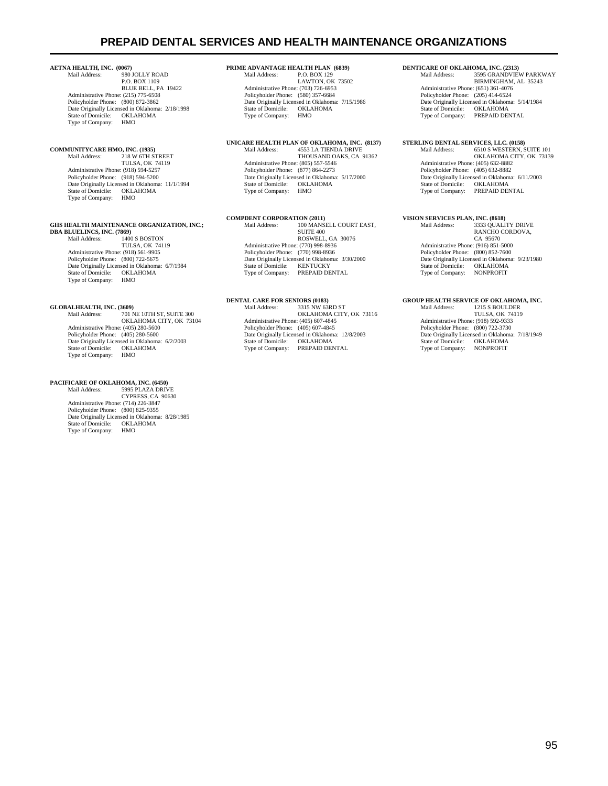## **PREPAID DENTAL SERVICES AND HEALTH MAINTENANCE ORGANIZATIONS**

## **AETNA HEALTH, INC. (0067)**<br>Mail Address: 980

980 JOLLY ROAD P.O. BOX 1109 BLUE BELL, PA 19422 Administrative Phone: (215) 775-6508 Policyholder Phone: (800) 872-3862 Date Originally Licensed in Oklahoma: 2/18/1998 State of Domicile: OKLAHOMA Type of Company: HMO

## **COMMUNITYCARE HMO, INC. (1935)**

 Mail Address: 218 W 6TH STREET TULSA, OK 74119 Administrative Phone: (918) 594-5257 Policyholder Phone: (918) 594-5200 Date Originally Licensed in Oklahoma: 11/1/1994 State of Domicile: OKLAHOMA<br>Type of Company: HMO Type of Company:

## **GHS HEALTH MAINTENANCE ORGANIZATION, INC.; DBA BLUELINCS, INC. (7869)**<br>
Mail Address: 1400 S BOSTON

 TULSA, OK 74119 Administrative Phone: (918) 561-9905 Policyholder Phone: (800) 722-5675 Date Originally Licensed in Oklahoma: 6/7/1984<br>State of Domicile: OKLAHOMA State of Domicile: OKLA<br>Type of Company: HMO Type of Company:

## **GLOBALHEALTH, INC. (3609)**

Mail Address: 701 NE 10TH ST, SUITE 300 OKLAHOMA CITY, OK 73104 Administrative Phone: (405) 280-5600 Policyholder Phone: (405) 280-5600 Date Originally Licensed in Oklahoma: 6/2/2003 State of Domicile: OKLAHOMA<br>Type of Company: HMO Type of Company:

## **PACIFICARE OF OKLAHOMA, INC. (6450)**

 Mail Address: 5995 PLAZA DRIVE CYPRESS, CA 90630 Administrative Phone: (714) 226-3847 Policyholder Phone: (800) 825-9355 Date Originally Licensed in Oklahoma: 8/28/1985 State of Domicile: OKLAHOMA<br>Type of Company: HMO Type of Company:

## **PRIME ADVANTAGE HEALTH PLAN (6839)**<br>Mail Address: PO BOX 129

 $P.$  O. BOX 129 LAWTON, OK 73502 Administrative Phone: (703) 726-6953 Policyholder Phone: (580) 357-6684 Date Originally Licensed in Oklahoma: 7/15/1986<br>State of Domicile: OKLAHOMA State of Domicile: OKLA<br>Type of Company: HMO Type of Company:

## **UNICARE HEALTH PLAN OF OKLAHOMA, INC. (8137)**

 Mail Address: 4553 LA TIENDA DRIVE THOUSAND OAKS, CA 91362 Administrative Phone: (805) 557-5546 Policyholder Phone: (877) 864-2273 Date Originally Licensed in Oklahoma: 5/17/2000 State of Domicile: OKLAHOMA Type of Company: HMO

# **COMPDENT CORPORATION (2011)**<br>Mail Address: 100 MANS

 Mail Address: 100 MANSELL COURT EAST, SUITE 400 ROSWELL, GA 30076 Administrative Phone: (770) 998-8936 Policyholder Phone: (770) 998-8936 Date Originally Licensed in Oklahoma: 3/30/2000 State of Domicile: KENTUCKY Type of Company: PREPAID DENTAL

### **DENTAL CARE FOR SENIORS (0183)**

| Mail Address:                                   | 3315 NW 63RD ST         |
|-------------------------------------------------|-------------------------|
|                                                 | OKLAHOMA CITY, OK 73116 |
| Administrative Phone: (405) 607-4845            |                         |
| Policyholder Phone: (405) 607-4845              |                         |
| Date Originally Licensed in Oklahoma: 12/8/2003 |                         |
| State of Domicile:                              | <b>OKLAHOMA</b>         |
| Type of Company:                                | PREPAID DENTAL          |
|                                                 |                         |

**DENTICARE OF OKLAHOMA, INC. (2313)**<br>Mail Address: 3595 GRANDVIEV Marie (2010)<br>3595 GRANDVIEW PARKWAY BIRMINGHAM, AL 35243 Administrative Phone: (651) 361-4076 Policyholder Phone: (205) 414-6524 Date Originally Licensed in Oklahoma: 5/14/1984<br>State of Domicile: OKLAHOMA State of Domicile:<br>Type of Company: PREPAID DENTAL

## **STERLING DENTAL SERVICES, LLC. (0158)**<br>Mail Address: 6510 S WESTERN, S

 Mail Address: 6510 S WESTERN, SUITE 101 OKLAHOMA CITY, OK 73139 Administrative Phone: (405) 632-8882 Policyholder Phone: (405) 632-8882 Date Originally Licensed in Oklahoma: 6/11/2003 State of Domicile: OKLAHOMA Type of Company: PREPAID DENTAL

## **VISION SERVICES PLAN, INC. (8618)**

 Mail Address: 3333 QUALITY DRIVE RANCHO CORDOVA, CA 95670 Administrative Phone: (916) 851-5000 Policyholder Phone: (800) 852-7600 Date Originally Licensed in Oklahoma: 9/23/1980 State of Domicile: OKI AHOMA Type of Company: NONPROFIT

#### **GROUP HEALTH SERVICE OF OKLAHOMA, INC.**

| Mail Address:                                   | 1215 S BOULDER         |
|-------------------------------------------------|------------------------|
|                                                 | <b>TULSA, OK 74119</b> |
| Administrative Phone: (918) 592-9333            |                        |
| Policyholder Phone: (800) 722-3730              |                        |
| Date Originally Licensed in Oklahoma: 7/18/1949 |                        |
| State of Domicile:                              | <b>OKLAHOMA</b>        |
| Type of Company:                                | <b>NONPROFIT</b>       |
|                                                 |                        |